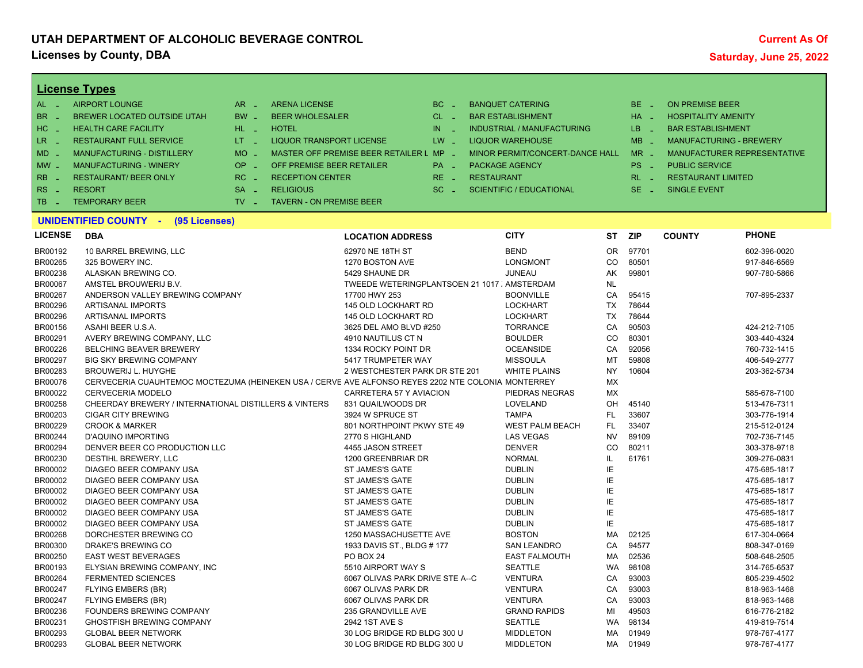## **UTAH DEPARTMENT OF ALCOHOLIC BEVERAGE CONTROL Licenses by County, DBA** Saturday, June 25, 2022

| $AL -$<br><b>AIRPORT LOUNGE</b><br>BE _<br>$AR -$<br><b>ARENA LICENSE</b><br>BC<br><b>BANQUET CATERING</b><br><b>ON PREMISE BEER</b><br>- 4<br>BR<br>$BW -$<br><b>BEER WHOLESALER</b><br>$CL$ $-$<br>$HA -$<br><b>BREWER LOCATED OUTSIDE UTAH</b><br><b>BAR ESTABLISHMENT</b><br><b>HOSPITALITY AMENITY</b><br>$\sim$<br>$HC -$<br><b>HEALTH CARE FACILITY</b><br>$HL$ $=$<br><b>HOTEL</b><br>IN<br><b>INDUSTRIAL / MANUFACTURING</b><br>LB.<br><b>BAR ESTABLISHMENT</b><br>×.<br>n a<br>LR _<br>$LT = -$<br><b>LIQUOR TRANSPORT LICENSE</b><br>$LW -$<br><b>LIQUOR WAREHOUSE</b><br>$MB -$<br><b>MANUFACTURING - BREWERY</b><br><b>RESTAURANT FULL SERVICE</b><br>$MD -$<br>MANUFACTURING - DISTILLERY<br><b>MO</b><br>MASTER OFF PREMISE BEER RETAILER L MP -<br>MINOR PERMIT/CONCERT-DANCE HALL<br>$MR -$<br>MANUFACTURER REPRESENTATIVE<br>п.<br>OP<br>PS <sub>-</sub><br>MW .<br><b>MANUFACTURING - WINERY</b><br>OFF PREMISE BEER RETAILER<br>PA _<br><b>PACKAGE AGENCY</b><br><b>PUBLIC SERVICE</b><br>п.<br><b>RB</b><br><b>RESTAURANT/ BEER ONLY</b><br>$RC -$<br><b>RECEPTION CENTER</b><br>$RE$ $\overline{\phantom{1}}$<br><b>RESTAURANT</b><br>$RL - 1$<br><b>RESTAURANT LIMITED</b><br>٠.<br>RS<br><b>RESORT</b><br>$SA -$<br><b>RELIGIOUS</b><br>$SE -$<br>$SC =$<br><b>SCIENTIFIC / EDUCATIONAL</b><br><b>SINGLE EVENT</b><br>- 14<br><b>TEMPORARY BEER</b><br>$TV -$<br>TB.<br><b>TAVERN - ON PREMISE BEER</b><br>- 11<br>UNIDENTIFIED COUNTY -<br>(95 Licenses)<br><b>LICENSE</b><br><b>CITY</b><br><b>PHONE</b><br><b>DBA</b><br><b>ST</b><br><b>ZIP</b><br><b>COUNTY</b><br><b>LOCATION ADDRESS</b><br>BR00192<br><b>BEND</b><br><b>OR</b><br>97701<br>10 BARREL BREWING, LLC<br>62970 NE 18TH ST<br>602-396-0020<br>BR00265<br>CO<br>80501<br>325 BOWERY INC.<br>1270 BOSTON AVE<br><b>LONGMONT</b><br>917-846-6569<br>BR00238<br>ALASKAN BREWING CO.<br>5429 SHAUNE DR<br>JUNEAU<br>AK<br>99801<br>907-780-5866<br><b>BR00067</b><br>AMSTEL BROUWERIJ B.V.<br>TWEEDE WETERINGPLANTSOEN 21 1017 . AMSTERDAM<br><b>NL</b><br>BR00267<br>CA<br>ANDERSON VALLEY BREWING COMPANY<br>17700 HWY 253<br><b>BOONVILLE</b><br>95415<br>707-895-2337<br>BR00296<br>78644<br><b>ARTISANAL IMPORTS</b><br>145 OLD LOCKHART RD<br><b>LOCKHART</b><br><b>TX</b><br>BR00296<br><b>TX</b><br>78644<br><b>ARTISANAL IMPORTS</b><br>145 OLD LOCKHART RD<br><b>LOCKHART</b><br>BR00156<br>ASAHI BEER U.S.A.<br>3625 DEL AMO BLVD #250<br><b>TORRANCE</b><br>CA<br>90503<br>424-212-7105<br>BR00291<br><b>CO</b><br>80301<br>AVERY BREWING COMPANY, LLC<br>4910 NAUTILUS CT N<br><b>BOULDER</b><br>303-440-4324<br>BR00226<br>CA<br>92056<br>760-732-1415<br><b>BELCHING BEAVER BREWERY</b><br>1334 ROCKY POINT DR<br><b>OCEANSIDE</b><br>BR00297<br>59808<br><b>BIG SKY BREWING COMPANY</b><br>5417 TRUMPETER WAY<br><b>MISSOULA</b><br>MT<br>406-549-2777<br>BR00283<br><b>BROUWERIJ L. HUYGHE</b><br>2 WESTCHESTER PARK DR STE 201<br><b>WHITE PLAINS</b><br><b>NY</b><br>10604<br>203-362-5734<br>BR00076<br><b>MX</b><br>CERVECERIA CUAUHTEMOC MOCTEZUMA (HEINEKEN USA / CERVE AVE ALFONSO REYES 2202 NTE COLONIA MONTERREY<br>BR00022<br>MX<br><b>CERVECERIA MODELO</b><br>CARRETERA 57 Y AVIACION<br>PIEDRAS NEGRAS<br>585-678-7100<br>BR00258<br>CHEERDAY BREWERY / INTERNATIONAL DISTILLERS & VINTERS<br>831 QUAILWOODS DR<br>LOVELAND<br>OH<br>45140<br>513-476-7311<br>FL.<br>33607<br>BR00203<br><b>CIGAR CITY BREWING</b><br>3924 W SPRUCE ST<br><b>TAMPA</b><br>303-776-1914<br>BR00229<br>FL.<br>33407<br><b>CROOK &amp; MARKER</b><br>801 NORTHPOINT PKWY STE 49<br><b>WEST PALM BEACH</b><br>215-512-0124<br>BR00244<br><b>NV</b><br><b>D'AQUINO IMPORTING</b><br>2770 S HIGHLAND<br><b>LAS VEGAS</b><br>89109<br>702-736-7145<br>BR00294<br><b>DENVER</b><br>CO<br>80211<br>303-378-9718<br>DENVER BEER CO PRODUCTION LLC<br>4455 JASON STREET<br>BR00230<br>IL.<br>DESTIHL BREWERY, LLC<br>1200 GREENBRIAR DR<br><b>NORMAL</b><br>61761<br>309-276-0831<br>ΙE<br>BR00002<br>DIAGEO BEER COMPANY USA<br>ST JAMES'S GATE<br><b>DUBLIN</b><br>475-685-1817<br>IE<br>BR00002<br>ST JAMES'S GATE<br><b>DUBLIN</b><br>DIAGEO BEER COMPANY USA<br>475-685-1817<br>IE<br>BR00002<br>DIAGEO BEER COMPANY USA<br>ST JAMES'S GATE<br><b>DUBLIN</b><br>475-685-1817<br>IE<br>BR00002<br>DIAGEO BEER COMPANY USA<br><b>ST JAMES'S GATE</b><br><b>DUBLIN</b><br>475-685-1817<br>IE<br>BR00002<br>DIAGEO BEER COMPANY USA<br>ST JAMES'S GATE<br><b>DUBLIN</b><br>475-685-1817<br>IE<br>BR00002<br>DIAGEO BEER COMPANY USA<br>ST JAMES'S GATE<br><b>DUBLIN</b><br>475-685-1817<br>BR00268<br><b>MA</b><br>DORCHESTER BREWING CO<br>1250 MASSACHUSETTE AVE<br><b>BOSTON</b><br>02125<br>617-304-0664<br>CA<br>BR00300<br>DRAKE'S BREWING CO<br>94577<br>1933 DAVIS ST., BLDG # 177<br><b>SAN LEANDRO</b><br>808-347-0169<br>BR00250<br>02536<br><b>EAST WEST BEVERAGES</b><br>PO BOX 24<br><b>EAST FALMOUTH</b><br>MA<br>508-648-2505<br>BR00193<br><b>WA</b><br>98108<br>ELYSIAN BREWING COMPANY, INC<br>5510 AIRPORT WAY S<br><b>SEATTLE</b><br>314-765-6537<br>BR00264<br><b>FERMENTED SCIENCES</b><br>6067 OLIVAS PARK DRIVE STE A--C<br><b>VENTURA</b><br>CA<br>93003<br>805-239-4502<br>BR00247<br>CA<br>93003<br>FLYING EMBERS (BR)<br>6067 OLIVAS PARK DR<br><b>VENTURA</b><br>818-963-1468<br>BR00247<br><b>VENTURA</b><br>CA<br>93003<br>FLYING EMBERS (BR)<br>6067 OLIVAS PARK DR<br>818-963-1468<br>BR00236<br>FOUNDERS BREWING COMPANY<br>235 GRANDVILLE AVE<br><b>GRAND RAPIDS</b><br>MI<br>49503<br>616-776-2182<br>BR00231<br><b>GHOSTFISH BREWING COMPANY</b><br>2942 1ST AVE S<br><b>SEATTLE</b><br><b>WA</b><br>98134<br>419-819-7514<br>BR00293<br><b>GLOBAL BEER NETWORK</b><br>30 LOG BRIDGE RD BLDG 300 U<br>01949<br><b>MIDDLETON</b><br>MA<br>978-767-4177<br>30 LOG BRIDGE RD BLDG 300 U |         | <b>License Types</b>       |  |  |                  |           |       |              |
|-----------------------------------------------------------------------------------------------------------------------------------------------------------------------------------------------------------------------------------------------------------------------------------------------------------------------------------------------------------------------------------------------------------------------------------------------------------------------------------------------------------------------------------------------------------------------------------------------------------------------------------------------------------------------------------------------------------------------------------------------------------------------------------------------------------------------------------------------------------------------------------------------------------------------------------------------------------------------------------------------------------------------------------------------------------------------------------------------------------------------------------------------------------------------------------------------------------------------------------------------------------------------------------------------------------------------------------------------------------------------------------------------------------------------------------------------------------------------------------------------------------------------------------------------------------------------------------------------------------------------------------------------------------------------------------------------------------------------------------------------------------------------------------------------------------------------------------------------------------------------------------------------------------------------------------------------------------------------------------------------------------------------------------------------------------------------------------------------------------------------------------------------------------------------------------------------------------------------------------------------------------------------------------------------------------------------------------------------------------------------------------------------------------------------------------------------------------------------------------------------------------------------------------------------------------------------------------------------------------------------------------------------------------------------------------------------------------------------------------------------------------------------------------------------------------------------------------------------------------------------------------------------------------------------------------------------------------------------------------------------------------------------------------------------------------------------------------------------------------------------------------------------------------------------------------------------------------------------------------------------------------------------------------------------------------------------------------------------------------------------------------------------------------------------------------------------------------------------------------------------------------------------------------------------------------------------------------------------------------------------------------------------------------------------------------------------------------------------------------------------------------------------------------------------------------------------------------------------------------------------------------------------------------------------------------------------------------------------------------------------------------------------------------------------------------------------------------------------------------------------------------------------------------------------------------------------------------------------------------------------------------------------------------------------------------------------------------------------------------------------------------------------------------------------------------------------------------------------------------------------------------------------------------------------------------------------------------------------------------------------------------------------------------------------------------------------------------------------------------------------------------------------------------------------------------------------------------------------------------------------------------------------------------------------------------------------------------------------------------------------------------------------------------------------------------------------------------------------------------------------------------------------------------------------------------------------------------------------------------------------------------------------------------------------------------------------------------------------------------------------------------------------------------------------------------------------------------------------------------------------------------------------------------------------------------------------------------------------------------------------------------------------------------------------------------------------------------------------------------------------------------------------------------------------------------------------|---------|----------------------------|--|--|------------------|-----------|-------|--------------|
|                                                                                                                                                                                                                                                                                                                                                                                                                                                                                                                                                                                                                                                                                                                                                                                                                                                                                                                                                                                                                                                                                                                                                                                                                                                                                                                                                                                                                                                                                                                                                                                                                                                                                                                                                                                                                                                                                                                                                                                                                                                                                                                                                                                                                                                                                                                                                                                                                                                                                                                                                                                                                                                                                                                                                                                                                                                                                                                                                                                                                                                                                                                                                                                                                                                                                                                                                                                                                                                                                                                                                                                                                                                                                                                                                                                                                                                                                                                                                                                                                                                                                                                                                                                                                                                                                                                                                                                                                                                                                                                                                                                                                                                                                                                                                                                                                                                                                                                                                                                                                                                                                                                                                                                                                                                                                                                                                                                                                                                                                                                                                                                                                                                                                                                                                                                                                       |         |                            |  |  |                  |           |       |              |
|                                                                                                                                                                                                                                                                                                                                                                                                                                                                                                                                                                                                                                                                                                                                                                                                                                                                                                                                                                                                                                                                                                                                                                                                                                                                                                                                                                                                                                                                                                                                                                                                                                                                                                                                                                                                                                                                                                                                                                                                                                                                                                                                                                                                                                                                                                                                                                                                                                                                                                                                                                                                                                                                                                                                                                                                                                                                                                                                                                                                                                                                                                                                                                                                                                                                                                                                                                                                                                                                                                                                                                                                                                                                                                                                                                                                                                                                                                                                                                                                                                                                                                                                                                                                                                                                                                                                                                                                                                                                                                                                                                                                                                                                                                                                                                                                                                                                                                                                                                                                                                                                                                                                                                                                                                                                                                                                                                                                                                                                                                                                                                                                                                                                                                                                                                                                                       |         |                            |  |  |                  |           |       |              |
|                                                                                                                                                                                                                                                                                                                                                                                                                                                                                                                                                                                                                                                                                                                                                                                                                                                                                                                                                                                                                                                                                                                                                                                                                                                                                                                                                                                                                                                                                                                                                                                                                                                                                                                                                                                                                                                                                                                                                                                                                                                                                                                                                                                                                                                                                                                                                                                                                                                                                                                                                                                                                                                                                                                                                                                                                                                                                                                                                                                                                                                                                                                                                                                                                                                                                                                                                                                                                                                                                                                                                                                                                                                                                                                                                                                                                                                                                                                                                                                                                                                                                                                                                                                                                                                                                                                                                                                                                                                                                                                                                                                                                                                                                                                                                                                                                                                                                                                                                                                                                                                                                                                                                                                                                                                                                                                                                                                                                                                                                                                                                                                                                                                                                                                                                                                                                       |         |                            |  |  |                  |           |       |              |
|                                                                                                                                                                                                                                                                                                                                                                                                                                                                                                                                                                                                                                                                                                                                                                                                                                                                                                                                                                                                                                                                                                                                                                                                                                                                                                                                                                                                                                                                                                                                                                                                                                                                                                                                                                                                                                                                                                                                                                                                                                                                                                                                                                                                                                                                                                                                                                                                                                                                                                                                                                                                                                                                                                                                                                                                                                                                                                                                                                                                                                                                                                                                                                                                                                                                                                                                                                                                                                                                                                                                                                                                                                                                                                                                                                                                                                                                                                                                                                                                                                                                                                                                                                                                                                                                                                                                                                                                                                                                                                                                                                                                                                                                                                                                                                                                                                                                                                                                                                                                                                                                                                                                                                                                                                                                                                                                                                                                                                                                                                                                                                                                                                                                                                                                                                                                                       |         |                            |  |  |                  |           |       |              |
|                                                                                                                                                                                                                                                                                                                                                                                                                                                                                                                                                                                                                                                                                                                                                                                                                                                                                                                                                                                                                                                                                                                                                                                                                                                                                                                                                                                                                                                                                                                                                                                                                                                                                                                                                                                                                                                                                                                                                                                                                                                                                                                                                                                                                                                                                                                                                                                                                                                                                                                                                                                                                                                                                                                                                                                                                                                                                                                                                                                                                                                                                                                                                                                                                                                                                                                                                                                                                                                                                                                                                                                                                                                                                                                                                                                                                                                                                                                                                                                                                                                                                                                                                                                                                                                                                                                                                                                                                                                                                                                                                                                                                                                                                                                                                                                                                                                                                                                                                                                                                                                                                                                                                                                                                                                                                                                                                                                                                                                                                                                                                                                                                                                                                                                                                                                                                       |         |                            |  |  |                  |           |       |              |
|                                                                                                                                                                                                                                                                                                                                                                                                                                                                                                                                                                                                                                                                                                                                                                                                                                                                                                                                                                                                                                                                                                                                                                                                                                                                                                                                                                                                                                                                                                                                                                                                                                                                                                                                                                                                                                                                                                                                                                                                                                                                                                                                                                                                                                                                                                                                                                                                                                                                                                                                                                                                                                                                                                                                                                                                                                                                                                                                                                                                                                                                                                                                                                                                                                                                                                                                                                                                                                                                                                                                                                                                                                                                                                                                                                                                                                                                                                                                                                                                                                                                                                                                                                                                                                                                                                                                                                                                                                                                                                                                                                                                                                                                                                                                                                                                                                                                                                                                                                                                                                                                                                                                                                                                                                                                                                                                                                                                                                                                                                                                                                                                                                                                                                                                                                                                                       |         |                            |  |  |                  |           |       |              |
|                                                                                                                                                                                                                                                                                                                                                                                                                                                                                                                                                                                                                                                                                                                                                                                                                                                                                                                                                                                                                                                                                                                                                                                                                                                                                                                                                                                                                                                                                                                                                                                                                                                                                                                                                                                                                                                                                                                                                                                                                                                                                                                                                                                                                                                                                                                                                                                                                                                                                                                                                                                                                                                                                                                                                                                                                                                                                                                                                                                                                                                                                                                                                                                                                                                                                                                                                                                                                                                                                                                                                                                                                                                                                                                                                                                                                                                                                                                                                                                                                                                                                                                                                                                                                                                                                                                                                                                                                                                                                                                                                                                                                                                                                                                                                                                                                                                                                                                                                                                                                                                                                                                                                                                                                                                                                                                                                                                                                                                                                                                                                                                                                                                                                                                                                                                                                       |         |                            |  |  |                  |           |       |              |
|                                                                                                                                                                                                                                                                                                                                                                                                                                                                                                                                                                                                                                                                                                                                                                                                                                                                                                                                                                                                                                                                                                                                                                                                                                                                                                                                                                                                                                                                                                                                                                                                                                                                                                                                                                                                                                                                                                                                                                                                                                                                                                                                                                                                                                                                                                                                                                                                                                                                                                                                                                                                                                                                                                                                                                                                                                                                                                                                                                                                                                                                                                                                                                                                                                                                                                                                                                                                                                                                                                                                                                                                                                                                                                                                                                                                                                                                                                                                                                                                                                                                                                                                                                                                                                                                                                                                                                                                                                                                                                                                                                                                                                                                                                                                                                                                                                                                                                                                                                                                                                                                                                                                                                                                                                                                                                                                                                                                                                                                                                                                                                                                                                                                                                                                                                                                                       |         |                            |  |  |                  |           |       |              |
|                                                                                                                                                                                                                                                                                                                                                                                                                                                                                                                                                                                                                                                                                                                                                                                                                                                                                                                                                                                                                                                                                                                                                                                                                                                                                                                                                                                                                                                                                                                                                                                                                                                                                                                                                                                                                                                                                                                                                                                                                                                                                                                                                                                                                                                                                                                                                                                                                                                                                                                                                                                                                                                                                                                                                                                                                                                                                                                                                                                                                                                                                                                                                                                                                                                                                                                                                                                                                                                                                                                                                                                                                                                                                                                                                                                                                                                                                                                                                                                                                                                                                                                                                                                                                                                                                                                                                                                                                                                                                                                                                                                                                                                                                                                                                                                                                                                                                                                                                                                                                                                                                                                                                                                                                                                                                                                                                                                                                                                                                                                                                                                                                                                                                                                                                                                                                       |         |                            |  |  |                  |           |       |              |
|                                                                                                                                                                                                                                                                                                                                                                                                                                                                                                                                                                                                                                                                                                                                                                                                                                                                                                                                                                                                                                                                                                                                                                                                                                                                                                                                                                                                                                                                                                                                                                                                                                                                                                                                                                                                                                                                                                                                                                                                                                                                                                                                                                                                                                                                                                                                                                                                                                                                                                                                                                                                                                                                                                                                                                                                                                                                                                                                                                                                                                                                                                                                                                                                                                                                                                                                                                                                                                                                                                                                                                                                                                                                                                                                                                                                                                                                                                                                                                                                                                                                                                                                                                                                                                                                                                                                                                                                                                                                                                                                                                                                                                                                                                                                                                                                                                                                                                                                                                                                                                                                                                                                                                                                                                                                                                                                                                                                                                                                                                                                                                                                                                                                                                                                                                                                                       |         |                            |  |  |                  |           |       |              |
|                                                                                                                                                                                                                                                                                                                                                                                                                                                                                                                                                                                                                                                                                                                                                                                                                                                                                                                                                                                                                                                                                                                                                                                                                                                                                                                                                                                                                                                                                                                                                                                                                                                                                                                                                                                                                                                                                                                                                                                                                                                                                                                                                                                                                                                                                                                                                                                                                                                                                                                                                                                                                                                                                                                                                                                                                                                                                                                                                                                                                                                                                                                                                                                                                                                                                                                                                                                                                                                                                                                                                                                                                                                                                                                                                                                                                                                                                                                                                                                                                                                                                                                                                                                                                                                                                                                                                                                                                                                                                                                                                                                                                                                                                                                                                                                                                                                                                                                                                                                                                                                                                                                                                                                                                                                                                                                                                                                                                                                                                                                                                                                                                                                                                                                                                                                                                       |         |                            |  |  |                  |           |       |              |
|                                                                                                                                                                                                                                                                                                                                                                                                                                                                                                                                                                                                                                                                                                                                                                                                                                                                                                                                                                                                                                                                                                                                                                                                                                                                                                                                                                                                                                                                                                                                                                                                                                                                                                                                                                                                                                                                                                                                                                                                                                                                                                                                                                                                                                                                                                                                                                                                                                                                                                                                                                                                                                                                                                                                                                                                                                                                                                                                                                                                                                                                                                                                                                                                                                                                                                                                                                                                                                                                                                                                                                                                                                                                                                                                                                                                                                                                                                                                                                                                                                                                                                                                                                                                                                                                                                                                                                                                                                                                                                                                                                                                                                                                                                                                                                                                                                                                                                                                                                                                                                                                                                                                                                                                                                                                                                                                                                                                                                                                                                                                                                                                                                                                                                                                                                                                                       |         |                            |  |  |                  |           |       |              |
|                                                                                                                                                                                                                                                                                                                                                                                                                                                                                                                                                                                                                                                                                                                                                                                                                                                                                                                                                                                                                                                                                                                                                                                                                                                                                                                                                                                                                                                                                                                                                                                                                                                                                                                                                                                                                                                                                                                                                                                                                                                                                                                                                                                                                                                                                                                                                                                                                                                                                                                                                                                                                                                                                                                                                                                                                                                                                                                                                                                                                                                                                                                                                                                                                                                                                                                                                                                                                                                                                                                                                                                                                                                                                                                                                                                                                                                                                                                                                                                                                                                                                                                                                                                                                                                                                                                                                                                                                                                                                                                                                                                                                                                                                                                                                                                                                                                                                                                                                                                                                                                                                                                                                                                                                                                                                                                                                                                                                                                                                                                                                                                                                                                                                                                                                                                                                       |         |                            |  |  |                  |           |       |              |
|                                                                                                                                                                                                                                                                                                                                                                                                                                                                                                                                                                                                                                                                                                                                                                                                                                                                                                                                                                                                                                                                                                                                                                                                                                                                                                                                                                                                                                                                                                                                                                                                                                                                                                                                                                                                                                                                                                                                                                                                                                                                                                                                                                                                                                                                                                                                                                                                                                                                                                                                                                                                                                                                                                                                                                                                                                                                                                                                                                                                                                                                                                                                                                                                                                                                                                                                                                                                                                                                                                                                                                                                                                                                                                                                                                                                                                                                                                                                                                                                                                                                                                                                                                                                                                                                                                                                                                                                                                                                                                                                                                                                                                                                                                                                                                                                                                                                                                                                                                                                                                                                                                                                                                                                                                                                                                                                                                                                                                                                                                                                                                                                                                                                                                                                                                                                                       |         |                            |  |  |                  |           |       |              |
|                                                                                                                                                                                                                                                                                                                                                                                                                                                                                                                                                                                                                                                                                                                                                                                                                                                                                                                                                                                                                                                                                                                                                                                                                                                                                                                                                                                                                                                                                                                                                                                                                                                                                                                                                                                                                                                                                                                                                                                                                                                                                                                                                                                                                                                                                                                                                                                                                                                                                                                                                                                                                                                                                                                                                                                                                                                                                                                                                                                                                                                                                                                                                                                                                                                                                                                                                                                                                                                                                                                                                                                                                                                                                                                                                                                                                                                                                                                                                                                                                                                                                                                                                                                                                                                                                                                                                                                                                                                                                                                                                                                                                                                                                                                                                                                                                                                                                                                                                                                                                                                                                                                                                                                                                                                                                                                                                                                                                                                                                                                                                                                                                                                                                                                                                                                                                       |         |                            |  |  |                  |           |       |              |
|                                                                                                                                                                                                                                                                                                                                                                                                                                                                                                                                                                                                                                                                                                                                                                                                                                                                                                                                                                                                                                                                                                                                                                                                                                                                                                                                                                                                                                                                                                                                                                                                                                                                                                                                                                                                                                                                                                                                                                                                                                                                                                                                                                                                                                                                                                                                                                                                                                                                                                                                                                                                                                                                                                                                                                                                                                                                                                                                                                                                                                                                                                                                                                                                                                                                                                                                                                                                                                                                                                                                                                                                                                                                                                                                                                                                                                                                                                                                                                                                                                                                                                                                                                                                                                                                                                                                                                                                                                                                                                                                                                                                                                                                                                                                                                                                                                                                                                                                                                                                                                                                                                                                                                                                                                                                                                                                                                                                                                                                                                                                                                                                                                                                                                                                                                                                                       |         |                            |  |  |                  |           |       |              |
|                                                                                                                                                                                                                                                                                                                                                                                                                                                                                                                                                                                                                                                                                                                                                                                                                                                                                                                                                                                                                                                                                                                                                                                                                                                                                                                                                                                                                                                                                                                                                                                                                                                                                                                                                                                                                                                                                                                                                                                                                                                                                                                                                                                                                                                                                                                                                                                                                                                                                                                                                                                                                                                                                                                                                                                                                                                                                                                                                                                                                                                                                                                                                                                                                                                                                                                                                                                                                                                                                                                                                                                                                                                                                                                                                                                                                                                                                                                                                                                                                                                                                                                                                                                                                                                                                                                                                                                                                                                                                                                                                                                                                                                                                                                                                                                                                                                                                                                                                                                                                                                                                                                                                                                                                                                                                                                                                                                                                                                                                                                                                                                                                                                                                                                                                                                                                       |         |                            |  |  |                  |           |       |              |
|                                                                                                                                                                                                                                                                                                                                                                                                                                                                                                                                                                                                                                                                                                                                                                                                                                                                                                                                                                                                                                                                                                                                                                                                                                                                                                                                                                                                                                                                                                                                                                                                                                                                                                                                                                                                                                                                                                                                                                                                                                                                                                                                                                                                                                                                                                                                                                                                                                                                                                                                                                                                                                                                                                                                                                                                                                                                                                                                                                                                                                                                                                                                                                                                                                                                                                                                                                                                                                                                                                                                                                                                                                                                                                                                                                                                                                                                                                                                                                                                                                                                                                                                                                                                                                                                                                                                                                                                                                                                                                                                                                                                                                                                                                                                                                                                                                                                                                                                                                                                                                                                                                                                                                                                                                                                                                                                                                                                                                                                                                                                                                                                                                                                                                                                                                                                                       |         |                            |  |  |                  |           |       |              |
|                                                                                                                                                                                                                                                                                                                                                                                                                                                                                                                                                                                                                                                                                                                                                                                                                                                                                                                                                                                                                                                                                                                                                                                                                                                                                                                                                                                                                                                                                                                                                                                                                                                                                                                                                                                                                                                                                                                                                                                                                                                                                                                                                                                                                                                                                                                                                                                                                                                                                                                                                                                                                                                                                                                                                                                                                                                                                                                                                                                                                                                                                                                                                                                                                                                                                                                                                                                                                                                                                                                                                                                                                                                                                                                                                                                                                                                                                                                                                                                                                                                                                                                                                                                                                                                                                                                                                                                                                                                                                                                                                                                                                                                                                                                                                                                                                                                                                                                                                                                                                                                                                                                                                                                                                                                                                                                                                                                                                                                                                                                                                                                                                                                                                                                                                                                                                       |         |                            |  |  |                  |           |       |              |
|                                                                                                                                                                                                                                                                                                                                                                                                                                                                                                                                                                                                                                                                                                                                                                                                                                                                                                                                                                                                                                                                                                                                                                                                                                                                                                                                                                                                                                                                                                                                                                                                                                                                                                                                                                                                                                                                                                                                                                                                                                                                                                                                                                                                                                                                                                                                                                                                                                                                                                                                                                                                                                                                                                                                                                                                                                                                                                                                                                                                                                                                                                                                                                                                                                                                                                                                                                                                                                                                                                                                                                                                                                                                                                                                                                                                                                                                                                                                                                                                                                                                                                                                                                                                                                                                                                                                                                                                                                                                                                                                                                                                                                                                                                                                                                                                                                                                                                                                                                                                                                                                                                                                                                                                                                                                                                                                                                                                                                                                                                                                                                                                                                                                                                                                                                                                                       |         |                            |  |  |                  |           |       |              |
|                                                                                                                                                                                                                                                                                                                                                                                                                                                                                                                                                                                                                                                                                                                                                                                                                                                                                                                                                                                                                                                                                                                                                                                                                                                                                                                                                                                                                                                                                                                                                                                                                                                                                                                                                                                                                                                                                                                                                                                                                                                                                                                                                                                                                                                                                                                                                                                                                                                                                                                                                                                                                                                                                                                                                                                                                                                                                                                                                                                                                                                                                                                                                                                                                                                                                                                                                                                                                                                                                                                                                                                                                                                                                                                                                                                                                                                                                                                                                                                                                                                                                                                                                                                                                                                                                                                                                                                                                                                                                                                                                                                                                                                                                                                                                                                                                                                                                                                                                                                                                                                                                                                                                                                                                                                                                                                                                                                                                                                                                                                                                                                                                                                                                                                                                                                                                       |         |                            |  |  |                  |           |       |              |
|                                                                                                                                                                                                                                                                                                                                                                                                                                                                                                                                                                                                                                                                                                                                                                                                                                                                                                                                                                                                                                                                                                                                                                                                                                                                                                                                                                                                                                                                                                                                                                                                                                                                                                                                                                                                                                                                                                                                                                                                                                                                                                                                                                                                                                                                                                                                                                                                                                                                                                                                                                                                                                                                                                                                                                                                                                                                                                                                                                                                                                                                                                                                                                                                                                                                                                                                                                                                                                                                                                                                                                                                                                                                                                                                                                                                                                                                                                                                                                                                                                                                                                                                                                                                                                                                                                                                                                                                                                                                                                                                                                                                                                                                                                                                                                                                                                                                                                                                                                                                                                                                                                                                                                                                                                                                                                                                                                                                                                                                                                                                                                                                                                                                                                                                                                                                                       |         |                            |  |  |                  |           |       |              |
|                                                                                                                                                                                                                                                                                                                                                                                                                                                                                                                                                                                                                                                                                                                                                                                                                                                                                                                                                                                                                                                                                                                                                                                                                                                                                                                                                                                                                                                                                                                                                                                                                                                                                                                                                                                                                                                                                                                                                                                                                                                                                                                                                                                                                                                                                                                                                                                                                                                                                                                                                                                                                                                                                                                                                                                                                                                                                                                                                                                                                                                                                                                                                                                                                                                                                                                                                                                                                                                                                                                                                                                                                                                                                                                                                                                                                                                                                                                                                                                                                                                                                                                                                                                                                                                                                                                                                                                                                                                                                                                                                                                                                                                                                                                                                                                                                                                                                                                                                                                                                                                                                                                                                                                                                                                                                                                                                                                                                                                                                                                                                                                                                                                                                                                                                                                                                       |         |                            |  |  |                  |           |       |              |
|                                                                                                                                                                                                                                                                                                                                                                                                                                                                                                                                                                                                                                                                                                                                                                                                                                                                                                                                                                                                                                                                                                                                                                                                                                                                                                                                                                                                                                                                                                                                                                                                                                                                                                                                                                                                                                                                                                                                                                                                                                                                                                                                                                                                                                                                                                                                                                                                                                                                                                                                                                                                                                                                                                                                                                                                                                                                                                                                                                                                                                                                                                                                                                                                                                                                                                                                                                                                                                                                                                                                                                                                                                                                                                                                                                                                                                                                                                                                                                                                                                                                                                                                                                                                                                                                                                                                                                                                                                                                                                                                                                                                                                                                                                                                                                                                                                                                                                                                                                                                                                                                                                                                                                                                                                                                                                                                                                                                                                                                                                                                                                                                                                                                                                                                                                                                                       |         |                            |  |  |                  |           |       |              |
|                                                                                                                                                                                                                                                                                                                                                                                                                                                                                                                                                                                                                                                                                                                                                                                                                                                                                                                                                                                                                                                                                                                                                                                                                                                                                                                                                                                                                                                                                                                                                                                                                                                                                                                                                                                                                                                                                                                                                                                                                                                                                                                                                                                                                                                                                                                                                                                                                                                                                                                                                                                                                                                                                                                                                                                                                                                                                                                                                                                                                                                                                                                                                                                                                                                                                                                                                                                                                                                                                                                                                                                                                                                                                                                                                                                                                                                                                                                                                                                                                                                                                                                                                                                                                                                                                                                                                                                                                                                                                                                                                                                                                                                                                                                                                                                                                                                                                                                                                                                                                                                                                                                                                                                                                                                                                                                                                                                                                                                                                                                                                                                                                                                                                                                                                                                                                       |         |                            |  |  |                  |           |       |              |
|                                                                                                                                                                                                                                                                                                                                                                                                                                                                                                                                                                                                                                                                                                                                                                                                                                                                                                                                                                                                                                                                                                                                                                                                                                                                                                                                                                                                                                                                                                                                                                                                                                                                                                                                                                                                                                                                                                                                                                                                                                                                                                                                                                                                                                                                                                                                                                                                                                                                                                                                                                                                                                                                                                                                                                                                                                                                                                                                                                                                                                                                                                                                                                                                                                                                                                                                                                                                                                                                                                                                                                                                                                                                                                                                                                                                                                                                                                                                                                                                                                                                                                                                                                                                                                                                                                                                                                                                                                                                                                                                                                                                                                                                                                                                                                                                                                                                                                                                                                                                                                                                                                                                                                                                                                                                                                                                                                                                                                                                                                                                                                                                                                                                                                                                                                                                                       |         |                            |  |  |                  |           |       |              |
|                                                                                                                                                                                                                                                                                                                                                                                                                                                                                                                                                                                                                                                                                                                                                                                                                                                                                                                                                                                                                                                                                                                                                                                                                                                                                                                                                                                                                                                                                                                                                                                                                                                                                                                                                                                                                                                                                                                                                                                                                                                                                                                                                                                                                                                                                                                                                                                                                                                                                                                                                                                                                                                                                                                                                                                                                                                                                                                                                                                                                                                                                                                                                                                                                                                                                                                                                                                                                                                                                                                                                                                                                                                                                                                                                                                                                                                                                                                                                                                                                                                                                                                                                                                                                                                                                                                                                                                                                                                                                                                                                                                                                                                                                                                                                                                                                                                                                                                                                                                                                                                                                                                                                                                                                                                                                                                                                                                                                                                                                                                                                                                                                                                                                                                                                                                                                       |         |                            |  |  |                  |           |       |              |
|                                                                                                                                                                                                                                                                                                                                                                                                                                                                                                                                                                                                                                                                                                                                                                                                                                                                                                                                                                                                                                                                                                                                                                                                                                                                                                                                                                                                                                                                                                                                                                                                                                                                                                                                                                                                                                                                                                                                                                                                                                                                                                                                                                                                                                                                                                                                                                                                                                                                                                                                                                                                                                                                                                                                                                                                                                                                                                                                                                                                                                                                                                                                                                                                                                                                                                                                                                                                                                                                                                                                                                                                                                                                                                                                                                                                                                                                                                                                                                                                                                                                                                                                                                                                                                                                                                                                                                                                                                                                                                                                                                                                                                                                                                                                                                                                                                                                                                                                                                                                                                                                                                                                                                                                                                                                                                                                                                                                                                                                                                                                                                                                                                                                                                                                                                                                                       |         |                            |  |  |                  |           |       |              |
|                                                                                                                                                                                                                                                                                                                                                                                                                                                                                                                                                                                                                                                                                                                                                                                                                                                                                                                                                                                                                                                                                                                                                                                                                                                                                                                                                                                                                                                                                                                                                                                                                                                                                                                                                                                                                                                                                                                                                                                                                                                                                                                                                                                                                                                                                                                                                                                                                                                                                                                                                                                                                                                                                                                                                                                                                                                                                                                                                                                                                                                                                                                                                                                                                                                                                                                                                                                                                                                                                                                                                                                                                                                                                                                                                                                                                                                                                                                                                                                                                                                                                                                                                                                                                                                                                                                                                                                                                                                                                                                                                                                                                                                                                                                                                                                                                                                                                                                                                                                                                                                                                                                                                                                                                                                                                                                                                                                                                                                                                                                                                                                                                                                                                                                                                                                                                       |         |                            |  |  |                  |           |       |              |
|                                                                                                                                                                                                                                                                                                                                                                                                                                                                                                                                                                                                                                                                                                                                                                                                                                                                                                                                                                                                                                                                                                                                                                                                                                                                                                                                                                                                                                                                                                                                                                                                                                                                                                                                                                                                                                                                                                                                                                                                                                                                                                                                                                                                                                                                                                                                                                                                                                                                                                                                                                                                                                                                                                                                                                                                                                                                                                                                                                                                                                                                                                                                                                                                                                                                                                                                                                                                                                                                                                                                                                                                                                                                                                                                                                                                                                                                                                                                                                                                                                                                                                                                                                                                                                                                                                                                                                                                                                                                                                                                                                                                                                                                                                                                                                                                                                                                                                                                                                                                                                                                                                                                                                                                                                                                                                                                                                                                                                                                                                                                                                                                                                                                                                                                                                                                                       |         |                            |  |  |                  |           |       |              |
|                                                                                                                                                                                                                                                                                                                                                                                                                                                                                                                                                                                                                                                                                                                                                                                                                                                                                                                                                                                                                                                                                                                                                                                                                                                                                                                                                                                                                                                                                                                                                                                                                                                                                                                                                                                                                                                                                                                                                                                                                                                                                                                                                                                                                                                                                                                                                                                                                                                                                                                                                                                                                                                                                                                                                                                                                                                                                                                                                                                                                                                                                                                                                                                                                                                                                                                                                                                                                                                                                                                                                                                                                                                                                                                                                                                                                                                                                                                                                                                                                                                                                                                                                                                                                                                                                                                                                                                                                                                                                                                                                                                                                                                                                                                                                                                                                                                                                                                                                                                                                                                                                                                                                                                                                                                                                                                                                                                                                                                                                                                                                                                                                                                                                                                                                                                                                       |         |                            |  |  |                  |           |       |              |
|                                                                                                                                                                                                                                                                                                                                                                                                                                                                                                                                                                                                                                                                                                                                                                                                                                                                                                                                                                                                                                                                                                                                                                                                                                                                                                                                                                                                                                                                                                                                                                                                                                                                                                                                                                                                                                                                                                                                                                                                                                                                                                                                                                                                                                                                                                                                                                                                                                                                                                                                                                                                                                                                                                                                                                                                                                                                                                                                                                                                                                                                                                                                                                                                                                                                                                                                                                                                                                                                                                                                                                                                                                                                                                                                                                                                                                                                                                                                                                                                                                                                                                                                                                                                                                                                                                                                                                                                                                                                                                                                                                                                                                                                                                                                                                                                                                                                                                                                                                                                                                                                                                                                                                                                                                                                                                                                                                                                                                                                                                                                                                                                                                                                                                                                                                                                                       |         |                            |  |  |                  |           |       |              |
|                                                                                                                                                                                                                                                                                                                                                                                                                                                                                                                                                                                                                                                                                                                                                                                                                                                                                                                                                                                                                                                                                                                                                                                                                                                                                                                                                                                                                                                                                                                                                                                                                                                                                                                                                                                                                                                                                                                                                                                                                                                                                                                                                                                                                                                                                                                                                                                                                                                                                                                                                                                                                                                                                                                                                                                                                                                                                                                                                                                                                                                                                                                                                                                                                                                                                                                                                                                                                                                                                                                                                                                                                                                                                                                                                                                                                                                                                                                                                                                                                                                                                                                                                                                                                                                                                                                                                                                                                                                                                                                                                                                                                                                                                                                                                                                                                                                                                                                                                                                                                                                                                                                                                                                                                                                                                                                                                                                                                                                                                                                                                                                                                                                                                                                                                                                                                       |         |                            |  |  |                  |           |       |              |
|                                                                                                                                                                                                                                                                                                                                                                                                                                                                                                                                                                                                                                                                                                                                                                                                                                                                                                                                                                                                                                                                                                                                                                                                                                                                                                                                                                                                                                                                                                                                                                                                                                                                                                                                                                                                                                                                                                                                                                                                                                                                                                                                                                                                                                                                                                                                                                                                                                                                                                                                                                                                                                                                                                                                                                                                                                                                                                                                                                                                                                                                                                                                                                                                                                                                                                                                                                                                                                                                                                                                                                                                                                                                                                                                                                                                                                                                                                                                                                                                                                                                                                                                                                                                                                                                                                                                                                                                                                                                                                                                                                                                                                                                                                                                                                                                                                                                                                                                                                                                                                                                                                                                                                                                                                                                                                                                                                                                                                                                                                                                                                                                                                                                                                                                                                                                                       |         |                            |  |  |                  |           |       |              |
|                                                                                                                                                                                                                                                                                                                                                                                                                                                                                                                                                                                                                                                                                                                                                                                                                                                                                                                                                                                                                                                                                                                                                                                                                                                                                                                                                                                                                                                                                                                                                                                                                                                                                                                                                                                                                                                                                                                                                                                                                                                                                                                                                                                                                                                                                                                                                                                                                                                                                                                                                                                                                                                                                                                                                                                                                                                                                                                                                                                                                                                                                                                                                                                                                                                                                                                                                                                                                                                                                                                                                                                                                                                                                                                                                                                                                                                                                                                                                                                                                                                                                                                                                                                                                                                                                                                                                                                                                                                                                                                                                                                                                                                                                                                                                                                                                                                                                                                                                                                                                                                                                                                                                                                                                                                                                                                                                                                                                                                                                                                                                                                                                                                                                                                                                                                                                       |         |                            |  |  |                  |           |       |              |
|                                                                                                                                                                                                                                                                                                                                                                                                                                                                                                                                                                                                                                                                                                                                                                                                                                                                                                                                                                                                                                                                                                                                                                                                                                                                                                                                                                                                                                                                                                                                                                                                                                                                                                                                                                                                                                                                                                                                                                                                                                                                                                                                                                                                                                                                                                                                                                                                                                                                                                                                                                                                                                                                                                                                                                                                                                                                                                                                                                                                                                                                                                                                                                                                                                                                                                                                                                                                                                                                                                                                                                                                                                                                                                                                                                                                                                                                                                                                                                                                                                                                                                                                                                                                                                                                                                                                                                                                                                                                                                                                                                                                                                                                                                                                                                                                                                                                                                                                                                                                                                                                                                                                                                                                                                                                                                                                                                                                                                                                                                                                                                                                                                                                                                                                                                                                                       |         |                            |  |  |                  |           |       |              |
|                                                                                                                                                                                                                                                                                                                                                                                                                                                                                                                                                                                                                                                                                                                                                                                                                                                                                                                                                                                                                                                                                                                                                                                                                                                                                                                                                                                                                                                                                                                                                                                                                                                                                                                                                                                                                                                                                                                                                                                                                                                                                                                                                                                                                                                                                                                                                                                                                                                                                                                                                                                                                                                                                                                                                                                                                                                                                                                                                                                                                                                                                                                                                                                                                                                                                                                                                                                                                                                                                                                                                                                                                                                                                                                                                                                                                                                                                                                                                                                                                                                                                                                                                                                                                                                                                                                                                                                                                                                                                                                                                                                                                                                                                                                                                                                                                                                                                                                                                                                                                                                                                                                                                                                                                                                                                                                                                                                                                                                                                                                                                                                                                                                                                                                                                                                                                       |         |                            |  |  |                  |           |       |              |
|                                                                                                                                                                                                                                                                                                                                                                                                                                                                                                                                                                                                                                                                                                                                                                                                                                                                                                                                                                                                                                                                                                                                                                                                                                                                                                                                                                                                                                                                                                                                                                                                                                                                                                                                                                                                                                                                                                                                                                                                                                                                                                                                                                                                                                                                                                                                                                                                                                                                                                                                                                                                                                                                                                                                                                                                                                                                                                                                                                                                                                                                                                                                                                                                                                                                                                                                                                                                                                                                                                                                                                                                                                                                                                                                                                                                                                                                                                                                                                                                                                                                                                                                                                                                                                                                                                                                                                                                                                                                                                                                                                                                                                                                                                                                                                                                                                                                                                                                                                                                                                                                                                                                                                                                                                                                                                                                                                                                                                                                                                                                                                                                                                                                                                                                                                                                                       |         |                            |  |  |                  |           |       |              |
|                                                                                                                                                                                                                                                                                                                                                                                                                                                                                                                                                                                                                                                                                                                                                                                                                                                                                                                                                                                                                                                                                                                                                                                                                                                                                                                                                                                                                                                                                                                                                                                                                                                                                                                                                                                                                                                                                                                                                                                                                                                                                                                                                                                                                                                                                                                                                                                                                                                                                                                                                                                                                                                                                                                                                                                                                                                                                                                                                                                                                                                                                                                                                                                                                                                                                                                                                                                                                                                                                                                                                                                                                                                                                                                                                                                                                                                                                                                                                                                                                                                                                                                                                                                                                                                                                                                                                                                                                                                                                                                                                                                                                                                                                                                                                                                                                                                                                                                                                                                                                                                                                                                                                                                                                                                                                                                                                                                                                                                                                                                                                                                                                                                                                                                                                                                                                       |         |                            |  |  |                  |           |       |              |
|                                                                                                                                                                                                                                                                                                                                                                                                                                                                                                                                                                                                                                                                                                                                                                                                                                                                                                                                                                                                                                                                                                                                                                                                                                                                                                                                                                                                                                                                                                                                                                                                                                                                                                                                                                                                                                                                                                                                                                                                                                                                                                                                                                                                                                                                                                                                                                                                                                                                                                                                                                                                                                                                                                                                                                                                                                                                                                                                                                                                                                                                                                                                                                                                                                                                                                                                                                                                                                                                                                                                                                                                                                                                                                                                                                                                                                                                                                                                                                                                                                                                                                                                                                                                                                                                                                                                                                                                                                                                                                                                                                                                                                                                                                                                                                                                                                                                                                                                                                                                                                                                                                                                                                                                                                                                                                                                                                                                                                                                                                                                                                                                                                                                                                                                                                                                                       |         |                            |  |  |                  |           |       |              |
|                                                                                                                                                                                                                                                                                                                                                                                                                                                                                                                                                                                                                                                                                                                                                                                                                                                                                                                                                                                                                                                                                                                                                                                                                                                                                                                                                                                                                                                                                                                                                                                                                                                                                                                                                                                                                                                                                                                                                                                                                                                                                                                                                                                                                                                                                                                                                                                                                                                                                                                                                                                                                                                                                                                                                                                                                                                                                                                                                                                                                                                                                                                                                                                                                                                                                                                                                                                                                                                                                                                                                                                                                                                                                                                                                                                                                                                                                                                                                                                                                                                                                                                                                                                                                                                                                                                                                                                                                                                                                                                                                                                                                                                                                                                                                                                                                                                                                                                                                                                                                                                                                                                                                                                                                                                                                                                                                                                                                                                                                                                                                                                                                                                                                                                                                                                                                       |         |                            |  |  |                  |           |       |              |
|                                                                                                                                                                                                                                                                                                                                                                                                                                                                                                                                                                                                                                                                                                                                                                                                                                                                                                                                                                                                                                                                                                                                                                                                                                                                                                                                                                                                                                                                                                                                                                                                                                                                                                                                                                                                                                                                                                                                                                                                                                                                                                                                                                                                                                                                                                                                                                                                                                                                                                                                                                                                                                                                                                                                                                                                                                                                                                                                                                                                                                                                                                                                                                                                                                                                                                                                                                                                                                                                                                                                                                                                                                                                                                                                                                                                                                                                                                                                                                                                                                                                                                                                                                                                                                                                                                                                                                                                                                                                                                                                                                                                                                                                                                                                                                                                                                                                                                                                                                                                                                                                                                                                                                                                                                                                                                                                                                                                                                                                                                                                                                                                                                                                                                                                                                                                                       |         |                            |  |  |                  |           |       |              |
|                                                                                                                                                                                                                                                                                                                                                                                                                                                                                                                                                                                                                                                                                                                                                                                                                                                                                                                                                                                                                                                                                                                                                                                                                                                                                                                                                                                                                                                                                                                                                                                                                                                                                                                                                                                                                                                                                                                                                                                                                                                                                                                                                                                                                                                                                                                                                                                                                                                                                                                                                                                                                                                                                                                                                                                                                                                                                                                                                                                                                                                                                                                                                                                                                                                                                                                                                                                                                                                                                                                                                                                                                                                                                                                                                                                                                                                                                                                                                                                                                                                                                                                                                                                                                                                                                                                                                                                                                                                                                                                                                                                                                                                                                                                                                                                                                                                                                                                                                                                                                                                                                                                                                                                                                                                                                                                                                                                                                                                                                                                                                                                                                                                                                                                                                                                                                       |         |                            |  |  |                  |           |       |              |
|                                                                                                                                                                                                                                                                                                                                                                                                                                                                                                                                                                                                                                                                                                                                                                                                                                                                                                                                                                                                                                                                                                                                                                                                                                                                                                                                                                                                                                                                                                                                                                                                                                                                                                                                                                                                                                                                                                                                                                                                                                                                                                                                                                                                                                                                                                                                                                                                                                                                                                                                                                                                                                                                                                                                                                                                                                                                                                                                                                                                                                                                                                                                                                                                                                                                                                                                                                                                                                                                                                                                                                                                                                                                                                                                                                                                                                                                                                                                                                                                                                                                                                                                                                                                                                                                                                                                                                                                                                                                                                                                                                                                                                                                                                                                                                                                                                                                                                                                                                                                                                                                                                                                                                                                                                                                                                                                                                                                                                                                                                                                                                                                                                                                                                                                                                                                                       |         |                            |  |  |                  |           |       |              |
|                                                                                                                                                                                                                                                                                                                                                                                                                                                                                                                                                                                                                                                                                                                                                                                                                                                                                                                                                                                                                                                                                                                                                                                                                                                                                                                                                                                                                                                                                                                                                                                                                                                                                                                                                                                                                                                                                                                                                                                                                                                                                                                                                                                                                                                                                                                                                                                                                                                                                                                                                                                                                                                                                                                                                                                                                                                                                                                                                                                                                                                                                                                                                                                                                                                                                                                                                                                                                                                                                                                                                                                                                                                                                                                                                                                                                                                                                                                                                                                                                                                                                                                                                                                                                                                                                                                                                                                                                                                                                                                                                                                                                                                                                                                                                                                                                                                                                                                                                                                                                                                                                                                                                                                                                                                                                                                                                                                                                                                                                                                                                                                                                                                                                                                                                                                                                       |         |                            |  |  |                  |           |       |              |
|                                                                                                                                                                                                                                                                                                                                                                                                                                                                                                                                                                                                                                                                                                                                                                                                                                                                                                                                                                                                                                                                                                                                                                                                                                                                                                                                                                                                                                                                                                                                                                                                                                                                                                                                                                                                                                                                                                                                                                                                                                                                                                                                                                                                                                                                                                                                                                                                                                                                                                                                                                                                                                                                                                                                                                                                                                                                                                                                                                                                                                                                                                                                                                                                                                                                                                                                                                                                                                                                                                                                                                                                                                                                                                                                                                                                                                                                                                                                                                                                                                                                                                                                                                                                                                                                                                                                                                                                                                                                                                                                                                                                                                                                                                                                                                                                                                                                                                                                                                                                                                                                                                                                                                                                                                                                                                                                                                                                                                                                                                                                                                                                                                                                                                                                                                                                                       |         |                            |  |  |                  |           |       |              |
|                                                                                                                                                                                                                                                                                                                                                                                                                                                                                                                                                                                                                                                                                                                                                                                                                                                                                                                                                                                                                                                                                                                                                                                                                                                                                                                                                                                                                                                                                                                                                                                                                                                                                                                                                                                                                                                                                                                                                                                                                                                                                                                                                                                                                                                                                                                                                                                                                                                                                                                                                                                                                                                                                                                                                                                                                                                                                                                                                                                                                                                                                                                                                                                                                                                                                                                                                                                                                                                                                                                                                                                                                                                                                                                                                                                                                                                                                                                                                                                                                                                                                                                                                                                                                                                                                                                                                                                                                                                                                                                                                                                                                                                                                                                                                                                                                                                                                                                                                                                                                                                                                                                                                                                                                                                                                                                                                                                                                                                                                                                                                                                                                                                                                                                                                                                                                       |         |                            |  |  |                  |           |       |              |
|                                                                                                                                                                                                                                                                                                                                                                                                                                                                                                                                                                                                                                                                                                                                                                                                                                                                                                                                                                                                                                                                                                                                                                                                                                                                                                                                                                                                                                                                                                                                                                                                                                                                                                                                                                                                                                                                                                                                                                                                                                                                                                                                                                                                                                                                                                                                                                                                                                                                                                                                                                                                                                                                                                                                                                                                                                                                                                                                                                                                                                                                                                                                                                                                                                                                                                                                                                                                                                                                                                                                                                                                                                                                                                                                                                                                                                                                                                                                                                                                                                                                                                                                                                                                                                                                                                                                                                                                                                                                                                                                                                                                                                                                                                                                                                                                                                                                                                                                                                                                                                                                                                                                                                                                                                                                                                                                                                                                                                                                                                                                                                                                                                                                                                                                                                                                                       | BR00293 | <b>GLOBAL BEER NETWORK</b> |  |  | <b>MIDDLETON</b> | <b>MA</b> | 01949 | 978-767-4177 |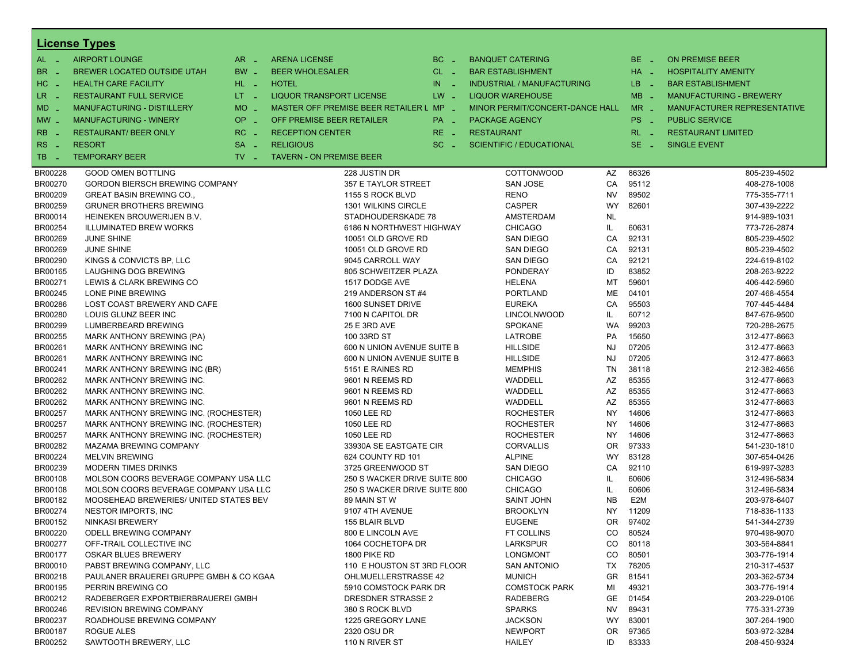|                       | <b>License Types</b>                    |                               |                                         |                     |                                   |           |                  |                                |
|-----------------------|-----------------------------------------|-------------------------------|-----------------------------------------|---------------------|-----------------------------------|-----------|------------------|--------------------------------|
| $AL -$                | <b>AIRPORT LOUNGE</b>                   | $AR -$                        | <b>ARENA LICENSE</b>                    | $BC -$              | <b>BANQUET CATERING</b>           |           | BE _             | <b>ON PREMISE BEER</b>         |
| BR<br>- 4             | <b>BREWER LOCATED OUTSIDE UTAH</b>      | BW _                          | <b>BEER WHOLESALER</b>                  | $CL$ $-$            | <b>BAR ESTABLISHMENT</b>          |           | $HA$ $-$         | <b>HOSPITALITY AMENITY</b>     |
| H <sub>C</sub><br>- 4 | <b>HEALTH CARE FACILITY</b>             | HL L                          | <b>HOTEL</b>                            | IN<br>$\sim$ $\sim$ | <b>INDUSTRIAL / MANUFACTURING</b> |           | LB __            | <b>BAR ESTABLISHMENT</b>       |
| LR<br>$\sim$ $\pm$    | <b>RESTAURANT FULL SERVICE</b>          | $LT - 1$                      | <b>LIQUOR TRANSPORT LICENSE</b>         | $LW -$              | <b>LIQUOR WAREHOUSE</b>           |           | $MB -$           | <b>MANUFACTURING - BREWERY</b> |
| $MD -$                | MANUFACTURING - DISTILLERY              | <b>MO</b><br>$\sim$           | MASTER OFF PREMISE BEER RETAILER L MP _ |                     | MINOR PERMIT/CONCERT-DANCE HALL   |           | $MR -$           | MANUFACTURER REPRESENTATIVE    |
| $MW-$                 | <b>MANUFACTURING - WINERY</b>           | <b>OP</b>                     | OFF PREMISE BEER RETAILER               | PA _                | <b>PACKAGE AGENCY</b>             |           | PS <sub>-</sub>  | <b>PUBLIC SERVICE</b>          |
|                       |                                         | i al                          |                                         |                     |                                   |           |                  |                                |
| <b>RB</b>             | <b>RESTAURANT/ BEER ONLY</b>            | RC<br>$\sim$                  | <b>RECEPTION CENTER</b>                 | RE _                | <b>RESTAURANT</b>                 |           | $RL - 1$         | <b>RESTAURANT LIMITED</b>      |
| RS<br>$\sim$          | <b>RESORT</b>                           | <b>SA</b><br>i a              | <b>RELIGIOUS</b>                        | $SC =$              | <b>SCIENTIFIC / EDUCATIONAL</b>   |           | $SE -$           | <b>SINGLE EVENT</b>            |
| TB<br>- 4             | <b>TEMPORARY BEER</b>                   | $TV$ $\overline{\phantom{0}}$ | <b>TAVERN - ON PREMISE BEER</b>         |                     |                                   |           |                  |                                |
| BR00228               | <b>GOOD OMEN BOTTLING</b>               |                               | 228 JUSTIN DR                           |                     | COTTONWOOD                        | AZ        | 86326            | 805-239-4502                   |
| BR00270               | <b>GORDON BIERSCH BREWING COMPANY</b>   |                               | 357 E TAYLOR STREET                     |                     | <b>SAN JOSE</b>                   | CA        | 95112            | 408-278-1008                   |
| BR00209               | <b>GREAT BASIN BREWING CO.,</b>         |                               | 1155 S ROCK BLVD                        |                     | <b>RENO</b>                       | <b>NV</b> | 89502            | 775-355-7711                   |
| BR00259               | <b>GRUNER BROTHERS BREWING</b>          |                               | 1301 WILKINS CIRCLE                     |                     | <b>CASPER</b>                     | WY        | 82601            | 307-439-2222                   |
| BR00014               | HEINEKEN BROUWERIJEN B.V.               |                               | STADHOUDERSKADE 78                      |                     | AMSTERDAM                         | <b>NL</b> |                  | 914-989-1031                   |
| BR00254               | <b>ILLUMINATED BREW WORKS</b>           |                               | 6186 N NORTHWEST HIGHWAY                |                     | <b>CHICAGO</b>                    | IL        | 60631            | 773-726-2874                   |
| BR00269               | <b>JUNE SHINE</b>                       |                               | 10051 OLD GROVE RD                      |                     | <b>SAN DIEGO</b>                  | CA        | 92131            | 805-239-4502                   |
| BR00269               | <b>JUNE SHINE</b>                       |                               | 10051 OLD GROVE RD                      |                     | <b>SAN DIEGO</b>                  | CA        | 92131            | 805-239-4502                   |
| BR00290               | KINGS & CONVICTS BP, LLC                |                               | 9045 CARROLL WAY                        |                     | <b>SAN DIEGO</b>                  | CA        | 92121            | 224-619-8102                   |
| BR00165               | LAUGHING DOG BREWING                    |                               | 805 SCHWEITZER PLAZA                    |                     | <b>PONDERAY</b>                   | ID        | 83852            | 208-263-9222                   |
| BR00271               | LEWIS & CLARK BREWING CO                |                               | 1517 DODGE AVE                          |                     | <b>HELENA</b>                     | МT        | 59601            | 406-442-5960                   |
| BR00245               | LONE PINE BREWING                       |                               | 219 ANDERSON ST #4                      |                     | <b>PORTLAND</b>                   | ME        | 04101            | 207-468-4554                   |
| BR00286               | LOST COAST BREWERY AND CAFE             |                               | 1600 SUNSET DRIVE                       |                     | <b>EUREKA</b>                     | CA        | 95503            | 707-445-4484                   |
| BR00280               | LOUIS GLUNZ BEER INC                    |                               | 7100 N CAPITOL DR                       |                     | <b>LINCOLNWOOD</b>                | IL        | 60712            | 847-676-9500                   |
| BR00299               | LUMBERBEARD BREWING                     |                               | 25 E 3RD AVE                            |                     | <b>SPOKANE</b>                    | WA        | 99203            | 720-288-2675                   |
| BR00255               | MARK ANTHONY BREWING (PA)               |                               | 100 33RD ST                             |                     | <b>LATROBE</b>                    | <b>PA</b> | 15650            | 312-477-8663                   |
| BR00261               | MARK ANTHONY BREWING INC                |                               | 600 N UNION AVENUE SUITE B              |                     | <b>HILLSIDE</b>                   | <b>NJ</b> | 07205            | 312-477-8663                   |
| BR00261               | MARK ANTHONY BREWING INC                |                               | 600 N UNION AVENUE SUITE B              |                     | <b>HILLSIDE</b>                   | <b>NJ</b> | 07205            | 312-477-8663                   |
| BR00241               | MARK ANTHONY BREWING INC (BR)           |                               | 5151 E RAINES RD                        |                     | <b>MEMPHIS</b>                    | <b>TN</b> | 38118            | 212-382-4656                   |
| BR00262               | MARK ANTHONY BREWING INC.               |                               | 9601 N REEMS RD                         |                     | WADDELL                           | AZ        | 85355            | 312-477-8663                   |
| BR00262               | MARK ANTHONY BREWING INC.               |                               | 9601 N REEMS RD                         |                     | WADDELL                           | AZ        | 85355            | 312-477-8663                   |
| BR00262               | MARK ANTHONY BREWING INC.               |                               | 9601 N REEMS RD                         |                     | WADDELL                           | AZ        | 85355            | 312-477-8663                   |
| BR00257               | MARK ANTHONY BREWING INC. (ROCHESTER)   |                               | 1050 LEE RD                             |                     | <b>ROCHESTER</b>                  | <b>NY</b> | 14606            | 312-477-8663                   |
| BR00257               | MARK ANTHONY BREWING INC. (ROCHESTER)   |                               | 1050 LEE RD                             |                     | <b>ROCHESTER</b>                  | <b>NY</b> | 14606            | 312-477-8663                   |
| BR00257               | MARK ANTHONY BREWING INC. (ROCHESTER)   |                               | 1050 LEE RD                             |                     | <b>ROCHESTER</b>                  | <b>NY</b> | 14606            | 312-477-8663                   |
| BR00282               | MAZAMA BREWING COMPANY                  |                               | 33930A SE EASTGATE CIR                  |                     | <b>CORVALLIS</b>                  | 0R        | 97333            | 541-230-1810                   |
| BR00224               | <b>MELVIN BREWING</b>                   |                               | 624 COUNTY RD 101                       |                     | <b>ALPINE</b>                     | WY        | 83128            | 307-654-0426                   |
| BR00239               | <b>MODERN TIMES DRINKS</b>              |                               | 3725 GREENWOOD ST                       |                     | <b>SAN DIEGO</b>                  | CA        | 92110            | 619-997-3283                   |
| BR00108               | MOLSON COORS BEVERAGE COMPANY USA LLC   |                               | 250 S WACKER DRIVE SUITE 800            |                     | <b>CHICAGO</b>                    | IL        | 60606            | 312-496-5834                   |
| BR00108               | MOLSON COORS BEVERAGE COMPANY USA LLC   |                               | 250 S WACKER DRIVE SUITE 800            |                     | <b>CHICAGO</b>                    | IL        | 60606            | 312-496-5834                   |
| BR00182               | MOOSEHEAD BREWERIES/ UNITED STATES BEV  |                               | 89 MAIN ST W                            |                     | <b>SAINT JOHN</b>                 | <b>NB</b> | E <sub>2</sub> M | 203-978-6407                   |
| BR00274               | NESTOR IMPORTS, INC                     |                               | 9107 4TH AVENUE                         |                     | <b>BROOKLYN</b>                   | <b>NY</b> | 11209            | 718-836-1133                   |
| BR00152               | <b>NINKASI BREWERY</b>                  |                               | 155 BLAIR BLVD                          |                     | <b>EUGENE</b>                     | OR.       | 97402            | 541-344-2739                   |
| BR00220               | ODELL BREWING COMPANY                   |                               | 800 E LINCOLN AVE                       |                     | <b>FT COLLINS</b>                 | CO.       | 80524            | 970-498-9070                   |
| BR00277               | OFF-TRAIL COLLECTIVE INC                |                               | 1064 COCHETOPA DR                       |                     | <b>LARKSPUR</b>                   | CO.       | 80118            | 303-564-8841                   |
| BR00177               | <b>OSKAR BLUES BREWERY</b>              |                               | <b>1800 PIKE RD</b>                     |                     | <b>LONGMONT</b>                   | CO        | 80501            | 303-776-1914                   |
| BR00010               | PABST BREWING COMPANY, LLC              |                               | 110 E HOUSTON ST 3RD FLOOR              |                     | <b>SAN ANTONIO</b>                | TX        | 78205            | 210-317-4537                   |
| BR00218               | PAULANER BRAUEREI GRUPPE GMBH & CO KGAA |                               | <b>OHLMUELLERSTRASSE 42</b>             |                     | <b>MUNICH</b>                     | GR.       | 81541            | 203-362-5734                   |
| BR00195               | PERRIN BREWING CO                       |                               | 5910 COMSTOCK PARK DR                   |                     | <b>COMSTOCK PARK</b>              | MI        | 49321            | 303-776-1914                   |
| BR00212               | RADEBERGER EXPORTBIERBRAUEREI GMBH      |                               | DRESDNER STRASSE 2                      |                     | <b>RADEBERG</b>                   | GE        | 01454            | 203-229-0106                   |
| BR00246               | <b>REVISION BREWING COMPANY</b>         |                               | 380 S ROCK BLVD                         |                     | <b>SPARKS</b>                     | NV.       | 89431            | 775-331-2739                   |
| BR00237               | ROADHOUSE BREWING COMPANY               |                               | 1225 GREGORY LANE                       |                     | <b>JACKSON</b>                    | WY.       | 83001            | 307-264-1900                   |
| BR00187               | ROGUE ALES                              |                               | 2320 OSU DR                             |                     | <b>NEWPORT</b>                    | OR.       | 97365            | 503-972-3284                   |
| BR00252               | SAWTOOTH BREWERY, LLC                   |                               | 110 N RIVER ST                          |                     | <b>HAILEY</b>                     | ID        | 83333            | 208-450-9324                   |
|                       |                                         |                               |                                         |                     |                                   |           |                  |                                |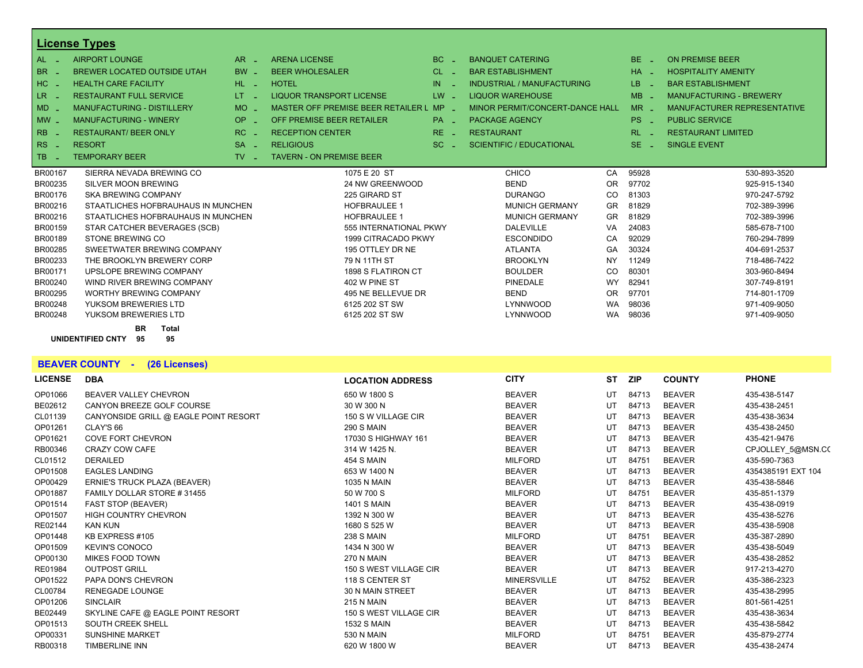|                                  | <b>License Types</b>                                       |                               |                                    |                 |                   |                                 |           |            |                                    |
|----------------------------------|------------------------------------------------------------|-------------------------------|------------------------------------|-----------------|-------------------|---------------------------------|-----------|------------|------------------------------------|
| $AL -$                           | <b>AIRPORT LOUNGE</b>                                      | $AR -$                        | <b>ARENA LICENSE</b>               | BC              |                   | <b>BANQUET CATERING</b>         |           | $BE -$     | <b>ON PREMISE BEER</b>             |
| BR.                              | <b>BREWER LOCATED OUTSIDE UTAH</b>                         | $BW -$                        | <b>BEER WHOLESALER</b>             | CL              |                   | <b>BAR ESTABLISHMENT</b>        |           | $HA -$     | <b>HOSPITALITY AMENITY</b>         |
| $HC -$                           | <b>HEALTH CARE FACILITY</b>                                | HL L                          | <b>HOTEL</b>                       | IN              |                   | INDUSTRIAL / MANUFACTURING      |           | LB.        | <b>BAR ESTABLISHMENT</b>           |
| LR -                             | <b>RESTAURANT FULL SERVICE</b>                             | LT.                           | <b>LIQUOR TRANSPORT LICENSE</b>    | $LW -$          |                   | <b>LIQUOR WAREHOUSE</b>         |           | $MB -$     | <b>MANUFACTURING - BREWERY</b>     |
| $MD -$                           | <b>MANUFACTURING - DISTILLERY</b>                          | <b>MO</b>                     | MASTER OFF PREMISE BEER RETAILER L | $MP -$          |                   | MINOR PERMIT/CONCERT-DANCE HALL |           | $MR -$     | <b>MANUFACTURER REPRESENTATIVE</b> |
| $MW -$                           | <b>MANUFACTURING - WINERY</b>                              | OP<br>in 1911.                | OFF PREMISE BEER RETAILER          | PA <sub>-</sub> |                   | <b>PACKAGE AGENCY</b>           |           | PS.<br>na. | <b>PUBLIC SERVICE</b>              |
| R <sub>B</sub><br>- 4            | <b>RESTAURANT/ BEER ONLY</b>                               | $RC -$                        | <b>RECEPTION CENTER</b>            | $RE -$          | <b>RESTAURANT</b> |                                 |           | $RL - 1$   | <b>RESTAURANT LIMITED</b>          |
| R <sub>S</sub><br><b>College</b> | <b>RESORT</b>                                              | $SA -$                        | <b>RELIGIOUS</b>                   | $SC =$          |                   | <b>SCIENTIFIC / EDUCATIONAL</b> |           | $SE -$     | <b>SINGLE EVENT</b>                |
| TB.<br>- 2                       | <b>TEMPORARY BEER</b>                                      | $TV$ $\overline{\phantom{0}}$ | <b>TAVERN - ON PREMISE BEER</b>    |                 |                   |                                 |           |            |                                    |
| BR00167                          | SIERRA NEVADA BREWING CO                                   |                               | 1075 E 20 ST                       |                 |                   | <b>CHICO</b>                    | CA        | 95928      | 530-893-3520                       |
| BR00235                          | SILVER MOON BREWING                                        |                               | 24 NW GREENWOOD                    |                 |                   | <b>BEND</b>                     | <b>OR</b> | 97702      | 925-915-1340                       |
| BR00176                          | <b>SKA BREWING COMPANY</b>                                 |                               | 225 GIRARD ST                      |                 |                   | <b>DURANGO</b>                  | CO        | 81303      | 970-247-5792                       |
| BR00216                          | STAATLICHES HOFBRAUHAUS IN MUNCHEN                         |                               | <b>HOFBRAULEE 1</b>                |                 |                   | <b>MUNICH GERMANY</b>           | GR        | 81829      | 702-389-3996                       |
| BR00216                          | STAATLICHES HOFBRAUHAUS IN MUNCHEN                         |                               | <b>HOFBRAULEE 1</b>                |                 |                   | <b>MUNICH GERMANY</b>           | <b>GR</b> | 81829      | 702-389-3996                       |
| BR00159                          | STAR CATCHER BEVERAGES (SCB)                               |                               | 555 INTERNATIONAL PKWY             |                 |                   | <b>DALEVILLE</b>                | VA        | 24083      | 585-678-7100                       |
| BR00189                          | <b>STONE BREWING CO</b>                                    |                               | 1999 CITRACADO PKWY                |                 |                   | <b>ESCONDIDO</b>                | CA        | 92029      | 760-294-7899                       |
| BR00285                          | SWEETWATER BREWING COMPANY                                 |                               | 195 OTTLEY DR NE                   |                 |                   | <b>ATLANTA</b>                  | GA        | 30324      | 404-691-2537                       |
| BR00233                          | THE BROOKLYN BREWERY CORP                                  |                               | 79 N 11TH ST                       |                 |                   | <b>BROOKLYN</b>                 | <b>NY</b> | 11249      | 718-486-7422                       |
| BR00171                          | UPSLOPE BREWING COMPANY                                    |                               | 1898 S FLATIRON CT                 |                 |                   | <b>BOULDER</b>                  | CO        | 80301      | 303-960-8494                       |
| BR00240                          | WIND RIVER BREWING COMPANY                                 |                               | 402 W PINE ST                      |                 |                   | PINEDALE                        | <b>WY</b> | 82941      | 307-749-8191                       |
| BR00295                          | <b>WORTHY BREWING COMPANY</b>                              |                               | 495 NE BELLEVUE DR                 |                 |                   | <b>BEND</b>                     | <b>OR</b> | 97701      | 714-801-1709                       |
| BR00248                          | YUKSOM BREWERIES LTD                                       |                               | 6125 202 ST SW                     |                 |                   | LYNNWOOD                        | <b>WA</b> | 98036      | 971-409-9050                       |
| BR00248                          | YUKSOM BREWERIES LTD                                       |                               | 6125 202 ST SW                     |                 |                   | LYNNWOOD                        | <b>WA</b> | 98036      | 971-409-9050                       |
|                                  | <b>BR</b><br><b>Total</b><br>UNIDENTIFIED CNTY<br>95<br>95 |                               |                                    |                 |                   |                                 |           |            |                                    |

**BEAVER COUNTY - (26 Licenses)**

| <b>LICENSE</b> | <b>DBA</b>                            | <b>LOCATION ADDRESS</b> | <b>CITY</b>        | <b>ST</b> | ZIP   | <b>COUNTY</b> | <b>PHONE</b>       |
|----------------|---------------------------------------|-------------------------|--------------------|-----------|-------|---------------|--------------------|
| OP01066        | <b>BEAVER VALLEY CHEVRON</b>          | 650 W 1800 S            | <b>BEAVER</b>      | UT        | 84713 | <b>BEAVER</b> | 435-438-5147       |
| BE02612        | CANYON BREEZE GOLF COURSE             | 30 W 300 N              | <b>BEAVER</b>      | UT        | 84713 | <b>BEAVER</b> | 435-438-2451       |
| CL01139        | CANYONSIDE GRILL @ EAGLE POINT RESORT | 150 S W VILLAGE CIR     | <b>BEAVER</b>      | UT        | 84713 | <b>BEAVER</b> | 435-438-3634       |
| OP01261        | CLAY'S 66                             | <b>290 S MAIN</b>       | <b>BEAVER</b>      | UT        | 84713 | <b>BEAVER</b> | 435-438-2450       |
| OP01621        | <b>COVE FORT CHEVRON</b>              | 17030 S HIGHWAY 161     | <b>BEAVER</b>      | UT        | 84713 | <b>BEAVER</b> | 435-421-9476       |
| RB00346        | <b>CRAZY COW CAFE</b>                 | 314 W 1425 N.           | <b>BEAVER</b>      | UT        | 84713 | <b>BEAVER</b> | CPJOLLEY 5@MSN.CO  |
| CL01512        | <b>DERAILED</b>                       | <b>454 S MAIN</b>       | <b>MILFORD</b>     | UT        | 84751 | <b>BEAVER</b> | 435-590-7363       |
| OP01508        | <b>EAGLES LANDING</b>                 | 653 W 1400 N            | <b>BEAVER</b>      | UT        | 84713 | <b>BEAVER</b> | 4354385191 EXT 104 |
| OP00429        | ERNIE'S TRUCK PLAZA (BEAVER)          | 1035 N MAIN             | <b>BEAVER</b>      | UT        | 84713 | <b>BEAVER</b> | 435-438-5846       |
| OP01887        | FAMILY DOLLAR STORE #31455            | 50 W 700 S              | <b>MILFORD</b>     | UT        | 84751 | <b>BEAVER</b> | 435-851-1379       |
| OP01514        | FAST STOP (BEAVER)                    | <b>1401 S MAIN</b>      | <b>BEAVER</b>      | UT        | 84713 | <b>BEAVER</b> | 435-438-0919       |
| OP01507        | <b>HIGH COUNTRY CHEVRON</b>           | 1392 N 300 W            | <b>BEAVER</b>      | UT        | 84713 | <b>BEAVER</b> | 435-438-5276       |
| RE02144        | <b>KAN KUN</b>                        | 1680 S 525 W            | <b>BEAVER</b>      | UT        | 84713 | <b>BEAVER</b> | 435-438-5908       |
| OP01448        | KB EXPRESS #105                       | <b>238 S MAIN</b>       | <b>MILFORD</b>     | UT        | 84751 | <b>BEAVER</b> | 435-387-2890       |
| OP01509        | <b>KEVIN'S CONOCO</b>                 | 1434 N 300 W            | <b>BEAVER</b>      | UT        | 84713 | <b>BEAVER</b> | 435-438-5049       |
| OP00130        | <b>MIKES FOOD TOWN</b>                | <b>270 N MAIN</b>       | <b>BEAVER</b>      | UT        | 84713 | <b>BEAVER</b> | 435-438-2852       |
| RE01984        | <b>OUTPOST GRILL</b>                  | 150 S WEST VILLAGE CIR  | <b>BEAVER</b>      | UT        | 84713 | <b>BEAVER</b> | 917-213-4270       |
| OP01522        | PAPA DON'S CHEVRON                    | 118 S CENTER ST         | <b>MINERSVILLE</b> | UT        | 84752 | <b>BEAVER</b> | 435-386-2323       |
| CL00784        | <b>RENEGADE LOUNGE</b>                | 30 N MAIN STREET        | <b>BEAVER</b>      | UT        | 84713 | <b>BEAVER</b> | 435-438-2995       |
| OP01206        | <b>SINCLAIR</b>                       | <b>215 N MAIN</b>       | <b>BEAVER</b>      | UT        | 84713 | <b>BEAVER</b> | 801-561-4251       |
| BE02449        | SKYLINE CAFE @ EAGLE POINT RESORT     | 150 S WEST VILLAGE CIR  | <b>BEAVER</b>      | UT        | 84713 | <b>BEAVER</b> | 435-438-3634       |
| OP01513        | SOUTH CREEK SHELL                     | <b>1532 S MAIN</b>      | <b>BEAVER</b>      | UT        | 84713 | <b>BEAVER</b> | 435-438-5842       |
| OP00331        | <b>SUNSHINE MARKET</b>                | 530 N MAIN              | <b>MILFORD</b>     | UT        | 84751 | <b>BEAVER</b> | 435-879-2774       |
| RB00318        | <b>TIMBERLINE INN</b>                 | 620 W 1800 W            | <b>BEAVER</b>      | UT        | 84713 | <b>BEAVER</b> | 435-438-2474       |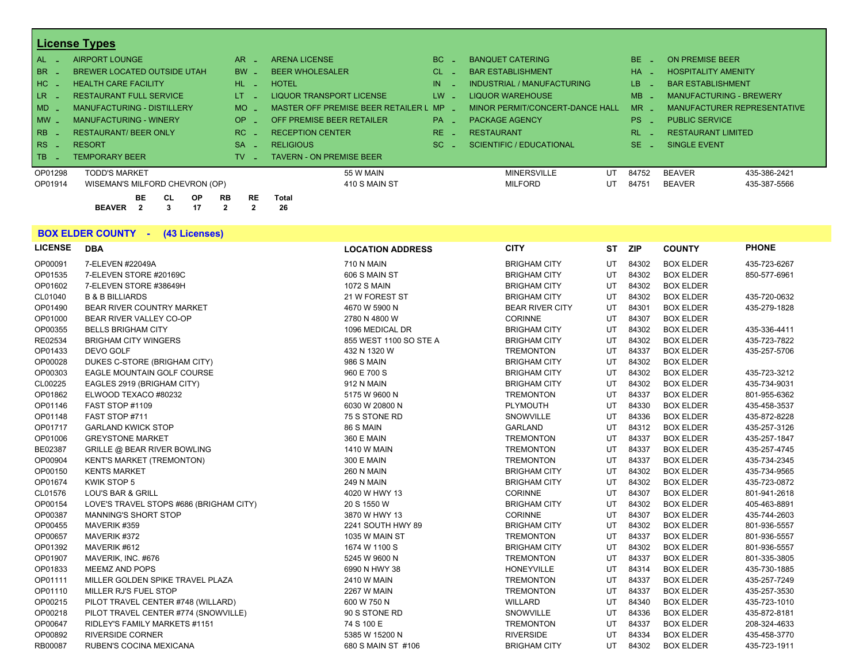|         | <b>License Types</b>               |           |                                         |        |                                   |          |                                |  |
|---------|------------------------------------|-----------|-----------------------------------------|--------|-----------------------------------|----------|--------------------------------|--|
| AL .    | AIRPORT LOUNGE                     | AR.       | <b>ARENA LICENSE</b>                    | BC.    | <b>BANQUET CATERING</b>           | $BE -$   | <b>ON PREMISE BEER</b>         |  |
| $BE -$  | <b>BREWER LOCATED OUTSIDE UTAH</b> | <b>BW</b> | <b>BEER WHOLESALER</b>                  | CL.    | <b>BAR ESTABLISHMENT</b>          | $HA =$   | <b>HOSPITALITY AMENITY</b>     |  |
| HC _    | <b>HEALTH CARE FACILITY</b>        | HL-       | <b>HOTEL</b>                            | IN     | <b>INDUSTRIAL / MANUFACTURING</b> | LB.      | <b>BAR ESTABLISHMENT</b>       |  |
| LR      | <b>RESTAURANT FULL SERVICE</b>     | LT.       | <b>LIQUOR TRANSPORT LICENSE</b>         | $LW -$ | <b>LIQUOR WAREHOUSE</b>           | $MB -$   | <b>MANUFACTURING - BREWERY</b> |  |
| $MD -$  | <b>MANUFACTURING - DISTILLERY</b>  | MO.       | MASTER OFF PREMISE BEER RETAILER L MP _ |        | MINOR PERMIT/CONCERT-DANCE HALL   | $MR -$   | MANUFACTURER REPRESENTATIVE    |  |
| $MW -$  | <b>MANUFACTURING - WINERY</b>      | OP.       | OFF PREMISE BEER RETAILER               | $PA -$ | <b>PACKAGE AGENCY</b>             | $PS$ $-$ | <b>PUBLIC SERVICE</b>          |  |
| RB      | <b>RESTAURANT/ BEER ONLY</b>       | RC.       | <b>RECEPTION CENTER</b>                 | $RE -$ | <b>RESTAURANT</b>                 | RL -     | <b>RESTAURANT LIMITED</b>      |  |
| $RS -$  | <b>RESORT</b>                      | <b>SA</b> | <b>RELIGIOUS</b>                        | SC.    | <b>SCIENTIFIC / EDUCATIONAL</b>   | $SE =$   | <b>SINGLE EVENT</b>            |  |
| l TB i  | <b>TEMPORARY BEER</b>              | TV.       | <b>TAVERN - ON PREMISE BEER</b>         |        |                                   |          |                                |  |
| OP01298 | <b>TODD'S MARKET</b>               |           | 55 W MAIN                               |        | <b>MINERSVILLE</b><br>UT          | 84752    | <b>BEAVER</b><br>435-386-2421  |  |
| OP01914 | WISEMAN'S MILFORD CHEVRON (OP)     |           | 410 S MAIN ST                           |        | <b>MILFORD</b><br>UT              | 84751    | <b>BEAVER</b><br>435-387-5566  |  |
|         | BE<br><b>RB</b><br><b>OP</b><br>CL | <b>RE</b> | <b>Total</b>                            |        |                                   |          |                                |  |

**BEAVER 2 3 17 2 2 26**

|                | <b>BOX ELDER COUNTY - (43 Licenses)</b> |                         |                        |           |            |                  |              |
|----------------|-----------------------------------------|-------------------------|------------------------|-----------|------------|------------------|--------------|
| <b>LICENSE</b> | <b>DBA</b>                              | <b>LOCATION ADDRESS</b> | <b>CITY</b>            | <b>ST</b> | <b>ZIP</b> | <b>COUNTY</b>    | <b>PHONE</b> |
| OP00091        | 7-ELEVEN #22049A                        | <b>710 N MAIN</b>       | <b>BRIGHAM CITY</b>    | UT        | 84302      | <b>BOX ELDER</b> | 435-723-6267 |
| OP01535        | 7-ELEVEN STORE #20169C                  | 606 S MAIN ST           | <b>BRIGHAM CITY</b>    | UT        | 84302      | <b>BOX ELDER</b> | 850-577-6961 |
| OP01602        | 7-ELEVEN STORE #38649H                  | <b>1072 S MAIN</b>      | <b>BRIGHAM CITY</b>    | UT        | 84302      | <b>BOX ELDER</b> |              |
| CL01040        | <b>B &amp; B BILLIARDS</b>              | 21 W FOREST ST          | <b>BRIGHAM CITY</b>    | UT        | 84302      | <b>BOX ELDER</b> | 435-720-0632 |
| OP01490        | <b>BEAR RIVER COUNTRY MARKET</b>        | 4670 W 5900 N           | <b>BEAR RIVER CITY</b> | UT        | 84301      | <b>BOX ELDER</b> | 435-279-1828 |
| OP01000        | BEAR RIVER VALLEY CO-OP                 | 2780 N 4800 W           | <b>CORINNE</b>         | UT        | 84307      | <b>BOX ELDER</b> |              |
| OP00355        | <b>BELLS BRIGHAM CITY</b>               | 1096 MEDICAL DR         | <b>BRIGHAM CITY</b>    | UT        | 84302      | <b>BOX ELDER</b> | 435-336-4411 |
| RE02534        | <b>BRIGHAM CITY WINGERS</b>             | 855 WEST 1100 SO STE A  | <b>BRIGHAM CITY</b>    | UT        | 84302      | <b>BOX ELDER</b> | 435-723-7822 |
| OP01433        | DEVO GOLF                               | 432 N 1320 W            | <b>TREMONTON</b>       | UT        | 84337      | <b>BOX ELDER</b> | 435-257-5706 |
| OP00028        | DUKES C-STORE (BRIGHAM CITY)            | 986 S MAIN              | <b>BRIGHAM CITY</b>    | UT        | 84302      | <b>BOX ELDER</b> |              |
| OP00303        | EAGLE MOUNTAIN GOLF COURSE              | 960 E 700 S             | <b>BRIGHAM CITY</b>    | UT        | 84302      | <b>BOX ELDER</b> | 435-723-3212 |
| CL00225        | EAGLES 2919 (BRIGHAM CITY)              | 912 N MAIN              | <b>BRIGHAM CITY</b>    | UT        | 84302      | <b>BOX ELDER</b> | 435-734-9031 |
| OP01862        | ELWOOD TEXACO #80232                    | 5175 W 9600 N           | <b>TREMONTON</b>       | UT        | 84337      | <b>BOX ELDER</b> | 801-955-6362 |
| OP01146        | FAST STOP #1109                         | 6030 W 20800 N          | <b>PLYMOUTH</b>        | UT        | 84330      | <b>BOX ELDER</b> | 435-458-3537 |
| OP01148        | FAST STOP #711                          | 75 S STONE RD           | SNOWVILLE              | UT        | 84336      | <b>BOX ELDER</b> | 435-872-8228 |
| OP01717        | <b>GARLAND KWICK STOP</b>               | 86 S MAIN               | <b>GARLAND</b>         | UT        | 84312      | <b>BOX ELDER</b> | 435-257-3126 |
| OP01006        | <b>GREYSTONE MARKET</b>                 | 360 E MAIN              | <b>TREMONTON</b>       | UT        | 84337      | <b>BOX ELDER</b> | 435-257-1847 |
| BE02387        | <b>GRILLE @ BEAR RIVER BOWLING</b>      | <b>1410 W MAIN</b>      | <b>TREMONTON</b>       | UT        | 84337      | <b>BOX ELDER</b> | 435-257-4745 |
| OP00904        | <b>KENT'S MARKET (TREMONTON)</b>        | 300 E MAIN              | <b>TREMONTON</b>       | UT        | 84337      | <b>BOX ELDER</b> | 435-734-2345 |
| OP00150        | <b>KENTS MARKET</b>                     | <b>260 N MAIN</b>       | <b>BRIGHAM CITY</b>    | UT        | 84302      | <b>BOX ELDER</b> | 435-734-9565 |
| OP01674        | <b>KWIK STOP 5</b>                      | <b>249 N MAIN</b>       | <b>BRIGHAM CITY</b>    | UT        | 84302      | <b>BOX ELDER</b> | 435-723-0872 |
| CL01576        | <b>LOU'S BAR &amp; GRILL</b>            | 4020 W HWY 13           | <b>CORINNE</b>         | UT        | 84307      | <b>BOX ELDER</b> | 801-941-2618 |
| OP00154        | LOVE'S TRAVEL STOPS #686 (BRIGHAM CITY) | 20 S 1550 W             | <b>BRIGHAM CITY</b>    | UT        | 84302      | <b>BOX ELDER</b> | 405-463-8891 |
| OP00387        | MANNING'S SHORT STOP                    | 3870 W HWY 13           | <b>CORINNE</b>         | UT        | 84307      | <b>BOX ELDER</b> | 435-744-2603 |
| OP00455        | MAVERIK #359                            | 2241 SOUTH HWY 89       | <b>BRIGHAM CITY</b>    | UT        | 84302      | <b>BOX ELDER</b> | 801-936-5557 |
| OP00657        | MAVERIK #372                            | 1035 W MAIN ST          | <b>TREMONTON</b>       | UT        | 84337      | <b>BOX ELDER</b> | 801-936-5557 |
| OP01392        | MAVERIK #612                            | 1674 W 1100 S           | <b>BRIGHAM CITY</b>    | UT        | 84302      | <b>BOX ELDER</b> | 801-936-5557 |
| OP01907        | MAVERIK, INC. #676                      | 5245 W 9600 N           | <b>TREMONTON</b>       | UT        | 84337      | <b>BOX ELDER</b> | 801-335-3805 |
| OP01833        | MEEMZ AND POPS                          | 6990 N HWY 38           | <b>HONEYVILLE</b>      | UT        | 84314      | <b>BOX ELDER</b> | 435-730-1885 |
| OP01111        | MILLER GOLDEN SPIKE TRAVEL PLAZA        | 2410 W MAIN             | <b>TREMONTON</b>       | UT        | 84337      | <b>BOX ELDER</b> | 435-257-7249 |
| OP01110        | MILLER RJ'S FUEL STOP                   | <b>2267 W MAIN</b>      | <b>TREMONTON</b>       | UT        | 84337      | <b>BOX ELDER</b> | 435-257-3530 |
| OP00215        | PILOT TRAVEL CENTER #748 (WILLARD)      | 600 W 750 N             | <b>WILLARD</b>         | UT        | 84340      | <b>BOX ELDER</b> | 435-723-1010 |
| OP00218        | PILOT TRAVEL CENTER #774 (SNOWVILLE)    | 90 S STONE RD           | SNOWVILLE              | UT        | 84336      | <b>BOX ELDER</b> | 435-872-8181 |
| OP00647        | RIDLEY'S FAMILY MARKETS #1151           | 74 S 100 E              | <b>TREMONTON</b>       | UT        | 84337      | <b>BOX ELDER</b> | 208-324-4633 |
| OP00892        | <b>RIVERSIDE CORNER</b>                 | 5385 W 15200 N          | <b>RIVERSIDE</b>       | UT        | 84334      | <b>BOX ELDER</b> | 435-458-3770 |

RB00087 RUBEN'S COCINA MEXICANA **680 S MAIN ST #106** BRIGHAM CITY UT 84302 BOX ELDER 435-723-1911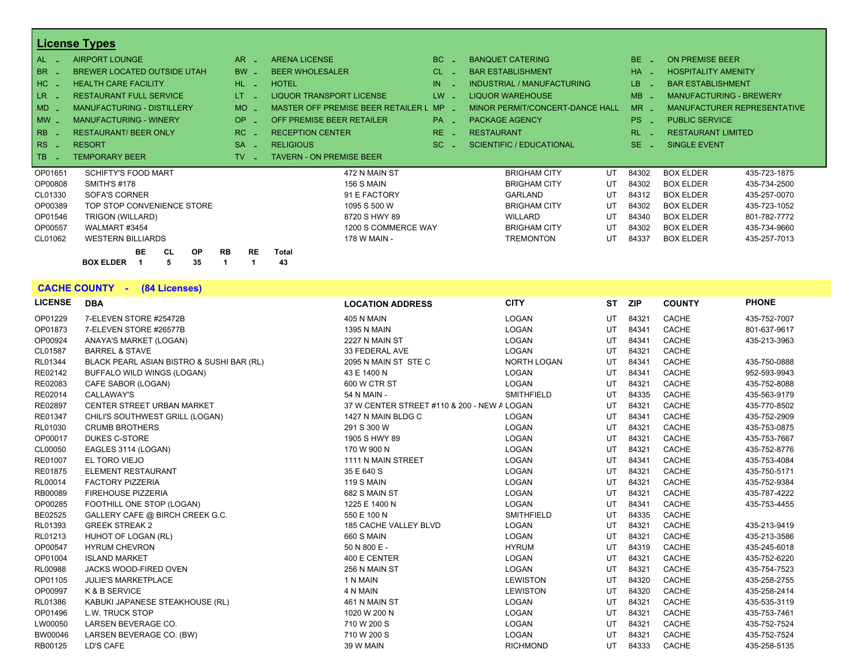|                                  | <b>License Types</b>               |                        |                                           |           |                                   |                       |                                    |              |
|----------------------------------|------------------------------------|------------------------|-------------------------------------------|-----------|-----------------------------------|-----------------------|------------------------------------|--------------|
| AL.                              | <b>AIRPORT LOUNGE</b>              | AR.                    | <b>ARENA LICENSE</b>                      | BC.       | <b>BANQUET CATERING</b>           | $BE -$                | <b>ON PREMISE BEER</b>             |              |
| <b>BR</b>                        | <b>BREWER LOCATED OUTSIDE UTAH</b> | <b>BW</b>              | <b>BEER WHOLESALER</b>                    | <b>CL</b> | <b>BAR ESTABLISHMENT</b>          | $HA -$                | <b>HOSPITALITY AMENITY</b>         |              |
| HC.                              | <b>HEALTH CARE FACILITY</b>        | HL.                    | <b>HOTEL</b>                              | IN        | <b>INDUSTRIAL / MANUFACTURING</b> | LB.                   | <b>BAR ESTABLISHMENT</b>           |              |
| LR.                              | <b>RESTAURANT FULL SERVICE</b>     | LT.                    | <b>LIQUOR TRANSPORT LICENSE</b>           | LW.       | <b>LIQUOR WAREHOUSE</b>           | <b>MB</b>             | <b>MANUFACTURING - BREWERY</b>     |              |
| $MD -$                           | <b>MANUFACTURING - DISTILLERY</b>  | <b>MO</b>              | <b>MASTER OFF PREMISE BEER RETAILER L</b> | <b>MP</b> | MINOR PERMIT/CONCERT-DANCE HALL   | $MR -$                | <b>MANUFACTURER REPRESENTATIVE</b> |              |
| $MW -$                           | <b>MANUFACTURING - WINERY</b>      | OP.                    | OFF PREMISE BEER RETAILER                 | <b>PA</b> | <b>PACKAGE AGENCY</b>             | PS.                   | <b>PUBLIC SERVICE</b>              |              |
| <b>RB</b>                        | <b>RESTAURANT/ BEER ONLY</b>       | RC.                    | <b>RECEPTION CENTER</b>                   | RE.       | <b>RESTAURANT</b>                 | RL.                   | <b>RESTAURANT LIMITED</b>          |              |
| R <sub>S</sub><br><b>College</b> | <b>RESORT</b>                      | <b>SA</b>              | <b>RELIGIOUS</b>                          | $SC =$    | <b>SCIENTIFIC / EDUCATIONAL</b>   | SE.<br><b>College</b> | <b>SINGLE EVENT</b>                |              |
| TB.                              | <b>TEMPORARY BEER</b>              | TV.                    | <b>TAVERN - ON PREMISE BEER</b>           |           |                                   |                       |                                    |              |
| OP01651                          | <b>SCHIFTY'S FOOD MART</b>         |                        | 472 N MAIN ST                             |           | UT<br><b>BRIGHAM CITY</b>         | 84302                 | <b>BOX ELDER</b>                   | 435-723-1875 |
| OP00808                          | <b>SMITH'S #178</b>                |                        | <b>156 S MAIN</b>                         |           | UT<br><b>BRIGHAM CITY</b>         | 84302                 | <b>BOX ELDER</b>                   | 435-734-2500 |
| CL01330                          | <b>SOFA'S CORNER</b>               |                        | 91 E FACTORY                              |           | UT<br><b>GARLAND</b>              | 84312                 | <b>BOX ELDER</b>                   | 435-257-0070 |
| OP00389                          | TOP STOP CONVENIENCE STORE         |                        | 1095 S 500 W                              |           | UT<br><b>BRIGHAM CITY</b>         | 84302                 | <b>BOX ELDER</b>                   | 435-723-1052 |
| OP01546                          | TRIGON (WILLARD)                   |                        | 8720 S HWY 89                             |           | <b>WILLARD</b><br>UT              | 84340                 | <b>BOX ELDER</b>                   | 801-782-7772 |
| OP00557                          | WALMART #3454                      |                        | 1200 S COMMERCE WAY                       |           | <b>BRIGHAM CITY</b><br>UT         | 84302                 | <b>BOX ELDER</b>                   | 435-734-9660 |
| CL01062                          | <b>WESTERN BILLIARDS</b>           |                        | 178 W MAIN -                              |           | <b>TREMONTON</b><br>UT            | 84337                 | <b>BOX ELDER</b>                   | 435-257-7013 |
|                                  | <b>BE</b><br><b>OP</b><br>CL       | <b>RB</b><br><b>RE</b> | <b>Total</b>                              |           |                                   |                       |                                    |              |
|                                  | 35<br><b>BOX ELDER</b><br>5        |                        | 43                                        |           |                                   |                       |                                    |              |

**CACHE COUNTY - (84 Licenses)**

| <b>LICENSE</b> | <b>DBA</b>                                | <b>LOCATION ADDRESS</b>                     | <b>CITY</b>        | <b>ST</b> | <b>ZIP</b> | <b>COUNTY</b> | <b>PHONE</b> |
|----------------|-------------------------------------------|---------------------------------------------|--------------------|-----------|------------|---------------|--------------|
| OP01229        | 7-ELEVEN STORE #25472B                    | <b>405 N MAIN</b>                           | LOGAN              | UT        | 84321      | CACHE         | 435-752-7007 |
| OP01873        | 7-ELEVEN STORE #26577B                    | <b>1395 N MAIN</b>                          | LOGAN              | UT        | 84341      | CACHE         | 801-637-9617 |
| OP00924        | ANAYA'S MARKET (LOGAN)                    | 2227 N MAIN ST                              | LOGAN              | UT        | 84341      | CACHE         | 435-213-3963 |
| CL01587        | <b>BARREL &amp; STAVE</b>                 | 33 FEDERAL AVE                              | LOGAN              | UT        | 84321      | CACHE         |              |
| RL01344        | BLACK PEARL ASIAN BISTRO & SUSHI BAR (RL) | 2095 N MAIN ST STE C                        | <b>NORTH LOGAN</b> | UT        | 84341      | CACHE         | 435-750-0888 |
| RE02142        | BUFFALO WILD WINGS (LOGAN)                | 43 E 1400 N                                 | <b>LOGAN</b>       | UT        | 84341      | CACHE         | 952-593-9943 |
| RE02083        | CAFE SABOR (LOGAN)                        | 600 W CTR ST                                | LOGAN              | UT        | 84321      | CACHE         | 435-752-8088 |
| RE02014        | <b>CALLAWAY'S</b>                         | 54 N MAIN -                                 | <b>SMITHFIELD</b>  | UT        | 84335      | CACHE         | 435-563-9179 |
| RE02897        | CENTER STREET URBAN MARKET                | 37 W CENTER STREET #110 & 200 - NEW A LOGAN |                    | UT        | 84321      | CACHE         | 435-770-8502 |
| RE01347        | CHILI'S SOUTHWEST GRILL (LOGAN)           | 1427 N MAIN BLDG C                          | <b>LOGAN</b>       | UT        | 84341      | CACHE         | 435-752-2909 |
| RL01030        | <b>CRUMB BROTHERS</b>                     | 291 S 300 W                                 | LOGAN              | UT        | 84321      | CACHE         | 435-753-0875 |
| OP00017        | <b>DUKES C-STORE</b>                      | 1905 S HWY 89                               | LOGAN              | UT        | 84321      | CACHE         | 435-753-7667 |
| CL00050        | EAGLES 3114 (LOGAN)                       | 170 W 900 N                                 | LOGAN              | UT        | 84321      | CACHE         | 435-752-8776 |
| RE01007        | EL TORO VIEJO                             | 1111 N MAIN STREET                          | LOGAN              | UT        | 84341      | CACHE         | 435-753-4084 |
| RE01875        | <b>ELEMENT RESTAURANT</b>                 | 35 E 640 S                                  | LOGAN              | UT        | 84321      | CACHE         | 435-750-5171 |
| RL00014        | <b>FACTORY PIZZERIA</b>                   | <b>119 S MAIN</b>                           | LOGAN              | UT        | 84321      | CACHE         | 435-752-9384 |
| RB00089        | <b>FIREHOUSE PIZZERIA</b>                 | 682 S MAIN ST                               | LOGAN              | UT        | 84321      | CACHE         | 435-787-4222 |
| OP00285        | FOOTHILL ONE STOP (LOGAN)                 | 1225 E 1400 N                               | <b>LOGAN</b>       | UT        | 84341      | CACHE         | 435-753-4455 |
| BE02525        | GALLERY CAFE @ BIRCH CREEK G.C.           | 550 E 100 N                                 | <b>SMITHFIELD</b>  | UT        | 84335      | CACHE         |              |
| RL01393        | <b>GREEK STREAK 2</b>                     | <b>185 CACHE VALLEY BLVD</b>                | LOGAN              | UT        | 84321      | CACHE         | 435-213-9419 |
| RL01213        | HUHOT OF LOGAN (RL)                       | <b>660 S MAIN</b>                           | LOGAN              | UT        | 84321      | CACHE         | 435-213-3586 |
| OP00547        | <b>HYRUM CHEVRON</b>                      | 50 N 800 E -                                | <b>HYRUM</b>       | UT        | 84319      | CACHE         | 435-245-6018 |
| OP01004        | <b>ISLAND MARKET</b>                      | 400 E CENTER                                | LOGAN              | UT        | 84321      | CACHE         | 435-752-6220 |
| <b>RL00988</b> | JACKS WOOD-FIRED OVEN                     | 256 N MAIN ST                               | LOGAN              | UT        | 84321      | CACHE         | 435-754-7523 |
| OP01105        | <b>JULIE'S MARKETPLACE</b>                | 1 N MAIN                                    | <b>LEWISTON</b>    | UT        | 84320      | CACHE         | 435-258-2755 |
| OP00997        | K & B SERVICE                             | 4 N MAIN                                    | <b>LEWISTON</b>    | UT        | 84320      | CACHE         | 435-258-2414 |
| RL01386        | KABUKI JAPANESE STEAKHOUSE (RL)           | 461 N MAIN ST                               | LOGAN              | UT        | 84321      | CACHE         | 435-535-3119 |
| OP01496        | L.W. TRUCK STOP                           | 1020 W 200 N                                | LOGAN              | UT        | 84321      | CACHE         | 435-753-7461 |
| LW00050        | LARSEN BEVERAGE CO.                       | 710 W 200 S                                 | LOGAN              | UT        | 84321      | CACHE         | 435-752-7524 |
| BW00046        | LARSEN BEVERAGE CO. (BW)                  | 710 W 200 S                                 | LOGAN              | UT        | 84321      | CACHE         | 435-752-7524 |
| RB00125        | LD'S CAFE                                 | 39 W MAIN                                   | <b>RICHMOND</b>    | UT        | 84333      | CACHE         | 435-258-5135 |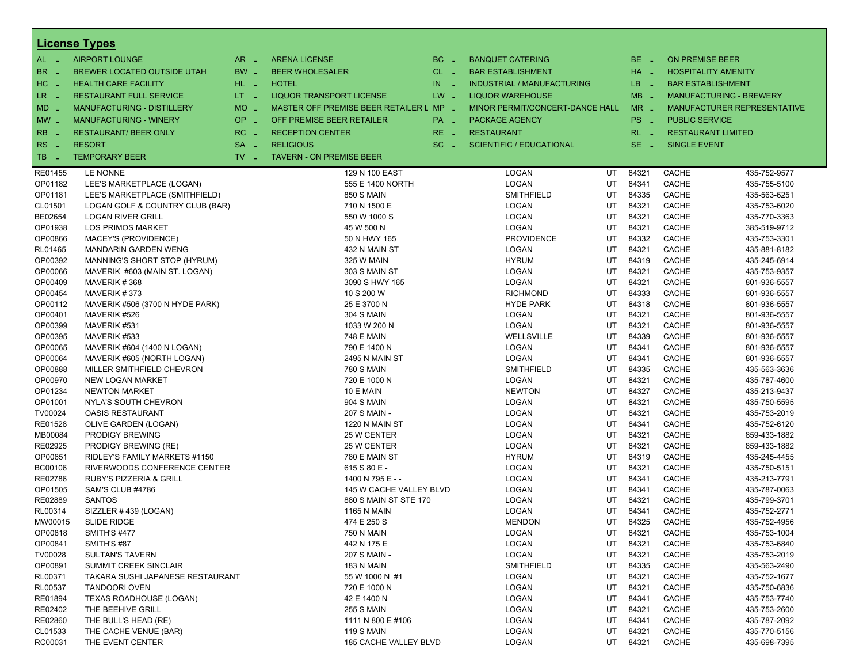|                          | <b>License Types</b>               |                               |                                         |                      |                                   |    |             |                          |                                |
|--------------------------|------------------------------------|-------------------------------|-----------------------------------------|----------------------|-----------------------------------|----|-------------|--------------------------|--------------------------------|
| $AL -$                   | <b>AIRPORT LOUNGE</b>              | $AR -$                        | <b>ARENA LICENSE</b>                    | BC<br>$\sim$         | <b>BANQUET CATERING</b>           |    | $BE -$      | <b>ON PREMISE BEER</b>   |                                |
| BR<br>- 4                | BREWER LOCATED OUTSIDE UTAH        | BW _                          | <b>BEER WHOLESALER</b>                  | $CL$ $-$             | <b>BAR ESTABLISHMENT</b>          |    | $HA$ $-$    |                          | <b>HOSPITALITY AMENITY</b>     |
| H <sub>C</sub><br>- 4    | <b>HEALTH CARE FACILITY</b>        | HL L                          | <b>HOTEL</b>                            | IN<br><b>College</b> | <b>INDUSTRIAL / MANUFACTURING</b> |    | LB.<br>- 20 | <b>BAR ESTABLISHMENT</b> |                                |
| LR.                      | <b>RESTAURANT FULL SERVICE</b>     | LT <sub>1</sub>               | <b>LIQUOR TRANSPORT LICENSE</b>         | $LW -$               | <b>LIQUOR WAREHOUSE</b>           |    | $MB -$      |                          | <b>MANUFACTURING - BREWERY</b> |
| - 4                      |                                    | <b>MO</b>                     |                                         |                      |                                   |    | $MR -$      |                          |                                |
| $MD -$                   | <b>MANUFACTURING - DISTILLERY</b>  | $\sim$                        | MASTER OFF PREMISE BEER RETAILER L MP _ |                      | MINOR PERMIT/CONCERT-DANCE HALL   |    |             |                          | MANUFACTURER REPRESENTATIVE    |
| $MW-$                    | <b>MANUFACTURING - WINERY</b>      | <b>OP</b><br>п.               | OFF PREMISE BEER RETAILER               | PA _                 | PACKAGE AGENCY                    |    | PS _        | <b>PUBLIC SERVICE</b>    |                                |
| <b>RB</b>                | <b>RESTAURANT/ BEER ONLY</b>       | RC.                           | <b>RECEPTION CENTER</b>                 | RE.                  | <b>RESTAURANT</b>                 |    | $RL - 1$    |                          | <b>RESTAURANT LIMITED</b>      |
| R <sub>S</sub><br>$\sim$ | <b>RESORT</b>                      | <b>SA</b><br>$\sim$           | <b>RELIGIOUS</b>                        | $SC =$               | <b>SCIENTIFIC / EDUCATIONAL</b>   |    | SE.<br>- 4  | <b>SINGLE EVENT</b>      |                                |
| TB<br>n a                | <b>TEMPORARY BEER</b>              | $TV$ $\overline{\phantom{0}}$ | <b>TAVERN - ON PREMISE BEER</b>         |                      |                                   |    |             |                          |                                |
| RE01455                  | LE NONNE                           |                               | 129 N 100 EAST                          |                      | LOGAN                             | UT | 84321       | CACHE                    | 435-752-9577                   |
| OP01182                  | LEE'S MARKETPLACE (LOGAN)          |                               | 555 E 1400 NORTH                        |                      | LOGAN                             | UT | 84341       | CACHE                    | 435-755-5100                   |
| OP01181                  | LEE'S MARKETPLACE (SMITHFIELD)     |                               | <b>850 S MAIN</b>                       |                      | <b>SMITHFIELD</b>                 | UT | 84335       | CACHE                    | 435-563-6251                   |
| CL01501                  | LOGAN GOLF & COUNTRY CLUB (BAR)    |                               | 710 N 1500 E                            |                      | LOGAN                             | UT | 84321       | CACHE                    | 435-753-6020                   |
| BE02654                  | <b>LOGAN RIVER GRILL</b>           |                               | 550 W 1000 S                            |                      | <b>LOGAN</b>                      | UT | 84321       | CACHE                    | 435-770-3363                   |
| OP01938                  | <b>LOS PRIMOS MARKET</b>           |                               | 45 W 500 N                              |                      | LOGAN                             | UT | 84321       | CACHE                    | 385-519-9712                   |
| OP00866                  | MACEY'S (PROVIDENCE)               |                               | 50 N HWY 165                            |                      | <b>PROVIDENCE</b>                 | UT | 84332       | CACHE                    | 435-753-3301                   |
| RL01465                  | <b>MANDARIN GARDEN WENG</b>        |                               | 432 N MAIN ST                           |                      | LOGAN                             | UT | 84321       | CACHE                    | 435-881-8182                   |
| OP00392                  | MANNING'S SHORT STOP (HYRUM)       |                               | 325 W MAIN                              |                      | <b>HYRUM</b>                      | UT | 84319       | CACHE                    | 435-245-6914                   |
| OP00066                  | MAVERIK #603 (MAIN ST. LOGAN)      |                               | 303 S MAIN ST                           |                      | LOGAN                             | UT | 84321       | CACHE                    | 435-753-9357                   |
| OP00409                  | MAVERIK #368                       |                               | 3090 S HWY 165                          |                      | LOGAN                             | UT | 84321       | CACHE                    | 801-936-5557                   |
| OP00454                  | MAVERIK#373                        |                               | 10 S 200 W                              |                      | <b>RICHMOND</b>                   | UT | 84333       | CACHE                    | 801-936-5557                   |
| OP00112                  | MAVERIK #506 (3700 N HYDE PARK)    |                               | 25 E 3700 N                             |                      | <b>HYDE PARK</b>                  | UT | 84318       | CACHE                    | 801-936-5557                   |
| OP00401                  | MAVERIK #526                       |                               | 304 S MAIN                              |                      | LOGAN                             | UT | 84321       | CACHE                    | 801-936-5557                   |
| OP00399                  | MAVERIK #531                       |                               | 1033 W 200 N                            |                      | LOGAN                             | UT | 84321       | CACHE                    | 801-936-5557                   |
| OP00395                  | MAVERIK #533                       |                               | <b>748 E MAIN</b>                       |                      | WELLSVILLE                        | UT | 84339       | CACHE                    | 801-936-5557                   |
| OP00065                  | MAVERIK #604 (1400 N LOGAN)        |                               | 790 E 1400 N                            |                      | LOGAN                             | UT | 84341       | CACHE                    | 801-936-5557                   |
| OP00064                  | MAVERIK #605 (NORTH LOGAN)         |                               | 2495 N MAIN ST                          |                      | LOGAN                             | UT | 84341       | CACHE                    | 801-936-5557                   |
| OP00888                  | MILLER SMITHFIELD CHEVRON          |                               | <b>780 S MAIN</b>                       |                      | <b>SMITHFIELD</b>                 | UT | 84335       | CACHE                    | 435-563-3636                   |
| OP00970                  | NEW LOGAN MARKET                   |                               | 720 E 1000 N                            |                      | <b>LOGAN</b>                      | UT | 84321       | CACHE                    | 435-787-4600                   |
| OP01234                  | <b>NEWTON MARKET</b>               |                               | 10 E MAIN                               |                      | <b>NEWTON</b>                     | UT | 84327       | CACHE                    | 435-213-9437                   |
| OP01001                  | NYLA'S SOUTH CHEVRON               |                               | <b>904 S MAIN</b>                       |                      | LOGAN                             | UT | 84321       | CACHE                    | 435-750-5595                   |
| TV00024                  | <b>OASIS RESTAURANT</b>            |                               | 207 S MAIN -                            |                      | <b>LOGAN</b>                      | UT | 84321       | CACHE                    | 435-753-2019                   |
| RE01528                  | OLIVE GARDEN (LOGAN)               |                               | 1220 N MAIN ST                          |                      | LOGAN                             | UT | 84341       | CACHE                    | 435-752-6120                   |
| MB00084                  | <b>PRODIGY BREWING</b>             |                               | 25 W CENTER                             |                      | LOGAN                             | UT | 84321       | CACHE                    | 859-433-1882                   |
| RE02925                  | <b>PRODIGY BREWING (RE)</b>        |                               | 25 W CENTER                             |                      | LOGAN                             | UT | 84321       | CACHE                    | 859-433-1882                   |
| OP00651                  | RIDLEY'S FAMILY MARKETS #1150      |                               | 780 E MAIN ST                           |                      | <b>HYRUM</b>                      | UT | 84319       | CACHE                    | 435-245-4455                   |
| BC00106                  | RIVERWOODS CONFERENCE CENTER       |                               | 615 S 80 E -                            |                      | LOGAN                             | UT | 84321       | CACHE                    | 435-750-5151                   |
| RE02786                  | <b>RUBY'S PIZZERIA &amp; GRILL</b> |                               | 1400 N 795 E - -                        |                      | <b>LOGAN</b>                      | UT | 84341       | CACHE                    | 435-213-7791                   |
| OP01505                  | SAM'S CLUB #4786                   |                               | 145 W CACHE VALLEY BLVD                 |                      | LOGAN                             | UT | 84341       | CACHE                    | 435-787-0063                   |
| RE02889                  | <b>SANTOS</b>                      |                               | 880 S MAIN ST STE 170                   |                      | LOGAN                             | UT | 84321       | CACHE                    | 435-799-3701                   |
| RL00314                  | SIZZLER #439 (LOGAN)               |                               | <b>1165 N MAIN</b>                      |                      | LOGAN                             | UT | 84341       | CACHE                    | 435-752-2771                   |
| MW00015                  | <b>SLIDE RIDGE</b>                 |                               | 474 E 250 S                             |                      | <b>MENDON</b>                     | UT | 84325       | CACHE                    | 435-752-4956                   |
| OP00818                  | <b>SMITH'S #477</b>                |                               | 750 N MAIN                              |                      | <b>LOGAN</b>                      | UT | 84321       | <b>CACHE</b>             | 435-753-1004                   |
| OP00841                  | SMITH'S #87                        |                               | 442 N 175 E                             |                      | LOGAN                             | UT | 84321       | CACHE                    | 435-753-6840                   |
| TV00028                  | <b>SULTAN'S TAVERN</b>             |                               | 207 S MAIN -                            |                      | LOGAN                             | UT | 84321       | <b>CACHE</b>             | 435-753-2019                   |
| OP00891                  | <b>SUMMIT CREEK SINCLAIR</b>       |                               | 183 N MAIN                              |                      | SMITHFIELD                        | UT | 84335       | <b>CACHE</b>             | 435-563-2490                   |
| RL00371                  | TAKARA SUSHI JAPANESE RESTAURANT   |                               | 55 W 1000 N #1                          |                      | LOGAN                             | UT | 84321       | CACHE                    | 435-752-1677                   |
| RL00537                  | <b>TANDOORI OVEN</b>               |                               | 720 E 1000 N                            |                      | LOGAN                             | UT | 84321       | CACHE                    | 435-750-6836                   |
| RE01894                  | TEXAS ROADHOUSE (LOGAN)            |                               | 42 E 1400 N                             |                      | LOGAN                             | UT | 84341       | CACHE                    | 435-753-7740                   |
| RE02402                  | THE BEEHIVE GRILL                  |                               | <b>255 S MAIN</b>                       |                      | LOGAN                             | UT | 84321       | CACHE                    | 435-753-2600                   |
| RE02860                  | THE BULL'S HEAD (RE)               |                               | 1111 N 800 E #106                       |                      | LOGAN                             | UT | 84341       | CACHE                    | 435-787-2092                   |
| CL01533                  | THE CACHE VENUE (BAR)              |                               | <b>119 S MAIN</b>                       |                      | LOGAN                             | UT | 84321       | CACHE                    | 435-770-5156                   |
| RC00031                  | THE EVENT CENTER                   |                               | 185 CACHE VALLEY BLVD                   |                      | LOGAN                             | UT | 84321       | CACHE                    | 435-698-7395                   |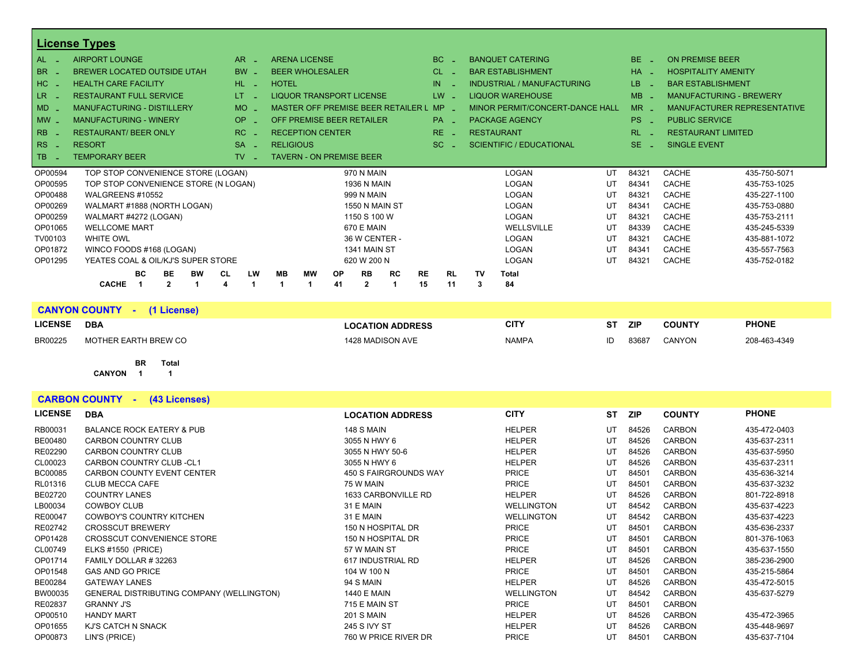|          | <b>License Types</b>                                            |                              |                                           |                 |                             |                |                 |                 |         |                                   |    |               |                            |                                |
|----------|-----------------------------------------------------------------|------------------------------|-------------------------------------------|-----------------|-----------------------------|----------------|-----------------|-----------------|---------|-----------------------------------|----|---------------|----------------------------|--------------------------------|
| AL       | <b>AIRPORT LOUNGE</b>                                           | AR.                          | <b>ARENA LICENSE</b>                      |                 |                             |                | BC.             |                 |         | <b>BANQUET CATERING</b>           |    | BE.           | <b>ON PREMISE BEER</b>     |                                |
| BR       | <b>BREWER LOCATED OUTSIDE UTAH</b>                              | <b>BW</b>                    | <b>BEER WHOLESALER</b>                    |                 |                             |                | <b>CL</b>       |                 |         | <b>BAR ESTABLISHMENT</b>          |    | HA            | <b>HOSPITALITY AMENITY</b> |                                |
| HC _     | <b>HEALTH CARE FACILITY</b>                                     | $HL$ $-$                     | <b>HOTEL</b>                              |                 |                             |                | IN              |                 |         | <b>INDUSTRIAL / MANUFACTURING</b> |    | LB.           | <b>BAR ESTABLISHMENT</b>   |                                |
| LR.      | <b>RESTAURANT FULL SERVICE</b>                                  | LT.                          | <b>LIQUOR TRANSPORT LICENSE</b>           |                 |                             |                |                 | $LW -$          |         | <b>LIQUOR WAREHOUSE</b>           |    | $MB -$        |                            | <b>MANUFACTURING - BREWERY</b> |
| MD _     | <b>MANUFACTURING - DISTILLERY</b>                               | <b>MO</b>                    | <b>MASTER OFF PREMISE BEER RETAILER L</b> |                 |                             |                | <b>MP</b>       |                 |         | MINOR PERMIT/CONCERT-DANCE HALL   |    | $MR -$        |                            | MANUFACTURER REPRESENTATIVE    |
| $MW$ $-$ | <b>MANUFACTURING - WINERY</b>                                   | <b>OP</b>                    | OFF PREMISE BEER RETAILER                 |                 |                             |                | <b>PA</b>       |                 |         | <b>PACKAGE AGENCY</b>             |    | PS.           | <b>PUBLIC SERVICE</b>      |                                |
| RB       | <b>RESTAURANT/ BEER ONLY</b>                                    | RC<br><b>College</b>         | <b>RECEPTION CENTER</b>                   |                 |                             |                |                 | $RE -$          |         | <b>RESTAURANT</b>                 |    | <b>RL</b>     | <b>RESTAURANT LIMITED</b>  |                                |
| RS       | <b>RESORT</b>                                                   | <b>SA</b><br><b>Contract</b> | <b>RELIGIOUS</b>                          |                 |                             |                | SC.             |                 |         | <b>SCIENTIFIC / EDUCATIONAL</b>   |    | SE.<br>$\sim$ | <b>SINGLE EVENT</b>        |                                |
| l TB     | <b>TEMPORARY BEER</b>                                           | TV.                          | <b>TAVERN - ON PREMISE BEER</b>           |                 |                             |                |                 |                 |         |                                   |    |               |                            |                                |
| OP00594  | TOP STOP CONVENIENCE STORE (LOGAN)                              |                              |                                           |                 | 970 N MAIN                  |                |                 |                 |         | <b>LOGAN</b>                      | UT | 84321         | CACHE                      | 435-750-5071                   |
| OP00595  | TOP STOP CONVENIENCE STORE (N LOGAN)                            |                              |                                           |                 | <b>1936 N MAIN</b>          |                |                 |                 |         | <b>LOGAN</b>                      | UT | 84341         | <b>CACHE</b>               | 435-753-1025                   |
| OP00488  | WALGREENS #10552                                                |                              |                                           |                 | 999 N MAIN                  |                |                 |                 |         | <b>LOGAN</b>                      | UT | 84321         | CACHE                      | 435-227-1100                   |
| OP00269  | WALMART #1888 (NORTH LOGAN)                                     |                              |                                           |                 | 1550 N MAIN ST              |                |                 |                 |         | LOGAN                             | UT | 84341         | <b>CACHE</b>               | 435-753-0880                   |
| OP00259  | WALMART #4272 (LOGAN)                                           |                              |                                           |                 | 1150 S 100 W                |                |                 |                 |         | <b>LOGAN</b>                      | UT | 84321         | <b>CACHE</b>               | 435-753-2111                   |
| OP01065  | <b>WELLCOME MART</b>                                            |                              |                                           |                 | <b>670 E MAIN</b>           |                |                 |                 |         | WELLSVILLE                        | UT | 84339         | <b>CACHE</b>               | 435-245-5339                   |
| TV00103  | <b>WHITE OWL</b>                                                |                              |                                           |                 | 36 W CENTER -               |                |                 |                 |         | <b>LOGAN</b>                      | UT | 84321         | <b>CACHE</b>               | 435-881-1072                   |
| OP01872  | WINCO FOODS #168 (LOGAN)                                        |                              |                                           |                 | 1341 MAIN ST                |                |                 |                 |         | LOGAN                             | UT | 84341         | <b>CACHE</b>               | 435-557-7563                   |
| OP01295  | YEATES COAL & OIL/KJ'S SUPER STORE                              |                              |                                           |                 | 620 W 200 N                 |                |                 |                 |         | LOGAN                             | UT | 84321         | <b>CACHE</b>               | 435-752-0182                   |
|          | BC.<br><b>BE</b><br><b>BW</b><br><b>CACHE</b><br>$\overline{2}$ | LW<br>CL<br>Δ                | <b>MB</b><br>МW                           | <b>OP</b><br>41 | <b>RB</b><br>$\overline{2}$ | <b>RC</b><br>1 | <b>RE</b><br>15 | <b>RL</b><br>11 | TV<br>3 | <b>Total</b><br>84                |    |               |                            |                                |

|                | <b>CANYON COUNTY</b><br>(1 License) |                         |              |    |            |               |              |
|----------------|-------------------------------------|-------------------------|--------------|----|------------|---------------|--------------|
| <b>LICENSE</b> | <b>DBA</b>                          | <b>LOCATION ADDRESS</b> | <b>CITY</b>  | ST | <b>ZIP</b> | <b>COUNTY</b> | <b>PHONE</b> |
| <b>BR00225</b> | MOTHER EARTH BREW CO                | 1428 MADISON AVE        | <b>NAMPA</b> |    | 83687      | <b>CANYON</b> | 208-463-4349 |

#### **BR Total**

**CANYON 1 1**

| <b>CARBON COUNTY -</b><br>(43 Licenses) |                                                  |                         |                   |           |            |               |              |  |  |  |
|-----------------------------------------|--------------------------------------------------|-------------------------|-------------------|-----------|------------|---------------|--------------|--|--|--|
| <b>LICENSE</b>                          | <b>DBA</b>                                       | <b>LOCATION ADDRESS</b> | <b>CITY</b>       | <b>ST</b> | <b>ZIP</b> | <b>COUNTY</b> | <b>PHONE</b> |  |  |  |
| RB00031                                 | <b>BALANCE ROCK EATERY &amp; PUB</b>             | <b>148 S MAIN</b>       | <b>HELPER</b>     | UT        | 84526      | <b>CARBON</b> | 435-472-0403 |  |  |  |
| BE00480                                 | <b>CARBON COUNTRY CLUB</b>                       | 3055 N HWY 6            | <b>HELPER</b>     | UT        | 84526      | <b>CARBON</b> | 435-637-2311 |  |  |  |
| RE02290                                 | CARBON COUNTRY CLUB                              | 3055 N HWY 50-6         | <b>HELPER</b>     | UT        | 84526      | <b>CARBON</b> | 435-637-5950 |  |  |  |
| CL00023                                 | <b>CARBON COUNTRY CLUB-CL1</b>                   | 3055 N HWY 6            | <b>HELPER</b>     | UT        | 84526      | <b>CARBON</b> | 435-637-2311 |  |  |  |
| <b>BC00085</b>                          | <b>CARBON COUNTY EVENT CENTER</b>                | 450 S FAIRGROUNDS WAY   | <b>PRICE</b>      | UT        | 84501      | <b>CARBON</b> | 435-636-3214 |  |  |  |
| RL01316                                 | <b>CLUB MECCA CAFE</b>                           | 75 W MAIN               | <b>PRICE</b>      | UT        | 84501      | <b>CARBON</b> | 435-637-3232 |  |  |  |
| BE02720                                 | <b>COUNTRY LANES</b>                             | 1633 CARBONVILLE RD     | <b>HELPER</b>     | UT        | 84526      | <b>CARBON</b> | 801-722-8918 |  |  |  |
| LB00034                                 | <b>COWBOY CLUB</b>                               | 31 E MAIN               | <b>WELLINGTON</b> | UT        | 84542      | <b>CARBON</b> | 435-637-4223 |  |  |  |
| RE00047                                 | <b>COWBOY'S COUNTRY KITCHEN</b>                  | 31 E MAIN               | <b>WELLINGTON</b> | UT        | 84542      | <b>CARBON</b> | 435-637-4223 |  |  |  |
| RE02742                                 | <b>CROSSCUT BREWERY</b>                          | 150 N HOSPITAL DR       | <b>PRICE</b>      | UT        | 84501      | <b>CARBON</b> | 435-636-2337 |  |  |  |
| OP01428                                 | <b>CROSSCUT CONVENIENCE STORE</b>                | 150 N HOSPITAL DR       | <b>PRICE</b>      | UT        | 84501      | CARBON        | 801-376-1063 |  |  |  |
| CL00749                                 | <b>ELKS #1550 (PRICE)</b>                        | 57 W MAIN ST            | PRICE             | UT        | 84501      | <b>CARBON</b> | 435-637-1550 |  |  |  |
| OP01714                                 | FAMILY DOLLAR #32263                             | 617 INDUSTRIAL RD       | <b>HELPER</b>     | UT        | 84526      | <b>CARBON</b> | 385-236-2900 |  |  |  |
| OP01548                                 | <b>GAS AND GO PRICE</b>                          | 104 W 100 N             | <b>PRICE</b>      | UT        | 84501      | <b>CARBON</b> | 435-215-5864 |  |  |  |
| BE00284                                 | <b>GATEWAY LANES</b>                             | 94 S MAIN               | <b>HELPER</b>     | UT        | 84526      | <b>CARBON</b> | 435-472-5015 |  |  |  |
| BW00035                                 | <b>GENERAL DISTRIBUTING COMPANY (WELLINGTON)</b> | 1440 E MAIN             | <b>WELLINGTON</b> | UT        | 84542      | <b>CARBON</b> | 435-637-5279 |  |  |  |
| RE02837                                 | <b>GRANNY J'S</b>                                | 715 E MAIN ST           | <b>PRICE</b>      | UT        | 84501      | CARBON        |              |  |  |  |
| OP00510                                 | <b>HANDY MART</b>                                | <b>201 S MAIN</b>       | <b>HELPER</b>     | UT        | 84526      | <b>CARBON</b> | 435-472-3965 |  |  |  |
| OP01655                                 | KJ'S CATCH N SNACK                               | 245 S IVY ST            | <b>HELPER</b>     | UT        | 84526      | <b>CARBON</b> | 435-448-9697 |  |  |  |
| OP00873                                 | LIN'S (PRICE)                                    | 760 W PRICE RIVER DR    | <b>PRICE</b>      | UT        | 84501      | <b>CARBON</b> | 435-637-7104 |  |  |  |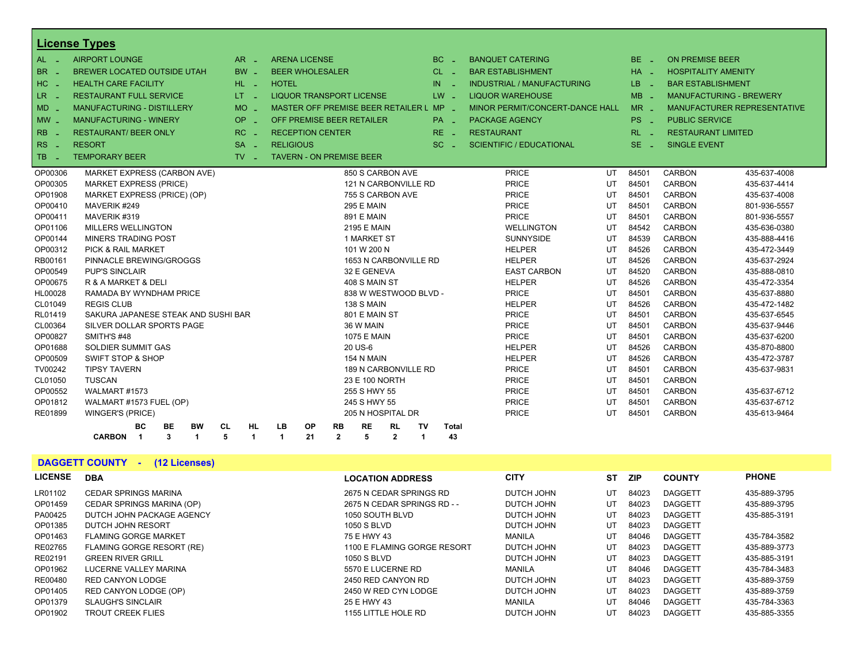|                      | License Types                                                                  |                               |                                 |                                         |                       |                      |              |                                   |    |                 |                            |                                |
|----------------------|--------------------------------------------------------------------------------|-------------------------------|---------------------------------|-----------------------------------------|-----------------------|----------------------|--------------|-----------------------------------|----|-----------------|----------------------------|--------------------------------|
| $AL -$               | <b>AIRPORT LOUNGE</b>                                                          | $AR -$                        | <b>ARENA LICENSE</b>            |                                         |                       |                      | $BC -$       | <b>BANQUET CATERING</b>           |    | BE <sub>-</sub> | <b>ON PREMISE BEER</b>     |                                |
| <b>BR</b><br>nia.    | BREWER LOCATED OUTSIDE UTAH                                                    | BW _                          | <b>BEER WHOLESALER</b>          |                                         |                       |                      | $CL$ $-$     | <b>BAR ESTABLISHMENT</b>          |    | $HA -$          | <b>HOSPITALITY AMENITY</b> |                                |
| HC                   | <b>HEALTH CARE FACILITY</b>                                                    | HL L                          | <b>HOTEL</b>                    |                                         |                       | IN                   |              | <b>INDUSTRIAL / MANUFACTURING</b> |    | LB.             | <b>BAR ESTABLISHMENT</b>   |                                |
| LR.<br>$\sim$ $\sim$ | <b>RESTAURANT FULL SERVICE</b>                                                 | LT <sub>1</sub>               |                                 | <b>LIQUOR TRANSPORT LICENSE</b>         |                       |                      | $LW -$       | <b>LIQUOR WAREHOUSE</b>           |    | $MB -$          |                            | <b>MANUFACTURING - BREWERY</b> |
| $MD -$               | MANUFACTURING - DISTILLERY                                                     | <b>MO</b><br>ч.               |                                 | MASTER OFF PREMISE BEER RETAILER L MP - |                       |                      |              | MINOR PERMIT/CONCERT-DANCE HALL   |    | $MR -$          |                            | MANUFACTURER REPRESENTATIVE    |
| $MW -$               | <b>MANUFACTURING - WINERY</b>                                                  | OP<br>i al                    |                                 | OFF PREMISE BEER RETAILER               |                       |                      | PA _         | <b>PACKAGE AGENCY</b>             |    | PS <sub>-</sub> | <b>PUBLIC SERVICE</b>      |                                |
| <b>RB</b>            | <b>RESTAURANT/ BEER ONLY</b>                                                   | RC                            | <b>RECEPTION CENTER</b>         |                                         |                       |                      | $RE -$       | <b>RESTAURANT</b>                 |    | $RL - 1$        | <b>RESTAURANT LIMITED</b>  |                                |
| $RS -$               | <b>RESORT</b>                                                                  | $SA -$                        | <b>RELIGIOUS</b>                |                                         |                       |                      | $SC =$       | <b>SCIENTIFIC / EDUCATIONAL</b>   |    | $SE$ $-$        | <b>SINGLE EVENT</b>        |                                |
| <b>TB</b><br>- 14    | <b>TEMPORARY BEER</b>                                                          | $TV$ $\overline{\phantom{0}}$ | <b>TAVERN - ON PREMISE BEER</b> |                                         |                       |                      |              |                                   |    |                 |                            |                                |
|                      |                                                                                |                               |                                 |                                         |                       |                      |              |                                   |    |                 |                            |                                |
| OP00306              | MARKET EXPRESS (CARBON AVE)                                                    |                               |                                 |                                         | 850 S CARBON AVE      |                      |              | <b>PRICE</b>                      | UT | 84501           | <b>CARBON</b>              | 435-637-4008                   |
| OP00305              | <b>MARKET EXPRESS (PRICE)</b>                                                  |                               |                                 |                                         | 121 N CARBONVILLE RD  |                      |              | <b>PRICE</b>                      | UT | 84501           | <b>CARBON</b>              | 435-637-4414                   |
| OP01908              | MARKET EXPRESS (PRICE) (OP)                                                    |                               |                                 |                                         | 755 S CARBON AVE      |                      |              | <b>PRICE</b>                      | UT | 84501           | <b>CARBON</b>              | 435-637-4008                   |
| OP00410              | MAVERIK #249                                                                   |                               |                                 | <b>295 E MAIN</b>                       |                       |                      |              | <b>PRICE</b>                      | UT | 84501           | CARBON                     | 801-936-5557                   |
| OP00411              | MAVERIK #319                                                                   |                               |                                 | <b>891 E MAIN</b>                       |                       |                      |              | <b>PRICE</b>                      | UT | 84501           | <b>CARBON</b>              | 801-936-5557                   |
| OP01106              | MILLERS WELLINGTON                                                             |                               |                                 | 2195 E MAIN                             |                       |                      |              | <b>WELLINGTON</b>                 | UT | 84542           | CARBON                     | 435-636-0380                   |
| OP00144              | MINERS TRADING POST                                                            |                               |                                 | 1 MARKET ST                             |                       |                      |              | <b>SUNNYSIDE</b>                  | UT | 84539           | <b>CARBON</b>              | 435-888-4416                   |
| OP00312              | <b>PICK &amp; RAIL MARKET</b>                                                  |                               |                                 | 101 W 200 N                             |                       |                      |              | <b>HELPER</b>                     | UT | 84526           | CARBON                     | 435-472-3449                   |
| RB00161              | PINNACLE BREWING/GROGGS                                                        |                               |                                 |                                         | 1653 N CARBONVILLE RD |                      |              | <b>HELPER</b>                     | UT | 84526           | <b>CARBON</b>              | 435-637-2924                   |
| OP00549              | <b>PUP'S SINCLAIR</b>                                                          |                               |                                 | 32 E GENEVA                             |                       |                      |              | <b>EAST CARBON</b>                | UT | 84520           | CARBON                     | 435-888-0810                   |
| OP00675              | R & A MARKET & DELI                                                            |                               |                                 | 408 S MAIN ST                           |                       |                      |              | <b>HELPER</b>                     | UT | 84526           | <b>CARBON</b>              | 435-472-3354                   |
| HL00028              | RAMADA BY WYNDHAM PRICE                                                        |                               |                                 |                                         | 838 W WESTWOOD BLVD - |                      |              | <b>PRICE</b>                      | UT | 84501           | <b>CARBON</b>              | 435-637-8880                   |
| CL01049              | <b>REGIS CLUB</b>                                                              |                               |                                 | 138 S MAIN                              |                       |                      |              | <b>HELPER</b>                     | UT | 84526           | <b>CARBON</b>              | 435-472-1482                   |
| RL01419              | SAKURA JAPANESE STEAK AND SUSHI BAR                                            |                               |                                 | 801 E MAIN ST                           |                       |                      |              | <b>PRICE</b>                      | UT | 84501           | <b>CARBON</b>              | 435-637-6545                   |
| CL00364              | SILVER DOLLAR SPORTS PAGE                                                      |                               |                                 | 36 W MAIN                               |                       |                      |              | <b>PRICE</b>                      | UT | 84501           | <b>CARBON</b>              | 435-637-9446                   |
| OP00827              | SMITH'S #48                                                                    |                               |                                 | <b>1075 E MAIN</b>                      |                       |                      |              | <b>PRICE</b>                      | UT | 84501           | <b>CARBON</b>              | 435-637-6200                   |
| OP01688              | <b>SOLDIER SUMMIT GAS</b>                                                      |                               |                                 | 20 US-6                                 |                       |                      |              | <b>HELPER</b>                     | UT | 84526           | <b>CARBON</b>              | 435-870-8800                   |
| OP00509              | <b>SWIFT STOP &amp; SHOP</b>                                                   |                               |                                 | 154 N MAIN                              |                       |                      |              | <b>HELPER</b>                     | UT | 84526           | <b>CARBON</b>              | 435-472-3787                   |
| TV00242              | <b>TIPSY TAVERN</b>                                                            |                               |                                 |                                         | 189 N CARBONVILLE RD  |                      |              | <b>PRICE</b>                      | UT | 84501           | CARBON                     | 435-637-9831                   |
| CL01050              | <b>TUSCAN</b>                                                                  |                               |                                 | 23 E 100 NORTH                          |                       |                      |              | <b>PRICE</b>                      | UT | 84501           | <b>CARBON</b>              |                                |
| OP00552              | WALMART #1573                                                                  |                               |                                 | 255 S HWY 55                            |                       |                      |              | <b>PRICE</b>                      | UT | 84501           | <b>CARBON</b>              | 435-637-6712                   |
| OP01812              | WALMART #1573 FUEL (OP)                                                        |                               |                                 | 245 S HWY 55                            |                       |                      |              | <b>PRICE</b>                      | UT | 84501           | <b>CARBON</b>              | 435-637-6712                   |
| RE01899              | WINGER'S (PRICE)                                                               |                               |                                 |                                         | 205 N HOSPITAL DR     |                      |              | <b>PRICE</b>                      | UT | 84501           | <b>CARBON</b>              | 435-613-9464                   |
|                      | вc<br>BE<br>BW<br>CL                                                           | <b>HL</b>                     | LB<br>OP                        | <b>RE</b><br><b>RB</b>                  | <b>RL</b>             | TV                   | <b>Total</b> |                                   |    |                 |                            |                                |
|                      | $\mathbf{3}$<br>5<br><b>CARBON</b><br>$\overline{\phantom{0}}$<br>$\mathbf{1}$ | -1                            | 21<br>1                         | $\mathbf{2}$<br>5                       | $\mathbf{2}$          | $\blacktriangleleft$ | 43           |                                   |    |                 |                            |                                |

**DAGGETT COUNTY - (12 Licenses)**

| <b>LICENSE</b> | <b>DBA</b>                  | <b>LOCATION ADDRESS</b>     | <b>CITY</b> | SТ | <b>ZIP</b> | <b>COUNTY</b>  | <b>PHONE</b> |
|----------------|-----------------------------|-----------------------------|-------------|----|------------|----------------|--------------|
| LR01102        | <b>CEDAR SPRINGS MARINA</b> | 2675 N CEDAR SPRINGS RD     | DUTCH JOHN  | UT | 84023      | <b>DAGGETT</b> | 435-889-3795 |
| OP01459        | CEDAR SPRINGS MARINA (OP)   | 2675 N CEDAR SPRINGS RD - - | DUTCH JOHN  | UT | 84023      | <b>DAGGETT</b> | 435-889-3795 |
| PA00425        | DUTCH JOHN PACKAGE AGENCY   | 1050 SOUTH BLVD             | DUTCH JOHN  | UT | 84023      | <b>DAGGETT</b> | 435-885-3191 |
| OP01385        | DUTCH JOHN RESORT           | 1050 S BLVD                 | DUTCH JOHN  | UT | 84023      | <b>DAGGETT</b> |              |
| OP01463        | <b>FLAMING GORGE MARKET</b> | 75 E HWY 43                 | MANILA      | UT | 84046      | <b>DAGGETT</b> | 435-784-3582 |
| RE02765        | FLAMING GORGE RESORT (RE)   | 1100 E FLAMING GORGE RESORT | DUTCH JOHN  | UT | 84023      | <b>DAGGETT</b> | 435-889-3773 |
| RE02191        | <b>GREEN RIVER GRILL</b>    | 1050 S BLVD                 | DUTCH JOHN  | UT | 84023      | <b>DAGGETT</b> | 435-885-3191 |
| OP01962        | LUCERNE VALLEY MARINA       | 5570 E LUCERNE RD           | MANILA      | UT | 84046      | <b>DAGGETT</b> | 435-784-3483 |
| RE00480        | RED CANYON LODGE            | 2450 RED CANYON RD          | DUTCH JOHN  | UT | 84023      | <b>DAGGETT</b> | 435-889-3759 |
| OP01405        | RED CANYON LODGE (OP)       | 2450 W RED CYN LODGE        | DUTCH JOHN  | UT | 84023      | <b>DAGGETT</b> | 435-889-3759 |
| OP01379        | <b>SLAUGH'S SINCLAIR</b>    | 25 E HWY 43                 | MANILA      | UT | 84046      | <b>DAGGETT</b> | 435-784-3363 |
| OP01902        | <b>TROUT CREEK FLIES</b>    | 1155 LITTLE HOLE RD         | DUTCH JOHN  | UT | 84023      | <b>DAGGETT</b> | 435-885-3355 |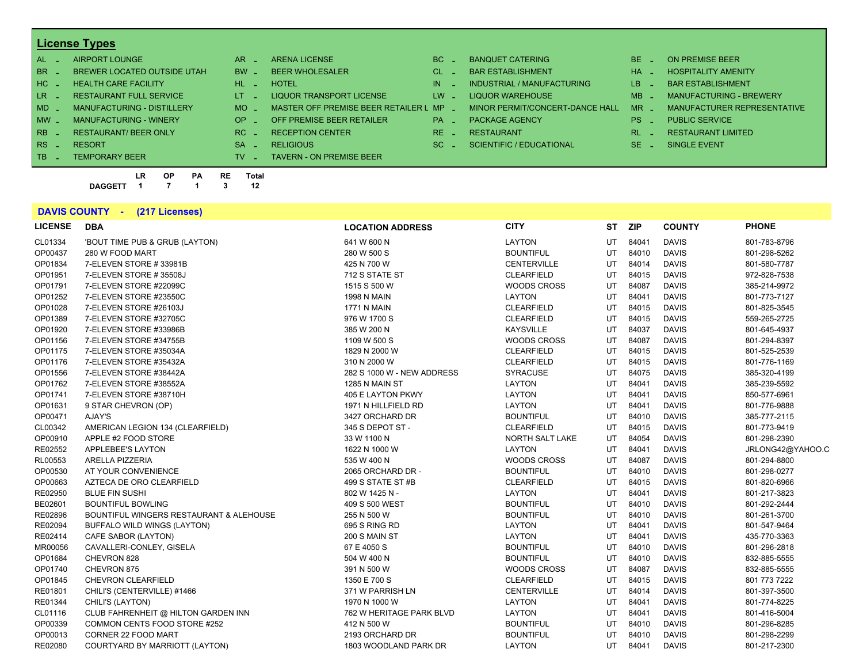| $AL -$          | AIRPORT LOUNGE                    | $AR -$                        | <b>ARENA LICENSE</b>                  | BC.      | <b>BANQUET CATERING</b>         | $BE -$                 | ON PREMISE BEER             |
|-----------------|-----------------------------------|-------------------------------|---------------------------------------|----------|---------------------------------|------------------------|-----------------------------|
| BR _            | BREWER LOCATED OUTSIDE UTAH       | $BW -$                        | <b>BEER WHOLESALER</b>                | $CL$ $=$ | <b>BAR ESTABLISHMENT</b>        | $HA =$                 | <b>HOSPITALITY AMENITY</b>  |
| HC _            | <b>HEALTH CARE FACILITY</b>       | $HL$ $=$                      | <b>HOTEL</b>                          | IN.      | INDUSTRIAL / MANUFACTURING      | LB.<br><b>Contract</b> | <b>BAR ESTABLISHMENT</b>    |
| LR <sub>-</sub> | <b>RESTAURANT FULL SERVICE</b>    | $LT = 1$                      | LIQUOR TRANSPORT LICENSE              | $LW -$   | LIQUOR WAREHOUSE                | $MB -$                 | MANUFACTURING - BREWERY     |
| $MD -$          | <b>MANUFACTURING - DISTILLERY</b> | $MO$ $\overline{\phantom{0}}$ | MASTER OFF PREMISE BEER RETAILER L MP |          | MINOR PERMIT/CONCERT-DANCE HALL | <b>MR</b>              | MANUFACTURER REPRESENTATIVE |
| $MW-$           | <b>MANUFACTURING - WINERY</b>     | $OP =$                        | OFF PREMISE BEER RETAILER             | $PA -$   | <b>PACKAGE AGENCY</b>           | $PS -$                 | <b>PUBLIC SERVICE</b>       |
| $RB-$           | <b>RESTAURANT/ BEER ONLY</b>      | $RC -$                        | <b>RECEPTION CENTER</b>               | $RE =$   | <b>RESTAURANT</b>               | RI                     | <b>RESTAURANT LIMITED</b>   |
| $RS -$          | <b>RESORT</b>                     | <b>SA</b><br><b>Contract</b>  | <b>RELIGIOUS</b>                      | $SC =$   | <b>SCIENTIFIC / EDUCATIONAL</b> | $SE =$                 | SINGLE EVENT                |
| $TB \t-$        | <b>TEMPORARY BEER</b>             | TV.                           | <b>TAVERN - ON PREMISE BEER</b>       |          |                                 |                        |                             |

**LR OP PA RE Total DAGGETT 1 7 1 3 12**

### **DAVIS COUNTY - (217 Licenses)**

| <b>LICENSE</b> | <b>DBA</b>                              | <b>LOCATION ADDRESS</b>    | <b>CITY</b>        | SТ | <b>ZIP</b> | <b>COUNTY</b> | <b>PHONE</b>     |
|----------------|-----------------------------------------|----------------------------|--------------------|----|------------|---------------|------------------|
| CL01334        | 'BOUT TIME PUB & GRUB (LAYTON)          | 641 W 600 N                | LAYTON             | UT | 84041      | <b>DAVIS</b>  | 801-783-8796     |
| OP00437        | 280 W FOOD MART                         | 280 W 500 S                | <b>BOUNTIFUL</b>   | UT | 84010      | <b>DAVIS</b>  | 801-298-5262     |
| OP01834        | 7-ELEVEN STORE #33981B                  | 425 N 700 W                | <b>CENTERVILLE</b> | UT | 84014      | <b>DAVIS</b>  | 801-580-7787     |
| OP01951        | 7-ELEVEN STORE #35508J                  | 712 S STATE ST             | <b>CLEARFIELD</b>  | UT | 84015      | <b>DAVIS</b>  | 972-828-7538     |
| OP01791        | 7-ELEVEN STORE #22099C                  | 1515 S 500 W               | <b>WOODS CROSS</b> | UT | 84087      | <b>DAVIS</b>  | 385-214-9972     |
| OP01252        | 7-ELEVEN STORE #23550C                  | <b>1998 N MAIN</b>         | LAYTON             | UT | 84041      | <b>DAVIS</b>  | 801-773-7127     |
| OP01028        | 7-ELEVEN STORE #26103J                  | <b>1771 N MAIN</b>         | <b>CLEARFIELD</b>  | UT | 84015      | <b>DAVIS</b>  | 801-825-3545     |
| OP01389        | 7-ELEVEN STORE #32705C                  | 976 W 1700 S               | <b>CLEARFIELD</b>  | UT | 84015      | <b>DAVIS</b>  | 559-265-2725     |
| OP01920        | 7-ELEVEN STORE #33986B                  | 385 W 200 N                | <b>KAYSVILLE</b>   | UT | 84037      | <b>DAVIS</b>  | 801-645-4937     |
| OP01156        | 7-ELEVEN STORE #34755B                  | 1109 W 500 S               | <b>WOODS CROSS</b> | UT | 84087      | <b>DAVIS</b>  | 801-294-8397     |
| OP01175        | 7-ELEVEN STORE #35034A                  | 1829 N 2000 W              | <b>CLEARFIELD</b>  | UT | 84015      | <b>DAVIS</b>  | 801-525-2539     |
| OP01176        | 7-ELEVEN STORE #35432A                  | 310 N 2000 W               | <b>CLEARFIELD</b>  | UT | 84015      | <b>DAVIS</b>  | 801-776-1169     |
| OP01556        | 7-ELEVEN STORE #38442A                  | 282 S 1000 W - NEW ADDRESS | <b>SYRACUSE</b>    | UT | 84075      | <b>DAVIS</b>  | 385-320-4199     |
| OP01762        | 7-ELEVEN STORE #38552A                  | 1285 N MAIN ST             | LAYTON             | UT | 84041      | <b>DAVIS</b>  | 385-239-5592     |
| OP01741        | 7-ELEVEN STORE #38710H                  | 405 E LAYTON PKWY          | LAYTON             | UT | 84041      | <b>DAVIS</b>  | 850-577-6961     |
| OP01631        | 9 STAR CHEVRON (OP)                     | 1971 N HILLFIELD RD        | LAYTON             | UT | 84041      | <b>DAVIS</b>  | 801-776-9888     |
| OP00471        | AJAY'S                                  | 3427 ORCHARD DR            | <b>BOUNTIFUL</b>   | UT | 84010      | <b>DAVIS</b>  | 385-777-2115     |
| CL00342        | AMERICAN LEGION 134 (CLEARFIELD)        | 345 S DEPOT ST -           | <b>CLEARFIELD</b>  | UT | 84015      | <b>DAVIS</b>  | 801-773-9419     |
| OP00910        | APPLE #2 FOOD STORE                     | 33 W 1100 N                | NORTH SALT LAKE    | UT | 84054      | <b>DAVIS</b>  | 801-298-2390     |
| RE02552        | APPLEBEE'S LAYTON                       | 1622 N 1000 W              | LAYTON             | UT | 84041      | <b>DAVIS</b>  | JRLONG42@YAHOO.C |
| RL00553        | ARELLA PIZZERIA                         | 535 W 400 N                | <b>WOODS CROSS</b> | UT | 84087      | <b>DAVIS</b>  | 801-294-8800     |
| OP00530        | AT YOUR CONVENIENCE                     | 2065 ORCHARD DR -          | <b>BOUNTIFUL</b>   | UT | 84010      | <b>DAVIS</b>  | 801-298-0277     |
| OP00663        | AZTECA DE ORO CLEARFIELD                | 499 S STATE ST#B           | <b>CLEARFIELD</b>  | UT | 84015      | <b>DAVIS</b>  | 801-820-6966     |
| RE02950        | <b>BLUE FIN SUSHI</b>                   | 802 W 1425 N -             | LAYTON             | UT | 84041      | <b>DAVIS</b>  | 801-217-3823     |
| BE02601        | <b>BOUNTIFUL BOWLING</b>                | 409 S 500 WEST             | <b>BOUNTIFUL</b>   | UT | 84010      | <b>DAVIS</b>  | 801-292-2444     |
| RE02896        | BOUNTIFUL WINGERS RESTAURANT & ALEHOUSE | 255 N 500 W                | <b>BOUNTIFUL</b>   | UT | 84010      | <b>DAVIS</b>  | 801-261-3700     |
| RE02094        | BUFFALO WILD WINGS (LAYTON)             | 695 S RING RD              | LAYTON             | UT | 84041      | <b>DAVIS</b>  | 801-547-9464     |
| RE02414        | CAFE SABOR (LAYTON)                     | 200 S MAIN ST              | LAYTON             | UT | 84041      | <b>DAVIS</b>  | 435-770-3363     |
| MR00056        | CAVALLERI-CONLEY, GISELA                | 67 E 4050 S                | <b>BOUNTIFUL</b>   | UT | 84010      | <b>DAVIS</b>  | 801-296-2818     |
| OP01684        | CHEVRON 828                             | 504 W 400 N                | <b>BOUNTIFUL</b>   | UT | 84010      | <b>DAVIS</b>  | 832-885-5555     |
| OP01740        | CHEVRON 875                             | 391 N 500 W                | <b>WOODS CROSS</b> | UT | 84087      | <b>DAVIS</b>  | 832-885-5555     |
| OP01845        | <b>CHEVRON CLEARFIELD</b>               | 1350 E 700 S               | <b>CLEARFIELD</b>  | UT | 84015      | <b>DAVIS</b>  | 801 773 7222     |
| RE01801        | CHILI'S (CENTERVILLE) #1466             | 371 W PARRISH LN           | <b>CENTERVILLE</b> | UT | 84014      | <b>DAVIS</b>  | 801-397-3500     |
| RE01344        | CHILI'S (LAYTON)                        | 1970 N 1000 W              | LAYTON             | UT | 84041      | <b>DAVIS</b>  | 801-774-8225     |
| CL01116        | CLUB FAHRENHEIT @ HILTON GARDEN INN     | 762 W HERITAGE PARK BLVD   | LAYTON             | UT | 84041      | <b>DAVIS</b>  | 801-416-5004     |
| OP00339        | COMMON CENTS FOOD STORE #252            | 412 N 500 W                | <b>BOUNTIFUL</b>   | UT | 84010      | <b>DAVIS</b>  | 801-296-8285     |
| OP00013        | CORNER 22 FOOD MART                     | 2193 ORCHARD DR            | <b>BOUNTIFUL</b>   | UT | 84010      | <b>DAVIS</b>  | 801-298-2299     |
| RE02080        | COURTYARD BY MARRIOTT (LAYTON)          | 1803 WOODLAND PARK DR      | <b>LAYTON</b>      | UT | 84041      | <b>DAVIS</b>  | 801-217-2300     |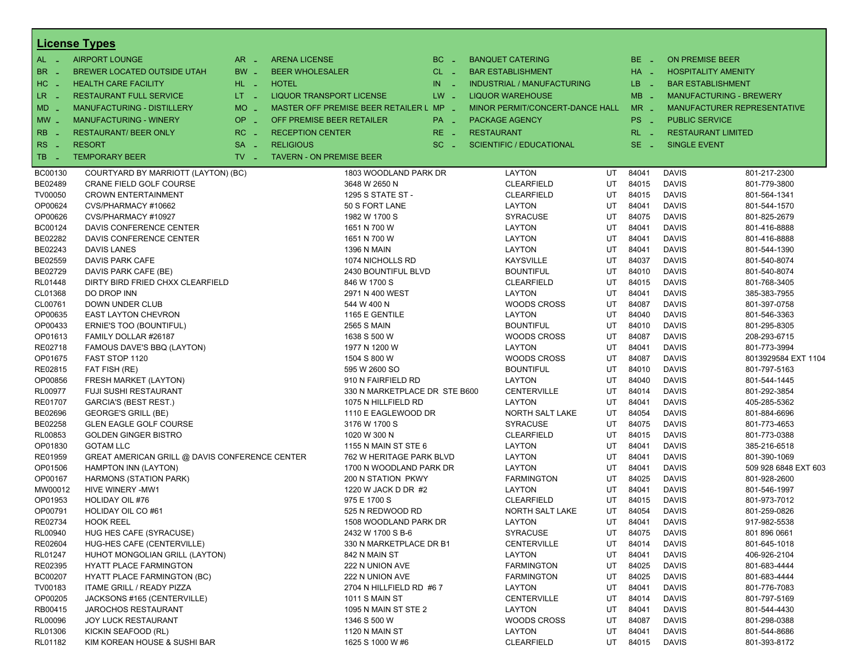|                                 | <b>License Types</b>                           |                               |                                 |                                         |          |                   |                                   |    |            |                        |                                |
|---------------------------------|------------------------------------------------|-------------------------------|---------------------------------|-----------------------------------------|----------|-------------------|-----------------------------------|----|------------|------------------------|--------------------------------|
| $AL -$                          | <b>AIRPORT LOUNGE</b>                          | $AR =$                        | <b>ARENA LICENSE</b>            |                                         | $BC =$   |                   | <b>BANQUET CATERING</b>           |    | $BE -$     | <b>ON PREMISE BEER</b> |                                |
| BR                              | <b>BREWER LOCATED OUTSIDE UTAH</b>             | BW _                          | <b>BEER WHOLESALER</b>          |                                         | $CL$ $-$ |                   | <b>BAR ESTABLISHMENT</b>          |    | $HA$ $-$   |                        | <b>HOSPITALITY AMENITY</b>     |
| H <sub>C</sub><br>$\sim$ $\sim$ | <b>HEALTH CARE FACILITY</b>                    | HL L                          | <b>HOTEL</b>                    |                                         | $IN$ $-$ |                   | <b>INDUSTRIAL / MANUFACTURING</b> |    | LB.<br>n a |                        | <b>BAR ESTABLISHMENT</b>       |
| LR.<br>$\sim$ $\sim$            | <b>RESTAURANT FULL SERVICE</b>                 | $LT - 1$                      | <b>LIQUOR TRANSPORT LICENSE</b> |                                         | $LW -$   |                   | <b>LIQUOR WAREHOUSE</b>           |    | $MB -$     |                        | <b>MANUFACTURING - BREWERY</b> |
| $MD -$                          | <b>MANUFACTURING - DISTILLERY</b>              | $MO$ $\overline{\phantom{0}}$ |                                 | MASTER OFF PREMISE BEER RETAILER L MP _ |          |                   | MINOR PERMIT/CONCERT-DANCE HALL   |    | $MR -$     |                        | MANUFACTURER REPRESENTATIVE    |
|                                 | OP.<br><b>MANUFACTURING - WINERY</b>           |                               | OFF PREMISE BEER RETAILER       |                                         | PA _     |                   | <b>PACKAGE AGENCY</b>             |    | PS.        | <b>PUBLIC SERVICE</b>  |                                |
| $MW$ $-$                        |                                                | i al                          |                                 |                                         |          |                   |                                   |    | - 2        |                        |                                |
| <b>RB</b>                       | RC<br><b>RESTAURANT/ BEER ONLY</b>             | <b>COL</b>                    | <b>RECEPTION CENTER</b>         |                                         | RE _     | <b>RESTAURANT</b> |                                   |    | RL.        |                        | <b>RESTAURANT LIMITED</b>      |
| R <sub>S</sub><br>$\sim$        | <b>RESORT</b>                                  | $SA -$                        | <b>RELIGIOUS</b>                |                                         | $SC =$   |                   | <b>SCIENTIFIC / EDUCATIONAL</b>   |    | $SE -$     | <b>SINGLE EVENT</b>    |                                |
| TB<br>- 4                       | <b>TEMPORARY BEER</b>                          | $TV -$                        | <b>TAVERN - ON PREMISE BEER</b> |                                         |          |                   |                                   |    |            |                        |                                |
| BC00130                         | COURTYARD BY MARRIOTT (LAYTON) (BC)            |                               |                                 | 1803 WOODLAND PARK DR                   |          |                   | <b>LAYTON</b>                     | UT | 84041      | <b>DAVIS</b>           | 801-217-2300                   |
| BE02489                         | CRANE FIELD GOLF COURSE                        |                               |                                 | 3648 W 2650 N                           |          |                   | <b>CLEARFIELD</b>                 | UT | 84015      | <b>DAVIS</b>           | 801-779-3800                   |
| TV00050                         | <b>CROWN ENTERTAINMENT</b>                     |                               |                                 | 1295 S STATE ST -                       |          |                   | <b>CLEARFIELD</b>                 | UT | 84015      | <b>DAVIS</b>           | 801-564-1341                   |
| OP00624                         | CVS/PHARMACY #10662                            |                               |                                 | 50 S FORT LANE                          |          |                   | <b>LAYTON</b>                     | UT | 84041      | <b>DAVIS</b>           | 801-544-1570                   |
| OP00626                         | CVS/PHARMACY #10927                            |                               |                                 | 1982 W 1700 S                           |          |                   | <b>SYRACUSE</b>                   | UT | 84075      | <b>DAVIS</b>           | 801-825-2679                   |
| BC00124                         | DAVIS CONFERENCE CENTER                        |                               |                                 | 1651 N 700 W                            |          |                   | <b>LAYTON</b>                     | UT | 84041      | <b>DAVIS</b>           | 801-416-8888                   |
| BE02282                         | DAVIS CONFERENCE CENTER                        |                               |                                 | 1651 N 700 W                            |          |                   | <b>LAYTON</b>                     | UT | 84041      | <b>DAVIS</b>           | 801-416-8888                   |
| BE02243                         | DAVIS LANES                                    |                               |                                 | <b>1396 N MAIN</b>                      |          |                   | LAYTON                            | UT | 84041      | <b>DAVIS</b>           | 801-544-1390                   |
| BE02559                         | DAVIS PARK CAFE                                |                               |                                 | 1074 NICHOLLS RD                        |          |                   | <b>KAYSVILLE</b>                  | UT | 84037      | <b>DAVIS</b>           | 801-540-8074                   |
| BE02729                         | DAVIS PARK CAFE (BE)                           |                               |                                 | 2430 BOUNTIFUL BLVD                     |          |                   | <b>BOUNTIFUL</b>                  | UT | 84010      | <b>DAVIS</b>           | 801-540-8074                   |
| <b>RL01448</b>                  | DIRTY BIRD FRIED CHXX CLEARFIELD               |                               |                                 | 846 W 1700 S                            |          |                   | <b>CLEARFIELD</b>                 | UT | 84015      | <b>DAVIS</b>           | 801-768-3405                   |
| CL01368                         | DO DROP INN                                    |                               |                                 | 2971 N 400 WEST                         |          |                   | <b>LAYTON</b>                     | UT | 84041      | <b>DAVIS</b>           | 385-383-7955                   |
| CL00761                         | <b>DOWN UNDER CLUB</b>                         |                               |                                 | 544 W 400 N                             |          |                   | <b>WOODS CROSS</b>                | UT | 84087      | <b>DAVIS</b>           | 801-397-0758                   |
| OP00635                         | <b>EAST LAYTON CHEVRON</b>                     |                               |                                 | 1165 E GENTILE                          |          |                   | LAYTON                            | UT | 84040      | <b>DAVIS</b>           | 801-546-3363                   |
| OP00433                         | ERNIE'S TOO (BOUNTIFUL)                        |                               |                                 | <b>2565 S MAIN</b>                      |          |                   | <b>BOUNTIFUL</b>                  | UT | 84010      | <b>DAVIS</b>           | 801-295-8305                   |
| OP01613                         | FAMILY DOLLAR #26187                           |                               |                                 | 1638 S 500 W                            |          |                   | <b>WOODS CROSS</b>                | UT | 84087      | <b>DAVIS</b>           | 208-293-6715                   |
| RE02718                         | FAMOUS DAVE'S BBQ (LAYTON)                     |                               |                                 | 1977 N 1200 W                           |          |                   | LAYTON                            | UT | 84041      | <b>DAVIS</b>           | 801-773-3994                   |
| OP01675                         | FAST STOP 1120                                 |                               |                                 | 1504 S 800 W                            |          |                   | <b>WOODS CROSS</b>                | UT | 84087      | <b>DAVIS</b>           | 8013929584 EXT 1104            |
| RE02815                         | FAT FISH (RE)                                  |                               |                                 | 595 W 2600 SO                           |          |                   | <b>BOUNTIFUL</b>                  | UT | 84010      | <b>DAVIS</b>           | 801-797-5163                   |
| OP00856                         | FRESH MARKET (LAYTON)                          |                               |                                 | 910 N FAIRFIELD RD                      |          |                   | LAYTON                            | UT | 84040      | <b>DAVIS</b>           | 801-544-1445                   |
| <b>RL00977</b>                  | <b>FUJI SUSHI RESTAURANT</b>                   |                               |                                 | 330 N MARKETPLACE DR STE B600           |          |                   | <b>CENTERVILLE</b>                | UT | 84014      | <b>DAVIS</b>           | 801-292-3854                   |
| <b>RE01707</b>                  | <b>GARCIA'S (BEST REST.)</b>                   |                               |                                 | 1075 N HILLFIELD RD                     |          |                   | <b>LAYTON</b>                     | UT | 84041      | <b>DAVIS</b>           | 405-285-5362                   |
| BE02696                         | <b>GEORGE'S GRILL (BE)</b>                     |                               |                                 | 1110 E EAGLEWOOD DR                     |          |                   | NORTH SALT LAKE                   | UT | 84054      | <b>DAVIS</b>           | 801-884-6696                   |
| BE02258                         | <b>GLEN EAGLE GOLF COURSE</b>                  |                               |                                 | 3176 W 1700 S                           |          |                   | <b>SYRACUSE</b>                   | UT | 84075      | <b>DAVIS</b>           | 801-773-4653                   |
| RL00853                         | <b>GOLDEN GINGER BISTRO</b>                    |                               |                                 | 1020 W 300 N                            |          |                   | <b>CLEARFIELD</b>                 | UT | 84015      | <b>DAVIS</b>           | 801-773-0388                   |
| OP01830                         | <b>GOTAM LLC</b>                               |                               |                                 | 1155 N MAIN ST STE 6                    |          |                   | LAYTON                            | UT | 84041      | <b>DAVIS</b>           | 385-216-6518                   |
| RE01959                         | GREAT AMERICAN GRILL @ DAVIS CONFERENCE CENTER |                               |                                 | 762 W HERITAGE PARK BLVD                |          |                   | <b>LAYTON</b>                     | UT | 84041      | <b>DAVIS</b>           | 801-390-1069                   |
| OP01506                         | HAMPTON INN (LAYTON)                           |                               |                                 | 1700 N WOODLAND PARK DR                 |          |                   | <b>LAYTON</b>                     | UT | 84041      | <b>DAVIS</b>           | 509 928 6848 EXT 603           |
| OP00167                         | HARMONS (STATION PARK)                         |                               |                                 | 200 N STATION PKWY                      |          |                   | <b>FARMINGTON</b>                 | UT | 84025      | <b>DAVIS</b>           | 801-928-2600                   |
| MW00012                         | HIVE WINERY -MW1                               |                               |                                 | 1220 W JACK D DR #2                     |          |                   | <b>LAYTON</b>                     | UT | 84041      | <b>DAVIS</b>           | 801-546-1997                   |
| OP01953                         | <b>HOLIDAY OIL #76</b>                         |                               |                                 | 975 E 1700 S                            |          |                   | <b>CLEARFIELD</b>                 | UT | 84015      | <b>DAVIS</b>           | 801-973-7012                   |
| OP00791                         | HOLIDAY OIL CO#61                              |                               |                                 | 525 N REDWOOD RD                        |          |                   | NORTH SALT LAKE                   | UT | 84054      | <b>DAVIS</b>           | 801-259-0826                   |
| RE02734                         | <b>HOOK REEL</b>                               |                               |                                 | 1508 WOODLAND PARK DR                   |          |                   | <b>LAYTON</b>                     | UT | 84041      | <b>DAVIS</b>           | 917-982-5538                   |
| RL00940                         | HUG HES CAFE (SYRACUSE)                        |                               |                                 | 2432 W 1700 S B-6                       |          |                   | <b>SYRACUSE</b>                   | UT | 84075      | <b>DAVIS</b>           | 801 896 0661                   |
| RE02604                         | HUG-HES CAFE (CENTERVILLE)                     |                               |                                 | 330 N MARKETPLACE DR B1                 |          |                   | <b>CENTERVILLE</b>                | UT | 84014      | <b>DAVIS</b>           | 801-645-1018                   |
| RL01247                         | HUHOT MONGOLIAN GRILL (LAYTON)                 |                               |                                 | 842 N MAIN ST                           |          |                   | LAYTON                            | UT | 84041      | <b>DAVIS</b>           | 406-926-2104                   |
| RE02395                         | <b>HYATT PLACE FARMINGTON</b>                  |                               |                                 | 222 N UNION AVE                         |          |                   | <b>FARMINGTON</b>                 | UT | 84025      | <b>DAVIS</b>           | 801-683-4444                   |
| BC00207                         | <b>HYATT PLACE FARMINGTON (BC)</b>             |                               |                                 | 222 N UNION AVE                         |          |                   | <b>FARMINGTON</b>                 | UT | 84025      | <b>DAVIS</b>           | 801-683-4444                   |
| TV00183                         | <b>ITAME GRILL / READY PIZZA</b>               |                               |                                 | 2704 N HILLFIELD RD #6 7                |          |                   | LAYTON                            | UT | 84041      | <b>DAVIS</b>           | 801-776-7083                   |
| OP00205                         | JACKSONS #165 (CENTERVILLE)                    |                               |                                 | <b>1011 S MAIN ST</b>                   |          |                   | <b>CENTERVILLE</b>                | UT | 84014      | <b>DAVIS</b>           | 801-797-5169                   |
| RB00415                         | <b>JAROCHOS RESTAURANT</b>                     |                               |                                 | 1095 N MAIN ST STE 2                    |          |                   | LAYTON                            | UT | 84041      | <b>DAVIS</b>           | 801-544-4430                   |
| RL00096                         | JOY LUCK RESTAURANT                            |                               |                                 | 1346 S 500 W                            |          |                   | <b>WOODS CROSS</b>                | UT | 84087      | <b>DAVIS</b>           | 801-298-0388                   |
| RL01306                         | KICKIN SEAFOOD (RL)                            |                               |                                 | 1120 N MAIN ST                          |          |                   | LAYTON                            | UT | 84041      | <b>DAVIS</b>           | 801-544-8686                   |
| RL01182                         | KIM KOREAN HOUSE & SUSHI BAR                   |                               |                                 | 1625 S 1000 W #6                        |          |                   | <b>CLEARFIELD</b>                 | UT | 84015      | <b>DAVIS</b>           | 801-393-8172                   |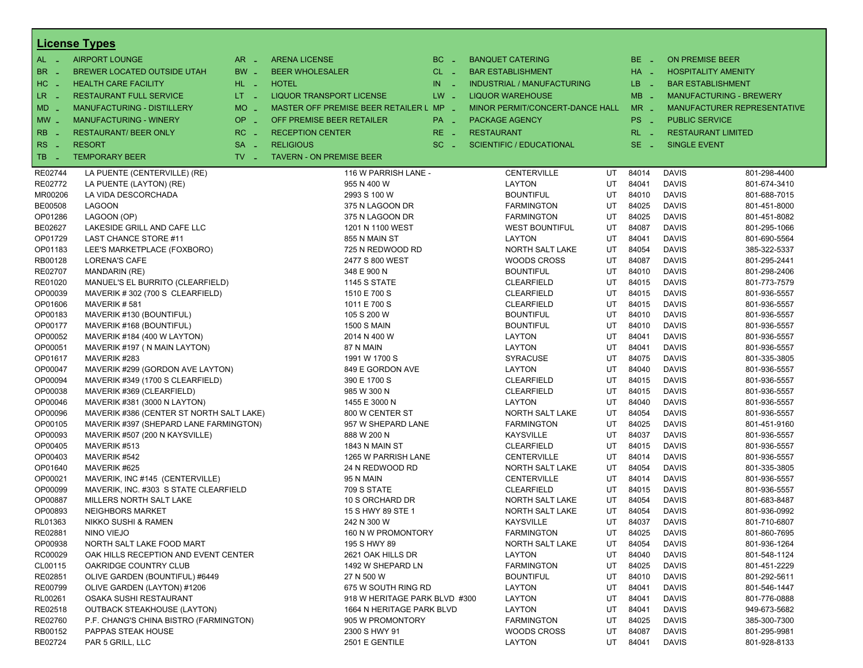|                    | <b>License Types</b>                                  |                               |                                         |          |                                       |          |                 |                              |                                |
|--------------------|-------------------------------------------------------|-------------------------------|-----------------------------------------|----------|---------------------------------------|----------|-----------------|------------------------------|--------------------------------|
| $AL -$             | <b>AIRPORT LOUNGE</b>                                 | $AR -$                        | <b>ARENA LICENSE</b>                    | $BC =$   | <b>BANQUET CATERING</b>               |          | BE _            | <b>ON PREMISE BEER</b>       |                                |
| <b>BR</b><br>- 4   | <b>BREWER LOCATED OUTSIDE UTAH</b>                    | BW _                          | <b>BEER WHOLESALER</b>                  | $CL$ $-$ | <b>BAR ESTABLISHMENT</b>              |          | $HA$ $-$        |                              | <b>HOSPITALITY AMENITY</b>     |
| $HC -$             | <b>HEALTH CARE FACILITY</b>                           | HL L                          | <b>HOTEL</b>                            | $IN =$   | <b>INDUSTRIAL / MANUFACTURING</b>     |          | LB _            | <b>BAR ESTABLISHMENT</b>     |                                |
| $LR -$             | <b>RESTAURANT FULL SERVICE</b>                        | $LT = 1$                      | <b>LIQUOR TRANSPORT LICENSE</b>         | $LW -$   | <b>LIQUOR WAREHOUSE</b>               |          | $MB -$          |                              | <b>MANUFACTURING - BREWERY</b> |
|                    | MANUFACTURING - DISTILLERY                            | <b>MO</b>                     | MASTER OFF PREMISE BEER RETAILER L MP - |          | MINOR PERMIT/CONCERT-DANCE HALL       |          | $MR -$          |                              | MANUFACTURER REPRESENTATIVE    |
| MD _               |                                                       | i al                          |                                         |          |                                       |          |                 |                              |                                |
| $MW$ $-$           | <b>MANUFACTURING - WINERY</b>                         | <b>OP</b><br>÷.               | OFF PREMISE BEER RETAILER               | PA _     | <b>PACKAGE AGENCY</b>                 |          | PS <sub>-</sub> | <b>PUBLIC SERVICE</b>        |                                |
| <b>RB</b>          | <b>RESTAURANT/ BEER ONLY</b>                          | RC<br><b>Simple</b>           | <b>RECEPTION CENTER</b>                 | $RE -$   | <b>RESTAURANT</b>                     |          | $RL - 1$        |                              | <b>RESTAURANT LIMITED</b>      |
| RS<br>- 4          | <b>RESORT</b>                                         | <b>SA</b><br>i al             | <b>RELIGIOUS</b>                        | $SC =$   | <b>SCIENTIFIC / EDUCATIONAL</b>       |          | $SE$ $-$        | <b>SINGLE EVENT</b>          |                                |
| TB<br>- 4          | <b>TEMPORARY BEER</b>                                 | $TV$ $\overline{\phantom{0}}$ | <b>TAVERN - ON PREMISE BEER</b>         |          |                                       |          |                 |                              |                                |
| RE02744            | LA PUENTE (CENTERVILLE) (RE)                          |                               | 116 W PARRISH LANE -                    |          | <b>CENTERVILLE</b>                    | UT       | 84014           | <b>DAVIS</b>                 | 801-298-4400                   |
| RE02772            | LA PUENTE (LAYTON) (RE)                               |                               | 955 N 400 W                             |          | <b>LAYTON</b>                         | UT       | 84041           | <b>DAVIS</b>                 | 801-674-3410                   |
| MR00206            | LA VIDA DESCORCHADA                                   |                               | 2993 S 100 W                            |          | <b>BOUNTIFUL</b>                      | UT       | 84010           | <b>DAVIS</b>                 | 801-688-7015                   |
| <b>BE00508</b>     | <b>LAGOON</b>                                         |                               | 375 N LAGOON DR                         |          | <b>FARMINGTON</b>                     | UT       | 84025           | <b>DAVIS</b>                 | 801-451-8000                   |
| OP01286            | LAGOON (OP)                                           |                               | 375 N LAGOON DR                         |          | <b>FARMINGTON</b>                     | UT       | 84025           | <b>DAVIS</b>                 | 801-451-8082                   |
| BE02627            | LAKESIDE GRILL AND CAFE LLC                           |                               | 1201 N 1100 WEST                        |          | <b>WEST BOUNTIFUL</b>                 | UT       | 84087           | <b>DAVIS</b>                 | 801-295-1066                   |
| OP01729            | <b>LAST CHANCE STORE #11</b>                          |                               | 855 N MAIN ST                           |          | <b>LAYTON</b>                         | UT       | 84041           | <b>DAVIS</b>                 | 801-690-5564                   |
| OP01183            | LEE'S MARKETPLACE (FOXBORO)                           |                               | 725 N REDWOOD RD                        |          | NORTH SALT LAKE                       | UT       | 84054           | <b>DAVIS</b>                 | 385-322-5337                   |
| RB00128            | LORENA'S CAFE                                         |                               | 2477 S 800 WEST                         |          | <b>WOODS CROSS</b>                    | UT       | 84087           | <b>DAVIS</b>                 | 801-295-2441                   |
| <b>RE02707</b>     | <b>MANDARIN (RE)</b>                                  |                               | 348 E 900 N                             |          | <b>BOUNTIFUL</b>                      | UT       | 84010           | <b>DAVIS</b>                 | 801-298-2406                   |
| RE01020            | MANUEL'S EL BURRITO (CLEARFIELD)                      |                               | <b>1145 S STATE</b>                     |          | <b>CLEARFIELD</b>                     | UT       | 84015           | <b>DAVIS</b>                 | 801-773-7579                   |
| OP00039            | MAVERIK #302 (700 S CLEARFIELD)                       |                               | 1510 E 700 S                            |          | <b>CLEARFIELD</b>                     | UT       | 84015           | <b>DAVIS</b>                 | 801-936-5557                   |
| OP01606            | MAVERIK#581                                           |                               | 1011 E 700 S                            |          | <b>CLEARFIELD</b>                     | UT       | 84015           | <b>DAVIS</b>                 | 801-936-5557                   |
| OP00183            | MAVERIK #130 (BOUNTIFUL)                              |                               | 105 S 200 W                             |          | <b>BOUNTIFUL</b>                      | UT       | 84010           | <b>DAVIS</b>                 | 801-936-5557                   |
| OP00177            | MAVERIK #168 (BOUNTIFUL)                              |                               | <b>1500 S MAIN</b>                      |          | <b>BOUNTIFUL</b>                      | UT       | 84010           | <b>DAVIS</b>                 | 801-936-5557                   |
| OP00052            | MAVERIK #184 (400 W LAYTON)                           |                               | 2014 N 400 W                            |          | <b>LAYTON</b>                         | UT       | 84041           | <b>DAVIS</b>                 | 801-936-5557                   |
| OP00051            | MAVERIK #197 (N MAIN LAYTON)                          |                               | 87 N MAIN                               |          | <b>LAYTON</b>                         | UT       | 84041           | <b>DAVIS</b>                 | 801-936-5557                   |
| OP01617            | MAVERIK #283                                          |                               | 1991 W 1700 S                           |          | <b>SYRACUSE</b>                       | UT       | 84075           | <b>DAVIS</b>                 | 801-335-3805                   |
| OP00047            | MAVERIK #299 (GORDON AVE LAYTON)                      |                               | 849 E GORDON AVE                        |          | <b>LAYTON</b>                         | UT       | 84040           | <b>DAVIS</b>                 | 801-936-5557                   |
| OP00094            | MAVERIK #349 (1700 S CLEARFIELD)                      |                               | 390 E 1700 S                            |          | <b>CLEARFIELD</b>                     | UT       | 84015           | <b>DAVIS</b>                 | 801-936-5557                   |
| OP00038            | MAVERIK #369 (CLEARFIELD)                             |                               | 985 W 300 N                             |          | <b>CLEARFIELD</b>                     | UT       | 84015           | <b>DAVIS</b>                 | 801-936-5557                   |
| OP00046            | MAVERIK #381 (3000 N LAYTON)                          |                               | 1455 E 3000 N                           |          | <b>LAYTON</b>                         | UT       | 84040           | <b>DAVIS</b>                 | 801-936-5557                   |
| OP00096            | MAVERIK #386 (CENTER ST NORTH SALT LAKE)              |                               | 800 W CENTER ST                         |          | NORTH SALT LAKE                       | UT       | 84054           | <b>DAVIS</b>                 | 801-936-5557                   |
| OP00105            | MAVERIK #397 (SHEPARD LANE FARMINGTON)                |                               | 957 W SHEPARD LANE                      |          | <b>FARMINGTON</b>                     | UT       | 84025           | <b>DAVIS</b>                 | 801-451-9160                   |
| OP00093            | MAVERIK #507 (200 N KAYSVILLE)                        |                               | 888 W 200 N                             |          | <b>KAYSVILLE</b>                      | UT       | 84037           | <b>DAVIS</b>                 | 801-936-5557                   |
| OP00405            | MAVERIK #513                                          |                               | 1843 N MAIN ST                          |          | <b>CLEARFIELD</b>                     | UT       | 84015           | <b>DAVIS</b>                 | 801-936-5557                   |
| OP00403            | MAVERIK #542                                          |                               | 1265 W PARRISH LANE                     |          | <b>CENTERVILLE</b>                    | UT       | 84014           | <b>DAVIS</b>                 | 801-936-5557                   |
| OP01640            | MAVERIK #625                                          |                               | 24 N REDWOOD RD                         |          | NORTH SALT LAKE                       | UT       | 84054           | <b>DAVIS</b>                 | 801-335-3805                   |
| OP00021            | MAVERIK, INC #145 (CENTERVILLE)                       |                               | 95 N MAIN                               |          | <b>CENTERVILLE</b>                    | UT       | 84014           | <b>DAVIS</b>                 | 801-936-5557                   |
| OP00099            | MAVERIK. INC. #303 S STATE CLEARFIELD                 |                               | 709 S STATE                             |          | <b>CLEARFIELD</b>                     | UT       | 84015           | <b>DAVIS</b>                 | 801-936-5557                   |
| OP00887            | MILLERS NORTH SALT LAKE                               |                               | 10 S ORCHARD DR                         |          | NORTH SALT LAKE                       | UT       | 84054           | <b>DAVIS</b>                 | 801-683-8487                   |
| OP00893            | <b>NEIGHBORS MARKET</b>                               |                               | 15 S HWY 89 STE 1                       |          | NORTH SALT LAKE                       | UT       | 84054           | <b>DAVIS</b>                 | 801-936-0992                   |
| RL01363            | <b>NIKKO SUSHI &amp; RAMEN</b>                        |                               | 242 N 300 W                             |          | <b>KAYSVILLE</b>                      | UT       | 84037           | <b>DAVIS</b>                 | 801-710-6807                   |
| RE02881            | NINO VIEJO                                            |                               | 160 N W PROMONTORY                      |          | <b>FARMINGTON</b>                     | UT       | 84025           | <b>DAVIS</b>                 | 801-860-7695                   |
| OP00938            | NORTH SALT LAKE FOOD MART                             |                               | 195 S HWY 89                            |          | NORTH SALT LAKE                       | UT       | 84054           | <b>DAVIS</b>                 | 801-936-1264                   |
| RC00029            | OAK HILLS RECEPTION AND EVENT CENTER                  |                               | 2621 OAK HILLS DR                       |          | <b>LAYTON</b>                         | UT       | 84040           | <b>DAVIS</b>                 | 801-548-1124                   |
| CL00115            | OAKRIDGE COUNTRY CLUB                                 |                               | 1492 W SHEPARD LN                       |          | <b>FARMINGTON</b><br><b>BOUNTIFUL</b> | UT       | 84025           | <b>DAVIS</b>                 | 801-451-2229                   |
| RE02851<br>RE00799 | OLIVE GARDEN (BOUNTIFUL) #6449                        |                               | 27 N 500 W<br>675 W SOUTH RING RD       |          |                                       | UT       | 84010<br>84041  | <b>DAVIS</b>                 | 801-292-5611<br>801-546-1447   |
| RL00261            | OLIVE GARDEN (LAYTON) #1206<br>OSAKA SUSHI RESTAURANT |                               | 918 W HERITAGE PARK BLVD #300           |          | LAYTON<br>LAYTON                      | UT<br>UT | 84041           | <b>DAVIS</b><br><b>DAVIS</b> | 801-776-0888                   |
| RE02518            | <b>OUTBACK STEAKHOUSE (LAYTON)</b>                    |                               | 1664 N HERITAGE PARK BLVD               |          | LAYTON                                | UT       | 84041           | <b>DAVIS</b>                 | 949-673-5682                   |
| RE02760            | P.F. CHANG'S CHINA BISTRO (FARMINGTON)                |                               | 905 W PROMONTORY                        |          | <b>FARMINGTON</b>                     | UT       | 84025           | <b>DAVIS</b>                 | 385-300-7300                   |
| RB00152            | PAPPAS STEAK HOUSE                                    |                               | 2300 S HWY 91                           |          | <b>WOODS CROSS</b>                    | UT       | 84087           | <b>DAVIS</b>                 | 801-295-9981                   |
| BE02724            | PAR 5 GRILL, LLC                                      |                               | 2501 E GENTILE                          |          | LAYTON                                | UT       | 84041           | <b>DAVIS</b>                 | 801-928-8133                   |
|                    |                                                       |                               |                                         |          |                                       |          |                 |                              |                                |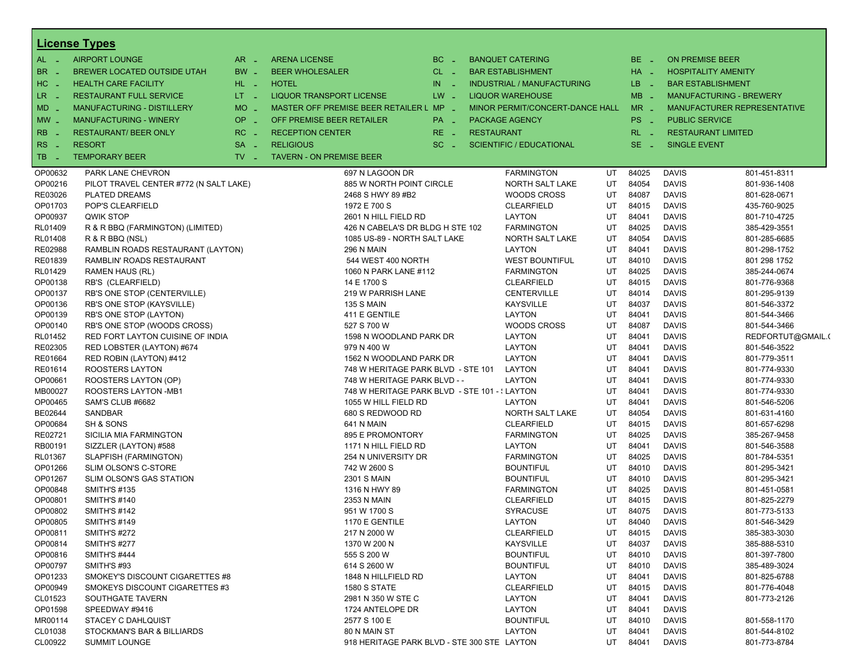|                         | <b>License Types</b>                   |                               |                                               |          |                   |                                   |    |                       |                            |                                    |
|-------------------------|----------------------------------------|-------------------------------|-----------------------------------------------|----------|-------------------|-----------------------------------|----|-----------------------|----------------------------|------------------------------------|
| $AL -$                  | <b>AIRPORT LOUNGE</b>                  | $AR -$                        | <b>ARENA LICENSE</b>                          | $BC -$   |                   | <b>BANQUET CATERING</b>           |    | BE _                  | ON PREMISE BEER            |                                    |
| BR<br>- 11              | BREWER LOCATED OUTSIDE UTAH            | $BW -$                        | <b>BEER WHOLESALER</b>                        | $CL$ $-$ |                   | <b>BAR ESTABLISHMENT</b>          |    | HA _                  | <b>HOSPITALITY AMENITY</b> |                                    |
| HC<br>$\sim$ $\sim$     | <b>HEALTH CARE FACILITY</b>            | HL L                          | <b>HOTEL</b>                                  | $IN -$   |                   | <b>INDUSTRIAL / MANUFACTURING</b> |    | LB.<br><b>College</b> | <b>BAR ESTABLISHMENT</b>   |                                    |
| LR.<br>$\sim$ $\sim$    | <b>RESTAURANT FULL SERVICE</b>         | $LT = 1$                      | <b>LIQUOR TRANSPORT LICENSE</b>               | $LW -$   |                   | <b>LIQUOR WAREHOUSE</b>           |    | $MB -$                |                            | <b>MANUFACTURING - BREWERY</b>     |
| MD                      | <b>MANUFACTURING - DISTILLERY</b>      | $MO$ $\overline{\phantom{0}}$ | MASTER OFF PREMISE BEER RETAILER L MP _       |          |                   | MINOR PERMIT/CONCERT-DANCE HALL   |    | $MR -$                |                            | <b>MANUFACTURER REPRESENTATIVE</b> |
| $MW$ $-$                | <b>MANUFACTURING - WINERY</b>          | $OP$ <sub>-</sub>             | OFF PREMISE BEER RETAILER                     | PA _     |                   | <b>PACKAGE AGENCY</b>             |    | PS _                  | <b>PUBLIC SERVICE</b>      |                                    |
|                         |                                        |                               |                                               |          |                   |                                   |    |                       |                            |                                    |
| <b>RB</b>               | <b>RESTAURANT/ BEER ONLY</b>           | $RC -$                        | <b>RECEPTION CENTER</b>                       | $RE -$   | <b>RESTAURANT</b> |                                   |    | $RL - 1$              | <b>RESTAURANT LIMITED</b>  |                                    |
| <b>RS</b><br>$\sim$ $-$ | <b>RESORT</b>                          | $SA -$                        | <b>RELIGIOUS</b>                              | $SC =$   |                   | <b>SCIENTIFIC / EDUCATIONAL</b>   |    | $SE$ $-$              | <b>SINGLE EVENT</b>        |                                    |
| TB<br>- 11              | <b>TEMPORARY BEER</b>                  | $TV$ $\overline{\phantom{0}}$ | <b>TAVERN - ON PREMISE BEER</b>               |          |                   |                                   |    |                       |                            |                                    |
| OP00632                 | PARK LANE CHEVRON                      |                               | 697 N LAGOON DR                               |          |                   | <b>FARMINGTON</b>                 | UT | 84025                 | <b>DAVIS</b>               | 801-451-8311                       |
| OP00216                 | PILOT TRAVEL CENTER #772 (N SALT LAKE) |                               | 885 W NORTH POINT CIRCLE                      |          |                   | NORTH SALT LAKE                   | UT | 84054                 | <b>DAVIS</b>               | 801-936-1408                       |
| RE03026                 | <b>PLATED DREAMS</b>                   |                               | 2468 S HWY 89 #B2                             |          |                   | <b>WOODS CROSS</b>                | UT | 84087                 | <b>DAVIS</b>               | 801-628-0671                       |
| OP01703                 | POP'S CLEARFIELD                       |                               | 1972 E 700 S                                  |          |                   | <b>CLEARFIELD</b>                 | UT | 84015                 | <b>DAVIS</b>               | 435-760-9025                       |
| OP00937                 | QWIK STOP                              |                               | 2601 N HILL FIELD RD                          |          |                   | <b>LAYTON</b>                     | UT | 84041                 | <b>DAVIS</b>               | 801-710-4725                       |
| RL01409                 | R & R BBQ (FARMINGTON) (LIMITED)       |                               | 426 N CABELA'S DR BLDG H STE 102              |          |                   | <b>FARMINGTON</b>                 | UT | 84025                 | <b>DAVIS</b>               | 385-429-3551                       |
| RL01408                 | R & R BBQ (NSL)                        |                               | 1085 US-89 - NORTH SALT LAKE                  |          |                   | NORTH SALT LAKE                   | UT | 84054                 | <b>DAVIS</b>               | 801-285-6685                       |
| RE02988                 | RAMBLIN ROADS RESTAURANT (LAYTON)      |                               | <b>296 N MAIN</b>                             |          |                   | LAYTON                            | UT | 84041                 | <b>DAVIS</b>               | 801-298-1752                       |
| RE01839                 | RAMBLIN' ROADS RESTAURANT              |                               | 544 WEST 400 NORTH                            |          |                   | <b>WEST BOUNTIFUL</b>             | UT | 84010                 | <b>DAVIS</b>               | 801 298 1752                       |
| RL01429                 | <b>RAMEN HAUS (RL)</b>                 |                               | 1060 N PARK LANE #112                         |          |                   | <b>FARMINGTON</b>                 | UT | 84025                 | <b>DAVIS</b>               | 385-244-0674                       |
| OP00138                 | RB'S (CLEARFIELD)                      |                               | 14 E 1700 S                                   |          |                   | <b>CLEARFIELD</b>                 | UT | 84015                 | <b>DAVIS</b>               | 801-776-9368                       |
| OP00137                 | RB'S ONE STOP (CENTERVILLE)            |                               | 219 W PARRISH LANE                            |          |                   | <b>CENTERVILLE</b>                | UT | 84014                 | <b>DAVIS</b>               | 801-295-9139                       |
| OP00136                 | RB'S ONE STOP (KAYSVILLE)              |                               | <b>135 S MAIN</b>                             |          |                   | <b>KAYSVILLE</b>                  | UT | 84037                 | <b>DAVIS</b>               | 801-546-3372                       |
| OP00139                 | RB'S ONE STOP (LAYTON)                 |                               | 411 E GENTILE                                 |          |                   | LAYTON                            | UT | 84041                 | <b>DAVIS</b>               | 801-544-3466                       |
| OP00140                 | RB'S ONE STOP (WOODS CROSS)            |                               | 527 S 700 W                                   |          |                   | <b>WOODS CROSS</b>                | UT | 84087                 | <b>DAVIS</b>               | 801-544-3466                       |
| RL01452                 | RED FORT LAYTON CUISINE OF INDIA       |                               | 1598 N WOODLAND PARK DR                       |          |                   | <b>LAYTON</b>                     | UT | 84041                 | <b>DAVIS</b>               | REDFORTUT@GMAIL.(                  |
| RE02305                 | RED LOBSTER (LAYTON) #674              |                               | 979 N 400 W                                   |          |                   | LAYTON                            | UT | 84041                 | <b>DAVIS</b>               | 801-546-3522                       |
| RE01664                 | RED ROBIN (LAYTON) #412                |                               | 1562 N WOODLAND PARK DR                       |          |                   | <b>LAYTON</b>                     | UT | 84041                 | <b>DAVIS</b>               | 801-779-3511                       |
| RE01614                 | ROOSTERS LAYTON                        |                               | 748 W HERITAGE PARK BLVD - STE 101            |          |                   | <b>LAYTON</b>                     | UT | 84041                 | <b>DAVIS</b>               | 801-774-9330                       |
| OP00661                 | ROOSTERS LAYTON (OP)                   |                               | 748 W HERITAGE PARK BLVD - -                  |          |                   | LAYTON                            | UT | 84041                 | <b>DAVIS</b>               | 801-774-9330                       |
| MB00027                 | ROOSTERS LAYTON -MB1                   |                               | 748 W HERITAGE PARK BLVD - STE 101 - { LAYTON |          |                   |                                   | UT | 84041                 | <b>DAVIS</b>               | 801-774-9330                       |
| OP00465                 | SAM'S CLUB #6682                       |                               | 1055 W HILL FIELD RD                          |          |                   | <b>LAYTON</b>                     | UT | 84041                 | <b>DAVIS</b>               | 801-546-5206                       |
| BE02644                 | SANDBAR                                |                               | 680 S REDWOOD RD                              |          |                   | NORTH SALT LAKE                   | UT | 84054                 | <b>DAVIS</b>               | 801-631-4160                       |
| OP00684                 | SH & SONS                              |                               | 641 N MAIN                                    |          |                   | <b>CLEARFIELD</b>                 | UT | 84015                 | <b>DAVIS</b>               | 801-657-6298                       |
| RE02721                 | SICILIA MIA FARMINGTON                 |                               | 895 E PROMONTORY                              |          |                   | <b>FARMINGTON</b>                 | UT | 84025                 | <b>DAVIS</b>               | 385-267-9458                       |
| RB00191                 | SIZZLER (LAYTON) #588                  |                               | 1171 N HILL FIELD RD                          |          |                   | LAYTON                            | UT | 84041                 | <b>DAVIS</b>               | 801-546-3588                       |
| RL01367                 | SLAPFISH (FARMINGTON)                  |                               | 254 N UNIVERSITY DR                           |          |                   | <b>FARMINGTON</b>                 | UT | 84025                 | <b>DAVIS</b>               | 801-784-5351                       |
| OP01266                 | SLIM OLSON'S C-STORE                   |                               | 742 W 2600 S                                  |          |                   | <b>BOUNTIFUL</b>                  | UT | 84010                 | <b>DAVIS</b>               | 801-295-3421                       |
| OP01267                 | SLIM OLSON'S GAS STATION               |                               | <b>2301 S MAIN</b>                            |          |                   | <b>BOUNTIFUL</b>                  | UT | 84010                 | <b>DAVIS</b>               | 801-295-3421                       |
| OP00848                 | <b>SMITH'S #135</b>                    |                               | 1316 N HWY 89                                 |          |                   | <b>FARMINGTON</b>                 | UT | 84025                 | <b>DAVIS</b>               | 801-451-0581                       |
| OP00801                 | <b>SMITH'S #140</b>                    |                               | 2353 N MAIN                                   |          |                   | <b>CLEARFIELD</b>                 | UT | 84015                 | <b>DAVIS</b>               | 801-825-2279                       |
| OP00802                 | <b>SMITH'S #142</b>                    |                               | 951 W 1700 S                                  |          |                   | <b>SYRACUSE</b>                   | UT | 84075                 | <b>DAVIS</b>               | 801-773-5133                       |
| OP00805                 | <b>SMITH'S #149</b>                    |                               | 1170 E GENTILE                                |          |                   | <b>LAYTON</b>                     | UT | 84040                 | <b>DAVIS</b>               | 801-546-3429                       |
| OP00811                 | <b>SMITH'S #272</b>                    |                               | 217 N 2000 W                                  |          |                   | <b>CLEARFIELD</b>                 | UT | 84015                 | <b>DAVIS</b>               | 385-383-3030                       |
| OP00814                 | <b>SMITH'S #277</b>                    |                               | 1370 W 200 N                                  |          |                   | <b>KAYSVILLE</b>                  | UT | 84037                 | <b>DAVIS</b>               | 385-888-5310                       |
| OP00816                 | <b>SMITH'S #444</b>                    |                               | 555 S 200 W                                   |          |                   | <b>BOUNTIFUL</b>                  | UT | 84010                 | <b>DAVIS</b>               | 801-397-7800                       |
| OP00797                 | <b>SMITH'S #93</b>                     |                               | 614 S 2600 W                                  |          |                   | <b>BOUNTIFUL</b>                  | UT | 84010                 | <b>DAVIS</b>               | 385-489-3024                       |
| OP01233                 | SMOKEY'S DISCOUNT CIGARETTES #8        |                               | 1848 N HILLFIELD RD                           |          |                   | LAYTON                            | UT | 84041                 | <b>DAVIS</b>               | 801-825-6788                       |
| OP00949                 | SMOKEYS DISCOUNT CIGARETTES #3         |                               | <b>1580 S STATE</b>                           |          |                   | <b>CLEARFIELD</b>                 | UT | 84015                 | <b>DAVIS</b>               | 801-776-4048                       |
| CL01523                 | SOUTHGATE TAVERN                       |                               | 2981 N 350 W STE C                            |          |                   | LAYTON                            | UT | 84041                 | <b>DAVIS</b>               | 801-773-2126                       |
| OP01598                 | SPEEDWAY #9416                         |                               | 1724 ANTELOPE DR                              |          |                   | LAYTON                            | UT | 84041                 | <b>DAVIS</b>               |                                    |
| MR00114                 | <b>STACEY C DAHLQUIST</b>              |                               | 2577 S 100 E                                  |          |                   | <b>BOUNTIFUL</b>                  | UT | 84010                 | <b>DAVIS</b>               | 801-558-1170                       |
| CL01038                 | STOCKMAN'S BAR & BILLIARDS             |                               | 80 N MAIN ST                                  |          |                   | <b>LAYTON</b>                     | UT | 84041                 | <b>DAVIS</b>               | 801-544-8102                       |
| CL00922                 | <b>SUMMIT LOUNGE</b>                   |                               | 918 HERITAGE PARK BLVD - STE 300 STE LAYTON   |          |                   |                                   | UT | 84041                 | <b>DAVIS</b>               | 801-773-8784                       |
|                         |                                        |                               |                                               |          |                   |                                   |    |                       |                            |                                    |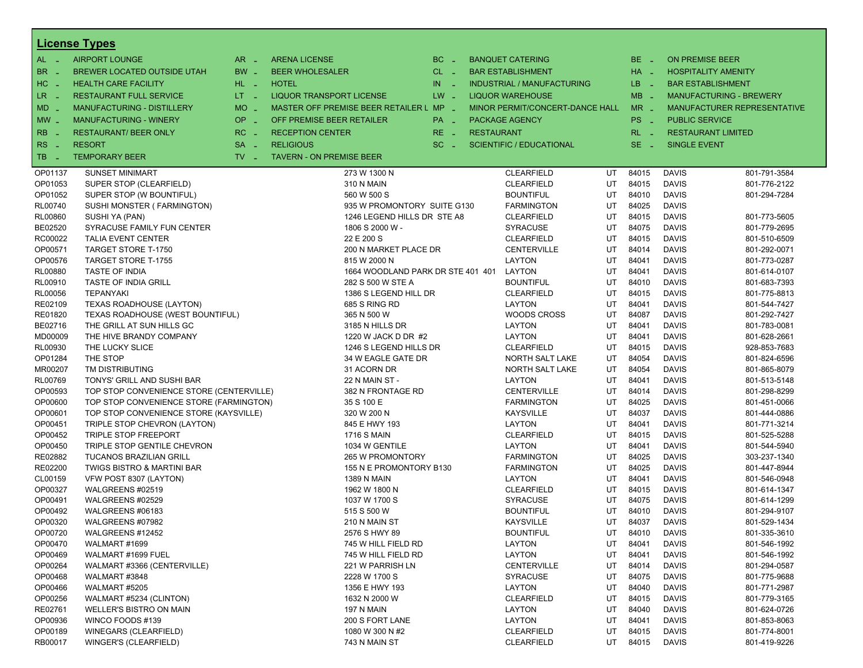|                       | <b>License Types</b>                     |                     |                                         |           |                   |                                   |    |                 |                        |                                |
|-----------------------|------------------------------------------|---------------------|-----------------------------------------|-----------|-------------------|-----------------------------------|----|-----------------|------------------------|--------------------------------|
| $AL -$                | <b>AIRPORT LOUNGE</b>                    | $AR -$              | <b>ARENA LICENSE</b>                    | $BC -$    |                   | <b>BANQUET CATERING</b>           |    | BE _            | <b>ON PREMISE BEER</b> |                                |
| BR<br>- 4             | <b>BREWER LOCATED OUTSIDE UTAH</b>       | BW _                | <b>BEER WHOLESALER</b>                  | $CL$ $-$  |                   | <b>BAR ESTABLISHMENT</b>          |    | HA _            |                        | <b>HOSPITALITY AMENITY</b>     |
| H <sub>C</sub><br>- 4 | <b>HEALTH CARE FACILITY</b>              | HL L                | <b>HOTEL</b>                            | IN<br>- 2 |                   | <b>INDUSTRIAL / MANUFACTURING</b> |    | LB _            |                        | <b>BAR ESTABLISHMENT</b>       |
| LR.                   | <b>RESTAURANT FULL SERVICE</b>           | LT <sub>1</sub>     | <b>LIQUOR TRANSPORT LICENSE</b>         | $LW -$    |                   | <b>LIQUOR WAREHOUSE</b>           |    | $MB -$          |                        | <b>MANUFACTURING - BREWERY</b> |
| - 4                   |                                          | <b>MO</b>           | MASTER OFF PREMISE BEER RETAILER L MP _ |           |                   | MINOR PERMIT/CONCERT-DANCE HALL   |    | $MR -$          |                        | MANUFACTURER REPRESENTATIVE    |
| $MD -$                | MANUFACTURING - DISTILLERY               | $\sim$              |                                         |           |                   |                                   |    |                 |                        |                                |
| $MW-$                 | <b>MANUFACTURING - WINERY</b>            | <b>OP</b><br>$\sim$ | OFF PREMISE BEER RETAILER               | PA _      |                   | <b>PACKAGE AGENCY</b>             |    | PS <sub>-</sub> | <b>PUBLIC SERVICE</b>  |                                |
| <b>RB</b>             | <b>RESTAURANT/ BEER ONLY</b>             | RC<br>i a           | <b>RECEPTION CENTER</b>                 | RE _      | <b>RESTAURANT</b> |                                   |    | $RL - 1$        |                        | <b>RESTAURANT LIMITED</b>      |
| RS<br>- 4             | <b>RESORT</b>                            | <b>SA</b><br>i.     | <b>RELIGIOUS</b>                        | $SC =$    |                   | <b>SCIENTIFIC / EDUCATIONAL</b>   |    | $SE$ $-$        | <b>SINGLE EVENT</b>    |                                |
| TB<br>n a             | <b>TEMPORARY BEER</b>                    | $TV$ $-$            | <b>TAVERN - ON PREMISE BEER</b>         |           |                   |                                   |    |                 |                        |                                |
| OP01137               | <b>SUNSET MINIMART</b>                   |                     | 273 W 1300 N                            |           |                   | <b>CLEARFIELD</b>                 | UT | 84015           | <b>DAVIS</b>           | 801-791-3584                   |
| OP01053               | SUPER STOP (CLEARFIELD)                  |                     | <b>310 N MAIN</b>                       |           |                   | <b>CLEARFIELD</b>                 | UT | 84015           | <b>DAVIS</b>           | 801-776-2122                   |
| OP01052               | SUPER STOP (W BOUNTIFUL)                 |                     | 560 W 500 S                             |           |                   | <b>BOUNTIFUL</b>                  | UT | 84010           | <b>DAVIS</b>           | 801-294-7284                   |
| <b>RL00740</b>        | SUSHI MONSTER (FARMINGTON)               |                     | 935 W PROMONTORY SUITE G130             |           |                   | <b>FARMINGTON</b>                 | UT | 84025           | <b>DAVIS</b>           |                                |
| <b>RL00860</b>        | SUSHI YA (PAN)                           |                     | 1246 LEGEND HILLS DR STE A8             |           |                   | <b>CLEARFIELD</b>                 | UT | 84015           | <b>DAVIS</b>           | 801-773-5605                   |
| BE02520               | SYRACUSE FAMILY FUN CENTER               |                     | 1806 S 2000 W -                         |           |                   | <b>SYRACUSE</b>                   | UT | 84075           | <b>DAVIS</b>           | 801-779-2695                   |
| RC00022               | <b>TALIA EVENT CENTER</b>                |                     | 22 E 200 S                              |           |                   | <b>CLEARFIELD</b>                 | UT | 84015           | <b>DAVIS</b>           | 801-510-6509                   |
| OP00571               | TARGET STORE T-1750                      |                     | 200 N MARKET PLACE DR                   |           |                   | CENTERVILLE                       | UT | 84014           | <b>DAVIS</b>           | 801-292-0071                   |
| OP00576               | TARGET STORE T-1755                      |                     | 815 W 2000 N                            |           |                   | <b>LAYTON</b>                     | UT | 84041           | <b>DAVIS</b>           | 801-773-0287                   |
| <b>RL00880</b>        | <b>TASTE OF INDIA</b>                    |                     | 1664 WOODLAND PARK DR STE 401 401       |           |                   | <b>LAYTON</b>                     | UT | 84041           | <b>DAVIS</b>           | 801-614-0107                   |
| RL00910               | <b>TASTE OF INDIA GRILL</b>              |                     | 282 S 500 W STE A                       |           |                   | <b>BOUNTIFUL</b>                  | UT | 84010           | <b>DAVIS</b>           | 801-683-7393                   |
| RL00056               | <b>TEPANYAKI</b>                         |                     | 1386 S LEGEND HILL DR                   |           |                   | <b>CLEARFIELD</b>                 | UT | 84015           | <b>DAVIS</b>           | 801-775-8813                   |
| RE02109               | TEXAS ROADHOUSE (LAYTON)                 |                     | 685 S RING RD                           |           |                   | <b>LAYTON</b>                     | UT | 84041           | <b>DAVIS</b>           | 801-544-7427                   |
| RE01820               | TEXAS ROADHOUSE (WEST BOUNTIFUL)         |                     | 365 N 500 W                             |           |                   | <b>WOODS CROSS</b>                | UT | 84087           | <b>DAVIS</b>           | 801-292-7427                   |
| BE02716               | THE GRILL AT SUN HILLS GC                |                     | 3185 N HILLS DR                         |           |                   | LAYTON                            | UT | 84041           | <b>DAVIS</b>           | 801-783-0081                   |
| MD00009               | THE HIVE BRANDY COMPANY                  |                     | 1220 W JACK D DR #2                     |           |                   | <b>LAYTON</b>                     | UT | 84041           | <b>DAVIS</b>           | 801-628-2661                   |
| RL00930               | THE LUCKY SLICE                          |                     | 1246 S LEGEND HILLS DR                  |           |                   | <b>CLEARFIELD</b>                 | UT | 84015           | <b>DAVIS</b>           | 928-853-7683                   |
| OP01284               | THE STOP                                 |                     | 34 W EAGLE GATE DR                      |           |                   | NORTH SALT LAKE                   | UT | 84054           | <b>DAVIS</b>           | 801-824-6596                   |
| MR00207               | TM DISTRIBUTING                          |                     | 31 ACORN DR                             |           |                   | NORTH SALT LAKE                   | UT | 84054           | <b>DAVIS</b>           | 801-865-8079                   |
| RL00769               | TONYS' GRILL AND SUSHI BAR               |                     | 22 N MAIN ST -                          |           |                   | LAYTON                            | UT | 84041           | <b>DAVIS</b>           | 801-513-5148                   |
| OP00593               | TOP STOP CONVENIENCE STORE (CENTERVILLE) |                     | 382 N FRONTAGE RD                       |           |                   | <b>CENTERVILLE</b>                | UT | 84014           | <b>DAVIS</b>           | 801-298-8299                   |
| OP00600               | TOP STOP CONVENIENCE STORE (FARMINGTON)  |                     | 35 S 100 E                              |           |                   | <b>FARMINGTON</b>                 | UT | 84025           | <b>DAVIS</b>           | 801-451-0066                   |
| OP00601               | TOP STOP CONVENIENCE STORE (KAYSVILLE)   |                     | 320 W 200 N                             |           |                   | <b>KAYSVILLE</b>                  | UT | 84037           | <b>DAVIS</b>           | 801-444-0886                   |
| OP00451               | TRIPLE STOP CHEVRON (LAYTON)             |                     | 845 E HWY 193                           |           |                   | <b>LAYTON</b>                     | UT | 84041           | <b>DAVIS</b>           | 801-771-3214                   |
| OP00452               | TRIPLE STOP FREEPORT                     |                     | <b>1716 S MAIN</b>                      |           |                   | <b>CLEARFIELD</b>                 | UT | 84015           | <b>DAVIS</b>           | 801-525-5288                   |
| OP00450               | TRIPLE STOP GENTILE CHEVRON              |                     | 1034 W GENTILE                          |           |                   | LAYTON                            | UT | 84041           | <b>DAVIS</b>           | 801-544-5940                   |
| RE02882               | <b>TUCANOS BRAZILIAN GRILL</b>           |                     | 265 W PROMONTORY                        |           |                   | <b>FARMINGTON</b>                 | UT | 84025           | <b>DAVIS</b>           | 303-237-1340                   |
| RE02200               | <b>TWIGS BISTRO &amp; MARTINI BAR</b>    |                     | 155 N E PROMONTORY B130                 |           |                   | <b>FARMINGTON</b>                 | UT | 84025           | <b>DAVIS</b>           | 801-447-8944                   |
| CL00159               | VFW POST 8307 (LAYTON)                   |                     | 1389 N MAIN                             |           |                   | LAYTON                            | UT | 84041           | <b>DAVIS</b>           | 801-546-0948                   |
| OP00327               | WALGREENS #02519                         |                     | 1962 W 1800 N                           |           |                   | <b>CLEARFIELD</b>                 | UT | 84015           | <b>DAVIS</b>           | 801-614-1347                   |
| OP00491               | WALGREENS #02529                         |                     | 1037 W 1700 S                           |           |                   | <b>SYRACUSE</b>                   | UT | 84075           | <b>DAVIS</b>           | 801-614-1299                   |
| OP00492               | WALGREENS #06183                         |                     | 515 S 500 W                             |           |                   | <b>BOUNTIFUL</b>                  | UT | 84010           | <b>DAVIS</b>           | 801-294-9107                   |
| OP00320               | WALGREENS #07982                         |                     | 210 N MAIN ST                           |           |                   | <b>KAYSVILLE</b>                  | UT | 84037           | <b>DAVIS</b>           | 801-529-1434                   |
| OP00720               | WALGREENS #12452                         |                     | 2576 S HWY 89                           |           |                   | <b>BOUNTIFUL</b>                  | UT | 84010           | <b>DAVIS</b>           | 801-335-3610                   |
| OP00470               | WALMART #1699                            |                     | 745 W HILL FIELD RD                     |           |                   | LAYTON                            | UT | 84041           | <b>DAVIS</b>           | 801-546-1992                   |
| OP00469               | WALMART #1699 FUEL                       |                     | 745 W HILL FIELD RD                     |           |                   | LAYTON                            | UT | 84041           | <b>DAVIS</b>           | 801-546-1992                   |
| OP00264               | WALMART #3366 (CENTERVILLE)              |                     | 221 W PARRISH LN                        |           |                   | CENTERVILLE                       | UT | 84014           | <b>DAVIS</b>           | 801-294-0587                   |
| OP00468               | WALMART #3848                            |                     | 2228 W 1700 S                           |           |                   | <b>SYRACUSE</b>                   | UT | 84075           | <b>DAVIS</b>           | 801-775-9688                   |
| OP00466               | WALMART #5205                            |                     | 1356 E HWY 193                          |           |                   | <b>LAYTON</b>                     | UT | 84040           | <b>DAVIS</b>           | 801-771-2987                   |
| OP00256               | WALMART #5234 (CLINTON)                  |                     | 1632 N 2000 W                           |           |                   | <b>CLEARFIELD</b>                 | UT | 84015           | <b>DAVIS</b>           | 801-779-3165                   |
| RE02761               | <b>WELLER'S BISTRO ON MAIN</b>           |                     | 197 N MAIN                              |           |                   | LAYTON                            | UT | 84040           | <b>DAVIS</b>           | 801-624-0726                   |
| OP00936               | WINCO FOODS #139                         |                     | 200 S FORT LANE                         |           |                   | LAYTON                            | UT | 84041           | <b>DAVIS</b>           | 801-853-8063                   |
| OP00189               | WINEGARS (CLEARFIELD)                    |                     | 1080 W 300 N #2                         |           |                   | <b>CLEARFIELD</b>                 | UT | 84015           | <b>DAVIS</b>           | 801-774-8001                   |
| RB00017               | WINGER'S (CLEARFIELD)                    |                     | 743 N MAIN ST                           |           |                   | <b>CLEARFIELD</b>                 | UT | 84015           | <b>DAVIS</b>           | 801-419-9226                   |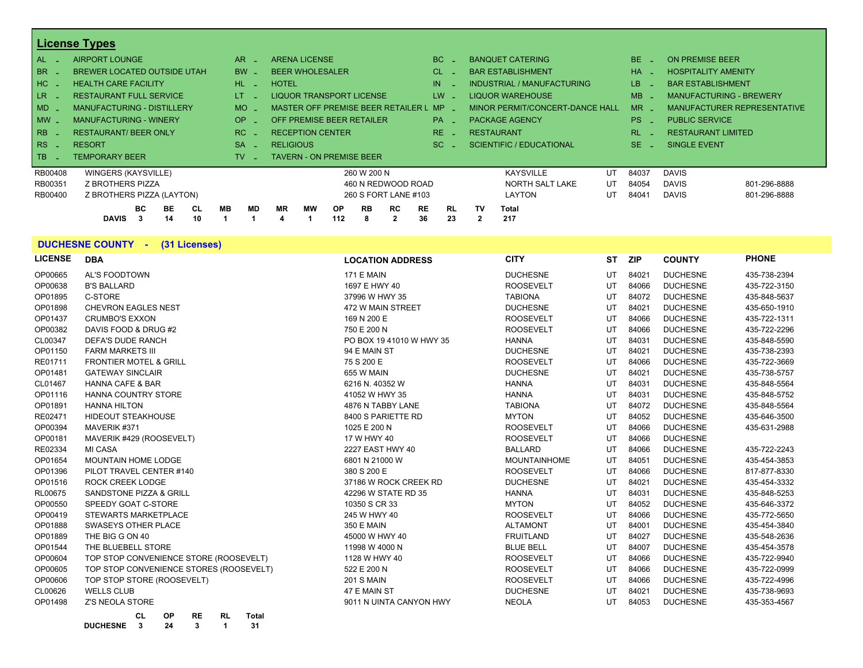|                | <b>License Types</b>                               |                 |                                    |                  |                |                           |                 |                 |                   |                                 |    |           |                          |                                |
|----------------|----------------------------------------------------|-----------------|------------------------------------|------------------|----------------|---------------------------|-----------------|-----------------|-------------------|---------------------------------|----|-----------|--------------------------|--------------------------------|
| AL.            | <b>AIRPORT LOUNGE</b>                              | AR.             | <b>ARENA LICENSE</b>               |                  |                |                           | BC.             |                 |                   | <b>BANQUET CATERING</b>         |    | BE.       | <b>ON PREMISE BEER</b>   |                                |
| BR.            | <b>BREWER LOCATED OUTSIDE UTAH</b>                 | <b>BW</b>       | <b>BEER WHOLESALER</b>             |                  |                |                           | <b>CL</b>       |                 |                   | <b>BAR ESTABLISHMENT</b>        |    | <b>HA</b> |                          | <b>HOSPITALITY AMENITY</b>     |
| HC             | <b>HEALTH CARE FACILITY</b>                        | HL.             | <b>HOTEL</b>                       |                  |                |                           | IN              |                 |                   | INDUSTRIAL / MANUFACTURING      |    | LB.       | <b>BAR ESTABLISHMENT</b> |                                |
| LR _           | <b>RESTAURANT FULL SERVICE</b>                     | LT.             | <b>LIQUOR TRANSPORT LICENSE</b>    |                  |                |                           | LW.             |                 |                   | LIQUOR WAREHOUSE                |    | MB        |                          | <b>MANUFACTURING - BREWERY</b> |
| $MD -$         | <b>MANUFACTURING - DISTILLERY</b>                  | <b>MO</b>       | MASTER OFF PREMISE BEER RETAILER L |                  |                |                           | <b>MP</b>       |                 |                   | MINOR PERMIT/CONCERT-DANCE HALL |    | $MR -$    |                          | MANUFACTURER REPRESENTATIVE    |
| $MW -$         | <b>MANUFACTURING - WINERY</b>                      | OP.             | OFF PREMISE BEER RETAILER          |                  |                |                           | $PA -$          |                 |                   | PACKAGE AGENCY                  |    | PS.       | <b>PUBLIC SERVICE</b>    |                                |
| R <sub>B</sub> | <b>RESTAURANT/ BEER ONLY</b>                       | RC.             | <b>RECEPTION CENTER</b>            |                  |                |                           | RE.             |                 | <b>RESTAURANT</b> |                                 |    | RL.       |                          | <b>RESTAURANT LIMITED</b>      |
| RS.<br>- 4     | <b>RESORT</b>                                      | <b>SA</b>       | <b>RELIGIOUS</b>                   |                  |                |                           | SC.             |                 |                   | <b>SCIENTIFIC / EDUCATIONAL</b> |    | SE.       | <b>SINGLE EVENT</b>      |                                |
| TB.            | <b>TEMPORARY BEER</b>                              | TV.             | <b>TAVERN - ON PREMISE BEER</b>    |                  |                |                           |                 |                 |                   |                                 |    |           |                          |                                |
| RB00408        | <b>WINGERS (KAYSVILLE)</b>                         |                 |                                    |                  | 260 W 200 N    |                           |                 |                 |                   | <b>KAYSVILLE</b>                | UT | 84037     | <b>DAVIS</b>             |                                |
| RB00351        | Z BROTHERS PIZZA                                   |                 |                                    |                  |                | 460 N REDWOOD ROAD        |                 |                 |                   | NORTH SALT LAKE                 | UT | 84054     | <b>DAVIS</b>             | 801-296-8888                   |
| RB00400        | Z BROTHERS PIZZA (LAYTON)                          |                 |                                    |                  |                | 260 S FORT LANE #103      |                 |                 |                   | LAYTON                          | UT | 84041     | <b>DAVIS</b>             | 801-296-8888                   |
|                | BC.<br>BE.<br>CL<br><b>DAVIS</b><br>10<br>14<br>-3 | <b>MB</b><br>MD | <b>MR</b><br>МW                    | <b>OP</b><br>112 | <b>RB</b><br>8 | <b>RC</b><br>$\mathbf{2}$ | <b>RE</b><br>36 | <b>RL</b><br>23 | TV                | <b>Total</b><br>217             |    |           |                          |                                |

#### **DUCHESNE COUNTY - (31 Licenses)**

**DUCHESNE 3 24 3 1 31**

| <b>LICENSE</b> | <b>DBA</b>                                   | <b>LOCATION ADDRESS</b>  | <b>CITY</b>         | ST | ZIP   | <b>COUNTY</b>   | <b>PHONE</b> |
|----------------|----------------------------------------------|--------------------------|---------------------|----|-------|-----------------|--------------|
| OP00665        | <b>AL'S FOODTOWN</b>                         | <b>171 E MAIN</b>        | <b>DUCHESNE</b>     | UT | 84021 | <b>DUCHESNE</b> | 435-738-2394 |
| OP00638        | <b>B'S BALLARD</b>                           | 1697 E HWY 40            | <b>ROOSEVELT</b>    | UT | 84066 | <b>DUCHESNE</b> | 435-722-3150 |
| OP01895        | C-STORE                                      | 37996 W HWY 35           | <b>TABIONA</b>      | UT | 84072 | <b>DUCHESNE</b> | 435-848-5637 |
| OP01898        | <b>CHEVRON EAGLES NEST</b>                   | 472 W MAIN STREET        | <b>DUCHESNE</b>     | UT | 84021 | <b>DUCHESNE</b> | 435-650-1910 |
| OP01437        | <b>CRUMBO'S EXXON</b>                        | 169 N 200 E              | <b>ROOSEVELT</b>    | UT | 84066 | <b>DUCHESNE</b> | 435-722-1311 |
| OP00382        | DAVIS FOOD & DRUG #2                         | 750 E 200 N              | <b>ROOSEVELT</b>    | UT | 84066 | <b>DUCHESNE</b> | 435-722-2296 |
| CL00347        | DEFA'S DUDE RANCH                            | PO BOX 19 41010 W HWY 35 | <b>HANNA</b>        | UT | 84031 | <b>DUCHESNE</b> | 435-848-5590 |
| OP01150        | <b>FARM MARKETS III</b>                      | 94 E MAIN ST             | <b>DUCHESNE</b>     | UT | 84021 | <b>DUCHESNE</b> | 435-738-2393 |
| RE01711        | <b>FRONTIER MOTEL &amp; GRILL</b>            | 75 S 200 E               | <b>ROOSEVELT</b>    | UT | 84066 | <b>DUCHESNE</b> | 435-722-3669 |
| OP01481        | <b>GATEWAY SINCLAIR</b>                      | 655 W MAIN               | <b>DUCHESNE</b>     | UT | 84021 | <b>DUCHESNE</b> | 435-738-5757 |
| CL01467        | <b>HANNA CAFE &amp; BAR</b>                  | 6216 N. 40352 W          | <b>HANNA</b>        | UT | 84031 | <b>DUCHESNE</b> | 435-848-5564 |
| OP01116        | <b>HANNA COUNTRY STORE</b>                   | 41052 W HWY 35           | <b>HANNA</b>        | UT | 84031 | <b>DUCHESNE</b> | 435-848-5752 |
| OP01891        | <b>HANNA HILTON</b>                          | 4876 N TABBY LANE        | <b>TABIONA</b>      | UT | 84072 | <b>DUCHESNE</b> | 435-848-5564 |
| RE02471        | <b>HIDEOUT STEAKHOUSE</b>                    | 8400 S PARIETTE RD       | <b>MYTON</b>        | UT | 84052 | <b>DUCHESNE</b> | 435-646-3500 |
| OP00394        | MAVERIK #371                                 | 1025 E 200 N             | <b>ROOSEVELT</b>    | UT | 84066 | <b>DUCHESNE</b> | 435-631-2988 |
| OP00181        | MAVERIK #429 (ROOSEVELT)                     | 17 W HWY 40              | <b>ROOSEVELT</b>    | UT | 84066 | <b>DUCHESNE</b> |              |
| RE02334        | <b>MI CASA</b>                               | 2227 EAST HWY 40         | <b>BALLARD</b>      | UT | 84066 | <b>DUCHESNE</b> | 435-722-2243 |
| OP01654        | <b>MOUNTAIN HOME LODGE</b>                   | 6801 N 21000 W           | <b>MOUNTAINHOME</b> | UT | 84051 | <b>DUCHESNE</b> | 435-454-3853 |
| OP01396        | PILOT TRAVEL CENTER #140                     | 380 S 200 E              | <b>ROOSEVELT</b>    | UT | 84066 | <b>DUCHESNE</b> | 817-877-8330 |
| OP01516        | <b>ROCK CREEK LODGE</b>                      | 37186 W ROCK CREEK RD    | <b>DUCHESNE</b>     | UT | 84021 | <b>DUCHESNE</b> | 435-454-3332 |
| RL00675        | <b>SANDSTONE PIZZA &amp; GRILL</b>           | 42296 W STATE RD 35      | <b>HANNA</b>        | UT | 84031 | <b>DUCHESNE</b> | 435-848-5253 |
| OP00550        | SPEEDY GOAT C-STORE                          | 10350 S CR 33            | <b>MYTON</b>        | UT | 84052 | <b>DUCHESNE</b> | 435-646-3372 |
| OP00419        | <b>STEWARTS MARKETPLACE</b>                  | 245 W HWY 40             | <b>ROOSEVELT</b>    | UT | 84066 | <b>DUCHESNE</b> | 435-772-5650 |
| OP01888        | SWASEYS OTHER PLACE                          | 350 E MAIN               | <b>ALTAMONT</b>     | UT | 84001 | <b>DUCHESNE</b> | 435-454-3840 |
| OP01889        | THE BIG G ON 40                              | 45000 W HWY 40           | <b>FRUITLAND</b>    | UT | 84027 | <b>DUCHESNE</b> | 435-548-2636 |
| OP01544        | THE BLUEBELL STORE                           | 11998 W 4000 N           | <b>BLUE BELL</b>    | UT | 84007 | <b>DUCHESNE</b> | 435-454-3578 |
| OP00604        | TOP STOP CONVENIENCE STORE (ROOSEVELT)       | 1128 W HWY 40            | <b>ROOSEVELT</b>    | UT | 84066 | <b>DUCHESNE</b> | 435-722-9940 |
| OP00605        | TOP STOP CONVENIENCE STORES (ROOSEVELT)      | 522 E 200 N              | <b>ROOSEVELT</b>    | UT | 84066 | <b>DUCHESNE</b> | 435-722-0999 |
| OP00606        | TOP STOP STORE (ROOSEVELT)                   | <b>201 S MAIN</b>        | <b>ROOSEVELT</b>    | UT | 84066 | <b>DUCHESNE</b> | 435-722-4996 |
| CL00626        | <b>WELLS CLUB</b>                            | 47 E MAIN ST             | <b>DUCHESNE</b>     | UT | 84021 | <b>DUCHESNE</b> | 435-738-9693 |
| OP01498        | <b>Z'S NEOLA STORE</b>                       | 9011 N UINTA CANYON HWY  | <b>NEOLA</b>        | UT | 84053 | <b>DUCHESNE</b> | 435-353-4567 |
|                | <b>OP</b><br>CL<br><b>RE</b><br>RL.<br>Total |                          |                     |    |       |                 |              |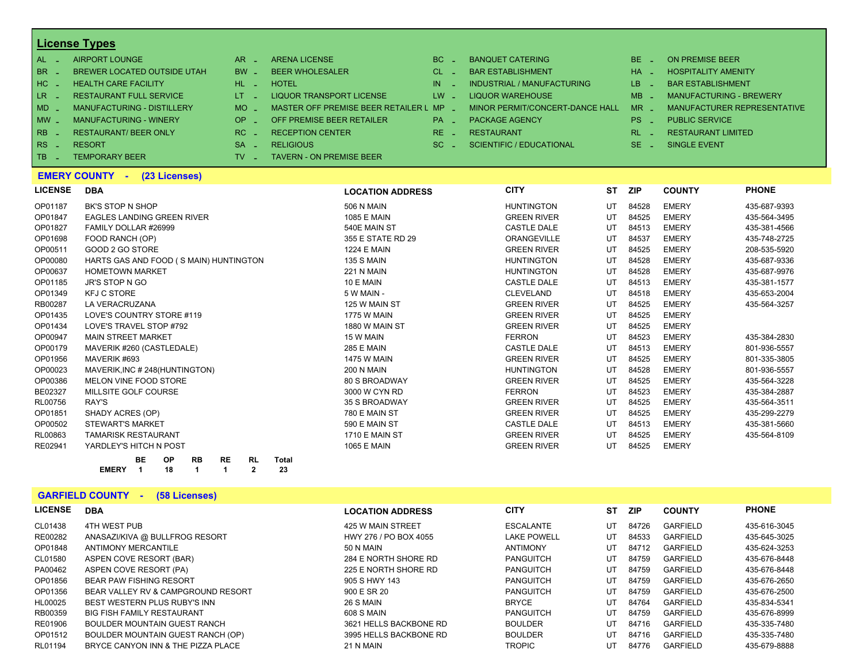| $AL -$          | AIRPORT LOUNGE                    | $AR -$                        | <b>ARENA LICENSE</b>                    | $BC =$   | <b>BANQUET CATERING</b>         | $BE -$    | <b>ON PREMISE BEER</b>         |
|-----------------|-----------------------------------|-------------------------------|-----------------------------------------|----------|---------------------------------|-----------|--------------------------------|
| BR _            | BREWER LOCATED OUTSIDE UTAH       | $BW -$                        | <b>BEER WHOLESALER</b>                  | $CL$ $=$ | <b>BAR ESTABLISHMENT</b>        | $HA$ $=$  | <b>HOSPITALITY AMENITY</b>     |
| I HC L          | <b>HEALTH CARE FACILITY</b>       | HL L                          | <b>HOTEL</b>                            | IN.      | INDUSTRIAL / MANUFACTURING      | $LB -$    | <b>BAR ESTABLISHMENT</b>       |
| LR <sub>-</sub> | <b>RESTAURANT FULL SERVICE</b>    | $LT - 1$                      | LIQUOR TRANSPORT LICENSE                | LW -     | LIQUOR WAREHOUSE                | $MB -$    | <b>MANUFACTURING - BREWERY</b> |
| $MD -$          | <b>MANUFACTURING - DISTILLERY</b> | $MO$ $\overline{\phantom{0}}$ | MASTER OFF PREMISE BEER RETAILER L MP _ |          | MINOR PERMIT/CONCERT-DANCE HALL | $MR -$    | MANUFACTURER REPRESENTATIVE    |
| $MW-$           | <b>MANUFACTURING - WINERY</b>     | $OP =$                        | OFF PREMISE BEER RETAILER               | $PA -$   | <b>PACKAGE AGENCY</b>           | $PS \sim$ | <b>PUBLIC SERVICE</b>          |
| $R_{\rm BB}$ .  | <b>RESTAURANT/ BEER ONLY</b>      | $RC =$                        | <b>RECEPTION CENTER</b>                 | $RE =$   | <b>RESTAURANT</b>               | $RL - 1$  | <b>RESTAURANT LIMITED</b>      |
| $RS -$          | <b>RESORT</b>                     | <b>SA</b><br>11 Million       | <b>RELIGIOUS</b>                        | $SC =$   | SCIENTIFIC / EDUCATIONAL        | $SE =$    | <b>SINGLE EVENT</b>            |
| $TR -$          | <b>TEMPORARY BEER</b>             | TV _                          | <b>TAVERN - ON PREMISE BEER</b>         |          |                                 |           |                                |

#### **EMERY COUNTY - (23 Licenses)**

| <b>LICENSE</b> | <b>DBA</b>                                                             | <b>LOCATION ADDRESS</b> | <b>CITY</b>        | <b>ST</b> | <b>ZIP</b> | <b>COUNTY</b> | <b>PHONE</b> |
|----------------|------------------------------------------------------------------------|-------------------------|--------------------|-----------|------------|---------------|--------------|
| OP01187        | <b>BK'S STOP N SHOP</b>                                                | <b>506 N MAIN</b>       | <b>HUNTINGTON</b>  | UT        | 84528      | <b>EMERY</b>  | 435-687-9393 |
| OP01847        | <b>EAGLES LANDING GREEN RIVER</b>                                      | <b>1085 E MAIN</b>      | <b>GREEN RIVER</b> | UT        | 84525      | <b>EMERY</b>  | 435-564-3495 |
| OP01827        | FAMILY DOLLAR #26999                                                   | 540E MAIN ST            | <b>CASTLE DALE</b> | UT        | 84513      | <b>EMERY</b>  | 435-381-4566 |
| OP01698        | FOOD RANCH (OP)                                                        | 355 E STATE RD 29       | <b>ORANGEVILLE</b> | UT        | 84537      | <b>EMERY</b>  | 435-748-2725 |
| OP00511        | GOOD 2 GO STORE                                                        | <b>1224 E MAIN</b>      | <b>GREEN RIVER</b> | UT        | 84525      | <b>EMERY</b>  | 208-535-5920 |
| OP00080        | HARTS GAS AND FOOD (S MAIN) HUNTINGTON                                 | <b>135 S MAIN</b>       | <b>HUNTINGTON</b>  | UT        | 84528      | <b>EMERY</b>  | 435-687-9336 |
| OP00637        | <b>HOMETOWN MARKET</b>                                                 | <b>221 N MAIN</b>       | <b>HUNTINGTON</b>  | UT        | 84528      | <b>EMERY</b>  | 435-687-9976 |
| OP01185        | <b>JR'S STOP N GO</b>                                                  | 10 E MAIN               | <b>CASTLE DALE</b> | UT        | 84513      | <b>EMERY</b>  | 435-381-1577 |
| OP01349        | <b>KFJ C STORE</b>                                                     | 5 W MAIN -              | <b>CLEVELAND</b>   | UT        | 84518      | <b>EMERY</b>  | 435-653-2004 |
| RB00287        | LA VERACRUZANA                                                         | 125 W MAIN ST           | <b>GREEN RIVER</b> | UT        | 84525      | <b>EMERY</b>  | 435-564-3257 |
| OP01435        | LOVE'S COUNTRY STORE #119                                              | <b>1775 W MAIN</b>      | <b>GREEN RIVER</b> | UT        | 84525      | <b>EMERY</b>  |              |
| OP01434        | LOVE'S TRAVEL STOP #792                                                | 1880 W MAIN ST          | <b>GREEN RIVER</b> | UT        | 84525      | <b>EMERY</b>  |              |
| OP00947        | <b>MAIN STREET MARKET</b>                                              | 15 W MAIN               | <b>FERRON</b>      | UT        | 84523      | <b>EMERY</b>  | 435-384-2830 |
| OP00179        | MAVERIK #260 (CASTLEDALE)                                              | <b>285 E MAIN</b>       | <b>CASTLE DALE</b> | UT        | 84513      | <b>EMERY</b>  | 801-936-5557 |
| OP01956        | MAVERIK #693                                                           | <b>1475 W MAIN</b>      | <b>GREEN RIVER</b> | UT        | 84525      | <b>EMERY</b>  | 801-335-3805 |
| OP00023        | MAVERIK, INC #248 (HUNTINGTON)                                         | <b>200 N MAIN</b>       | <b>HUNTINGTON</b>  | UT        | 84528      | <b>EMERY</b>  | 801-936-5557 |
| OP00386        | MELON VINE FOOD STORE                                                  | <b>80 S BROADWAY</b>    | <b>GREEN RIVER</b> | UT        | 84525      | <b>EMERY</b>  | 435-564-3228 |
| BE02327        | MILLSITE GOLF COURSE                                                   | 3000 W CYN RD           | <b>FERRON</b>      | UT        | 84523      | <b>EMERY</b>  | 435-384-2887 |
| RL00756        | RAY'S                                                                  | 35 S BROADWAY           | <b>GREEN RIVER</b> | UT        | 84525      | <b>EMERY</b>  | 435-564-3511 |
| OP01851        | SHADY ACRES (OP)                                                       | 780 E MAIN ST           | <b>GREEN RIVER</b> | UT        | 84525      | <b>EMERY</b>  | 435-299-2279 |
| OP00502        | <b>STEWART'S MARKET</b>                                                | 590 E MAIN ST           | <b>CASTLE DALE</b> | UT        | 84513      | <b>EMERY</b>  | 435-381-5660 |
| RL00863        | <b>TAMARISK RESTAURANT</b>                                             | <b>1710 E MAIN ST</b>   | <b>GREEN RIVER</b> | UT        | 84525      | <b>EMERY</b>  | 435-564-8109 |
| RE02941        | YARDLEY'S HITCH N POST                                                 | <b>1065 E MAIN</b>      | <b>GREEN RIVER</b> | UT        | 84525      | <b>EMERY</b>  |              |
|                | BE<br><b>RE</b><br><b>RL</b><br><b>OP</b><br><b>RB</b><br><b>Total</b> |                         |                    |           |            |               |              |

#### **GARFIELD COUNTY - (58 Licenses)**

**EMERY 1 18 1 1 2 23**

| <b>LICENSE</b> | <b>DBA</b>                         | <b>LOCATION ADDRESS</b> | <b>CITY</b>        | <b>ST</b> | <b>ZIP</b> | <b>COUNTY</b>   | <b>PHONE</b> |
|----------------|------------------------------------|-------------------------|--------------------|-----------|------------|-----------------|--------------|
| CL01438        | <b>4TH WEST PUB</b>                | 425 W MAIN STREET       | <b>ESCALANTE</b>   | UT        | 84726      | <b>GARFIELD</b> | 435-616-3045 |
| RE00282        | ANASAZI/KIVA @ BULLFROG RESORT     | HWY 276 / PO BOX 4055   | <b>LAKE POWELL</b> | UT        | 84533      | GARFIELD        | 435-645-3025 |
| OP01848        | <b>ANTIMONY MERCANTILE</b>         | 50 N MAIN               | <b>ANTIMONY</b>    | UT        | 84712      | <b>GARFIELD</b> | 435-624-3253 |
| CL01580        | ASPEN COVE RESORT (BAR)            | 284 E NORTH SHORE RD    | PANGUITCH          | UT        | 84759      | GARFIELD        | 435-676-8448 |
| PA00462        | ASPEN COVE RESORT (PA)             | 225 E NORTH SHORE RD    | <b>PANGUITCH</b>   | UT        | 84759      | <b>GARFIELD</b> | 435-676-8448 |
| OP01856        | <b>BEAR PAW FISHING RESORT</b>     | 905 S HWY 143           | <b>PANGUITCH</b>   | UT        | 84759      | GARFIELD        | 435-676-2650 |
| OP01356        | BEAR VALLEY RV & CAMPGROUND RESORT | 900 E SR 20             | <b>PANGUITCH</b>   | UT        | 84759      | <b>GARFIELD</b> | 435-676-2500 |
| HL00025        | BEST WESTERN PLUS RUBY'S INN       | 26 S MAIN               | <b>BRYCE</b>       | UT        | 84764      | GARFIELD        | 435-834-5341 |
| RB00359        | <b>BIG FISH FAMILY RESTAURANT</b>  | 608 S MAIN              | <b>PANGUITCH</b>   | UT        | 84759      | GARFIELD        | 435-676-8999 |
| RE01906        | BOULDER MOUNTAIN GUEST RANCH       | 3621 HELLS BACKBONE RD  | <b>BOULDER</b>     | UT        | 84716      | GARFIELD        | 435-335-7480 |
| OP01512        | BOULDER MOUNTAIN GUEST RANCH (OP)  | 3995 HELLS BACKBONE RD  | <b>BOULDER</b>     | UT        | 84716      | GARFIELD        | 435-335-7480 |
| RL01194        | BRYCE CANYON INN & THE PIZZA PLACE | 21 N MAIN               | <b>TROPIC</b>      | UT        | 84776      | <b>GARFIELD</b> | 435-679-8888 |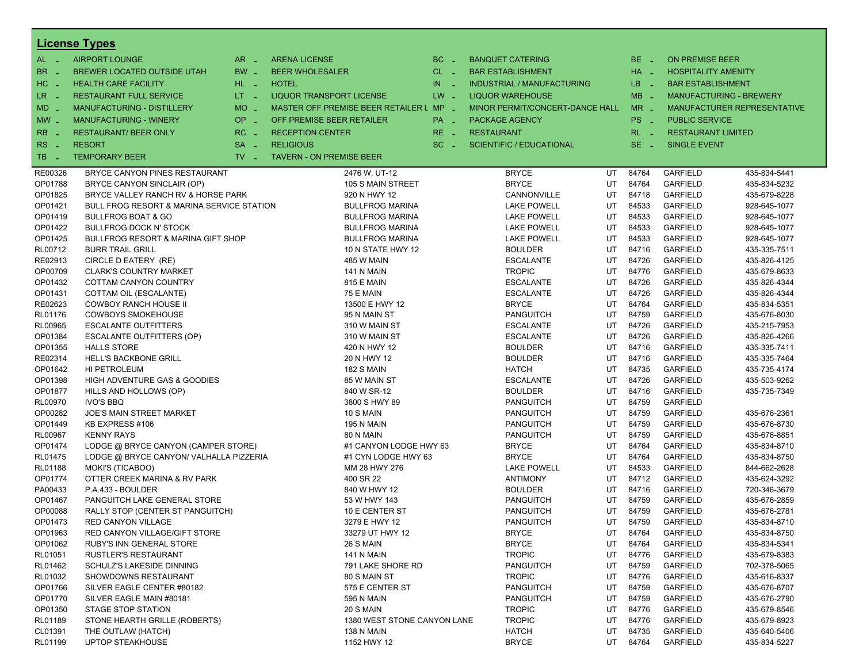|                                 | <b>License Types</b>                          |                               |                                         |          |                                   |    |                 |                            |                                |
|---------------------------------|-----------------------------------------------|-------------------------------|-----------------------------------------|----------|-----------------------------------|----|-----------------|----------------------------|--------------------------------|
| $AL -$                          | <b>AIRPORT LOUNGE</b>                         | $AR -$                        | <b>ARENA LICENSE</b>                    | $BC -$   | <b>BANQUET CATERING</b>           |    | BE _            | <b>ON PREMISE BEER</b>     |                                |
| BR<br>- 4                       | BREWER LOCATED OUTSIDE UTAH                   | BW _                          | <b>BEER WHOLESALER</b>                  | $CL$ $-$ | <b>BAR ESTABLISHMENT</b>          |    | $HA$ $-$        | <b>HOSPITALITY AMENITY</b> |                                |
| H <sub>C</sub><br>$\sim$ $\sim$ | <b>HEALTH CARE FACILITY</b>                   | HL L                          | <b>HOTEL</b>                            | $IN =$   | <b>INDUSTRIAL / MANUFACTURING</b> |    | LB __           | <b>BAR ESTABLISHMENT</b>   |                                |
| LR -                            | <b>RESTAURANT FULL SERVICE</b>                | $LT - 1$                      | LIQUOR TRANSPORT LICENSE                | $LW -$   | <b>LIQUOR WAREHOUSE</b>           |    | $MB -$          |                            | <b>MANUFACTURING - BREWERY</b> |
|                                 | MANUFACTURING - DISTILLERY                    | <b>MO</b><br>i Li             | MASTER OFF PREMISE BEER RETAILER L MP _ |          | MINOR PERMIT/CONCERT-DANCE HALL   |    | $MR -$          |                            | MANUFACTURER REPRESENTATIVE    |
| $MD -$                          |                                               |                               |                                         |          |                                   |    |                 |                            |                                |
| $MW-$                           | <b>MANUFACTURING - WINERY</b>                 | <b>OP</b><br>п.               | OFF PREMISE BEER RETAILER               | PA _     | <b>PACKAGE AGENCY</b>             |    | PS <sub>-</sub> | <b>PUBLIC SERVICE</b>      |                                |
| <b>RB</b>                       | <b>RESTAURANT/ BEER ONLY</b>                  | RC<br>$\sim$                  | <b>RECEPTION CENTER</b>                 | RE _     | <b>RESTAURANT</b>                 |    | $RL - 1$        | <b>RESTAURANT LIMITED</b>  |                                |
| RS<br>- 4                       | <b>RESORT</b>                                 | <b>SA</b><br>п.               | <b>RELIGIOUS</b>                        | $SC =$   | <b>SCIENTIFIC / EDUCATIONAL</b>   |    | $SE -$          | <b>SINGLE EVENT</b>        |                                |
| TB.<br>- 4                      | <b>TEMPORARY BEER</b>                         | $TV$ $\overline{\phantom{0}}$ | <b>TAVERN - ON PREMISE BEER</b>         |          |                                   |    |                 |                            |                                |
| RE00326                         | BRYCE CANYON PINES RESTAURANT                 |                               | 2476 W, UT-12                           |          | <b>BRYCE</b>                      | UT | 84764           | <b>GARFIELD</b>            | 435-834-5441                   |
| OP01788                         | BRYCE CANYON SINCLAIR (OP)                    |                               | 105 S MAIN STREET                       |          | <b>BRYCE</b>                      | UT | 84764           | <b>GARFIELD</b>            | 435-834-5232                   |
| OP01825                         | BRYCE VALLEY RANCH RV & HORSE PARK            |                               | 920 N HWY 12                            |          | CANNONVILLE                       | UT | 84718           | <b>GARFIELD</b>            | 435-679-8228                   |
| OP01421                         | BULL FROG RESORT & MARINA SERVICE STATION     |                               | <b>BULLFROG MARINA</b>                  |          | <b>LAKE POWELL</b>                | UT | 84533           | <b>GARFIELD</b>            | 928-645-1077                   |
| OP01419                         | <b>BULLFROG BOAT &amp; GO</b>                 |                               | <b>BULLFROG MARINA</b>                  |          | <b>LAKE POWELL</b>                | UT | 84533           | <b>GARFIELD</b>            | 928-645-1077                   |
| OP01422                         | <b>BULLFROG DOCK N' STOCK</b>                 |                               | <b>BULLFROG MARINA</b>                  |          | <b>LAKE POWELL</b>                | UT | 84533           | <b>GARFIELD</b>            | 928-645-1077                   |
| OP01425                         | <b>BULLFROG RESORT &amp; MARINA GIFT SHOP</b> |                               | <b>BULLFROG MARINA</b>                  |          | <b>LAKE POWELL</b>                | UT | 84533           | <b>GARFIELD</b>            | 928-645-1077                   |
| RL00712                         | <b>BURR TRAIL GRILL</b>                       |                               | 10 N STATE HWY 12                       |          | <b>BOULDER</b>                    | UT | 84716           | <b>GARFIELD</b>            | 435-335-7511                   |
| RE02913                         | CIRCLE D EATERY (RE)                          |                               | 485 W MAIN                              |          | <b>ESCALANTE</b>                  | UT | 84726           | <b>GARFIELD</b>            | 435-826-4125                   |
| OP00709                         | <b>CLARK'S COUNTRY MARKET</b>                 |                               | 141 N MAIN                              |          | <b>TROPIC</b>                     | UT | 84776           | <b>GARFIELD</b>            | 435-679-8633                   |
| OP01432                         | COTTAM CANYON COUNTRY                         |                               | 815 E MAIN                              |          | <b>ESCALANTE</b>                  | UT | 84726           | <b>GARFIELD</b>            | 435-826-4344                   |
| OP01431                         | COTTAM OIL (ESCALANTE)                        |                               | 75 E MAIN                               |          | <b>ESCALANTE</b>                  | UT | 84726           | <b>GARFIELD</b>            | 435-826-4344                   |
| RE02623                         | <b>COWBOY RANCH HOUSE II</b>                  |                               | 13500 E HWY 12                          |          | <b>BRYCE</b>                      | UT | 84764           | <b>GARFIELD</b>            | 435-834-5351                   |
| RL01176                         | <b>COWBOYS SMOKEHOUSE</b>                     |                               | 95 N MAIN ST                            |          | <b>PANGUITCH</b>                  | UT | 84759           | <b>GARFIELD</b>            | 435-676-8030                   |
| RL00965                         | <b>ESCALANTE OUTFITTERS</b>                   |                               | 310 W MAIN ST                           |          | <b>ESCALANTE</b>                  | UT | 84726           | <b>GARFIELD</b>            | 435-215-7953                   |
| OP01384                         | ESCALANTE OUTFITTERS (OP)                     |                               | 310 W MAIN ST                           |          | <b>ESCALANTE</b>                  | UT | 84726           | <b>GARFIELD</b>            | 435-826-4266                   |
| OP01355                         | <b>HALLS STORE</b>                            |                               | 420 N HWY 12                            |          | <b>BOULDER</b>                    | UT | 84716           | <b>GARFIELD</b>            | 435-335-7411                   |
| RE02314                         | <b>HELL'S BACKBONE GRILL</b>                  |                               | 20 N HWY 12                             |          | <b>BOULDER</b>                    | UT | 84716           | <b>GARFIELD</b>            | 435-335-7464                   |
| OP01642                         | HI PETROLEUM                                  |                               | 182 S MAIN                              |          | <b>HATCH</b>                      | UT | 84735           | <b>GARFIELD</b>            | 435-735-4174                   |
| OP01398                         | HIGH ADVENTURE GAS & GOODIES                  |                               | 85 W MAIN ST                            |          | <b>ESCALANTE</b>                  | UT | 84726           | <b>GARFIELD</b>            | 435-503-9262                   |
| OP01877                         | HILLS AND HOLLOWS (OP)                        |                               | 840 W SR-12                             |          | <b>BOULDER</b>                    | UT | 84716           | <b>GARFIELD</b>            | 435-735-7349                   |
| <b>RL00970</b>                  | <b>IVO'S BBQ</b>                              |                               | 3800 S HWY 89                           |          | <b>PANGUITCH</b>                  | UT | 84759           | <b>GARFIELD</b>            |                                |
| OP00282                         | JOE'S MAIN STREET MARKET                      |                               | 10 S MAIN                               |          | <b>PANGUITCH</b>                  | UT | 84759           | <b>GARFIELD</b>            | 435-676-2361                   |
| OP01449                         | KB EXPRESS #106                               |                               | <b>195 N MAIN</b>                       |          | <b>PANGUITCH</b>                  | UT | 84759           | <b>GARFIELD</b>            | 435-676-8730                   |
| <b>RL00967</b>                  | <b>KENNY RAYS</b>                             |                               | 80 N MAIN                               |          | <b>PANGUITCH</b>                  | UT | 84759           | <b>GARFIELD</b>            | 435-676-8851                   |
| OP01474                         | LODGE @ BRYCE CANYON (CAMPER STORE)           |                               | #1 CANYON LODGE HWY 63                  |          | <b>BRYCE</b>                      | UT | 84764           | <b>GARFIELD</b>            | 435-834-8710                   |
| RL01475                         | LODGE @ BRYCE CANYON/ VALHALLA PIZZERIA       |                               | #1 CYN LODGE HWY 63                     |          | <b>BRYCE</b>                      | UT | 84764           | <b>GARFIELD</b>            | 435-834-8750                   |
| <b>RL01188</b>                  | MOKI'S (TICABOO)                              |                               | MM 28 HWY 276                           |          | <b>LAKE POWELL</b>                | UT | 84533           | <b>GARFIELD</b>            | 844-662-2628                   |
| OP01774                         | OTTER CREEK MARINA & RV PARK                  |                               | 400 SR 22                               |          | <b>ANTIMONY</b>                   | UT | 84712           | <b>GARFIELD</b>            | 435-624-3292                   |
| PA00433                         | P.A.433 - BOULDER                             |                               | 840 W HWY 12                            |          | <b>BOULDER</b>                    | UT | 84716           | <b>GARFIELD</b>            | 720-346-3679                   |
| OP01467                         | PANGUITCH LAKE GENERAL STORE                  |                               | 53 W HWY 143                            |          | <b>PANGUITCH</b>                  | UT | 84759           | <b>GARFIELD</b>            | 435-676-2859                   |
| OP00088                         | RALLY STOP (CENTER ST PANGUITCH)              |                               | 10 E CENTER ST                          |          | <b>PANGUITCH</b>                  | UT | 84759           | <b>GARFIELD</b>            | 435-676-2781                   |
| OP01473                         | RED CANYON VILLAGE                            |                               | 3279 E HWY 12                           |          | <b>PANGUITCH</b>                  | UT | 84759           | <b>GARFIELD</b>            | 435-834-8710                   |
| OP01963                         | RED CANYON VILLAGE/GIFT STORE                 |                               | 33279 UT HWY 12                         |          | <b>BRYCE</b>                      | UT | 84764           | <b>GARFIELD</b>            | 435-834-8750                   |
| OP01062                         | RUBY'S INN GENERAL STORE                      |                               | 26 S MAIN                               |          | <b>BRYCE</b>                      | UT | 84764           | <b>GARFIELD</b>            | 435-834-5341                   |
| RL01051                         | <b>RUSTLER'S RESTAURANT</b>                   |                               | <b>141 N MAIN</b>                       |          | <b>TROPIC</b>                     | UT | 84776           | <b>GARFIELD</b>            | 435-679-8383                   |
| RL01462                         | SCHULZ'S LAKESIDE DINNING                     |                               | 791 LAKE SHORE RD                       |          | <b>PANGUITCH</b>                  | UT | 84759           | <b>GARFIELD</b>            | 702-378-5065                   |
| RL01032                         | SHOWDOWNS RESTAURANT                          |                               | 80 S MAIN ST                            |          | <b>TROPIC</b>                     | UT | 84776           | <b>GARFIELD</b>            | 435-616-8337                   |
| OP01766                         | SILVER EAGLE CENTER #80182                    |                               | 575 E CENTER ST                         |          | <b>PANGUITCH</b>                  | UT | 84759           | <b>GARFIELD</b>            | 435-676-8707                   |
| OP01770                         | SILVER EAGLE MAIN #80181                      |                               | 595 N MAIN                              |          | <b>PANGUITCH</b>                  | UT | 84759           | <b>GARFIELD</b>            | 435-676-2790                   |
| OP01350                         | <b>STAGE STOP STATION</b>                     |                               | 20 S MAIN                               |          | <b>TROPIC</b>                     | UT | 84776           | <b>GARFIELD</b>            | 435-679-8546                   |
| RL01189                         | STONE HEARTH GRILLE (ROBERTS)                 |                               | 1380 WEST STONE CANYON LANE             |          | <b>TROPIC</b>                     | UT | 84776           | <b>GARFIELD</b>            | 435-679-8923                   |
| CL01391                         | THE OUTLAW (HATCH)                            |                               | 138 N MAIN                              |          | <b>HATCH</b>                      | UT | 84735           | <b>GARFIELD</b>            | 435-640-5406                   |
| RL01199                         | UPTOP STEAKHOUSE                              |                               | 1152 HWY 12                             |          | <b>BRYCE</b>                      | UT | 84764           | <b>GARFIELD</b>            | 435-834-5227                   |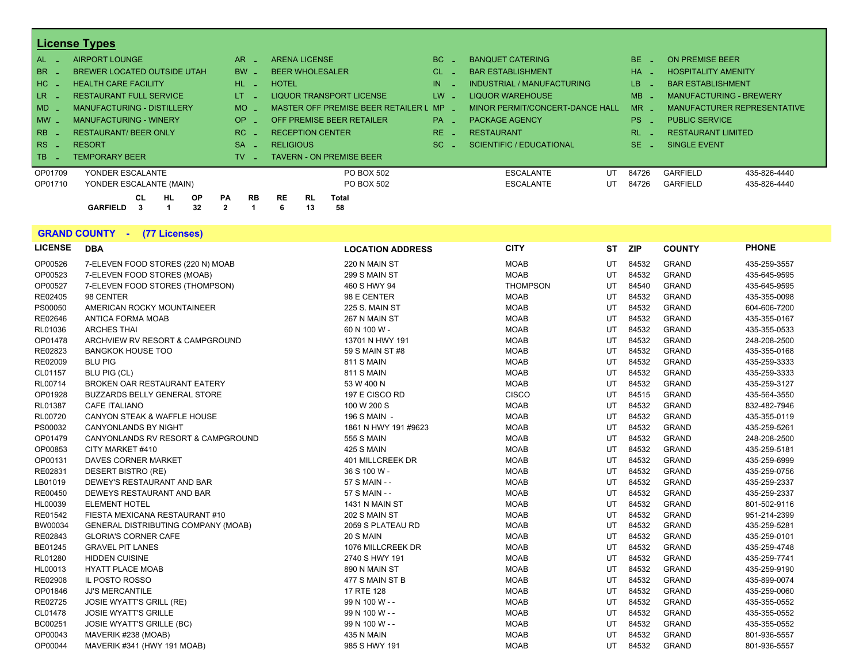|         | <b>License Types</b>                |                        |                                         |        |                                 |        |                                 |  |
|---------|-------------------------------------|------------------------|-----------------------------------------|--------|---------------------------------|--------|---------------------------------|--|
| AL      | AIRPORT LOUNGE                      | AR.                    | <b>ARENA LICENSE</b>                    | BC     | <b>BANQUET CATERING</b>         | BE.    | <b>ON PREMISE BEER</b>          |  |
| BR      | <b>BREWER LOCATED OUTSIDE UTAH</b>  | BW                     | <b>BEER WHOLESALER</b>                  | CL.    | <b>BAR ESTABLISHMENT</b>        | HA.    | <b>HOSPITALITY AMENITY</b>      |  |
| $HC-$   | <b>HEALTH CARE FACILITY</b>         | $HL$ $-$               | <b>HOTEL</b>                            | IN     | INDUSTRIAL / MANUFACTURING      | LB.    | <b>BAR ESTABLISHMENT</b>        |  |
| LR -    | <b>RESTAURANT FULL SERVICE</b>      | LT.                    | <b>LIQUOR TRANSPORT LICENSE</b>         | $LW -$ | <b>LIQUOR WAREHOUSE</b>         | MB     | <b>MANUFACTURING - BREWERY</b>  |  |
| $MD -$  | <b>MANUFACTURING - DISTILLERY</b>   | <b>MO</b>              | MASTER OFF PREMISE BEER RETAILER L MP - |        | MINOR PERMIT/CONCERT-DANCE HALL | $MR -$ | MANUFACTURER REPRESENTATIVE     |  |
| $MW -$  | <b>MANUFACTURING - WINERY</b>       | OP.                    | OFF PREMISE BEER RETAILER               | $PA -$ | <b>PACKAGE AGENCY</b>           | $PS -$ | <b>PUBLIC SERVICE</b>           |  |
| RB      | <b>RESTAURANT/ BEER ONLY</b>        | RC.                    | <b>RECEPTION CENTER</b>                 | RE.    | <b>RESTAURANT</b>               | RL.    | <b>RESTAURANT LIMITED</b>       |  |
| RS      | <b>RESORT</b>                       | <b>SA</b>              | <b>RELIGIOUS</b>                        | SC.    | <b>SCIENTIFIC / EDUCATIONAL</b> | $SE -$ | <b>SINGLE EVENT</b>             |  |
| l TB    | <b>TEMPORARY BEER</b>               | TV.                    | <b>TAVERN - ON PREMISE BEER</b>         |        |                                 |        |                                 |  |
| OP01709 | YONDER ESCALANTE                    |                        | PO BOX 502                              |        | <b>ESCALANTE</b><br>UT          | 84726  | <b>GARFIELD</b><br>435-826-4440 |  |
| OP01710 | YONDER ESCALANTE (MAIN)             |                        | PO BOX 502                              |        | <b>ESCALANTE</b><br>UT          | 84726  | <b>GARFIELD</b><br>435-826-4440 |  |
|         | <b>HL</b><br><b>CL</b><br><b>OP</b> | <b>PA</b><br><b>RB</b> | <b>RL</b><br><b>RE</b><br><b>Total</b>  |        |                                 |        |                                 |  |
|         | 32<br><b>GARFIELD</b>               |                        | 13<br>58<br>6                           |        |                                 |        |                                 |  |

|                | <b>GRAND COUNTY - (77 Licenses)</b>        |                         |                 |    |            |               |              |
|----------------|--------------------------------------------|-------------------------|-----------------|----|------------|---------------|--------------|
| <b>LICENSE</b> | <b>DBA</b>                                 | <b>LOCATION ADDRESS</b> | <b>CITY</b>     | ST | <b>ZIP</b> | <b>COUNTY</b> | <b>PHONE</b> |
| OP00526        | 7-ELEVEN FOOD STORES (220 N) MOAB          | 220 N MAIN ST           | <b>MOAB</b>     | UT | 84532      | <b>GRAND</b>  | 435-259-3557 |
| OP00523        | 7-ELEVEN FOOD STORES (MOAB)                | 299 S MAIN ST           | <b>MOAB</b>     | UT | 84532      | <b>GRAND</b>  | 435-645-9595 |
| OP00527        | 7-ELEVEN FOOD STORES (THOMPSON)            | 460 S HWY 94            | <b>THOMPSON</b> | UT | 84540      | <b>GRAND</b>  | 435-645-9595 |
| RE02405        | 98 CENTER                                  | 98 E CENTER             | <b>MOAB</b>     | UT | 84532      | <b>GRAND</b>  | 435-355-0098 |
| PS00050        | AMERICAN ROCKY MOUNTAINEER                 | <b>225 S. MAIN ST</b>   | <b>MOAB</b>     | UT | 84532      | <b>GRAND</b>  | 604-606-7200 |
| RE02646        | ANTICA FORMA MOAB                          | 267 N MAIN ST           | <b>MOAB</b>     | UT | 84532      | <b>GRAND</b>  | 435-355-0167 |
| RL01036        | <b>ARCHES THAI</b>                         | 60 N 100 W -            | <b>MOAB</b>     | UT | 84532      | <b>GRAND</b>  | 435-355-0533 |
| OP01478        | ARCHVIEW RV RESORT & CAMPGROUND            | 13701 N HWY 191         | <b>MOAB</b>     | UT | 84532      | <b>GRAND</b>  | 248-208-2500 |
| RE02823        | <b>BANGKOK HOUSE TOO</b>                   | 59 S MAIN ST #8         | <b>MOAB</b>     | UT | 84532      | <b>GRAND</b>  | 435-355-0168 |
| RE02009        | <b>BLU PIG</b>                             | 811 S MAIN              | <b>MOAB</b>     | UT | 84532      | <b>GRAND</b>  | 435-259-3333 |
| CL01157        | BLU PIG (CL)                               | 811 S MAIN              | <b>MOAB</b>     | UT | 84532      | <b>GRAND</b>  | 435-259-3333 |
| RL00714        | BROKEN OAR RESTAURANT EATERY               | 53 W 400 N              | <b>MOAB</b>     | UT | 84532      | <b>GRAND</b>  | 435-259-3127 |
| OP01928        | <b>BUZZARDS BELLY GENERAL STORE</b>        | 197 E CISCO RD          | <b>CISCO</b>    | UT | 84515      | <b>GRAND</b>  | 435-564-3550 |
| RL01387        | <b>CAFE ITALIANO</b>                       | 100 W 200 S             | <b>MOAB</b>     | UT | 84532      | <b>GRAND</b>  | 832-482-7946 |
| RL00720        | <b>CANYON STEAK &amp; WAFFLE HOUSE</b>     | 196 S MAIN -            | <b>MOAB</b>     | UT | 84532      | <b>GRAND</b>  | 435-355-0119 |
| PS00032        | <b>CANYONLANDS BY NIGHT</b>                | 1861 N HWY 191 #9623    | <b>MOAB</b>     | UT | 84532      | <b>GRAND</b>  | 435-259-5261 |
| OP01479        | CANYONLANDS RV RESORT & CAMPGROUND         | 555 S MAIN              | <b>MOAB</b>     | UT | 84532      | <b>GRAND</b>  | 248-208-2500 |
| OP00853        | CITY MARKET #410                           | 425 S MAIN              | <b>MOAB</b>     | UT | 84532      | <b>GRAND</b>  | 435-259-5181 |
| OP00131        | <b>DAVES CORNER MARKET</b>                 | <b>401 MILLCREEK DR</b> | <b>MOAB</b>     | UT | 84532      | <b>GRAND</b>  | 435-259-6999 |
| RE02831        | <b>DESERT BISTRO (RE)</b>                  | 36 S 100 W -            | <b>MOAB</b>     | UT | 84532      | <b>GRAND</b>  | 435-259-0756 |
| LB01019        | DEWEY'S RESTAURANT AND BAR                 | 57 S MAIN - -           | <b>MOAB</b>     | UT | 84532      | <b>GRAND</b>  | 435-259-2337 |
| RE00450        | DEWEYS RESTAURANT AND BAR                  | 57 S MAIN - -           | <b>MOAB</b>     | UT | 84532      | <b>GRAND</b>  | 435-259-2337 |
| HL00039        | <b>ELEMENT HOTEL</b>                       | 1431 N MAIN ST          | <b>MOAB</b>     | UT | 84532      | <b>GRAND</b>  | 801-502-9116 |
| RE01542        | FIESTA MEXICANA RESTAURANT #10             | 202 S MAIN ST           | <b>MOAB</b>     | UT | 84532      | <b>GRAND</b>  | 951-214-2399 |
| BW00034        | <b>GENERAL DISTRIBUTING COMPANY (MOAB)</b> | 2059 S PLATEAU RD       | <b>MOAB</b>     | UT | 84532      | <b>GRAND</b>  | 435-259-5281 |
| RE02843        | <b>GLORIA'S CORNER CAFE</b>                | 20 S MAIN               | <b>MOAB</b>     | UT | 84532      | <b>GRAND</b>  | 435-259-0101 |
| BE01245        | <b>GRAVEL PIT LANES</b>                    | 1076 MILLCREEK DR       | <b>MOAB</b>     | UT | 84532      | <b>GRAND</b>  | 435-259-4748 |
| RL01280        | <b>HIDDEN CUISINE</b>                      | 2740 S HWY 191          | <b>MOAB</b>     | UT | 84532      | <b>GRAND</b>  | 435-259-7741 |
| HL00013        | <b>HYATT PLACE MOAB</b>                    | 890 N MAIN ST           | <b>MOAB</b>     | UT | 84532      | <b>GRAND</b>  | 435-259-9190 |
| RE02908        | IL POSTO ROSSO                             | 477 S MAIN ST B         | <b>MOAB</b>     | UT | 84532      | <b>GRAND</b>  | 435-899-0074 |
| OP01846        | <b>JJ'S MERCANTILE</b>                     | 17 RTE 128              | <b>MOAB</b>     | UT | 84532      | <b>GRAND</b>  | 435-259-0060 |

RE02725 JOSIE WYATT'S GRILL (RE) 99 N 100 W - - MOAB UT 84532 GRAND 435-355-0552 CL01478 JOSIE WYATT'S GRILLE 99 N 100 W - - MOAB UT 84532 GRAND 435-355-0552 BC00251 JOSIE WYATT'S GRILLE (BC) 99 N 100 W - - MOAB UT 84532 GRAND 435-355-0552 OP00043 MAVERIK #238 (MOAB) 435 N MAIN MOAB UT 84532 GRAND 801-936-5557 OP00044 MAVERIK #341 (HWY 191 MOAB) 985 S HWY 191 MOAB UT 84532 GRAND 801-936-5557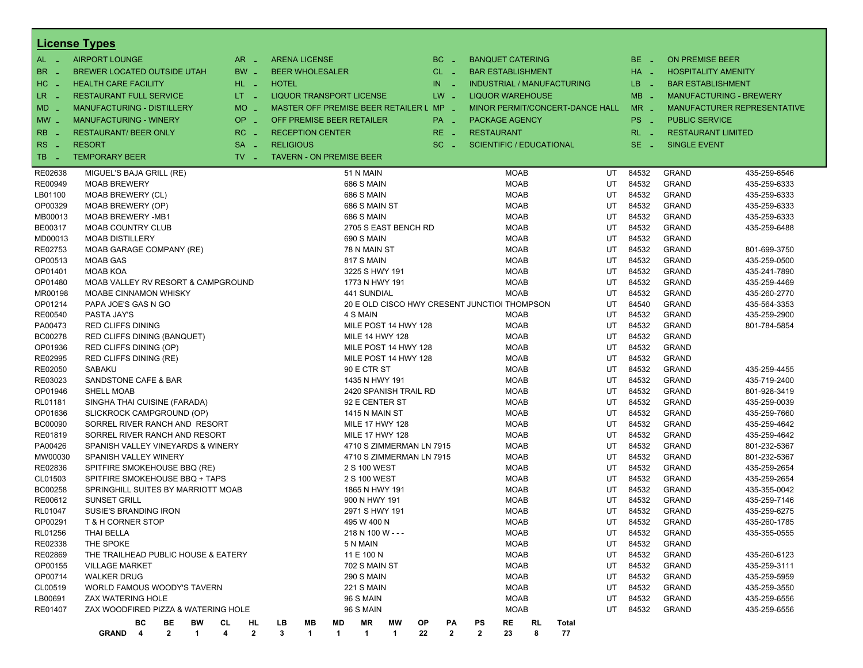|                    | <b>License Types</b>                      |                     |              |                                         |              |                      |                                              |     |              |                |                                              |    |                                   |          |                |                              |                                |
|--------------------|-------------------------------------------|---------------------|--------------|-----------------------------------------|--------------|----------------------|----------------------------------------------|-----|--------------|----------------|----------------------------------------------|----|-----------------------------------|----------|----------------|------------------------------|--------------------------------|
| $AL -$             | <b>AIRPORT LOUNGE</b>                     | AR.<br>- 4          |              | <b>ARENA LICENSE</b>                    |              |                      |                                              |     | $BC =$       |                | <b>BANQUET CATERING</b>                      |    |                                   |          | $BE -$         | <b>ON PREMISE BEER</b>       |                                |
| BR.                | <b>BREWER LOCATED OUTSIDE UTAH</b>        | BW _                |              | <b>BEER WHOLESALER</b>                  |              |                      |                                              |     | $CL$ $-$     |                | <b>BAR ESTABLISHMENT</b>                     |    |                                   |          | $HA$ $-$       |                              | <b>HOSPITALITY AMENITY</b>     |
| HC<br>. —          | <b>HEALTH CARE FACILITY</b>               | HL L                | <b>HOTEL</b> |                                         |              |                      |                                              | IN. | - 4          |                |                                              |    | <b>INDUSTRIAL / MANUFACTURING</b> |          | LB.<br>- 2     |                              | <b>BAR ESTABLISHMENT</b>       |
| LR _               | <b>RESTAURANT FULL SERVICE</b>            | $LT - 1$            |              | <b>LIQUOR TRANSPORT LICENSE</b>         |              |                      |                                              |     | $LW -$       |                | <b>LIQUOR WAREHOUSE</b>                      |    |                                   |          | $MB -$         |                              | <b>MANUFACTURING - BREWERY</b> |
| $MD -$             | MANUFACTURING - DISTILLERY                | <b>MO</b>           |              | MASTER OFF PREMISE BEER RETAILER L MP _ |              |                      |                                              |     |              |                |                                              |    | MINOR PERMIT/CONCERT-DANCE HALL   |          | $MR -$         |                              | MANUFACTURER REPRESENTATIVE    |
|                    |                                           | <b>OP</b>           |              | OFF PREMISE BEER RETAILER               |              |                      |                                              |     |              |                |                                              |    |                                   |          |                |                              |                                |
| $MW_{-}$           | <b>MANUFACTURING - WINERY</b>             | i al                |              |                                         |              |                      |                                              |     | PA _         |                | <b>PACKAGE AGENCY</b>                        |    |                                   |          | PS _           | <b>PUBLIC SERVICE</b>        |                                |
| R <sub>B</sub>     | <b>RESTAURANT/ BEER ONLY</b>              | RC<br><b>Simple</b> |              | <b>RECEPTION CENTER</b>                 |              |                      |                                              |     | RE _         |                | <b>RESTAURANT</b>                            |    |                                   |          | $RL - 1$       |                              | <b>RESTAURANT LIMITED</b>      |
| RS.                | <b>RESORT</b>                             | <b>SA</b><br>п.     |              | <b>RELIGIOUS</b>                        |              |                      |                                              |     | $SC =$       |                | <b>SCIENTIFIC / EDUCATIONAL</b>              |    |                                   |          | $SE -$         | <b>SINGLE EVENT</b>          |                                |
| TB<br>. —          | <b>TEMPORARY BEER</b>                     | $TV -$              |              | <b>TAVERN - ON PREMISE BEER</b>         |              |                      |                                              |     |              |                |                                              |    |                                   |          |                |                              |                                |
| RE02638            | MIGUEL'S BAJA GRILL (RE)                  |                     |              |                                         |              | 51 N MAIN            |                                              |     |              |                | <b>MOAB</b>                                  |    |                                   | UT       | 84532          | <b>GRAND</b>                 | 435-259-6546                   |
| RE00949            | <b>MOAB BREWERY</b>                       |                     |              |                                         |              | <b>686 S MAIN</b>    |                                              |     |              |                | <b>MOAB</b>                                  |    |                                   | UT       | 84532          | <b>GRAND</b>                 | 435-259-6333                   |
| LB01100            | MOAB BREWERY (CL)                         |                     |              |                                         |              | <b>686 S MAIN</b>    |                                              |     |              |                | <b>MOAB</b>                                  |    |                                   | UT       | 84532          | <b>GRAND</b>                 | 435-259-6333                   |
| OP00329            | MOAB BREWERY (OP)                         |                     |              |                                         |              | 686 S MAIN ST        |                                              |     |              |                | <b>MOAB</b>                                  |    |                                   | UT       | 84532          | <b>GRAND</b>                 | 435-259-6333                   |
| MB00013            | <b>MOAB BREWERY -MB1</b>                  |                     |              |                                         |              | <b>686 S MAIN</b>    |                                              |     |              |                | <b>MOAB</b>                                  |    |                                   | UT       | 84532          | <b>GRAND</b>                 | 435-259-6333                   |
| BE00317            | <b>MOAB COUNTRY CLUB</b>                  |                     |              |                                         |              |                      | 2705 S EAST BENCH RD                         |     |              |                | <b>MOAB</b>                                  |    |                                   | UT       | 84532          | <b>GRAND</b>                 | 435-259-6488                   |
| MD00013            | <b>MOAB DISTILLERY</b>                    |                     |              |                                         |              | <b>690 S MAIN</b>    |                                              |     |              |                | <b>MOAB</b>                                  |    |                                   | UT       | 84532          | <b>GRAND</b>                 |                                |
| RE02753            | MOAB GARAGE COMPANY (RE)                  |                     |              |                                         |              | 78 N MAIN ST         |                                              |     |              |                | MOAB                                         |    |                                   | UT       | 84532          | <b>GRAND</b>                 | 801-699-3750                   |
| OP00513            | <b>MOAB GAS</b>                           |                     |              |                                         |              | 817 S MAIN           |                                              |     |              |                | <b>MOAB</b>                                  |    |                                   | UT       | 84532          | <b>GRAND</b>                 | 435-259-0500                   |
| OP01401            | <b>MOAB KOA</b>                           |                     |              |                                         |              | 3225 S HWY 191       |                                              |     |              |                | <b>MOAB</b>                                  |    |                                   | UT       | 84532          | <b>GRAND</b>                 | 435-241-7890                   |
| OP01480            | MOAB VALLEY RV RESORT & CAMPGROUND        |                     |              |                                         |              | 1773 N HWY 191       |                                              |     |              |                | <b>MOAB</b>                                  |    |                                   | UT       | 84532          | <b>GRAND</b>                 | 435-259-4469                   |
| MR00198            | <b>MOABE CINNAMON WHISKY</b>              |                     |              |                                         |              | 441 SUNDIAL          |                                              |     |              |                | <b>MOAB</b>                                  |    |                                   | UT       | 84532          | <b>GRAND</b>                 | 435-260-2770                   |
| OP01214            | PAPA JOE'S GAS N GO                       |                     |              |                                         |              |                      |                                              |     |              |                | 20 E OLD CISCO HWY CRESENT JUNCTIOI THOMPSON |    |                                   | UT       | 84540          | <b>GRAND</b>                 | 435-564-3353                   |
| RE00540            | PASTA JAY'S                               |                     |              |                                         |              | 4 S MAIN             |                                              |     |              |                | MOAB                                         |    |                                   | UT       | 84532          | <b>GRAND</b>                 | 435-259-2900                   |
| PA00473            | <b>RED CLIFFS DINING</b>                  |                     |              |                                         |              |                      | MILE POST 14 HWY 128                         |     |              |                | <b>MOAB</b>                                  |    |                                   | UT       | 84532          | <b>GRAND</b>                 | 801-784-5854                   |
| BC00278            | RED CLIFFS DINING (BANQUET)               |                     |              |                                         |              |                      | <b>MILE 14 HWY 128</b>                       |     |              |                | <b>MOAB</b>                                  |    |                                   | UT<br>UT | 84532<br>84532 | <b>GRAND</b>                 |                                |
| OP01936            | RED CLIFFS DINING (OP)                    |                     |              |                                         |              |                      | MILE POST 14 HWY 128<br>MILE POST 14 HWY 128 |     |              |                | MOAB<br><b>MOAB</b>                          |    |                                   | UT       | 84532          | <b>GRAND</b><br><b>GRAND</b> |                                |
| RE02995<br>RE02050 | RED CLIFFS DINING (RE)<br>SABAKU          |                     |              |                                         |              | 90 E CTR ST          |                                              |     |              |                | <b>MOAB</b>                                  |    |                                   | UT       | 84532          | <b>GRAND</b>                 | 435-259-4455                   |
| RE03023            | SANDSTONE CAFE & BAR                      |                     |              |                                         |              | 1435 N HWY 191       |                                              |     |              |                | MOAB                                         |    |                                   | UT       | 84532          | <b>GRAND</b>                 | 435-719-2400                   |
| OP01946            | <b>SHELL MOAB</b>                         |                     |              |                                         |              |                      | 2420 SPANISH TRAIL RD                        |     |              |                | <b>MOAB</b>                                  |    |                                   | UT       | 84532          | <b>GRAND</b>                 | 801-928-3419                   |
| RL01181            | SINGHA THAI CUISINE (FARADA)              |                     |              |                                         |              | 92 E CENTER ST       |                                              |     |              |                | <b>MOAB</b>                                  |    |                                   | UT       | 84532          | <b>GRAND</b>                 | 435-259-0039                   |
| OP01636            | SLICKROCK CAMPGROUND (OP)                 |                     |              |                                         |              | 1415 N MAIN ST       |                                              |     |              |                | <b>MOAB</b>                                  |    |                                   | UT       | 84532          | <b>GRAND</b>                 | 435-259-7660                   |
| BC00090            | SORREL RIVER RANCH AND RESORT             |                     |              |                                         |              |                      | <b>MILE 17 HWY 128</b>                       |     |              |                | <b>MOAB</b>                                  |    |                                   | UT       | 84532          | <b>GRAND</b>                 | 435-259-4642                   |
| RE01819            | SORREL RIVER RANCH AND RESORT             |                     |              |                                         |              |                      | <b>MILE 17 HWY 128</b>                       |     |              |                | <b>MOAB</b>                                  |    |                                   | UT       | 84532          | <b>GRAND</b>                 | 435-259-4642                   |
| PA00426            | SPANISH VALLEY VINEYARDS & WINERY         |                     |              |                                         |              |                      | 4710 S ZIMMERMAN LN 7915                     |     |              |                | <b>MOAB</b>                                  |    |                                   | UT       | 84532          | <b>GRAND</b>                 | 801-232-5367                   |
| MW00030            | SPANISH VALLEY WINERY                     |                     |              |                                         |              |                      | 4710 S ZIMMERMAN LN 7915                     |     |              |                | <b>MOAB</b>                                  |    |                                   | UT       | 84532          | <b>GRAND</b>                 | 801-232-5367                   |
| RE02836            | SPITFIRE SMOKEHOUSE BBQ (RE)              |                     |              |                                         |              | 2 S 100 WEST         |                                              |     |              |                | <b>MOAB</b>                                  |    |                                   | UT       | 84532          | <b>GRAND</b>                 | 435-259-2654                   |
| CL01503            | SPITFIRE SMOKEHOUSE BBQ + TAPS            |                     |              |                                         |              | 2 S 100 WEST         |                                              |     |              |                | MOAB                                         |    |                                   | UT       | 84532          | <b>GRAND</b>                 | 435-259-2654                   |
| BC00258            | SPRINGHILL SUITES BY MARRIOTT MOAB        |                     |              |                                         |              | 1865 N HWY 191       |                                              |     |              |                | <b>MOAB</b>                                  |    |                                   | UT       | 84532          | <b>GRAND</b>                 | 435-355-0042                   |
| RE00612            | <b>SUNSET GRILL</b>                       |                     |              |                                         |              | 900 N HWY 191        |                                              |     |              |                | <b>MOAB</b>                                  |    |                                   | UT       | 84532          | <b>GRAND</b>                 | 435-259-7146                   |
| RL01047            | <b>SUSIE'S BRANDING IRON</b>              |                     |              |                                         |              | 2971 S HWY 191       |                                              |     |              |                | MOAB                                         |    |                                   | UT       | 84532          | <b>GRAND</b>                 | 435-259-6275                   |
| OP00291            | T & H CORNER STOP                         |                     |              |                                         |              | 495 W 400 N          |                                              |     |              |                | <b>MOAB</b>                                  |    |                                   | UT       | 84532          | <b>GRAND</b>                 | 435-260-1785                   |
| RL01256            | <b>THAI BELLA</b>                         |                     |              |                                         |              | 218 N 100 W - - -    |                                              |     |              |                | MOAB                                         |    |                                   | UT       | 84532          | <b>GRAND</b>                 | 435-355-0555                   |
| RE02338            | THE SPOKE                                 |                     |              |                                         |              | 5 N MAIN             |                                              |     |              |                | <b>MOAB</b>                                  |    |                                   | UT       | 84532          | <b>GRAND</b>                 |                                |
| RE02869            | THE TRAILHEAD PUBLIC HOUSE & EATERY       |                     |              |                                         |              | 11 E 100 N           |                                              |     |              |                | <b>MOAB</b>                                  |    |                                   | UT       | 84532          | <b>GRAND</b>                 | 435-260-6123                   |
| OP00155            | <b>VILLAGE MARKET</b>                     |                     |              |                                         |              | 702 S MAIN ST        |                                              |     |              |                | <b>MOAB</b>                                  |    |                                   | UT       | 84532          | <b>GRAND</b>                 | 435-259-3111                   |
| OP00714            | <b>WALKER DRUG</b>                        |                     |              |                                         |              | 290 S MAIN           |                                              |     |              |                | <b>MOAB</b>                                  |    |                                   | UT       | 84532          | <b>GRAND</b>                 | 435-259-5959                   |
| CL00519            | WORLD FAMOUS WOODY'S TAVERN               |                     |              |                                         |              | <b>221 S MAIN</b>    |                                              |     |              |                | <b>MOAB</b>                                  |    |                                   | UT       | 84532          | <b>GRAND</b>                 | 435-259-3550                   |
| LB00691            | ZAX WATERING HOLE                         |                     |              |                                         |              | 96 S MAIN            |                                              |     |              |                | <b>MOAB</b>                                  |    |                                   | UT       | 84532          | <b>GRAND</b>                 | 435-259-6556                   |
| RE01407            | ZAX WOODFIRED PIZZA & WATERING HOLE       |                     |              |                                         |              | 96 S MAIN            |                                              |     |              |                | <b>MOAB</b>                                  |    |                                   | UT       | 84532          | <b>GRAND</b>                 | 435-259-6556                   |
|                    | BС<br>BE<br>BW                            | CL<br>HL            | LВ           | MВ                                      | MD           | ΜR                   | МW                                           | ОP  | РA           | PS             | RE                                           | RL | Total                             |          |                |                              |                                |
|                    | $\overline{2}$<br>GRAND <sub>4</sub><br>1 | $\mathbf{2}$<br>4   | 3            | 1                                       | $\mathbf{1}$ | $\blacktriangleleft$ | $\blacktriangleleft$                         | 22  | $\mathbf{2}$ | $\overline{2}$ | 23                                           | 8  | 77                                |          |                |                              |                                |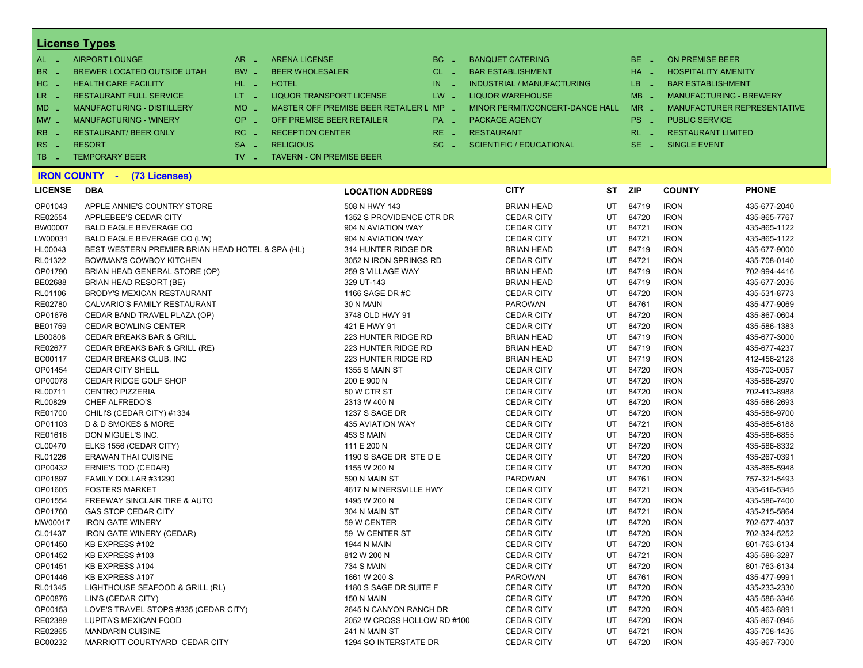| $AL -$              | AIRPORT LOUNGE                    | $AR =$                        | <b>ARENA LICENSE</b>                    | $BC =$                 | <b>BANQUET CATERING</b>         | $BE -$   | ON PREMISE BEER                |
|---------------------|-----------------------------------|-------------------------------|-----------------------------------------|------------------------|---------------------------------|----------|--------------------------------|
| BR <sub>L</sub>     | BREWER LOCATED OUTSIDE UTAH       | $BW -$                        | <b>BEER WHOLESALER</b>                  | $CL$ $=$               | <b>BAR ESTABLISHMENT</b>        | $HA =$   | <b>HOSPITALITY AMENITY</b>     |
| $HC -$              | <b>HEALTH CARE FACILITY</b>       | HL LI                         | HOTEL                                   | IN.<br><b>Contract</b> | INDUSTRIAL / MANUFACTURING      | $LB -$   | <b>BAR ESTABLISHMENT</b>       |
| LR -                | <b>RESTAURANT FULL SERVICE</b>    | $LT - 1$                      | LIQUOR TRANSPORT LICENSE                | LW -                   | LIQUOR WAREHOUSE                | $MB -$   | <b>MANUFACTURING - BREWERY</b> |
| $MD-$               | <b>MANUFACTURING - DISTILLERY</b> | $MO$ $\overline{\phantom{0}}$ | MASTER OFF PREMISE BEER RETAILER L MP _ |                        | MINOR PERMIT/CONCERT-DANCE HALL | $MR -$   | MANUFACTURER REPRESENTATIVE    |
| $MW-$               | <b>MANUFACTURING - WINERY</b>     | $OP =$                        | OFF PREMISE BEER RETAILER               | $PA -$                 | <b>PACKAGE AGENCY</b>           | $PS -$   | <b>PUBLIC SERVICE</b>          |
| $R_{\rm BB}$ $\sim$ | <b>RESTAURANT/BEER ONLY</b>       | $RC -$                        | <b>RECEPTION CENTER</b>                 | $RE =$                 | <b>RESTAURANT</b>               | $RL - 1$ | <b>RESTAURANT LIMITED</b>      |
| $ RS -$             | <b>RESORT</b>                     | $SA -$                        | <b>RELIGIOUS</b>                        | $SC =$                 | SCIENTIFIC / EDUCATIONAL        | $SE =$   | SINGLE EVENT                   |
| $\overline{AB}$ .   | <b>TEMPORARY BEER</b>             | TV -                          | <b>TAVERN - ON PREMISE BEER</b>         |                        |                                 |          |                                |

# **IRON COUNTY - (73 Licenses)**

| LICENSE<br>DВ |  |
|---------------|--|
|---------------|--|

| <b>LICENSE</b> | <b>DBA</b>                                       | <b>LOCATION ADDRESS</b>     | <b>CITY</b>       | ST        | <b>ZIP</b> | <b>COUNTY</b> | <b>PHONE</b> |
|----------------|--------------------------------------------------|-----------------------------|-------------------|-----------|------------|---------------|--------------|
| OP01043        | APPLE ANNIE'S COUNTRY STORE                      | 508 N HWY 143               | <b>BRIAN HEAD</b> | UT        | 84719      | <b>IRON</b>   | 435-677-2040 |
| RE02554        | APPLEBEE'S CEDAR CITY                            | 1352 S PROVIDENCE CTR DR    | <b>CEDAR CITY</b> | UT        | 84720      | <b>IRON</b>   | 435-865-7767 |
| BW00007        | <b>BALD EAGLE BEVERAGE CO</b>                    | 904 N AVIATION WAY          | <b>CEDAR CITY</b> | UT        | 84721      | <b>IRON</b>   | 435-865-1122 |
| LW00031        | BALD EAGLE BEVERAGE CO (LW)                      | 904 N AVIATION WAY          | <b>CEDAR CITY</b> | UT        | 84721      | <b>IRON</b>   | 435-865-1122 |
| HL00043        | BEST WESTERN PREMIER BRIAN HEAD HOTEL & SPA (HL) | 314 HUNTER RIDGE DR         | <b>BRIAN HEAD</b> | UT        | 84719      | <b>IRON</b>   | 435-677-9000 |
| RL01322        | <b>BOWMAN'S COWBOY KITCHEN</b>                   | 3052 N IRON SPRINGS RD      | <b>CEDAR CITY</b> | UT        | 84721      | <b>IRON</b>   | 435-708-0140 |
| OP01790        | BRIAN HEAD GENERAL STORE (OP)                    | 259 S VILLAGE WAY           | <b>BRIAN HEAD</b> | UT        | 84719      | <b>IRON</b>   | 702-994-4416 |
| BE02688        | BRIAN HEAD RESORT (BE)                           | 329 UT-143                  | <b>BRIAN HEAD</b> | UT        | 84719      | <b>IRON</b>   | 435-677-2035 |
| RL01106        | BRODY'S MEXICAN RESTAURANT                       | 1166 SAGE DR #C             | <b>CEDAR CITY</b> | UT        | 84720      | <b>IRON</b>   | 435-531-8773 |
| RE02780        | CALVARIO'S FAMILY RESTAURANT                     | 30 N MAIN                   | <b>PAROWAN</b>    | UT        | 84761      | <b>IRON</b>   | 435-477-9069 |
| OP01676        | CEDAR BAND TRAVEL PLAZA (OP)                     | 3748 OLD HWY 91             | <b>CEDAR CITY</b> | UT        | 84720      | <b>IRON</b>   | 435-867-0604 |
| BE01759        | <b>CEDAR BOWLING CENTER</b>                      | 421 E HWY 91                | <b>CEDAR CITY</b> | UT        | 84720      | <b>IRON</b>   | 435-586-1383 |
| LB00808        | <b>CEDAR BREAKS BAR &amp; GRILL</b>              | 223 HUNTER RIDGE RD         | <b>BRIAN HEAD</b> | UT        | 84719      | <b>IRON</b>   | 435-677-3000 |
| RE02677        | CEDAR BREAKS BAR & GRILL (RE)                    | 223 HUNTER RIDGE RD         | <b>BRIAN HEAD</b> | UT        | 84719      | <b>IRON</b>   | 435-677-4237 |
| BC00117        | CEDAR BREAKS CLUB, INC                           | 223 HUNTER RIDGE RD         | <b>BRIAN HEAD</b> | UT        | 84719      | <b>IRON</b>   | 412-456-2128 |
| OP01454        | <b>CEDAR CITY SHELL</b>                          | <b>1355 S MAIN ST</b>       | <b>CEDAR CITY</b> | UT        | 84720      | <b>IRON</b>   | 435-703-0057 |
| OP00078        | <b>CEDAR RIDGE GOLF SHOP</b>                     | 200 E 900 N                 | <b>CEDAR CITY</b> | UT        | 84720      | <b>IRON</b>   | 435-586-2970 |
| RL00711        | <b>CENTRO PIZZERIA</b>                           | 50 W CTR ST                 | <b>CEDAR CITY</b> | UT        | 84720      | <b>IRON</b>   | 702-413-8988 |
| RL00829        | CHEF ALFREDO'S                                   | 2313 W 400 N                | <b>CEDAR CITY</b> | UT        | 84720      | <b>IRON</b>   | 435-586-2693 |
| RE01700        | CHILI'S (CEDAR CITY) #1334                       | 1237 S SAGE DR              | <b>CEDAR CITY</b> | UT        | 84720      | <b>IRON</b>   | 435-586-9700 |
| OP01103        | D & D SMOKES & MORE                              | <b>435 AVIATION WAY</b>     | <b>CEDAR CITY</b> | UT        | 84721      | <b>IRON</b>   | 435-865-6188 |
| RE01616        | DON MIGUEL'S INC.                                | 453 S MAIN                  | <b>CEDAR CITY</b> | UT        | 84720      | <b>IRON</b>   | 435-586-6855 |
| CL00470        | ELKS 1556 (CEDAR CITY)                           | 111 E 200 N                 | <b>CEDAR CITY</b> | UT        | 84720      | <b>IRON</b>   | 435-586-8332 |
| RL01226        | <b>ERAWAN THAI CUISINE</b>                       | 1190 S SAGE DR STE D E      | <b>CEDAR CITY</b> | UT        | 84720      | <b>IRON</b>   | 435-267-0391 |
| OP00432        | ERNIE'S TOO (CEDAR)                              | 1155 W 200 N                | <b>CEDAR CITY</b> | UT        | 84720      | <b>IRON</b>   | 435-865-5948 |
| OP01897        | FAMILY DOLLAR #31290                             | 590 N MAIN ST               | <b>PAROWAN</b>    | UT        | 84761      | <b>IRON</b>   | 757-321-5493 |
| OP01605        | <b>FOSTERS MARKET</b>                            | 4617 N MINERSVILLE HWY      | <b>CEDAR CITY</b> | UT        | 84721      | <b>IRON</b>   | 435-616-5345 |
| OP01554        | FREEWAY SINCLAIR TIRE & AUTO                     | 1495 W 200 N                | <b>CEDAR CITY</b> | UT        | 84720      | <b>IRON</b>   | 435-586-7400 |
| OP01760        | <b>GAS STOP CEDAR CITY</b>                       | 304 N MAIN ST               | <b>CEDAR CITY</b> | UT        | 84721      | <b>IRON</b>   | 435-215-5864 |
| MW00017        | <b>IRON GATE WINERY</b>                          | 59 W CENTER                 | <b>CEDAR CITY</b> | UT        | 84720      | <b>IRON</b>   | 702-677-4037 |
| CL01437        | <b>IRON GATE WINERY (CEDAR)</b>                  | 59 W CENTER ST              | <b>CEDAR CITY</b> | UT        | 84720      | <b>IRON</b>   | 702-324-5252 |
| OP01450        | KB EXPRESS #102                                  | <b>1944 N MAIN</b>          | <b>CEDAR CITY</b> | UT        | 84720      | <b>IRON</b>   | 801-763-6134 |
| OP01452        | KB EXPRESS #103                                  | 812 W 200 N                 | <b>CEDAR CITY</b> | UT        | 84721      | <b>IRON</b>   | 435-586-3287 |
| OP01451        | KB EXPRESS #104                                  | <b>734 S MAIN</b>           | <b>CEDAR CITY</b> | UT        | 84720      | <b>IRON</b>   | 801-763-6134 |
| OP01446        | KB EXPRESS #107                                  | 1661 W 200 S                | <b>PAROWAN</b>    | UT.       | 84761      | <b>IRON</b>   | 435-477-9991 |
| RL01345        | LIGHTHOUSE SEAFOOD & GRILL (RL)                  | 1180 S SAGE DR SUITE F      | <b>CEDAR CITY</b> | UT        | 84720      | <b>IRON</b>   | 435-233-2330 |
| OP00876        | LIN'S (CEDAR CITY)                               | 150 N MAIN                  | <b>CEDAR CITY</b> | UT        | 84720      | <b>IRON</b>   | 435-586-3346 |
| OP00153        | LOVE'S TRAVEL STOPS #335 (CEDAR CITY)            | 2645 N CANYON RANCH DR      | <b>CEDAR CITY</b> | UT        | 84720      | <b>IRON</b>   | 405-463-8891 |
| RE02389        | LUPITA'S MEXICAN FOOD                            | 2052 W CROSS HOLLOW RD #100 | <b>CEDAR CITY</b> | UT        | 84720      | <b>IRON</b>   | 435-867-0945 |
| RE02865        | <b>MANDARIN CUISINE</b>                          | 241 N MAIN ST               | <b>CEDAR CITY</b> | UT        | 84721      | <b>IRON</b>   | 435-708-1435 |
| BC00232        | MARRIOTT COURTYARD CEDAR CITY                    | 1294 SO INTERSTATE DR       | <b>CEDAR CITY</b> | <b>UT</b> | 84720      | <b>IRON</b>   | 435-867-7300 |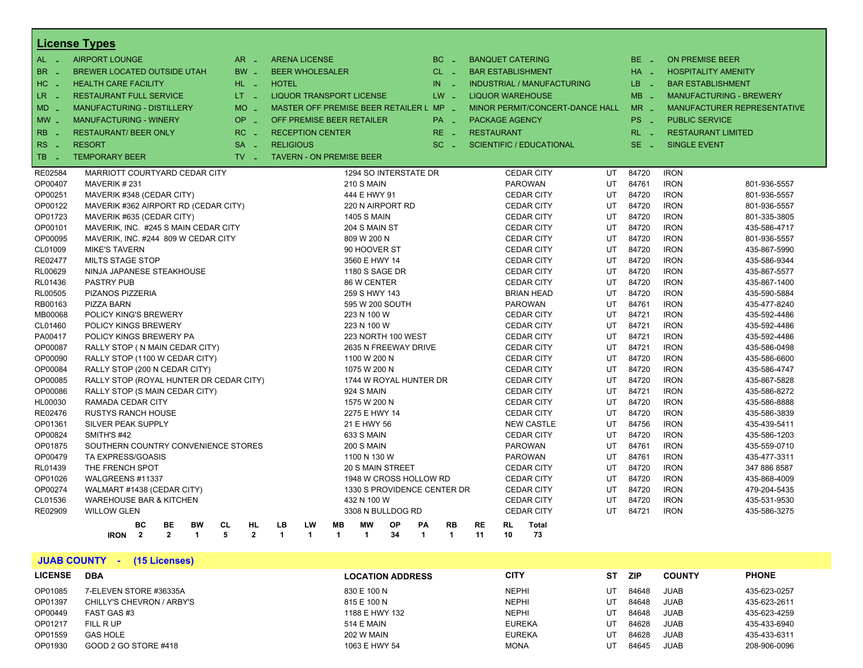|                                  | <b>License Types</b>                                                    |                        |                                         |                                      |                             |                                |                   |                          |                                   |           |            |                        |                                    |
|----------------------------------|-------------------------------------------------------------------------|------------------------|-----------------------------------------|--------------------------------------|-----------------------------|--------------------------------|-------------------|--------------------------|-----------------------------------|-----------|------------|------------------------|------------------------------------|
| AL -                             | <b>AIRPORT LOUNGE</b>                                                   | $AR -$                 | <b>ARENA LICENSE</b>                    |                                      |                             | $BC -$                         |                   | <b>BANQUET CATERING</b>  |                                   |           | $BE -$     | <b>ON PREMISE BEER</b> |                                    |
| BR _                             | <b>BREWER LOCATED OUTSIDE UTAH</b>                                      | $BW -$                 | <b>BEER WHOLESALER</b>                  |                                      |                             | $CL$ $-$                       |                   | <b>BAR ESTABLISHMENT</b> |                                   |           | $HA -$     |                        | <b>HOSPITALITY AMENITY</b>         |
| HC<br>. —                        | <b>HEALTH CARE FACILITY</b>                                             | HL L                   | <b>HOTEL</b>                            |                                      |                             | IN.<br>$\sim$                  |                   |                          | <b>INDUSTRIAL / MANUFACTURING</b> |           | LB.<br>- 2 |                        | <b>BAR ESTABLISHMENT</b>           |
| LR _                             | <b>RESTAURANT FULL SERVICE</b>                                          | LT = 1                 | <b>LIQUOR TRANSPORT LICENSE</b>         |                                      |                             | $LW -$                         |                   | <b>LIQUOR WAREHOUSE</b>  |                                   |           | $MB -$     |                        | <b>MANUFACTURING - BREWERY</b>     |
| MD.                              | <b>MANUFACTURING - DISTILLERY</b>                                       | <b>MO</b>              | MASTER OFF PREMISE BEER RETAILER L MP - |                                      |                             |                                |                   |                          | MINOR PERMIT/CONCERT-DANCE HALL   |           | $MR -$     |                        | <b>MANUFACTURER REPRESENTATIVE</b> |
| $MW_{-}$                         | <b>MANUFACTURING - WINERY</b>                                           | OP                     | OFF PREMISE BEER RETAILER               |                                      |                             | PA <sub>-</sub>                |                   | <b>PACKAGE AGENCY</b>    |                                   |           | PS _       | <b>PUBLIC SERVICE</b>  |                                    |
|                                  |                                                                         | na.                    |                                         |                                      |                             |                                |                   |                          |                                   |           |            |                        |                                    |
| <b>RB</b><br>$\sim$ $-$          | <b>RESTAURANT/ BEER ONLY</b>                                            | $RC -$                 | <b>RECEPTION CENTER</b>                 |                                      |                             | $RE -$                         | <b>RESTAURANT</b> |                          |                                   |           | $RL - 1$   |                        | <b>RESTAURANT LIMITED</b>          |
| R <sub>S</sub><br><b>College</b> | <b>RESORT</b>                                                           | <b>SA</b>              | <b>RELIGIOUS</b>                        |                                      |                             | $SC =$                         |                   |                          | <b>SCIENTIFIC / EDUCATIONAL</b>   |           | $SE =$     | <b>SINGLE EVENT</b>    |                                    |
| TB.<br>- 2                       | <b>TEMPORARY BEER</b>                                                   | $TV -$                 | <b>TAVERN - ON PREMISE BEER</b>         |                                      |                             |                                |                   |                          |                                   |           |            |                        |                                    |
| RE02584                          | MARRIOTT COURTYARD CEDAR CITY                                           |                        |                                         |                                      | 1294 SO INTERSTATE DR       |                                |                   | <b>CEDAR CITY</b>        |                                   | UT        | 84720      | <b>IRON</b>            |                                    |
| OP00407                          | MAVERIK#231                                                             |                        |                                         | <b>210 S MAIN</b>                    |                             |                                |                   | <b>PAROWAN</b>           |                                   | <b>UT</b> | 84761      | <b>IRON</b>            | 801-936-5557                       |
| OP00251                          | MAVERIK #348 (CEDAR CITY)                                               |                        |                                         | 444 E HWY 91                         |                             |                                |                   | <b>CEDAR CITY</b>        |                                   | UT        | 84720      | <b>IRON</b>            | 801-936-5557                       |
| OP00122                          | MAVERIK #362 AIRPORT RD (CEDAR CITY)                                    |                        |                                         |                                      | 220 N AIRPORT RD            |                                |                   | <b>CEDAR CITY</b>        |                                   | UT        | 84720      | <b>IRON</b>            | 801-936-5557                       |
| OP01723                          | MAVERIK #635 (CEDAR CITY)                                               |                        |                                         | <b>1405 S MAIN</b>                   |                             |                                |                   | <b>CEDAR CITY</b>        |                                   | UT        | 84720      | <b>IRON</b>            | 801-335-3805                       |
| OP00101                          | MAVERIK, INC. #245 S MAIN CEDAR CITY                                    |                        |                                         | 204 S MAIN ST                        |                             |                                |                   | <b>CEDAR CITY</b>        |                                   | UT        | 84720      | <b>IRON</b>            | 435-586-4717                       |
| OP00095                          | MAVERIK, INC. #244 809 W CEDAR CITY                                     |                        |                                         | 809 W 200 N                          |                             |                                |                   | <b>CEDAR CITY</b>        |                                   | UT        | 84720      | <b>IRON</b>            | 801-936-5557                       |
| CL01009                          | <b>MIKE'S TAVERN</b>                                                    |                        |                                         | 90 HOOVER ST                         |                             |                                |                   | <b>CEDAR CITY</b>        |                                   | UT        | 84720      | <b>IRON</b>            | 435-867-5990                       |
| RE02477                          | <b>MILTS STAGE STOP</b>                                                 |                        |                                         | 3560 E HWY 14                        |                             |                                |                   | <b>CEDAR CITY</b>        |                                   | UT        | 84720      | <b>IRON</b>            | 435-586-9344                       |
| RL00629                          | NINJA JAPANESE STEAKHOUSE                                               |                        |                                         | 1180 S SAGE DR                       |                             |                                |                   | <b>CEDAR CITY</b>        |                                   | UT        | 84720      | <b>IRON</b>            | 435-867-5577                       |
| RL01436                          | <b>PASTRY PUB</b>                                                       |                        |                                         | 86 W CENTER                          |                             |                                |                   | <b>CEDAR CITY</b>        |                                   | UT        | 84720      | <b>IRON</b>            | 435-867-1400                       |
| RL00505                          | PIZANOS PIZZERIA                                                        |                        |                                         | 259 S HWY 143                        |                             |                                |                   | <b>BRIAN HEAD</b>        |                                   | UT        | 84720      | <b>IRON</b>            | 435-590-5884                       |
| RB00163                          | <b>PIZZA BARN</b>                                                       |                        |                                         |                                      | 595 W 200 SOUTH             |                                |                   | <b>PAROWAN</b>           |                                   | UT        | 84761      | <b>IRON</b>            | 435-477-8240                       |
| MB00068                          | POLICY KING'S BREWERY                                                   |                        |                                         | 223 N 100 W                          |                             |                                |                   | <b>CEDAR CITY</b>        |                                   | UT        | 84721      | <b>IRON</b>            | 435-592-4486                       |
| CL01460                          | <b>POLICY KINGS BREWERY</b>                                             |                        |                                         | 223 N 100 W                          |                             |                                |                   | <b>CEDAR CITY</b>        |                                   | UT        | 84721      | <b>IRON</b>            | 435-592-4486                       |
| PA00417                          | POLICY KINGS BREWERY PA                                                 |                        |                                         |                                      | 223 NORTH 100 WEST          |                                |                   | <b>CEDAR CITY</b>        |                                   | UT        | 84721      | <b>IRON</b>            | 435-592-4486                       |
| OP00087                          | RALLY STOP ( N MAIN CEDAR CITY)                                         |                        |                                         |                                      | 2635 N FREEWAY DRIVE        |                                |                   | <b>CEDAR CITY</b>        |                                   | UT        | 84721      | <b>IRON</b>            | 435-586-0498                       |
| OP00090                          | RALLY STOP (1100 W CEDAR CITY)                                          |                        |                                         | 1100 W 200 N                         |                             |                                |                   | <b>CEDAR CITY</b>        |                                   | UT        | 84720      | <b>IRON</b>            | 435-586-6600                       |
| OP00084                          | RALLY STOP (200 N CEDAR CITY)                                           |                        |                                         | 1075 W 200 N                         |                             |                                |                   | <b>CEDAR CITY</b>        |                                   | UT        | 84720      | <b>IRON</b>            | 435-586-4747                       |
| OP00085                          | RALLY STOP (ROYAL HUNTER DR CEDAR CITY)                                 |                        |                                         |                                      | 1744 W ROYAL HUNTER DR      |                                |                   | <b>CEDAR CITY</b>        |                                   | UT        | 84720      | <b>IRON</b>            | 435-867-5828                       |
| OP00086                          | RALLY STOP (S MAIN CEDAR CITY)                                          |                        |                                         | 924 S MAIN                           |                             |                                |                   | <b>CEDAR CITY</b>        |                                   | UT        | 84721      | <b>IRON</b>            | 435-586-8272                       |
| HL00030                          | RAMADA CEDAR CITY                                                       |                        |                                         | 1575 W 200 N                         |                             |                                |                   | <b>CEDAR CITY</b>        |                                   | UT        | 84720      | <b>IRON</b>            | 435-586-8888                       |
| RE02476                          | RUSTYS RANCH HOUSE                                                      |                        |                                         | 2275 E HWY 14                        |                             |                                |                   | <b>CEDAR CITY</b>        |                                   | UT        | 84720      | <b>IRON</b>            | 435-586-3839                       |
| OP01361                          | <b>SILVER PEAK SUPPLY</b>                                               |                        |                                         | 21 E HWY 56                          |                             |                                |                   | <b>NEW CASTLE</b>        |                                   | UT        | 84756      | <b>IRON</b>            | 435-439-5411                       |
| OP00824                          | SMITH'S #42                                                             |                        |                                         | 633 S MAIN                           |                             |                                |                   | <b>CEDAR CITY</b>        |                                   | UT        | 84720      | <b>IRON</b>            | 435-586-1203                       |
| OP01875                          | SOUTHERN COUNTRY CONVENIENCE STORES                                     |                        |                                         | <b>200 S MAIN</b>                    |                             |                                |                   | <b>PAROWAN</b>           |                                   | UT        | 84761      | <b>IRON</b>            | 435-559-0710                       |
| OP00479                          | TA EXPRESS/GOASIS                                                       |                        |                                         | 1100 N 130 W                         |                             |                                |                   | <b>PAROWAN</b>           |                                   | UT        | 84761      | <b>IRON</b>            | 435-477-3311                       |
| RL01439                          | THE FRENCH SPOT                                                         |                        |                                         |                                      | 20 S MAIN STREET            |                                |                   | <b>CEDAR CITY</b>        |                                   | UT        | 84720      | <b>IRON</b>            | 347 886 8587                       |
| OP01026                          | WALGREENS #11337                                                        |                        |                                         |                                      | 1948 W CROSS HOLLOW RD      |                                |                   | <b>CEDAR CITY</b>        |                                   | UT        | 84720      | <b>IRON</b>            | 435-868-4009                       |
| OP00274                          | WALMART #1438 (CEDAR CITY)                                              |                        |                                         |                                      | 1330 S PROVIDENCE CENTER DR |                                |                   | <b>CEDAR CITY</b>        |                                   | UT        | 84720      | <b>IRON</b>            | 479-204-5435                       |
| CL01536                          | <b>WAREHOUSE BAR &amp; KITCHEN</b>                                      |                        |                                         | 432 N 100 W                          |                             |                                |                   | <b>CEDAR CITY</b>        |                                   | UT        | 84720      | <b>IRON</b>            | 435-531-9530                       |
| RE02909                          | <b>WILLOW GLEN</b>                                                      |                        |                                         |                                      | 3308 N BULLDOG RD           |                                |                   | <b>CEDAR CITY</b>        |                                   | UT        | 84721      | <b>IRON</b>            | 435-586-3275                       |
|                                  | <b>BE</b><br><b>BW</b><br>BC                                            | <b>CL</b><br><b>HL</b> | LB<br>LW                                | <b>MB</b><br><b>MW</b>               | OP                          | PA<br><b>RB</b>                | <b>RE</b>         | <b>RL</b>                | <b>Total</b>                      |           |            |                        |                                    |
|                                  | <b>IRON</b><br>$\overline{2}$<br>$\overline{2}$<br>$\blacktriangleleft$ | 5<br>$\overline{2}$    | $\mathbf{1}$<br>$\overline{1}$          | $\mathbf{1}$<br>$\blacktriangleleft$ | 34                          | $\overline{1}$<br>$\mathbf{1}$ | 11                | 10                       | 73                                |           |            |                        |                                    |

**JUAB COUNTY - (15 Licenses) LICENSE DBA LOCATION ADDRESS CITY ST ZIP COUNTY PHONE** OP01085 7-ELEVEN STORE #36335A 830 E 100 N NEPHI UT 84648 JUAB 435-623-0257 OP01397 CHILLY'S CHEVRON / ARBY'S 815 E 100 N NEPHI UT 84648 JUAB 435-623-2611 OP00449 FAST GAS #3 1188 E HWY 132 NEPHI UT 84648 JUAB 435-623-4259 OP01217 FILL R UP 514 E MAIN EUREKA UT 84628 JUAB 435-433-6940 OP01559 GAS HOLE 202 W MAIN EUREKA UT 84628 JUAB 435-433-6311 OP01930 GOOD 2 GO STORE #418 208-906-0096 1063 E HWY 54 MONA MONA UT 84645 JUAB 208-906-0096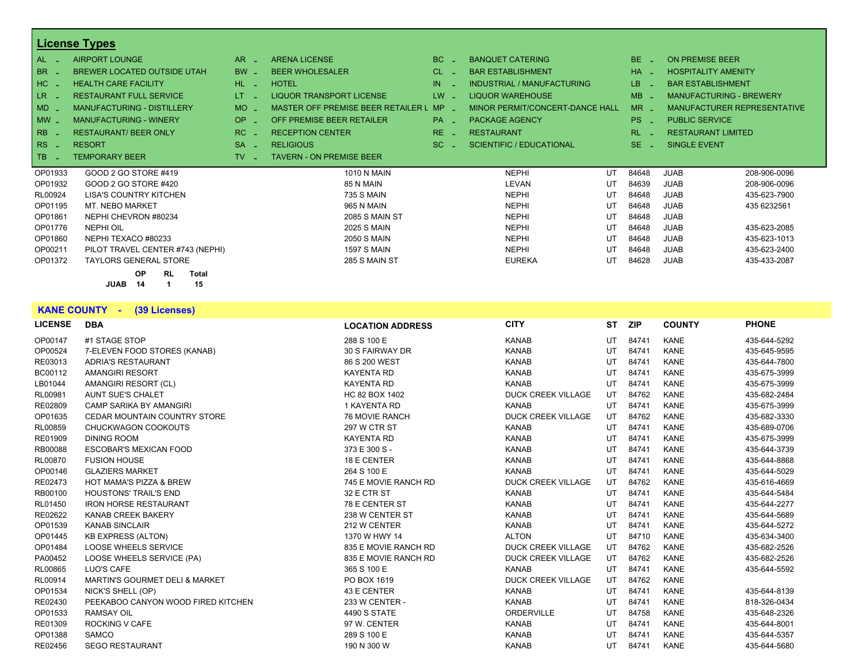|                             | <b>License Types</b>                   |                 |                                    |                       |                                 |               |                                |              |
|-----------------------------|----------------------------------------|-----------------|------------------------------------|-----------------------|---------------------------------|---------------|--------------------------------|--------------|
| AL.                         | <b>AIRPORT LOUNGE</b>                  | AR.             | <b>ARENA LICENSE</b>               | BC.                   | <b>BANQUET CATERING</b>         | BE.<br>- 11   | ON PREMISE BEER                |              |
| <b>BR</b>                   | <b>BREWER LOCATED OUTSIDE UTAH</b>     | <b>BW</b>       | <b>BEER WHOLESALER</b>             | CL.                   | <b>BAR ESTABLISHMENT</b>        | <b>HA</b>     | <b>HOSPITALITY AMENITY</b>     |              |
| HC.                         | <b>HEALTH CARE FACILITY</b>            | HL.<br>in 1911. | <b>HOTEL</b>                       | IN                    | INDUSTRIAL / MANUFACTURING      | LB.           | <b>BAR ESTABLISHMENT</b>       |              |
| LR.                         | <b>RESTAURANT FULL SERVICE</b>         | LT.             | <b>LIQUOR TRANSPORT LICENSE</b>    | LW.                   | <b>LIQUOR WAREHOUSE</b>         | MB            | <b>MANUFACTURING - BREWERY</b> |              |
| $MD -$                      | <b>MANUFACTURING - DISTILLERY</b>      | <b>MO</b>       | MASTER OFF PREMISE BEER RETAILER L | <b>MP</b>             | MINOR PERMIT/CONCERT-DANCE HALL | $MR -$        | MANUFACTURER REPRESENTATIVE    |              |
| $MW -$                      | <b>MANUFACTURING - WINERY</b>          | OP.             | OFF PREMISE BEER RETAILER          | PA <sub>-</sub>       | <b>PACKAGE AGENCY</b>           | PS.           | <b>PUBLIC SERVICE</b>          |              |
| R <sub>B</sub>              | <b>RESTAURANT/ BEER ONLY</b>           | RC.             | <b>RECEPTION CENTER</b>            | RE.                   | <b>RESTAURANT</b>               | RL.           | <b>RESTAURANT LIMITED</b>      |              |
| <b>RS</b><br><b>College</b> | <b>RESORT</b>                          | <b>SA</b>       | <b>RELIGIOUS</b>                   | SC.<br><b>College</b> | <b>SCIENTIFIC / EDUCATIONAL</b> | SE.<br>$\sim$ | <b>SINGLE EVENT</b>            |              |
| <b>TB</b>                   | <b>TEMPORARY BEER</b>                  | TV.             | <b>TAVERN - ON PREMISE BEER</b>    |                       |                                 |               |                                |              |
| OP01933                     | GOOD 2 GO STORE #419                   |                 | <b>1010 N MAIN</b>                 |                       | <b>NEPHI</b><br>UT              | 84648         | <b>JUAB</b>                    | 208-906-0096 |
| OP01932                     | GOOD 2 GO STORE #420                   |                 | 85 N MAIN                          |                       | LEVAN<br>UT                     | 84639         | <b>JUAB</b>                    | 208-906-0096 |
| RL00924                     | <b>LISA'S COUNTRY KITCHEN</b>          |                 | <b>735 S MAIN</b>                  |                       | <b>NEPHI</b><br>UT              | 84648         | <b>JUAB</b>                    | 435-623-7900 |
| OP01195                     | MT. NEBO MARKET                        |                 | 965 N MAIN                         |                       | <b>NEPHI</b><br>UT              | 84648         | <b>JUAB</b>                    | 435 6232561  |
| OP01861                     | NEPHI CHEVRON #80234                   |                 | <b>2085 S MAIN ST</b>              |                       | <b>NEPHI</b><br>UT              | 84648         | <b>JUAB</b>                    |              |
| OP01776                     | <b>NEPHI OIL</b>                       |                 | <b>2025 S MAIN</b>                 |                       | <b>NEPHI</b><br>UT              | 84648         | <b>JUAB</b>                    | 435-623-2085 |
| OP01860                     | NEPHI TEXACO #80233                    |                 | <b>2050 S MAIN</b>                 |                       | <b>NEPHI</b><br>UT              | 84648         | <b>JUAB</b>                    | 435-623-1013 |
| OP00211                     | PILOT TRAVEL CENTER #743 (NEPHI)       |                 | <b>1597 S MAIN</b>                 |                       | <b>NEPHI</b><br>UT              | 84648         | <b>JUAB</b>                    | 435-623-2400 |
| OP01372                     | <b>TAYLORS GENERAL STORE</b>           |                 | 285 S MAIN ST                      |                       | <b>EUREKA</b><br>UT             | 84628         | <b>JUAB</b>                    | 435-433-2087 |
|                             | <b>OP</b><br><b>RL</b><br><b>Total</b> |                 |                                    |                       |                                 |               |                                |              |
|                             | 15<br><b>JUAB</b><br>14                |                 |                                    |                       |                                 |               |                                |              |

#### **KANE COUNTY - (39 Licenses)**

| <b>LICENSE</b> | <b>DBA</b>                         | <b>LOCATION ADDRESS</b> | <b>CITY</b>               | ST | <b>ZIP</b> | <b>COUNTY</b> | <b>PHONE</b> |
|----------------|------------------------------------|-------------------------|---------------------------|----|------------|---------------|--------------|
| OP00147        | #1 STAGE STOP                      | 288 S 100 E             | <b>KANAB</b>              | UT | 84741      | <b>KANE</b>   | 435-644-5292 |
| OP00524        | 7-ELEVEN FOOD STORES (KANAB)       | 30 S FAIRWAY DR         | <b>KANAB</b>              | UT | 84741      | <b>KANE</b>   | 435-645-9595 |
| RE03013        | <b>ADRIA'S RESTAURANT</b>          | 86 S 200 WEST           | <b>KANAB</b>              | UT | 84741      | <b>KANE</b>   | 435-644-7800 |
| BC00112        | <b>AMANGIRI RESORT</b>             | <b>KAYENTA RD</b>       | <b>KANAB</b>              | UT | 84741      | <b>KANE</b>   | 435-675-3999 |
| LB01044        | AMANGIRI RESORT (CL)               | <b>KAYENTA RD</b>       | <b>KANAB</b>              | UT | 84741      | <b>KANE</b>   | 435-675-3999 |
| RL00981        | <b>AUNT SUE'S CHALET</b>           | HC 82 BOX 1402          | <b>DUCK CREEK VILLAGE</b> | UT | 84762      | <b>KANE</b>   | 435-682-2484 |
| RE02809        | <b>CAMP SARIKA BY AMANGIRI</b>     | 1 KAYENTA RD            | <b>KANAB</b>              | UT | 84741      | <b>KANE</b>   | 435-675-3999 |
| OP01635        | CEDAR MOUNTAIN COUNTRY STORE       | <b>76 MOVIE RANCH</b>   | <b>DUCK CREEK VILLAGE</b> | UT | 84762      | <b>KANE</b>   | 435-682-3330 |
| RL00859        | CHUCKWAGON COOKOUTS                | <b>297 W CTR ST</b>     | <b>KANAB</b>              | UT | 84741      | <b>KANE</b>   | 435-689-0706 |
| RE01909        | <b>DINING ROOM</b>                 | <b>KAYENTA RD</b>       | <b>KANAB</b>              | UT | 84741      | <b>KANE</b>   | 435-675-3999 |
| RB00088        | <b>ESCOBAR'S MEXICAN FOOD</b>      | 373 E 300 S -           | <b>KANAB</b>              | UT | 84741      | <b>KANE</b>   | 435-644-3739 |
| RL00870        | <b>FUSION HOUSE</b>                | 18 E CENTER             | <b>KANAB</b>              | UT | 84741      | <b>KANE</b>   | 435-644-8868 |
| OP00146        | <b>GLAZIERS MARKET</b>             | 264 S 100 E             | <b>KANAB</b>              | UT | 84741      | <b>KANE</b>   | 435-644-5029 |
| RE02473        | <b>HOT MAMA'S PIZZA &amp; BREW</b> | 745 E MOVIE RANCH RD    | <b>DUCK CREEK VILLAGE</b> | UT | 84762      | <b>KANE</b>   | 435-616-4669 |
| RB00100        | <b>HOUSTONS' TRAIL'S END</b>       | 32 E CTR ST             | <b>KANAB</b>              | UT | 84741      | <b>KANE</b>   | 435-644-5484 |
| RL01450        | <b>IRON HORSE RESTAURANT</b>       | 78 E CENTER ST          | <b>KANAB</b>              | UT | 84741      | <b>KANE</b>   | 435-644-2277 |
| RE02622        | <b>KANAB CREEK BAKERY</b>          | 238 W CENTER ST         | <b>KANAB</b>              | UT | 84741      | <b>KANE</b>   | 435-644-5689 |
| OP01539        | <b>KANAB SINCLAIR</b>              | 212 W CENTER            | <b>KANAB</b>              | UT | 84741      | <b>KANE</b>   | 435-644-5272 |
| OP01445        | <b>KB EXPRESS (ALTON)</b>          | 1370 W HWY 14           | <b>ALTON</b>              | UT | 84710      | <b>KANE</b>   | 435-634-3400 |
| OP01484        | LOOSE WHEELS SERVICE               | 835 E MOVIE RANCH RD    | <b>DUCK CREEK VILLAGE</b> | UT | 84762      | <b>KANE</b>   | 435-682-2526 |
| PA00452        | LOOSE WHEELS SERVICE (PA)          | 835 E MOVIE RANCH RD    | <b>DUCK CREEK VILLAGE</b> | UT | 84762      | <b>KANE</b>   | 435-682-2526 |
| RL00865        | LUO'S CAFE                         | 365 S 100 E             | <b>KANAB</b>              | UT | 84741      | <b>KANE</b>   | 435-644-5592 |
| RL00914        | MARTIN'S GOURMET DELI & MARKET     | PO BOX 1619             | <b>DUCK CREEK VILLAGE</b> | UT | 84762      | <b>KANE</b>   |              |
| OP01534        | NICK'S SHELL (OP)                  | 43 E CENTER             | <b>KANAB</b>              | UT | 84741      | <b>KANE</b>   | 435-644-8139 |
| RE02430        | PEEKABOO CANYON WOOD FIRED KITCHEN | 233 W CENTER -          | <b>KANAB</b>              | UT | 84741      | <b>KANE</b>   | 818-326-0434 |
| OP01533        | <b>RAMSAY OIL</b>                  | <b>4490 S STATE</b>     | <b>ORDERVILLE</b>         | UT | 84758      | <b>KANE</b>   | 435-648-2326 |
| RE01309        | <b>ROCKING V CAFE</b>              | 97 W. CENTER            | <b>KANAB</b>              | UT | 84741      | <b>KANE</b>   | 435-644-8001 |
| OP01388        | SAMCO                              | 289 S 100 E             | <b>KANAB</b>              | UT | 84741      | <b>KANE</b>   | 435-644-5357 |
| RE02456        | <b>SEGO RESTAURANT</b>             | 190 N 300 W             | <b>KANAB</b>              | UT | 84741      | <b>KANE</b>   | 435-644-5680 |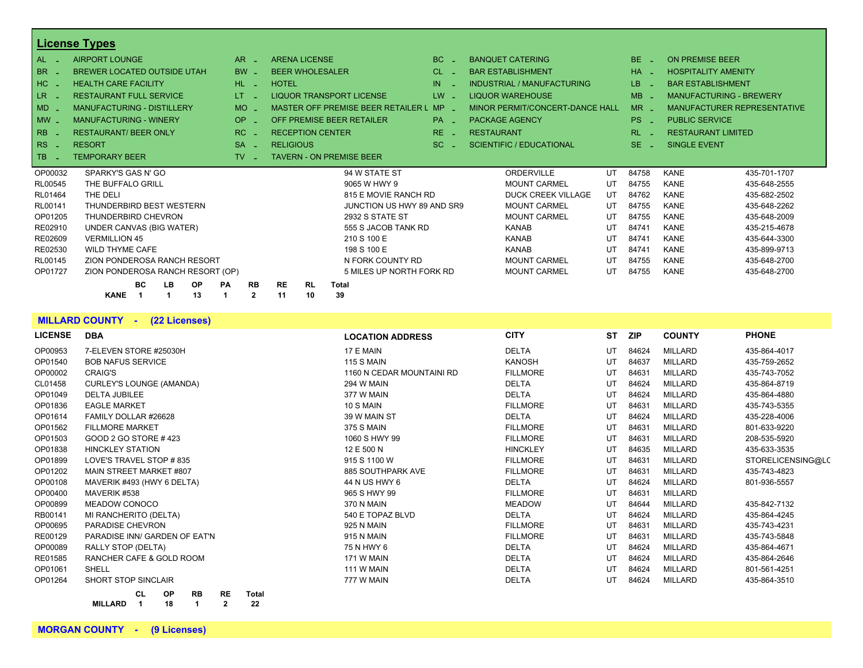|                | <b>License Types</b>                              |                                 |                                    |                                           |                 |                                 |           |                     |                                    |
|----------------|---------------------------------------------------|---------------------------------|------------------------------------|-------------------------------------------|-----------------|---------------------------------|-----------|---------------------|------------------------------------|
| AL             | <b>AIRPORT LOUNGE</b>                             | AR.                             | <b>ARENA LICENSE</b>               |                                           | BC              | <b>BANQUET CATERING</b>         | BE.       |                     | <b>ON PREMISE BEER</b>             |
| <b>BR</b>      | <b>BREWER LOCATED OUTSIDE UTAH</b>                | <b>BW</b>                       | <b>BEER WHOLESALER</b>             |                                           | CL.             | <b>BAR ESTABLISHMENT</b>        | $HA -$    |                     | <b>HOSPITALITY AMENITY</b>         |
| H <sub>C</sub> | <b>HEALTH CARE FACILITY</b>                       | HL.                             | <b>HOTEL</b>                       |                                           | IN              | INDUSTRIAL / MANUFACTURING      | LB.       |                     | <b>BAR ESTABLISHMENT</b>           |
| LR             | <b>RESTAURANT FULL SERVICE</b>                    | LT.                             |                                    | <b>LIQUOR TRANSPORT LICENSE</b>           | $LW -$          | <b>LIQUOR WAREHOUSE</b>         | $MB -$    |                     | <b>MANUFACTURING - BREWERY</b>     |
| MD             | <b>MANUFACTURING - DISTILLERY</b>                 | <b>MO</b>                       |                                    | <b>MASTER OFF PREMISE BEER RETAILER L</b> | $MP -$          | MINOR PERMIT/CONCERT-DANCE HALL | $MR -$    |                     | <b>MANUFACTURER REPRESENTATIVE</b> |
| $MW -$         | <b>MANUFACTURING - WINERY</b>                     | OP.<br>٠                        |                                    | OFF PREMISE BEER RETAILER                 | PA <sub>-</sub> | <b>PACKAGE AGENCY</b>           | PS.       | $\sim$              | <b>PUBLIC SERVICE</b>              |
| RB             | <b>RESTAURANT/ BEER ONLY</b>                      | RC.                             | <b>RECEPTION CENTER</b>            |                                           | RE.             | <b>RESTAURANT</b>               | <b>RL</b> |                     | <b>RESTAURANT LIMITED</b>          |
| RS<br>- 4      | <b>RESORT</b>                                     | <b>SA</b>                       | <b>RELIGIOUS</b>                   |                                           | SC.             | <b>SCIENTIFIC / EDUCATIONAL</b> | $SE$ $-$  | <b>SINGLE EVENT</b> |                                    |
| <b>TB</b>      | <b>TEMPORARY BEER</b>                             | TV.                             |                                    | <b>TAVERN - ON PREMISE BEER</b>           |                 |                                 |           |                     |                                    |
| OP00032        | SPARKY'S GAS N' GO                                |                                 |                                    | 94 W STATE ST                             |                 | <b>ORDERVILLE</b><br>UT         | 84758     | <b>KANE</b>         | 435-701-1707                       |
| RL00545        | THE BUFFALO GRILL                                 |                                 |                                    | 9065 W HWY 9                              |                 | <b>MOUNT CARMEL</b><br>UT       | 84755     | <b>KANE</b>         | 435-648-2555                       |
| RL01464        | THE DELI                                          |                                 |                                    | 815 E MOVIE RANCH RD                      |                 | UT<br><b>DUCK CREEK VILLAGE</b> | 84762     | <b>KANE</b>         | 435-682-2502                       |
| RL00141        | THUNDERBIRD BEST WESTERN                          |                                 |                                    | JUNCTION US HWY 89 AND SR9                |                 | <b>MOUNT CARMEL</b><br>UT       | 84755     | <b>KANE</b>         | 435-648-2262                       |
| OP01205        | THUNDERBIRD CHEVRON                               |                                 |                                    | 2932 S STATE ST                           |                 | <b>MOUNT CARMEL</b><br>UT       | 84755     | <b>KANE</b>         | 435-648-2009                       |
| RE02910        | UNDER CANVAS (BIG WATER)                          |                                 |                                    | 555 S JACOB TANK RD                       |                 | <b>KANAB</b><br>UT              | 84741     | <b>KANE</b>         | 435-215-4678                       |
| RE02609        | <b>VERMILLION 45</b>                              |                                 |                                    | 210 S 100 E                               |                 | <b>KANAB</b><br>UT              | 84741     | <b>KANE</b>         | 435-644-3300                       |
| RE02530        | <b>WILD THYME CAFE</b>                            |                                 |                                    | 198 S 100 E                               |                 | <b>KANAB</b><br>UT              | 84741     | <b>KANE</b>         | 435-899-9713                       |
| RL00145        | ZION PONDEROSA RANCH RESORT                       |                                 |                                    | N FORK COUNTY RD                          |                 | <b>MOUNT CARMEL</b><br>UT       | 84755     | <b>KANE</b>         | 435-648-2700                       |
| OP01727        | ZION PONDEROSA RANCH RESORT (OP)                  |                                 |                                    | 5 MILES UP NORTH FORK RD                  |                 | <b>MOUNT CARMEL</b><br>UT       | 84755     | <b>KANE</b>         | 435-648-2700                       |
|                | <b>BC</b><br><b>LB</b><br>OP<br>13<br><b>KANE</b> | PA<br><b>RB</b><br>$\mathbf{2}$ | <b>RE</b><br><b>RL</b><br>10<br>11 | <b>Total</b><br>39                        |                 |                                 |           |                     |                                    |

#### **MILLARD COUNTY - (22 Licenses)**

| <b>LICENSE</b> | <b>DBA</b>                      | <b>LOCATION ADDRESS</b>   | <b>CITY</b>     | <b>ST</b> | <b>ZIP</b> | <b>COUNTY</b> | <b>PHONE</b>      |
|----------------|---------------------------------|---------------------------|-----------------|-----------|------------|---------------|-------------------|
| OP00953        | 7-ELEVEN STORE #25030H          | 17 E MAIN                 | <b>DELTA</b>    | UT        | 84624      | MILLARD       | 435-864-4017      |
| OP01540        | <b>BOB NAFUS SERVICE</b>        | <b>115 S MAIN</b>         | <b>KANOSH</b>   | UT        | 84637      | MILLARD       | 435-759-2652      |
| OP00002        | <b>CRAIG'S</b>                  | 1160 N CEDAR MOUNTAINI RD | <b>FILLMORE</b> | UT        | 84631      | MILLARD       | 435-743-7052      |
| CL01458        | <b>CURLEY'S LOUNGE (AMANDA)</b> | 294 W MAIN                | <b>DELTA</b>    | UT        | 84624      | MILLARD       | 435-864-8719      |
| OP01049        | <b>DELTA JUBILEE</b>            | 377 W MAIN                | <b>DELTA</b>    | UT        | 84624      | MILLARD       | 435-864-4880      |
| OP01836        | <b>EAGLE MARKET</b>             | 10 S MAIN                 | <b>FILLMORE</b> | UT        | 84631      | MILLARD       | 435-743-5355      |
| OP01614        | FAMILY DOLLAR #26628            | 39 W MAIN ST              | <b>DELTA</b>    | UT        | 84624      | MILLARD       | 435-228-4006      |
| OP01562        | <b>FILLMORE MARKET</b>          | <b>375 S MAIN</b>         | <b>FILLMORE</b> | UT        | 84631      | MILLARD       | 801-633-9220      |
| OP01503        | GOOD 2 GO STORE #423            | 1060 S HWY 99             | <b>FILLMORE</b> | UT        | 84631      | MILLARD       | 208-535-5920      |
| OP01838        | <b>HINCKLEY STATION</b>         | 12 E 500 N                | <b>HINCKLEY</b> | UT        | 84635      | MILLARD       | 435-633-3535      |
| OP01899        | LOVE'S TRAVEL STOP #835         | 915 S 1100 W              | <b>FILLMORE</b> | UT        | 84631      | MILLARD       | STORELICENSING@LC |
| OP01202        | MAIN STREET MARKET #807         | 885 SOUTHPARK AVE         | <b>FILLMORE</b> | UT        | 84631      | MILLARD       | 435-743-4823      |
| OP00108        | MAVERIK #493 (HWY 6 DELTA)      | 44 N US HWY 6             | <b>DELTA</b>    | UT        | 84624      | MILLARD       | 801-936-5557      |
| OP00400        | MAVERIK #538                    | 965 S HWY 99              | <b>FILLMORE</b> | UT        | 84631      | MILLARD       |                   |
| OP00899        | MEADOW CONOCO                   | 370 N MAIN                | <b>MEADOW</b>   | UT        | 84644      | MILLARD       | 435-842-7132      |
| RB00141        | MI RANCHERITO (DELTA)           | 540 E TOPAZ BLVD          | <b>DELTA</b>    | UT        | 84624      | MILLARD       | 435-864-4245      |
| OP00695        | <b>PARADISE CHEVRON</b>         | 925 N MAIN                | <b>FILLMORE</b> | UT        | 84631      | MILLARD       | 435-743-4231      |
| RE00129        | PARADISE INN/ GARDEN OF EAT'N   | 915 N MAIN                | <b>FILLMORE</b> | UT        | 84631      | MILLARD       | 435-743-5848      |
| OP00089        | RALLY STOP (DELTA)              | 75 N HWY 6                | <b>DELTA</b>    | UT        | 84624      | MILLARD       | 435-864-4671      |
| RE01585        | RANCHER CAFE & GOLD ROOM        | 171 W MAIN                | <b>DELTA</b>    | UT        | 84624      | MILLARD       | 435-864-2646      |
| OP01061        | <b>SHELL</b>                    | 111 W MAIN                | <b>DELTA</b>    | UT        | 84624      | MILLARD       | 801-561-4251      |
| OP01264        | <b>SHORT STOP SINCLAIR</b>      | 777 W MAIN                | <b>DELTA</b>    | UT        | 84624      | MILLARD       | 435-864-3510      |

**MILLARD 1 18 1 2 22**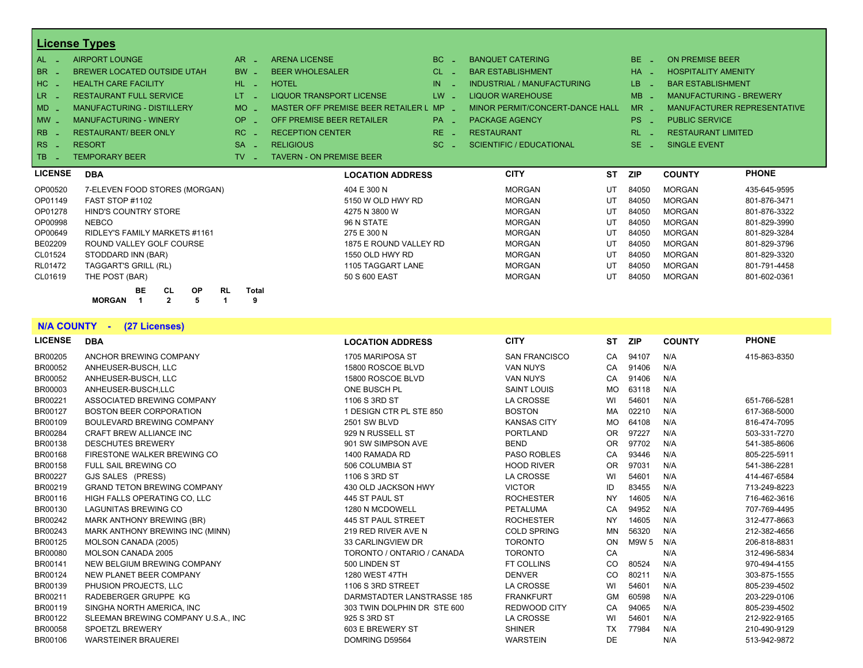|                | <b>License Types</b>               |           |           |           |           |                                    |                       |                                 |           |                       |                            |                                |
|----------------|------------------------------------|-----------|-----------|-----------|-----------|------------------------------------|-----------------------|---------------------------------|-----------|-----------------------|----------------------------|--------------------------------|
| AL .           | <b>AIRPORT LOUNGE</b>              |           |           |           | <b>AR</b> | <b>ARENA LICENSE</b>               | BC.                   | <b>BANQUET CATERING</b>         |           | BE.<br>- 20           | <b>ON PREMISE BEER</b>     |                                |
| BR .           | <b>BREWER LOCATED OUTSIDE UTAH</b> |           |           |           | $BW -$    | <b>BEER WHOLESALER</b>             | CL.                   | <b>BAR ESTABLISHMENT</b>        |           | $HA =$                | <b>HOSPITALITY AMENITY</b> |                                |
| HC             | <b>HEALTH CARE FACILITY</b>        |           |           |           | HL.       | <b>HOTEL</b>                       | IN.                   | INDUSTRIAL / MANUFACTURING      |           | LB.                   | <b>BAR ESTABLISHMENT</b>   |                                |
| LR.            | <b>RESTAURANT FULL SERVICE</b>     |           |           |           | LT.       | <b>LIQUOR TRANSPORT LICENSE</b>    | LW                    | <b>LIQUOR WAREHOUSE</b>         |           | <b>MB</b>             |                            | <b>MANUFACTURING - BREWERY</b> |
| <b>MD</b>      | <b>MANUFACTURING - DISTILLERY</b>  |           |           |           | $MO$ $-$  | MASTER OFF PREMISE BEER RETAILER L | <b>MP</b><br>in 1919. | MINOR PERMIT/CONCERT-DANCE HALL |           | $MR -$                |                            | MANUFACTURER REPRESENTATIVE    |
| $MW-$          | <b>MANUFACTURING - WINERY</b>      |           |           |           | <b>OP</b> | OFF PREMISE BEER RETAILER          | <b>PA</b>             | <b>PACKAGE AGENCY</b>           |           | PS _                  | <b>PUBLIC SERVICE</b>      |                                |
| <b>RB</b>      | <b>RESTAURANT/ BEER ONLY</b>       |           |           |           | RC.       | <b>RECEPTION CENTER</b>            | RE.                   | <b>RESTAURANT</b>               |           | <b>RL</b>             | <b>RESTAURANT LIMITED</b>  |                                |
| <b>RS</b>      | <b>RESORT</b>                      |           |           |           | <b>SA</b> | <b>RELIGIOUS</b>                   | SC.                   | <b>SCIENTIFIC / EDUCATIONAL</b> |           | SE.<br><b>College</b> | <b>SINGLE EVENT</b>        |                                |
| TB.            | <b>TEMPORARY BEER</b>              |           |           |           | <b>TV</b> | <b>TAVERN - ON PREMISE BEER</b>    |                       |                                 |           |                       |                            |                                |
| <b>LICENSE</b> | <b>DBA</b>                         |           |           |           |           | <b>LOCATION ADDRESS</b>            |                       | <b>CITY</b>                     | <b>ST</b> | <b>ZIP</b>            | <b>COUNTY</b>              | <b>PHONE</b>                   |
| OP00520        | 7-ELEVEN FOOD STORES (MORGAN)      |           |           |           |           | 404 E 300 N                        |                       | <b>MORGAN</b>                   | UT        | 84050                 | <b>MORGAN</b>              | 435-645-9595                   |
| OP01149        | FAST STOP #1102                    |           |           |           |           | 5150 W OLD HWY RD                  |                       | <b>MORGAN</b>                   | UT        | 84050                 | <b>MORGAN</b>              | 801-876-3471                   |
| OP01278        | HIND'S COUNTRY STORE               |           |           |           |           | 4275 N 3800 W                      |                       | <b>MORGAN</b>                   | UT        | 84050                 | <b>MORGAN</b>              | 801-876-3322                   |
| OP00998        | <b>NEBCO</b>                       |           |           |           |           | 96 N STATE                         |                       | <b>MORGAN</b>                   | UT        | 84050                 | <b>MORGAN</b>              | 801-829-3990                   |
| OP00649        | RIDLEY'S FAMILY MARKETS #1161      |           |           |           |           | 275 E 300 N                        |                       | <b>MORGAN</b>                   | UT        | 84050                 | <b>MORGAN</b>              | 801-829-3284                   |
| BE02209        | ROUND VALLEY GOLF COURSE           |           |           |           |           | 1875 E ROUND VALLEY RD             |                       | <b>MORGAN</b>                   | UT        | 84050                 | <b>MORGAN</b>              | 801-829-3796                   |
| CL01524        | STODDARD INN (BAR)                 |           |           |           |           | 1550 OLD HWY RD                    |                       | <b>MORGAN</b>                   | UT        | 84050                 | <b>MORGAN</b>              | 801-829-3320                   |
| RL01472        | TAGGART'S GRILL (RL)               |           |           |           |           | 1105 TAGGART LANE                  |                       | <b>MORGAN</b>                   | UT        | 84050                 | <b>MORGAN</b>              | 801-791-4458                   |
| CL01619        | THE POST (BAR)                     |           |           |           |           | 50 S 600 EAST                      |                       | <b>MORGAN</b>                   | UT        | 84050                 | <b>MORGAN</b>              | 801-602-0361                   |
|                | BE                                 | <b>CL</b> | <b>OP</b> | <b>RL</b> | Total     |                                    |                       |                                 |           |                       |                            |                                |
|                |                                    |           |           |           |           |                                    |                       |                                 |           |                       |                            |                                |

#### **N/A COUNTY - (27 Licenses)**

| <b>LICENSE</b> | <b>DBA</b>                          | <b>LOCATION ADDRESS</b>     | <b>CITY</b>          | <b>ST</b>     | <b>ZIP</b> | <b>COUNTY</b> | <b>PHONE</b> |
|----------------|-------------------------------------|-----------------------------|----------------------|---------------|------------|---------------|--------------|
| BR00205        | ANCHOR BREWING COMPANY              | 1705 MARIPOSA ST            | <b>SAN FRANCISCO</b> | CA            | 94107      | N/A           | 415-863-8350 |
| BR00052        | ANHEUSER-BUSCH, LLC                 | 15800 ROSCOE BLVD           | <b>VAN NUYS</b>      | CA            | 91406      | N/A           |              |
| BR00052        | ANHEUSER-BUSCH, LLC                 | 15800 ROSCOE BLVD           | <b>VAN NUYS</b>      | CA            | 91406      | N/A           |              |
| BR00003        | ANHEUSER-BUSCH,LLC                  | ONE BUSCH PL                | <b>SAINT LOUIS</b>   | MO            | 63118      | N/A           |              |
| BR00221        | ASSOCIATED BREWING COMPANY          | 1106 S 3RD ST               | LA CROSSE            | WI            | 54601      | N/A           | 651-766-5281 |
| <b>BR00127</b> | <b>BOSTON BEER CORPORATION</b>      | 1 DESIGN CTR PL STE 850     | <b>BOSTON</b>        | MA            | 02210      | N/A           | 617-368-5000 |
| BR00109        | BOULEVARD BREWING COMPANY           | <b>2501 SW BLVD</b>         | <b>KANSAS CITY</b>   | MO.           | 64108      | N/A           | 816-474-7095 |
| BR00284        | <b>CRAFT BREW ALLIANCE INC</b>      | 929 N RUSSELL ST            | <b>PORTLAND</b>      | OR.           | 97227      | N/A           | 503-331-7270 |
| BR00138        | <b>DESCHUTES BREWERY</b>            | 901 SW SIMPSON AVE          | <b>BEND</b>          | <b>OR</b>     | 97702      | N/A           | 541-385-8606 |
| BR00168        | FIRESTONE WALKER BREWING CO         | 1400 RAMADA RD              | <b>PASO ROBLES</b>   | CA            | 93446      | N/A           | 805-225-5911 |
| BR00158        | <b>FULL SAIL BREWING CO</b>         | 506 COLUMBIA ST             | <b>HOOD RIVER</b>    | <b>OR</b>     | 97031      | N/A           | 541-386-2281 |
| BR00227        | GJS SALES (PRESS)                   | 1106 S 3RD ST               | LA CROSSE            | WI            | 54601      | N/A           | 414-467-6584 |
| BR00219        | <b>GRAND TETON BREWING COMPANY</b>  | 430 OLD JACKSON HWY         | <b>VICTOR</b>        | ID            | 83455      | N/A           | 713-249-8223 |
| BR00116        | HIGH FALLS OPERATING CO, LLC        | 445 ST PAUL ST              | <b>ROCHESTER</b>     | <b>NY</b>     | 14605      | N/A           | 716-462-3616 |
| BR00130        | <b>LAGUNITAS BREWING CO</b>         | 1280 N MCDOWELL             | PETALUMA             | CA            | 94952      | N/A           | 707-769-4495 |
| BR00242        | MARK ANTHONY BREWING (BR)           | 445 ST PAUL STREET          | <b>ROCHESTER</b>     | <b>NY</b>     | 14605      | N/A           | 312-477-8663 |
| BR00243        | MARK ANTHONY BREWING INC (MINN)     | 219 RED RIVER AVE N         | <b>COLD SPRING</b>   | MN            | 56320      | N/A           | 212-382-4656 |
| BR00125        | MOLSON CANADA (2005)                | 33 CARLINGVIEW DR           | <b>TORONTO</b>       | ON            | M9W 5      | N/A           | 206-818-8831 |
| <b>BR00080</b> | <b>MOLSON CANADA 2005</b>           | TORONTO / ONTARIO / CANADA  | <b>TORONTO</b>       | CA            |            | N/A           | 312-496-5834 |
| BR00141        | NEW BELGIUM BREWING COMPANY         | 500 LINDEN ST               | FT COLLINS           | <sub>CO</sub> | 80524      | N/A           | 970-494-4155 |
| BR00124        | NEW PLANET BEER COMPANY             | <b>1280 WEST 47TH</b>       | <b>DENVER</b>        | <sub>CO</sub> | 80211      | N/A           | 303-875-1555 |
| BR00139        | PHUSION PROJECTS, LLC               | 1106 S 3RD STREET           | LA CROSSE            | WI            | 54601      | N/A           | 805-239-4502 |
| BR00211        | RADEBERGER GRUPPE KG                | DARMSTADTER LANSTRASSE 185  | <b>FRANKFURT</b>     | <b>GM</b>     | 60598      | N/A           | 203-229-0106 |
| BR00119        | SINGHA NORTH AMERICA. INC           | 303 TWIN DOLPHIN DR STE 600 | <b>REDWOOD CITY</b>  | CA            | 94065      | N/A           | 805-239-4502 |
| BR00122        | SLEEMAN BREWING COMPANY U.S.A., INC | 925 S 3RD ST                | LA CROSSE            | WI            | 54601      | N/A           | 212-922-9165 |
| <b>BR00058</b> | <b>SPOETZL BREWERY</b>              | 603 E BREWERY ST            | <b>SHINER</b>        | <b>TX</b>     | 77984      | N/A           | 210-490-9129 |
| BR00106        | <b>WARSTEINER BRAUEREI</b>          | DOMRING D59564              | <b>WARSTEIN</b>      | <b>DE</b>     |            | N/A           | 513-942-9872 |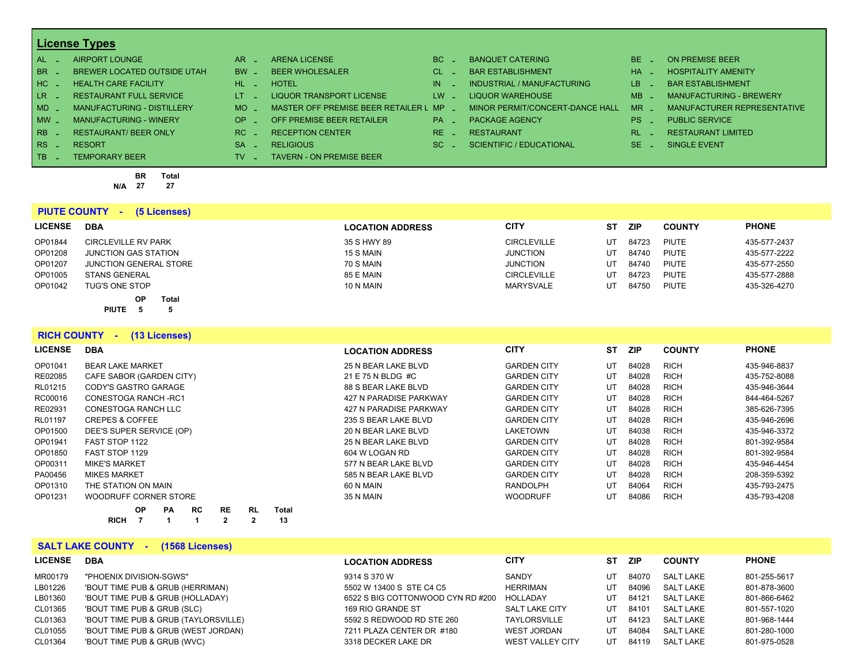| $AL -$          | AIRPORT LOUNGE                     | $AR -$                      | <b>ARENA LICENSE</b>                    | BC.                    | <b>BANQUET CATERING</b>         | BE.       | ON PREMISE BEER                |
|-----------------|------------------------------------|-----------------------------|-----------------------------------------|------------------------|---------------------------------|-----------|--------------------------------|
| BR _            | <b>BREWER LOCATED OUTSIDE UTAH</b> | $BW -$                      | <b>BEER WHOLESALER</b>                  | $CL$ $-$               | <b>BAR ESTABLISHMENT</b>        | <b>HA</b> | <b>HOSPITALITY AMENITY</b>     |
| I HC L          | <b>HEALTH CARE FACILITY</b>        | HL LI                       | <b>HOTEL</b>                            | IN                     | INDUSTRIAL / MANUFACTURING      | LB.       | <b>BAR ESTABLISHMENT</b>       |
| LR <sub>-</sub> | <b>RESTAURANT FULL SERVICE</b>     | $LT = 1$                    | LIQUOR TRANSPORT LICENSE                | $LW -$                 | LIQUOR WAREHOUSE                | $MB -$    | <b>MANUFACTURING - BREWERY</b> |
| $MD -$          | <b>MANUFACTURING - DISTILLERY</b>  | MO.                         | MASTER OFF PREMISE BEER RETAILER L MP _ |                        | MINOR PERMIT/CONCERT-DANCE HALL | <b>MR</b> | MANUFACTURER REPRESENTATIVE    |
| $MW$ $-$        | MANUFACTURING - WINERY             | $OP =$                      | OFF PREMISE BEER RETAILER               | <b>PA</b>              | <b>PACKAGE AGENCY</b>           | PS.       | <b>PUBLIC SERVICE</b>          |
| $RB -$          | <b>RESTAURANT/ BEER ONLY</b>       | $RC -$                      | <b>RECEPTION CENTER</b>                 | RE.<br><b>Contract</b> | <b>RESTAURANT</b>               | RI        | <b>RESTAURANT LIMITED</b>      |
| $RS -$          | <b>RESORT</b>                      | <b>SA</b><br><b>College</b> | <b>RELIGIOUS</b>                        | SC.                    | SCIENTIFIC / EDUCATIONAL        | SE.       | SINGLE EVENT                   |
| TB.             | <b>TEMPORARY BEER</b>              | TV.                         | <b>TAVERN - ON PREMISE BEER</b>         |                        |                                 |           |                                |

**BR Total N/A 27 27**

|                | <b>PIUTE COUNTY -</b><br>(5 Licenses) |                         |                    |    |            |               |              |
|----------------|---------------------------------------|-------------------------|--------------------|----|------------|---------------|--------------|
| <b>LICENSE</b> | <b>DBA</b>                            | <b>LOCATION ADDRESS</b> | <b>CITY</b>        | ST | <b>ZIP</b> | <b>COUNTY</b> | <b>PHONE</b> |
| OP01844        | <b>CIRCLEVILLE RV PARK</b>            | 35 S HWY 89             | <b>CIRCLEVILLE</b> | UT | 84723      | PIUTE         | 435-577-2437 |
| OP01208        | JUNCTION GAS STATION                  | 15 S MAIN               | <b>JUNCTION</b>    | UT | 84740      | PIUTE         | 435-577-2222 |
| OP01207        | <b>JUNCTION GENERAL STORE</b>         | 70 S MAIN               | <b>JUNCTION</b>    | UT | 84740      | PIUTE         | 435-577-2550 |
| OP01005        | <b>STANS GENERAL</b>                  | 85 E MAIN               | <b>CIRCLEVILLE</b> | UT | 84723      | PIUTE         | 435-577-2888 |
| OP01042        | <b>TUG'S ONE STOP</b>                 | 10 N MAIN               | MARYSVALE          | UT | 84750      | PIUTE         | 435-326-4270 |
|                | <b>OP</b><br>Total                    |                         |                    |    |            |               |              |
|                | <b>PIUTE</b>                          |                         |                    |    |            |               |              |

**RICH COUNTY - (13 Licenses)**

| <b>LICENSE</b> | <b>DBA</b>                                                 | <b>LOCATION ADDRESS</b> | <b>CITY</b>        | ST | <b>ZIP</b> | <b>COUNTY</b> | <b>PHONE</b> |
|----------------|------------------------------------------------------------|-------------------------|--------------------|----|------------|---------------|--------------|
| OP01041        | <b>BEAR LAKE MARKET</b>                                    | 25 N BEAR LAKE BLVD     | <b>GARDEN CITY</b> | UT | 84028      | <b>RICH</b>   | 435-946-8837 |
| RE02085        | CAFE SABOR (GARDEN CITY)                                   | 21 E 75 N BLDG #C       | <b>GARDEN CITY</b> | UT | 84028      | <b>RICH</b>   | 435-752-8088 |
| RL01215        | CODY'S GASTRO GARAGE                                       | 88 S BEAR LAKE BLVD     | <b>GARDEN CITY</b> | UT | 84028      | <b>RICH</b>   | 435-946-3644 |
| RC00016        | CONESTOGA RANCH-RC1                                        | 427 N PARADISE PARKWAY  | <b>GARDEN CITY</b> | UT | 84028      | <b>RICH</b>   | 844-464-5267 |
| RE02931        | CONESTOGA RANCH LLC                                        | 427 N PARADISE PARKWAY  | <b>GARDEN CITY</b> | UT | 84028      | <b>RICH</b>   | 385-626-7395 |
| RL01197        | <b>CREPES &amp; COFFEE</b>                                 | 235 S BEAR LAKE BLVD    | <b>GARDEN CITY</b> | UT | 84028      | <b>RICH</b>   | 435-946-2696 |
| OP01500        | DEE'S SUPER SERVICE (OP)                                   | 20 N BEAR LAKE BLVD     | LAKETOWN           | UT | 84038      | <b>RICH</b>   | 435-946-3372 |
| OP01941        | FAST STOP 1122                                             | 25 N BEAR LAKE BLVD     | <b>GARDEN CITY</b> | UT | 84028      | <b>RICH</b>   | 801-392-9584 |
| OP01850        | FAST STOP 1129                                             | 604 W LOGAN RD          | <b>GARDEN CITY</b> | UT | 84028      | <b>RICH</b>   | 801-392-9584 |
| OP00311        | <b>MIKE'S MARKET</b>                                       | 577 N BEAR LAKE BLVD    | <b>GARDEN CITY</b> | UT | 84028      | <b>RICH</b>   | 435-946-4454 |
| PA00456        | <b>MIKES MARKET</b>                                        | 585 N BEAR LAKE BLVD    | <b>GARDEN CITY</b> | UT | 84028      | <b>RICH</b>   | 208-359-5392 |
| OP01310        | THE STATION ON MAIN                                        | 60 N MAIN               | <b>RANDOLPH</b>    | UT | 84064      | <b>RICH</b>   | 435-793-2475 |
| OP01231        | WOODRUFF CORNER STORE                                      | 35 N MAIN               | <b>WOODRUFF</b>    | UT | 84086      | <b>RICH</b>   | 435-793-4208 |
|                | <b>OP</b><br><b>RE</b><br>RC<br><b>Total</b><br>RL.<br>РA. |                         |                    |    |            |               |              |

#### **SALT LAKE COUNTY - (1568 Licenses)**

**RICH 7 1 1 2 2 13**

| <b>LICENSE</b> | <b>DBA</b>                           | <b>LOCATION ADDRESS</b>           | <b>CITY</b>             | SТ | ZIP.  | <b>COUNTY</b>    | <b>PHONE</b> |
|----------------|--------------------------------------|-----------------------------------|-------------------------|----|-------|------------------|--------------|
| MR00179        | "PHOENIX DIVISION-SGWS"              | 9314 S 370 W                      | SANDY                   | UT | 84070 | <b>SALT LAKE</b> | 801-255-5617 |
| LB01226        | 'BOUT TIME PUB & GRUB (HERRIMAN)     | 5502 W 13400 S STE C4 C5          | HERRIMAN                | UT | 84096 | <b>SALT LAKE</b> | 801-878-3600 |
| LB01360        | 'BOUT TIME PUB & GRUB (HOLLADAY)     | 6522 S BIG COTTONWOOD CYN RD #200 | HOLLADAY                | UT | 84121 | <b>SALT LAKE</b> | 801-866-6462 |
| CL01365        | 'BOUT TIME PUB & GRUB (SLC)          | 169 RIO GRANDE ST                 | <b>SALT LAKE CITY</b>   | UT | 84101 | SALT LAKE        | 801-557-1020 |
| CL01363        | 'BOUT TIME PUB & GRUB (TAYLORSVILLE) | 5592 S REDWOOD RD STE 260         | <b>TAYLORSVILLE</b>     | UT | 84123 | SALT LAKE        | 801-968-1444 |
| CL01055        | 'BOUT TIME PUB & GRUB (WEST JORDAN)  | 7211 PLAZA CENTER DR #180         | <b>WEST JORDAN</b>      | UT | 84084 | SALT LAKE        | 801-280-1000 |
| CL01364        | 'BOUT TIME PUB & GRUB (WVC)          | 3318 DECKER LAKE DR               | <b>WEST VALLEY CITY</b> | UT | 84119 | SALT LAKE        | 801-975-0528 |
|                |                                      |                                   |                         |    |       |                  |              |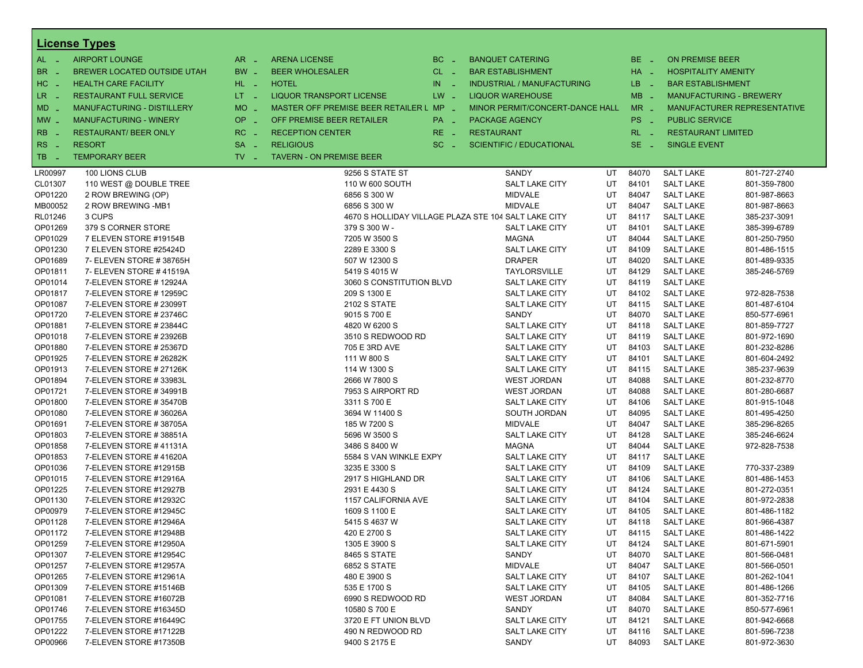|                          | <b>License Types</b>                             |                     |                                         |              |                                                      |    |                 |                            |                                |
|--------------------------|--------------------------------------------------|---------------------|-----------------------------------------|--------------|------------------------------------------------------|----|-----------------|----------------------------|--------------------------------|
| AL -                     | <b>AIRPORT LOUNGE</b>                            | $AR -$              | <b>ARENA LICENSE</b>                    | BC<br>$\sim$ | <b>BANQUET CATERING</b>                              |    | BE _            | <b>ON PREMISE BEER</b>     |                                |
| BR<br>- 4                | BREWER LOCATED OUTSIDE UTAH                      | BW _                | <b>BEER WHOLESALER</b>                  | CL _         | <b>BAR ESTABLISHMENT</b>                             |    | HA _            | <b>HOSPITALITY AMENITY</b> |                                |
| H <sub>C</sub><br>$\sim$ | <b>HEALTH CARE FACILITY</b>                      | HL L                | <b>HOTEL</b>                            | IN.<br>- 4   | <b>INDUSTRIAL / MANUFACTURING</b>                    |    | LB.<br>- 4      | <b>BAR ESTABLISHMENT</b>   |                                |
| LR <sub>1</sub>          | <b>RESTAURANT FULL SERVICE</b>                   | $LT - 1$            | <b>LIQUOR TRANSPORT LICENSE</b>         | $LW -$       | <b>LIQUOR WAREHOUSE</b>                              |    | $MB -$          |                            | <b>MANUFACTURING - BREWERY</b> |
| - 4                      | MANUFACTURING - DISTILLERY                       | <b>MO</b>           | MASTER OFF PREMISE BEER RETAILER L MP _ |              | MINOR PERMIT/CONCERT-DANCE HALL                      |    | $MR -$          |                            | MANUFACTURER REPRESENTATIVE    |
| MD                       |                                                  | $\sim$              |                                         |              |                                                      |    |                 |                            |                                |
| $\mid$ MW $\mid$         | <b>MANUFACTURING - WINERY</b>                    | <b>OP</b><br>÷.     | OFF PREMISE BEER RETAILER               | PA -         | <b>PACKAGE AGENCY</b>                                |    | PS <sub>-</sub> | <b>PUBLIC SERVICE</b>      |                                |
| <b>RB</b>                | <b>RESTAURANT/ BEER ONLY</b>                     | RC                  | <b>RECEPTION CENTER</b>                 | RE.          | <b>RESTAURANT</b>                                    |    | $RL - 1$        | <b>RESTAURANT LIMITED</b>  |                                |
| RS<br>$\sim$             | <b>RESORT</b>                                    | <b>SA</b><br>$\sim$ | <b>RELIGIOUS</b>                        | $SC =$       | <b>SCIENTIFIC / EDUCATIONAL</b>                      |    | $SE -$          | <b>SINGLE EVENT</b>        |                                |
| TB                       | <b>TEMPORARY BEER</b>                            | TV.<br>- 1          | <b>TAVERN - ON PREMISE BEER</b>         |              |                                                      |    |                 |                            |                                |
| LR00997                  | 100 LIONS CLUB                                   |                     | 9256 S STATE ST                         |              | SANDY                                                | UT | 84070           | <b>SALT LAKE</b>           | 801-727-2740                   |
| CL01307                  | 110 WEST @ DOUBLE TREE                           |                     | 110 W 600 SOUTH                         |              | <b>SALT LAKE CITY</b>                                | UT | 84101           | <b>SALT LAKE</b>           | 801-359-7800                   |
| OP01220                  | 2 ROW BREWING (OP)                               |                     | 6856 S 300 W                            |              | <b>MIDVALE</b>                                       | UT | 84047           | <b>SALT LAKE</b>           | 801-987-8663                   |
| MB00052                  | 2 ROW BREWING -MB1                               |                     | 6856 S 300 W                            |              | <b>MIDVALE</b>                                       | UT | 84047           | <b>SALT LAKE</b>           | 801-987-8663                   |
| RL01246                  | 3 CUPS                                           |                     |                                         |              | 4670 S HOLLIDAY VILLAGE PLAZA STE 104 SALT LAKE CITY | UT | 84117           | <b>SALT LAKE</b>           | 385-237-3091                   |
| OP01269                  | 379 S CORNER STORE                               |                     | 379 S 300 W -                           |              | <b>SALT LAKE CITY</b>                                | UT | 84101           | <b>SALT LAKE</b>           | 385-399-6789                   |
| OP01029                  | 7 ELEVEN STORE #19154B                           |                     | 7205 W 3500 S                           |              | <b>MAGNA</b>                                         | UT | 84044           | <b>SALT LAKE</b>           | 801-250-7950                   |
| OP01230                  | 7 ELEVEN STORE #25424D                           |                     | 2289 E 3300 S                           |              | <b>SALT LAKE CITY</b>                                | UT | 84109           | <b>SALT LAKE</b>           | 801-486-1515                   |
| OP01689                  | 7- ELEVEN STORE #38765H                          |                     | 507 W 12300 S                           |              | <b>DRAPER</b>                                        | UT | 84020           | <b>SALT LAKE</b>           | 801-489-9335                   |
| OP01811                  | 7- ELEVEN STORE #41519A                          |                     | 5419 S 4015 W                           |              | <b>TAYLORSVILLE</b>                                  | UT | 84129           | <b>SALT LAKE</b>           | 385-246-5769                   |
| OP01014                  | 7-ELEVEN STORE #12924A                           |                     | 3060 S CONSTITUTION BLVD                |              | <b>SALT LAKE CITY</b>                                | UT | 84119           | <b>SALT LAKE</b>           |                                |
| OP01817                  | 7-ELEVEN STORE #12959C                           |                     | 209 S 1300 E                            |              | <b>SALT LAKE CITY</b>                                | UT | 84102           | <b>SALT LAKE</b>           | 972-828-7538                   |
| OP01087                  | 7-ELEVEN STORE # 23099T                          |                     | <b>2102 S STATE</b>                     |              | <b>SALT LAKE CITY</b>                                | UT | 84115           | <b>SALT LAKE</b>           | 801-487-6104                   |
| OP01720                  | 7-ELEVEN STORE # 23746C                          |                     | 9015 S 700 E                            |              | SANDY                                                | UT | 84070           | <b>SALT LAKE</b>           | 850-577-6961                   |
| OP01881                  | 7-ELEVEN STORE # 23844C                          |                     | 4820 W 6200 S                           |              | <b>SALT LAKE CITY</b>                                | UT | 84118           | <b>SALT LAKE</b>           | 801-859-7727                   |
| OP01018                  | 7-ELEVEN STORE # 23926B                          |                     | 3510 S REDWOOD RD                       |              | <b>SALT LAKE CITY</b>                                | UT | 84119           | <b>SALT LAKE</b>           | 801-972-1690                   |
| OP01880                  | 7-ELEVEN STORE # 25367D                          |                     | 705 E 3RD AVE                           |              | <b>SALT LAKE CITY</b>                                | UT | 84103           | <b>SALT LAKE</b>           | 801-232-8286                   |
| OP01925                  | 7-ELEVEN STORE # 26282K                          |                     | 111 W 800 S                             |              | <b>SALT LAKE CITY</b>                                | UT | 84101           | <b>SALT LAKE</b>           | 801-604-2492                   |
| OP01913                  | 7-ELEVEN STORE # 27126K                          |                     | 114 W 1300 S                            |              | <b>SALT LAKE CITY</b>                                | UT | 84115           | <b>SALT LAKE</b>           | 385-237-9639                   |
| OP01894                  | 7-ELEVEN STORE #33983L                           |                     | 2666 W 7800 S                           |              | <b>WEST JORDAN</b>                                   | UT | 84088           | <b>SALT LAKE</b>           | 801-232-8770                   |
| OP01721                  | 7-ELEVEN STORE #34991B                           |                     | 7953 S AIRPORT RD                       |              | <b>WEST JORDAN</b>                                   | UT | 84088           | <b>SALT LAKE</b>           | 801-280-6687                   |
| OP01800                  | 7-ELEVEN STORE #35470B                           |                     | 3311 S 700 E                            |              | <b>SALT LAKE CITY</b>                                | UT | 84106           | <b>SALT LAKE</b>           | 801-915-1048                   |
| OP01080                  | 7-ELEVEN STORE #36026A                           |                     | 3694 W 11400 S                          |              | SOUTH JORDAN                                         | UT | 84095           | <b>SALT LAKE</b>           | 801-495-4250                   |
| OP01691                  | 7-ELEVEN STORE #38705A                           |                     | 185 W 7200 S                            |              | <b>MIDVALE</b>                                       | UT | 84047           | <b>SALT LAKE</b>           | 385-296-8265                   |
| OP01803                  | 7-ELEVEN STORE #38851A                           |                     | 5696 W 3500 S                           |              | <b>SALT LAKE CITY</b>                                | UT | 84128           | <b>SALT LAKE</b>           | 385-246-6624                   |
| OP01858                  | 7-ELEVEN STORE #41131A                           |                     | 3486 S 8400 W                           |              | <b>MAGNA</b>                                         | UT | 84044           | <b>SALT LAKE</b>           | 972-828-7538                   |
| OP01853                  | 7-ELEVEN STORE #41620A                           |                     | 5584 S VAN WINKLE EXPY                  |              | <b>SALT LAKE CITY</b>                                | UT | 84117           | <b>SALT LAKE</b>           |                                |
| OP01036                  | 7-ELEVEN STORE #12915B                           |                     | 3235 E 3300 S                           |              | <b>SALT LAKE CITY</b>                                | UT | 84109           | <b>SALT LAKE</b>           | 770-337-2389                   |
| OP01015                  | 7-ELEVEN STORE #12916A                           |                     | 2917 S HIGHLAND DR                      |              | <b>SALT LAKE CITY</b>                                | UT | 84106           | <b>SALT LAKE</b>           | 801-486-1453                   |
| OP01225                  | 7-ELEVEN STORE #12927B                           |                     | 2931 E 4430 S                           |              | <b>SALT LAKE CITY</b>                                | UT | 84124           | <b>SALT LAKE</b>           | 801-272-0351                   |
| OP01130                  | 7-ELEVEN STORE #12932C                           |                     | 1157 CALIFORNIA AVE                     |              | <b>SALT LAKE CITY</b>                                | UT | 84104           | <b>SALT LAKE</b>           | 801-972-2838                   |
| OP00979                  | 7-ELEVEN STORE #12945C                           |                     | 1609 S 1100 E                           |              | <b>SALT LAKE CITY</b>                                | UT | 84105           | <b>SALT LAKE</b>           | 801-486-1182                   |
| OP01128                  | 7-ELEVEN STORE #12946A                           |                     | 5415 S 4637 W                           |              | <b>SALT LAKE CITY</b>                                | UT | 84118           | <b>SALT LAKE</b>           | 801-966-4387                   |
| OP01172                  | 7-ELEVEN STORE #12948B                           |                     | 420 E 2700 S                            |              | <b>SALT LAKE CITY</b>                                | UT | 84115           | <b>SALT LAKE</b>           | 801-486-1422                   |
| OP01259                  | 7-ELEVEN STORE #12950A                           |                     | 1305 E 3900 S                           |              | SALT LAKE CITY                                       | UT | 84124           | <b>SALT LAKE</b>           | 801-671-5901                   |
| OP01307                  | 7-ELEVEN STORE #12954C                           |                     | 8465 S STATE                            |              | SANDY                                                | UT | 84070           | <b>SALT LAKE</b>           | 801-566-0481                   |
| OP01257                  | 7-ELEVEN STORE #12957A                           |                     | <b>6852 S STATE</b>                     |              | <b>MIDVALE</b>                                       | UT | 84047           | <b>SALT LAKE</b>           | 801-566-0501                   |
| OP01265                  | 7-ELEVEN STORE #12961A                           |                     | 480 E 3900 S                            |              | <b>SALT LAKE CITY</b>                                | UT | 84107           | <b>SALT LAKE</b>           | 801-262-1041                   |
| OP01309                  | 7-ELEVEN STORE #15146B                           |                     | 535 E 1700 S                            |              | <b>SALT LAKE CITY</b>                                | UT | 84105           | <b>SALT LAKE</b>           | 801-486-1266                   |
| OP01081                  | 7-ELEVEN STORE #16072B                           |                     | 6990 S REDWOOD RD                       |              | <b>WEST JORDAN</b>                                   | UT | 84084           | <b>SALT LAKE</b>           | 801-352-7716                   |
| OP01746                  | 7-ELEVEN STORE #16345D                           |                     | 10580 S 700 E                           |              | SANDY                                                | UT | 84070           | <b>SALT LAKE</b>           | 850-577-6961                   |
| OP01755                  | 7-ELEVEN STORE #16449C<br>7-ELEVEN STORE #17122B |                     | 3720 E FT UNION BLVD                    |              | SALT LAKE CITY                                       | UT | 84121           | <b>SALT LAKE</b>           | 801-942-6668                   |
| OP01222                  |                                                  |                     | 490 N REDWOOD RD                        |              | SALT LAKE CITY                                       | UT | 84116           | <b>SALT LAKE</b>           | 801-596-7238                   |
| OP00966                  | 7-ELEVEN STORE #17350B                           |                     | 9400 S 2175 E                           |              | SANDY                                                | UT | 84093           | <b>SALT LAKE</b>           | 801-972-3630                   |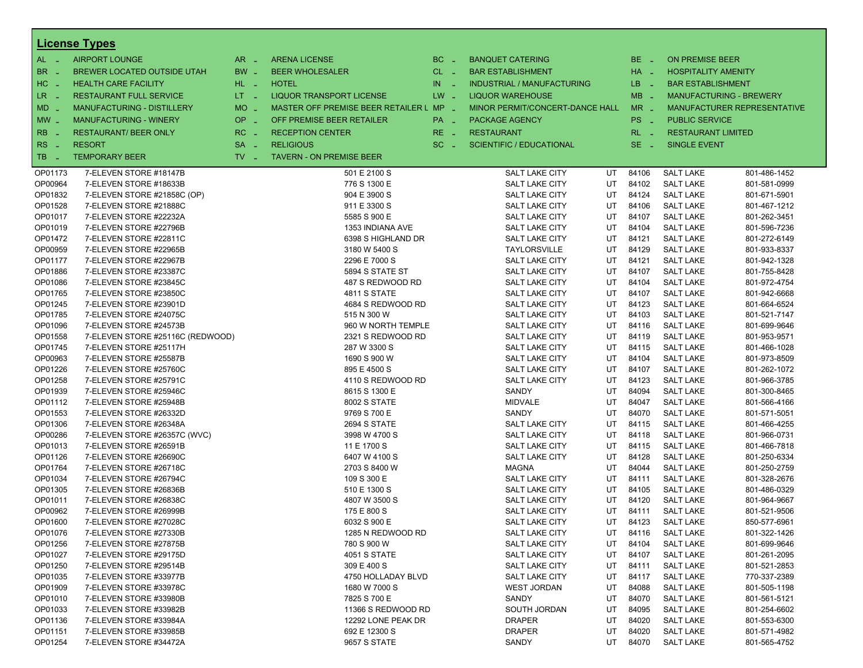|            | <b>License Types</b>             |                 |                                         |                                   |                                   |    |            |                            |                                    |
|------------|----------------------------------|-----------------|-----------------------------------------|-----------------------------------|-----------------------------------|----|------------|----------------------------|------------------------------------|
| $AL -$     | <b>AIRPORT LOUNGE</b>            | $AR -$          | <b>ARENA LICENSE</b>                    | BC<br>$\sim$                      | <b>BANQUET CATERING</b>           |    | BE _       | <b>ON PREMISE BEER</b>     |                                    |
| <b>BR</b>  | BREWER LOCATED OUTSIDE UTAH      | BW _            | <b>BEER WHOLESALER</b>                  | $CL$ $-$                          | <b>BAR ESTABLISHMENT</b>          |    | HA _       | <b>HOSPITALITY AMENITY</b> |                                    |
| $HC -$     | <b>HEALTH CARE FACILITY</b>      | HL L            | <b>HOTEL</b>                            | IN<br>- 4                         | <b>INDUSTRIAL / MANUFACTURING</b> |    | LB.<br>- 4 | <b>BAR ESTABLISHMENT</b>   |                                    |
| $LR -$     | <b>RESTAURANT FULL SERVICE</b>   | $LT - 1$        | LIQUOR TRANSPORT LICENSE                | $LW -$<br><b>LIQUOR WAREHOUSE</b> |                                   |    | $MB -$     |                            | <b>MANUFACTURING - BREWERY</b>     |
| MD _       | MANUFACTURING - DISTILLERY       | <b>MO</b>       | MASTER OFF PREMISE BEER RETAILER L MP - |                                   | MINOR PERMIT/CONCERT-DANCE HALL   |    | $MR -$     |                            | <b>MANUFACTURER REPRESENTATIVE</b> |
|            |                                  | $\sim$          |                                         |                                   |                                   |    |            |                            |                                    |
| $MW$ $-$   | <b>MANUFACTURING - WINERY</b>    | <b>OP</b><br>r. | OFF PREMISE BEER RETAILER               | PA _                              | <b>PACKAGE AGENCY</b>             |    | PS _       | <b>PUBLIC SERVICE</b>      |                                    |
| <b>RB</b>  | <b>RESTAURANT/ BEER ONLY</b>     | RC              | <b>RECEPTION CENTER</b>                 | $RE_ -$                           | <b>RESTAURANT</b>                 |    | $RL - 1$   | <b>RESTAURANT LIMITED</b>  |                                    |
| RS<br>- 1  | <b>RESORT</b>                    | <b>SA</b><br>ц, | <b>RELIGIOUS</b>                        | $SC =$                            | <b>SCIENTIFIC / EDUCATIONAL</b>   |    | $SE -$     | <b>SINGLE EVENT</b>        |                                    |
| TB.<br>- 4 | <b>TEMPORARY BEER</b>            | TV.<br>- 1      | <b>TAVERN - ON PREMISE BEER</b>         |                                   |                                   |    |            |                            |                                    |
| OP01173    | 7-ELEVEN STORE #18147B           |                 | 501 E 2100 S                            |                                   | <b>SALT LAKE CITY</b>             | UT | 84106      | <b>SALT LAKE</b>           | 801-486-1452                       |
| OP00964    | 7-ELEVEN STORE #18633B           |                 | 776 S 1300 E                            |                                   | <b>SALT LAKE CITY</b>             | UT | 84102      | <b>SALT LAKE</b>           | 801-581-0999                       |
| OP01832    | 7-ELEVEN STORE #21858C (OP)      |                 | 904 E 3900 S                            |                                   | <b>SALT LAKE CITY</b>             | UT | 84124      | <b>SALT LAKE</b>           | 801-671-5901                       |
| OP01528    | 7-ELEVEN STORE #21888C           |                 | 911 E 3300 S                            |                                   | <b>SALT LAKE CITY</b>             | UT | 84106      | <b>SALT LAKE</b>           | 801-467-1212                       |
| OP01017    | 7-ELEVEN STORE #22232A           |                 | 5585 S 900 E                            |                                   | SALT LAKE CITY                    | UT | 84107      | <b>SALT LAKE</b>           | 801-262-3451                       |
| OP01019    | 7-ELEVEN STORE #22796B           |                 | 1353 INDIANA AVE                        |                                   | <b>SALT LAKE CITY</b>             | UT | 84104      | <b>SALT LAKE</b>           | 801-596-7236                       |
| OP01472    | 7-ELEVEN STORE #22811C           |                 | 6398 S HIGHLAND DR                      |                                   | <b>SALT LAKE CITY</b>             | UT | 84121      | <b>SALT LAKE</b>           | 801-272-6149                       |
| OP00959    | 7-ELEVEN STORE #22965B           |                 | 3180 W 5400 S                           |                                   | <b>TAYLORSVILLE</b>               | UT | 84129      | <b>SALT LAKE</b>           | 801-933-8337                       |
| OP01177    | 7-ELEVEN STORE #22967B           |                 | 2296 E 7000 S                           |                                   | <b>SALT LAKE CITY</b>             | UT | 84121      | <b>SALT LAKE</b>           | 801-942-1328                       |
| OP01886    | 7-ELEVEN STORE #23387C           |                 | 5894 S STATE ST                         |                                   | <b>SALT LAKE CITY</b>             | UT | 84107      | <b>SALT LAKE</b>           | 801-755-8428                       |
| OP01086    | 7-ELEVEN STORE #23845C           |                 | 487 S REDWOOD RD                        |                                   | SALT LAKE CITY                    | UT | 84104      | <b>SALT LAKE</b>           | 801-972-4754                       |
| OP01765    | 7-ELEVEN STORE #23850C           |                 | <b>4811 S STATE</b>                     |                                   | <b>SALT LAKE CITY</b>             | UT | 84107      | <b>SALT LAKE</b>           | 801-942-6668                       |
| OP01245    | 7-ELEVEN STORE #23901D           |                 | 4684 S REDWOOD RD                       |                                   | <b>SALT LAKE CITY</b>             | UT | 84123      | <b>SALT LAKE</b>           | 801-664-6524                       |
| OP01785    | 7-ELEVEN STORE #24075C           |                 | 515 N 300 W                             |                                   | SALT LAKE CITY                    | UT | 84103      | <b>SALT LAKE</b>           | 801-521-7147                       |
| OP01096    | 7-ELEVEN STORE #24573B           |                 | 960 W NORTH TEMPLE                      |                                   | <b>SALT LAKE CITY</b>             | UT | 84116      | <b>SALT LAKE</b>           | 801-699-9646                       |
| OP01558    | 7-ELEVEN STORE #25116C (REDWOOD) |                 | 2321 S REDWOOD RD                       |                                   | <b>SALT LAKE CITY</b>             | UT | 84119      | <b>SALT LAKE</b>           | 801-953-9571                       |
| OP01745    | 7-ELEVEN STORE #25117H           |                 | 287 W 3300 S                            |                                   | SALT LAKE CITY                    | UT | 84115      | <b>SALT LAKE</b>           | 801-466-1028                       |
| OP00963    | 7-ELEVEN STORE #25587B           |                 | 1690 S 900 W                            |                                   | <b>SALT LAKE CITY</b>             | UT | 84104      | <b>SALT LAKE</b>           | 801-973-8509                       |
| OP01226    | 7-ELEVEN STORE #25760C           |                 | 895 E 4500 S                            |                                   | <b>SALT LAKE CITY</b>             | UT | 84107      | <b>SALT LAKE</b>           | 801-262-1072                       |
| OP01258    | 7-ELEVEN STORE #25791C           |                 | 4110 S REDWOOD RD                       |                                   | SALT LAKE CITY                    | UT | 84123      | <b>SALT LAKE</b>           | 801-966-3785                       |
| OP01939    | 7-ELEVEN STORE #25946C           |                 | 8615 S 1300 E                           |                                   | SANDY                             | UT | 84094      | <b>SALT LAKE</b>           | 801-300-8465                       |
| OP01112    | 7-ELEVEN STORE #25948B           |                 | 8002 S STATE                            |                                   | <b>MIDVALE</b>                    | UT | 84047      | <b>SALT LAKE</b>           | 801-566-4166                       |
| OP01553    | 7-ELEVEN STORE #26332D           |                 | 9769 S 700 E                            |                                   | SANDY                             | UT | 84070      | <b>SALT LAKE</b>           | 801-571-5051                       |
| OP01306    | 7-ELEVEN STORE #26348A           |                 | <b>2694 S STATE</b>                     |                                   | <b>SALT LAKE CITY</b>             | UT | 84115      | <b>SALT LAKE</b>           | 801-466-4255                       |
| OP00286    | 7-ELEVEN STORE #26357C (WVC)     |                 | 3998 W 4700 S                           |                                   | <b>SALT LAKE CITY</b>             | UT | 84118      | <b>SALT LAKE</b>           | 801-966-0731                       |
| OP01013    | 7-ELEVEN STORE #26591B           |                 | 11 E 1700 S                             |                                   | SALT LAKE CITY                    | UT | 84115      | <b>SALT LAKE</b>           | 801-466-7818                       |
| OP01126    | 7-ELEVEN STORE #26690C           |                 | 6407 W 4100 S                           |                                   | <b>SALT LAKE CITY</b>             | UT | 84128      | <b>SALT LAKE</b>           | 801-250-6334                       |
| OP01764    | 7-ELEVEN STORE #26718C           |                 | 2703 S 8400 W                           |                                   | <b>MAGNA</b>                      | UT | 84044      | <b>SALT LAKE</b>           | 801-250-2759                       |
| OP01034    | 7-ELEVEN STORE #26794C           |                 | 109 S 300 E                             |                                   | SALT LAKE CITY                    | UT | 84111      | <b>SALT LAKE</b>           | 801-328-2676                       |
| OP01305    | 7-ELEVEN STORE #26836B           |                 | 510 E 1300 S                            |                                   | <b>SALT LAKE CITY</b>             | UT | 84105      | <b>SALT LAKE</b>           | 801-486-0329                       |
| OP01011    | 7-ELEVEN STORE #26838C           |                 | 4807 W 3500 S                           |                                   | <b>SALT LAKE CITY</b>             | UT | 84120      | <b>SALT LAKE</b>           | 801-964-9667                       |
| OP00962    | 7-ELEVEN STORE #26999B           |                 | 175 E 800 S                             |                                   | SALT LAKE CITY                    | UT | 84111      | <b>SALT LAKE</b>           | 801-521-9506                       |
| OP01600    | 7-ELEVEN STORE #27028C           |                 | 6032 S 900 E                            |                                   | <b>SALT LAKE CITY</b>             | UT | 84123      | <b>SALT LAKE</b>           | 850-577-6961                       |
| OP01076    | 7-ELEVEN STORE #27330B           |                 | 1285 N REDWOOD RD                       |                                   | <b>SALT LAKE CITY</b>             | UT | 84116      | <b>SALT LAKE</b>           | 801-322-1426                       |
| OP01256    | 7-ELEVEN STORE #27875B           |                 | 780 S 900 W                             |                                   | SALT LAKE CITY                    | UT | 84104      | <b>SALT LAKE</b>           | 801-699-9646                       |
| OP01027    | 7-ELEVEN STORE #29175D           |                 | 4051 S STATE                            |                                   | SALT LAKE CITY                    | UT | 84107      | <b>SALT LAKE</b>           | 801-261-2095                       |
| OP01250    | 7-ELEVEN STORE #29514B           |                 | 309 E 400 S                             |                                   | <b>SALT LAKE CITY</b>             | UT | 84111      | <b>SALT LAKE</b>           | 801-521-2853                       |
| OP01035    | 7-ELEVEN STORE #33977B           |                 | 4750 HOLLADAY BLVD                      |                                   | SALT LAKE CITY                    | UT | 84117      | <b>SALT LAKE</b>           | 770-337-2389                       |
| OP01909    | 7-ELEVEN STORE #33978C           |                 | 1680 W 7000 S                           |                                   | <b>WEST JORDAN</b>                | UT | 84088      | <b>SALT LAKE</b>           | 801-505-1198                       |
| OP01010    | 7-ELEVEN STORE #33980B           |                 | 7825 S 700 E                            |                                   | SANDY                             | UT | 84070      | <b>SALT LAKE</b>           | 801-561-5121                       |
| OP01033    | 7-ELEVEN STORE #33982B           |                 | 11366 S REDWOOD RD                      |                                   | SOUTH JORDAN                      | UT | 84095      | <b>SALT LAKE</b>           | 801-254-6602                       |
| OP01136    | 7-ELEVEN STORE #33984A           |                 | 12292 LONE PEAK DR                      |                                   | <b>DRAPER</b>                     | UT | 84020      | <b>SALT LAKE</b>           | 801-553-6300                       |
| OP01151    | 7-ELEVEN STORE #33985B           |                 | 692 E 12300 S                           |                                   | <b>DRAPER</b>                     | UT | 84020      | <b>SALT LAKE</b>           | 801-571-4982                       |
| OP01254    | 7-ELEVEN STORE #34472A           |                 | 9657 S STATE                            |                                   | SANDY                             | UT | 84070      | <b>SALT LAKE</b>           | 801-565-4752                       |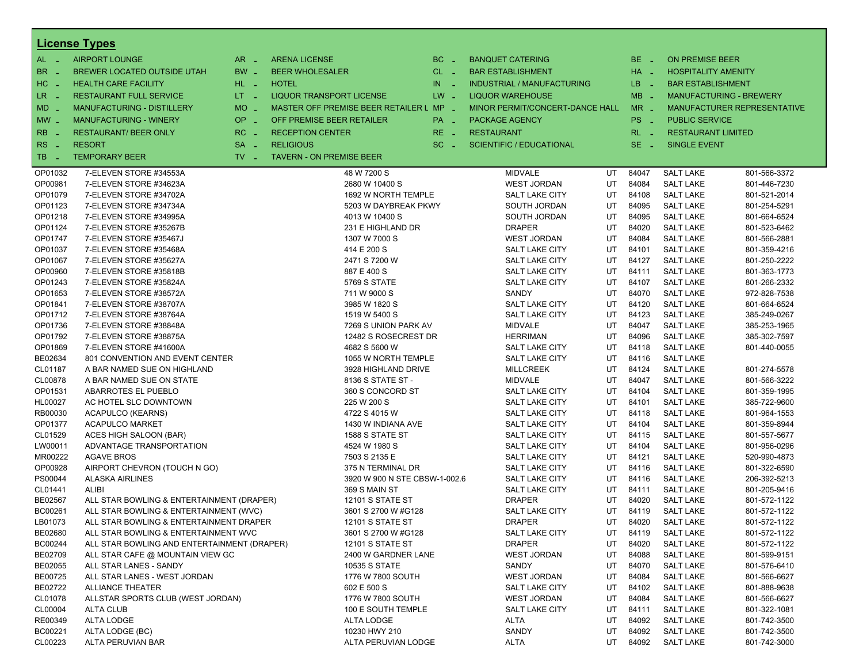|                       | <b>License Types</b>                        |                               |                                         |           |                                   |    |          |                            |                                |
|-----------------------|---------------------------------------------|-------------------------------|-----------------------------------------|-----------|-----------------------------------|----|----------|----------------------------|--------------------------------|
| $AL -$                | <b>AIRPORT LOUNGE</b>                       | $AR -$                        | <b>ARENA LICENSE</b>                    | $BC =$    | <b>BANQUET CATERING</b>           |    | BE _     | <b>ON PREMISE BEER</b>     |                                |
| BR<br>- 4             | <b>BREWER LOCATED OUTSIDE UTAH</b>          | BW _                          | <b>BEER WHOLESALER</b>                  | $CL$ $-$  | <b>BAR ESTABLISHMENT</b>          |    | HA _     | <b>HOSPITALITY AMENITY</b> |                                |
| H <sub>C</sub><br>- 4 | <b>HEALTH CARE FACILITY</b>                 | HL L                          | <b>HOTEL</b>                            | IN<br>- 2 | <b>INDUSTRIAL / MANUFACTURING</b> |    | LB _     | <b>BAR ESTABLISHMENT</b>   |                                |
| LR                    | <b>RESTAURANT FULL SERVICE</b>              | $LT - 1$                      | LIQUOR TRANSPORT LICENSE                | $LW -$    | <b>LIQUOR WAREHOUSE</b>           |    | $MB -$   |                            | <b>MANUFACTURING - BREWERY</b> |
| $\sim$                |                                             | <b>MO</b>                     | MASTER OFF PREMISE BEER RETAILER L MP _ |           |                                   |    | $MR -$   |                            |                                |
| $MD -$                | <b>MANUFACTURING - DISTILLERY</b>           | $\sim$                        |                                         |           | MINOR PERMIT/CONCERT-DANCE HALL   |    |          |                            | MANUFACTURER REPRESENTATIVE    |
| $MW-$                 | <b>OP</b><br><b>MANUFACTURING - WINERY</b>  | i a                           | OFF PREMISE BEER RETAILER               | PA _      | <b>PACKAGE AGENCY</b>             |    | PS _     | <b>PUBLIC SERVICE</b>      |                                |
| <b>RB</b>             | <b>RESTAURANT/ BEER ONLY</b>                | RC<br>i a                     | <b>RECEPTION CENTER</b>                 | $RE -$    | <b>RESTAURANT</b>                 |    | $RL - 1$ | <b>RESTAURANT LIMITED</b>  |                                |
| RS<br>- 4             | <b>RESORT</b><br><b>SA</b>                  | п.                            | <b>RELIGIOUS</b>                        | $SC =$    | <b>SCIENTIFIC / EDUCATIONAL</b>   |    | $SE -$   | <b>SINGLE EVENT</b>        |                                |
| TB<br>n a             | <b>TEMPORARY BEER</b>                       | $TV$ $\overline{\phantom{0}}$ | <b>TAVERN - ON PREMISE BEER</b>         |           |                                   |    |          |                            |                                |
| OP01032               | 7-ELEVEN STORE #34553A                      |                               | 48 W 7200 S                             |           | <b>MIDVALE</b>                    | UT | 84047    | <b>SALT LAKE</b>           | 801-566-3372                   |
| OP00981               | 7-ELEVEN STORE #34623A                      |                               | 2680 W 10400 S                          |           | <b>WEST JORDAN</b>                | UT | 84084    | <b>SALT LAKE</b>           | 801-446-7230                   |
| OP01079               | 7-ELEVEN STORE #34702A                      |                               | 1692 W NORTH TEMPLE                     |           | <b>SALT LAKE CITY</b>             | UT | 84108    | <b>SALT LAKE</b>           | 801-521-2014                   |
| OP01123               | 7-ELEVEN STORE #34734A                      |                               | 5203 W DAYBREAK PKWY                    |           | SOUTH JORDAN                      | UT | 84095    | <b>SALT LAKE</b>           | 801-254-5291                   |
| OP01218               | 7-ELEVEN STORE #34995A                      |                               | 4013 W 10400 S                          |           | SOUTH JORDAN                      | UT | 84095    | <b>SALT LAKE</b>           | 801-664-6524                   |
| OP01124               | 7-ELEVEN STORE #35267B                      |                               | 231 E HIGHLAND DR                       |           | <b>DRAPER</b>                     | UT | 84020    | <b>SALT LAKE</b>           | 801-523-6462                   |
| OP01747               | 7-ELEVEN STORE #35467J                      |                               | 1307 W 7000 S                           |           | <b>WEST JORDAN</b>                | UT | 84084    | <b>SALT LAKE</b>           | 801-566-2881                   |
| OP01037               | 7-ELEVEN STORE #35468A                      |                               | 414 E 200 S                             |           | SALT LAKE CITY                    | UT | 84101    | <b>SALT LAKE</b>           | 801-359-4216                   |
| OP01067               | 7-ELEVEN STORE #35627A                      |                               | 2471 S 7200 W                           |           | SALT LAKE CITY                    | UT | 84127    | <b>SALT LAKE</b>           | 801-250-2222                   |
| OP00960               | 7-ELEVEN STORE #35818B                      |                               | 887 E 400 S                             |           | SALT LAKE CITY                    | UT | 84111    | <b>SALT LAKE</b>           | 801-363-1773                   |
| OP01243               | 7-ELEVEN STORE #35824A                      |                               | 5769 S STATE                            |           | <b>SALT LAKE CITY</b>             | UT | 84107    | <b>SALT LAKE</b>           | 801-266-2332                   |
| OP01653               | 7-ELEVEN STORE #38572A                      |                               | 711 W 9000 S                            |           | <b>SANDY</b>                      | UT | 84070    | <b>SALT LAKE</b>           | 972-828-7538                   |
| OP01841               | 7-ELEVEN STORE #38707A                      |                               | 3985 W 1820 S                           |           | SALT LAKE CITY                    | UT | 84120    | <b>SALT LAKE</b>           | 801-664-6524                   |
| OP01712               | 7-ELEVEN STORE #38764A                      |                               | 1519 W 5400 S                           |           | <b>SALT LAKE CITY</b>             | UT | 84123    | <b>SALT LAKE</b>           | 385-249-0267                   |
| OP01736               | 7-ELEVEN STORE #38848A                      |                               | 7269 S UNION PARK AV                    |           | <b>MIDVALE</b>                    | UT | 84047    | <b>SALT LAKE</b>           | 385-253-1965                   |
| OP01792               | 7-ELEVEN STORE #38875A                      |                               | 12482 S ROSECREST DR                    |           | <b>HERRIMAN</b>                   | UT | 84096    | <b>SALT LAKE</b>           | 385-302-7597                   |
| OP01869               | 7-ELEVEN STORE #41600A                      |                               | 4682 S 5600 W                           |           | SALT LAKE CITY                    | UT | 84118    | <b>SALT LAKE</b>           | 801-440-0055                   |
| BE02634               | 801 CONVENTION AND EVENT CENTER             |                               | 1055 W NORTH TEMPLE                     |           | SALT LAKE CITY                    | UT | 84116    | <b>SALT LAKE</b>           |                                |
| CL01187               | A BAR NAMED SUE ON HIGHLAND                 |                               | 3928 HIGHLAND DRIVE                     |           | <b>MILLCREEK</b>                  | UT | 84124    | <b>SALT LAKE</b>           | 801-274-5578                   |
| CL00878               | A BAR NAMED SUE ON STATE                    |                               | 8136 S STATE ST -                       |           | <b>MIDVALE</b>                    | UT | 84047    | <b>SALT LAKE</b>           | 801-566-3222                   |
| OP01531               | ABARROTES EL PUEBLO                         |                               | 360 S CONCORD ST                        |           | SALT LAKE CITY                    | UT | 84104    | <b>SALT LAKE</b>           | 801-359-1995                   |
| HL00027               | AC HOTEL SLC DOWNTOWN                       |                               | 225 W 200 S                             |           | SALT LAKE CITY                    | UT | 84101    | <b>SALT LAKE</b>           | 385-722-9600                   |
| RB00030               | ACAPULCO (KEARNS)                           |                               | 4722 S 4015 W                           |           | SALT LAKE CITY                    | UT | 84118    | <b>SALT LAKE</b>           | 801-964-1553                   |
| OP01377               | <b>ACAPULCO MARKET</b>                      |                               | 1430 W INDIANA AVE                      |           | <b>SALT LAKE CITY</b>             | UT | 84104    | <b>SALT LAKE</b>           | 801-359-8944                   |
| CL01529               | ACES HIGH SALOON (BAR)                      |                               | 1588 S STATE ST                         |           | SALT LAKE CITY                    | UT | 84115    | <b>SALT LAKE</b>           | 801-557-5677                   |
| LW00011               | ADVANTAGE TRANSPORTATION                    |                               | 4524 W 1980 S                           |           | SALT LAKE CITY                    | UT | 84104    | <b>SALT LAKE</b>           | 801-956-0296                   |
| MR00222               | <b>AGAVE BROS</b>                           |                               | 7503 S 2135 E                           |           | <b>SALT LAKE CITY</b>             | UT | 84121    | <b>SALT LAKE</b>           | 520-990-4873                   |
| OP00928               | AIRPORT CHEVRON (TOUCH N GO)                |                               | 375 N TERMINAL DR                       |           | SALT LAKE CITY                    | UT | 84116    | <b>SALT LAKE</b>           | 801-322-6590                   |
| PS00044               | <b>ALASKA AIRLINES</b>                      |                               | 3920 W 900 N STE CBSW-1-002.6           |           | SALT LAKE CITY                    | UT | 84116    | <b>SALT LAKE</b>           | 206-392-5213                   |
| CL01441               | <b>ALIBI</b>                                |                               | 369 S MAIN ST                           |           | <b>SALT LAKE CITY</b>             | UT | 84111    | <b>SALT LAKE</b>           | 801-205-9416                   |
| BE02567               | ALL STAR BOWLING & ENTERTAINMENT (DRAPER)   |                               | <b>12101 S STATE ST</b>                 |           | <b>DRAPER</b>                     | UT | 84020    | <b>SALT LAKE</b>           | 801-572-1122                   |
| BC00261               | ALL STAR BOWLING & ENTERTAINMENT (WVC)      |                               | 3601 S 2700 W #G128                     |           | SALT LAKE CITY                    | UT | 84119    | <b>SALT LAKE</b>           | 801-572-1122                   |
| LB01073               | ALL STAR BOWLING & ENTERTAINMENT DRAPER     |                               | <b>12101 S STATE ST</b>                 |           | <b>DRAPER</b>                     | UT | 84020    | <b>SALT LAKE</b>           | 801-572-1122                   |
| BE02680               | ALL STAR BOWLING & ENTERTAINMENT WVC        |                               | 3601 S 2700 W #G128                     |           | SALT LAKE CITY                    | UT | 84119    | <b>SALT LAKE</b>           | 801-572-1122                   |
| BC00244               | ALL STAR BOWLING AND ENTERTAINMENT (DRAPER) |                               | 12101 S STATE ST                        |           | <b>DRAPER</b>                     | UT | 84020    | <b>SALT LAKE</b>           | 801-572-1122                   |
| BE02709               | ALL STAR CAFE @ MOUNTAIN VIEW GC            |                               | 2400 W GARDNER LANE                     |           | <b>WEST JORDAN</b>                | UT | 84088    | <b>SALT LAKE</b>           | 801-599-9151                   |
| BE02055               | ALL STAR LANES - SANDY                      |                               | <b>10535 S STATE</b>                    |           | SANDY                             | UT | 84070    | <b>SALT LAKE</b>           | 801-576-6410                   |
| BE00725               | ALL STAR LANES - WEST JORDAN                |                               | 1776 W 7800 SOUTH                       |           | <b>WEST JORDAN</b>                | UT | 84084    | <b>SALT LAKE</b>           | 801-566-6627                   |
| BE02722               | <b>ALLIANCE THEATER</b>                     |                               | 602 E 500 S                             |           | SALT LAKE CITY                    | UT | 84102    | <b>SALT LAKE</b>           | 801-888-9638                   |
| CL01078               | ALLSTAR SPORTS CLUB (WEST JORDAN)           |                               | 1776 W 7800 SOUTH                       |           | WEST JORDAN                       | UT | 84084    | <b>SALT LAKE</b>           | 801-566-6627                   |
| CL00004               | ALTA CLUB                                   |                               | 100 E SOUTH TEMPLE                      |           | SALT LAKE CITY                    | UT | 84111    | <b>SALT LAKE</b>           | 801-322-1081                   |
| RE00349               | ALTA LODGE                                  |                               | ALTA LODGE                              |           | <b>ALTA</b>                       | UT | 84092    | <b>SALT LAKE</b>           | 801-742-3500                   |
| BC00221               | ALTA LODGE (BC)                             |                               | 10230 HWY 210                           |           | SANDY                             | UT | 84092    | <b>SALT LAKE</b>           | 801-742-3500                   |
| CL00223               | ALTA PERUVIAN BAR                           |                               | ALTA PERUVIAN LODGE                     |           | <b>ALTA</b>                       | UT | 84092    | <b>SALT LAKE</b>           | 801-742-3000                   |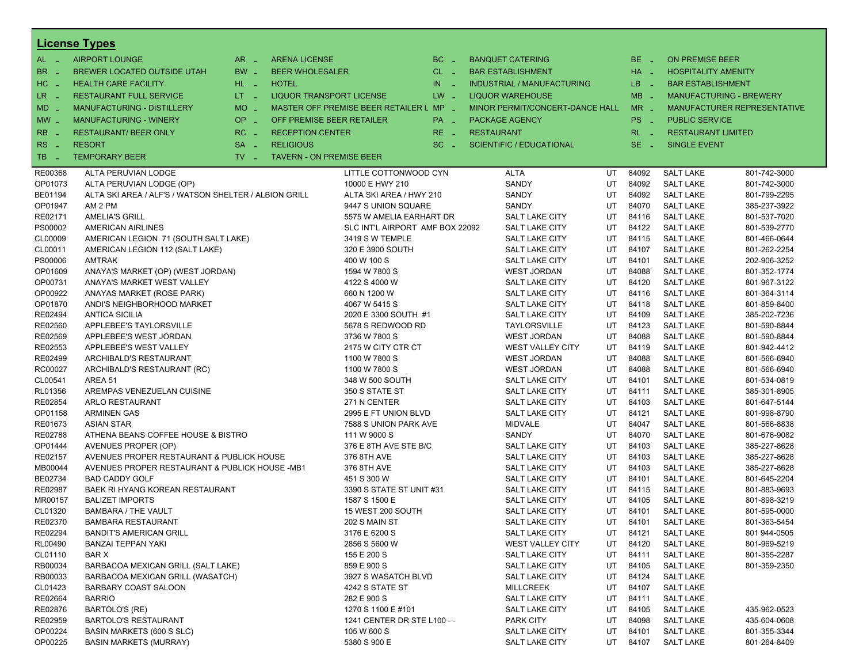|                  | <b>License Types</b>                                  |                               |                                 |                                         |                   |                   |                                   |    |             |                            |                                    |
|------------------|-------------------------------------------------------|-------------------------------|---------------------------------|-----------------------------------------|-------------------|-------------------|-----------------------------------|----|-------------|----------------------------|------------------------------------|
| $AL -$           | <b>AIRPORT LOUNGE</b>                                 | $AR -$                        | <b>ARENA LICENSE</b>            |                                         | BC.<br>$\sim$     |                   | <b>BANQUET CATERING</b>           |    | BE _        | <b>ON PREMISE BEER</b>     |                                    |
| BR _             | BREWER LOCATED OUTSIDE UTAH                           | BW _                          | <b>BEER WHOLESALER</b>          |                                         | $CL$ $-$          |                   | <b>BAR ESTABLISHMENT</b>          |    | HA _        | <b>HOSPITALITY AMENITY</b> |                                    |
| $HC -$           | <b>HEALTH CARE FACILITY</b>                           | HL L                          | <b>HOTEL</b>                    |                                         | IN.<br>$\sim$ $-$ |                   | <b>INDUSTRIAL / MANUFACTURING</b> |    | LB.<br>- 11 | <b>BAR ESTABLISHMENT</b>   |                                    |
| LR.<br>- 4       | <b>RESTAURANT FULL SERVICE</b>                        | $LT - 1$                      | <b>LIQUOR TRANSPORT LICENSE</b> |                                         | $LW -$            |                   | <b>LIQUOR WAREHOUSE</b>           |    | $MB -$      |                            | <b>MANUFACTURING - BREWERY</b>     |
| $MD -$           | <b>MANUFACTURING - DISTILLERY</b>                     | $MO$ $\overline{\phantom{0}}$ |                                 | MASTER OFF PREMISE BEER RETAILER L MP _ |                   |                   | MINOR PERMIT/CONCERT-DANCE HALL   |    | $MR -$      |                            | <b>MANUFACTURER REPRESENTATIVE</b> |
| $MW_{-}$         | <b>MANUFACTURING - WINERY</b>                         | OP                            | OFF PREMISE BEER RETAILER       |                                         |                   |                   | <b>PACKAGE AGENCY</b>             |    | PS _        | <b>PUBLIC SERVICE</b>      |                                    |
|                  |                                                       | i a                           |                                 |                                         | PA _              |                   |                                   |    |             |                            |                                    |
| <b>RB</b>        | <b>RESTAURANT/ BEER ONLY</b>                          | RC                            | <b>RECEPTION CENTER</b>         |                                         | RE.<br>$\sim$     | <b>RESTAURANT</b> |                                   |    | $RL - 1$    | <b>RESTAURANT LIMITED</b>  |                                    |
| <b>RS</b><br>- 4 | <b>RESORT</b>                                         | <b>SA</b><br><b>COL</b>       | <b>RELIGIOUS</b>                |                                         | SC.<br>- 11       |                   | <b>SCIENTIFIC / EDUCATIONAL</b>   |    | $SE -$      | <b>SINGLE EVENT</b>        |                                    |
| TB.              | <b>TEMPORARY BEER</b>                                 | $TV$ $\overline{\phantom{0}}$ | <b>TAVERN - ON PREMISE BEER</b> |                                         |                   |                   |                                   |    |             |                            |                                    |
| RE00368          | ALTA PERUVIAN LODGE                                   |                               |                                 | LITTLE COTTONWOOD CYN                   |                   |                   | <b>ALTA</b>                       | UT | 84092       | <b>SALT LAKE</b>           | 801-742-3000                       |
| OP01073          | ALTA PERUVIAN LODGE (OP)                              |                               |                                 | 10000 E HWY 210                         |                   |                   | SANDY                             | UT | 84092       | <b>SALT LAKE</b>           | 801-742-3000                       |
| BE01194          | ALTA SKI AREA / ALF'S / WATSON SHELTER / ALBION GRILL |                               |                                 | ALTA SKI AREA / HWY 210                 |                   |                   | SANDY                             | UT | 84092       | <b>SALT LAKE</b>           | 801-799-2295                       |
| OP01947          | AM 2 PM                                               |                               |                                 | 9447 S UNION SQUARE                     |                   |                   | SANDY                             | UT | 84070       | <b>SALT LAKE</b>           | 385-237-3922                       |
| RE02171          | <b>AMELIA'S GRILL</b>                                 |                               |                                 | 5575 W AMELIA EARHART DR                |                   |                   | SALT LAKE CITY                    | UT | 84116       | <b>SALT LAKE</b>           | 801-537-7020                       |
| PS00002          | <b>AMERICAN AIRLINES</b>                              |                               |                                 | SLC INT'L AIRPORT AMF BOX 22092         |                   |                   | <b>SALT LAKE CITY</b>             | UT | 84122       | <b>SALT LAKE</b>           | 801-539-2770                       |
| CL00009          | AMERICAN LEGION 71 (SOUTH SALT LAKE)                  |                               |                                 | 3419 S W TEMPLE                         |                   |                   | <b>SALT LAKE CITY</b>             | UT | 84115       | <b>SALT LAKE</b>           | 801-466-0644                       |
| CL00011          | AMERICAN LEGION 112 (SALT LAKE)                       |                               |                                 | 320 E 3900 SOUTH                        |                   |                   | <b>SALT LAKE CITY</b>             | UT | 84107       | <b>SALT LAKE</b>           | 801-262-2254                       |
| PS00006          | <b>AMTRAK</b>                                         |                               |                                 | 400 W 100 S                             |                   |                   | <b>SALT LAKE CITY</b>             | UT | 84101       | <b>SALT LAKE</b>           | 202-906-3252                       |
| OP01609          | ANAYA'S MARKET (OP) (WEST JORDAN)                     |                               |                                 | 1594 W 7800 S                           |                   |                   | <b>WEST JORDAN</b>                | UT | 84088       | <b>SALT LAKE</b>           | 801-352-1774                       |
| OP00731          | ANAYA'S MARKET WEST VALLEY                            |                               |                                 | 4122 S 4000 W                           |                   |                   | <b>SALT LAKE CITY</b>             | UT | 84120       | <b>SALT LAKE</b>           | 801-967-3122                       |
| OP00922          | ANAYAS MARKET (ROSE PARK)                             |                               |                                 | 660 N 1200 W                            |                   |                   | <b>SALT LAKE CITY</b>             | UT | 84116       | <b>SALT LAKE</b>           | 801-364-3114                       |
| OP01870          | ANDI'S NEIGHBORHOOD MARKET                            |                               |                                 | 4067 W 5415 S                           |                   |                   | <b>SALT LAKE CITY</b>             | UT | 84118       | <b>SALT LAKE</b>           | 801-859-8400                       |
| RE02494          | <b>ANTICA SICILIA</b>                                 |                               |                                 | 2020 E 3300 SOUTH #1                    |                   |                   | <b>SALT LAKE CITY</b>             | UT | 84109       | <b>SALT LAKE</b>           | 385-202-7236                       |
| RE02560          | APPLEBEE'S TAYLORSVILLE                               |                               |                                 | 5678 S REDWOOD RD                       |                   |                   | <b>TAYLORSVILLE</b>               | UT | 84123       | <b>SALT LAKE</b>           | 801-590-8844                       |
| RE02569          | APPLEBEE'S WEST JORDAN                                |                               |                                 | 3736 W 7800 S                           |                   |                   | <b>WEST JORDAN</b>                | UT | 84088       | <b>SALT LAKE</b>           | 801-590-8844                       |
| RE02553          | APPLEBEE'S WEST VALLEY                                |                               |                                 | 2175 W CITY CTR CT                      |                   |                   | <b>WEST VALLEY CITY</b>           | UT | 84119       | <b>SALT LAKE</b>           | 801-942-4412                       |
| RE02499          | ARCHIBALD'S RESTAURANT                                |                               |                                 | 1100 W 7800 S                           |                   |                   | <b>WEST JORDAN</b>                | UT | 84088       | <b>SALT LAKE</b>           | 801-566-6940                       |
| RC00027          | ARCHIBALD'S RESTAURANT (RC)                           |                               |                                 | 1100 W 7800 S                           |                   |                   | <b>WEST JORDAN</b>                | UT | 84088       | <b>SALT LAKE</b>           | 801-566-6940                       |
| CL00541          | AREA 51                                               |                               |                                 | 348 W 500 SOUTH                         |                   |                   | SALT LAKE CITY                    | UT | 84101       | <b>SALT LAKE</b>           | 801-534-0819                       |
| RL01356          | AREMPAS VENEZUELAN CUISINE                            |                               |                                 | 350 S STATE ST                          |                   |                   | <b>SALT LAKE CITY</b>             | UT | 84111       | <b>SALT LAKE</b>           | 385-301-8905                       |
| RE02854          | <b>ARLO RESTAURANT</b>                                |                               |                                 | 271 N CENTER                            |                   |                   | <b>SALT LAKE CITY</b>             | UT | 84103       | <b>SALT LAKE</b>           | 801-647-5144                       |
| OP01158          | <b>ARMINEN GAS</b>                                    |                               |                                 | 2995 E FT UNION BLVD                    |                   |                   | <b>SALT LAKE CITY</b>             | UT | 84121       | <b>SALT LAKE</b>           | 801-998-8790                       |
|                  | <b>ASIAN STAR</b>                                     |                               |                                 | 7588 S UNION PARK AVE                   |                   |                   | <b>MIDVALE</b>                    | UT | 84047       | <b>SALT LAKE</b>           | 801-566-8838                       |
| RE01673          |                                                       |                               |                                 |                                         |                   |                   |                                   |    |             |                            |                                    |
| RE02788          | ATHENA BEANS COFFEE HOUSE & BISTRO                    |                               |                                 | 111 W 9000 S                            |                   |                   | SANDY                             | UT | 84070       | <b>SALT LAKE</b>           | 801-676-9082                       |
| OP01444          | AVENUES PROPER (OP)                                   |                               |                                 | 376 E 8TH AVE STE B/C                   |                   |                   | <b>SALT LAKE CITY</b>             | UT | 84103       | <b>SALT LAKE</b>           | 385-227-8628                       |
| RE02157          | AVENUES PROPER RESTAURANT & PUBLICK HOUSE             |                               |                                 | 376 8TH AVE                             |                   |                   | <b>SALT LAKE CITY</b>             | UT | 84103       | <b>SALT LAKE</b>           | 385-227-8628                       |
| MB00044          | AVENUES PROPER RESTAURANT & PUBLICK HOUSE -MB1        |                               |                                 | 376 8TH AVE                             |                   |                   | <b>SALT LAKE CITY</b>             | UT | 84103       | <b>SALT LAKE</b>           | 385-227-8628                       |
| BE02734          | <b>BAD CADDY GOLF</b>                                 |                               |                                 | 451 S 300 W                             |                   |                   | <b>SALT LAKE CITY</b>             | UT | 84101       | <b>SALT LAKE</b>           | 801-645-2204                       |
| RE02987          | BAEK RI HYANG KOREAN RESTAURANT                       |                               |                                 | 3390 S STATE ST UNIT #31                |                   |                   | <b>SALT LAKE CITY</b>             | UT | 84115       | <b>SALT LAKE</b>           | 801-883-9693                       |
| MR00157          | <b>BALIZET IMPORTS</b>                                |                               |                                 | 1587 S 1500 E                           |                   |                   | <b>SALT LAKE CITY</b>             | UT | 84105       | <b>SALT LAKE</b>           | 801-898-3219                       |
| CL01320          | <b>BAMBARA / THE VAULT</b>                            |                               |                                 | 15 WEST 200 SOUTH                       |                   |                   | SALT LAKE CITY                    | UT | 84101       | <b>SALT LAKE</b>           | 801-595-0000                       |
| RE02370          | <b>BAMBARA RESTAURANT</b>                             |                               |                                 | 202 S MAIN ST                           |                   |                   | <b>SALT LAKE CITY</b>             | UT | 84101       | <b>SALT LAKE</b>           | 801-363-5454                       |
| RE02294          | <b>BANDIT'S AMERICAN GRILL</b>                        |                               |                                 | 3176 E 6200 S                           |                   |                   | <b>SALT LAKE CITY</b>             | UT | 84121       | <b>SALT LAKE</b>           | 801 944-0505                       |
| RL00490          | <b>BANZAI TEPPAN YAKI</b>                             |                               |                                 | 2856 S 5600 W                           |                   |                   | <b>WEST VALLEY CITY</b>           | UT | 84120       | <b>SALT LAKE</b>           | 801-969-5219                       |
| CL01110          | <b>BARX</b>                                           |                               |                                 | 155 E 200 S                             |                   |                   | <b>SALT LAKE CITY</b>             | UT | 84111       | <b>SALT LAKE</b>           | 801-355-2287                       |
| RB00034          | BARBACOA MEXICAN GRILL (SALT LAKE)                    |                               |                                 | 859 E 900 S                             |                   |                   | SALT LAKE CITY                    | UT | 84105       | <b>SALT LAKE</b>           | 801-359-2350                       |
| RB00033          | BARBACOA MEXICAN GRILL (WASATCH)                      |                               |                                 | 3927 S WASATCH BLVD                     |                   |                   | SALT LAKE CITY                    | UT | 84124       | <b>SALT LAKE</b>           |                                    |
| CL01423          | <b>BARBARY COAST SALOON</b>                           |                               |                                 | 4242 S STATE ST                         |                   |                   | <b>MILLCREEK</b>                  | UT | 84107       | <b>SALT LAKE</b>           |                                    |
| RE02664          | <b>BARRIO</b>                                         |                               |                                 | 282 E 900 S                             |                   |                   | SALT LAKE CITY                    | UT | 84111       | <b>SALT LAKE</b>           |                                    |
| RE02876          | BARTOLO'S (RE)                                        |                               |                                 | 1270 S 1100 E #101                      |                   |                   | SALT LAKE CITY                    | UT | 84105       | <b>SALT LAKE</b>           | 435-962-0523                       |
| RE02959          | BARTOLO'S RESTAURANT                                  |                               |                                 | 1241 CENTER DR STE L100 - -             |                   |                   | PARK CITY                         | UT | 84098       | <b>SALT LAKE</b>           | 435-604-0608                       |
| OP00224          | BASIN MARKETS (600 S SLC)                             |                               |                                 | 105 W 600 S                             |                   |                   | SALT LAKE CITY                    | UT | 84101       | <b>SALT LAKE</b>           | 801-355-3344                       |
| OP00225          | <b>BASIN MARKETS (MURRAY)</b>                         |                               |                                 | 5380 S 900 E                            |                   |                   | <b>SALT LAKE CITY</b>             | UT | 84107       | <b>SALT LAKE</b>           | 801-264-8409                       |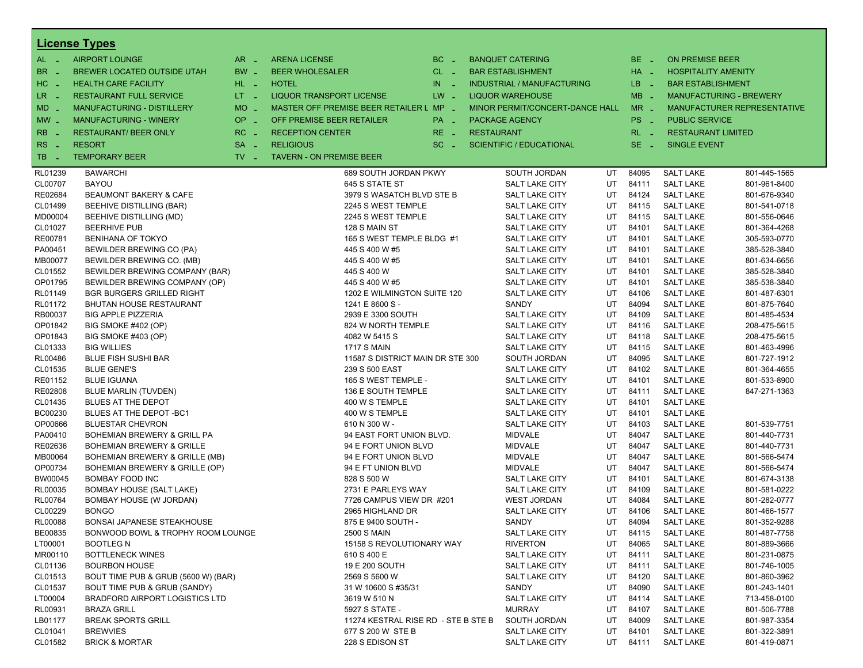|                          | <b>License Types</b>                  |                               |                                         |                       |                                   |           |          |                            |                                |
|--------------------------|---------------------------------------|-------------------------------|-----------------------------------------|-----------------------|-----------------------------------|-----------|----------|----------------------------|--------------------------------|
| $AL -$                   | <b>AIRPORT LOUNGE</b>                 | $AR -$                        | <b>ARENA LICENSE</b>                    | $BC -$                | <b>BANQUET CATERING</b>           |           | BE _     | <b>ON PREMISE BEER</b>     |                                |
| BR<br>- 4                | <b>BREWER LOCATED OUTSIDE UTAH</b>    | BW _                          | <b>BEER WHOLESALER</b>                  | $CL$ $-$              | <b>BAR ESTABLISHMENT</b>          |           | $HA$ $-$ | <b>HOSPITALITY AMENITY</b> |                                |
| H <sub>C</sub><br>- 4    | <b>HEALTH CARE FACILITY</b>           | HL L                          | <b>HOTEL</b>                            | IN.<br><b>College</b> | <b>INDUSTRIAL / MANUFACTURING</b> |           | $LB - 1$ | <b>BAR ESTABLISHMENT</b>   |                                |
| LR.<br>$\sim$            | <b>RESTAURANT FULL SERVICE</b>        | $LT - 1$                      | <b>LIQUOR TRANSPORT LICENSE</b>         | $LW -$                | <b>LIQUOR WAREHOUSE</b>           |           | $MB -$   |                            | <b>MANUFACTURING - BREWERY</b> |
| $MD -$                   | <b>MANUFACTURING - DISTILLERY</b>     | <b>MO</b><br>i al             | MASTER OFF PREMISE BEER RETAILER L MP _ |                       | MINOR PERMIT/CONCERT-DANCE HALL   |           | $MR -$   |                            | MANUFACTURER REPRESENTATIVE    |
|                          |                                       | <b>OP</b>                     |                                         |                       |                                   |           |          |                            |                                |
| $MW_{-}$                 | <b>MANUFACTURING - WINERY</b>         | i al                          | OFF PREMISE BEER RETAILER               | PA _                  | <b>PACKAGE AGENCY</b>             |           | PS _     | <b>PUBLIC SERVICE</b>      |                                |
| <b>RB</b>                | <b>RESTAURANT/ BEER ONLY</b>          | RC<br>- 4                     | <b>RECEPTION CENTER</b>                 | $RE -$                | <b>RESTAURANT</b>                 |           | $RL - 1$ | <b>RESTAURANT LIMITED</b>  |                                |
| R <sub>S</sub><br>$\sim$ | <b>RESORT</b>                         | <b>SA</b><br>$\sim$           | <b>RELIGIOUS</b>                        | $SC =$                | <b>SCIENTIFIC / EDUCATIONAL</b>   |           | $SE -$   | <b>SINGLE EVENT</b>        |                                |
| TB<br>- 4                | <b>TEMPORARY BEER</b>                 | $TV$ $\overline{\phantom{0}}$ | <b>TAVERN - ON PREMISE BEER</b>         |                       |                                   |           |          |                            |                                |
| RL01239                  | <b>BAWARCHI</b>                       |                               | 689 SOUTH JORDAN PKWY                   |                       | SOUTH JORDAN                      | UT        | 84095    | <b>SALT LAKE</b>           | 801-445-1565                   |
| CL00707                  | <b>BAYOU</b>                          |                               | 645 S STATE ST                          |                       | <b>SALT LAKE CITY</b>             | UT        | 84111    | <b>SALT LAKE</b>           | 801-961-8400                   |
| RE02684                  | <b>BEAUMONT BAKERY &amp; CAFE</b>     |                               | 3979 S WASATCH BLVD STE B               |                       | <b>SALT LAKE CITY</b>             | UT        | 84124    | <b>SALT LAKE</b>           | 801-676-9340                   |
| CL01499                  | BEEHIVE DISTILLING (BAR)              |                               | 2245 S WEST TEMPLE                      |                       | <b>SALT LAKE CITY</b>             | UT        | 84115    | <b>SALT LAKE</b>           | 801-541-0718                   |
| MD00004                  | BEEHIVE DISTILLING (MD)               |                               | 2245 S WEST TEMPLE                      |                       | <b>SALT LAKE CITY</b>             | UT        | 84115    | <b>SALT LAKE</b>           | 801-556-0646                   |
| CL01027                  | <b>BEERHIVE PUB</b>                   |                               | 128 S MAIN ST                           |                       | <b>SALT LAKE CITY</b>             | UT        | 84101    | <b>SALT LAKE</b>           | 801-364-4268                   |
| RE00781                  | <b>BENIHANA OF TOKYO</b>              |                               | 165 S WEST TEMPLE BLDG #1               |                       | <b>SALT LAKE CITY</b>             | UT        | 84101    | <b>SALT LAKE</b>           | 305-593-0770                   |
| PA00451                  | BEWILDER BREWING CO (PA)              |                               | 445 S 400 W #5                          |                       | <b>SALT LAKE CITY</b>             | UT        | 84101    | <b>SALT LAKE</b>           | 385-528-3840                   |
| MB00077                  | BEWILDER BREWING CO. (MB)             |                               | 445 S 400 W #5                          |                       | <b>SALT LAKE CITY</b>             | UT        | 84101    | <b>SALT LAKE</b>           | 801-634-6656                   |
| CL01552                  | BEWILDER BREWING COMPANY (BAR)        |                               | 445 S 400 W                             |                       | <b>SALT LAKE CITY</b>             | UT        | 84101    | <b>SALT LAKE</b>           | 385-528-3840                   |
| OP01795                  | BEWILDER BREWING COMPANY (OP)         |                               | 445 S 400 W #5                          |                       | <b>SALT LAKE CITY</b>             | UT        | 84101    | <b>SALT LAKE</b>           | 385-538-3840                   |
| RL01149                  | <b>BGR BURGERS GRILLED RIGHT</b>      |                               | 1202 E WILMINGTON SUITE 120             |                       | <b>SALT LAKE CITY</b>             | UT        | 84106    | <b>SALT LAKE</b>           | 801-487-6301                   |
| RL01172                  | <b>BHUTAN HOUSE RESTAURANT</b>        |                               | 1241 E 8600 S -                         |                       | SANDY                             | UT        | 84094    | <b>SALT LAKE</b>           | 801-875-7640                   |
| RB00037                  | <b>BIG APPLE PIZZERIA</b>             |                               | 2939 E 3300 SOUTH                       |                       | SALT LAKE CITY                    | UT        | 84109    | <b>SALT LAKE</b>           | 801-485-4534                   |
| OP01842                  | BIG SMOKE #402 (OP)                   |                               | 824 W NORTH TEMPLE                      |                       | <b>SALT LAKE CITY</b>             | UT        | 84116    | <b>SALT LAKE</b>           | 208-475-5615                   |
| OP01843                  | BIG SMOKE #403 (OP)                   |                               | 4082 W 5415 S                           |                       | <b>SALT LAKE CITY</b>             | UT        | 84118    | <b>SALT LAKE</b>           | 208-475-5615                   |
| CL01333                  | <b>BIG WILLIES</b>                    |                               | 1717 S MAIN                             |                       | <b>SALT LAKE CITY</b>             | UT        | 84115    | <b>SALT LAKE</b>           | 801-463-4996                   |
| RL00486                  | <b>BLUE FISH SUSHI BAR</b>            |                               | 11587 S DISTRICT MAIN DR STE 300        |                       | SOUTH JORDAN                      | UT        | 84095    | <b>SALT LAKE</b>           | 801-727-1912                   |
| CL01535                  | <b>BLUE GENE'S</b>                    |                               | 239 S 500 EAST                          |                       | <b>SALT LAKE CITY</b>             | UT        | 84102    | <b>SALT LAKE</b>           | 801-364-4655                   |
| RE01152                  | <b>BLUE IGUANA</b>                    |                               | 165 S WEST TEMPLE -                     |                       | <b>SALT LAKE CITY</b>             | UT        | 84101    | <b>SALT LAKE</b>           | 801-533-8900                   |
| RE02808                  | BLUE MARLIN (TUVDEN)                  |                               | 136 E SOUTH TEMPLE                      |                       | <b>SALT LAKE CITY</b>             | UT        | 84111    | <b>SALT LAKE</b>           | 847-271-1363                   |
| CL01435                  | BLUES AT THE DEPOT                    |                               | 400 W S TEMPLE                          |                       | <b>SALT LAKE CITY</b>             | UT        | 84101    | <b>SALT LAKE</b>           |                                |
| BC00230                  | BLUES AT THE DEPOT-BC1                |                               | 400 W S TEMPLE                          |                       | <b>SALT LAKE CITY</b>             | UT        | 84101    | <b>SALT LAKE</b>           |                                |
| OP00666                  | <b>BLUESTAR CHEVRON</b>               |                               | 610 N 300 W -                           |                       | <b>SALT LAKE CITY</b>             | UT        | 84103    | <b>SALT LAKE</b>           | 801-539-7751                   |
| PA00410                  | BOHEMIAN BREWERY & GRILL PA           |                               | 94 EAST FORT UNION BLVD.                |                       | <b>MIDVALE</b>                    | UT        | 84047    | <b>SALT LAKE</b>           | 801-440-7731                   |
| RE02636                  | <b>BOHEMIAN BREWERY &amp; GRILLE</b>  |                               | 94 E FORT UNION BLVD                    |                       | <b>MIDVALE</b>                    | UT        | 84047    | <b>SALT LAKE</b>           | 801-440-7731                   |
| MB00064                  | BOHEMIAN BREWERY & GRILLE (MB)        |                               | 94 E FORT UNION BLVD                    |                       | <b>MIDVALE</b>                    | UT        | 84047    | <b>SALT LAKE</b>           | 801-566-5474                   |
| OP00734                  | BOHEMIAN BREWERY & GRILLE (OP)        |                               | 94 E FT UNION BLVD                      |                       | <b>MIDVALE</b>                    | UT        | 84047    | <b>SALT LAKE</b>           | 801-566-5474                   |
| BW00045                  | BOMBAY FOOD INC                       |                               | 828 S 500 W                             |                       | SALT LAKE CITY                    | UT        | 84101    | <b>SALT LAKE</b>           | 801-674-3138                   |
| RL00035                  | <b>BOMBAY HOUSE (SALT LAKE)</b>       |                               | 2731 E PARLEYS WAY                      |                       | <b>SALT LAKE CITY</b>             | UT        | 84109    | <b>SALT LAKE</b>           | 801-581-0222                   |
| <b>RL00764</b>           | BOMBAY HOUSE (W JORDAN)               |                               | 7726 CAMPUS VIEW DR #201                |                       | <b>WEST JORDAN</b>                | UT        | 84084    | <b>SALT LAKE</b>           | 801-282-0777                   |
| CL00229                  | <b>BONGO</b>                          |                               | 2965 HIGHLAND DR                        |                       | <b>SALT LAKE CITY</b>             | UT        | 84106    | <b>SALT LAKE</b>           | 801-466-1577                   |
| <b>RL00088</b>           | BONSAI JAPANESE STEAKHOUSE            |                               | 875 E 9400 SOUTH -                      |                       | SANDY                             | <b>UT</b> | 84094    | <b>SALT LAKE</b>           | 801-352-9288                   |
| BE00835                  | BONWOOD BOWL & TROPHY ROOM LOUNGE     |                               | <b>2500 S MAIN</b>                      |                       | SALT LAKE CITY                    | UT        | 84115    | <b>SALT LAKE</b>           | 801-487-7758                   |
| LT00001                  | <b>BOOTLEG N</b>                      |                               | 15158 S REVOLUTIONARY WAY               |                       | <b>RIVERTON</b>                   | UT        | 84065    | <b>SALT LAKE</b>           | 801-889-3666                   |
| MR00110                  | <b>BOTTLENECK WINES</b>               |                               | 610 S 400 E                             |                       | <b>SALT LAKE CITY</b>             | UT        | 84111    | <b>SALT LAKE</b>           | 801-231-0875                   |
| CL01136                  | <b>BOURBON HOUSE</b>                  |                               | 19 E 200 SOUTH                          |                       | <b>SALT LAKE CITY</b>             | UT        | 84111    | <b>SALT LAKE</b>           | 801-746-1005                   |
| CL01513                  | BOUT TIME PUB & GRUB (5600 W) (BAR)   |                               | 2569 S 5600 W                           |                       | SALT LAKE CITY                    | UT        | 84120    | <b>SALT LAKE</b>           | 801-860-3962                   |
| CL01537                  | BOUT TIME PUB & GRUB (SANDY)          |                               | 31 W 10600 S #35/31                     |                       | SANDY                             | UT        | 84090    | <b>SALT LAKE</b>           | 801-243-1401                   |
| LT00004                  | <b>BRADFORD AIRPORT LOGISTICS LTD</b> |                               | 3619 W 510 N                            |                       | SALT LAKE CITY                    | UT        | 84114    | <b>SALT LAKE</b>           | 713-458-0100                   |
| RL00931                  | <b>BRAZA GRILL</b>                    |                               | 5927 S STATE -                          |                       | <b>MURRAY</b>                     | UT        | 84107    | <b>SALT LAKE</b>           | 801-506-7788                   |
| LB01177                  | <b>BREAK SPORTS GRILL</b>             |                               | 11274 KESTRAL RISE RD - STE B STE B     |                       | SOUTH JORDAN                      | UT        | 84009    | <b>SALT LAKE</b>           | 801-987-3354                   |
| CL01041                  | <b>BREWVIES</b>                       |                               | 677 S 200 W STE B                       |                       | <b>SALT LAKE CITY</b>             | UT        | 84101    | <b>SALT LAKE</b>           | 801-322-3891                   |
| CL01582                  | <b>BRICK &amp; MORTAR</b>             |                               | 228 S EDISON ST                         |                       | SALT LAKE CITY                    | UT        | 84111    | <b>SALT LAKE</b>           | 801-419-0871                   |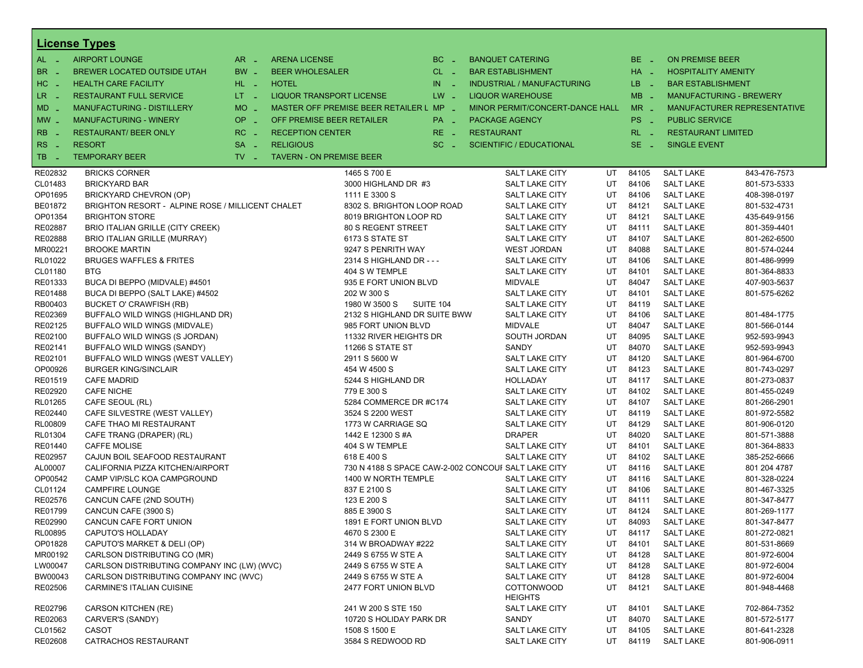|                      | <b>License Types</b>                                              |                               |                                 |                                                                    |                       |                   |                                             |          |                 |                                      |                              |
|----------------------|-------------------------------------------------------------------|-------------------------------|---------------------------------|--------------------------------------------------------------------|-----------------------|-------------------|---------------------------------------------|----------|-----------------|--------------------------------------|------------------------------|
| AL -                 | <b>AIRPORT LOUNGE</b>                                             | $AR -$                        | <b>ARENA LICENSE</b>            |                                                                    | $BC -$                |                   | <b>BANQUET CATERING</b>                     |          | BE _            | <b>ON PREMISE BEER</b>               |                              |
| BR<br><b>College</b> | BREWER LOCATED OUTSIDE UTAH                                       | BW _                          | <b>BEER WHOLESALER</b>          |                                                                    | $CL$ $-$              |                   | <b>BAR ESTABLISHMENT</b>                    |          | HA _            | <b>HOSPITALITY AMENITY</b>           |                              |
| HC.<br>n a           | <b>HEALTH CARE FACILITY</b>                                       | HL L                          | <b>HOTEL</b>                    |                                                                    | IN.<br><b>College</b> |                   | <b>INDUSTRIAL / MANUFACTURING</b>           |          | LB __           | <b>BAR ESTABLISHMENT</b>             |                              |
| LR _                 | <b>RESTAURANT FULL SERVICE</b>                                    | $LT - 1$                      | <b>LIQUOR TRANSPORT LICENSE</b> |                                                                    | $LW -$                |                   | <b>LIQUOR WAREHOUSE</b>                     |          | $MB -$          | <b>MANUFACTURING - BREWERY</b>       |                              |
| $MD -$               | <b>MANUFACTURING - DISTILLERY</b>                                 | $MO$ $\overline{\phantom{0}}$ |                                 | MASTER OFF PREMISE BEER RETAILER L MP -                            |                       |                   | MINOR PERMIT/CONCERT-DANCE HALL             |          | $MR -$          |                                      | MANUFACTURER REPRESENTATIVE  |
| $MW_{-}$             | <b>MANUFACTURING - WINERY</b>                                     | OP<br>п.                      | OFF PREMISE BEER RETAILER       |                                                                    | PA _                  |                   | <b>PACKAGE AGENCY</b>                       |          | PS <sub>-</sub> | <b>PUBLIC SERVICE</b>                |                              |
| RB                   | <b>RESTAURANT/ BEER ONLY</b>                                      | RC<br>$\sim$                  | <b>RECEPTION CENTER</b>         |                                                                    | RE _                  | <b>RESTAURANT</b> |                                             |          | $RL - 1$        | <b>RESTAURANT LIMITED</b>            |                              |
| RS                   |                                                                   |                               |                                 |                                                                    | $SC =$                |                   |                                             |          | $SE -$          |                                      |                              |
| $\sim$               | <b>RESORT</b>                                                     | <b>SA</b><br>п.<br>$TV -$     | <b>RELIGIOUS</b>                |                                                                    |                       |                   | <b>SCIENTIFIC / EDUCATIONAL</b>             |          |                 | <b>SINGLE EVENT</b>                  |                              |
| TB.<br>- 2           | <b>TEMPORARY BEER</b>                                             |                               | <b>TAVERN - ON PREMISE BEER</b> |                                                                    |                       |                   |                                             |          |                 |                                      |                              |
| RE02832              | <b>BRICKS CORNER</b>                                              |                               |                                 | 1465 S 700 E                                                       |                       |                   | <b>SALT LAKE CITY</b>                       | UT       | 84105           | <b>SALT LAKE</b>                     | 843-476-7573                 |
| CL01483              | <b>BRICKYARD BAR</b>                                              |                               |                                 | 3000 HIGHLAND DR #3                                                |                       |                   | <b>SALT LAKE CITY</b>                       | UT       | 84106           | <b>SALT LAKE</b>                     | 801-573-5333                 |
| OP01695              | BRICKYARD CHEVRON (OP)                                            |                               |                                 | 1111 E 3300 S                                                      |                       |                   | <b>SALT LAKE CITY</b>                       | UT       | 84106           | <b>SALT LAKE</b>                     | 408-398-0197                 |
| BE01872              | BRIGHTON RESORT - ALPINE ROSE / MILLICENT CHALET                  |                               |                                 | 8302 S. BRIGHTON LOOP ROAD                                         |                       |                   | <b>SALT LAKE CITY</b>                       | UT       | 84121           | <b>SALT LAKE</b>                     | 801-532-4731                 |
| OP01354              | <b>BRIGHTON STORE</b>                                             |                               |                                 | 8019 BRIGHTON LOOP RD                                              |                       |                   | SALT LAKE CITY                              | UT       | 84121           | <b>SALT LAKE</b>                     | 435-649-9156                 |
| RE02887              | BRIO ITALIAN GRILLE (CITY CREEK)                                  |                               |                                 | 80 S REGENT STREET                                                 |                       |                   | <b>SALT LAKE CITY</b>                       | UT       | 84111           | <b>SALT LAKE</b>                     | 801-359-4401                 |
| RE02888              | <b>BRIO ITALIAN GRILLE (MURRAY)</b>                               |                               |                                 | 6173 S STATE ST                                                    |                       |                   | <b>SALT LAKE CITY</b>                       | UT       | 84107           | <b>SALT LAKE</b>                     | 801-262-6500                 |
| MR00221<br>RL01022   | <b>BROOKE MARTIN</b><br><b>BRUGES WAFFLES &amp; FRITES</b>        |                               |                                 | 9247 S PENRITH WAY<br>2314 S HIGHLAND DR - - -                     |                       |                   | <b>WEST JORDAN</b><br><b>SALT LAKE CITY</b> | UT<br>UT | 84088<br>84106  | <b>SALT LAKE</b><br><b>SALT LAKE</b> | 801-574-0244<br>801-486-9999 |
| CL01180              | <b>BTG</b>                                                        |                               |                                 | 404 S W TEMPLE                                                     |                       |                   | <b>SALT LAKE CITY</b>                       | UT       | 84101           | <b>SALT LAKE</b>                     | 801-364-8833                 |
| RE01333              | BUCA DI BEPPO (MIDVALE) #4501                                     |                               |                                 | 935 E FORT UNION BLVD                                              |                       |                   | <b>MIDVALE</b>                              | UT       | 84047           | <b>SALT LAKE</b>                     | 407-903-5637                 |
| RE01488              | BUCA DI BEPPO (SALT LAKE) #4502                                   |                               |                                 | 202 W 300 S                                                        |                       |                   | <b>SALT LAKE CITY</b>                       | UT       | 84101           | <b>SALT LAKE</b>                     | 801-575-6262                 |
| RB00403              | BUCKET O' CRAWFISH (RB)                                           |                               |                                 | 1980 W 3500 S SUITE 104                                            |                       |                   | SALT LAKE CITY                              | UT       | 84119           | <b>SALT LAKE</b>                     |                              |
| RE02369              | BUFFALO WILD WINGS (HIGHLAND DR)                                  |                               |                                 | 2132 S HIGHLAND DR SUITE BWW                                       |                       |                   | <b>SALT LAKE CITY</b>                       | UT       | 84106           | <b>SALT LAKE</b>                     | 801-484-1775                 |
| RE02125              | BUFFALO WILD WINGS (MIDVALE)                                      |                               |                                 | 985 FORT UNION BLVD                                                |                       |                   | <b>MIDVALE</b>                              | UT       | 84047           | <b>SALT LAKE</b>                     | 801-566-0144                 |
| RE02100              | BUFFALO WILD WINGS (S JORDAN)                                     |                               |                                 | 11332 RIVER HEIGHTS DR                                             |                       |                   | SOUTH JORDAN                                | UT       | 84095           | <b>SALT LAKE</b>                     | 952-593-9943                 |
| RE02141              | BUFFALO WILD WINGS (SANDY)                                        |                               |                                 | 11266 S STATE ST                                                   |                       |                   | SANDY                                       | UT       | 84070           | <b>SALT LAKE</b>                     | 952-593-9943                 |
| RE02101              | BUFFALO WILD WINGS (WEST VALLEY)                                  |                               |                                 | 2911 S 5600 W                                                      |                       |                   | SALT LAKE CITY                              | UT       | 84120           | <b>SALT LAKE</b>                     | 801-964-6700                 |
| OP00926              | <b>BURGER KING/SINCLAIR</b>                                       |                               |                                 | 454 W 4500 S                                                       |                       |                   | <b>SALT LAKE CITY</b>                       | UT       | 84123           | <b>SALT LAKE</b>                     | 801-743-0297                 |
| RE01519              | <b>CAFE MADRID</b>                                                |                               |                                 | 5244 S HIGHLAND DR                                                 |                       |                   | HOLLADAY                                    | UT       | 84117           | <b>SALT LAKE</b>                     | 801-273-0837                 |
| RE02920              | <b>CAFE NICHE</b>                                                 |                               |                                 | 779 E 300 S                                                        |                       |                   | SALT LAKE CITY                              | UT       | 84102           | <b>SALT LAKE</b>                     | 801-455-0249                 |
| RL01265              | CAFE SEOUL (RL)                                                   |                               |                                 | 5284 COMMERCE DR #C174                                             |                       |                   | SALT LAKE CITY                              | UT       | 84107           | <b>SALT LAKE</b>                     | 801-266-2901                 |
| RE02440              | CAFE SILVESTRE (WEST VALLEY)                                      |                               |                                 | 3524 S 2200 WEST                                                   |                       |                   | SALT LAKE CITY                              | UT       | 84119           | <b>SALT LAKE</b>                     | 801-972-5582                 |
| RL00809              | CAFE THAO MI RESTAURANT                                           |                               |                                 | 1773 W CARRIAGE SQ                                                 |                       |                   | <b>SALT LAKE CITY</b>                       | UT       | 84129           | <b>SALT LAKE</b>                     | 801-906-0120                 |
| RL01304              | CAFE TRANG (DRAPER) (RL)                                          |                               |                                 | 1442 E 12300 S #A                                                  |                       |                   | <b>DRAPER</b>                               | UT       | 84020           | <b>SALT LAKE</b>                     | 801-571-3888                 |
| RE01440              | <b>CAFFE MOLISE</b>                                               |                               |                                 | 404 S W TEMPLE                                                     |                       |                   | SALT LAKE CITY<br>SALT LAKE CITY            | UT<br>UT | 84101<br>84102  | <b>SALT LAKE</b><br><b>SALT LAKE</b> | 801-364-8833<br>385-252-6666 |
| RE02957<br>AL00007   | CAJUN BOIL SEAFOOD RESTAURANT<br>CALIFORNIA PIZZA KITCHEN/AIRPORT |                               |                                 | 618 E 400 S<br>730 N 4188 S SPACE CAW-2-002 CONCOUF SALT LAKE CITY |                       |                   |                                             | UT       | 84116           | <b>SALT LAKE</b>                     | 801 204 4787                 |
| OP00542              | CAMP VIP/SLC KOA CAMPGROUND                                       |                               |                                 | 1400 W NORTH TEMPLE                                                |                       |                   | SALT LAKE CITY                              | UT       | 84116           | <b>SALT LAKE</b>                     | 801-328-0224                 |
| CL01124              | <b>CAMPFIRE LOUNGE</b>                                            |                               |                                 | 837 E 2100 S                                                       |                       |                   | <b>SALT LAKE CITY</b>                       | UT       | 84106           | <b>SALT LAKE</b>                     | 801-467-3325                 |
| RE02576              | CANCUN CAFE (2ND SOUTH)                                           |                               |                                 | 123 E 200 S                                                        |                       |                   | <b>SALT LAKE CITY</b>                       | UT       | 84111           | <b>SALT LAKE</b>                     | 801-347-8477                 |
| RE01799              | CANCUN CAFE (3900 S)                                              |                               |                                 | 885 E 3900 S                                                       |                       |                   | SALT LAKE CITY                              | UT       | 84124           | <b>SALT LAKE</b>                     | 801-269-1177                 |
| RE02990              | CANCUN CAFE FORT UNION                                            |                               |                                 | 1891 E FORT UNION BLVD                                             |                       |                   | <b>SALT LAKE CITY</b>                       | UT       | 84093           | <b>SALT LAKE</b>                     | 801-347-8477                 |
| RL00895              | <b>CAPUTO'S HOLLADAY</b>                                          |                               |                                 | 4670 S 2300 E                                                      |                       |                   | <b>SALT LAKE CITY</b>                       | UT       | 84117           | <b>SALT LAKE</b>                     | 801-272-0821                 |
| OP01828              | CAPUTO'S MARKET & DELI (OP)                                       |                               |                                 | 314 W BROADWAY #222                                                |                       |                   | SALT LAKE CITY                              | UT       | 84101           | <b>SALT LAKE</b>                     | 801-531-8669                 |
| MR00192              | CARLSON DISTRIBUTING CO (MR)                                      |                               |                                 | 2449 S 6755 W STE A                                                |                       |                   | SALT LAKE CITY                              | UT       | 84128           | <b>SALT LAKE</b>                     | 801-972-6004                 |
| LW00047              | CARLSON DISTRIBUTING COMPANY INC (LW) (WVC)                       |                               |                                 | 2449 S 6755 W STE A                                                |                       |                   | SALT LAKE CITY                              | UT       | 84128           | <b>SALT LAKE</b>                     | 801-972-6004                 |
| BW00043              | CARLSON DISTRIBUTING COMPANY INC (WVC)                            |                               |                                 | 2449 S 6755 W STE A                                                |                       |                   | SALT LAKE CITY                              | UT       | 84128           | <b>SALT LAKE</b>                     | 801-972-6004                 |
| RE02506              | CARMINE'S ITALIAN CUISINE                                         |                               |                                 | 2477 FORT UNION BLVD                                               |                       |                   | <b>COTTONWOOD</b><br><b>HEIGHTS</b>         | UT       | 84121           | <b>SALT LAKE</b>                     | 801-948-4468                 |
| RE02796              | <b>CARSON KITCHEN (RE)</b>                                        |                               |                                 | 241 W 200 S STE 150                                                |                       |                   | SALT LAKE CITY                              | UT       | 84101           | <b>SALT LAKE</b>                     | 702-864-7352                 |
| RE02063              | CARVER'S (SANDY)                                                  |                               |                                 | 10720 S HOLIDAY PARK DR                                            |                       |                   | SANDY                                       | UT       | 84070           | <b>SALT LAKE</b>                     | 801-572-5177                 |
| CL01562              | <b>CASOT</b>                                                      |                               |                                 | 1508 S 1500 E                                                      |                       |                   | <b>SALT LAKE CITY</b>                       | UT       | 84105           | <b>SALT LAKE</b>                     | 801-641-2328                 |
| RE02608              | CATRACHOS RESTAURANT                                              |                               |                                 | 3584 S REDWOOD RD                                                  |                       |                   | SALT LAKE CITY                              | UT       | 84119           | <b>SALT LAKE</b>                     | 801-906-0911                 |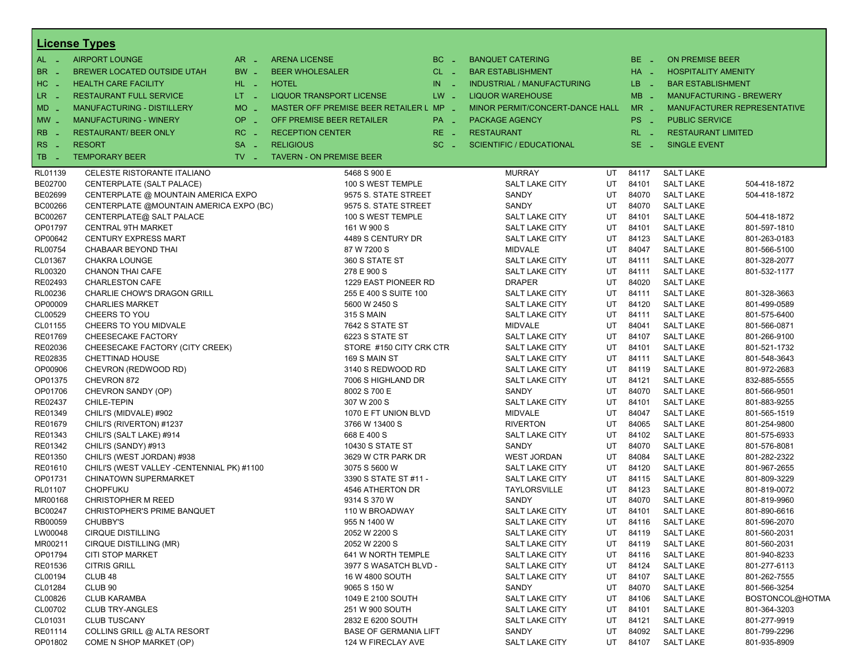|                  | <b>License Types</b>                       |                               |                                 |                                         |             |                                         |          |                      |                                      |                                    |  |  |
|------------------|--------------------------------------------|-------------------------------|---------------------------------|-----------------------------------------|-------------|-----------------------------------------|----------|----------------------|--------------------------------------|------------------------------------|--|--|
| AL -             | <b>AIRPORT LOUNGE</b>                      | $AR -$                        | <b>ARENA LICENSE</b>            |                                         | $BC =$      | <b>BANQUET CATERING</b>                 |          | BE.<br>$\sim$ $\sim$ | <b>ON PREMISE BEER</b>               |                                    |  |  |
| BR.              | BREWER LOCATED OUTSIDE UTAH                | $BW -$                        | <b>BEER WHOLESALER</b>          |                                         | $CL$ $-$    | <b>BAR ESTABLISHMENT</b>                |          | $HA$ $=$             | <b>HOSPITALITY AMENITY</b>           |                                    |  |  |
| HC<br>$\sim$     | <b>HEALTH CARE FACILITY</b>                | $HL$ $-$                      | <b>HOTEL</b>                    |                                         | IN<br>in Li | <b>INDUSTRIAL / MANUFACTURING</b>       |          | LB.<br>- 20          | <b>BAR ESTABLISHMENT</b>             |                                    |  |  |
| LR.              | <b>RESTAURANT FULL SERVICE</b>             | $LT - 1$                      | LIQUOR TRANSPORT LICENSE        |                                         | $LW =$      | <b>LIQUOR WAREHOUSE</b>                 |          | $MB -$               | <b>MANUFACTURING - BREWERY</b>       |                                    |  |  |
| MD               | <b>MANUFACTURING - DISTILLERY</b>          | $MO$ $\overline{\phantom{0}}$ |                                 | MASTER OFF PREMISE BEER RETAILER L MP - |             | MINOR PERMIT/CONCERT-DANCE HALL         |          | $MR -$               |                                      | <b>MANUFACTURER REPRESENTATIVE</b> |  |  |
| $MW$ $-$         | <b>MANUFACTURING - WINERY</b>              | OP                            | OFF PREMISE BEER RETAILER       |                                         |             | <b>PACKAGE AGENCY</b>                   |          | PS.                  | <b>PUBLIC SERVICE</b>                |                                    |  |  |
|                  |                                            | $\sim$                        |                                 |                                         | PA _        |                                         |          | $\sim$               |                                      |                                    |  |  |
| <b>RB</b>        | <b>RESTAURANT/ BEER ONLY</b>               | RC.                           | <b>RECEPTION CENTER</b>         |                                         | RE.         | <b>RESTAURANT</b>                       |          | RL.                  | <b>RESTAURANT LIMITED</b>            |                                    |  |  |
| <b>RS</b><br>- 4 | <b>RESORT</b>                              | <b>SA</b><br><b>14</b>        | <b>RELIGIOUS</b>                |                                         | $SC =$      | <b>SCIENTIFIC / EDUCATIONAL</b>         |          | SE.<br>$\sim$        | <b>SINGLE EVENT</b>                  |                                    |  |  |
| TB<br>- 4        | <b>TEMPORARY BEER</b>                      | $TV$ $\overline{\phantom{0}}$ | <b>TAVERN - ON PREMISE BEER</b> |                                         |             |                                         |          |                      |                                      |                                    |  |  |
| RL01139          | CELESTE RISTORANTE ITALIANO                |                               |                                 | 5468 S 900 E                            |             | <b>MURRAY</b>                           | UT       | 84117                | <b>SALT LAKE</b>                     |                                    |  |  |
| BE02700          | CENTERPLATE (SALT PALACE)                  |                               |                                 | 100 S WEST TEMPLE                       |             | SALT LAKE CITY                          | UT       | 84101                | <b>SALT LAKE</b>                     | 504-418-1872                       |  |  |
| BE02699          | CENTERPLATE @ MOUNTAIN AMERICA EXPO        |                               |                                 | 9575 S. STATE STREET                    |             | SANDY                                   | UT       | 84070                | <b>SALT LAKE</b>                     | 504-418-1872                       |  |  |
| BC00266          | CENTERPLATE @MOUNTAIN AMERICA EXPO (BC)    |                               |                                 | 9575 S. STATE STREET                    |             | SANDY                                   | UT       | 84070                | <b>SALT LAKE</b>                     |                                    |  |  |
| BC00267          | CENTERPLATE@ SALT PALACE                   |                               |                                 | 100 S WEST TEMPLE                       |             | SALT LAKE CITY                          | UT       | 84101                | <b>SALT LAKE</b>                     | 504-418-1872                       |  |  |
| OP01797          | <b>CENTRAL 9TH MARKET</b>                  |                               |                                 | 161 W 900 S                             |             | <b>SALT LAKE CITY</b>                   | UT       | 84101                | <b>SALT LAKE</b>                     | 801-597-1810                       |  |  |
| OP00642          | <b>CENTURY EXPRESS MART</b>                |                               |                                 | 4489 S CENTURY DR                       |             | <b>SALT LAKE CITY</b>                   | UT       | 84123                | <b>SALT LAKE</b>                     | 801-263-0183                       |  |  |
| <b>RL00754</b>   | CHABAAR BEYOND THAI                        |                               |                                 | 87 W 7200 S                             |             | <b>MIDVALE</b>                          | UT       | 84047                | <b>SALT LAKE</b>                     | 801-566-5100                       |  |  |
| CL01367          | <b>CHAKRA LOUNGE</b>                       |                               |                                 | 360 S STATE ST                          |             | <b>SALT LAKE CITY</b>                   | UT       | 84111                | <b>SALT LAKE</b>                     | 801-328-2077                       |  |  |
| RL00320          | <b>CHANON THAI CAFE</b>                    |                               |                                 | 278 E 900 S                             |             | SALT LAKE CITY                          | UT       | 84111                | <b>SALT LAKE</b>                     | 801-532-1177                       |  |  |
| RE02493          | <b>CHARLESTON CAFE</b>                     |                               |                                 | 1229 EAST PIONEER RD                    |             | <b>DRAPER</b>                           | UT       | 84020                | <b>SALT LAKE</b>                     |                                    |  |  |
| RL00236          | CHARLIE CHOW'S DRAGON GRILL                |                               |                                 | 255 E 400 S SUITE 100                   |             | SALT LAKE CITY                          | UT       | 84111                | <b>SALT LAKE</b>                     | 801-328-3663                       |  |  |
| OP00009          | <b>CHARLIES MARKET</b>                     |                               |                                 | 5600 W 2450 S                           |             | SALT LAKE CITY                          | UT       | 84120                | <b>SALT LAKE</b>                     | 801-499-0589                       |  |  |
| CL00529          | CHEERS TO YOU                              |                               |                                 | 315 S MAIN                              |             | SALT LAKE CITY                          | UT       | 84111                | <b>SALT LAKE</b>                     | 801-575-6400                       |  |  |
| CL01155          | CHEERS TO YOU MIDVALE                      |                               |                                 | 7642 S STATE ST                         |             | <b>MIDVALE</b>                          | UT       | 84041                | <b>SALT LAKE</b>                     | 801-566-0871                       |  |  |
| RE01769          | CHEESECAKE FACTORY                         |                               |                                 | 6223 S STATE ST                         |             | SALT LAKE CITY                          | UT       | 84107                | <b>SALT LAKE</b>                     | 801-266-9100                       |  |  |
| RE02036          | CHEESECAKE FACTORY (CITY CREEK)            |                               |                                 | STORE #150 CITY CRK CTR                 |             | SALT LAKE CITY                          | UT       | 84101                | <b>SALT LAKE</b>                     | 801-521-1732                       |  |  |
| RE02835          | CHETTINAD HOUSE                            |                               |                                 | 169 S MAIN ST                           |             | <b>SALT LAKE CITY</b>                   | UT       | 84111                | <b>SALT LAKE</b>                     | 801-548-3643                       |  |  |
| OP00906          | CHEVRON (REDWOOD RD)                       |                               |                                 | 3140 S REDWOOD RD                       |             | SALT LAKE CITY                          | UT       | 84119                | <b>SALT LAKE</b>                     | 801-972-2683                       |  |  |
| OP01375          | CHEVRON 872                                |                               |                                 | 7006 S HIGHLAND DR                      |             | SALT LAKE CITY                          | UT       | 84121                | <b>SALT LAKE</b>                     | 832-885-5555                       |  |  |
| OP01706          | CHEVRON SANDY (OP)                         |                               |                                 | 8002 S 700 E                            |             | SANDY                                   | UT       | 84070                | <b>SALT LAKE</b>                     | 801-566-9501                       |  |  |
| RE02437          | CHILE-TEPIN                                |                               |                                 | 307 W 200 S                             |             | <b>SALT LAKE CITY</b>                   | UT       | 84101                | <b>SALT LAKE</b>                     | 801-883-9255                       |  |  |
| RE01349          | CHILI'S (MIDVALE) #902                     |                               |                                 | 1070 E FT UNION BLVD                    |             | <b>MIDVALE</b>                          | UT       | 84047                | <b>SALT LAKE</b>                     | 801-565-1519                       |  |  |
| RE01679          | CHILI'S (RIVERTON) #1237                   |                               |                                 | 3766 W 13400 S                          |             | <b>RIVERTON</b>                         | UT       | 84065                | <b>SALT LAKE</b>                     | 801-254-9800                       |  |  |
| RE01343          | CHILI'S (SALT LAKE) #914                   |                               |                                 | 668 E 400 S                             |             | <b>SALT LAKE CITY</b>                   | UT       | 84102                | <b>SALT LAKE</b>                     | 801-575-6933                       |  |  |
| RE01342          | CHILI'S (SANDY) #913                       |                               |                                 | 10430 S STATE ST                        |             | SANDY                                   | UT       | 84070                | <b>SALT LAKE</b>                     | 801-576-8081                       |  |  |
| RE01350          | CHILI'S (WEST JORDAN) #938                 |                               |                                 | 3629 W CTR PARK DR                      |             | <b>WEST JORDAN</b>                      | UT       | 84084                | <b>SALT LAKE</b>                     | 801-282-2322                       |  |  |
| RE01610          | CHILI'S (WEST VALLEY -CENTENNIAL PK) #1100 |                               |                                 | 3075 S 5600 W                           |             | SALT LAKE CITY                          | UT       | 84120                | <b>SALT LAKE</b>                     | 801-967-2655                       |  |  |
| OP01731          | CHINATOWN SUPERMARKET                      |                               |                                 | 3390 S STATE ST #11 -                   |             | SALT LAKE CITY                          | UT       | 84115                | <b>SALT LAKE</b>                     | 801-809-3229                       |  |  |
| RL01107          | <b>CHOPFUKU</b>                            |                               |                                 | 4546 ATHERTON DR                        |             | TAYLORSVILLE                            | UT       | 84123                | <b>SALT LAKE</b>                     | 801-819-0072                       |  |  |
|                  | <b>CHRISTOPHER M REED</b>                  |                               |                                 | 9314 S 370 W                            |             |                                         |          |                      |                                      |                                    |  |  |
| MR00168          |                                            |                               |                                 |                                         |             | SANDY                                   | UT<br>UT | 84070                | <b>SALT LAKE</b><br><b>SALT LAKE</b> | 801-819-9960                       |  |  |
| BC00247          | CHRISTOPHER'S PRIME BANQUET<br>CHUBBY'S    |                               |                                 | 110 W BROADWAY<br>955 N 1400 W          |             | SALT LAKE CITY<br><b>SALT LAKE CITY</b> | UT       | 84101<br>84116       | <b>SALT LAKE</b>                     | 801-890-6616<br>801-596-2070       |  |  |
| RB00059          |                                            |                               |                                 |                                         |             |                                         |          |                      |                                      |                                    |  |  |
| LW00048          | <b>CIRQUE DISTILLING</b>                   |                               |                                 | 2052 W 2200 S                           |             | SALT LAKE CITY                          | UT       | 84119                | <b>SALT LAKE</b>                     | 801-560-2031                       |  |  |
| MR00211          | CIRQUE DISTILLING (MR)                     |                               |                                 | 2052 W 2200 S                           |             | SALT LAKE CITY                          | UT       | 84119                | <b>SALT LAKE</b>                     | 801-560-2031                       |  |  |
| OP01794          | <b>CITI STOP MARKET</b>                    |                               |                                 | 641 W NORTH TEMPLE                      |             | SALT LAKE CITY                          | UT       | 84116                | <b>SALT LAKE</b>                     | 801-940-8233                       |  |  |
| RE01536          | <b>CITRIS GRILL</b>                        |                               |                                 | 3977 S WASATCH BLVD -                   |             | SALT LAKE CITY                          | UT       | 84124                | <b>SALT LAKE</b>                     | 801-277-6113                       |  |  |
| CL00194          | CLUB <sub>48</sub>                         |                               |                                 | 16 W 4800 SOUTH                         |             | SALT LAKE CITY                          | UT       | 84107                | <b>SALT LAKE</b>                     | 801-262-7555                       |  |  |
| CL01284          | CLUB <sub>90</sub>                         |                               |                                 | 9065 S 150 W                            |             | SANDY                                   | UT       | 84070                | <b>SALT LAKE</b>                     | 801-566-3254                       |  |  |
| CL00826          | <b>CLUB KARAMBA</b>                        |                               |                                 | 1049 E 2100 SOUTH                       |             | SALT LAKE CITY                          | UT       | 84106                | <b>SALT LAKE</b>                     | BOSTONCOL@HOTMA                    |  |  |
| CL00702          | <b>CLUB TRY-ANGLES</b>                     |                               |                                 | 251 W 900 SOUTH                         |             | SALT LAKE CITY                          | UT       | 84101                | <b>SALT LAKE</b>                     | 801-364-3203                       |  |  |
| CL01031          | <b>CLUB TUSCANY</b>                        |                               |                                 | 2832 E 6200 SOUTH                       |             | <b>SALT LAKE CITY</b>                   | UT       | 84121                | <b>SALT LAKE</b>                     | 801-277-9919                       |  |  |
| RE01114          | COLLINS GRILL @ ALTA RESORT                |                               |                                 | <b>BASE OF GERMANIA LIFT</b>            |             | SANDY                                   | UT       | 84092                | <b>SALT LAKE</b>                     | 801-799-2296                       |  |  |
| OP01802          | COME N SHOP MARKET (OP)                    |                               |                                 | 124 W FIRECLAY AVE                      |             | SALT LAKE CITY                          | UT       | 84107                | <b>SALT LAKE</b>                     | 801-935-8909                       |  |  |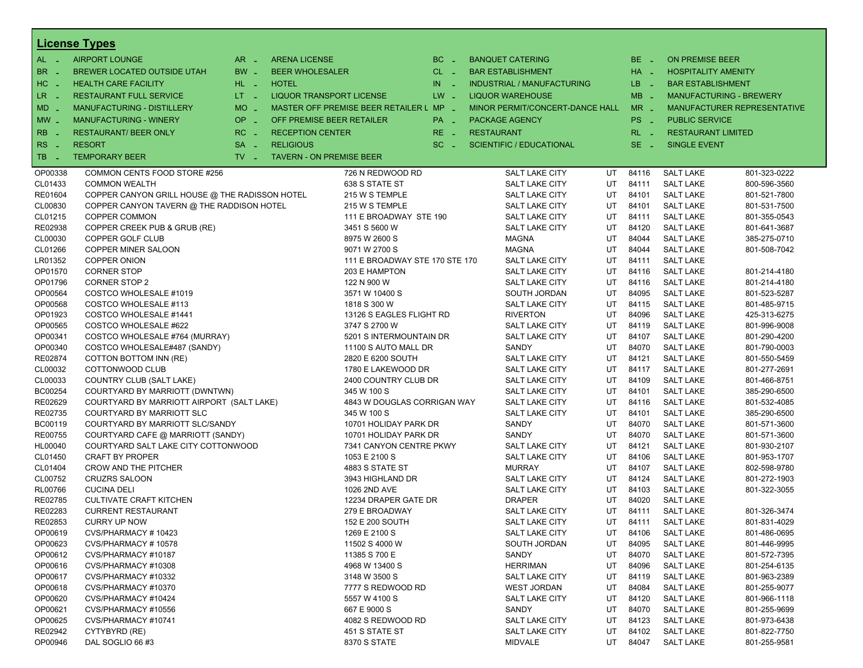|                          | <b>License Types</b>                           |                               |                                 |                                         |            |                   |                                   |    |          |                            |                                |
|--------------------------|------------------------------------------------|-------------------------------|---------------------------------|-----------------------------------------|------------|-------------------|-----------------------------------|----|----------|----------------------------|--------------------------------|
| $AL -$                   | <b>AIRPORT LOUNGE</b>                          | $AR =$                        | <b>ARENA LICENSE</b>            |                                         | $BC -$     |                   | <b>BANQUET CATERING</b>           |    | BE _     | <b>ON PREMISE BEER</b>     |                                |
| BR.<br>- 4               | BREWER LOCATED OUTSIDE UTAH                    | BW _                          | <b>BEER WHOLESALER</b>          |                                         | $CL$ $-$   |                   | <b>BAR ESTABLISHMENT</b>          |    | $HA$ $=$ | <b>HOSPITALITY AMENITY</b> |                                |
| H <sub>C</sub><br>- 4    | <b>HEALTH CARE FACILITY</b>                    | HL L                          | <b>HOTEL</b>                    |                                         | IN.<br>- 2 |                   | <b>INDUSTRIAL / MANUFACTURING</b> |    | $LB - 1$ | <b>BAR ESTABLISHMENT</b>   |                                |
| LR.                      |                                                | $LT - 1$                      | <b>LIQUOR TRANSPORT LICENSE</b> |                                         | $LW -$     |                   | <b>LIQUOR WAREHOUSE</b>           |    | $MB -$   |                            | <b>MANUFACTURING - BREWERY</b> |
| $\sim$                   | <b>RESTAURANT FULL SERVICE</b>                 |                               |                                 |                                         |            |                   |                                   |    |          |                            |                                |
| $MD -$                   | <b>MANUFACTURING - DISTILLERY</b>              | $MO$ $\overline{\phantom{0}}$ |                                 | MASTER OFF PREMISE BEER RETAILER L MP _ |            |                   | MINOR PERMIT/CONCERT-DANCE HALL   |    | $MR -$   |                            | MANUFACTURER REPRESENTATIVE    |
| $MW-$                    | <b>MANUFACTURING - WINERY</b>                  | <b>OP</b><br>i al             | OFF PREMISE BEER RETAILER       |                                         | PA _       |                   | <b>PACKAGE AGENCY</b>             |    | PS _     | <b>PUBLIC SERVICE</b>      |                                |
| <b>RB</b>                | <b>RESTAURANT/ BEER ONLY</b>                   | $RC -$                        | <b>RECEPTION CENTER</b>         |                                         | $RE -$     | <b>RESTAURANT</b> |                                   |    | $RL - 1$ | <b>RESTAURANT LIMITED</b>  |                                |
| R <sub>S</sub><br>$\sim$ | <b>RESORT</b>                                  | <b>SA</b><br>÷.               | <b>RELIGIOUS</b>                |                                         | $SC =$     |                   | <b>SCIENTIFIC / EDUCATIONAL</b>   |    | $SE -$   | <b>SINGLE EVENT</b>        |                                |
| TB<br>- 4                | <b>TEMPORARY BEER</b>                          | $TV$ $-$                      | <b>TAVERN - ON PREMISE BEER</b> |                                         |            |                   |                                   |    |          |                            |                                |
| OP00338                  | COMMON CENTS FOOD STORE #256                   |                               |                                 | 726 N REDWOOD RD                        |            |                   | <b>SALT LAKE CITY</b>             | UT | 84116    | <b>SALT LAKE</b>           | 801-323-0222                   |
| CL01433                  | <b>COMMON WEALTH</b>                           |                               |                                 | 638 S STATE ST                          |            |                   | <b>SALT LAKE CITY</b>             | UT | 84111    | <b>SALT LAKE</b>           | 800-596-3560                   |
| RE01604                  | COPPER CANYON GRILL HOUSE @ THE RADISSON HOTEL |                               |                                 | 215 W S TEMPLE                          |            |                   | <b>SALT LAKE CITY</b>             | UT | 84101    | <b>SALT LAKE</b>           | 801-521-7800                   |
| CL00830                  | COPPER CANYON TAVERN @ THE RADDISON HOTEL      |                               |                                 | 215 W S TEMPLE                          |            |                   | <b>SALT LAKE CITY</b>             | UT | 84101    | <b>SALT LAKE</b>           | 801-531-7500                   |
| CL01215                  | COPPER COMMON                                  |                               |                                 | 111 E BROADWAY STE 190                  |            |                   | <b>SALT LAKE CITY</b>             | UT | 84111    | <b>SALT LAKE</b>           | 801-355-0543                   |
| RE02938                  | COPPER CREEK PUB & GRUB (RE)                   |                               |                                 | 3451 S 5600 W                           |            |                   | <b>SALT LAKE CITY</b>             | UT | 84120    | <b>SALT LAKE</b>           | 801-641-3687                   |
| CL00030                  | COPPER GOLF CLUB                               |                               |                                 | 8975 W 2600 S                           |            |                   | <b>MAGNA</b>                      | UT | 84044    | <b>SALT LAKE</b>           | 385-275-0710                   |
| CL01266                  | COPPER MINER SALOON                            |                               |                                 | 9071 W 2700 S                           |            |                   | <b>MAGNA</b>                      | UT | 84044    | <b>SALT LAKE</b>           | 801-508-7042                   |
| LR01352                  | <b>COPPER ONION</b>                            |                               |                                 | 111 E BROADWAY STE 170 STE 170          |            |                   | <b>SALT LAKE CITY</b>             | UT | 84111    | <b>SALT LAKE</b>           |                                |
| OP01570                  | <b>CORNER STOP</b>                             |                               |                                 | 203 E HAMPTON                           |            |                   | <b>SALT LAKE CITY</b>             | UT | 84116    | <b>SALT LAKE</b>           | 801-214-4180                   |
| OP01796                  | <b>CORNER STOP 2</b>                           |                               |                                 | 122 N 900 W                             |            |                   | <b>SALT LAKE CITY</b>             | UT | 84116    | <b>SALT LAKE</b>           | 801-214-4180                   |
| OP00564                  | COSTCO WHOLESALE #1019                         |                               |                                 | 3571 W 10400 S                          |            |                   | SOUTH JORDAN                      | UT | 84095    | <b>SALT LAKE</b>           | 801-523-5287                   |
| OP00568                  | COSTCO WHOLESALE #113                          |                               |                                 | 1818 S 300 W                            |            |                   | <b>SALT LAKE CITY</b>             | UT | 84115    | <b>SALT LAKE</b>           | 801-485-9715                   |
| OP01923                  | COSTCO WHOLESALE #1441                         |                               |                                 | 13126 S EAGLES FLIGHT RD                |            |                   | <b>RIVERTON</b>                   | UT | 84096    | <b>SALT LAKE</b>           | 425-313-6275                   |
| OP00565                  | COSTCO WHOLESALE #622                          |                               |                                 | 3747 S 2700 W                           |            |                   | <b>SALT LAKE CITY</b>             | UT | 84119    | <b>SALT LAKE</b>           | 801-996-9008                   |
| OP00341                  | COSTCO WHOLESALE #764 (MURRAY)                 |                               |                                 | 5201 S INTERMOUNTAIN DR                 |            |                   | <b>SALT LAKE CITY</b>             | UT | 84107    | <b>SALT LAKE</b>           | 801-290-4200                   |
| OP00340                  | COSTCO WHOLESALE#487 (SANDY)                   |                               |                                 | 11100 S AUTO MALL DR                    |            |                   | SANDY                             | UT | 84070    | <b>SALT LAKE</b>           | 801-790-0003                   |
| RE02874                  | COTTON BOTTOM INN (RE)                         |                               |                                 | 2820 E 6200 SOUTH                       |            |                   | <b>SALT LAKE CITY</b>             | UT | 84121    | <b>SALT LAKE</b>           | 801-550-5459                   |
| CL00032                  | COTTONWOOD CLUB                                |                               |                                 | 1780 E LAKEWOOD DR                      |            |                   | <b>SALT LAKE CITY</b>             | UT | 84117    | <b>SALT LAKE</b>           | 801-277-2691                   |
| CL00033                  | COUNTRY CLUB (SALT LAKE)                       |                               |                                 | 2400 COUNTRY CLUB DR                    |            |                   | SALT LAKE CITY                    | UT | 84109    | <b>SALT LAKE</b>           | 801-466-8751                   |
| BC00254                  | COURTYARD BY MARRIOTT (DWNTWN)                 |                               |                                 | 345 W 100 S                             |            |                   | <b>SALT LAKE CITY</b>             | UT | 84101    | <b>SALT LAKE</b>           | 385-290-6500                   |
| RE02629                  | COURTYARD BY MARRIOTT AIRPORT (SALT LAKE)      |                               |                                 | 4843 W DOUGLAS CORRIGAN WAY             |            |                   | <b>SALT LAKE CITY</b>             | UT | 84116    | <b>SALT LAKE</b>           | 801-532-4085                   |
| RE02735                  | COURTYARD BY MARRIOTT SLC                      |                               |                                 | 345 W 100 S                             |            |                   | <b>SALT LAKE CITY</b>             | UT | 84101    | <b>SALT LAKE</b>           | 385-290-6500                   |
| BC00119                  | COURTYARD BY MARRIOTT SLC/SANDY                |                               |                                 | 10701 HOLIDAY PARK DR                   |            |                   | SANDY                             | UT | 84070    | <b>SALT LAKE</b>           | 801-571-3600                   |
| <b>RE00755</b>           | COURTYARD CAFE @ MARRIOTT (SANDY)              |                               |                                 | 10701 HOLIDAY PARK DR                   |            |                   | SANDY                             | UT | 84070    | <b>SALT LAKE</b>           | 801-571-3600                   |
| HL00040                  | COURTYARD SALT LAKE CITY COTTONWOOD            |                               |                                 | 7341 CANYON CENTRE PKWY                 |            |                   | <b>SALT LAKE CITY</b>             | UT | 84121    | <b>SALT LAKE</b>           | 801-930-2107                   |
| CL01450                  | <b>CRAFT BY PROPER</b>                         |                               |                                 | 1053 E 2100 S                           |            |                   | <b>SALT LAKE CITY</b>             | UT | 84106    | <b>SALT LAKE</b>           | 801-953-1707                   |
| CL01404                  | <b>CROW AND THE PITCHER</b>                    |                               |                                 | <b>4883 S STATE ST</b>                  |            |                   | <b>MURRAY</b>                     | UT | 84107    | <b>SALT LAKE</b>           | 802-598-9780                   |
| CL00752                  | <b>CRUZRS SALOON</b>                           |                               |                                 | 3943 HIGHLAND DR                        |            |                   | <b>SALT LAKE CITY</b>             | UT | 84124    | <b>SALT LAKE</b>           | 801-272-1903                   |
| RL00766                  | <b>CUCINA DELI</b>                             |                               |                                 | 1026 2ND AVE                            |            |                   | <b>SALT LAKE CITY</b>             | UT | 84103    | <b>SALT LAKE</b>           | 801-322-3055                   |
| RE02785                  | <b>CULTIVATE CRAFT KITCHEN</b>                 |                               |                                 | 12234 DRAPER GATE DR                    |            |                   | <b>DRAPER</b>                     | UT | 84020    | <b>SALT LAKE</b>           |                                |
| RE02283                  | <b>CURRENT RESTAURANT</b>                      |                               |                                 | 279 E BROADWAY                          |            |                   | <b>SALT LAKE CITY</b>             | UT | 84111    | <b>SALT LAKE</b>           | 801-326-3474                   |
| RE02853                  | <b>CURRY UP NOW</b>                            |                               |                                 | 152 E 200 SOUTH                         |            |                   | <b>SALT LAKE CITY</b>             | UT | 84111    | <b>SALT LAKE</b>           | 801-831-4029                   |
| OP00619                  | CVS/PHARMACY#10423                             |                               |                                 | 1269 E 2100 S                           |            |                   | <b>SALT LAKE CITY</b>             | UT | 84106    | <b>SALT LAKE</b>           | 801-486-0695                   |
| OP00623                  | CVS/PHARMACY#10578                             |                               |                                 | 11502 S 4000 W                          |            |                   | SOUTH JORDAN                      | UT | 84095    | <b>SALT LAKE</b>           | 801-446-9995                   |
| OP00612                  | CVS/PHARMACY #10187                            |                               |                                 | 11385 S 700 E                           |            |                   | SANDY                             | UT | 84070    | <b>SALT LAKE</b>           | 801-572-7395                   |
| OP00616                  | CVS/PHARMACY #10308                            |                               |                                 | 4968 W 13400 S                          |            |                   | <b>HERRIMAN</b>                   | UT | 84096    | <b>SALT LAKE</b>           | 801-254-6135                   |
| OP00617                  | CVS/PHARMACY #10332                            |                               |                                 | 3148 W 3500 S                           |            |                   | <b>SALT LAKE CITY</b>             | UT | 84119    | <b>SALT LAKE</b>           | 801-963-2389                   |
| OP00618                  | CVS/PHARMACY #10370                            |                               |                                 | 7777 S REDWOOD RD                       |            |                   | WEST JORDAN                       | UT | 84084    | <b>SALT LAKE</b>           | 801-255-9077                   |
| OP00620                  | CVS/PHARMACY #10424                            |                               |                                 | 5557 W 4100 S                           |            |                   | <b>SALT LAKE CITY</b>             | UT | 84120    | <b>SALT LAKE</b>           | 801-966-1118                   |
| OP00621                  | CVS/PHARMACY #10556                            |                               |                                 | 667 E 9000 S                            |            |                   | SANDY                             | UT | 84070    | <b>SALT LAKE</b>           | 801-255-9699                   |
| OP00625                  | CVS/PHARMACY #10741                            |                               |                                 | 4082 S REDWOOD RD                       |            |                   | <b>SALT LAKE CITY</b>             | UT | 84123    | <b>SALT LAKE</b>           | 801-973-6438                   |
| RE02942                  | CYTYBYRD (RE)                                  |                               |                                 | 451 S STATE ST                          |            |                   | <b>SALT LAKE CITY</b>             | UT | 84102    | <b>SALT LAKE</b>           | 801-822-7750                   |
| OP00946                  | DAL SOGLIO 66 #3                               |                               |                                 | 8370 S STATE                            |            |                   | <b>MIDVALE</b>                    | UT | 84047    | <b>SALT LAKE</b>           | 801-255-9581                   |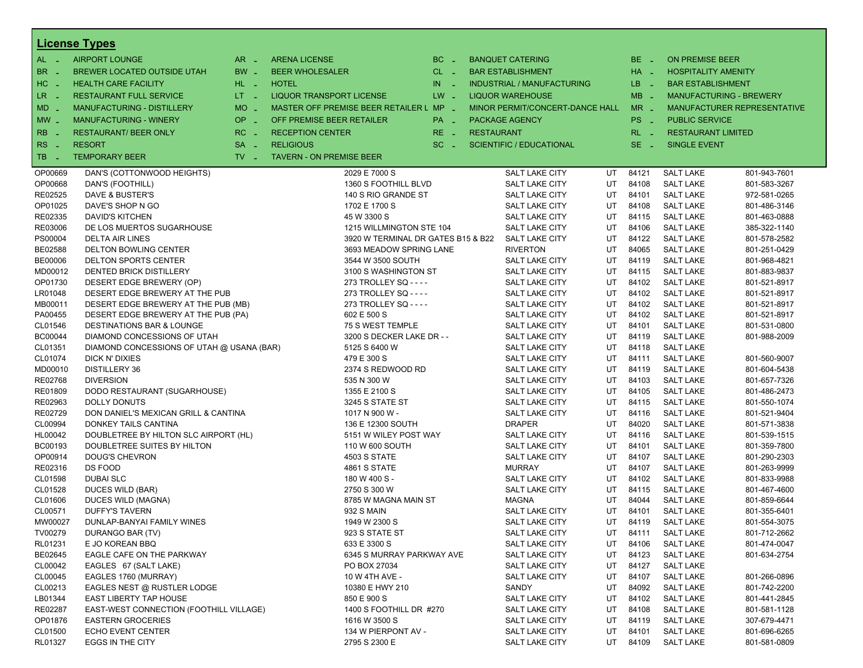|                       | <b>License Types</b>                      |                               |                                         |          |                   |                                   |    |          |                            |                                |
|-----------------------|-------------------------------------------|-------------------------------|-----------------------------------------|----------|-------------------|-----------------------------------|----|----------|----------------------------|--------------------------------|
| $AL -$                | <b>AIRPORT LOUNGE</b>                     | $AR -$                        | <b>ARENA LICENSE</b>                    | $BC -$   |                   | <b>BANQUET CATERING</b>           |    | BE _     | <b>ON PREMISE BEER</b>     |                                |
| BR<br>- 4             | BREWER LOCATED OUTSIDE UTAH               | BW _                          | <b>BEER WHOLESALER</b>                  | $CL$ $-$ |                   | <b>BAR ESTABLISHMENT</b>          |    | $HA$ $-$ | <b>HOSPITALITY AMENITY</b> |                                |
| H <sub>C</sub><br>- 4 | <b>HEALTH CARE FACILITY</b>               | HL L                          | <b>HOTEL</b>                            | $IN =$   |                   | <b>INDUSTRIAL / MANUFACTURING</b> |    | LB __    | <b>BAR ESTABLISHMENT</b>   |                                |
| LR -                  | <b>RESTAURANT FULL SERVICE</b>            | $LT - 1$                      | <b>LIQUOR TRANSPORT LICENSE</b>         | $LW -$   |                   | <b>LIQUOR WAREHOUSE</b>           |    | $MB -$   |                            | <b>MANUFACTURING - BREWERY</b> |
|                       | MANUFACTURING - DISTILLERY                | MO _                          | MASTER OFF PREMISE BEER RETAILER L MP - |          |                   | MINOR PERMIT/CONCERT-DANCE HALL   |    | $MR -$   |                            | MANUFACTURER REPRESENTATIVE    |
| $MD -$                |                                           |                               |                                         |          |                   |                                   |    |          |                            |                                |
| $MW-$                 | <b>MANUFACTURING - WINERY</b>             | <b>OP</b><br>п.               | OFF PREMISE BEER RETAILER               | PA _     |                   | <b>PACKAGE AGENCY</b>             |    | PS _     | <b>PUBLIC SERVICE</b>      |                                |
| <b>RB</b>             | <b>RESTAURANT/ BEER ONLY</b>              | RC<br>$\sim$                  | <b>RECEPTION CENTER</b>                 | RE _     | <b>RESTAURANT</b> |                                   |    | $RL - 1$ | <b>RESTAURANT LIMITED</b>  |                                |
| RS<br>$\sim$          | <b>RESORT</b>                             | <b>SA</b><br>i a              | <b>RELIGIOUS</b>                        | $SC =$   |                   | <b>SCIENTIFIC / EDUCATIONAL</b>   |    | $SE =$   | <b>SINGLE EVENT</b>        |                                |
| TB.<br>- 4            | <b>TEMPORARY BEER</b>                     | $TV$ $\overline{\phantom{0}}$ | <b>TAVERN - ON PREMISE BEER</b>         |          |                   |                                   |    |          |                            |                                |
| OP00669               | DAN'S (COTTONWOOD HEIGHTS)                |                               | 2029 E 7000 S                           |          |                   | SALT LAKE CITY                    | UT | 84121    | <b>SALT LAKE</b>           | 801-943-7601                   |
| OP00668               | DAN'S (FOOTHILL)                          |                               | 1360 S FOOTHILL BLVD                    |          |                   | SALT LAKE CITY                    | UT | 84108    | <b>SALT LAKE</b>           | 801-583-3267                   |
| RE02525               | DAVE & BUSTER'S                           |                               | 140 S RIO GRANDE ST                     |          |                   | <b>SALT LAKE CITY</b>             | UT | 84101    | <b>SALT LAKE</b>           | 972-581-0265                   |
| OP01025               | DAVE'S SHOP N GO                          |                               | 1702 E 1700 S                           |          |                   | SALT LAKE CITY                    | UT | 84108    | <b>SALT LAKE</b>           | 801-486-3146                   |
| RE02335               | <b>DAVID'S KITCHEN</b>                    |                               | 45 W 3300 S                             |          |                   | SALT LAKE CITY                    | UT | 84115    | <b>SALT LAKE</b>           | 801-463-0888                   |
| RE03006               | DE LOS MUERTOS SUGARHOUSE                 |                               | 1215 WILLMINGTON STE 104                |          |                   | SALT LAKE CITY                    | UT | 84106    | <b>SALT LAKE</b>           | 385-322-1140                   |
| PS00004               | <b>DELTA AIR LINES</b>                    |                               | 3920 W TERMINAL DR GATES B15 & B22      |          |                   | SALT LAKE CITY                    | UT | 84122    | <b>SALT LAKE</b>           | 801-578-2582                   |
| BE02588               | <b>DELTON BOWLING CENTER</b>              |                               | 3693 MEADOW SPRING LANE                 |          |                   | <b>RIVERTON</b>                   | UT | 84065    | <b>SALT LAKE</b>           | 801-251-0429                   |
| BE00006               | <b>DELTON SPORTS CENTER</b>               |                               | 3544 W 3500 SOUTH                       |          |                   | SALT LAKE CITY                    | UT | 84119    | <b>SALT LAKE</b>           | 801-968-4821                   |
| MD00012               | <b>DENTED BRICK DISTILLERY</b>            |                               | 3100 S WASHINGTON ST                    |          |                   | SALT LAKE CITY                    | UT | 84115    | <b>SALT LAKE</b>           | 801-883-9837                   |
| OP01730               | DESERT EDGE BREWERY (OP)                  |                               | 273 TROLLEY SQ - - - -                  |          |                   | SALT LAKE CITY                    | UT | 84102    | <b>SALT LAKE</b>           | 801-521-8917                   |
| LR01048               | DESERT EDGE BREWERY AT THE PUB            |                               | 273 TROLLEY SQ - - - -                  |          |                   | SALT LAKE CITY                    | UT | 84102    | <b>SALT LAKE</b>           | 801-521-8917                   |
| MB00011               | DESERT EDGE BREWERY AT THE PUB (MB)       |                               | 273 TROLLEY SQ - - - -                  |          |                   | SALT LAKE CITY                    | UT | 84102    | <b>SALT LAKE</b>           | 801-521-8917                   |
| PA00455               | DESERT EDGE BREWERY AT THE PUB (PA)       |                               | 602 E 500 S                             |          |                   | SALT LAKE CITY                    | UT | 84102    | <b>SALT LAKE</b>           | 801-521-8917                   |
| CL01546               | <b>DESTINATIONS BAR &amp; LOUNGE</b>      |                               | 75 S WEST TEMPLE                        |          |                   | <b>SALT LAKE CITY</b>             | UT | 84101    | <b>SALT LAKE</b>           | 801-531-0800                   |
| BC00044               | DIAMOND CONCESSIONS OF UTAH               |                               | 3200 S DECKER LAKE DR - -               |          |                   | SALT LAKE CITY                    | UT | 84119    | <b>SALT LAKE</b>           | 801-988-2009                   |
| CL01351               | DIAMOND CONCESSIONS OF UTAH @ USANA (BAR) |                               | 5125 S 6400 W                           |          |                   | SALT LAKE CITY                    | UT | 84118    | <b>SALT LAKE</b>           |                                |
| CL01074               | DICK N' DIXIES                            |                               | 479 E 300 S                             |          |                   | SALT LAKE CITY                    | UT | 84111    | <b>SALT LAKE</b>           | 801-560-9007                   |
| MD00010               | <b>DISTILLERY 36</b>                      |                               | 2374 S REDWOOD RD                       |          |                   | SALT LAKE CITY                    | UT | 84119    | <b>SALT LAKE</b>           | 801-604-5438                   |
| RE02768               | <b>DIVERSION</b>                          |                               | 535 N 300 W                             |          |                   | SALT LAKE CITY                    | UT | 84103    | <b>SALT LAKE</b>           | 801-657-7326                   |
| RE01809               | DODO RESTAURANT (SUGARHOUSE)              |                               | 1355 E 2100 S                           |          |                   | SALT LAKE CITY                    | UT | 84105    | <b>SALT LAKE</b>           | 801-486-2473                   |
| RE02963               | <b>DOLLY DONUTS</b>                       |                               | 3245 S STATE ST                         |          |                   | SALT LAKE CITY                    | UT | 84115    | <b>SALT LAKE</b>           | 801-550-1074                   |
| RE02729               | DON DANIEL'S MEXICAN GRILL & CANTINA      |                               | 1017 N 900 W -                          |          |                   | SALT LAKE CITY                    | UT | 84116    | <b>SALT LAKE</b>           | 801-521-9404                   |
| CL00994               | DONKEY TAILS CANTINA                      |                               | 136 E 12300 SOUTH                       |          |                   | <b>DRAPER</b>                     | UT | 84020    | <b>SALT LAKE</b>           | 801-571-3838                   |
| HL00042               | DOUBLETREE BY HILTON SLC AIRPORT (HL)     |                               | 5151 W WILEY POST WAY                   |          |                   | SALT LAKE CITY                    | UT | 84116    | <b>SALT LAKE</b>           | 801-539-1515                   |
| BC00193               | DOUBLETREE SUITES BY HILTON               |                               | 110 W 600 SOUTH                         |          |                   | SALT LAKE CITY                    | UT | 84101    | <b>SALT LAKE</b>           | 801-359-7800                   |
| OP00914               | <b>DOUG'S CHEVRON</b>                     |                               | <b>4503 S STATE</b>                     |          |                   | SALT LAKE CITY                    | UT | 84107    | <b>SALT LAKE</b>           | 801-290-2303                   |
| RE02316               | DS FOOD                                   |                               | <b>4861 S STATE</b>                     |          |                   | <b>MURRAY</b>                     | UT | 84107    | <b>SALT LAKE</b>           | 801-263-9999                   |
| CL01598               | <b>DUBAI SLC</b>                          |                               | 180 W 400 S -                           |          |                   | SALT LAKE CITY                    | UT | 84102    | <b>SALT LAKE</b>           | 801-833-9988                   |
| CL01528               | <b>DUCES WILD (BAR)</b>                   |                               | 2750 S 300 W                            |          |                   | SALT LAKE CITY                    | UT | 84115    | <b>SALT LAKE</b>           | 801-467-4600                   |
| CL01606               | DUCES WILD (MAGNA)                        |                               | 8785 W MAGNA MAIN ST                    |          |                   | <b>MAGNA</b>                      | UT | 84044    | <b>SALT LAKE</b>           | 801-859-6644                   |
| CL00571               | <b>DUFFY'S TAVERN</b>                     |                               | 932 S MAIN                              |          |                   | SALT LAKE CITY                    | UT | 84101    | <b>SALT LAKE</b>           | 801-355-6401                   |
| MW00027               | DUNLAP-BANYAI FAMILY WINES                |                               | 1949 W 2300 S                           |          |                   | SALT LAKE CITY                    | UT | 84119    | <b>SALT LAKE</b>           | 801-554-3075                   |
| TV00279               | DURANGO BAR (TV)                          |                               | 923 S STATE ST                          |          |                   | SALT LAKE CITY                    | UT | 84111    | <b>SALT LAKE</b>           | 801-712-2662                   |
| RL01231               | E JO KOREAN BBQ                           |                               | 633 E 3300 S                            |          |                   | SALT LAKE CITY                    | UT | 84106    | <b>SALT LAKE</b>           | 801-474-0047                   |
| BE02645               | EAGLE CAFE ON THE PARKWAY                 |                               | 6345 S MURRAY PARKWAY AVE               |          |                   | SALT LAKE CITY                    | UT | 84123    | <b>SALT LAKE</b>           | 801-634-2754                   |
| CL00042               | EAGLES 67 (SALT LAKE)                     |                               | PO BOX 27034                            |          |                   | SALT LAKE CITY                    | UT | 84127    | <b>SALT LAKE</b>           |                                |
| CL00045               | EAGLES 1760 (MURRAY)                      |                               | 10 W 4TH AVE -                          |          |                   | SALT LAKE CITY                    | UT | 84107    | <b>SALT LAKE</b>           | 801-266-0896                   |
| CL00213               | EAGLES NEST @ RUSTLER LODGE               |                               | 10380 E HWY 210                         |          |                   | SANDY                             | UT | 84092    | <b>SALT LAKE</b>           | 801-742-2200                   |
| LB01344               | EAST LIBERTY TAP HOUSE                    |                               | 850 E 900 S                             |          |                   | SALT LAKE CITY                    | UT | 84102    | <b>SALT LAKE</b>           | 801-441-2845                   |
| RE02287               | EAST-WEST CONNECTION (FOOTHILL VILLAGE)   |                               | 1400 S FOOTHILL DR #270                 |          |                   | SALT LAKE CITY                    | UT | 84108    | <b>SALT LAKE</b>           | 801-581-1128                   |
| OP01876               | <b>EASTERN GROCERIES</b>                  |                               | 1616 W 3500 S                           |          |                   | SALT LAKE CITY                    | UT | 84119    | <b>SALT LAKE</b>           | 307-679-4471                   |
| CL01500               | <b>ECHO EVENT CENTER</b>                  |                               | 134 W PIERPONT AV -                     |          |                   | SALT LAKE CITY                    | UT | 84101    | <b>SALT LAKE</b>           | 801-696-6265                   |
| RL01327               | EGGS IN THE CITY                          |                               | 2795 S 2300 E                           |          |                   | SALT LAKE CITY                    | UT | 84109    | <b>SALT LAKE</b>           | 801-581-0809                   |
|                       |                                           |                               |                                         |          |                   |                                   |    |          |                            |                                |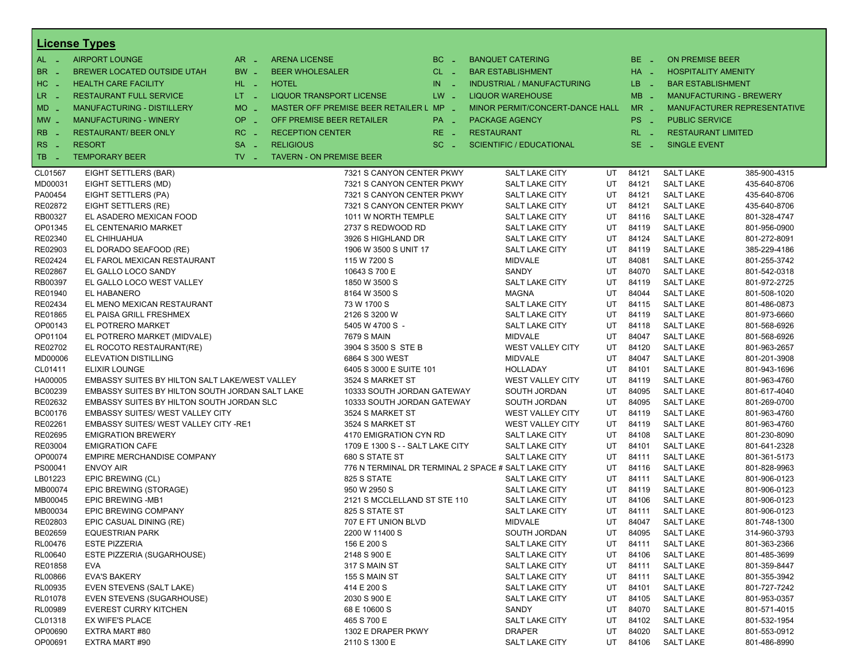|                | <u>License Types</u>                            |                     |                                                     |          |                   |                                   |    |          |                                |                             |
|----------------|-------------------------------------------------|---------------------|-----------------------------------------------------|----------|-------------------|-----------------------------------|----|----------|--------------------------------|-----------------------------|
| $AL -$         | <b>AIRPORT LOUNGE</b>                           | $AR -$              | <b>ARENA LICENSE</b>                                | $BC =$   |                   | <b>BANQUET CATERING</b>           |    | $BE -$   | <b>ON PREMISE BEER</b>         |                             |
| BR.<br>- 4     | BREWER LOCATED OUTSIDE UTAH                     | BW _                | <b>BEER WHOLESALER</b>                              | $CL$ $-$ |                   | <b>BAR ESTABLISHMENT</b>          |    | $HA$ $-$ | <b>HOSPITALITY AMENITY</b>     |                             |
| HC<br>. —      | <b>HEALTH CARE FACILITY</b>                     | HL L                | <b>HOTEL</b>                                        | $IN$ $-$ |                   | <b>INDUSTRIAL / MANUFACTURING</b> |    | LB __    | <b>BAR ESTABLISHMENT</b>       |                             |
| LR _           | <b>RESTAURANT FULL SERVICE</b>                  | $LT - 1$            | <b>LIQUOR TRANSPORT LICENSE</b>                     | $LW -$   |                   | <b>LIQUOR WAREHOUSE</b>           |    | $MB -$   | <b>MANUFACTURING - BREWERY</b> |                             |
| $MD -$         | <b>MANUFACTURING - DISTILLERY</b>               | <b>MO</b><br>$\sim$ | MASTER OFF PREMISE BEER RETAILER L MP _             |          |                   | MINOR PERMIT/CONCERT-DANCE HALL   |    | $MR -$   |                                | MANUFACTURER REPRESENTATIVE |
| $MW_{-}$       | <b>MANUFACTURING - WINERY</b>                   | OP                  | OFF PREMISE BEER RETAILER                           | PA _     | PACKAGE AGENCY    |                                   |    | PS _     | <b>PUBLIC SERVICE</b>          |                             |
|                |                                                 | п.                  |                                                     |          |                   |                                   |    |          |                                |                             |
| R <sub>B</sub> | <b>RESTAURANT/ BEER ONLY</b>                    | RC<br>i.            | <b>RECEPTION CENTER</b>                             | $RE -$   | <b>RESTAURANT</b> |                                   |    | $RL - 1$ | <b>RESTAURANT LIMITED</b>      |                             |
| RS.<br>- 4     | <b>RESORT</b>                                   | <b>SA</b><br>i a    | <b>RELIGIOUS</b>                                    | $SC =$   |                   | <b>SCIENTIFIC / EDUCATIONAL</b>   |    | $SE -$   | <b>SINGLE EVENT</b>            |                             |
| TB<br>n a      | <b>TEMPORARY BEER</b>                           | $TV -$              | <b>TAVERN - ON PREMISE BEER</b>                     |          |                   |                                   |    |          |                                |                             |
| CL01567        | EIGHT SETTLERS (BAR)                            |                     | 7321 S CANYON CENTER PKWY                           |          |                   | <b>SALT LAKE CITY</b>             | UT | 84121    | <b>SALT LAKE</b>               | 385-900-4315                |
| MD00031        | EIGHT SETTLERS (MD)                             |                     | 7321 S CANYON CENTER PKWY                           |          |                   | <b>SALT LAKE CITY</b>             | UT | 84121    | <b>SALT LAKE</b>               | 435-640-8706                |
| PA00454        | EIGHT SETTLERS (PA)                             |                     | 7321 S CANYON CENTER PKWY                           |          |                   | <b>SALT LAKE CITY</b>             | UT | 84121    | <b>SALT LAKE</b>               | 435-640-8706                |
| RE02872        | EIGHT SETTLERS (RE)                             |                     | 7321 S CANYON CENTER PKWY                           |          |                   | <b>SALT LAKE CITY</b>             | UT | 84121    | <b>SALT LAKE</b>               | 435-640-8706                |
| RB00327        | EL ASADERO MEXICAN FOOD                         |                     | 1011 W NORTH TEMPLE                                 |          |                   | <b>SALT LAKE CITY</b>             | UT | 84116    | <b>SALT LAKE</b>               | 801-328-4747                |
| OP01345        | EL CENTENARIO MARKET                            |                     | 2737 S REDWOOD RD                                   |          |                   | <b>SALT LAKE CITY</b>             | UT | 84119    | <b>SALT LAKE</b>               | 801-956-0900                |
| RE02340        | EL CHIHUAHUA                                    |                     | 3926 S HIGHLAND DR                                  |          |                   | <b>SALT LAKE CITY</b>             | UT | 84124    | <b>SALT LAKE</b>               | 801-272-8091                |
| RE02903        | EL DORADO SEAFOOD (RE)                          |                     | 1906 W 3500 S UNIT 17                               |          |                   | <b>SALT LAKE CITY</b>             | UT | 84119    | <b>SALT LAKE</b>               | 385-229-4186                |
| RE02424        | EL FAROL MEXICAN RESTAURANT                     |                     | 115 W 7200 S                                        |          |                   | <b>MIDVALE</b>                    | UT | 84081    | <b>SALT LAKE</b>               | 801-255-3742                |
| RE02867        | EL GALLO LOCO SANDY                             |                     | 10643 S 700 E                                       |          |                   | SANDY                             | UT | 84070    | <b>SALT LAKE</b>               | 801-542-0318                |
| RB00397        | EL GALLO LOCO WEST VALLEY                       |                     | 1850 W 3500 S                                       |          |                   | <b>SALT LAKE CITY</b>             | UT | 84119    | <b>SALT LAKE</b>               | 801-972-2725                |
| RE01940        | EL HABANERO                                     |                     | 8164 W 3500 S                                       |          |                   | <b>MAGNA</b>                      | UT | 84044    | <b>SALT LAKE</b>               | 801-508-1020                |
| RE02434        | EL MENO MEXICAN RESTAURANT                      |                     | 73 W 1700 S                                         |          |                   | <b>SALT LAKE CITY</b>             | UT | 84115    | <b>SALT LAKE</b>               | 801-486-0873                |
| RE01865        | EL PAISA GRILL FRESHMEX                         |                     | 2126 S 3200 W                                       |          |                   | <b>SALT LAKE CITY</b>             | UT | 84119    | <b>SALT LAKE</b>               | 801-973-6660                |
| OP00143        | EL POTRERO MARKET                               |                     | 5405 W 4700 S -                                     |          |                   | <b>SALT LAKE CITY</b>             | UT | 84118    | <b>SALT LAKE</b>               | 801-568-6926                |
| OP01104        | EL POTRERO MARKET (MIDVALE)                     |                     | <b>7679 S MAIN</b>                                  |          |                   | <b>MIDVALE</b>                    | UT | 84047    | <b>SALT LAKE</b>               | 801-568-6926                |
| RE02702        | EL ROCOTO RESTAURANT(RE)                        |                     | 3904 S 3500 S STE B                                 |          |                   | <b>WEST VALLEY CITY</b>           | UT | 84120    | <b>SALT LAKE</b>               | 801-963-2657                |
| MD00006        | <b>ELEVATION DISTILLING</b>                     |                     | 6864 S 300 WEST                                     |          |                   | <b>MIDVALE</b>                    | UT | 84047    | <b>SALT LAKE</b>               | 801-201-3908                |
| CL01411        | <b>ELIXIR LOUNGE</b>                            |                     | 6405 S 3000 E SUITE 101                             |          |                   | <b>HOLLADAY</b>                   | UT | 84101    | <b>SALT LAKE</b>               | 801-943-1696                |
| HA00005        | EMBASSY SUITES BY HILTON SALT LAKE/WEST VALLEY  |                     | 3524 S MARKET ST                                    |          |                   | <b>WEST VALLEY CITY</b>           | UT | 84119    | <b>SALT LAKE</b>               | 801-963-4760                |
| BC00239        | EMBASSY SUITES BY HILTON SOUTH JORDAN SALT LAKE |                     | 10333 SOUTH JORDAN GATEWAY                          |          |                   | SOUTH JORDAN                      | UT | 84095    | <b>SALT LAKE</b>               | 801-617-4040                |
| RE02632        | EMBASSY SUITES BY HILTON SOUTH JORDAN SLC       |                     | 10333 SOUTH JORDAN GATEWAY                          |          |                   | SOUTH JORDAN                      | UT | 84095    | <b>SALT LAKE</b>               | 801-269-0700                |
| BC00176        | <b>EMBASSY SUITES/ WEST VALLEY CITY</b>         |                     | 3524 S MARKET ST                                    |          |                   | WEST VALLEY CITY                  | UT | 84119    | <b>SALT LAKE</b>               | 801-963-4760                |
| RE02261        | <b>EMBASSY SUITES/ WEST VALLEY CITY -RE1</b>    |                     | 3524 S MARKET ST                                    |          |                   | WEST VALLEY CITY                  | UT | 84119    | <b>SALT LAKE</b>               | 801-963-4760                |
| RE02695        | <b>EMIGRATION BREWERY</b>                       |                     | 4170 EMIGRATION CYN RD                              |          |                   | <b>SALT LAKE CITY</b>             | UT | 84108    | <b>SALT LAKE</b>               | 801-230-8090                |
| RE03004        | <b>EMIGRATION CAFE</b>                          |                     | 1709 E 1300 S - - SALT LAKE CITY                    |          |                   | <b>SALT LAKE CITY</b>             | UT | 84101    | <b>SALT LAKE</b>               | 801-641-2328                |
| OP00074        | EMPIRE MERCHANDISE COMPANY                      |                     | 680 S STATE ST                                      |          |                   | <b>SALT LAKE CITY</b>             | UT | 84111    | <b>SALT LAKE</b>               | 801-361-5173                |
| PS00041        | <b>ENVOY AIR</b>                                |                     | 776 N TERMINAL DR TERMINAL 2 SPACE # SALT LAKE CITY |          |                   |                                   | UT | 84116    | <b>SALT LAKE</b>               | 801-828-9963                |
| LB01223        | EPIC BREWING (CL)                               |                     | 825 S STATE                                         |          |                   | SALT LAKE CITY                    | UT | 84111    | <b>SALT LAKE</b>               | 801-906-0123                |
| MB00074        | EPIC BREWING (STORAGE)                          |                     | 950 W 2950 S                                        |          |                   | <b>SALT LAKE CITY</b>             | UT | 84119    | <b>SALT LAKE</b>               | 801-906-0123                |
| MB00045        | <b>EPIC BREWING -MB1</b>                        |                     | 2121 S MCCLELLAND ST STE 110                        |          |                   | <b>SALT LAKE CITY</b>             | UT | 84106    | <b>SALT LAKE</b>               | 801-906-0123                |
| MB00034        | EPIC BREWING COMPANY                            |                     | 825 S STATE ST                                      |          |                   | <b>SALT LAKE CITY</b>             | UT | 84111    | <b>SALT LAKE</b>               | 801-906-0123                |
| RE02803        | EPIC CASUAL DINING (RE)                         |                     | 707 E FT UNION BLVD                                 |          |                   | <b>MIDVALE</b>                    | UT | 84047    | <b>SALT LAKE</b>               | 801-748-1300                |
| BE02659        | <b>EQUESTRIAN PARK</b>                          |                     | 2200 W 11400 S                                      |          |                   | SOUTH JORDAN                      | UT | 84095    | <b>SALT LAKE</b>               | 314-960-3793                |
| RL00476        | <b>ESTE PIZZERIA</b>                            |                     | 156 E 200 S                                         |          |                   | <b>SALT LAKE CITY</b>             | UT | 84111    | <b>SALT LAKE</b>               | 801-363-2366                |
| RL00640        | ESTE PIZZERIA (SUGARHOUSE)                      |                     | 2148 S 900 E                                        |          |                   | <b>SALT LAKE CITY</b>             | UT | 84106    | <b>SALT LAKE</b>               | 801-485-3699                |
| RE01858        | EVA                                             |                     | 317 S MAIN ST                                       |          |                   | SALT LAKE CITY                    | UT | 84111    | <b>SALT LAKE</b>               | 801-359-8447                |
| RL00866        | <b>EVA'S BAKERY</b>                             |                     | 155 S MAIN ST                                       |          |                   | SALT LAKE CITY                    | UT | 84111    | <b>SALT LAKE</b>               | 801-355-3942                |
| RL00935        | EVEN STEVENS (SALT LAKE)                        |                     | 414 E 200 S                                         |          |                   | SALT LAKE CITY                    | UT | 84101    | <b>SALT LAKE</b>               | 801-727-7242                |
| RL01078        | EVEN STEVENS (SUGARHOUSE)                       |                     | 2030 S 900 E                                        |          |                   | SALT LAKE CITY                    | UT | 84105    | <b>SALT LAKE</b>               | 801-953-0357                |
| RL00989        | <b>EVEREST CURRY KITCHEN</b>                    |                     | 68 E 10600 S                                        |          |                   | SANDY                             | UT | 84070    | <b>SALT LAKE</b>               | 801-571-4015                |
| CL01318        | EX WIFE'S PLACE                                 |                     | 465 S 700 E                                         |          |                   | <b>SALT LAKE CITY</b>             | UT | 84102    | <b>SALT LAKE</b>               | 801-532-1954                |
| OP00690        | EXTRA MART #80                                  |                     | 1302 E DRAPER PKWY                                  |          |                   | <b>DRAPER</b>                     | UT | 84020    | <b>SALT LAKE</b>               | 801-553-0912                |
| OP00691        | EXTRA MART #90                                  |                     | 2110 S 1300 E                                       |          |                   | SALT LAKE CITY                    | UT | 84106    | <b>SALT LAKE</b>               | 801-486-8990                |
|                |                                                 |                     |                                                     |          |                   |                                   |    |          |                                |                             |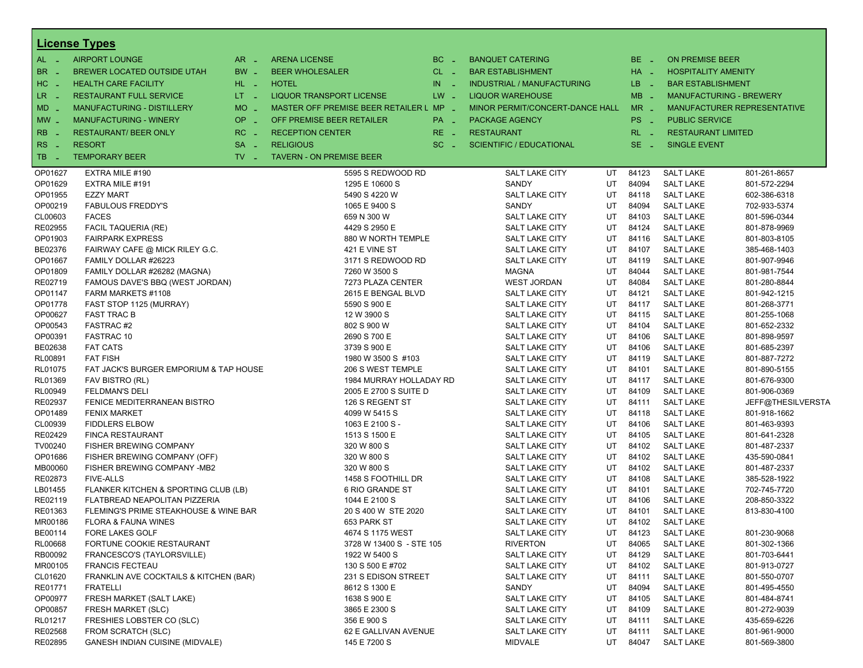|                         | <b>License Types</b>                   |                               |                                         |               |                                 |     |          |                                |                             |
|-------------------------|----------------------------------------|-------------------------------|-----------------------------------------|---------------|---------------------------------|-----|----------|--------------------------------|-----------------------------|
| $AL -$                  | <b>AIRPORT LOUNGE</b>                  | $AR -$                        | <b>ARENA LICENSE</b>                    | $BC -$        | <b>BANQUET CATERING</b>         |     | $BE -$   | <b>ON PREMISE BEER</b>         |                             |
| BR                      | BREWER LOCATED OUTSIDE UTAH            | $BW -$                        | <b>BEER WHOLESALER</b>                  | $CL$ $-$      | <b>BAR ESTABLISHMENT</b>        |     | $HA =$   | <b>HOSPITALITY AMENITY</b>     |                             |
| $HC -$                  | <b>HEALTH CARE FACILITY</b>            | $HL$ $=$                      | <b>HOTEL</b>                            | IN.<br>$\sim$ | INDUSTRIAL / MANUFACTURING      |     | $LB - 1$ | <b>BAR ESTABLISHMENT</b>       |                             |
| $LR -$                  | <b>RESTAURANT FULL SERVICE</b>         | $LT - 1$                      | LIQUOR TRANSPORT LICENSE                | $LW -$        | <b>LIQUOR WAREHOUSE</b>         |     | $MB -$   | <b>MANUFACTURING - BREWERY</b> |                             |
| <b>MD</b>               | <b>MANUFACTURING - DISTILLERY</b>      | $MO$ $\overline{\phantom{0}}$ | MASTER OFF PREMISE BEER RETAILER L MP _ |               | MINOR PERMIT/CONCERT-DANCE HALL |     | $MR -$   |                                | MANUFACTURER REPRESENTATIVE |
| $MW$ $-$                | <b>MANUFACTURING - WINERY</b>          | $OP =$                        | OFF PREMISE BEER RETAILER               | PA _          | <b>PACKAGE AGENCY</b>           |     | PS _     | <b>PUBLIC SERVICE</b>          |                             |
|                         |                                        |                               |                                         |               |                                 |     |          |                                |                             |
| <b>RB</b>               | <b>RESTAURANT/ BEER ONLY</b>           | $RC -$                        | <b>RECEPTION CENTER</b>                 | $RE -$        | <b>RESTAURANT</b>               |     | $RL - 1$ | <b>RESTAURANT LIMITED</b>      |                             |
| <b>RS</b><br>$\sim$ $-$ | <b>RESORT</b>                          | SA -                          | <b>RELIGIOUS</b>                        | $SC =$        | <b>SCIENTIFIC / EDUCATIONAL</b> |     | $SE$ $-$ | <b>SINGLE EVENT</b>            |                             |
| TB _                    | <b>TEMPORARY BEER</b>                  | $TV$ $=$                      | <b>TAVERN - ON PREMISE BEER</b>         |               |                                 |     |          |                                |                             |
| OP01627                 | EXTRA MILE #190                        |                               | 5595 S REDWOOD RD                       |               | SALT LAKE CITY                  | UT  | 84123    | <b>SALT LAKE</b>               | 801-261-8657                |
| OP01629                 | EXTRA MILE #191                        |                               | 1295 E 10600 S                          |               | SANDY                           | UT  | 84094    | <b>SALT LAKE</b>               | 801-572-2294                |
| OP01955                 | <b>EZZY MART</b>                       |                               | 5490 S 4220 W                           |               | SALT LAKE CITY                  | UT  | 84118    | <b>SALT LAKE</b>               | 602-386-6318                |
| OP00219                 | <b>FABULOUS FREDDY'S</b>               |                               | 1065 E 9400 S                           |               | SANDY                           | UT  | 84094    | <b>SALT LAKE</b>               | 702-933-5374                |
| CL00603                 | <b>FACES</b>                           |                               | 659 N 300 W                             |               | SALT LAKE CITY                  | UT  | 84103    | <b>SALT LAKE</b>               | 801-596-0344                |
| RE02955                 | <b>FACIL TAQUERIA (RE)</b>             |                               | 4429 S 2950 E                           |               | SALT LAKE CITY                  | UT  | 84124    | <b>SALT LAKE</b>               | 801-878-9969                |
| OP01903                 | <b>FAIRPARK EXPRESS</b>                |                               | 880 W NORTH TEMPLE                      |               | SALT LAKE CITY                  | UT  | 84116    | <b>SALT LAKE</b>               | 801-803-8105                |
| BE02376                 | FAIRWAY CAFE @ MICK RILEY G.C.         |                               | 421 E VINE ST                           |               | SALT LAKE CITY                  | UT  | 84107    | <b>SALT LAKE</b>               | 385-468-1403                |
| OP01667                 | FAMILY DOLLAR #26223                   |                               | 3171 S REDWOOD RD                       |               | <b>SALT LAKE CITY</b>           | UT  | 84119    | <b>SALT LAKE</b>               | 801-907-9946                |
| OP01809                 | FAMILY DOLLAR #26282 (MAGNA)           |                               | 7260 W 3500 S                           |               | <b>MAGNA</b>                    | UT  | 84044    | <b>SALT LAKE</b>               | 801-981-7544                |
| RE02719                 | FAMOUS DAVE'S BBQ (WEST JORDAN)        |                               | 7273 PLAZA CENTER                       |               | <b>WEST JORDAN</b>              | UT  | 84084    | <b>SALT LAKE</b>               | 801-280-8844                |
| OP01147                 | FARM MARKETS #1108                     |                               | 2615 E BENGAL BLVD                      |               | SALT LAKE CITY                  | UT  | 84121    | <b>SALT LAKE</b>               | 801-942-1215                |
| OP01778                 | FAST STOP 1125 (MURRAY)                |                               | 5590 S 900 E                            |               | <b>SALT LAKE CITY</b>           | UT  | 84117    | <b>SALT LAKE</b>               | 801-268-3771                |
| OP00627                 | <b>FAST TRAC B</b>                     |                               | 12 W 3900 S                             |               | SALT LAKE CITY                  | UT  | 84115    | <b>SALT LAKE</b>               | 801-255-1068                |
| OP00543                 | FASTRAC#2                              |                               | 802 S 900 W                             |               | <b>SALT LAKE CITY</b>           | UT  | 84104    | <b>SALT LAKE</b>               | 801-652-2332                |
| OP00391                 | FASTRAC 10                             |                               | 2690 S 700 E                            |               | <b>SALT LAKE CITY</b>           | UT  | 84106    | <b>SALT LAKE</b>               | 801-898-9597                |
| BE02638                 | <b>FAT CATS</b>                        |                               | 3739 S 900 E                            |               | SALT LAKE CITY                  | UT  | 84106    | <b>SALT LAKE</b>               | 801-685-2397                |
| RL00891                 | <b>FAT FISH</b>                        |                               | 1980 W 3500 S #103                      |               | <b>SALT LAKE CITY</b>           | UT  | 84119    | <b>SALT LAKE</b>               | 801-887-7272                |
| <b>RL01075</b>          | FAT JACK'S BURGER EMPORIUM & TAP HOUSE |                               | 206 S WEST TEMPLE                       |               | SALT LAKE CITY                  | UT  | 84101    | <b>SALT LAKE</b>               | 801-890-5155                |
| RL01369                 | FAV BISTRO (RL)                        |                               | 1984 MURRAY HOLLADAY RD                 |               | SALT LAKE CITY                  | UT  | 84117    | <b>SALT LAKE</b>               | 801-676-9300                |
| RL00949                 | <b>FELDMAN'S DELI</b>                  |                               | 2005 E 2700 S SUITE D                   |               | <b>SALT LAKE CITY</b>           | UT  | 84109    | <b>SALT LAKE</b>               | 801-906-0369                |
| RE02937                 | FENICE MEDITERRANEAN BISTRO            |                               | 126 S REGENT ST                         |               | SALT LAKE CITY                  | UT  | 84111    | <b>SALT LAKE</b>               | JEFF@THESILVERSTA           |
| OP01489                 | <b>FENIX MARKET</b>                    |                               | 4099 W 5415 S                           |               | SALT LAKE CITY                  | UT  | 84118    | <b>SALT LAKE</b>               | 801-918-1662                |
| CL00939                 | <b>FIDDLERS ELBOW</b>                  |                               | 1063 E 2100 S -                         |               | <b>SALT LAKE CITY</b>           | UT  | 84106    | <b>SALT LAKE</b>               | 801-463-9393                |
| RE02429                 | <b>FINCA RESTAURANT</b>                |                               | 1513 S 1500 E                           |               | SALT LAKE CITY                  | UT  | 84105    | <b>SALT LAKE</b>               | 801-641-2328                |
| TV00240                 | FISHER BREWING COMPANY                 |                               | 320 W 800 S                             |               | SALT LAKE CITY                  | UT  | 84102    | <b>SALT LAKE</b>               | 801-487-2337                |
| OP01686                 | FISHER BREWING COMPANY (OFF)           |                               | 320 W 800 S                             |               | <b>SALT LAKE CITY</b>           | UT  | 84102    | <b>SALT LAKE</b>               | 435-590-0841                |
| MB00060                 | FISHER BREWING COMPANY -MB2            |                               | 320 W 800 S                             |               | SALT LAKE CITY                  | UT  | 84102    | <b>SALT LAKE</b>               | 801-487-2337                |
| RE02873                 | <b>FIVE-ALLS</b>                       |                               | 1458 S FOOTHILL DR                      |               | SALT LAKE CITY                  | UT  | 84108    | <b>SALT LAKE</b>               | 385-528-1922                |
| LB01455                 | FLANKER KITCHEN & SPORTING CLUB (LB)   |                               | 6 RIO GRANDE ST                         |               | <b>SALT LAKE CITY</b>           | UT  | 84101    | <b>SALT LAKE</b>               | 702-745-7720                |
| RE02119                 | FLATBREAD NEAPOLITAN PIZZERIA          |                               | 1044 E 2100 S                           |               | <b>SALT LAKE CITY</b>           | UT  | 84106    | <b>SALT LAKE</b>               | 208-850-3322                |
| RE01363                 | FLEMING'S PRIME STEAKHOUSE & WINE BAR  |                               | 20 S 400 W STE 2020                     |               | SALT LAKE CITY                  | UT  | 84101    | <b>SALT LAKE</b>               | 813-830-4100                |
| MR00186                 | <b>FLORA &amp; FAUNA WINES</b>         |                               | 653 PARK ST                             |               | <b>SALT LAKE CITY</b>           | UT. | 84102    | <b>SALT LAKE</b>               |                             |
| BE00114                 | <b>FORE LAKES GOLF</b>                 |                               | 4674 S 1175 WEST                        |               | SALT LAKE CITY                  | UT  | 84123    | <b>SALT LAKE</b>               | 801-230-9068                |
| RL00668                 | FORTUNE COOKIE RESTAURANT              |                               | 3728 W 13400 S - STE 105                |               | <b>RIVERTON</b>                 | UT  | 84065    | <b>SALT LAKE</b>               | 801-302-1366                |
| RB00092                 | FRANCESCO'S (TAYLORSVILLE)             |                               | 1922 W 5400 S                           |               | <b>SALT LAKE CITY</b>           | UT  | 84129    | <b>SALT LAKE</b>               | 801-703-6441                |
| MR00105                 | <b>FRANCIS FECTEAU</b>                 |                               | 130 S 500 E #702                        |               | SALT LAKE CITY                  | UT  | 84102    | <b>SALT LAKE</b>               | 801-913-0727                |
| CL01620                 | FRANKLIN AVE COCKTAILS & KITCHEN (BAR) |                               | 231 S EDISON STREET                     |               | SALT LAKE CITY                  | UT  | 84111    | <b>SALT LAKE</b>               | 801-550-0707                |
| RE01771                 | <b>FRATELLI</b>                        |                               | 8612 S 1300 E                           |               | SANDY                           | UT  | 84094    | <b>SALT LAKE</b>               | 801-495-4550                |
| OP00977                 |                                        |                               |                                         |               | SALT LAKE CITY                  |     | 84105    |                                |                             |
|                         | FRESH MARKET (SALT LAKE)               |                               | 1638 S 900 E                            |               |                                 | UT  |          | <b>SALT LAKE</b>               | 801-484-8741                |
| OP00857                 | FRESH MARKET (SLC)                     |                               | 3865 E 2300 S                           |               | SALT LAKE CITY                  | UT  | 84109    | <b>SALT LAKE</b>               | 801-272-9039                |
| RL01217                 | FRESHIES LOBSTER CO (SLC)              |                               | 356 E 900 S                             |               | SALT LAKE CITY                  | UT  | 84111    | <b>SALT LAKE</b>               | 435-659-6226                |
| RE02568                 | FROM SCRATCH (SLC)                     |                               | 62 E GALLIVAN AVENUE                    |               | SALT LAKE CITY                  | UT  | 84111    | <b>SALT LAKE</b>               | 801-961-9000                |
| RE02895                 | <b>GANESH INDIAN CUISINE (MIDVALE)</b> |                               | 145 E 7200 S                            |               | <b>MIDVALE</b>                  | UT  | 84047    | <b>SALT LAKE</b>               | 801-569-3800                |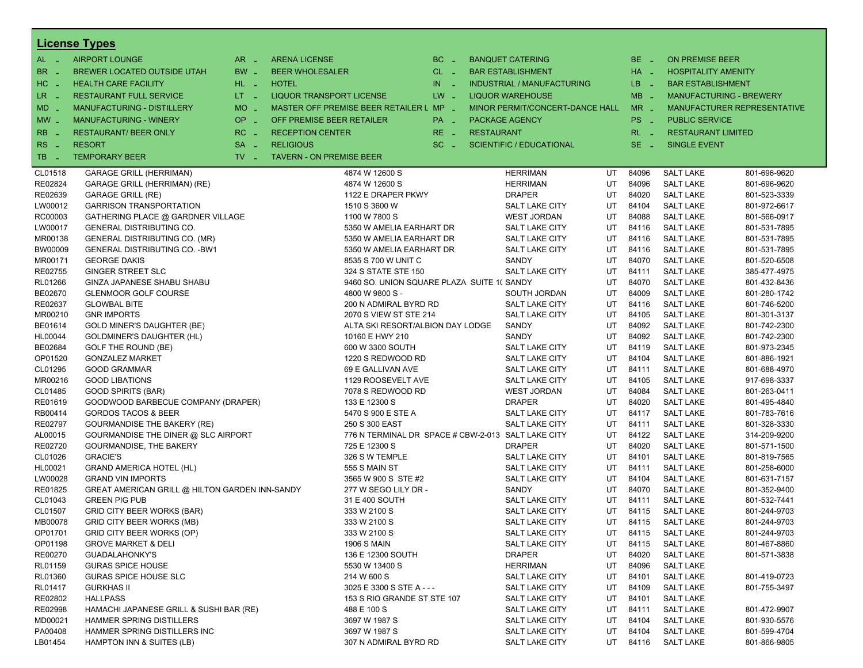|           | <b>License Types</b>                           |                               |                                                    |               |                   |                                   |    |                       |                            |                                    |
|-----------|------------------------------------------------|-------------------------------|----------------------------------------------------|---------------|-------------------|-----------------------------------|----|-----------------------|----------------------------|------------------------------------|
| AL -      | <b>AIRPORT LOUNGE</b>                          | $AR -$                        | <b>ARENA LICENSE</b>                               | BC.<br>$\sim$ |                   | <b>BANQUET CATERING</b>           |    | BE _                  | <b>ON PREMISE BEER</b>     |                                    |
| <b>BR</b> | BREWER LOCATED OUTSIDE UTAH                    | BW _                          | <b>BEER WHOLESALER</b>                             | $CL$ $-$      |                   | <b>BAR ESTABLISHMENT</b>          |    | $HA$ $-$              | <b>HOSPITALITY AMENITY</b> |                                    |
| HC _      | <b>HEALTH CARE FACILITY</b>                    | HL L                          | <b>HOTEL</b>                                       | $IN \t-$      |                   | <b>INDUSTRIAL / MANUFACTURING</b> |    | LB.<br><b>College</b> | <b>BAR ESTABLISHMENT</b>   |                                    |
| LR -      | <b>RESTAURANT FULL SERVICE</b>                 | LT <sub>1</sub>               | <b>LIQUOR TRANSPORT LICENSE</b>                    | $LW -$        |                   | <b>LIQUOR WAREHOUSE</b>           |    | $MB -$                |                            | <b>MANUFACTURING - BREWERY</b>     |
|           |                                                | $MO$ $\overline{\phantom{0}}$ |                                                    |               |                   |                                   |    | $MR -$                |                            | <b>MANUFACTURER REPRESENTATIVE</b> |
| MD -      | <b>MANUFACTURING - DISTILLERY</b>              |                               | MASTER OFF PREMISE BEER RETAILER L MP _            |               |                   | MINOR PERMIT/CONCERT-DANCE HALL   |    |                       |                            |                                    |
| $MW$ $-$  | <b>MANUFACTURING - WINERY</b>                  | OP.<br>$\sim$                 | OFF PREMISE BEER RETAILER                          | PA _          |                   | PACKAGE AGENCY                    |    | PS _                  | <b>PUBLIC SERVICE</b>      |                                    |
| <b>RB</b> | <b>RESTAURANT/ BEER ONLY</b>                   | RC                            | <b>RECEPTION CENTER</b>                            | RE.<br>- 4    | <b>RESTAURANT</b> |                                   |    | $RL - 1$              | <b>RESTAURANT LIMITED</b>  |                                    |
| RS<br>- 4 | <b>RESORT</b>                                  | <b>SA</b><br>n an             | <b>RELIGIOUS</b>                                   | $SC =$        |                   | <b>SCIENTIFIC / EDUCATIONAL</b>   |    | $SE -$                | <b>SINGLE EVENT</b>        |                                    |
| TB        | <b>TEMPORARY BEER</b>                          | $TV$ $\overline{\phantom{0}}$ | <b>TAVERN - ON PREMISE BEER</b>                    |               |                   |                                   |    |                       |                            |                                    |
| CL01518   | <b>GARAGE GRILL (HERRIMAN)</b>                 |                               | 4874 W 12600 S                                     |               |                   | <b>HERRIMAN</b>                   | UT | 84096                 | <b>SALT LAKE</b>           | 801-696-9620                       |
| RE02824   | GARAGE GRILL (HERRIMAN) (RE)                   |                               | 4874 W 12600 S                                     |               |                   | <b>HERRIMAN</b>                   | UT | 84096                 | <b>SALT LAKE</b>           | 801-696-9620                       |
| RE02639   | <b>GARAGE GRILL (RE)</b>                       |                               | 1122 E DRAPER PKWY                                 |               |                   | <b>DRAPER</b>                     | UT | 84020                 | <b>SALT LAKE</b>           | 801-523-3339                       |
| LW00012   | <b>GARRISON TRANSPORTATION</b>                 |                               | 1510 S 3600 W                                      |               |                   | <b>SALT LAKE CITY</b>             | UT | 84104                 | <b>SALT LAKE</b>           | 801-972-6617                       |
| RC00003   | GATHERING PLACE @ GARDNER VILLAGE              |                               | 1100 W 7800 S                                      |               |                   | <b>WEST JORDAN</b>                | UT | 84088                 | <b>SALT LAKE</b>           | 801-566-0917                       |
| LW00017   | GENERAL DISTRIBUTING CO.                       |                               | 5350 W AMELIA EARHART DR                           |               |                   | <b>SALT LAKE CITY</b>             | UT | 84116                 | <b>SALT LAKE</b>           | 801-531-7895                       |
| MR00138   | GENERAL DISTRIBUTING CO. (MR)                  |                               | 5350 W AMELIA EARHART DR                           |               |                   | <b>SALT LAKE CITY</b>             | UT | 84116                 | <b>SALT LAKE</b>           | 801-531-7895                       |
| BW00009   | <b>GENERAL DISTRIBUTING CO. - BW1</b>          |                               | 5350 W AMELIA EARHART DR                           |               |                   | SALT LAKE CITY                    | UT | 84116                 | <b>SALT LAKE</b>           | 801-531-7895                       |
| MR00171   | <b>GEORGE DAKIS</b>                            |                               | 8535 S 700 W UNIT C                                |               |                   | SANDY                             | UT | 84070                 | <b>SALT LAKE</b>           | 801-520-6508                       |
| RE02755   | GINGER STREET SLC                              |                               | 324 S STATE STE 150                                |               |                   | <b>SALT LAKE CITY</b>             | UT | 84111                 | <b>SALT LAKE</b>           | 385-477-4975                       |
| RL01266   | GINZA JAPANESE SHABU SHABU                     |                               | 9460 SO. UNION SQUARE PLAZA SUITE 1( SANDY         |               |                   |                                   | UT | 84070                 | <b>SALT LAKE</b>           | 801-432-8436                       |
| BE02670   | <b>GLENMOOR GOLF COURSE</b>                    |                               | 4800 W 9800 S -                                    |               |                   | SOUTH JORDAN                      | UT | 84009                 | <b>SALT LAKE</b>           | 801-280-1742                       |
| RE02637   | <b>GLOWBAL BITE</b>                            |                               | 200 N ADMIRAL BYRD RD                              |               |                   | <b>SALT LAKE CITY</b>             | UT | 84116                 | <b>SALT LAKE</b>           | 801-746-5200                       |
| MR00210   | <b>GNR IMPORTS</b>                             |                               | 2070 S VIEW ST STE 214                             |               |                   | SALT LAKE CITY                    | UT | 84105                 | <b>SALT LAKE</b>           | 801-301-3137                       |
| BE01614   | GOLD MINER'S DAUGHTER (BE)                     |                               | ALTA SKI RESORT/ALBION DAY LODGE                   |               |                   | SANDY                             | UT | 84092                 | <b>SALT LAKE</b>           | 801-742-2300                       |
| HL00044   | <b>GOLDMINER'S DAUGHTER (HL)</b>               |                               | 10160 E HWY 210                                    |               |                   | SANDY                             | UT | 84092                 | <b>SALT LAKE</b>           | 801-742-2300                       |
| BE02684   | GOLF THE ROUND (BE)                            |                               | 600 W 3300 SOUTH                                   |               |                   | <b>SALT LAKE CITY</b>             | UT | 84119                 | <b>SALT LAKE</b>           | 801-973-2345                       |
| OP01520   | <b>GONZALEZ MARKET</b>                         |                               | 1220 S REDWOOD RD                                  |               |                   | <b>SALT LAKE CITY</b>             | UT | 84104                 | <b>SALT LAKE</b>           | 801-886-1921                       |
| CL01295   | <b>GOOD GRAMMAR</b>                            |                               | 69 E GALLIVAN AVE                                  |               |                   | <b>SALT LAKE CITY</b>             | UT | 84111                 | <b>SALT LAKE</b>           | 801-688-4970                       |
| MR00216   | <b>GOOD LIBATIONS</b>                          |                               | 1129 ROOSEVELT AVE                                 |               |                   | SALT LAKE CITY                    | UT | 84105                 | <b>SALT LAKE</b>           | 917-698-3337                       |
| CL01485   | <b>GOOD SPIRITS (BAR)</b>                      |                               | 7078 S REDWOOD RD                                  |               |                   | <b>WEST JORDAN</b>                | UT | 84084                 | <b>SALT LAKE</b>           | 801-263-0411                       |
| RE01619   | GOODWOOD BARBECUE COMPANY (DRAPER)             |                               | 133 E 12300 S                                      |               |                   | <b>DRAPER</b>                     | UT | 84020                 | <b>SALT LAKE</b>           | 801-495-4840                       |
| RB00414   | <b>GORDOS TACOS &amp; BEER</b>                 |                               | 5470 S 900 E STE A                                 |               |                   | <b>SALT LAKE CITY</b>             | UT | 84117                 | <b>SALT LAKE</b>           | 801-783-7616                       |
| RE02797   | <b>GOURMANDISE THE BAKERY (RE)</b>             |                               | 250 S 300 EAST                                     |               |                   | <b>SALT LAKE CITY</b>             | UT | 84111                 | <b>SALT LAKE</b>           | 801-328-3330                       |
| AL00015   | GOURMANDISE THE DINER @ SLC AIRPORT            |                               | 776 N TERMINAL DR SPACE # CBW-2-013 SALT LAKE CITY |               |                   |                                   | UT | 84122                 | <b>SALT LAKE</b>           | 314-209-9200                       |
| RE02720   | <b>GOURMANDISE, THE BAKERY</b>                 |                               | 725 E 12300 S                                      |               |                   | DRAPER                            | UT | 84020                 | <b>SALT LAKE</b>           | 801-571-1500                       |
| CL01026   | <b>GRACIE'S</b>                                |                               | 326 S W TEMPLE                                     |               |                   | <b>SALT LAKE CITY</b>             | UT | 84101                 | <b>SALT LAKE</b>           | 801-819-7565                       |
| HL00021   | <b>GRAND AMERICA HOTEL (HL)</b>                |                               | 555 S MAIN ST                                      |               |                   | <b>SALT LAKE CITY</b>             | UT | 84111                 | <b>SALT LAKE</b>           | 801-258-6000                       |
| LW00028   | <b>GRAND VIN IMPORTS</b>                       |                               | 3565 W 900 S STE #2                                |               |                   | <b>SALT LAKE CITY</b>             | UT | 84104                 | <b>SALT LAKE</b>           | 801-631-7157                       |
| RE01825   | GREAT AMERICAN GRILL @ HILTON GARDEN INN-SANDY |                               | 277 W SEGO LILY DR -                               |               |                   | SANDY                             | UT | 84070                 | <b>SALT LAKE</b>           | 801-352-9400                       |
| CL01043   | <b>GREEN PIG PUB</b>                           |                               | 31 E 400 SOUTH                                     |               |                   | <b>SALT LAKE CITY</b>             | UT | 84111                 | <b>SALT LAKE</b>           | 801-532-7441                       |
| CL01507   | <b>GRID CITY BEER WORKS (BAR)</b>              |                               | 333 W 2100 S                                       |               |                   | SALT LAKE CITY                    | UT | 84115                 | <b>SALT LAKE</b>           | 801-244-9703                       |
| MB00078   | <b>GRID CITY BEER WORKS (MB)</b>               |                               | 333 W 2100 S                                       |               |                   | <b>SALT LAKE CITY</b>             | UT | 84115                 | <b>SALT LAKE</b>           | 801-244-9703                       |
| OP01701   | GRID CITY BEER WORKS (OP)                      |                               | 333 W 2100 S                                       |               |                   | SALT LAKE CITY                    | UT | 84115                 | <b>SALT LAKE</b>           | 801-244-9703                       |
| OP01198   | <b>GROVE MARKET &amp; DELI</b>                 |                               | <b>1906 S MAIN</b>                                 |               |                   | <b>SALT LAKE CITY</b>             | UT | 84115                 | <b>SALT LAKE</b>           | 801-467-8860                       |
| RE00270   | <b>GUADALAHONKY'S</b>                          |                               | 136 E 12300 SOUTH                                  |               |                   | DRAPER                            | UT | 84020                 | <b>SALT LAKE</b>           | 801-571-3838                       |
| RL01159   | <b>GURAS SPICE HOUSE</b>                       |                               | 5530 W 13400 S                                     |               |                   | HERRIMAN                          | UT | 84096                 | <b>SALT LAKE</b>           |                                    |
| RL01360   | <b>GURAS SPICE HOUSE SLC</b>                   |                               | 214 W 600 S                                        |               |                   | SALT LAKE CITY                    | UT | 84101                 | <b>SALT LAKE</b>           | 801-419-0723                       |
| RL01417   | <b>GURKHAS II</b>                              |                               | 3025 E 3300 S STE A - - -                          |               |                   | SALT LAKE CITY                    | UT | 84109                 | <b>SALT LAKE</b>           | 801-755-3497                       |
| RE02802   | <b>HALLPASS</b>                                |                               | 153 S RIO GRANDE ST STE 107                        |               |                   | SALT LAKE CITY                    | UT | 84101                 | <b>SALT LAKE</b>           |                                    |
| RE02998   | HAMACHI JAPANESE GRILL & SUSHI BAR (RE)        |                               | 488 E 100 S                                        |               |                   | SALT LAKE CITY                    | UT | 84111                 | <b>SALT LAKE</b>           | 801-472-9907                       |
| MD00021   | <b>HAMMER SPRING DISTILLERS</b>                |                               | 3697 W 1987 S                                      |               |                   | <b>SALT LAKE CITY</b>             | UT | 84104                 | <b>SALT LAKE</b>           | 801-930-5576                       |
| PA00408   | HAMMER SPRING DISTILLERS INC                   |                               | 3697 W 1987 S                                      |               |                   | SALT LAKE CITY                    | UT | 84104                 | <b>SALT LAKE</b>           | 801-599-4704                       |
| LB01454   | HAMPTON INN & SUITES (LB)                      |                               | 307 N ADMIRAL BYRD RD                              |               |                   | <b>SALT LAKE CITY</b>             | UT | 84116                 | <b>SALT LAKE</b>           | 801-866-9805                       |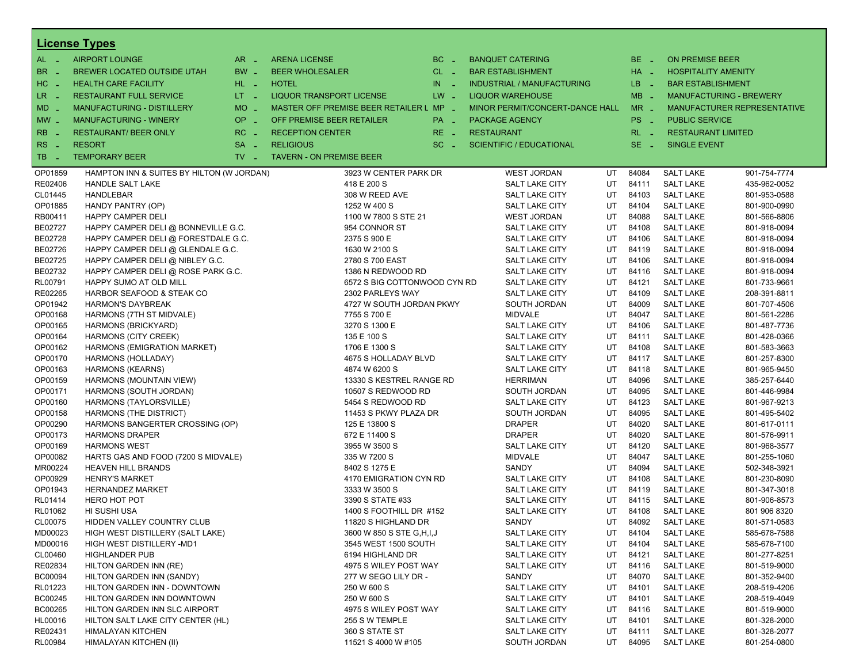|                          | <b>License Types</b>                      |                               |                                         |            |                                 |    |                 |                            |                                |
|--------------------------|-------------------------------------------|-------------------------------|-----------------------------------------|------------|---------------------------------|----|-----------------|----------------------------|--------------------------------|
| $AL -$                   | <b>AIRPORT LOUNGE</b>                     | $AR -$                        | <b>ARENA LICENSE</b>                    | $BC -$     | <b>BANQUET CATERING</b>         |    | BE _            | <b>ON PREMISE BEER</b>     |                                |
| BR<br>- 4                | BREWER LOCATED OUTSIDE UTAH               | BW _                          | <b>BEER WHOLESALER</b>                  | $CL$ $-$   | <b>BAR ESTABLISHMENT</b>        |    | $HA$ $-$        | <b>HOSPITALITY AMENITY</b> |                                |
| H <sub>C</sub><br>- 4    | <b>HEALTH CARE FACILITY</b>               | HL L                          | <b>HOTEL</b>                            | IN.<br>- 2 | INDUSTRIAL / MANUFACTURING      |    | LB _            | <b>BAR ESTABLISHMENT</b>   |                                |
| LR.<br>- 4               | <b>RESTAURANT FULL SERVICE</b>            | $LT = 1$                      | <b>LIQUOR TRANSPORT LICENSE</b>         | $LW -$     | <b>LIQUOR WAREHOUSE</b>         |    | $MB -$          |                            | <b>MANUFACTURING - BREWERY</b> |
| $MD -$                   | MANUFACTURING - DISTILLERY                | <b>MO</b><br>i al             | MASTER OFF PREMISE BEER RETAILER L MP _ |            | MINOR PERMIT/CONCERT-DANCE HALL |    | $MR -$          |                            | MANUFACTURER REPRESENTATIVE    |
|                          |                                           | <b>OP</b>                     |                                         |            |                                 |    |                 |                            |                                |
| $MW$ $-$                 | <b>MANUFACTURING - WINERY</b>             | i al                          | OFF PREMISE BEER RETAILER               | PA _       | <b>PACKAGE AGENCY</b>           |    | PS <sub>-</sub> | <b>PUBLIC SERVICE</b>      |                                |
| <b>RB</b>                | <b>RESTAURANT/ BEER ONLY</b>              | $RC -$                        | <b>RECEPTION CENTER</b>                 | RE _       | <b>RESTAURANT</b>               |    | $RL - 1$        | <b>RESTAURANT LIMITED</b>  |                                |
| R <sub>S</sub><br>$\sim$ | <b>RESORT</b>                             | <b>SA</b><br><b>Simple</b>    | <b>RELIGIOUS</b>                        | $SC =$     | <b>SCIENTIFIC / EDUCATIONAL</b> |    | SE.<br>- 20     | <b>SINGLE EVENT</b>        |                                |
| TB<br>- 4                | <b>TEMPORARY BEER</b>                     | $TV$ $\overline{\phantom{0}}$ | <b>TAVERN - ON PREMISE BEER</b>         |            |                                 |    |                 |                            |                                |
| OP01859                  | HAMPTON INN & SUITES BY HILTON (W JORDAN) |                               | 3923 W CENTER PARK DR                   |            | <b>WEST JORDAN</b>              | UT | 84084           | <b>SALT LAKE</b>           | 901-754-7774                   |
| RE02406                  | <b>HANDLE SALT LAKE</b>                   |                               | 418 E 200 S                             |            | <b>SALT LAKE CITY</b>           | UT | 84111           | <b>SALT LAKE</b>           | 435-962-0052                   |
| CL01445                  | <b>HANDLEBAR</b>                          |                               | 308 W REED AVE                          |            | <b>SALT LAKE CITY</b>           | UT | 84103           | <b>SALT LAKE</b>           | 801-953-0588                   |
| OP01885                  | HANDY PANTRY (OP)                         |                               | 1252 W 400 S                            |            | <b>SALT LAKE CITY</b>           | UT | 84104           | <b>SALT LAKE</b>           | 801-900-0990                   |
| RB00411                  | <b>HAPPY CAMPER DELI</b>                  |                               | 1100 W 7800 S STE 21                    |            | <b>WEST JORDAN</b>              | UT | 84088           | <b>SALT LAKE</b>           | 801-566-8806                   |
| BE02727                  | HAPPY CAMPER DELI @ BONNEVILLE G.C.       |                               | 954 CONNOR ST                           |            | <b>SALT LAKE CITY</b>           | UT | 84108           | <b>SALT LAKE</b>           | 801-918-0094                   |
| BE02728                  | HAPPY CAMPER DELI @ FORESTDALE G.C.       |                               | 2375 S 900 E                            |            | <b>SALT LAKE CITY</b>           | UT | 84106           | <b>SALT LAKE</b>           | 801-918-0094                   |
| BE02726                  | HAPPY CAMPER DELI @ GLENDALE G.C.         |                               | 1630 W 2100 S                           |            | <b>SALT LAKE CITY</b>           | UT | 84119           | <b>SALT LAKE</b>           | 801-918-0094                   |
| BE02725                  | HAPPY CAMPER DELI @ NIBLEY G.C.           |                               | 2780 S 700 EAST                         |            | <b>SALT LAKE CITY</b>           | UT | 84106           | <b>SALT LAKE</b>           | 801-918-0094                   |
| BE02732                  | HAPPY CAMPER DELI @ ROSE PARK G.C.        |                               | 1386 N REDWOOD RD                       |            | <b>SALT LAKE CITY</b>           | UT | 84116           | <b>SALT LAKE</b>           | 801-918-0094                   |
| RL00791                  | HAPPY SUMO AT OLD MILL                    |                               | 6572 S BIG COTTONWOOD CYN RD            |            | SALT LAKE CITY                  | UT | 84121           | <b>SALT LAKE</b>           | 801-733-9661                   |
| RE02265                  | <b>HARBOR SEAFOOD &amp; STEAK CO</b>      |                               | 2302 PARLEYS WAY                        |            | <b>SALT LAKE CITY</b>           | UT | 84109           | <b>SALT LAKE</b>           | 208-391-8811                   |
| OP01942                  | <b>HARMON'S DAYBREAK</b>                  |                               | 4727 W SOUTH JORDAN PKWY                |            | SOUTH JORDAN                    | UT | 84009           | <b>SALT LAKE</b>           | 801-707-4506                   |
| OP00168                  | HARMONS (7TH ST MIDVALE)                  |                               | 7755 S 700 E                            |            | <b>MIDVALE</b>                  | UT | 84047           | <b>SALT LAKE</b>           | 801-561-2286                   |
| OP00165                  | HARMONS (BRICKYARD)                       |                               | 3270 S 1300 E                           |            | <b>SALT LAKE CITY</b>           | UT | 84106           | <b>SALT LAKE</b>           | 801-487-7736                   |
| OP00164                  | HARMONS (CITY CREEK)                      |                               | 135 E 100 S                             |            | <b>SALT LAKE CITY</b>           | UT | 84111           | <b>SALT LAKE</b>           | 801-428-0366                   |
| OP00162                  | HARMONS (EMIGRATION MARKET)               |                               | 1706 E 1300 S                           |            | <b>SALT LAKE CITY</b>           | UT | 84108           | <b>SALT LAKE</b>           | 801-583-3663                   |
| OP00170                  | HARMONS (HOLLADAY)                        |                               | 4675 S HOLLADAY BLVD                    |            | <b>SALT LAKE CITY</b>           | UT | 84117           | <b>SALT LAKE</b>           | 801-257-8300                   |
| OP00163                  | <b>HARMONS (KEARNS)</b>                   |                               | 4874 W 6200 S                           |            | <b>SALT LAKE CITY</b>           | UT | 84118           | <b>SALT LAKE</b>           | 801-965-9450                   |
| OP00159                  | HARMONS (MOUNTAIN VIEW)                   |                               | 13330 S KESTREL RANGE RD                |            | <b>HERRIMAN</b>                 | UT | 84096           | <b>SALT LAKE</b>           | 385-257-6440                   |
| OP00171                  | HARMONS (SOUTH JORDAN)                    |                               | 10507 S REDWOOD RD                      |            | SOUTH JORDAN                    | UT | 84095           | <b>SALT LAKE</b>           | 801-446-9984                   |
| OP00160                  | HARMONS (TAYLORSVILLE)                    |                               | 5454 S REDWOOD RD                       |            | <b>SALT LAKE CITY</b>           | UT | 84123           | <b>SALT LAKE</b>           | 801-967-9213                   |
| OP00158                  | HARMONS (THE DISTRICT)                    |                               | 11453 S PKWY PLAZA DR                   |            | SOUTH JORDAN                    | UT | 84095           | <b>SALT LAKE</b>           | 801-495-5402                   |
| OP00290                  | HARMONS BANGERTER CROSSING (OP)           |                               | 125 E 13800 S                           |            | <b>DRAPER</b>                   | UT | 84020           | <b>SALT LAKE</b>           | 801-617-0111                   |
| OP00173                  | <b>HARMONS DRAPER</b>                     |                               | 672 E 11400 S                           |            | <b>DRAPER</b>                   | UT | 84020           | <b>SALT LAKE</b>           | 801-576-9911                   |
| OP00169                  | <b>HARMONS WEST</b>                       |                               | 3955 W 3500 S                           |            | <b>SALT LAKE CITY</b>           | UT | 84120           | <b>SALT LAKE</b>           | 801-968-3577                   |
| OP00082                  | HARTS GAS AND FOOD (7200 S MIDVALE)       |                               | 335 W 7200 S                            |            | <b>MIDVALE</b>                  | UT | 84047           | <b>SALT LAKE</b>           | 801-255-1060                   |
| MR00224                  | <b>HEAVEN HILL BRANDS</b>                 |                               | 8402 S 1275 E                           |            | <b>SANDY</b>                    | UT | 84094           | <b>SALT LAKE</b>           | 502-348-3921                   |
| OP00929                  | <b>HENRY'S MARKET</b>                     |                               | 4170 EMIGRATION CYN RD                  |            | <b>SALT LAKE CITY</b>           | UT | 84108           | <b>SALT LAKE</b>           | 801-230-8090                   |
| OP01943                  | <b>HERNANDEZ MARKET</b>                   |                               | 3333 W 3500 S                           |            | <b>SALT LAKE CITY</b>           | UT | 84119           | <b>SALT LAKE</b>           | 801-347-3018                   |
| RL01414                  | <b>HERO HOT POT</b>                       |                               | 3390 S STATE #33                        |            | <b>SALT LAKE CITY</b>           | UT | 84115           | <b>SALT LAKE</b>           | 801-906-8573                   |
| RL01062                  | HI SUSHI USA                              |                               | 1400 S FOOTHILL DR #152                 |            | <b>SALT LAKE CITY</b>           | UT | 84108           | <b>SALT LAKE</b>           | 801 906 8320                   |
| CL00075                  | HIDDEN VALLEY COUNTRY CLUB                |                               | 11820 S HIGHLAND DR                     |            | SANDY                           | UT | 84092           | <b>SALT LAKE</b>           | 801-571-0583                   |
| MD00023                  | HIGH WEST DISTILLERY (SALT LAKE)          |                               | 3600 W 850 S STE G, H, I, J             |            | <b>SALT LAKE CITY</b>           | UT | 84104           | <b>SALT LAKE</b>           | 585-678-7588                   |
| MD00016                  | HIGH WEST DISTILLERY -MD1                 |                               | 3545 WEST 1500 SOUTH                    |            | <b>SALT LAKE CITY</b>           | UT | 84104           | <b>SALT LAKE</b>           | 585-678-7100                   |
| CL00460                  | <b>HIGHLANDER PUB</b>                     |                               | 6194 HIGHLAND DR                        |            | SALT LAKE CITY                  | UT | 84121           | <b>SALT LAKE</b>           | 801-277-8251                   |
| RE02834                  | HILTON GARDEN INN (RE)                    |                               | 4975 S WILEY POST WAY                   |            | <b>SALT LAKE CITY</b>           | UT | 84116           | <b>SALT LAKE</b>           | 801-519-9000                   |
| BC00094                  | HILTON GARDEN INN (SANDY)                 |                               | 277 W SEGO LILY DR -                    |            | SANDY                           | UT | 84070           | <b>SALT LAKE</b>           | 801-352-9400                   |
| RL01223                  | HILTON GARDEN INN - DOWNTOWN              |                               | 250 W 600 S                             |            | <b>SALT LAKE CITY</b>           | UT | 84101           | <b>SALT LAKE</b>           | 208-519-4206                   |
| BC00245                  | HILTON GARDEN INN DOWNTOWN                |                               | 250 W 600 S                             |            | SALT LAKE CITY                  | UT | 84101           | <b>SALT LAKE</b>           | 208-519-4049                   |
| BC00265                  | HILTON GARDEN INN SLC AIRPORT             |                               | 4975 S WILEY POST WAY                   |            | <b>SALT LAKE CITY</b>           | UT | 84116           | <b>SALT LAKE</b>           | 801-519-9000                   |
| HL00016                  | HILTON SALT LAKE CITY CENTER (HL)         |                               | 255 S W TEMPLE                          |            | SALT LAKE CITY                  | UT | 84101           | <b>SALT LAKE</b>           | 801-328-2000                   |
| RE02431                  | <b>HIMALAYAN KITCHEN</b>                  |                               | 360 S STATE ST                          |            | <b>SALT LAKE CITY</b>           | UT | 84111           | <b>SALT LAKE</b>           | 801-328-2077                   |
| <b>RL00984</b>           | HIMALAYAN KITCHEN (II)                    |                               | 11521 S 4000 W #105                     |            | SOUTH JORDAN                    | UT | 84095           | <b>SALT LAKE</b>           | 801-254-0800                   |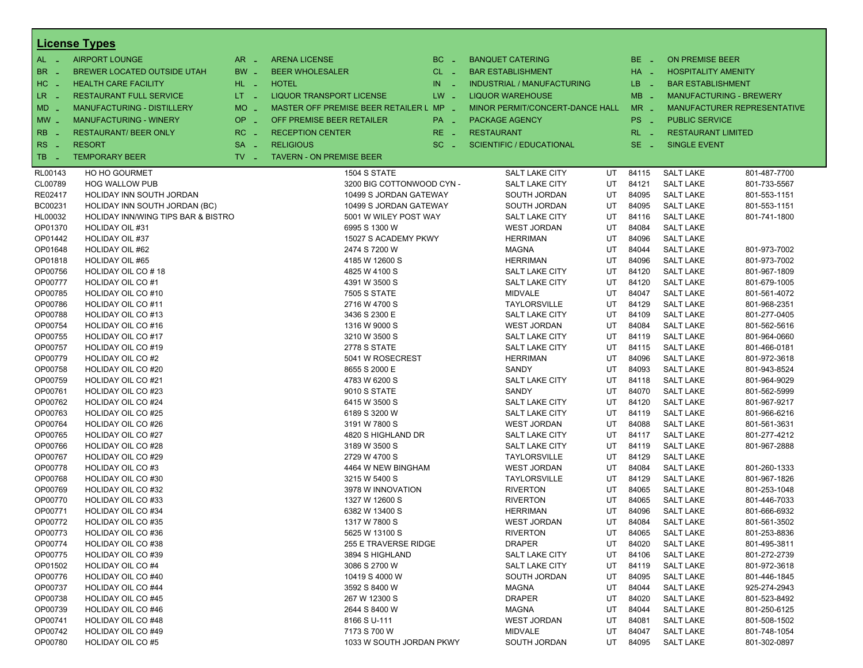|                    | <b>License Types</b>                   |                               |                                         |            |                                    |          |                |                                      |                                |
|--------------------|----------------------------------------|-------------------------------|-----------------------------------------|------------|------------------------------------|----------|----------------|--------------------------------------|--------------------------------|
| $AL -$             | <b>AIRPORT LOUNGE</b>                  | $AR -$                        | <b>ARENA LICENSE</b>                    | $BC -$     | <b>BANQUET CATERING</b>            |          | $BE -$         | <b>ON PREMISE BEER</b>               |                                |
| <b>BR</b>          | BREWER LOCATED OUTSIDE UTAH            | BW _                          | <b>BEER WHOLESALER</b>                  | $CL$ $-$   | <b>BAR ESTABLISHMENT</b>           |          | HA _           | <b>HOSPITALITY AMENITY</b>           |                                |
| HC <br>- 4         | <b>HEALTH CARE FACILITY</b>            | HL L                          | <b>HOTEL</b>                            | IN.<br>- 2 | <b>INDUSTRIAL / MANUFACTURING</b>  |          | LB _           | <b>BAR ESTABLISHMENT</b>             |                                |
| LR.<br>- 4         | <b>RESTAURANT FULL SERVICE</b>         | $LT - 1$                      | <b>LIQUOR TRANSPORT LICENSE</b>         | $LW -$     | <b>LIQUOR WAREHOUSE</b>            |          | $MB -$         |                                      | <b>MANUFACTURING - BREWERY</b> |
| MD -               | <b>MANUFACTURING - DISTILLERY</b>      | <b>MO</b><br>$\sim$           | MASTER OFF PREMISE BEER RETAILER L MP _ |            | MINOR PERMIT/CONCERT-DANCE HALL    |          | $MR -$         |                                      | MANUFACTURER REPRESENTATIVE    |
|                    | <b>MANUFACTURING - WINERY</b>          | <b>OP</b>                     | OFF PREMISE BEER RETAILER               |            |                                    |          | PS _           | <b>PUBLIC SERVICE</b>                |                                |
| $MW-$              |                                        | п.                            |                                         | PA _       | <b>PACKAGE AGENCY</b>              |          |                |                                      |                                |
| <b>RB</b>          | <b>RESTAURANT/ BEER ONLY</b>           | RC<br>$\sim$                  | <b>RECEPTION CENTER</b>                 | $RE -$     | <b>RESTAURANT</b>                  |          | $RL - 1$       | <b>RESTAURANT LIMITED</b>            |                                |
| RS                 | <b>RESORT</b>                          | <b>SA</b><br>$\sim$           | <b>RELIGIOUS</b>                        | $SC =$     | <b>SCIENTIFIC / EDUCATIONAL</b>    |          | SE.<br>- 4     | <b>SINGLE EVENT</b>                  |                                |
| TB.                | <b>TEMPORARY BEER</b>                  | $TV$ $\overline{\phantom{0}}$ | <b>TAVERN - ON PREMISE BEER</b>         |            |                                    |          |                |                                      |                                |
| RL00143            | <b>HO HO GOURMET</b>                   |                               | 1504 S STATE                            |            | <b>SALT LAKE CITY</b>              | UT       | 84115          | <b>SALT LAKE</b>                     | 801-487-7700                   |
| CL00789            | <b>HOG WALLOW PUB</b>                  |                               | 3200 BIG COTTONWOOD CYN -               |            | <b>SALT LAKE CITY</b>              | UT       | 84121          | <b>SALT LAKE</b>                     | 801-733-5567                   |
| RE02417            | HOLIDAY INN SOUTH JORDAN               |                               | 10499 S JORDAN GATEWAY                  |            | SOUTH JORDAN                       | UT       | 84095          | <b>SALT LAKE</b>                     | 801-553-1151                   |
| BC00231            | HOLIDAY INN SOUTH JORDAN (BC)          |                               | 10499 S JORDAN GATEWAY                  |            | SOUTH JORDAN                       | UT       | 84095          | <b>SALT LAKE</b>                     | 801-553-1151                   |
| HL00032            | HOLIDAY INN/WING TIPS BAR & BISTRO     |                               | 5001 W WILEY POST WAY                   |            | <b>SALT LAKE CITY</b>              | UT       | 84116          | <b>SALT LAKE</b>                     | 801-741-1800                   |
| OP01370            | <b>HOLIDAY OIL #31</b>                 |                               | 6995 S 1300 W                           |            | <b>WEST JORDAN</b>                 | UT       | 84084          | <b>SALT LAKE</b>                     |                                |
| OP01442            | <b>HOLIDAY OIL #37</b>                 |                               | 15027 S ACADEMY PKWY                    |            | <b>HERRIMAN</b>                    | UT       | 84096          | <b>SALT LAKE</b>                     |                                |
| OP01648            | HOLIDAY OIL #62                        |                               | 2474 S 7200 W                           |            | <b>MAGNA</b>                       | UT       | 84044          | <b>SALT LAKE</b>                     | 801-973-7002                   |
| OP01818            | <b>HOLIDAY OIL #65</b>                 |                               | 4185 W 12600 S                          |            | <b>HERRIMAN</b>                    | UT       | 84096          | <b>SALT LAKE</b>                     | 801-973-7002                   |
| OP00756            | HOLIDAY OIL CO#18                      |                               | 4825 W 4100 S                           |            | <b>SALT LAKE CITY</b>              | UT       | 84120          | <b>SALT LAKE</b>                     | 801-967-1809                   |
| OP00777            | HOLIDAY OIL CO#1                       |                               | 4391 W 3500 S                           |            | <b>SALT LAKE CITY</b>              | UT       | 84120          | <b>SALT LAKE</b>                     | 801-679-1005                   |
| OP00785            | <b>HOLIDAY OIL CO#10</b>               |                               | <b>7505 S STATE</b>                     |            | <b>MIDVALE</b>                     | UT       | 84047          | <b>SALT LAKE</b>                     | 801-561-4072                   |
| OP00786            | <b>HOLIDAY OIL CO#11</b>               |                               | 2716 W 4700 S                           |            | TAYLORSVILLE                       | UT       | 84129          | <b>SALT LAKE</b>                     | 801-968-2351                   |
| OP00788            | HOLIDAY OIL CO#13                      |                               | 3436 S 2300 E                           |            | <b>SALT LAKE CITY</b>              | UT       | 84109          | <b>SALT LAKE</b>                     | 801-277-0405                   |
| OP00754            | <b>HOLIDAY OIL CO#16</b>               |                               | 1316 W 9000 S                           |            | <b>WEST JORDAN</b>                 | UT       | 84084          | <b>SALT LAKE</b>                     | 801-562-5616                   |
| OP00755            | <b>HOLIDAY OIL CO#17</b>               |                               | 3210 W 3500 S                           |            | <b>SALT LAKE CITY</b>              | UT       | 84119          | <b>SALT LAKE</b>                     | 801-964-0660                   |
| OP00757            | HOLIDAY OIL CO#19                      |                               | 2778 S STATE                            |            | <b>SALT LAKE CITY</b>              | UT       | 84115          | <b>SALT LAKE</b>                     | 801-466-0181                   |
| OP00779            | HOLIDAY OIL CO#2                       |                               | 5041 W ROSECREST                        |            | <b>HERRIMAN</b>                    | UT       | 84096          | <b>SALT LAKE</b>                     | 801-972-3618                   |
| OP00758            | HOLIDAY OIL CO#20                      |                               | 8655 S 2000 E                           |            | SANDY                              | UT       | 84093          | <b>SALT LAKE</b>                     | 801-943-8524                   |
| OP00759            | HOLIDAY OIL CO#21                      |                               | 4783 W 6200 S                           |            | <b>SALT LAKE CITY</b>              | UT       | 84118          | <b>SALT LAKE</b>                     | 801-964-9029                   |
| OP00761            | HOLIDAY OIL CO#23                      |                               | 9010 S STATE                            |            | SANDY                              | UT       | 84070          | <b>SALT LAKE</b>                     | 801-562-5999                   |
| OP00762            | <b>HOLIDAY OIL CO#24</b>               |                               | 6415 W 3500 S                           |            | <b>SALT LAKE CITY</b>              | UT       | 84120          | <b>SALT LAKE</b>                     | 801-967-9217                   |
| OP00763            | HOLIDAY OIL CO#25                      |                               | 6189 S 3200 W                           |            | <b>SALT LAKE CITY</b>              | UT       | 84119          | <b>SALT LAKE</b>                     | 801-966-6216                   |
| OP00764            | <b>HOLIDAY OIL CO#26</b>               |                               | 3191 W 7800 S                           |            | <b>WEST JORDAN</b>                 | UT       | 84088          | <b>SALT LAKE</b>                     | 801-561-3631                   |
| OP00765            | <b>HOLIDAY OIL CO#27</b>               |                               | 4820 S HIGHLAND DR                      |            | <b>SALT LAKE CITY</b>              | UT       | 84117          | <b>SALT LAKE</b>                     | 801-277-4212                   |
| OP00766            | HOLIDAY OIL CO#28                      |                               | 3189 W 3500 S                           |            | <b>SALT LAKE CITY</b>              | UT       | 84119          | <b>SALT LAKE</b>                     | 801-967-2888                   |
| OP00767            | <b>HOLIDAY OIL CO#29</b>               |                               | 2729 W 4700 S                           |            | <b>TAYLORSVILLE</b>                | UT       | 84129          | <b>SALT LAKE</b>                     |                                |
| OP00778<br>OP00768 | HOLIDAY OIL CO#3                       |                               | 4464 W NEW BINGHAM                      |            | <b>WEST JORDAN</b><br>TAYLORSVILLE | UT<br>UT | 84084<br>84129 | <b>SALT LAKE</b><br><b>SALT LAKE</b> | 801-260-1333                   |
| OP00769            | HOLIDAY OIL CO#30<br>HOLIDAY OIL CO#32 |                               | 3215 W 5400 S<br>3978 W INNOVATION      |            | <b>RIVERTON</b>                    | UT       | 84065          | <b>SALT LAKE</b>                     | 801-967-1826<br>801-253-1048   |
| OP00770            | <b>HOLIDAY OIL CO#33</b>               |                               | 1327 W 12600 S                          |            | <b>RIVERTON</b>                    | UT       | 84065          | <b>SALT LAKE</b>                     | 801-446-7033                   |
| OP00771            | HOLIDAY OIL CO#34                      |                               | 6382 W 13400 S                          |            | <b>HERRIMAN</b>                    | UT       | 84096          | <b>SALT LAKE</b>                     | 801-666-6932                   |
| OP00772            | <b>HOLIDAY OIL CO#35</b>               |                               | 1317 W 7800 S                           |            | <b>WEST JORDAN</b>                 | UT       | 84084          | <b>SALT LAKE</b>                     | 801-561-3502                   |
| OP00773            | HOLIDAY OIL CO#36                      |                               | 5625 W 13100 S                          |            | <b>RIVERTON</b>                    | UT       | 84065          | <b>SALT LAKE</b>                     | 801-253-8836                   |
| OP00774            | HOLIDAY OIL CO#38                      |                               | 255 E TRAVERSE RIDGE                    |            | <b>DRAPER</b>                      | UT       | 84020          | <b>SALT LAKE</b>                     | 801-495-3811                   |
| OP00775            | HOLIDAY OIL CO#39                      |                               | 3894 S HIGHLAND                         |            | <b>SALT LAKE CITY</b>              | UT       | 84106          | <b>SALT LAKE</b>                     | 801-272-2739                   |
| OP01502            | HOLIDAY OIL CO#4                       |                               | 3086 S 2700 W                           |            | <b>SALT LAKE CITY</b>              | UT       | 84119          | <b>SALT LAKE</b>                     | 801-972-3618                   |
| OP00776            | HOLIDAY OIL CO#40                      |                               | 10419 S 4000 W                          |            | SOUTH JORDAN                       | UT       | 84095          | <b>SALT LAKE</b>                     | 801-446-1845                   |
| OP00737            | HOLIDAY OIL CO#44                      |                               | 3592 S 8400 W                           |            | <b>MAGNA</b>                       | UT       | 84044          | <b>SALT LAKE</b>                     | 925-274-2943                   |
| OP00738            | HOLIDAY OIL CO#45                      |                               | 267 W 12300 S                           |            | <b>DRAPER</b>                      | UT       | 84020          | <b>SALT LAKE</b>                     | 801-523-8492                   |
| OP00739            | HOLIDAY OIL CO#46                      |                               | 2644 S 8400 W                           |            | MAGNA                              | UT       | 84044          | <b>SALT LAKE</b>                     | 801-250-6125                   |
| OP00741            | HOLIDAY OIL CO#48                      |                               | 8166 S U-111                            |            | <b>WEST JORDAN</b>                 | UT       | 84081          | <b>SALT LAKE</b>                     | 801-508-1502                   |
| OP00742            | HOLIDAY OIL CO#49                      |                               | 7173 S 700 W                            |            | <b>MIDVALE</b>                     | UT       | 84047          | <b>SALT LAKE</b>                     | 801-748-1054                   |
| OP00780            | HOLIDAY OIL CO#5                       |                               | 1033 W SOUTH JORDAN PKWY                |            | SOUTH JORDAN                       | UT       | 84095          | <b>SALT LAKE</b>                     | 801-302-0897                   |
|                    |                                        |                               |                                         |            |                                    |          |                |                                      |                                |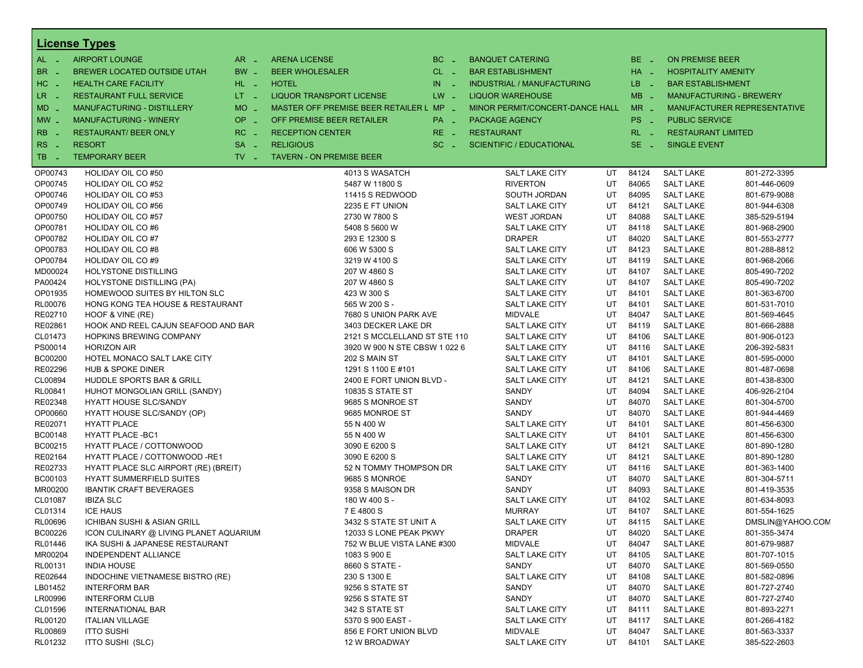|                      | <b>License Types</b>                                                      |                               |                                                      |              |                                         |          |                |                                      |                              |
|----------------------|---------------------------------------------------------------------------|-------------------------------|------------------------------------------------------|--------------|-----------------------------------------|----------|----------------|--------------------------------------|------------------------------|
| $AL -$               | <b>AIRPORT LOUNGE</b>                                                     | $AR -$                        | <b>ARENA LICENSE</b>                                 | $BC -$       | <b>BANQUET CATERING</b>                 |          | BE.<br>- 4     | <b>ON PREMISE BEER</b>               |                              |
| BR.<br>- 11          | BREWER LOCATED OUTSIDE UTAH                                               | BW _                          | <b>BEER WHOLESALER</b>                               | $CL$ $-$     | <b>BAR ESTABLISHMENT</b>                |          | HA _           | <b>HOSPITALITY AMENITY</b>           |                              |
| $H$ C<br>$\sim$      | <b>HEALTH CARE FACILITY</b>                                               | HL L                          | <b>HOTEL</b>                                         | IN<br>$\sim$ | <b>INDUSTRIAL / MANUFACTURING</b>       |          | LB.<br>- 4     | <b>BAR ESTABLISHMENT</b>             |                              |
| LR.<br>$\sim$ $\sim$ | <b>RESTAURANT FULL SERVICE</b>                                            | $LT - 1$                      | <b>LIQUOR TRANSPORT LICENSE</b>                      | $LW -$       | <b>LIQUOR WAREHOUSE</b>                 |          | $MB -$         | MANUFACTURING - BREWERY              |                              |
| $MD -$               | MANUFACTURING - DISTILLERY                                                | MO _                          | MASTER OFF PREMISE BEER RETAILER L MP _              |              | MINOR PERMIT/CONCERT-DANCE HALL         |          | $MR -$         |                                      | MANUFACTURER REPRESENTATIVE  |
| $MW$ $-$             | <b>MANUFACTURING - WINERY</b>                                             | $OP \sim$                     | OFF PREMISE BEER RETAILER                            | PA _         | PACKAGE AGENCY                          |          | PS<br>- 11     | <b>PUBLIC SERVICE</b>                |                              |
| <b>RB</b>            | <b>RESTAURANT/ BEER ONLY</b>                                              | $RC -$                        | <b>RECEPTION CENTER</b>                              | $RE_ -$      | <b>RESTAURANT</b>                       |          | RL.            | <b>RESTAURANT LIMITED</b>            |                              |
|                      |                                                                           |                               |                                                      |              |                                         |          |                |                                      |                              |
| RS<br>- 4            | <b>RESORT</b><br><b>TEMPORARY BEER</b>                                    | $SA -$                        | <b>RELIGIOUS</b>                                     | $SC =$       | <b>SCIENTIFIC / EDUCATIONAL</b>         |          | SE.<br>- 4     | <b>SINGLE EVENT</b>                  |                              |
| TB.<br>. —           |                                                                           | $TV$ $\overline{\phantom{0}}$ | <b>TAVERN - ON PREMISE BEER</b>                      |              |                                         |          |                |                                      |                              |
| OP00743              | <b>HOLIDAY OIL CO#50</b>                                                  |                               | 4013 S WASATCH                                       |              | <b>SALT LAKE CITY</b>                   | UT       | 84124          | <b>SALT LAKE</b>                     | 801-272-3395                 |
| OP00745              | HOLIDAY OIL CO#52                                                         |                               | 5487 W 11800 S                                       |              | <b>RIVERTON</b>                         | UT       | 84065          | <b>SALT LAKE</b>                     | 801-446-0609                 |
| OP00746              | <b>HOLIDAY OIL CO#53</b>                                                  |                               | 11415 S REDWOOD                                      |              | SOUTH JORDAN                            | UT       | 84095          | <b>SALT LAKE</b>                     | 801-679-9088                 |
| OP00749              | <b>HOLIDAY OIL CO#56</b>                                                  |                               | 2235 E FT UNION                                      |              | <b>SALT LAKE CITY</b>                   | UT       | 84121          | <b>SALT LAKE</b>                     | 801-944-6308                 |
| OP00750              | HOLIDAY OIL CO#57                                                         |                               | 2730 W 7800 S                                        |              | <b>WEST JORDAN</b>                      | UT       | 84088          | <b>SALT LAKE</b>                     | 385-529-5194                 |
| OP00781              | HOLIDAY OIL CO#6                                                          |                               | 5408 S 5600 W                                        |              | <b>SALT LAKE CITY</b>                   | UT       | 84118          | <b>SALT LAKE</b>                     | 801-968-2900                 |
| OP00782<br>OP00783   | <b>HOLIDAY OIL CO#7</b>                                                   |                               | 293 E 12300 S                                        |              | <b>DRAPER</b>                           | UT<br>UT | 84020<br>84123 | <b>SALT LAKE</b>                     | 801-553-2777                 |
| OP00784              | HOLIDAY OIL CO#8<br><b>HOLIDAY OIL CO#9</b>                               |                               | 606 W 5300 S<br>3219 W 4100 S                        |              | SALT LAKE CITY<br><b>SALT LAKE CITY</b> | UT       | 84119          | <b>SALT LAKE</b><br><b>SALT LAKE</b> | 801-288-8812<br>801-968-2066 |
| MD00024              | <b>HOLYSTONE DISTILLING</b>                                               |                               | 207 W 4860 S                                         |              | <b>SALT LAKE CITY</b>                   | UT       | 84107          | <b>SALT LAKE</b>                     | 805-490-7202                 |
| PA00424              | <b>HOLYSTONE DISTILLING (PA)</b>                                          |                               | 207 W 4860 S                                         |              | SALT LAKE CITY                          | UT       | 84107          | <b>SALT LAKE</b>                     | 805-490-7202                 |
| OP01935              | HOMEWOOD SUITES BY HILTON SLC                                             |                               | 423 W 300 S                                          |              | <b>SALT LAKE CITY</b>                   | UT       | 84101          | <b>SALT LAKE</b>                     | 801-363-6700                 |
| <b>RL00076</b>       | HONG KONG TEA HOUSE & RESTAURANT                                          |                               | 565 W 200 S -                                        |              | <b>SALT LAKE CITY</b>                   | UT       | 84101          | <b>SALT LAKE</b>                     | 801-531-7010                 |
| RE02710              | HOOF & VINE (RE)                                                          |                               | 7680 S UNION PARK AVE                                |              | <b>MIDVALE</b>                          | UT       | 84047          | <b>SALT LAKE</b>                     | 801-569-4645                 |
| RE02861              | HOOK AND REEL CAJUN SEAFOOD AND BAR                                       |                               | 3403 DECKER LAKE DR                                  |              | SALT LAKE CITY                          | UT       | 84119          | <b>SALT LAKE</b>                     | 801-666-2888                 |
| CL01473              | HOPKINS BREWING COMPANY                                                   |                               | 2121 S MCCLELLAND ST STE 110                         |              | <b>SALT LAKE CITY</b>                   | UT       | 84106          | <b>SALT LAKE</b>                     | 801-906-0123                 |
| PS00014              | <b>HORIZON AIR</b>                                                        |                               | 3920 W 900 N STE CBSW 1 022 6                        |              | <b>SALT LAKE CITY</b>                   | UT       | 84116          | <b>SALT LAKE</b>                     | 206-392-5831                 |
| <b>BC00200</b>       | HOTEL MONACO SALT LAKE CITY                                               |                               | 202 S MAIN ST                                        |              | <b>SALT LAKE CITY</b>                   | UT       | 84101          | <b>SALT LAKE</b>                     | 801-595-0000                 |
| RE02296              | <b>HUB &amp; SPOKE DINER</b>                                              |                               | 1291 S 1100 E #101                                   |              | <b>SALT LAKE CITY</b>                   | UT       | 84106          | <b>SALT LAKE</b>                     | 801-487-0698                 |
| CL00894              | HUDDLE SPORTS BAR & GRILL                                                 |                               | 2400 E FORT UNION BLVD -                             |              | SALT LAKE CITY                          | UT       | 84121          | <b>SALT LAKE</b>                     | 801-438-8300                 |
| RL00841              | HUHOT MONGOLIAN GRILL (SANDY)                                             |                               | <b>10835 S STATE ST</b>                              |              | SANDY                                   | UT       | 84094          | <b>SALT LAKE</b>                     | 406-926-2104                 |
| RE02348              | <b>HYATT HOUSE SLC/SANDY</b>                                              |                               | 9685 S MONROE ST                                     |              | SANDY                                   | UT       | 84070          | <b>SALT LAKE</b>                     | 801-304-5700                 |
| OP00660              | HYATT HOUSE SLC/SANDY (OP)                                                |                               | 9685 MONROE ST                                       |              | SANDY                                   | UT       | 84070          | <b>SALT LAKE</b>                     | 801-944-4469                 |
| RE02071              | <b>HYATT PLACE</b>                                                        |                               | 55 N 400 W                                           |              | <b>SALT LAKE CITY</b>                   | UT       | 84101          | <b>SALT LAKE</b>                     | 801-456-6300                 |
| BC00148              | <b>HYATT PLACE -BC1</b>                                                   |                               | 55 N 400 W                                           |              | <b>SALT LAKE CITY</b>                   | UT       | 84101          | <b>SALT LAKE</b>                     | 801-456-6300                 |
| BC00215              | HYATT PLACE / COTTONWOOD                                                  |                               | 3090 E 6200 S                                        |              | SALT LAKE CITY                          | UT       | 84121          | <b>SALT LAKE</b>                     | 801-890-1280                 |
| RE02164              | HYATT PLACE / COTTONWOOD -RE1                                             |                               | 3090 E 6200 S                                        |              | <b>SALT LAKE CITY</b>                   | UT       | 84121          | <b>SALT LAKE</b>                     | 801-890-1280                 |
| RE02733              | HYATT PLACE SLC AIRPORT (RE) (BREIT)                                      |                               | 52 N TOMMY THOMPSON DR                               |              | <b>SALT LAKE CITY</b>                   | UT       | 84116          | <b>SALT LAKE</b>                     | 801-363-1400                 |
| BC00103              | <b>HYATT SUMMERFIELD SUITES</b>                                           |                               | 9685 S MONROE                                        |              | SANDY                                   | UT       | 84070          | <b>SALT LAKE</b>                     | 801-304-5711                 |
| MR00200              | <b>IBANTIK CRAFT BEVERAGES</b>                                            |                               | 9358 S MAISON DR                                     |              | SANDY                                   | UT       | 84093          | <b>SALT LAKE</b>                     | 801-419-3535                 |
| CL01087              | <b>IBIZA SLC</b>                                                          |                               | 180 W 400 S -                                        |              | <b>SALT LAKE CITY</b>                   | UT       | 84102          | <b>SALT LAKE</b>                     | 801-634-8093                 |
| CL01314              | <b>ICE HAUS</b>                                                           |                               | 7 E 4800 S                                           |              | <b>MURRAY</b>                           | UT       | 84107          | <b>SALT LAKE</b>                     | 801-554-1625                 |
| RL00696              | ICHIBAN SUSHI & ASIAN GRILL                                               |                               | 3432 S STATE ST UNIT A                               |              | SALT LAKE CITY                          | UT       | 84115          | <b>SALT LAKE</b>                     | DMSLIN@YAHOO.CON             |
| BC00226<br>RL01446   | ICON CULINARY @ LIVING PLANET AQUARIUM<br>IKA SUSHI & JAPANESE RESTAURANT |                               | 12033 S LONE PEAK PKWY<br>752 W BLUE VISTA LANE #300 |              | <b>DRAPER</b><br>MIDVALE                | UT<br>UT | 84020<br>84047 | <b>SALT LAKE</b><br><b>SALT LAKE</b> | 801-355-3474<br>801-679-9887 |
| MR00204              | INDEPENDENT ALLIANCE                                                      |                               | 1083 S 900 E                                         |              | SALT LAKE CITY                          | UT       | 84105          | <b>SALT LAKE</b>                     | 801-707-1015                 |
| RL00131              | <b>INDIA HOUSE</b>                                                        |                               | 8660 S STATE -                                       |              | SANDY                                   | UT       | 84070          | <b>SALT LAKE</b>                     | 801-569-0550                 |
| RE02644              | INDOCHINE VIETNAMESE BISTRO (RE)                                          |                               | 230 S 1300 E                                         |              | <b>SALT LAKE CITY</b>                   | UT       | 84108          | <b>SALT LAKE</b>                     | 801-582-0896                 |
| LB01452              | <b>INTERFORM BAR</b>                                                      |                               | 9256 S STATE ST                                      |              | SANDY                                   | UT       | 84070          | <b>SALT LAKE</b>                     | 801-727-2740                 |
| LR00996              | <b>INTERFORM CLUB</b>                                                     |                               | 9256 S STATE ST                                      |              | SANDY                                   | UT       | 84070          | <b>SALT LAKE</b>                     | 801-727-2740                 |
| CL01596              | <b>INTERNATIONAL BAR</b>                                                  |                               | 342 S STATE ST                                       |              | SALT LAKE CITY                          | UT       | 84111          | <b>SALT LAKE</b>                     | 801-893-2271                 |
| RL00120              | <b>ITALIAN VILLAGE</b>                                                    |                               | 5370 S 900 EAST -                                    |              | <b>SALT LAKE CITY</b>                   | UT       | 84117          | <b>SALT LAKE</b>                     | 801-266-4182                 |
| <b>RL00869</b>       | <b>ITTO SUSHI</b>                                                         |                               | 856 E FORT UNION BLVD                                |              | MIDVALE                                 | UT       | 84047          | <b>SALT LAKE</b>                     | 801-563-3337                 |
| RL01232              | ITTO SUSHI (SLC)                                                          |                               | 12 W BROADWAY                                        |              | SALT LAKE CITY                          | UT       | 84101          | <b>SALT LAKE</b>                     | 385-522-2603                 |
|                      |                                                                           |                               |                                                      |              |                                         |          |                |                                      |                              |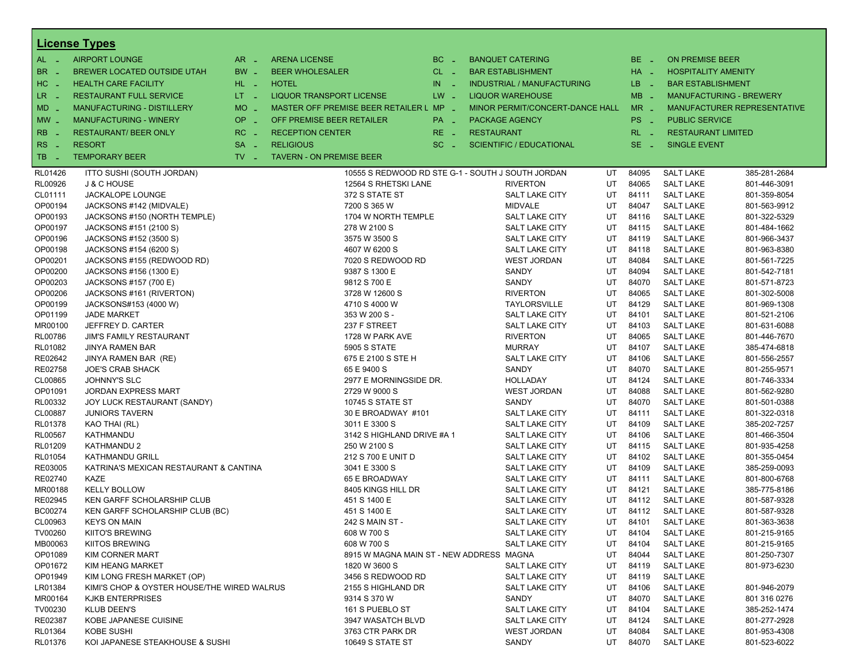|                | <b>License Types</b>                        |                   |                                          |            |                                                   |    |                 |                            |                                    |
|----------------|---------------------------------------------|-------------------|------------------------------------------|------------|---------------------------------------------------|----|-----------------|----------------------------|------------------------------------|
| $AL -$         | <b>AIRPORT LOUNGE</b>                       | $AR -$            | <b>ARENA LICENSE</b>                     | $BC -$     | <b>BANQUET CATERING</b>                           |    | BE _            | <b>ON PREMISE BEER</b>     |                                    |
| BR.<br>. —     | BREWER LOCATED OUTSIDE UTAH                 | BW _              | <b>BEER WHOLESALER</b>                   | $CL$ $-$   | <b>BAR ESTABLISHMENT</b>                          |    | $HA$ $-$        | <b>HOSPITALITY AMENITY</b> |                                    |
| HC<br>nia.     | <b>HEALTH CARE FACILITY</b>                 | HL L              | <b>HOTEL</b>                             | IN.<br>- 2 | <b>INDUSTRIAL / MANUFACTURING</b>                 |    | LB __           | <b>BAR ESTABLISHMENT</b>   |                                    |
| $LR -$         | <b>RESTAURANT FULL SERVICE</b>              | $LT - 1$          | <b>LIQUOR TRANSPORT LICENSE</b>          | $LW -$     | <b>LIQUOR WAREHOUSE</b>                           |    | $MB -$          |                            | <b>MANUFACTURING - BREWERY</b>     |
| $MD -$         | MANUFACTURING - DISTILLERY                  | <b>MO</b><br>i al | MASTER OFF PREMISE BEER RETAILER L MP _  |            | MINOR PERMIT/CONCERT-DANCE HALL                   |    | $MR -$          |                            | <b>MANUFACTURER REPRESENTATIVE</b> |
|                | <b>MANUFACTURING - WINERY</b>               | OP                | OFF PREMISE BEER RETAILER                |            |                                                   |    | PS <sub>-</sub> | <b>PUBLIC SERVICE</b>      |                                    |
| $MW -$         |                                             | ÷.                |                                          | PA _       | <b>PACKAGE AGENCY</b>                             |    |                 |                            |                                    |
| R <sub>B</sub> | <b>RESTAURANT/ BEER ONLY</b>                | RC<br>- 4         | <b>RECEPTION CENTER</b>                  | $RE -$     | <b>RESTAURANT</b>                                 |    | $RL - 1$        | <b>RESTAURANT LIMITED</b>  |                                    |
| RS.<br>- 11    | <b>RESORT</b>                               | <b>SA</b><br>п.   | <b>RELIGIOUS</b>                         | $SC =$     | <b>SCIENTIFIC / EDUCATIONAL</b>                   |    | $SE -$          | <b>SINGLE EVENT</b>        |                                    |
| TB<br>. —      | <b>TEMPORARY BEER</b>                       | $TV -$            | <b>TAVERN - ON PREMISE BEER</b>          |            |                                                   |    |                 |                            |                                    |
| RL01426        | ITTO SUSHI (SOUTH JORDAN)                   |                   |                                          |            | 10555 S REDWOOD RD STE G-1 - SOUTH J SOUTH JORDAN | UT | 84095           | <b>SALT LAKE</b>           | 385-281-2684                       |
| RL00926        | J & C HOUSE                                 |                   | 12564 S RHETSKI LANE                     |            | <b>RIVERTON</b>                                   | UT | 84065           | <b>SALT LAKE</b>           | 801-446-3091                       |
| CL01111        | JACKALOPE LOUNGE                            |                   | 372 S STATE ST                           |            | SALT LAKE CITY                                    | UT | 84111           | <b>SALT LAKE</b>           | 801-359-8054                       |
| OP00194        | JACKSONS #142 (MIDVALE)                     |                   | 7200 S 365 W                             |            | <b>MIDVALE</b>                                    | UT | 84047           | <b>SALT LAKE</b>           | 801-563-9912                       |
| OP00193        | JACKSONS #150 (NORTH TEMPLE)                |                   | 1704 W NORTH TEMPLE                      |            | <b>SALT LAKE CITY</b>                             | UT | 84116           | <b>SALT LAKE</b>           | 801-322-5329                       |
| OP00197        | JACKSONS #151 (2100 S)                      |                   | 278 W 2100 S                             |            | SALT LAKE CITY                                    | UT | 84115           | <b>SALT LAKE</b>           | 801-484-1662                       |
| OP00196        | JACKSONS #152 (3500 S)                      |                   | 3575 W 3500 S                            |            | <b>SALT LAKE CITY</b>                             | UT | 84119           | <b>SALT LAKE</b>           | 801-966-3437                       |
| OP00198        | JACKSONS #154 (6200 S)                      |                   | 4607 W 6200 S                            |            | <b>SALT LAKE CITY</b>                             | UT | 84118           | <b>SALT LAKE</b>           | 801-963-8380                       |
| OP00201        | JACKSONS #155 (REDWOOD RD)                  |                   | 7020 S REDWOOD RD                        |            | <b>WEST JORDAN</b>                                | UT | 84084           | <b>SALT LAKE</b>           | 801-561-7225                       |
| OP00200        | JACKSONS #156 (1300 E)                      |                   | 9387 S 1300 E                            |            | SANDY                                             | UT | 84094           | <b>SALT LAKE</b>           | 801-542-7181                       |
| OP00203        | JACKSONS #157 (700 E)                       |                   | 9812 S 700 E                             |            | SANDY                                             | UT | 84070           | <b>SALT LAKE</b>           | 801-571-8723                       |
| OP00206        | JACKSONS #161 (RIVERTON)                    |                   | 3728 W 12600 S                           |            | <b>RIVERTON</b>                                   | UT | 84065           | <b>SALT LAKE</b>           | 801-302-5008                       |
| OP00199        | JACKSONS#153 (4000 W)                       |                   | 4710 S 4000 W                            |            | <b>TAYLORSVILLE</b>                               | UT | 84129           | <b>SALT LAKE</b>           | 801-969-1308                       |
| OP01199        | <b>JADE MARKET</b>                          |                   | 353 W 200 S -                            |            | SALT LAKE CITY                                    | UT | 84101           | <b>SALT LAKE</b>           | 801-521-2106                       |
| MR00100        | JEFFREY D. CARTER                           |                   | 237 F STREET                             |            | <b>SALT LAKE CITY</b>                             | UT | 84103           | <b>SALT LAKE</b>           | 801-631-6088                       |
| <b>RL00786</b> | <b>JIM'S FAMILY RESTAURANT</b>              |                   | 1728 W PARK AVE                          |            | <b>RIVERTON</b>                                   | UT | 84065           | <b>SALT LAKE</b>           | 801-446-7670                       |
| RL01082        | <b>JINYA RAMEN BAR</b>                      |                   | <b>5905 S STATE</b>                      |            | <b>MURRAY</b>                                     | UT | 84107           | <b>SALT LAKE</b>           | 385-474-6818                       |
| RE02642        | JINYA RAMEN BAR (RE)                        |                   | 675 E 2100 S STE H                       |            | <b>SALT LAKE CITY</b>                             | UT | 84106           | <b>SALT LAKE</b>           | 801-556-2557                       |
| RE02758        | <b>JOE'S CRAB SHACK</b>                     |                   | 65 E 9400 S                              |            | SANDY                                             | UT | 84070           | <b>SALT LAKE</b>           | 801-255-9571                       |
| CL00865        | JOHNNY'S SLC                                |                   | 2977 E MORNINGSIDE DR.                   |            | HOLLADAY                                          | UT | 84124           | <b>SALT LAKE</b>           | 801-746-3334                       |
| OP01091        | <b>JORDAN EXPRESS MART</b>                  |                   | 2729 W 9000 S                            |            | <b>WEST JORDAN</b>                                | UT | 84088           | <b>SALT LAKE</b>           | 801-562-9280                       |
| RL00332        | JOY LUCK RESTAURANT (SANDY)                 |                   | <b>10745 S STATE ST</b>                  |            | SANDY                                             | UT | 84070           | <b>SALT LAKE</b>           | 801-501-0388                       |
| CL00887        | <b>JUNIORS TAVERN</b>                       |                   | 30 E BROADWAY #101                       |            | <b>SALT LAKE CITY</b>                             | UT | 84111           | <b>SALT LAKE</b>           | 801-322-0318                       |
| RL01378        | KAO THAI (RL)                               |                   | 3011 E 3300 S                            |            | <b>SALT LAKE CITY</b>                             | UT | 84109           | <b>SALT LAKE</b>           | 385-202-7257                       |
| RL00567        | KATHMANDU                                   |                   | 3142 S HIGHLAND DRIVE #A 1               |            | <b>SALT LAKE CITY</b>                             | UT | 84106           | <b>SALT LAKE</b>           | 801-466-3504                       |
| RL01209        | KATHMANDU 2                                 |                   | 250 W 2100 S                             |            | <b>SALT LAKE CITY</b>                             | UT | 84115           | <b>SALT LAKE</b>           | 801-935-4258                       |
| RL01054        | <b>KATHMANDU GRILL</b>                      |                   | 212 S 700 E UNIT D                       |            | <b>SALT LAKE CITY</b>                             | UT | 84102           | <b>SALT LAKE</b>           | 801-355-0454                       |
| RE03005        | KATRINA'S MEXICAN RESTAURANT & CANTINA      |                   | 3041 E 3300 S                            |            | <b>SALT LAKE CITY</b>                             | UT | 84109           | <b>SALT LAKE</b>           | 385-259-0093                       |
| RE02740        | KAZE                                        |                   | 65 E BROADWAY                            |            | SALT LAKE CITY                                    | UT | 84111           | <b>SALT LAKE</b>           | 801-800-6768                       |
| MR00188        | <b>KELLY BOLLOW</b>                         |                   | 8405 KINGS HILL DR                       |            | <b>SALT LAKE CITY</b>                             | UT | 84121           | <b>SALT LAKE</b>           | 385-775-8186                       |
| RE02945        | KEN GARFF SCHOLARSHIP CLUB                  |                   | 451 S 1400 E                             |            | <b>SALT LAKE CITY</b>                             | UT | 84112           | <b>SALT LAKE</b>           | 801-587-9328                       |
| BC00274        | KEN GARFF SCHOLARSHIP CLUB (BC)             |                   | 451 S 1400 E                             |            | <b>SALT LAKE CITY</b>                             | UT | 84112           | <b>SALT LAKE</b>           | 801-587-9328                       |
| CL00963        | <b>KEYS ON MAIN</b>                         |                   | 242 S MAIN ST -                          |            | <b>SALT LAKE CITY</b>                             | UT | 84101           | <b>SALT LAKE</b>           | 801-363-3638                       |
| TV00260        | <b>KIITO'S BREWING</b>                      |                   | 608 W 700 S                              |            | <b>SALT LAKE CITY</b>                             | UT | 84104           | <b>SALT LAKE</b>           | 801-215-9165                       |
| MB00063        | <b>KIITOS BREWING</b>                       |                   | 608 W 700 S                              |            | <b>SALT LAKE CITY</b>                             | UT | 84104           | <b>SALT LAKE</b>           | 801-215-9165                       |
| OP01089        | KIM CORNER MART                             |                   | 8915 W MAGNA MAIN ST - NEW ADDRESS MAGNA |            |                                                   | UT | 84044           | <b>SALT LAKE</b>           | 801-250-7307                       |
| OP01672        | <b>KIM HEANG MARKET</b>                     |                   | 1820 W 3600 S                            |            | <b>SALT LAKE CITY</b>                             | UT | 84119           | <b>SALT LAKE</b>           | 801-973-6230                       |
| OP01949        | KIM LONG FRESH MARKET (OP)                  |                   | 3456 S REDWOOD RD                        |            | <b>SALT LAKE CITY</b>                             | UT | 84119           | <b>SALT LAKE</b>           |                                    |
| LR01384        | KIMI'S CHOP & OYSTER HOUSE/THE WIRED WALRUS |                   | 2155 S HIGHLAND DR                       |            | SALT LAKE CITY                                    | UT | 84106           | <b>SALT LAKE</b>           | 801-946-2079                       |
| MR00164        | <b>KJKB ENTERPRISES</b>                     |                   | 9314 S 370 W                             |            | SANDY                                             | UT | 84070           | <b>SALT LAKE</b>           | 801 316 0276                       |
| TV00230        | <b>KLUB DEEN'S</b>                          |                   | 161 S PUEBLO ST                          |            | <b>SALT LAKE CITY</b>                             | UT | 84104           | <b>SALT LAKE</b>           | 385-252-1474                       |
| RE02387        | KOBE JAPANESE CUISINE                       |                   | 3947 WASATCH BLVD                        |            | <b>SALT LAKE CITY</b>                             | UT | 84124           | <b>SALT LAKE</b>           | 801-277-2928                       |
| RL01364        | KOBE SUSHI                                  |                   | 3763 CTR PARK DR                         |            | <b>WEST JORDAN</b>                                | UT | 84084           | <b>SALT LAKE</b>           | 801-953-4308                       |
| RL01376        | KOI JAPANESE STEAKHOUSE & SUSHI             |                   | <b>10649 S STATE ST</b>                  |            | SANDY                                             | UT | 84070           | <b>SALT LAKE</b>           | 801-523-6022                       |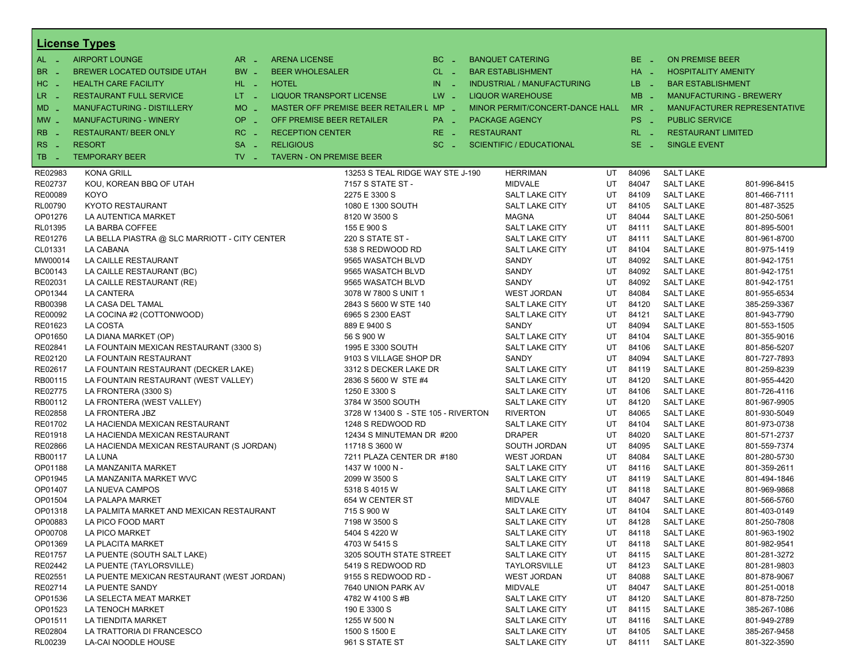|                | <u>License Types</u>                          |                               |                                         |          |                                   |    |          |                            |                                |
|----------------|-----------------------------------------------|-------------------------------|-----------------------------------------|----------|-----------------------------------|----|----------|----------------------------|--------------------------------|
| $AL -$         | <b>AIRPORT LOUNGE</b>                         | $AR =$                        | <b>ARENA LICENSE</b>                    | $BC =$   | <b>BANQUET CATERING</b>           |    | BE _     | <b>ON PREMISE BEER</b>     |                                |
| BR.<br>. —     | BREWER LOCATED OUTSIDE UTAH                   | BW _                          | <b>BEER WHOLESALER</b>                  | $CL$ $-$ | <b>BAR ESTABLISHMENT</b>          |    | $HA$ $-$ | <b>HOSPITALITY AMENITY</b> |                                |
| HC<br>. —      | <b>HEALTH CARE FACILITY</b>                   | HL L                          | <b>HOTEL</b>                            | $IN = 1$ | <b>INDUSTRIAL / MANUFACTURING</b> |    | LB __    | <b>BAR ESTABLISHMENT</b>   |                                |
| $LR -$         | <b>RESTAURANT FULL SERVICE</b>                | $LT - 1$                      | <b>LIQUOR TRANSPORT LICENSE</b>         | $LW -$   | <b>LIQUOR WAREHOUSE</b>           |    | $MB -$   |                            | <b>MANUFACTURING - BREWERY</b> |
|                | MANUFACTURING - DISTILLERY                    | $MO$ $\overline{\phantom{0}}$ | MASTER OFF PREMISE BEER RETAILER L MP _ |          | MINOR PERMIT/CONCERT-DANCE HALL   |    | $MR -$   |                            | MANUFACTURER REPRESENTATIVE    |
| $MD -$         |                                               |                               |                                         |          |                                   |    |          |                            |                                |
| $MW -$         | <b>MANUFACTURING - WINERY</b>                 | <b>OP</b><br>in 19            | OFF PREMISE BEER RETAILER               | PA _     | <b>PACKAGE AGENCY</b>             |    | PS _     | <b>PUBLIC SERVICE</b>      |                                |
| <b>RB</b>      | <b>RESTAURANT/ BEER ONLY</b>                  | $RC -$                        | <b>RECEPTION CENTER</b>                 | $RE -$   | <b>RESTAURANT</b>                 |    | $RL - 1$ | <b>RESTAURANT LIMITED</b>  |                                |
| RS.<br>- 11    | <b>RESORT</b>                                 | <b>SA</b><br>п.               | <b>RELIGIOUS</b>                        | $SC =$   | <b>SCIENTIFIC / EDUCATIONAL</b>   |    | $SE -$   | <b>SINGLE EVENT</b>        |                                |
| TB.<br>- 4     | <b>TEMPORARY BEER</b>                         | $TV$ $\overline{\phantom{0}}$ | <b>TAVERN - ON PREMISE BEER</b>         |          |                                   |    |          |                            |                                |
| RE02983        | <b>KONA GRILL</b>                             |                               | 13253 S TEAL RIDGE WAY STE J-190        |          | <b>HERRIMAN</b>                   | UT | 84096    | <b>SALT LAKE</b>           |                                |
| RE02737        | KOU, KOREAN BBQ OF UTAH                       |                               | 7157 S STATE ST -                       |          | <b>MIDVALE</b>                    | UT | 84047    | <b>SALT LAKE</b>           | 801-996-8415                   |
| RE00089        | <b>KOYO</b>                                   |                               | 2275 E 3300 S                           |          | SALT LAKE CITY                    | UT | 84109    | <b>SALT LAKE</b>           | 801-466-7111                   |
| <b>RL00790</b> | KYOTO RESTAURANT                              |                               | 1080 E 1300 SOUTH                       |          | SALT LAKE CITY                    | UT | 84105    | <b>SALT LAKE</b>           | 801-487-3525                   |
| OP01276        | LA AUTENTICA MARKET                           |                               | 8120 W 3500 S                           |          | <b>MAGNA</b>                      | UT | 84044    | <b>SALT LAKE</b>           | 801-250-5061                   |
| RL01395        | LA BARBA COFFEE                               |                               | 155 E 900 S                             |          | SALT LAKE CITY                    | UT | 84111    | <b>SALT LAKE</b>           | 801-895-5001                   |
| RE01276        | LA BELLA PIASTRA @ SLC MARRIOTT - CITY CENTER |                               | 220 S STATE ST -                        |          | SALT LAKE CITY                    | UT | 84111    | <b>SALT LAKE</b>           | 801-961-8700                   |
| CL01331        | LA CABANA                                     |                               | 538 S REDWOOD RD                        |          | <b>SALT LAKE CITY</b>             | UT | 84104    | <b>SALT LAKE</b>           | 801-975-1419                   |
| MW00014        | LA CAILLE RESTAURANT                          |                               | 9565 WASATCH BLVD                       |          | SANDY                             | UT | 84092    | <b>SALT LAKE</b>           | 801-942-1751                   |
| BC00143        | LA CAILLE RESTAURANT (BC)                     |                               | 9565 WASATCH BLVD                       |          | SANDY                             | UT | 84092    | <b>SALT LAKE</b>           | 801-942-1751                   |
| RE02031        | LA CAILLE RESTAURANT (RE)                     |                               | 9565 WASATCH BLVD                       |          | SANDY                             | UT | 84092    | <b>SALT LAKE</b>           | 801-942-1751                   |
| OP01344        | <b>LA CANTERA</b>                             |                               | 3078 W 7800 S UNIT 1                    |          | <b>WEST JORDAN</b>                | UT | 84084    | <b>SALT LAKE</b>           | 801-955-6534                   |
| RB00398        | LA CASA DEL TAMAL                             |                               | 2843 S 5600 W STE 140                   |          | SALT LAKE CITY                    | UT | 84120    | <b>SALT LAKE</b>           | 385-259-3367                   |
| RE00092        | LA COCINA #2 (COTTONWOOD)                     |                               | 6965 S 2300 EAST                        |          | <b>SALT LAKE CITY</b>             | UT | 84121    | <b>SALT LAKE</b>           | 801-943-7790                   |
| RE01623        | LA COSTA                                      |                               | 889 E 9400 S                            |          | SANDY                             | UT | 84094    | <b>SALT LAKE</b>           | 801-553-1505                   |
| OP01650        | LA DIANA MARKET (OP)                          |                               | 56 S 900 W                              |          | SALT LAKE CITY                    | UT | 84104    | <b>SALT LAKE</b>           | 801-355-9016                   |
| RE02841        | LA FOUNTAIN MEXICAN RESTAURANT (3300 S)       |                               | 1995 E 3300 SOUTH                       |          | <b>SALT LAKE CITY</b>             | UT | 84106    | <b>SALT LAKE</b>           | 801-856-5207                   |
| RE02120        | LA FOUNTAIN RESTAURANT                        |                               | 9103 S VILLAGE SHOP DR                  |          | SANDY                             | UT | 84094    | <b>SALT LAKE</b>           | 801-727-7893                   |
| RE02617        | LA FOUNTAIN RESTAURANT (DECKER LAKE)          |                               | 3312 S DECKER LAKE DR                   |          | SALT LAKE CITY                    | UT | 84119    | <b>SALT LAKE</b>           | 801-259-8239                   |
| RB00115        | LA FOUNTAIN RESTAURANT (WEST VALLEY)          |                               | 2836 S 5600 W STE #4                    |          | SALT LAKE CITY                    | UT | 84120    | <b>SALT LAKE</b>           | 801-955-4420                   |
| RE02775        | LA FRONTERA (3300 S)                          |                               | 1250 E 3300 S                           |          | SALT LAKE CITY                    | UT | 84106    | <b>SALT LAKE</b>           | 801-726-4116                   |
| RB00112        | LA FRONTERA (WEST VALLEY)                     |                               | 3784 W 3500 SOUTH                       |          | <b>SALT LAKE CITY</b>             | UT | 84120    | <b>SALT LAKE</b>           | 801-967-9905                   |
| RE02858        | LA FRONTERA JBZ                               |                               | 3728 W 13400 S - STE 105 - RIVERTON     |          | <b>RIVERTON</b>                   | UT | 84065    | <b>SALT LAKE</b>           | 801-930-5049                   |
| RE01702        | LA HACIENDA MEXICAN RESTAURANT                |                               | 1248 S REDWOOD RD                       |          | SALT LAKE CITY                    | UT | 84104    | <b>SALT LAKE</b>           | 801-973-0738                   |
| RE01918        | LA HACIENDA MEXICAN RESTAURANT                |                               | 12434 S MINUTEMAN DR #200               |          | <b>DRAPER</b>                     | UT | 84020    | <b>SALT LAKE</b>           | 801-571-2737                   |
| RE02866        | LA HACIENDA MEXICAN RESTAURANT (S JORDAN)     |                               | 11718 S 3600 W                          |          | SOUTH JORDAN                      | UT | 84095    | <b>SALT LAKE</b>           | 801-559-7374                   |
| RB00117        | <b>LA LUNA</b>                                |                               | 7211 PLAZA CENTER DR #180               |          | <b>WEST JORDAN</b>                | UT | 84084    | <b>SALT LAKE</b>           | 801-280-5730                   |
| OP01188        | LA MANZANITA MARKET                           |                               | 1437 W 1000 N -                         |          | <b>SALT LAKE CITY</b>             | UT | 84116    | <b>SALT LAKE</b>           | 801-359-2611                   |
| OP01945        | LA MANZANITA MARKET WVC                       |                               | 2099 W 3500 S                           |          | SALT LAKE CITY                    | UT | 84119    | <b>SALT LAKE</b>           | 801-494-1846                   |
| OP01407        | LA NUEVA CAMPOS                               |                               | 5318 S 4015 W                           |          | <b>SALT LAKE CITY</b>             | UT | 84118    | <b>SALT LAKE</b>           | 801-969-9868                   |
| OP01504        | <b>LA PALAPA MARKET</b>                       |                               | 654 W CENTER ST                         |          | <b>MIDVALE</b>                    | UT | 84047    | <b>SALT LAKE</b>           | 801-566-5760                   |
| OP01318        | LA PALMITA MARKET AND MEXICAN RESTAURANT      |                               | 715 S 900 W                             |          | SALT LAKE CITY                    | UT | 84104    | <b>SALT LAKE</b>           | 801-403-0149                   |
| OP00883        | LA PICO FOOD MART                             |                               | 7198 W 3500 S                           |          | <b>SALT LAKE CITY</b>             | UT | 84128    | <b>SALT LAKE</b>           | 801-250-7808                   |
| OP00708        | LA PICO MARKET                                |                               | 5404 S 4220 W                           |          | SALT LAKE CITY                    | UT | 84118    | <b>SALT LAKE</b>           | 801-963-1902                   |
| OP01369        | LA PLACITA MARKET                             |                               | 4703 W 5415 S                           |          | SALT LAKE CITY                    | UT | 84118    | <b>SALT LAKE</b>           | 801-982-9541                   |
| RE01757        | LA PUENTE (SOUTH SALT LAKE)                   |                               | 3205 SOUTH STATE STREET                 |          | SALT LAKE CITY                    | UT | 84115    | <b>SALT LAKE</b>           | 801-281-3272                   |
| RE02442        | LA PUENTE (TAYLORSVILLE)                      |                               | 5419 S REDWOOD RD                       |          | <b>TAYLORSVILLE</b>               | UT | 84123    | <b>SALT LAKE</b>           | 801-281-9803                   |
| RE02551        | LA PUENTE MEXICAN RESTAURANT (WEST JORDAN)    |                               | 9155 S REDWOOD RD -                     |          | <b>WEST JORDAN</b>                | UT | 84088    | <b>SALT LAKE</b>           | 801-878-9067                   |
| RE02714        | LA PUENTE SANDY                               |                               | 7640 UNION PARK AV                      |          | MIDVALE                           | UT | 84047    | <b>SALT LAKE</b>           | 801-251-0018                   |
| OP01536        | LA SELECTA MEAT MARKET                        |                               | 4782 W 4100 S #B                        |          | SALT LAKE CITY                    | UT | 84120    | <b>SALT LAKE</b>           | 801-878-7250                   |
| OP01523        | LA TENOCH MARKET                              |                               | 190 E 3300 S                            |          | SALT LAKE CITY                    | UT | 84115    | <b>SALT LAKE</b>           | 385-267-1086                   |
| OP01511        | LA TIENDITA MARKET                            |                               | 1255 W 500 N                            |          | SALT LAKE CITY                    | UT | 84116    | <b>SALT LAKE</b>           | 801-949-2789                   |
| RE02804        | LA TRATTORIA DI FRANCESCO                     |                               | 1500 S 1500 E                           |          | SALT LAKE CITY                    | UT | 84105    | <b>SALT LAKE</b>           | 385-267-9458                   |
| RL00239        | LA-CAI NOODLE HOUSE                           |                               | 961 S STATE ST                          |          | SALT LAKE CITY                    | UT | 84111    | <b>SALT LAKE</b>           | 801-322-3590                   |
|                |                                               |                               |                                         |          |                                   |    |          |                            |                                |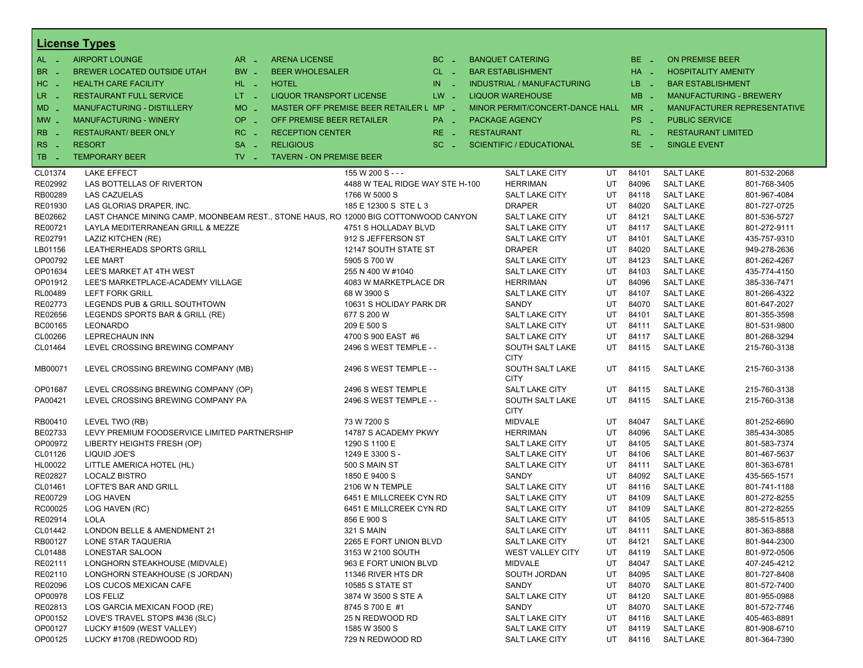|                          | <b>License Types</b>                                                                |                   |                                         |                                 |                                   |    |             |                            |                                |
|--------------------------|-------------------------------------------------------------------------------------|-------------------|-----------------------------------------|---------------------------------|-----------------------------------|----|-------------|----------------------------|--------------------------------|
| $AL -$                   | <b>AIRPORT LOUNGE</b>                                                               | $AR -$            | <b>ARENA LICENSE</b>                    | $BC -$                          | <b>BANQUET CATERING</b>           |    | $BE -$      | <b>ON PREMISE BEER</b>     |                                |
| BR<br>- 4                | BREWER LOCATED OUTSIDE UTAH                                                         | BW _              | <b>BEER WHOLESALER</b>                  | $CL$ $-$                        | <b>BAR ESTABLISHMENT</b>          |    | $HA$ $-$    | <b>HOSPITALITY AMENITY</b> |                                |
| H <sub>C</sub><br>- 4    | <b>HEALTH CARE FACILITY</b>                                                         | HL L              | <b>HOTEL</b>                            | IN.<br>$\sim$                   | <b>INDUSTRIAL / MANUFACTURING</b> |    | LB _        | <b>BAR ESTABLISHMENT</b>   |                                |
| LR.<br>- 4               | <b>RESTAURANT FULL SERVICE</b>                                                      | $LT = 1$          | <b>LIQUOR TRANSPORT LICENSE</b>         | $LW -$                          | <b>LIQUOR WAREHOUSE</b>           |    | $MB -$      |                            | <b>MANUFACTURING - BREWERY</b> |
| $MD -$                   | MANUFACTURING - DISTILLERY                                                          | <b>MO</b><br>i al | MASTER OFF PREMISE BEER RETAILER L MP - |                                 | MINOR PERMIT/CONCERT-DANCE HALL   |    | $MR -$      |                            | MANUFACTURER REPRESENTATIVE    |
|                          | <b>MANUFACTURING - WINERY</b>                                                       | <b>OP</b>         | OFF PREMISE BEER RETAILER               |                                 | <b>PACKAGE AGENCY</b>             |    | PS _        | <b>PUBLIC SERVICE</b>      |                                |
| $MW_{-}$                 |                                                                                     | i al              |                                         | PA _                            |                                   |    |             |                            |                                |
| <b>RB</b>                | <b>RESTAURANT/ BEER ONLY</b>                                                        | $RC -$            | <b>RECEPTION CENTER</b>                 | $RE -$                          | <b>RESTAURANT</b>                 |    | $RL - 1$    | <b>RESTAURANT LIMITED</b>  |                                |
| R <sub>S</sub><br>$\sim$ | <b>RESORT</b>                                                                       | <b>SA</b><br>п.   | <b>RELIGIOUS</b>                        | $SC =$                          | <b>SCIENTIFIC / EDUCATIONAL</b>   |    | SE.<br>- 20 | <b>SINGLE EVENT</b>        |                                |
| TB<br>- 4                | <b>TEMPORARY BEER</b>                                                               | $TV -$            | <b>TAVERN - ON PREMISE BEER</b>         |                                 |                                   |    |             |                            |                                |
| CL01374                  | <b>LAKE EFFECT</b>                                                                  |                   | 155 W 200 S - - -                       |                                 | <b>SALT LAKE CITY</b>             | UT | 84101       | <b>SALT LAKE</b>           | 801-532-2068                   |
| RE02992                  | LAS BOTTELLAS OF RIVERTON                                                           |                   |                                         | 4488 W TEAL RIDGE WAY STE H-100 | <b>HERRIMAN</b>                   | UT | 84096       | <b>SALT LAKE</b>           | 801-768-3405                   |
| RB00289                  | <b>LAS CAZUELAS</b>                                                                 |                   | 1766 W 5000 S                           |                                 | <b>SALT LAKE CITY</b>             | UT | 84118       | <b>SALT LAKE</b>           | 801-967-4084                   |
| RE01930                  | LAS GLORIAS DRAPER, INC.                                                            |                   |                                         | 185 E 12300 S STE L 3           | <b>DRAPER</b>                     | UT | 84020       | <b>SALT LAKE</b>           | 801-727-0725                   |
| BE02662                  | LAST CHANCE MINING CAMP, MOONBEAM REST., STONE HAUS, RO 12000 BIG COTTONWOOD CANYON |                   |                                         |                                 | <b>SALT LAKE CITY</b>             | UT | 84121       | <b>SALT LAKE</b>           | 801-536-5727                   |
| RE00721                  | LAYLA MEDITERRANEAN GRILL & MEZZE                                                   |                   |                                         | 4751 S HOLLADAY BLVD            | <b>SALT LAKE CITY</b>             | UT | 84117       | <b>SALT LAKE</b>           | 801-272-9111                   |
| RE02791                  | LAZIZ KITCHEN (RE)                                                                  |                   | 912 S JEFFERSON ST                      |                                 | <b>SALT LAKE CITY</b>             | UT | 84101       | <b>SALT LAKE</b>           | 435-757-9310                   |
| LB01156                  | LEATHERHEADS SPORTS GRILL                                                           |                   |                                         | 12147 SOUTH STATE ST            | <b>DRAPER</b>                     | UT | 84020       | <b>SALT LAKE</b>           | 949-278-2636                   |
| OP00792                  | <b>LEE MART</b>                                                                     |                   | 5905 S 700 W                            |                                 | SALT LAKE CITY                    | UT | 84123       | <b>SALT LAKE</b>           | 801-262-4267                   |
| OP01634                  | LEE'S MARKET AT 4TH WEST                                                            |                   | 255 N 400 W #1040                       |                                 | <b>SALT LAKE CITY</b>             | UT | 84103       | <b>SALT LAKE</b>           | 435-774-4150                   |
| OP01912                  | LEE'S MARKETPLACE-ACADEMY VILLAGE                                                   |                   |                                         | 4083 W MARKETPLACE DR           | <b>HERRIMAN</b>                   | UT | 84096       | <b>SALT LAKE</b>           | 385-336-7471                   |
| RL00489                  | <b>LEFT FORK GRILL</b>                                                              |                   | 68 W 3900 S                             |                                 | <b>SALT LAKE CITY</b>             | UT | 84107       | <b>SALT LAKE</b>           | 801-266-4322                   |
| RE02773                  | LEGENDS PUB & GRILL SOUTHTOWN                                                       |                   |                                         | 10631 S HOLIDAY PARK DR         | SANDY                             | UT | 84070       | <b>SALT LAKE</b>           | 801-647-2027                   |
| RE02656                  | LEGENDS SPORTS BAR & GRILL (RE)                                                     |                   | 677 S 200 W                             |                                 | <b>SALT LAKE CITY</b>             | UT | 84101       | <b>SALT LAKE</b>           | 801-355-3598                   |
| BC00165                  | LEONARDO                                                                            |                   | 209 E 500 S                             |                                 | <b>SALT LAKE CITY</b>             | UT | 84111       | <b>SALT LAKE</b>           | 801-531-9800                   |
| CL00266                  | <b>LEPRECHAUN INN</b>                                                               |                   | 4700 S 900 EAST #6                      |                                 | <b>SALT LAKE CITY</b>             | UT | 84117       | <b>SALT LAKE</b>           | 801-268-3294                   |
| CL01464                  | LEVEL CROSSING BREWING COMPANY                                                      |                   |                                         | 2496 S WEST TEMPLE - -          | SOUTH SALT LAKE                   | UT | 84115       | <b>SALT LAKE</b>           | 215-760-3138                   |
|                          |                                                                                     |                   |                                         |                                 | <b>CITY</b>                       |    |             |                            |                                |
| MB00071                  | LEVEL CROSSING BREWING COMPANY (MB)                                                 |                   |                                         | 2496 S WEST TEMPLE - -          | SOUTH SALT LAKE<br><b>CITY</b>    | UT | 84115       | <b>SALT LAKE</b>           | 215-760-3138                   |
| OP01687                  | LEVEL CROSSING BREWING COMPANY (OP)                                                 |                   |                                         | 2496 S WEST TEMPLE              | SALT LAKE CITY                    | UT | 84115       | <b>SALT LAKE</b>           | 215-760-3138                   |
| PA00421                  | LEVEL CROSSING BREWING COMPANY PA                                                   |                   |                                         | 2496 S WEST TEMPLE - -          | SOUTH SALT LAKE                   | UT | 84115       | <b>SALT LAKE</b>           | 215-760-3138                   |
|                          |                                                                                     |                   |                                         |                                 | <b>CITY</b>                       |    |             |                            |                                |
| RB00410                  | LEVEL TWO (RB)                                                                      |                   | 73 W 7200 S                             |                                 | <b>MIDVALE</b>                    | UT | 84047       | <b>SALT LAKE</b>           | 801-252-6690                   |
| BE02733                  | LEVY PREMIUM FOODSERVICE LIMITED PARTNERSHIP                                        |                   |                                         | 14787 S ACADEMY PKWY            | <b>HERRIMAN</b>                   | UT | 84096       | <b>SALT LAKE</b>           | 385-434-3085                   |
| OP00972                  | LIBERTY HEIGHTS FRESH (OP)                                                          |                   | 1290 S 1100 E                           |                                 | <b>SALT LAKE CITY</b>             | UT | 84105       | <b>SALT LAKE</b>           | 801-583-7374                   |
| CL01126                  | LIQUID JOE'S                                                                        |                   | 1249 E 3300 S -                         |                                 | <b>SALT LAKE CITY</b>             | UT | 84106       | <b>SALT LAKE</b>           | 801-467-5637                   |
| HL00022                  | LITTLE AMERICA HOTEL (HL)                                                           |                   | 500 S MAIN ST                           |                                 | <b>SALT LAKE CITY</b>             | UT | 84111       | <b>SALT LAKE</b>           | 801-363-6781                   |
| RE02827                  | <b>LOCALZ BISTRO</b>                                                                |                   | 1850 E 9400 S                           |                                 | SANDY                             | UT | 84092       | <b>SALT LAKE</b>           | 435-565-1571                   |
| CL01461                  | LOFTE'S BAR AND GRILL                                                               |                   | 2106 W N TEMPLE                         |                                 | <b>SALT LAKE CITY</b>             | UT | 84116       | <b>SALT LAKE</b>           | 801-741-1188                   |
| RE00729                  | <b>LOG HAVEN</b>                                                                    |                   |                                         | 6451 E MILLCREEK CYN RD         | <b>SALT LAKE CITY</b>             | UT | 84109       | <b>SALT LAKE</b>           | 801-272-8255                   |
| RC00025                  | LOG HAVEN (RC)                                                                      |                   |                                         | 6451 E MILLCREEK CYN RD         | <b>SALT LAKE CITY</b>             | UT | 84109       | <b>SALT LAKE</b>           | 801-272-8255                   |
| RE02914                  | <b>LOLA</b>                                                                         |                   | 856 E 900 S                             |                                 | <b>SALT LAKE CITY</b>             | UT | 84105       | <b>SALT LAKE</b>           | 385-515-8513                   |
| CL01442                  | LONDON BELLE & AMENDMENT 21                                                         |                   | 321 S MAIN                              |                                 | SALT LAKE CITY                    | UT | 84111       | <b>SALT LAKE</b>           | 801-363-8888                   |
| RB00127                  | LONE STAR TAQUERIA                                                                  |                   |                                         | 2265 E FORT UNION BLVD          | <b>SALT LAKE CITY</b>             | UT | 84121       | <b>SALT LAKE</b>           | 801-944-2300                   |
| CL01488                  | LONESTAR SALOON                                                                     |                   | 3153 W 2100 SOUTH                       |                                 | <b>WEST VALLEY CITY</b>           | UT | 84119       | <b>SALT LAKE</b>           | 801-972-0506                   |
| RE02111                  | LONGHORN STEAKHOUSE (MIDVALE)                                                       |                   |                                         | 963 E FORT UNION BLVD           | <b>MIDVALE</b>                    | UT | 84047       | <b>SALT LAKE</b>           | 407-245-4212                   |
| RE02110                  | LONGHORN STEAKHOUSE (S JORDAN)                                                      |                   | 11346 RIVER HTS DR                      |                                 | SOUTH JORDAN                      | UT | 84095       | <b>SALT LAKE</b>           | 801-727-8408                   |
| RE02096                  | LOS CUCOS MEXICAN CAFE                                                              |                   | 10585 S STATE ST                        |                                 | SANDY                             | UT | 84070       | <b>SALT LAKE</b>           | 801-572-7400                   |
| OP00978                  | LOS FELIZ                                                                           |                   | 3874 W 3500 S STE A                     |                                 | <b>SALT LAKE CITY</b>             | UT | 84120       | <b>SALT LAKE</b>           | 801-955-0988                   |
| RE02813                  | LOS GARCIA MEXICAN FOOD (RE)                                                        |                   | 8745 S 700 E #1                         |                                 | SANDY                             | UT | 84070       | <b>SALT LAKE</b>           | 801-572-7746                   |
| OP00152                  | LOVE'S TRAVEL STOPS #436 (SLC)                                                      |                   | 25 N REDWOOD RD                         |                                 | <b>SALT LAKE CITY</b>             | UT | 84116       | <b>SALT LAKE</b>           | 405-463-8891                   |
| OP00127                  | LUCKY #1509 (WEST VALLEY)                                                           |                   | 1585 W 3500 S                           |                                 | <b>SALT LAKE CITY</b>             | UT | 84119       | <b>SALT LAKE</b>           | 801-908-6710                   |
| OP00125                  | LUCKY #1708 (REDWOOD RD)                                                            |                   | 729 N REDWOOD RD                        |                                 | <b>SALT LAKE CITY</b>             | UT | 84116       | <b>SALT LAKE</b>           | 801-364-7390                   |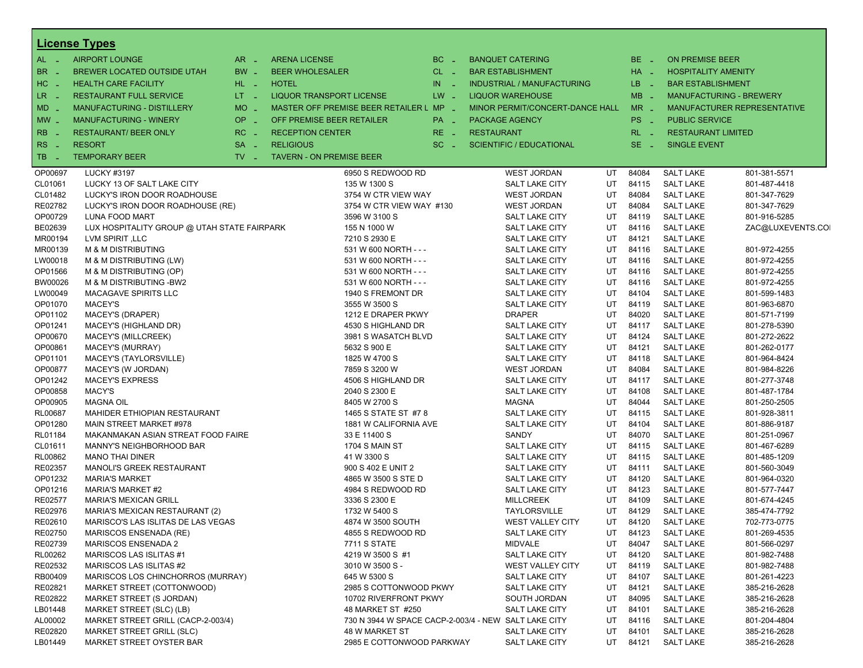|                             | <b>License Types</b>                                           |                               |                                                      |               |                   |                                   |          |                |                                      |                              |
|-----------------------------|----------------------------------------------------------------|-------------------------------|------------------------------------------------------|---------------|-------------------|-----------------------------------|----------|----------------|--------------------------------------|------------------------------|
| AL _                        | <b>AIRPORT LOUNGE</b>                                          | $AR -$                        | <b>ARENA LICENSE</b>                                 | BC<br>$\sim$  |                   | <b>BANQUET CATERING</b>           |          | BE.<br>- 4     | <b>ON PREMISE BEER</b>               |                              |
| <b>BR</b><br><b>College</b> | <b>BREWER LOCATED OUTSIDE UTAH</b>                             | BW _                          | <b>BEER WHOLESALER</b>                               | $CL$ $-$      |                   | <b>BAR ESTABLISHMENT</b>          |          | HA _           | <b>HOSPITALITY AMENITY</b>           |                              |
| HC.<br>$\sim$               | <b>HEALTH CARE FACILITY</b>                                    | HL L                          | <b>HOTEL</b>                                         | IN<br>in 1    |                   | <b>INDUSTRIAL / MANUFACTURING</b> |          | LB _           | <b>BAR ESTABLISHMENT</b>             |                              |
| LR _                        | <b>RESTAURANT FULL SERVICE</b>                                 | $LT = 1$                      | <b>LIQUOR TRANSPORT LICENSE</b>                      | $LW -$        |                   | <b>LIQUOR WAREHOUSE</b>           |          | $MB -$         | <b>MANUFACTURING - BREWERY</b>       |                              |
| <b>MD</b>                   | <b>MANUFACTURING - DISTILLERY</b>                              | MO _                          | MASTER OFF PREMISE BEER RETAILER L MP _              |               |                   | MINOR PERMIT/CONCERT-DANCE HALL   |          | $MR -$         | MANUFACTURER REPRESENTATIVE          |                              |
| $MW_{-}$                    | <b>MANUFACTURING - WINERY</b>                                  | OP _                          | OFF PREMISE BEER RETAILER                            | PA _          |                   | <b>PACKAGE AGENCY</b>             |          | PS.<br>- 4     | <b>PUBLIC SERVICE</b>                |                              |
| <b>RB</b>                   | <b>RESTAURANT/ BEER ONLY</b>                                   | $RC -$                        | <b>RECEPTION CENTER</b>                              | RE.<br>$\sim$ | <b>RESTAURANT</b> |                                   |          | $RL - 1$       | <b>RESTAURANT LIMITED</b>            |                              |
| <b>RS</b>                   | <b>RESORT</b>                                                  | $SA -$                        | <b>RELIGIOUS</b>                                     | $SC -$        |                   | <b>SCIENTIFIC / EDUCATIONAL</b>   |          | SE.<br>- 4     | <b>SINGLE EVENT</b>                  |                              |
| <b>College</b><br>TB.       | <b>TEMPORARY BEER</b>                                          | $TV$ $\overline{\phantom{0}}$ | <b>TAVERN - ON PREMISE BEER</b>                      |               |                   |                                   |          |                |                                      |                              |
| - 4                         |                                                                |                               |                                                      |               |                   |                                   |          |                |                                      |                              |
| OP00697                     | <b>LUCKY #3197</b>                                             |                               | 6950 S REDWOOD RD                                    |               |                   | <b>WEST JORDAN</b>                | UT       | 84084          | <b>SALT LAKE</b>                     | 801-381-5571                 |
| CL01061                     | LUCKY 13 OF SALT LAKE CITY                                     |                               | 135 W 1300 S                                         |               |                   | SALT LAKE CITY                    | UT       | 84115          | <b>SALT LAKE</b>                     | 801-487-4418                 |
| CL01482                     | LUCKY'S IRON DOOR ROADHOUSE                                    |                               | 3754 W CTR VIEW WAY                                  |               |                   | <b>WEST JORDAN</b>                | UT       | 84084          | <b>SALT LAKE</b>                     | 801-347-7629                 |
| RE02782                     | LUCKY'S IRON DOOR ROADHOUSE (RE)                               |                               | 3754 W CTR VIEW WAY #130                             |               |                   | <b>WEST JORDAN</b>                | UT       | 84084          | <b>SALT LAKE</b>                     | 801-347-7629                 |
| OP00729                     | LUNA FOOD MART                                                 |                               | 3596 W 3100 S<br>155 N 1000 W                        |               |                   | SALT LAKE CITY<br>SALT LAKE CITY  | UT<br>UT | 84119<br>84116 | <b>SALT LAKE</b><br><b>SALT LAKE</b> | 801-916-5285                 |
| BE02639<br>MR00194          | LUX HOSPITALITY GROUP @ UTAH STATE FAIRPARK<br>LVM SPIRIT, LLC |                               | 7210 S 2930 E                                        |               |                   | SALT LAKE CITY                    | UT       | 84121          | <b>SALT LAKE</b>                     | ZAC@LUXEVENTS.COI            |
| MR00139                     | M & M DISTRIBUTING                                             |                               | 531 W 600 NORTH - - -                                |               |                   | SALT LAKE CITY                    | UT       | 84116          | <b>SALT LAKE</b>                     | 801-972-4255                 |
| LW00018                     | M & M DISTRIBUTING (LW)                                        |                               | 531 W 600 NORTH - - -                                |               |                   | <b>SALT LAKE CITY</b>             | UT       | 84116          | <b>SALT LAKE</b>                     | 801-972-4255                 |
| OP01566                     | M & M DISTRIBUTING (OP)                                        |                               | 531 W 600 NORTH - - -                                |               |                   | SALT LAKE CITY                    | UT       | 84116          | <b>SALT LAKE</b>                     | 801-972-4255                 |
| BW00026                     | M & M DISTRIBUTING -BW2                                        |                               | 531 W 600 NORTH - - -                                |               |                   | SALT LAKE CITY                    | UT       | 84116          | <b>SALT LAKE</b>                     | 801-972-4255                 |
| LW00049                     | <b>MACAGAVE SPIRITS LLC</b>                                    |                               | 1940 S FREMONT DR                                    |               |                   | SALT LAKE CITY                    | UT       | 84104          | <b>SALT LAKE</b>                     | 801-599-1483                 |
| OP01070                     | MACEY'S                                                        |                               | 3555 W 3500 S                                        |               |                   | <b>SALT LAKE CITY</b>             | UT       | 84119          | <b>SALT LAKE</b>                     | 801-963-6870                 |
| OP01102                     | MACEY'S (DRAPER)                                               |                               | 1212 E DRAPER PKWY                                   |               |                   | <b>DRAPER</b>                     | UT       | 84020          | <b>SALT LAKE</b>                     | 801-571-7199                 |
| OP01241                     | MACEY'S (HIGHLAND DR)                                          |                               | 4530 S HIGHLAND DR                                   |               |                   | SALT LAKE CITY                    | UT       | 84117          | <b>SALT LAKE</b>                     | 801-278-5390                 |
| OP00670                     | MACEY'S (MILLCREEK)                                            |                               | 3981 S WASATCH BLVD                                  |               |                   | SALT LAKE CITY                    | UT       | 84124          | <b>SALT LAKE</b>                     | 801-272-2622                 |
| OP00861                     | MACEY'S (MURRAY)                                               |                               | 5632 S 900 E                                         |               |                   | SALT LAKE CITY                    | UT       | 84121          | <b>SALT LAKE</b>                     | 801-262-0177                 |
| OP01101                     | MACEY'S (TAYLORSVILLE)                                         |                               | 1825 W 4700 S                                        |               |                   | SALT LAKE CITY                    | UT       | 84118          | <b>SALT LAKE</b>                     | 801-964-8424                 |
| OP00877                     | MACEY'S (W JORDAN)                                             |                               | 7859 S 3200 W                                        |               |                   | <b>WEST JORDAN</b>                | UT       | 84084          | <b>SALT LAKE</b>                     | 801-984-8226                 |
| OP01242                     | <b>MACEY'S EXPRESS</b>                                         |                               | 4506 S HIGHLAND DR                                   |               |                   | SALT LAKE CITY                    | UT       | 84117          | <b>SALT LAKE</b>                     | 801-277-3748                 |
| OP00858                     | MACY'S                                                         |                               | 2040 S 2300 E                                        |               |                   | SALT LAKE CITY                    | UT       | 84108          | <b>SALT LAKE</b>                     | 801-487-1784                 |
| OP00905                     | <b>MAGNA OIL</b>                                               |                               | 8405 W 2700 S                                        |               |                   | <b>MAGNA</b>                      | UT       | 84044          | <b>SALT LAKE</b>                     | 801-250-2505                 |
| RL00687                     | MAHIDER ETHIOPIAN RESTAURANT                                   |                               | 1465 S STATE ST #7 8                                 |               |                   | <b>SALT LAKE CITY</b>             | UT       | 84115          | <b>SALT LAKE</b>                     | 801-928-3811                 |
| OP01280                     | MAIN STREET MARKET #978                                        |                               | 1881 W CALIFORNIA AVE                                |               |                   | SALT LAKE CITY                    | UT       | 84104          | <b>SALT LAKE</b>                     | 801-886-9187                 |
| RL01184                     | MAKANMAKAN ASIAN STREAT FOOD FAIRE                             |                               | 33 E 11400 S                                         |               |                   | SANDY                             | UT       | 84070          | <b>SALT LAKE</b>                     | 801-251-0967                 |
| CL01611                     | MANNY'S NEIGHBORHOOD BAR                                       |                               | 1704 S MAIN ST<br>41 W 3300 S                        |               |                   | SALT LAKE CITY<br>SALT LAKE CITY  | UT<br>UT | 84115<br>84115 | <b>SALT LAKE</b><br><b>SALT LAKE</b> | 801-467-6289<br>801-485-1209 |
| RL00862<br>RE02357          | <b>MANO THAI DINER</b><br>MANOLI'S GREEK RESTAURANT            |                               | 900 S 402 E UNIT 2                                   |               |                   | SALT LAKE CITY                    | UT       | 84111          | <b>SALT LAKE</b>                     | 801-560-3049                 |
| OP01232                     | <b>MARIA'S MARKET</b>                                          |                               | 4865 W 3500 S STE D                                  |               |                   | SALT LAKE CITY                    | UT       | 84120          | <b>SALT LAKE</b>                     | 801-964-0320                 |
| OP01216                     | <b>MARIA'S MARKET #2</b>                                       |                               | 4984 S REDWOOD RD                                    |               |                   | SALT LAKE CITY                    | UT       | 84123          | <b>SALT LAKE</b>                     | 801-577-7447                 |
| RE02577                     | <b>MARIA'S MEXICAN GRILL</b>                                   |                               | 3336 S 2300 E                                        |               |                   | <b>MILLCREEK</b>                  | UT       | 84109          | <b>SALT LAKE</b>                     | 801-674-4245                 |
| RE02976                     | MARIA'S MEXICAN RESTAURANT (2)                                 |                               | 1732 W 5400 S                                        |               |                   | <b>TAYLORSVILLE</b>               | UT       | 84129          | <b>SALT LAKE</b>                     | 385-474-7792                 |
| RE02610                     | MARISCO'S LAS ISLITAS DE LAS VEGAS                             |                               | 4874 W 3500 SOUTH                                    |               |                   | <b>WEST VALLEY CITY</b>           | UT       | 84120          | <b>SALT LAKE</b>                     | 702-773-0775                 |
| RE02750                     | MARISCOS ENSENADA (RE)                                         |                               | 4855 S REDWOOD RD                                    |               |                   | SALT LAKE CITY                    | UT       | 84123          | <b>SALT LAKE</b>                     | 801-269-4535                 |
| RE02739                     | <b>MARISCOS ENSENADA 2</b>                                     |                               | 7711 S STATE                                         |               |                   | MIDVALE                           | UT       | 84047          | <b>SALT LAKE</b>                     | 801-566-0297                 |
| RL00262                     | <b>MARISCOS LAS ISLITAS #1</b>                                 |                               | 4219 W 3500 S #1                                     |               |                   | SALT LAKE CITY                    | UT       | 84120          | <b>SALT LAKE</b>                     | 801-982-7488                 |
| RE02532                     | MARISCOS LAS ISLITAS #2                                        |                               | 3010 W 3500 S -                                      |               |                   | WEST VALLEY CITY                  | UT       | 84119          | <b>SALT LAKE</b>                     | 801-982-7488                 |
| RB00409                     | MARISCOS LOS CHINCHORROS (MURRAY)                              |                               | 645 W 5300 S                                         |               |                   | SALT LAKE CITY                    | UT       | 84107          | <b>SALT LAKE</b>                     | 801-261-4223                 |
| RE02821                     | MARKET STREET (COTTONWOOD)                                     |                               | 2985 S COTTONWOOD PKWY                               |               |                   | SALT LAKE CITY                    | UT       | 84121          | <b>SALT LAKE</b>                     | 385-216-2628                 |
| RE02822                     | MARKET STREET (S JORDAN)                                       |                               | 10702 RIVERFRONT PKWY                                |               |                   | SOUTH JORDAN                      | UT       | 84095          | <b>SALT LAKE</b>                     | 385-216-2628                 |
| LB01448                     | MARKET STREET (SLC) (LB)                                       |                               | 48 MARKET ST #250                                    |               |                   | SALT LAKE CITY                    | UT       | 84101          | <b>SALT LAKE</b>                     | 385-216-2628                 |
| AL00002                     | MARKET STREET GRILL (CACP-2-003/4)                             |                               | 730 N 3944 W SPACE CACP-2-003/4 - NEW SALT LAKE CITY |               |                   |                                   | UT       | 84116          | <b>SALT LAKE</b>                     | 801-204-4804                 |
| RE02820                     | <b>MARKET STREET GRILL (SLC)</b>                               |                               | <b>48 W MARKET ST</b>                                |               |                   | SALT LAKE CITY                    | UT       | 84101          | <b>SALT LAKE</b>                     | 385-216-2628                 |
| LB01449                     | MARKET STREET OYSTER BAR                                       |                               | 2985 E COTTONWOOD PARKWAY                            |               |                   | <b>SALT LAKE CITY</b>             | UT       | 84121          | <b>SALT LAKE</b>                     | 385-216-2628                 |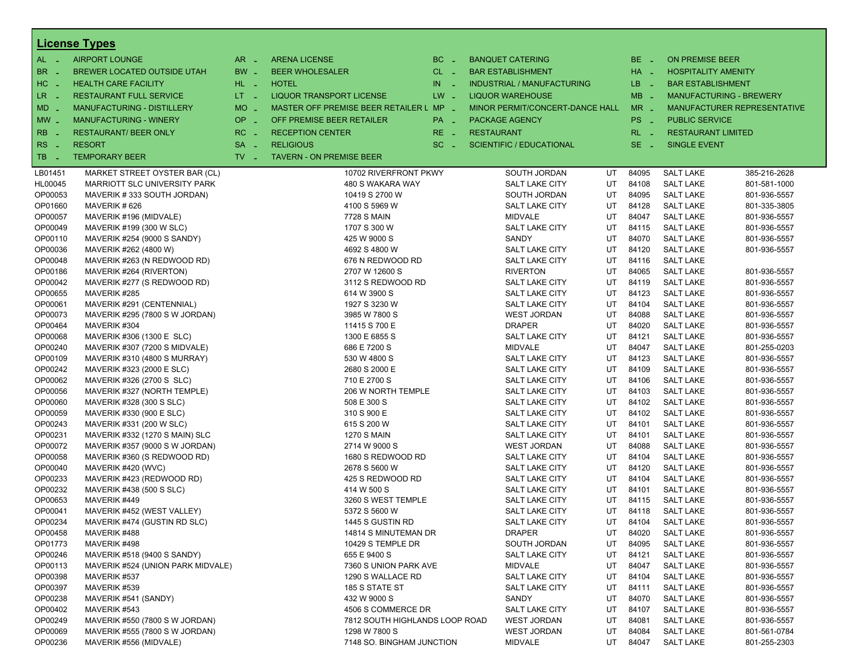|                       | <b>License Types</b>              |                     |                                         |           |                                   |    |                 |                                      |                                |
|-----------------------|-----------------------------------|---------------------|-----------------------------------------|-----------|-----------------------------------|----|-----------------|--------------------------------------|--------------------------------|
| $AL -$                | <b>AIRPORT LOUNGE</b>             | $AR -$              | <b>ARENA LICENSE</b>                    | $BC =$    | <b>BANQUET CATERING</b>           |    | BE _            | <b>ON PREMISE BEER</b>               |                                |
| BR<br>- 4             | BREWER LOCATED OUTSIDE UTAH       | BW _                | <b>BEER WHOLESALER</b>                  | $CL$ $-$  | <b>BAR ESTABLISHMENT</b>          |    | HA _            | <b>HOSPITALITY AMENITY</b>           |                                |
| H <sub>C</sub><br>- 4 | <b>HEALTH CARE FACILITY</b>       | HL L                | <b>HOTEL</b>                            | IN<br>- 2 | <b>INDUSTRIAL / MANUFACTURING</b> |    | LB _            | <b>BAR ESTABLISHMENT</b>             |                                |
| LR.<br>- 4            | <b>RESTAURANT FULL SERVICE</b>    | $LT - 1$            | LIQUOR TRANSPORT LICENSE                | $LW -$    | <b>LIQUOR WAREHOUSE</b>           |    | $MB -$          |                                      | <b>MANUFACTURING - BREWERY</b> |
| $MD -$                | <b>MANUFACTURING - DISTILLERY</b> | <b>MO</b><br>$\sim$ | MASTER OFF PREMISE BEER RETAILER L MP _ |           | MINOR PERMIT/CONCERT-DANCE HALL   |    | $MR -$          |                                      | MANUFACTURER REPRESENTATIVE    |
|                       |                                   | OP                  |                                         |           |                                   |    |                 |                                      |                                |
| $MW$ $-$              | <b>MANUFACTURING - WINERY</b>     | $\sim$              | OFF PREMISE BEER RETAILER               | PA _      | <b>PACKAGE AGENCY</b>             |    | PS <sub>-</sub> | <b>PUBLIC SERVICE</b>                |                                |
| <b>RB</b>             | <b>RESTAURANT/ BEER ONLY</b>      | RC.<br>$\sim$       | <b>RECEPTION CENTER</b>                 | $RE -$    | <b>RESTAURANT</b>                 |    | $RL - 1$        | <b>RESTAURANT LIMITED</b>            |                                |
| RS<br>- 4             | <b>RESORT</b>                     | <b>SA</b>           | <b>RELIGIOUS</b>                        | $SC =$    | <b>SCIENTIFIC / EDUCATIONAL</b>   |    | $SE -$          | <b>SINGLE EVENT</b>                  |                                |
| TB<br>- 4             | <b>TEMPORARY BEER</b>             | $TV$ $-$            | <b>TAVERN - ON PREMISE BEER</b>         |           |                                   |    |                 |                                      |                                |
| LB01451               | MARKET STREET OYSTER BAR (CL)     |                     | 10702 RIVERFRONT PKWY                   |           | SOUTH JORDAN                      | UT | 84095           | <b>SALT LAKE</b>                     | 385-216-2628                   |
| HL00045               | MARRIOTT SLC UNIVERSITY PARK      |                     | 480 S WAKARA WAY                        |           | SALT LAKE CITY                    | UT | 84108           | <b>SALT LAKE</b>                     | 801-581-1000                   |
| OP00053               | MAVERIK #333 SOUTH JORDAN)        |                     | 10419 S 2700 W                          |           | SOUTH JORDAN                      | UT | 84095           | <b>SALT LAKE</b>                     | 801-936-5557                   |
| OP01660               | MAVERIK #626                      |                     | 4100 S 5969 W                           |           | <b>SALT LAKE CITY</b>             | UT | 84128           | <b>SALT LAKE</b>                     | 801-335-3805                   |
| OP00057               | MAVERIK #196 (MIDVALE)            |                     | 7728 S MAIN                             |           | <b>MIDVALE</b>                    | UT | 84047           | <b>SALT LAKE</b>                     | 801-936-5557                   |
| OP00049               | MAVERIK #199 (300 W SLC)          |                     | 1707 S 300 W                            |           | <b>SALT LAKE CITY</b>             | UT | 84115           | <b>SALT LAKE</b>                     | 801-936-5557                   |
| OP00110               | MAVERIK #254 (9000 S SANDY)       |                     | 425 W 9000 S                            |           | SANDY                             | UT | 84070           | <b>SALT LAKE</b>                     | 801-936-5557                   |
| OP00036               | MAVERIK #262 (4800 W)             |                     | 4692 S 4800 W                           |           | SALT LAKE CITY                    | UT | 84120           | <b>SALT LAKE</b>                     | 801-936-5557                   |
| OP00048               | MAVERIK #263 (N REDWOOD RD)       |                     | 676 N REDWOOD RD                        |           | <b>SALT LAKE CITY</b>             | UT | 84116           | <b>SALT LAKE</b>                     |                                |
| OP00186               | MAVERIK #264 (RIVERTON)           |                     | 2707 W 12600 S                          |           | <b>RIVERTON</b>                   | UT | 84065           | <b>SALT LAKE</b>                     | 801-936-5557                   |
| OP00042               | MAVERIK #277 (S REDWOOD RD)       |                     | 3112 S REDWOOD RD                       |           | <b>SALT LAKE CITY</b>             | UT | 84119           | <b>SALT LAKE</b>                     | 801-936-5557                   |
| OP00655               | MAVERIK #285                      |                     | 614 W 3900 S                            |           | SALT LAKE CITY                    | UT | 84123           | <b>SALT LAKE</b>                     | 801-936-5557                   |
| OP00061               | MAVERIK #291 (CENTENNIAL)         |                     | 1927 S 3230 W                           |           | <b>SALT LAKE CITY</b>             | UT | 84104           | <b>SALT LAKE</b>                     | 801-936-5557                   |
| OP00073               | MAVERIK #295 (7800 S W JORDAN)    |                     | 3985 W 7800 S                           |           | <b>WEST JORDAN</b>                | UT | 84088           | <b>SALT LAKE</b>                     | 801-936-5557                   |
| OP00464               | MAVERIK #304                      |                     | 11415 S 700 E                           |           | <b>DRAPER</b>                     | UT | 84020           | <b>SALT LAKE</b>                     | 801-936-5557                   |
| OP00068               | MAVERIK #306 (1300 E SLC)         |                     | 1300 E 6855 S                           |           | <b>SALT LAKE CITY</b>             | UT | 84121           | <b>SALT LAKE</b>                     | 801-936-5557                   |
| OP00240               | MAVERIK #307 (7200 S MIDVALE)     |                     | 686 E 7200 S                            |           | <b>MIDVALE</b>                    | UT | 84047           | <b>SALT LAKE</b>                     | 801-255-0203                   |
| OP00109               | MAVERIK #310 (4800 S MURRAY)      |                     | 530 W 4800 S                            |           | <b>SALT LAKE CITY</b>             | UT | 84123           | <b>SALT LAKE</b>                     | 801-936-5557                   |
| OP00242               | MAVERIK #323 (2000 E SLC)         |                     | 2680 S 2000 E                           |           | <b>SALT LAKE CITY</b>             | UT | 84109           | <b>SALT LAKE</b>                     | 801-936-5557                   |
| OP00062               | MAVERIK #326 (2700 S SLC)         |                     | 710 E 2700 S                            |           | SALT LAKE CITY                    | UT | 84106           | <b>SALT LAKE</b>                     | 801-936-5557                   |
| OP00056               | MAVERIK #327 (NORTH TEMPLE)       |                     | 206 W NORTH TEMPLE                      |           | <b>SALT LAKE CITY</b>             | UT | 84103           | <b>SALT LAKE</b>                     | 801-936-5557                   |
| OP00060               | MAVERIK #328 (300 S SLC)          |                     | 508 E 300 S                             |           | <b>SALT LAKE CITY</b>             | UT | 84102           | <b>SALT LAKE</b>                     | 801-936-5557                   |
| OP00059               | MAVERIK #330 (900 E SLC)          |                     | 310 S 900 E                             |           | <b>SALT LAKE CITY</b>             | UT | 84102           | <b>SALT LAKE</b>                     | 801-936-5557                   |
| OP00243               | MAVERIK #331 (200 W SLC)          |                     | 615 S 200 W                             |           | <b>SALT LAKE CITY</b>             | UT | 84101           | <b>SALT LAKE</b>                     | 801-936-5557                   |
| OP00231               | MAVERIK #332 (1270 S MAIN) SLC    |                     | <b>1270 S MAIN</b>                      |           | <b>SALT LAKE CITY</b>             | UT | 84101           | <b>SALT LAKE</b>                     | 801-936-5557                   |
| OP00072               | MAVERIK #357 (9000 S W JORDAN)    |                     | 2714 W 9000 S                           |           | <b>WEST JORDAN</b>                | UT | 84088           | <b>SALT LAKE</b>                     | 801-936-5557                   |
| OP00058               | MAVERIK #360 (S REDWOOD RD)       |                     | 1680 S REDWOOD RD                       |           | <b>SALT LAKE CITY</b>             | UT | 84104           | <b>SALT LAKE</b>                     | 801-936-5557                   |
| OP00040               | MAVERIK #420 (WVC)                |                     | 2678 S 5600 W                           |           | <b>SALT LAKE CITY</b>             | UT | 84120           | <b>SALT LAKE</b>                     | 801-936-5557                   |
| OP00233               | MAVERIK #423 (REDWOOD RD)         |                     | 425 S REDWOOD RD                        |           | <b>SALT LAKE CITY</b>             | UT | 84104           | <b>SALT LAKE</b>                     | 801-936-5557                   |
| OP00232               | MAVERIK #438 (500 S SLC)          |                     | 414 W 500 S                             |           | <b>SALT LAKE CITY</b>             | UT | 84101           | <b>SALT LAKE</b>                     | 801-936-5557                   |
| OP00653               | MAVERIK #449                      |                     | 3260 S WEST TEMPLE                      |           | <b>SALT LAKE CITY</b>             | UT | 84115           | <b>SALT LAKE</b>                     | 801-936-5557                   |
| OP00041               | MAVERIK #452 (WEST VALLEY)        |                     | 5372 S 5600 W                           |           | SALT LAKE CITY                    | UT | 84118           | <b>SALT LAKE</b>                     | 801-936-5557                   |
| OP00234               | MAVERIK #474 (GUSTIN RD SLC)      |                     | 1445 S GUSTIN RD                        |           | <b>SALT LAKE CITY</b>             | UT | 84104           | <b>SALT LAKE</b>                     | 801-936-5557                   |
| OP00458               | MAVERIK #488                      |                     | 14814 S MINUTEMAN DR                    |           | <b>DRAPER</b>                     | UT | 84020           | <b>SALT LAKE</b>                     | 801-936-5557                   |
| OP01773               | MAVERIK #498                      |                     | 10429 S TEMPLE DR                       |           | SOUTH JORDAN                      | UT | 84095           | <b>SALT LAKE</b>                     | 801-936-5557                   |
| OP00246               | MAVERIK #518 (9400 S SANDY)       |                     | 655 E 9400 S                            |           | SALT LAKE CITY                    | UT | 84121           | <b>SALT LAKE</b>                     | 801-936-5557                   |
| OP00113               | MAVERIK #524 (UNION PARK MIDVALE) |                     | 7360 S UNION PARK AVE                   |           | <b>MIDVALE</b>                    | UT | 84047           | <b>SALT LAKE</b>                     | 801-936-5557                   |
| OP00398               | MAVERIK #537                      |                     | 1290 S WALLACE RD                       |           | <b>SALT LAKE CITY</b>             | UT | 84104           | <b>SALT LAKE</b>                     | 801-936-5557                   |
| OP00397               | MAVERIK #539                      |                     | 185 S STATE ST                          |           | SALT LAKE CITY                    | UT | 84111           | <b>SALT LAKE</b>                     | 801-936-5557                   |
| OP00238               | MAVERIK #541 (SANDY)              |                     | 432 W 9000 S                            |           | SANDY                             | UT | 84070           | <b>SALT LAKE</b><br><b>SALT LAKE</b> | 801-936-5557                   |
| OP00402               | MAVERIK #543                      |                     | 4506 S COMMERCE DR                      |           | <b>SALT LAKE CITY</b>             | UT | 84107           |                                      | 801-936-5557                   |
| OP00249               | MAVERIK #550 (7800 S W JORDAN)    |                     | 7812 SOUTH HIGHLANDS LOOP ROAD          |           | <b>WEST JORDAN</b>                | UT | 84081           | <b>SALT LAKE</b>                     | 801-936-5557                   |
| OP00069               | MAVERIK #555 (7800 S W JORDAN)    |                     | 1298 W 7800 S                           |           | <b>WEST JORDAN</b>                | UT | 84084           | <b>SALT LAKE</b>                     | 801-561-0784                   |
| OP00236               | MAVERIK #556 (MIDVALE)            |                     | 7148 SO. BINGHAM JUNCTION               |           | MIDVALE                           | UT | 84047           | <b>SALT LAKE</b>                     | 801-255-2303                   |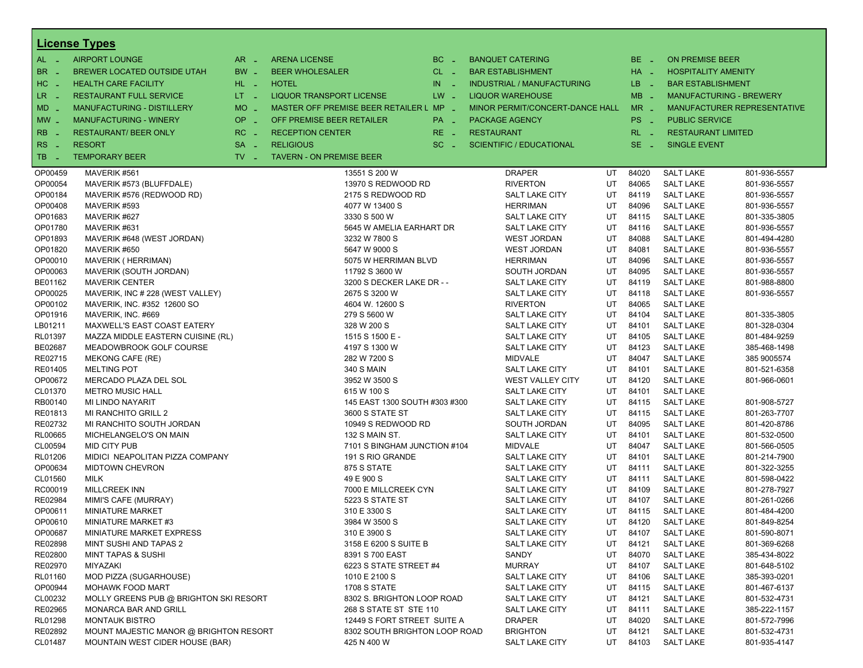|                       | <b>License Types</b>                   |                               |                                         |                   |                                   |    |             |                            |                                    |
|-----------------------|----------------------------------------|-------------------------------|-----------------------------------------|-------------------|-----------------------------------|----|-------------|----------------------------|------------------------------------|
| $AL -$                | <b>AIRPORT LOUNGE</b>                  | $AR -$                        | <b>ARENA LICENSE</b>                    | BC.<br>$\sim$     | <b>BANQUET CATERING</b>           |    | BE _        | <b>ON PREMISE BEER</b>     |                                    |
| BR<br>- 4             | BREWER LOCATED OUTSIDE UTAH            | BW _                          | <b>BEER WHOLESALER</b>                  | $CL$ $-$          | <b>BAR ESTABLISHMENT</b>          |    | $HA$ $-$    | <b>HOSPITALITY AMENITY</b> |                                    |
| H <sub>C</sub><br>- 4 | <b>HEALTH CARE FACILITY</b>            | HL L                          | <b>HOTEL</b>                            | IN.<br>$\sim$ $-$ | <b>INDUSTRIAL / MANUFACTURING</b> |    | LB.<br>- 20 | <b>BAR ESTABLISHMENT</b>   |                                    |
| LR.                   | <b>RESTAURANT FULL SERVICE</b>         | LT <sub>1</sub>               | <b>LIQUOR TRANSPORT LICENSE</b>         | $LW -$            | <b>LIQUOR WAREHOUSE</b>           |    | $MB -$      |                            | <b>MANUFACTURING - BREWERY</b>     |
| - 4                   |                                        |                               |                                         |                   |                                   |    |             |                            |                                    |
| $MD -$                | <b>MANUFACTURING - DISTILLERY</b>      | <b>MO</b><br>i Li             | MASTER OFF PREMISE BEER RETAILER L MP _ |                   | MINOR PERMIT/CONCERT-DANCE HALL   |    | $MR -$      |                            | <b>MANUFACTURER REPRESENTATIVE</b> |
| $MW$ $-$              | <b>MANUFACTURING - WINERY</b>          | <b>OP</b><br>i al             | OFF PREMISE BEER RETAILER               | $PA =$            | PACKAGE AGENCY                    |    | PS _        | <b>PUBLIC SERVICE</b>      |                                    |
| <b>RB</b>             | <b>RESTAURANT/ BEER ONLY</b>           | RC.                           | <b>RECEPTION CENTER</b>                 | RE.               | <b>RESTAURANT</b>                 |    | $RL - 1$    | <b>RESTAURANT LIMITED</b>  |                                    |
| R <sub>S</sub><br>- 4 | <b>RESORT</b>                          | <b>SA</b><br>$\sim$           | <b>RELIGIOUS</b>                        | SC.<br>- 4        | <b>SCIENTIFIC / EDUCATIONAL</b>   |    | $SE -$      | <b>SINGLE EVENT</b>        |                                    |
| TB<br>n a             | <b>TEMPORARY BEER</b>                  | $TV$ $\overline{\phantom{0}}$ | <b>TAVERN - ON PREMISE BEER</b>         |                   |                                   |    |             |                            |                                    |
| OP00459               | MAVERIK #561                           |                               | 13551 S 200 W                           |                   | <b>DRAPER</b>                     | UT | 84020       | <b>SALT LAKE</b>           | 801-936-5557                       |
| OP00054               | MAVERIK #573 (BLUFFDALE)               |                               | 13970 S REDWOOD RD                      |                   | <b>RIVERTON</b>                   | UT | 84065       | <b>SALT LAKE</b>           | 801-936-5557                       |
| OP00184               | MAVERIK #576 (REDWOOD RD)              |                               | 2175 S REDWOOD RD                       |                   | <b>SALT LAKE CITY</b>             | UT | 84119       | <b>SALT LAKE</b>           | 801-936-5557                       |
| OP00408               | MAVERIK #593                           |                               | 4077 W 13400 S                          |                   | <b>HERRIMAN</b>                   | UT | 84096       | <b>SALT LAKE</b>           | 801-936-5557                       |
| OP01683               | MAVERIK #627                           |                               | 3330 S 500 W                            |                   | <b>SALT LAKE CITY</b>             | UT | 84115       | <b>SALT LAKE</b>           | 801-335-3805                       |
| OP01780               | MAVERIK #631                           |                               | 5645 W AMELIA EARHART DR                |                   | <b>SALT LAKE CITY</b>             | UT | 84116       | <b>SALT LAKE</b>           | 801-936-5557                       |
| OP01893               | MAVERIK #648 (WEST JORDAN)             |                               | 3232 W 7800 S                           |                   | <b>WEST JORDAN</b>                | UT | 84088       | <b>SALT LAKE</b>           | 801-494-4280                       |
| OP01820               | MAVERIK #650                           |                               | 5647 W 9000 S                           |                   | <b>WEST JORDAN</b>                | UT | 84081       | <b>SALT LAKE</b>           | 801-936-5557                       |
| OP00010               | MAVERIK (HERRIMAN)                     |                               | 5075 W HERRIMAN BLVD                    |                   | <b>HERRIMAN</b>                   | UT | 84096       | <b>SALT LAKE</b>           | 801-936-5557                       |
| OP00063               | MAVERIK (SOUTH JORDAN)                 |                               | 11792 S 3600 W                          |                   | SOUTH JORDAN                      | UT | 84095       | <b>SALT LAKE</b>           | 801-936-5557                       |
| BE01162               | <b>MAVERIK CENTER</b>                  |                               | 3200 S DECKER LAKE DR - -               |                   | <b>SALT LAKE CITY</b>             | UT | 84119       | <b>SALT LAKE</b>           | 801-988-8800                       |
| OP00025               | MAVERIK, INC # 228 (WEST VALLEY)       |                               | 2675 S 3200 W                           |                   | <b>SALT LAKE CITY</b>             | UT | 84118       | <b>SALT LAKE</b>           | 801-936-5557                       |
| OP00102               | MAVERIK, INC. #352 12600 SO            |                               | 4604 W. 12600 S                         |                   | <b>RIVERTON</b>                   | UT | 84065       | <b>SALT LAKE</b>           |                                    |
| OP01916               | MAVERIK, INC. #669                     |                               | 279 S 5600 W                            |                   | <b>SALT LAKE CITY</b>             | UT | 84104       | <b>SALT LAKE</b>           | 801-335-3805                       |
| LB01211               | MAXWELL'S EAST COAST EATERY            |                               | 328 W 200 S                             |                   | <b>SALT LAKE CITY</b>             | UT | 84101       | <b>SALT LAKE</b>           | 801-328-0304                       |
| RL01397               | MAZZA MIDDLE EASTERN CUISINE (RL)      |                               | 1515 S 1500 E -                         |                   | <b>SALT LAKE CITY</b>             | UT | 84105       | <b>SALT LAKE</b>           | 801-484-9259                       |
| BE02687               | MEADOWBROOK GOLF COURSE                |                               | 4197 S 1300 W                           |                   | <b>SALT LAKE CITY</b>             | UT | 84123       | <b>SALT LAKE</b>           | 385-468-1498                       |
| RE02715               | MEKONG CAFE (RE)                       |                               | 282 W 7200 S                            |                   | <b>MIDVALE</b>                    | UT | 84047       | <b>SALT LAKE</b>           | 385 9005574                        |
| RE01405               | <b>MELTING POT</b>                     |                               | <b>340 S MAIN</b>                       |                   | <b>SALT LAKE CITY</b>             | UT | 84101       | <b>SALT LAKE</b>           | 801-521-6358                       |
| OP00672               | MERCADO PLAZA DEL SOL                  |                               | 3952 W 3500 S                           |                   | WEST VALLEY CITY                  | UT | 84120       | <b>SALT LAKE</b>           | 801-966-0601                       |
| CL01370               | <b>METRO MUSIC HALL</b>                |                               | 615 W 100 S                             |                   | <b>SALT LAKE CITY</b>             | UT | 84101       | <b>SALT LAKE</b>           |                                    |
| RB00140               | MI LINDO NAYARIT                       |                               | 145 EAST 1300 SOUTH #303 #300           |                   | <b>SALT LAKE CITY</b>             | UT | 84115       | <b>SALT LAKE</b>           | 801-908-5727                       |
| RE01813               | MI RANCHITO GRILL 2                    |                               | 3600 S STATE ST                         |                   | <b>SALT LAKE CITY</b>             | UT | 84115       | <b>SALT LAKE</b>           | 801-263-7707                       |
| RE02732               | MI RANCHITO SOUTH JORDAN               |                               | 10949 S REDWOOD RD                      |                   | SOUTH JORDAN                      | UT | 84095       | <b>SALT LAKE</b>           | 801-420-8786                       |
| <b>RL00665</b>        | MICHELANGELO'S ON MAIN                 |                               | 132 S MAIN ST.                          |                   | <b>SALT LAKE CITY</b>             | UT | 84101       | <b>SALT LAKE</b>           | 801-532-0500                       |
| CL00594               | <b>MID CITY PUB</b>                    |                               | 7101 S BINGHAM JUNCTION #104            |                   | <b>MIDVALE</b>                    | UT | 84047       | <b>SALT LAKE</b>           | 801-566-0505                       |
| RL01206               | MIDICI NEAPOLITAN PIZZA COMPANY        |                               | 191 S RIO GRANDE                        |                   | <b>SALT LAKE CITY</b>             | UT | 84101       | <b>SALT LAKE</b>           | 801-214-7900                       |
| OP00634               | <b>MIDTOWN CHEVRON</b>                 |                               | 875 S STATE                             |                   | <b>SALT LAKE CITY</b>             | UT | 84111       | <b>SALT LAKE</b>           | 801-322-3255                       |
| CL01560               | MILK                                   |                               | 49 E 900 S                              |                   | <b>SALT LAKE CITY</b>             | UT | 84111       | <b>SALT LAKE</b>           | 801-598-0422                       |
| RC00019               | <b>MILLCREEK INN</b>                   |                               | 7000 E MILLCREEK CYN                    |                   | <b>SALT LAKE CITY</b>             | UT | 84109       | <b>SALT LAKE</b>           | 801-278-7927                       |
| RE02984               | MIMI'S CAFE (MURRAY)                   |                               | 5223 S STATE ST                         |                   | <b>SALT LAKE CITY</b>             | UT | 84107       | <b>SALT LAKE</b>           | 801-261-0266                       |
| OP00611               | <b>MINIATURE MARKET</b>                |                               | 310 E 3300 S                            |                   | <b>SALT LAKE CITY</b>             | UT | 84115       | <b>SALT LAKE</b>           | 801-484-4200                       |
| OP00610               | MINIATURE MARKET #3                    |                               | 3984 W 3500 S                           |                   | <b>SALT LAKE CITY</b>             | UT | 84120       | <b>SALT LAKE</b>           | 801-849-8254                       |
| OP00687               | MINIATURE MARKET EXPRESS               |                               | 310 E 3900 S                            |                   | <b>SALT LAKE CITY</b>             | UT | 84107       | <b>SALT LAKE</b>           | 801-590-8071                       |
| RE02898               | MINT SUSHI AND TAPAS 2                 |                               | 3158 E 6200 S SUITE B                   |                   | <b>SALT LAKE CITY</b>             | UT | 84121       | <b>SALT LAKE</b>           | 801-369-6268                       |
| RE02800               | <b>MINT TAPAS &amp; SUSHI</b>          |                               | 8391 S 700 EAST                         |                   | SANDY                             | UT | 84070       | <b>SALT LAKE</b>           | 385-434-8022                       |
| RE02970               | MIYAZAKI                               |                               | 6223 S STATE STREET #4                  |                   | <b>MURRAY</b>                     | UT | 84107       | <b>SALT LAKE</b>           | 801-648-5102                       |
| RL01160               | MOD PIZZA (SUGARHOUSE)                 |                               | 1010 E 2100 S                           |                   | SALT LAKE CITY                    | UT | 84106       | <b>SALT LAKE</b>           | 385-393-0201                       |
| OP00944               | <b>MOHAWK FOOD MART</b>                |                               | <b>1708 S STATE</b>                     |                   | <b>SALT LAKE CITY</b>             | UT | 84115       | <b>SALT LAKE</b>           | 801-467-6137                       |
| CL00232               | MOLLY GREENS PUB @ BRIGHTON SKI RESORT |                               | 8302 S. BRIGHTON LOOP ROAD              |                   | <b>SALT LAKE CITY</b>             | UT | 84121       | <b>SALT LAKE</b>           | 801-532-4731                       |
| RE02965               | MONARCA BAR AND GRILL                  |                               | 268 S STATE ST STE 110                  |                   | SALT LAKE CITY                    | UT | 84111       | <b>SALT LAKE</b>           | 385-222-1157                       |
| RL01298               | <b>MONTAUK BISTRO</b>                  |                               | 12449 S FORT STREET SUITE A             |                   | <b>DRAPER</b>                     | UT | 84020       | <b>SALT LAKE</b>           | 801-572-7996                       |
| RE02892               | MOUNT MAJESTIC MANOR @ BRIGHTON RESORT |                               | 8302 SOUTH BRIGHTON LOOP ROAD           |                   | <b>BRIGHTON</b>                   | UT | 84121       | <b>SALT LAKE</b>           | 801-532-4731                       |
| CL01487               | MOUNTAIN WEST CIDER HOUSE (BAR)        |                               | 425 N 400 W                             |                   | <b>SALT LAKE CITY</b>             | UT | 84103       | <b>SALT LAKE</b>           | 801-935-4147                       |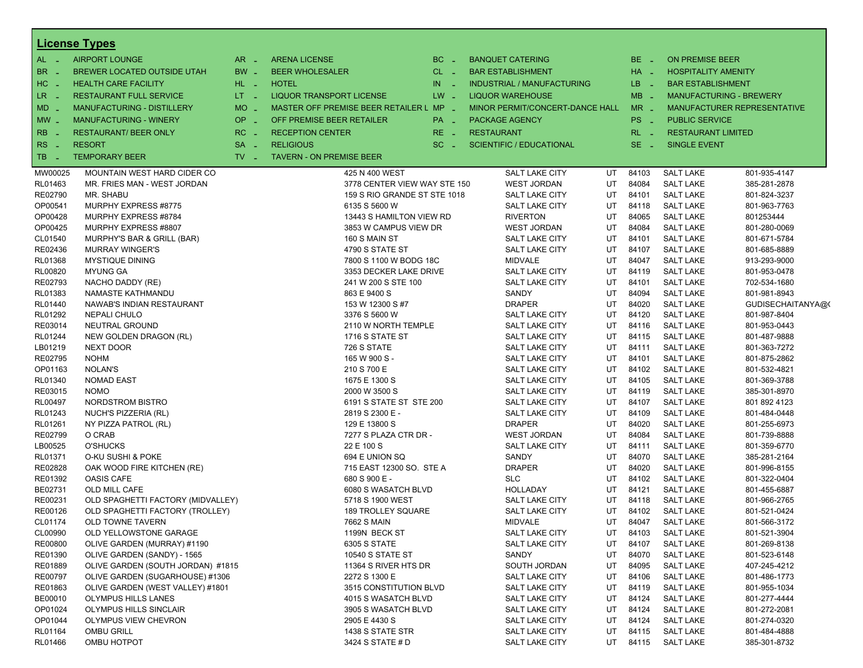|                     | <b>License Types</b>               |                               |                                          |                  |                                 |          |             |                                      |                              |
|---------------------|------------------------------------|-------------------------------|------------------------------------------|------------------|---------------------------------|----------|-------------|--------------------------------------|------------------------------|
| $AL - 1$            | <b>AIRPORT LOUNGE</b>              | $AR -$                        | <b>ARENA LICENSE</b>                     | $BC -$           | <b>BANQUET CATERING</b>         |          | BE.<br>na.  | <b>ON PREMISE BEER</b>               |                              |
| <b>BR</b><br>$\sim$ | BREWER LOCATED OUTSIDE UTAH        | BW _                          | <b>BEER WHOLESALER</b>                   | $CL$ $-$         | <b>BAR ESTABLISHMENT</b>        |          | HA _        | <b>HOSPITALITY AMENITY</b>           |                              |
| HC<br>$\sim$        | <b>HEALTH CARE FACILITY</b>        | $HL$ $-$                      | <b>HOTEL</b>                             | IN<br>$\sim 100$ | INDUSTRIAL / MANUFACTURING      |          | LB.<br>n Li | <b>BAR ESTABLISHMENT</b>             |                              |
| LR.<br>$\sim$ $\pm$ | <b>RESTAURANT FULL SERVICE</b>     | $LT = 1$                      | <b>LIQUOR TRANSPORT LICENSE</b>          | $LW =$           | <b>LIQUOR WAREHOUSE</b>         |          | $MB -$      | <b>MANUFACTURING - BREWERY</b>       |                              |
| <b>MD</b>           | MANUFACTURING - DISTILLERY         | $MO$ $\overline{\phantom{0}}$ | MASTER OFF PREMISE BEER RETAILER L MP _  |                  | MINOR PERMIT/CONCERT-DANCE HALL |          | $MR -$      |                                      | MANUFACTURER REPRESENTATIVE  |
|                     |                                    |                               |                                          |                  |                                 |          |             | <b>PUBLIC SERVICE</b>                |                              |
| $MW_{-}$            | <b>MANUFACTURING - WINERY</b>      | $OP =$                        | OFF PREMISE BEER RETAILER                | PA _             | <b>PACKAGE AGENCY</b>           |          | PS _        |                                      |                              |
| <b>RB</b>           | <b>RESTAURANT/ BEER ONLY</b>       | $RC -$                        | <b>RECEPTION CENTER</b>                  | $RE -$           | <b>RESTAURANT</b>               |          | $RL - 1$    | <b>RESTAURANT LIMITED</b>            |                              |
| <b>RS</b><br>$\sim$ | <b>RESORT</b>                      | $SA -$                        | <b>RELIGIOUS</b>                         | $SC =$           | <b>SCIENTIFIC / EDUCATIONAL</b> |          | $SE -$      | <b>SINGLE EVENT</b>                  |                              |
| TB.<br>n a          | <b>TEMPORARY BEER</b>              | $TV$ $\overline{\phantom{0}}$ | <b>TAVERN - ON PREMISE BEER</b>          |                  |                                 |          |             |                                      |                              |
| MW00025             | MOUNTAIN WEST HARD CIDER CO        |                               | 425 N 400 WEST                           |                  | SALT LAKE CITY                  | UT       | 84103       | <b>SALT LAKE</b>                     | 801-935-4147                 |
| RL01463             | MR. FRIES MAN - WEST JORDAN        |                               | 3778 CENTER VIEW WAY STE 150             |                  | WEST JORDAN                     | UT       | 84084       | <b>SALT LAKE</b>                     | 385-281-2878                 |
| RE02790             | MR. SHABU                          |                               | 159 S RIO GRANDE ST STE 1018             |                  | SALT LAKE CITY                  | UT       | 84101       | <b>SALT LAKE</b>                     | 801-824-3237                 |
| OP00541             | MURPHY EXPRESS #8775               |                               | 6135 S 5600 W                            |                  | <b>SALT LAKE CITY</b>           | UT       | 84118       | <b>SALT LAKE</b>                     | 801-963-7763                 |
| OP00428             | MURPHY EXPRESS #8784               |                               | 13443 S HAMILTON VIEW RD                 |                  | <b>RIVERTON</b>                 | UT       | 84065       | <b>SALT LAKE</b>                     | 801253444                    |
| OP00425             | MURPHY EXPRESS #8807               |                               | 3853 W CAMPUS VIEW DR                    |                  | <b>WEST JORDAN</b>              | UT       | 84084       | <b>SALT LAKE</b>                     | 801-280-0069                 |
| CL01540             | MURPHY'S BAR & GRILL (BAR)         |                               | 160 S MAIN ST                            |                  | SALT LAKE CITY                  | UT       | 84101       | <b>SALT LAKE</b>                     | 801-671-5784                 |
| RE02436             | <b>MURRAY WINGER'S</b>             |                               | 4790 S STATE ST                          |                  | SALT LAKE CITY                  | UT       | 84107       | <b>SALT LAKE</b>                     | 801-685-8889                 |
| RL01368             | <b>MYSTIQUE DINING</b>             |                               | 7800 S 1100 W BODG 18C                   |                  | <b>MIDVALE</b>                  | UT       | 84047       | <b>SALT LAKE</b>                     | 913-293-9000                 |
| RL00820             | <b>MYUNG GA</b>                    |                               | 3353 DECKER LAKE DRIVE                   |                  | SALT LAKE CITY                  | UT       | 84119       | <b>SALT LAKE</b>                     | 801-953-0478                 |
| RE02793             | NACHO DADDY (RE)                   |                               | 241 W 200 S STE 100                      |                  | <b>SALT LAKE CITY</b>           | UT       | 84101       | <b>SALT LAKE</b>                     | 702-534-1680                 |
| RL01383             | NAMASTE KATHMANDU                  |                               | 863 E 9400 S                             |                  | SANDY                           | UT       | 84094       | <b>SALT LAKE</b>                     | 801-981-8943                 |
| RL01440             | NAWAB'S INDIAN RESTAURANT          |                               | 153 W 12300 S #7                         |                  | <b>DRAPER</b>                   | UT       | 84020       | <b>SALT LAKE</b>                     | GUDISECHAITANYA@             |
| RL01292             | NEPALI CHULO                       |                               | 3376 S 5600 W                            |                  | SALT LAKE CITY                  | UT       | 84120       | <b>SALT LAKE</b>                     | 801-987-8404                 |
| RE03014             | <b>NEUTRAL GROUND</b>              |                               | 2110 W NORTH TEMPLE                      |                  | SALT LAKE CITY                  | UT       | 84116       | <b>SALT LAKE</b>                     | 801-953-0443                 |
| RL01244             | NEW GOLDEN DRAGON (RL)             |                               | 1716 S STATE ST                          |                  | SALT LAKE CITY                  | UT       | 84115       | <b>SALT LAKE</b>                     | 801-487-9888                 |
| LB01219             | NEXT DOOR                          |                               | 726 S STATE                              |                  | SALT LAKE CITY                  | UT       | 84111       | <b>SALT LAKE</b>                     | 801-363-7272                 |
| RE02795             | <b>NOHM</b>                        |                               | 165 W 900 S -                            |                  | <b>SALT LAKE CITY</b>           | UT       | 84101       | <b>SALT LAKE</b>                     | 801-875-2862                 |
| OP01163             | <b>NOLAN'S</b>                     |                               | 210 S 700 E                              |                  | SALT LAKE CITY                  | UT       | 84102       | <b>SALT LAKE</b>                     | 801-532-4821                 |
| RL01340             | <b>NOMAD EAST</b>                  |                               | 1675 E 1300 S                            |                  | SALT LAKE CITY                  | UT       | 84105       | <b>SALT LAKE</b>                     | 801-369-3788                 |
| RE03015             | <b>NOMO</b>                        |                               | 2000 W 3500 S                            |                  | <b>SALT LAKE CITY</b>           | UT       | 84119       | <b>SALT LAKE</b>                     | 385-301-8970                 |
| RL00497             | NORDSTROM BISTRO                   |                               | 6191 S STATE ST STE 200                  |                  | SALT LAKE CITY                  | UT       | 84107       | <b>SALT LAKE</b>                     | 801 892 4123                 |
| RL01243             | NUCH'S PIZZERIA (RL)               |                               | 2819 S 2300 E -                          |                  | <b>SALT LAKE CITY</b>           | UT       | 84109       | <b>SALT LAKE</b>                     | 801-484-0448                 |
| RL01261             | NY PIZZA PATROL (RL)               |                               | 129 E 13800 S                            |                  | <b>DRAPER</b>                   | UT       | 84020       | <b>SALT LAKE</b>                     | 801-255-6973                 |
| RE02799             | O CRAB                             |                               | 7277 S PLAZA CTR DR -                    |                  | <b>WEST JORDAN</b>              | UT       | 84084       | <b>SALT LAKE</b>                     | 801-739-8888                 |
| LB00525             | <b>O'SHUCKS</b>                    |                               |                                          |                  | SALT LAKE CITY                  | UT       | 84111       | <b>SALT LAKE</b>                     |                              |
|                     | O-KU SUSHI & POKE                  |                               | 22 E 100 S<br>694 E UNION SQ             |                  | SANDY                           | UT       | 84070       | <b>SALT LAKE</b>                     | 801-359-6770<br>385-281-2164 |
| RL01371             |                                    |                               | 715 EAST 12300 SO. STE A                 |                  | <b>DRAPER</b>                   |          |             | <b>SALT LAKE</b>                     |                              |
| RE02828             | OAK WOOD FIRE KITCHEN (RE)         |                               |                                          |                  |                                 | UT<br>UT | 84020       |                                      | 801-996-8155                 |
| RE01392             | <b>OASIS CAFE</b><br>OLD MILL CAFE |                               | 680 S 900 E -                            |                  | <b>SLC</b>                      |          | 84102       | <b>SALT LAKE</b><br><b>SALT LAKE</b> | 801-322-0404                 |
| BE02731             | OLD SPAGHETTI FACTORY (MIDVALLEY)  |                               | 6080 S WASATCH BLVD                      |                  | <b>HOLLADAY</b>                 | UT       | 84121       |                                      | 801-455-6887                 |
| RE00231             |                                    |                               | 5718 S 1900 WEST                         |                  | SALT LAKE CITY                  | UT       | 84118       | <b>SALT LAKE</b>                     | 801-966-2765                 |
| RE00126             | OLD SPAGHETTI FACTORY (TROLLEY)    |                               | <b>189 TROLLEY SQUARE</b><br>7662 S MAIN |                  | <b>SALT LAKE CITY</b>           | UT<br>UT | 84102       | <b>SALT LAKE</b>                     | 801-521-0424                 |
| CL01174             | OLD TOWNE TAVERN                   |                               |                                          |                  | <b>MIDVALE</b>                  |          | 84047       | <b>SALT LAKE</b>                     | 801-566-3172                 |
| CL00990             | OLD YELLOWSTONE GARAGE             |                               | 1199N BECK ST                            |                  | SALT LAKE CITY                  | UT       | 84103       | <b>SALT LAKE</b>                     | 801-521-3904                 |
| RE00800             | OLIVE GARDEN (MURRAY) #1190        |                               | <b>6305 S STATE</b>                      |                  | <b>SALT LAKE CITY</b>           | UT       | 84107       | <b>SALT LAKE</b>                     | 801-269-8138                 |
| RE01390             | OLIVE GARDEN (SANDY) - 1565        |                               | 10540 S STATE ST                         |                  | SANDY                           | UT       | 84070       | <b>SALT LAKE</b>                     | 801-523-6148                 |
| RE01889             | OLIVE GARDEN (SOUTH JORDAN) #1815  |                               | 11364 S RIVER HTS DR                     |                  | SOUTH JORDAN                    | UT       | 84095       | <b>SALT LAKE</b>                     | 407-245-4212                 |
| RE00797             | OLIVE GARDEN (SUGARHOUSE) #1306    |                               | 2272 S 1300 E                            |                  | SALT LAKE CITY                  | UT       | 84106       | <b>SALT LAKE</b>                     | 801-486-1773                 |
| RE01863             | OLIVE GARDEN (WEST VALLEY) #1801   |                               | 3515 CONSTITUTION BLVD                   |                  | <b>SALT LAKE CITY</b>           | UT       | 84119       | <b>SALT LAKE</b>                     | 801-955-1034                 |
| BE00010             | <b>OLYMPUS HILLS LANES</b>         |                               | 4015 S WASATCH BLVD                      |                  | SALT LAKE CITY                  | UT       | 84124       | <b>SALT LAKE</b>                     | 801-277-4444                 |
| OP01024             | OLYMPUS HILLS SINCLAIR             |                               | 3905 S WASATCH BLVD                      |                  | SALT LAKE CITY                  | UT       | 84124       | <b>SALT LAKE</b>                     | 801-272-2081                 |
| OP01044             | OLYMPUS VIEW CHEVRON               |                               | 2905 E 4430 S                            |                  | <b>SALT LAKE CITY</b>           | UT       | 84124       | <b>SALT LAKE</b>                     | 801-274-0320                 |
| RL01164             | <b>OMBU GRILL</b>                  |                               | 1438 S STATE STR                         |                  | SALT LAKE CITY                  | UT       | 84115       | <b>SALT LAKE</b>                     | 801-484-4888                 |
| RL01466             | OMBU HOTPOT                        |                               | 3424 S STATE # D                         |                  | SALT LAKE CITY                  | UT       | 84115       | <b>SALT LAKE</b>                     | 385-301-8732                 |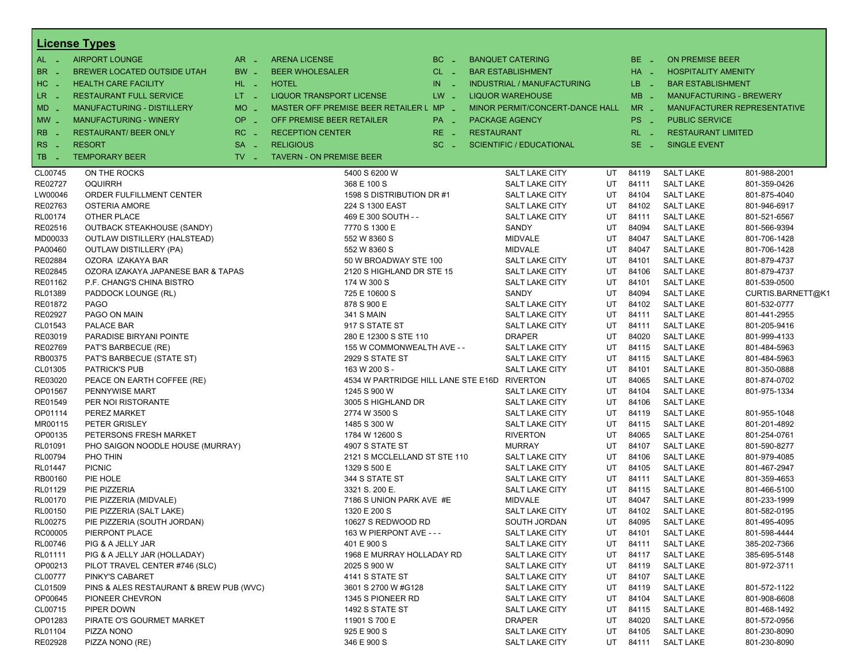|                      | <b>License Types</b>                    |                               |                                              |               |                   |                                  |    |          |                                      |                              |
|----------------------|-----------------------------------------|-------------------------------|----------------------------------------------|---------------|-------------------|----------------------------------|----|----------|--------------------------------------|------------------------------|
| $AL -$               | <b>AIRPORT LOUNGE</b>                   | $AR -$                        | <b>ARENA LICENSE</b>                         | $BC =$        |                   | <b>BANQUET CATERING</b>          |    | $BE -$   | <b>ON PREMISE BEER</b>               |                              |
| BR.<br>$\sim$        | BREWER LOCATED OUTSIDE UTAH             | $BW -$                        | <b>BEER WHOLESALER</b>                       | $CL$ $-$      |                   | <b>BAR ESTABLISHMENT</b>         |    | $HA =$   | <b>HOSPITALITY AMENITY</b>           |                              |
| HC<br>$\sim$         | <b>HEALTH CARE FACILITY</b>             | $HL$ $-$                      | <b>HOTEL</b>                                 | IN.<br>$\sim$ |                   | INDUSTRIAL / MANUFACTURING       |    | $LB - 1$ | <b>BAR ESTABLISHMENT</b>             |                              |
| $LR -$               | <b>RESTAURANT FULL SERVICE</b>          | $LT = 1$                      | <b>LIQUOR TRANSPORT LICENSE</b>              | $LW -$        |                   | <b>LIQUOR WAREHOUSE</b>          |    | $MB -$   | <b>MANUFACTURING - BREWERY</b>       |                              |
| MD                   | <b>MANUFACTURING - DISTILLERY</b>       | $MO$ $\overline{\phantom{0}}$ | MASTER OFF PREMISE BEER RETAILER L MP _      |               |                   | MINOR PERMIT/CONCERT-DANCE HALL  |    | $MR -$   |                                      | MANUFACTURER REPRESENTATIVE  |
| $MW$ $-$             | <b>MANUFACTURING - WINERY</b>           | $OP \sim$                     | OFF PREMISE BEER RETAILER                    | $PA -$        |                   | <b>PACKAGE AGENCY</b>            |    | PS _     | <b>PUBLIC SERVICE</b>                |                              |
|                      |                                         |                               |                                              |               |                   |                                  |    |          |                                      |                              |
| <b>RB</b>            | <b>RESTAURANT/ BEER ONLY</b>            | $RC =$                        | <b>RECEPTION CENTER</b>                      | $RE -$        | <b>RESTAURANT</b> |                                  |    | $RL - 1$ | <b>RESTAURANT LIMITED</b>            |                              |
| <b>RS</b><br>$\sim$  | <b>RESORT</b>                           | SA -                          | <b>RELIGIOUS</b>                             | $SC =$        |                   | <b>SCIENTIFIC / EDUCATIONAL</b>  |    | $SE =$   | <b>SINGLE EVENT</b>                  |                              |
| TB<br><b>College</b> | <b>TEMPORARY BEER</b>                   | $TV$ $\overline{\phantom{0}}$ | <b>TAVERN - ON PREMISE BEER</b>              |               |                   |                                  |    |          |                                      |                              |
| CL00745              | ON THE ROCKS                            |                               | 5400 S 6200 W                                |               |                   | SALT LAKE CITY                   | UT | 84119    | <b>SALT LAKE</b>                     | 801-988-2001                 |
| RE02727              | <b>OQUIRRH</b>                          |                               | 368 E 100 S                                  |               |                   | SALT LAKE CITY                   | UT | 84111    | <b>SALT LAKE</b>                     | 801-359-0426                 |
| LW00046              | ORDER FULFILLMENT CENTER                |                               | 1598 S DISTRIBUTION DR #1                    |               |                   | <b>SALT LAKE CITY</b>            | UT | 84104    | <b>SALT LAKE</b>                     | 801-875-4040                 |
| RE02763              | <b>OSTERIA AMORE</b>                    |                               | 224 S 1300 EAST                              |               |                   | SALT LAKE CITY                   | UT | 84102    | <b>SALT LAKE</b>                     | 801-946-6917                 |
| RL00174              | OTHER PLACE                             |                               | 469 E 300 SOUTH - -                          |               |                   | SALT LAKE CITY                   | UT | 84111    | <b>SALT LAKE</b>                     | 801-521-6567                 |
| RE02516              | <b>OUTBACK STEAKHOUSE (SANDY)</b>       |                               | 7770 S 1300 E                                |               |                   | SANDY                            | UT | 84094    | <b>SALT LAKE</b>                     | 801-566-9394                 |
| MD00033              | OUTLAW DISTILLERY (HALSTEAD)            |                               | 552 W 8360 S                                 |               |                   | <b>MIDVALE</b>                   | UT | 84047    | <b>SALT LAKE</b>                     | 801-706-1428                 |
| PA00460              | OUTLAW DISTILLERY (PA)                  |                               | 552 W 8360 S                                 |               |                   | <b>MIDVALE</b>                   | UT | 84047    | <b>SALT LAKE</b>                     | 801-706-1428                 |
| RE02884              | OZORA IZAKAYA BAR                       |                               | 50 W BROADWAY STE 100                        |               |                   | SALT LAKE CITY                   | UT | 84101    | <b>SALT LAKE</b>                     | 801-879-4737                 |
| RE02845              | OZORA IZAKAYA JAPANESE BAR & TAPAS      |                               | 2120 S HIGHLAND DR STE 15                    |               |                   | <b>SALT LAKE CITY</b>            | UT | 84106    | <b>SALT LAKE</b>                     | 801-879-4737                 |
| RE01162              | P.F. CHANG'S CHINA BISTRO               |                               | 174 W 300 S                                  |               |                   | SALT LAKE CITY                   | UT | 84101    | <b>SALT LAKE</b>                     | 801-539-0500                 |
| RL01389              | PADDOCK LOUNGE (RL)                     |                               | 725 E 10600 S                                |               |                   | SANDY                            | UT | 84094    | <b>SALT LAKE</b>                     | CURTIS.BARNETT@K1            |
| RE01872              | <b>PAGO</b>                             |                               | 878 S 900 E                                  |               |                   | SALT LAKE CITY                   | UT | 84102    | <b>SALT LAKE</b>                     | 801-532-0777                 |
| RE02927              | PAGO ON MAIN                            |                               | <b>341 S MAIN</b>                            |               |                   | SALT LAKE CITY                   | UT | 84111    | <b>SALT LAKE</b>                     | 801-441-2955                 |
| CL01543              | PALACE BAR                              |                               | 917 S STATE ST                               |               |                   | SALT LAKE CITY                   | UT | 84111    | <b>SALT LAKE</b>                     | 801-205-9416                 |
| RE03019              | PARADISE BIRYANI POINTE                 |                               | 280 E 12300 S STE 110                        |               |                   | <b>DRAPER</b>                    | UT | 84020    | <b>SALT LAKE</b>                     | 801-999-4133                 |
| RE02769              | PAT'S BARBECUE (RE)                     |                               | 155 W COMMONWEALTH AVE - -                   |               |                   | SALT LAKE CITY                   | UT | 84115    | <b>SALT LAKE</b>                     | 801-484-5963                 |
| RB00375              | PAT'S BARBECUE (STATE ST)               |                               | 2929 S STATE ST                              |               |                   | SALT LAKE CITY                   | UT | 84115    | <b>SALT LAKE</b>                     | 801-484-5963                 |
| CL01305              | <b>PATRICK'S PUB</b>                    |                               | 163 W 200 S -                                |               |                   | SALT LAKE CITY                   | UT | 84101    | <b>SALT LAKE</b>                     | 801-350-0888                 |
| RE03020              | PEACE ON EARTH COFFEE (RE)              |                               | 4534 W PARTRIDGE HILL LANE STE E16D RIVERTON |               |                   |                                  | UT | 84065    | <b>SALT LAKE</b>                     | 801-874-0702                 |
| OP01567              | PENNYWISE MART                          |                               | 1245 S 900 W                                 |               |                   | SALT LAKE CITY                   | UT | 84104    | <b>SALT LAKE</b>                     | 801-975-1334                 |
| RE01549              | PER NOI RISTORANTE                      |                               | 3005 S HIGHLAND DR                           |               |                   | SALT LAKE CITY                   | UT | 84106    | <b>SALT LAKE</b>                     |                              |
| OP01114              | PEREZ MARKET                            |                               | 2774 W 3500 S                                |               |                   | SALT LAKE CITY                   | UT | 84119    | <b>SALT LAKE</b>                     | 801-955-1048                 |
| MR00115              | PETER GRISLEY                           |                               | 1485 S 300 W                                 |               |                   | SALT LAKE CITY                   | UT | 84115    | <b>SALT LAKE</b>                     | 801-201-4892                 |
| OP00135              | PETERSONS FRESH MARKET                  |                               | 1784 W 12600 S                               |               |                   | <b>RIVERTON</b>                  | UT | 84065    | <b>SALT LAKE</b>                     | 801-254-0761                 |
| RL01091              | PHO SAIGON NOODLE HOUSE (MURRAY)        |                               | 4907 S STATE ST                              |               |                   | <b>MURRAY</b>                    | UT | 84107    | <b>SALT LAKE</b>                     | 801-590-8277                 |
| <b>RL00794</b>       | PHO THIN                                |                               | 2121 S MCCLELLAND ST STE 110                 |               |                   | SALT LAKE CITY                   | UT | 84106    | <b>SALT LAKE</b>                     | 801-979-4085                 |
| RL01447              | <b>PICNIC</b>                           |                               | 1329 S 500 E                                 |               |                   | SALT LAKE CITY                   | UT | 84105    | <b>SALT LAKE</b>                     | 801-467-2947                 |
| RB00160              | PIE HOLE                                |                               | 344 S STATE ST                               |               |                   | SALT LAKE CITY                   | UT | 84111    | <b>SALT LAKE</b>                     | 801-359-4653                 |
| RL01129              | PIE PIZZERIA                            |                               | 3321 S. 200 E.                               |               |                   | SALT LAKE CITY                   | UT | 84115    | <b>SALT LAKE</b>                     | 801-466-5100                 |
| RL00170              | PIE PIZZERIA (MIDVALE)                  |                               | 7186 S UNION PARK AVE #E                     |               |                   | MIDVALE                          | UT | 84047    | <b>SALT LAKE</b>                     | 801-233-1999                 |
| RL00150              | PIE PIZZERIA (SALT LAKE)                |                               | 1320 E 200 S                                 |               |                   | SALT LAKE CITY                   | UT | 84102    | <b>SALT LAKE</b>                     | 801-582-0195                 |
| RL00275              | PIE PIZZERIA (SOUTH JORDAN)             |                               | 10627 S REDWOOD RD                           |               |                   | SOUTH JORDAN                     | UT | 84095    | <b>SALT LAKE</b>                     | 801-495-4095                 |
| RC00005              | PIERPONT PLACE                          |                               | 163 W PIERPONT AVE - - -                     |               |                   | SALT LAKE CITY                   | UT | 84101    | <b>SALT LAKE</b>                     | 801-598-4444                 |
| RL00746              | PIG & A JELLY JAR                       |                               | 401 E 900 S                                  |               |                   | SALT LAKE CITY                   | UT | 84111    | <b>SALT LAKE</b>                     | 385-202-7366                 |
| RL01111              | PIG & A JELLY JAR (HOLLADAY)            |                               | 1968 E MURRAY HOLLADAY RD                    |               |                   | SALT LAKE CITY                   | UT | 84117    | <b>SALT LAKE</b>                     | 385-695-5148                 |
| OP00213              | PILOT TRAVEL CENTER #746 (SLC)          |                               | 2025 S 900 W                                 |               |                   | SALT LAKE CITY                   | UT | 84119    | <b>SALT LAKE</b>                     | 801-972-3711                 |
| CL00777              | PINKY'S CABARET                         |                               | 4141 S STATE ST                              |               |                   | SALT LAKE CITY                   | UT | 84107    | <b>SALT LAKE</b>                     |                              |
| CL01509              | PINS & ALES RESTAURANT & BREW PUB (WVC) |                               |                                              |               |                   | SALT LAKE CITY                   | UT | 84119    | <b>SALT LAKE</b>                     |                              |
| OP00645              | PIONEER CHEVRON                         |                               | 3601 S 2700 W #G128                          |               |                   |                                  | UT | 84104    |                                      | 801-572-1122                 |
| CL00715              | PIPER DOWN                              |                               | 1345 S PIONEER RD<br>1492 S STATE ST         |               |                   | SALT LAKE CITY<br>SALT LAKE CITY | UT | 84115    | <b>SALT LAKE</b><br><b>SALT LAKE</b> | 801-908-6608<br>801-468-1492 |
|                      |                                         |                               | 11901 S 700 E                                |               |                   |                                  |    | 84020    |                                      |                              |
| OP01283              | PIRATE O'S GOURMET MARKET               |                               |                                              |               |                   | <b>DRAPER</b>                    | UT |          | <b>SALT LAKE</b>                     | 801-572-0956                 |
| RL01104              | PIZZA NONO                              |                               | 925 E 900 S                                  |               |                   | SALT LAKE CITY                   | UT | 84105    | <b>SALT LAKE</b><br><b>SALT LAKE</b> | 801-230-8090                 |
| RE02928              | PIZZA NONO (RE)                         |                               | 346 E 900 S                                  |               |                   | SALT LAKE CITY                   | UT | 84111    |                                      | 801-230-8090                 |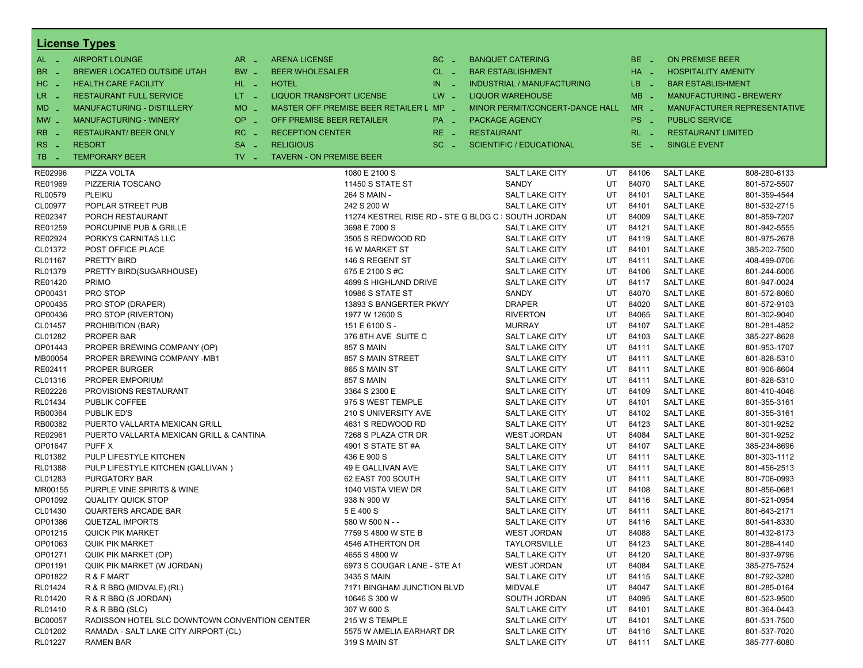|                  | <b>License Types</b>                          |                               |                                         |              |                                                     |    |          |                            |                                |
|------------------|-----------------------------------------------|-------------------------------|-----------------------------------------|--------------|-----------------------------------------------------|----|----------|----------------------------|--------------------------------|
| $AL -$           | <b>AIRPORT LOUNGE</b>                         | $AR -$                        | <b>ARENA LICENSE</b>                    | BC<br>$\sim$ | <b>BANQUET CATERING</b>                             |    | BE _     | <b>ON PREMISE BEER</b>     |                                |
| BR.              | BREWER LOCATED OUTSIDE UTAH                   | BW _                          | <b>BEER WHOLESALER</b>                  | $CL$ $-$     | <b>BAR ESTABLISHMENT</b>                            |    | $HA$ $=$ | <b>HOSPITALITY AMENITY</b> |                                |
| HC<br>. —        | <b>HEALTH CARE FACILITY</b>                   | HL L                          | <b>HOTEL</b>                            | IN<br>- 2    | <b>INDUSTRIAL / MANUFACTURING</b>                   |    | LB __    | <b>BAR ESTABLISHMENT</b>   |                                |
| $LR -$           | <b>RESTAURANT FULL SERVICE</b>                | $LT - 1$                      | <b>LIQUOR TRANSPORT LICENSE</b>         | $LW -$       | <b>LIQUOR WAREHOUSE</b>                             |    | $MB -$   |                            | <b>MANUFACTURING - BREWERY</b> |
|                  |                                               | <b>MO</b>                     | MASTER OFF PREMISE BEER RETAILER L MP - |              |                                                     |    | $MR -$   |                            |                                |
| $MD -$           | MANUFACTURING - DISTILLERY                    | $\sim$                        |                                         |              | MINOR PERMIT/CONCERT-DANCE HALL                     |    |          |                            | MANUFACTURER REPRESENTATIVE    |
| $MW -$           | <b>MANUFACTURING - WINERY</b>                 | <b>OP</b><br>п.               | OFF PREMISE BEER RETAILER               | PA _         | <b>PACKAGE AGENCY</b>                               |    | PS _     | <b>PUBLIC SERVICE</b>      |                                |
| <b>RB</b>        | <b>RESTAURANT/ BEER ONLY</b>                  | RC<br>i a                     | <b>RECEPTION CENTER</b>                 | $RE -$       | <b>RESTAURANT</b>                                   |    | $RL - 1$ | <b>RESTAURANT LIMITED</b>  |                                |
| <b>RS</b><br>- 4 | <b>RESORT</b>                                 | <b>SA</b><br>i a              | <b>RELIGIOUS</b>                        | $SC =$       | <b>SCIENTIFIC / EDUCATIONAL</b>                     |    | $SE -$   | <b>SINGLE EVENT</b>        |                                |
| TB.<br>. —       | <b>TEMPORARY BEER</b>                         | $TV$ $\overline{\phantom{0}}$ | <b>TAVERN - ON PREMISE BEER</b>         |              |                                                     |    |          |                            |                                |
| RE02996          | PIZZA VOLTA                                   |                               | 1080 E 2100 S                           |              | SALT LAKE CITY                                      | UT | 84106    | <b>SALT LAKE</b>           | 808-280-6133                   |
| RE01969          | PIZZERIA TOSCANO                              |                               | <b>11450 S STATE ST</b>                 |              | SANDY                                               | UT | 84070    | <b>SALT LAKE</b>           | 801-572-5507                   |
| RL00579          | PLEIKU                                        |                               | 264 S MAIN -                            |              | <b>SALT LAKE CITY</b>                               | UT | 84101    | <b>SALT LAKE</b>           | 801-359-4544                   |
| CL00977          | POPLAR STREET PUB                             |                               | 242 S 200 W                             |              | <b>SALT LAKE CITY</b>                               | UT | 84101    | <b>SALT LAKE</b>           | 801-532-2715                   |
| RE02347          | PORCH RESTAURANT                              |                               |                                         |              | 11274 KESTREL RISE RD - STE G BLDG C : SOUTH JORDAN | UT | 84009    | <b>SALT LAKE</b>           | 801-859-7207                   |
| RE01259          | PORCUPINE PUB & GRILLE                        |                               | 3698 E 7000 S                           |              | SALT LAKE CITY                                      | UT | 84121    | <b>SALT LAKE</b>           | 801-942-5555                   |
| RE02924          | PORKYS CARNITAS LLC                           |                               | 3505 S REDWOOD RD                       |              | <b>SALT LAKE CITY</b>                               | UT | 84119    | <b>SALT LAKE</b>           | 801-975-2678                   |
| CL01372          | POST OFFICE PLACE                             |                               | <b>16 W MARKET ST</b>                   |              | SALT LAKE CITY                                      | UT | 84101    | <b>SALT LAKE</b>           | 385-202-7500                   |
| RL01167          | <b>PRETTY BIRD</b>                            |                               | 146 S REGENT ST                         |              | <b>SALT LAKE CITY</b>                               | UT | 84111    | <b>SALT LAKE</b>           | 408-499-0706                   |
| RL01379          | PRETTY BIRD(SUGARHOUSE)                       |                               | 675 E 2100 S #C                         |              | <b>SALT LAKE CITY</b>                               | UT | 84106    | <b>SALT LAKE</b>           | 801-244-6006                   |
| RE01420          | <b>PRIMO</b>                                  |                               | 4699 S HIGHLAND DRIVE                   |              | SALT LAKE CITY                                      | UT | 84117    | <b>SALT LAKE</b>           | 801-947-0024                   |
| OP00431          | PRO STOP                                      |                               | <b>10986 S STATE ST</b>                 |              | SANDY                                               | UT | 84070    | <b>SALT LAKE</b>           | 801-572-8060                   |
| OP00435          | PRO STOP (DRAPER)                             |                               | 13893 S BANGERTER PKWY                  |              | <b>DRAPER</b>                                       | UT | 84020    | <b>SALT LAKE</b>           | 801-572-9103                   |
| OP00436          | PRO STOP (RIVERTON)                           |                               | 1977 W 12600 S                          |              | <b>RIVERTON</b>                                     | UT | 84065    | <b>SALT LAKE</b>           | 801-302-9040                   |
| CL01457          | PROHIBITION (BAR)                             |                               | 151 E 6100 S -                          |              | <b>MURRAY</b>                                       | UT | 84107    | <b>SALT LAKE</b>           | 801-281-4852                   |
| CL01282          | PROPER BAR                                    |                               | 376 8TH AVE SUITE C                     |              | <b>SALT LAKE CITY</b>                               | UT | 84103    | <b>SALT LAKE</b>           | 385-227-8628                   |
| OP01443          | PROPER BREWING COMPANY (OP)                   |                               | <b>857 S MAIN</b>                       |              | <b>SALT LAKE CITY</b>                               | UT | 84111    | <b>SALT LAKE</b>           | 801-953-1707                   |
| MB00054          | PROPER BREWING COMPANY -MB1                   |                               | 857 S MAIN STREET                       |              | SALT LAKE CITY                                      | UT | 84111    | <b>SALT LAKE</b>           | 801-828-5310                   |
| RE02411          | <b>PROPER BURGER</b>                          |                               | 865 S MAIN ST                           |              | <b>SALT LAKE CITY</b>                               | UT | 84111    | <b>SALT LAKE</b>           | 801-906-8604                   |
| CL01316          | PROPER EMPORIUM                               |                               | 857 S MAIN                              |              | SALT LAKE CITY                                      | UT | 84111    | <b>SALT LAKE</b>           | 801-828-5310                   |
| RE02226          | PROVISIONS RESTAURANT                         |                               | 3364 S 2300 E                           |              | <b>SALT LAKE CITY</b>                               | UT | 84109    | <b>SALT LAKE</b>           | 801-410-4046                   |
| RL01434          | <b>PUBLIK COFFEE</b>                          |                               | 975 S WEST TEMPLE                       |              | <b>SALT LAKE CITY</b>                               | UT | 84101    | <b>SALT LAKE</b>           | 801-355-3161                   |
| RB00364          | PUBLIK ED'S                                   |                               | 210 S UNIVERSITY AVE                    |              | SALT LAKE CITY                                      | UT | 84102    | <b>SALT LAKE</b>           | 801-355-3161                   |
| RB00382          | PUERTO VALLARTA MEXICAN GRILL                 |                               | 4631 S REDWOOD RD                       |              | <b>SALT LAKE CITY</b>                               | UT | 84123    | <b>SALT LAKE</b>           | 801-301-9252                   |
| RE02961          | PUERTO VALLARTA MEXICAN GRILL & CANTINA       |                               | 7268 S PLAZA CTR DR                     |              | <b>WEST JORDAN</b>                                  | UT | 84084    | <b>SALT LAKE</b>           | 801-301-9252                   |
| OP01647          | PUFF X                                        |                               | 4901 S STATE ST #A                      |              | SALT LAKE CITY                                      | UT | 84107    | <b>SALT LAKE</b>           | 385-234-8696                   |
| RL01382          | PULP LIFESTYLE KITCHEN                        |                               | 436 E 900 S                             |              | <b>SALT LAKE CITY</b>                               | UT | 84111    | <b>SALT LAKE</b>           | 801-303-1112                   |
| RL01388          | PULP LIFESTYLE KITCHEN (GALLIVAN)             |                               | 49 E GALLIVAN AVE                       |              | SALT LAKE CITY                                      | UT | 84111    | <b>SALT LAKE</b>           | 801-456-2513                   |
| CL01283          | PURGATORY BAR                                 |                               | 62 EAST 700 SOUTH                       |              | SALT LAKE CITY                                      | UT | 84111    | <b>SALT LAKE</b>           | 801-706-0993                   |
| MR00155          | PURPLE VINE SPIRITS & WINE                    |                               | 1040 VISTA VIEW DR                      |              | <b>SALT LAKE CITY</b>                               | UT | 84108    | <b>SALT LAKE</b>           | 801-856-0681                   |
| OP01092          | <b>QUALITY QUICK STOP</b>                     |                               | 938 N 900 W                             |              | <b>SALT LAKE CITY</b>                               | UT | 84116    | <b>SALT LAKE</b>           | 801-521-0954                   |
| CL01430          | <b>QUARTERS ARCADE BAR</b>                    |                               | 5 E 400 S                               |              | SALT LAKE CITY                                      | UT | 84111    | <b>SALT LAKE</b>           | 801-643-2171                   |
| OP01386          | <b>QUETZAL IMPORTS</b>                        |                               | 580 W 500 N - -                         |              | <b>SALT LAKE CITY</b>                               | UT | 84116    | <b>SALT LAKE</b>           | 801-541-8330                   |
| OP01215          | <b>QUICK PIK MARKET</b>                       |                               | 7759 S 4800 W STE B                     |              | <b>WEST JORDAN</b>                                  | UT | 84088    | <b>SALT LAKE</b>           | 801-432-8173                   |
| OP01063          | <b>QUIK PIK MARKET</b>                        |                               | 4546 ATHERTON DR                        |              | TAYLORSVILLE                                        | UT | 84123    | <b>SALT LAKE</b>           | 801-288-4140                   |
| OP01271          | QUIK PIK MARKET (OP)                          |                               | 4655 S 4800 W                           |              | SALT LAKE CITY                                      | UT | 84120    | <b>SALT LAKE</b>           | 801-937-9796                   |
| OP01191          | QUIK PIK MARKET (W JORDAN)                    |                               | 6973 S COUGAR LANE - STE A1             |              | <b>WEST JORDAN</b>                                  | UT | 84084    | <b>SALT LAKE</b>           | 385-275-7524                   |
| OP01822          | R & F MART                                    |                               | 3435 S MAIN                             |              | SALT LAKE CITY                                      | UT | 84115    | <b>SALT LAKE</b>           | 801-792-3280                   |
| RL01424          | R & R BBQ (MIDVALE) (RL)                      |                               | 7171 BINGHAM JUNCTION BLVD              |              | <b>MIDVALE</b>                                      | UT | 84047    | <b>SALT LAKE</b>           | 801-285-0164                   |
| RL01420          | R & R BBQ (S JORDAN)                          |                               | 10646 S 300 W                           |              | SOUTH JORDAN                                        | UT | 84095    | <b>SALT LAKE</b>           | 801-523-9500                   |
| RL01410          | R & R BBQ (SLC)                               |                               | 307 W 600 S                             |              | SALT LAKE CITY                                      | UT | 84101    | <b>SALT LAKE</b>           | 801-364-0443                   |
| BC00057          | RADISSON HOTEL SLC DOWNTOWN CONVENTION CENTER |                               | 215 W S TEMPLE                          |              | SALT LAKE CITY                                      | UT | 84101    | <b>SALT LAKE</b>           | 801-531-7500                   |
| CL01202          | RAMADA - SALT LAKE CITY AIRPORT (CL)          |                               | 5575 W AMELIA EARHART DR                |              | SALT LAKE CITY                                      | UT | 84116    | <b>SALT LAKE</b>           | 801-537-7020                   |
| RL01227          | <b>RAMEN BAR</b>                              |                               | 319 S MAIN ST                           |              | SALT LAKE CITY                                      | UT | 84111    | <b>SALT LAKE</b>           | 385-777-6080                   |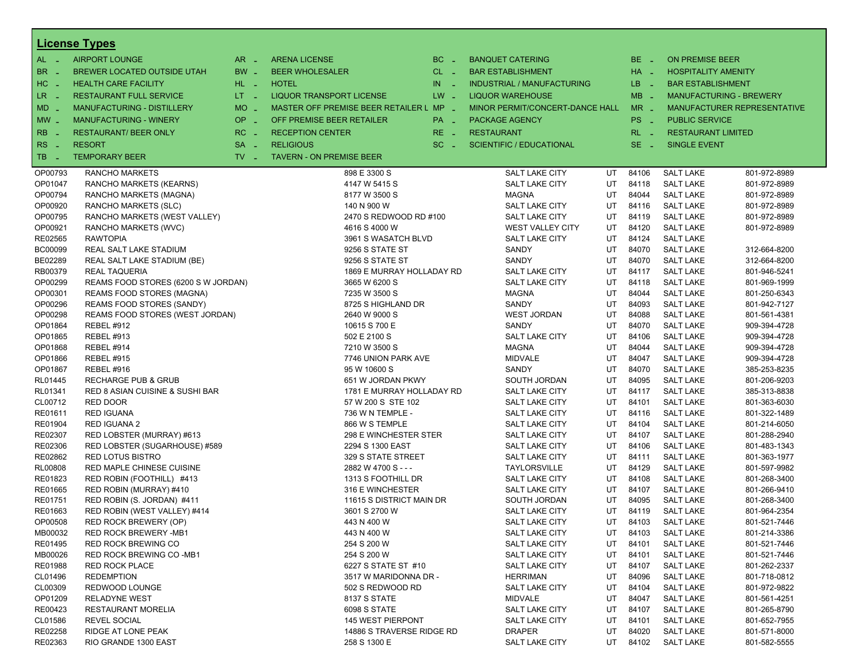|                  | <b>License Types</b>                |                     |                                         |            |                                   |     |            |                            |                                |
|------------------|-------------------------------------|---------------------|-----------------------------------------|------------|-----------------------------------|-----|------------|----------------------------|--------------------------------|
| $AL -$           | <b>AIRPORT LOUNGE</b>               | $AR -$              | <b>ARENA LICENSE</b>                    | $BC -$     | <b>BANQUET CATERING</b>           |     | $BE -$     | <b>ON PREMISE BEER</b>     |                                |
| <b>BR</b><br>- 4 | BREWER LOCATED OUTSIDE UTAH         | BW _                | <b>BEER WHOLESALER</b>                  | $CL$ $-$   | <b>BAR ESTABLISHMENT</b>          |     | $HA$ $-$   | <b>HOSPITALITY AMENITY</b> |                                |
| HC _             | <b>HEALTH CARE FACILITY</b>         | HL L                | <b>HOTEL</b>                            | IN.<br>- 2 | <b>INDUSTRIAL / MANUFACTURING</b> |     | $LB - 1$   | <b>BAR ESTABLISHMENT</b>   |                                |
| $LR -$           | <b>RESTAURANT FULL SERVICE</b>      | $LT - 1$            | <b>LIQUOR TRANSPORT LICENSE</b>         | $LW -$     | <b>LIQUOR WAREHOUSE</b>           |     | $MB -$     |                            | <b>MANUFACTURING - BREWERY</b> |
| MD _             | <b>MANUFACTURING - DISTILLERY</b>   | <b>MO</b>           | MASTER OFF PREMISE BEER RETAILER L MP _ |            | MINOR PERMIT/CONCERT-DANCE HALL   |     | $MR -$     |                            | MANUFACTURER REPRESENTATIVE    |
|                  |                                     | $\sim$              |                                         |            |                                   |     |            |                            |                                |
| $MW-$            | <b>MANUFACTURING - WINERY</b>       | <b>OP</b><br>$\sim$ | OFF PREMISE BEER RETAILER               | PA _       | <b>PACKAGE AGENCY</b>             |     | PS _       | <b>PUBLIC SERVICE</b>      |                                |
| <b>RB</b>        | <b>RESTAURANT/ BEER ONLY</b>        | RC.<br>i al         | <b>RECEPTION CENTER</b>                 | RE _       | <b>RESTAURANT</b>                 |     | $RL - 1$   | <b>RESTAURANT LIMITED</b>  |                                |
| RS<br>- 4        | <b>RESORT</b>                       | <b>SA</b><br>i al   | <b>RELIGIOUS</b>                        | $SC -$     | <b>SCIENTIFIC / EDUCATIONAL</b>   |     | SE.<br>- 2 | <b>SINGLE EVENT</b>        |                                |
| TB.              | <b>TEMPORARY BEER</b>               | $TV$ $-$            | <b>TAVERN - ON PREMISE BEER</b>         |            |                                   |     |            |                            |                                |
| OP00793          | <b>RANCHO MARKETS</b>               |                     | 898 E 3300 S                            |            | <b>SALT LAKE CITY</b>             | UT  | 84106      | <b>SALT LAKE</b>           | 801-972-8989                   |
| OP01047          | RANCHO MARKETS (KEARNS)             |                     | 4147 W 5415 S                           |            | <b>SALT LAKE CITY</b>             | UT  | 84118      | <b>SALT LAKE</b>           | 801-972-8989                   |
| OP00794          | RANCHO MARKETS (MAGNA)              |                     | 8177 W 3500 S                           |            | <b>MAGNA</b>                      | UT  | 84044      | <b>SALT LAKE</b>           | 801-972-8989                   |
| OP00920          | RANCHO MARKETS (SLC)                |                     | 140 N 900 W                             |            | <b>SALT LAKE CITY</b>             | UT  | 84116      | <b>SALT LAKE</b>           | 801-972-8989                   |
| OP00795          | RANCHO MARKETS (WEST VALLEY)        |                     | 2470 S REDWOOD RD #100                  |            | <b>SALT LAKE CITY</b>             | UT  | 84119      | <b>SALT LAKE</b>           | 801-972-8989                   |
| OP00921          | RANCHO MARKETS (WVC)                |                     | 4616 S 4000 W                           |            | WEST VALLEY CITY                  | UT  | 84120      | <b>SALT LAKE</b>           | 801-972-8989                   |
| RE02565          | <b>RAWTOPIA</b>                     |                     | 3961 S WASATCH BLVD                     |            | <b>SALT LAKE CITY</b>             | UT  | 84124      | <b>SALT LAKE</b>           |                                |
| BC00099          | REAL SALT LAKE STADIUM              |                     | 9256 S STATE ST                         |            | SANDY                             | UT  | 84070      | <b>SALT LAKE</b>           | 312-664-8200                   |
| BE02289          | REAL SALT LAKE STADIUM (BE)         |                     | 9256 S STATE ST                         |            | SANDY                             | UT  | 84070      | <b>SALT LAKE</b>           | 312-664-8200                   |
| RB00379          | <b>REAL TAQUERIA</b>                |                     | 1869 E MURRAY HOLLADAY RD               |            | <b>SALT LAKE CITY</b>             | UT  | 84117      | <b>SALT LAKE</b>           | 801-946-5241                   |
| OP00299          | REAMS FOOD STORES (6200 S W JORDAN) |                     | 3665 W 6200 S                           |            | <b>SALT LAKE CITY</b>             | UT  | 84118      | <b>SALT LAKE</b>           | 801-969-1999                   |
| OP00301          | REAMS FOOD STORES (MAGNA)           |                     | 7235 W 3500 S                           |            | <b>MAGNA</b>                      | UT  | 84044      | <b>SALT LAKE</b>           | 801-250-6343                   |
| OP00296          | <b>REAMS FOOD STORES (SANDY)</b>    |                     | 8725 S HIGHLAND DR                      |            | SANDY                             | UT  | 84093      | <b>SALT LAKE</b>           | 801-942-7127                   |
| OP00298          | REAMS FOOD STORES (WEST JORDAN)     |                     | 2640 W 9000 S                           |            | <b>WEST JORDAN</b>                | UT  | 84088      | <b>SALT LAKE</b>           | 801-561-4381                   |
| OP01864          | <b>REBEL #912</b>                   |                     | 10615 S 700 E                           |            | SANDY                             | UT  | 84070      | <b>SALT LAKE</b>           | 909-394-4728                   |
| OP01865          | <b>REBEL #913</b>                   |                     | 502 E 2100 S                            |            | <b>SALT LAKE CITY</b>             | UT  | 84106      | <b>SALT LAKE</b>           | 909-394-4728                   |
| OP01868          | <b>REBEL #914</b>                   |                     | 7210 W 3500 S                           |            | <b>MAGNA</b>                      | UT  | 84044      | <b>SALT LAKE</b>           | 909-394-4728                   |
| OP01866          | <b>REBEL #915</b>                   |                     | 7746 UNION PARK AVE                     |            | <b>MIDVALE</b>                    | UT  | 84047      | <b>SALT LAKE</b>           | 909-394-4728                   |
| OP01867          | <b>REBEL #916</b>                   |                     | 95 W 10600 S                            |            | SANDY                             | UT  | 84070      | <b>SALT LAKE</b>           | 385-253-8235                   |
| RL01445          | <b>RECHARGE PUB &amp; GRUB</b>      |                     | 651 W JORDAN PKWY                       |            | SOUTH JORDAN                      | UT  | 84095      | <b>SALT LAKE</b>           | 801-206-9203                   |
| RL01341          | RED 8 ASIAN CUISINE & SUSHI BAR     |                     | 1781 E MURRAY HOLLADAY RD               |            | <b>SALT LAKE CITY</b>             | UT  | 84117      | <b>SALT LAKE</b>           | 385-313-8838                   |
| CL00712          | RED DOOR                            |                     | 57 W 200 S STE 102                      |            | <b>SALT LAKE CITY</b>             | UT  | 84101      | <b>SALT LAKE</b>           | 801-363-6030                   |
| RE01611          | <b>RED IGUANA</b>                   |                     | 736 W N TEMPLE -                        |            | <b>SALT LAKE CITY</b>             | UT  | 84116      | <b>SALT LAKE</b>           | 801-322-1489                   |
| RE01904          | <b>RED IGUANA 2</b>                 |                     | 866 W S TEMPLE                          |            | <b>SALT LAKE CITY</b>             | UT  | 84104      | <b>SALT LAKE</b>           | 801-214-6050                   |
| RE02307          | RED LOBSTER (MURRAY) #613           |                     | 298 E WINCHESTER STER                   |            | <b>SALT LAKE CITY</b>             | UT  | 84107      | <b>SALT LAKE</b>           | 801-288-2940                   |
| RE02306          | RED LOBSTER (SUGARHOUSE) #589       |                     | 2294 S 1300 EAST                        |            | <b>SALT LAKE CITY</b>             | UT  | 84106      | <b>SALT LAKE</b>           | 801-483-1343                   |
| RE02862          | <b>RED LOTUS BISTRO</b>             |                     | 329 S STATE STREET                      |            | <b>SALT LAKE CITY</b>             | UT  | 84111      | <b>SALT LAKE</b>           | 801-363-1977                   |
| RL00808          | RED MAPLE CHINESE CUISINE           |                     | 2882 W 4700 S - - -                     |            | <b>TAYLORSVILLE</b>               | UT  | 84129      | <b>SALT LAKE</b>           | 801-597-9982                   |
| RE01823          | RED ROBIN (FOOTHILL) #413           |                     | 1313 S FOOTHILL DR                      |            | <b>SALT LAKE CITY</b>             | UT  | 84108      | <b>SALT LAKE</b>           | 801-268-3400                   |
| RE01665          | RED ROBIN (MURRAY) #410             |                     | 316 E WINCHESTER                        |            | <b>SALT LAKE CITY</b>             | UT  | 84107      | <b>SALT LAKE</b>           | 801-266-9410                   |
| RE01751          | RED ROBIN (S. JORDAN) #411          |                     | 11615 S DISTRICT MAIN DR                |            | SOUTH JORDAN                      | UT  | 84095      | <b>SALT LAKE</b>           | 801-268-3400                   |
| RE01663          | RED ROBIN (WEST VALLEY) #414        |                     | 3601 S 2700 W                           |            | <b>SALT LAKE CITY</b>             | UT  | 84119      | <b>SALT LAKE</b>           | 801-964-2354                   |
| OP00508          | RED ROCK BREWERY (OP)               |                     | 443 N 400 W                             |            | <b>SALT LAKE CITY</b>             | UT. | 84103      | <b>SALT LAKE</b>           | 801-521-7446                   |
| MB00032          | <b>RED ROCK BREWERY -MB1</b>        |                     | 443 N 400 W                             |            | <b>SALT LAKE CITY</b>             | UT  | 84103      | <b>SALT LAKE</b>           | 801-214-3386                   |
| RE01495          | <b>RED ROCK BREWING CO</b>          |                     | 254 S 200 W                             |            | <b>SALT LAKE CITY</b>             | UT  | 84101      | <b>SALT LAKE</b>           | 801-521-7446                   |
| MB00026          | <b>RED ROCK BREWING CO-MB1</b>      |                     | 254 S 200 W                             |            | <b>SALT LAKE CITY</b>             | UT  | 84101      | <b>SALT LAKE</b>           | 801-521-7446                   |
| RE01988          | <b>RED ROCK PLACE</b>               |                     | 6227 S STATE ST #10                     |            | <b>SALT LAKE CITY</b>             | UT  | 84107      | <b>SALT LAKE</b>           | 801-262-2337                   |
| CL01496          | <b>REDEMPTION</b>                   |                     | 3517 W MARIDONNA DR -                   |            | <b>HERRIMAN</b>                   | UT  | 84096      | <b>SALT LAKE</b>           | 801-718-0812                   |
| CL00309          | <b>REDWOOD LOUNGE</b>               |                     | 502 S REDWOOD RD                        |            | <b>SALT LAKE CITY</b>             | UT  | 84104      | <b>SALT LAKE</b>           | 801-972-9822                   |
| OP01209          | <b>RELADYNE WEST</b>                |                     | 8137 S STATE                            |            | <b>MIDVALE</b>                    | UT  | 84047      | <b>SALT LAKE</b>           | 801-561-4251                   |
| RE00423          | <b>RESTAURANT MORELIA</b>           |                     | <b>6098 S STATE</b>                     |            | SALT LAKE CITY                    | UT  | 84107      | <b>SALT LAKE</b>           | 801-265-8790                   |
| CL01586          | <b>REVEL SOCIAL</b>                 |                     | <b>145 WEST PIERPONT</b>                |            | SALT LAKE CITY                    | UT  | 84101      | <b>SALT LAKE</b>           | 801-652-7955                   |
| RE02258          | RIDGE AT LONE PEAK                  |                     | 14886 S TRAVERSE RIDGE RD               |            | <b>DRAPER</b>                     | UT  | 84020      | <b>SALT LAKE</b>           | 801-571-8000                   |
| RE02363          | RIO GRANDE 1300 EAST                |                     | 258 S 1300 E                            |            | SALT LAKE CITY                    | UT  | 84102      | <b>SALT LAKE</b>           | 801-582-5555                   |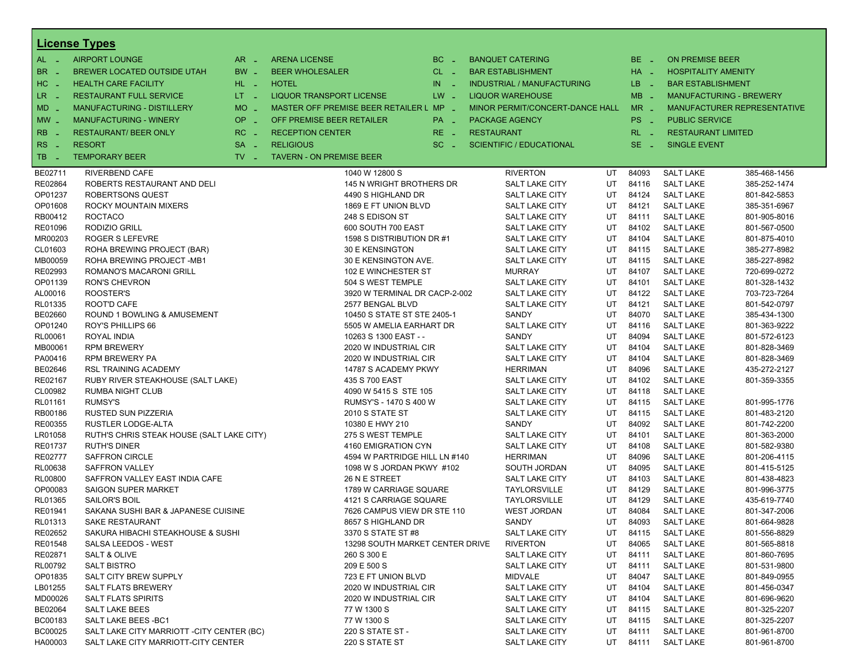|                       | <b>License Types</b>                       |                               |                                         |           |                                 |    |          |                            |                                |
|-----------------------|--------------------------------------------|-------------------------------|-----------------------------------------|-----------|---------------------------------|----|----------|----------------------------|--------------------------------|
| $AL -$                | <b>AIRPORT LOUNGE</b>                      | $AR -$                        | <b>ARENA LICENSE</b>                    | $BC -$    | <b>BANQUET CATERING</b>         |    | BE _     | <b>ON PREMISE BEER</b>     |                                |
| BR.<br>- 4            | BREWER LOCATED OUTSIDE UTAH                | BW _                          | <b>BEER WHOLESALER</b>                  | $CL$ $-$  | <b>BAR ESTABLISHMENT</b>        |    | $HA$ $=$ | <b>HOSPITALITY AMENITY</b> |                                |
| H <sub>C</sub><br>- 4 | <b>HEALTH CARE FACILITY</b>                | HL L                          | <b>HOTEL</b>                            | IN<br>- 2 | INDUSTRIAL / MANUFACTURING      |    | $LB - 1$ | <b>BAR ESTABLISHMENT</b>   |                                |
| LR.<br>$\sim$         | <b>RESTAURANT FULL SERVICE</b>             | $LT = 1$                      | LIQUOR TRANSPORT LICENSE                | $LW -$    | <b>LIQUOR WAREHOUSE</b>         |    | $MB -$   |                            | <b>MANUFACTURING - BREWERY</b> |
|                       | MANUFACTURING - DISTILLERY                 | <b>MO</b><br>i al             | MASTER OFF PREMISE BEER RETAILER L MP _ |           | MINOR PERMIT/CONCERT-DANCE HALL |    | $MR -$   |                            | MANUFACTURER REPRESENTATIVE    |
| $MD -$                |                                            |                               |                                         |           |                                 |    |          |                            |                                |
| $MW-$                 | <b>MANUFACTURING - WINERY</b>              | <b>OP</b><br>÷.               | OFF PREMISE BEER RETAILER               | PA _      | <b>PACKAGE AGENCY</b>           |    | PS _     | <b>PUBLIC SERVICE</b>      |                                |
| <b>RB</b>             | <b>RESTAURANT/ BEER ONLY</b>               | RC<br>$\sim$                  | <b>RECEPTION CENTER</b>                 | $RE -$    | <b>RESTAURANT</b>               |    | $RL - 1$ | <b>RESTAURANT LIMITED</b>  |                                |
| R <sub>S</sub><br>- 4 | <b>RESORT</b>                              | <b>SA</b><br>$\sim$           | <b>RELIGIOUS</b>                        | $SC =$    | <b>SCIENTIFIC / EDUCATIONAL</b> |    | $SE -$   | <b>SINGLE EVENT</b>        |                                |
| TB<br>- 4             | <b>TEMPORARY BEER</b>                      | $TV$ $\overline{\phantom{0}}$ | <b>TAVERN - ON PREMISE BEER</b>         |           |                                 |    |          |                            |                                |
| BE02711               | RIVERBEND CAFE                             |                               | 1040 W 12800 S                          |           | <b>RIVERTON</b>                 | UT | 84093    | <b>SALT LAKE</b>           | 385-468-1456                   |
| RE02864               | ROBERTS RESTAURANT AND DELI                |                               | 145 N WRIGHT BROTHERS DR                |           | <b>SALT LAKE CITY</b>           | UT | 84116    | <b>SALT LAKE</b>           | 385-252-1474                   |
| OP01237               | ROBERTSONS QUEST                           |                               | 4490 S HIGHLAND DR                      |           | SALT LAKE CITY                  | UT | 84124    | <b>SALT LAKE</b>           | 801-842-5853                   |
| OP01608               | ROCKY MOUNTAIN MIXERS                      |                               | 1869 E FT UNION BLVD                    |           | SALT LAKE CITY                  | UT | 84121    | <b>SALT LAKE</b>           | 385-351-6967                   |
| RB00412               | <b>ROCTACO</b>                             |                               | 248 S EDISON ST                         |           | <b>SALT LAKE CITY</b>           | UT | 84111    | <b>SALT LAKE</b>           | 801-905-8016                   |
| RE01096               | RODIZIO GRILL                              |                               | 600 SOUTH 700 EAST                      |           | SALT LAKE CITY                  | UT | 84102    | <b>SALT LAKE</b>           | 801-567-0500                   |
| MR00203               | <b>ROGER S LEFEVRE</b>                     |                               | 1598 S DISTRIBUTION DR #1               |           | SALT LAKE CITY                  | UT | 84104    | <b>SALT LAKE</b>           | 801-875-4010                   |
| CL01603               | ROHA BREWING PROJECT (BAR)                 |                               | 30 E KENSINGTON                         |           | <b>SALT LAKE CITY</b>           | UT | 84115    | <b>SALT LAKE</b>           | 385-277-8982                   |
| MB00059               | ROHA BREWING PROJECT -MB1                  |                               | 30 E KENSINGTON AVE.                    |           | SALT LAKE CITY                  | UT | 84115    | <b>SALT LAKE</b>           | 385-227-8982                   |
| RE02993               | <b>ROMANO'S MACARONI GRILL</b>             |                               | 102 E WINCHESTER ST                     |           | <b>MURRAY</b>                   | UT | 84107    | <b>SALT LAKE</b>           | 720-699-0272                   |
| OP01139               | <b>RON'S CHEVRON</b>                       |                               | 504 S WEST TEMPLE                       |           | <b>SALT LAKE CITY</b>           | UT | 84101    | <b>SALT LAKE</b>           | 801-328-1432                   |
| AL00016               | ROOSTER'S                                  |                               | 3920 W TERMINAL DR CACP-2-002           |           | SALT LAKE CITY                  | UT | 84122    | <b>SALT LAKE</b>           | 703-723-7264                   |
| RL01335               | ROOT'D CAFE                                |                               | 2577 BENGAL BLVD                        |           | SALT LAKE CITY                  | UT | 84121    | <b>SALT LAKE</b>           | 801-542-0797                   |
| BE02660               | ROUND 1 BOWLING & AMUSEMENT                |                               | 10450 S STATE ST STE 2405-1             |           | SANDY                           | UT | 84070    | <b>SALT LAKE</b>           | 385-434-1300                   |
| OP01240               | ROY'S PHILLIPS 66                          |                               | 5505 W AMELIA EARHART DR                |           | SALT LAKE CITY                  | UT | 84116    | <b>SALT LAKE</b>           | 801-363-9222                   |
| RL00061               | ROYAL INDIA                                |                               | 10263 S 1300 EAST - -                   |           | SANDY                           | UT | 84094    | <b>SALT LAKE</b>           | 801-572-6123                   |
| MB00061               | <b>RPM BREWERY</b>                         |                               | 2020 W INDUSTRIAL CIR                   |           | SALT LAKE CITY                  | UT | 84104    | <b>SALT LAKE</b>           | 801-828-3469                   |
| PA00416               | <b>RPM BREWERY PA</b>                      |                               | 2020 W INDUSTRIAL CIR                   |           | SALT LAKE CITY                  | UT | 84104    | <b>SALT LAKE</b>           | 801-828-3469                   |
| BE02646               | <b>RSL TRAINING ACADEMY</b>                |                               | 14787 S ACADEMY PKWY                    |           | <b>HERRIMAN</b>                 | UT | 84096    | <b>SALT LAKE</b>           | 435-272-2127                   |
| RE02167               | RUBY RIVER STEAKHOUSE (SALT LAKE)          |                               | 435 S 700 EAST                          |           | SALT LAKE CITY                  | UT | 84102    | <b>SALT LAKE</b>           | 801-359-3355                   |
| CL00982               | <b>RUMBA NIGHT CLUB</b>                    |                               | 4090 W 5415 S STE 105                   |           | SALT LAKE CITY                  | UT | 84118    | <b>SALT LAKE</b>           |                                |
| RL01161               | RUMSY'S                                    |                               | RUMSY'S - 1470 S 400 W                  |           | SALT LAKE CITY                  | UT | 84115    | <b>SALT LAKE</b>           | 801-995-1776                   |
| RB00186               | RUSTED SUN PIZZERIA                        |                               | 2010 S STATE ST                         |           | <b>SALT LAKE CITY</b>           | UT | 84115    | <b>SALT LAKE</b>           | 801-483-2120                   |
| RE00355               | RUSTLER LODGE-ALTA                         |                               | 10380 E HWY 210                         |           | SANDY                           | UT | 84092    | <b>SALT LAKE</b>           | 801-742-2200                   |
| LR01058               | RUTH'S CHRIS STEAK HOUSE (SALT LAKE CITY)  |                               | 275 S WEST TEMPLE                       |           | SALT LAKE CITY                  | UT | 84101    | <b>SALT LAKE</b>           | 801-363-2000                   |
| RE01737               | <b>RUTH'S DINER</b>                        |                               | 4160 EMIGRATION CYN                     |           | <b>SALT LAKE CITY</b>           | UT | 84108    | <b>SALT LAKE</b>           | 801-582-9380                   |
| RE02777               | <b>SAFFRON CIRCLE</b>                      |                               | 4594 W PARTRIDGE HILL LN #140           |           | <b>HERRIMAN</b>                 | UT | 84096    | <b>SALT LAKE</b>           | 801-206-4115                   |
| RL00638               | <b>SAFFRON VALLEY</b>                      |                               | 1098 W S JORDAN PKWY #102               |           | SOUTH JORDAN                    | UT | 84095    | <b>SALT LAKE</b>           | 801-415-5125                   |
| <b>RL00800</b>        | SAFFRON VALLEY EAST INDIA CAFE             |                               | 26 N E STREET                           |           | <b>SALT LAKE CITY</b>           | UT | 84103    | <b>SALT LAKE</b>           | 801-438-4823                   |
| OP00083               | SAIGON SUPER MARKET                        |                               | 1789 W CARRIAGE SQUARE                  |           | TAYLORSVILLE                    | UT | 84129    | <b>SALT LAKE</b>           | 801-996-3775                   |
| RL01365               | <b>SAILOR'S BOIL</b>                       |                               | 4121 S CARRIAGE SQUARE                  |           | TAYLORSVILLE                    | UT | 84129    | <b>SALT LAKE</b>           | 435-619-7740                   |
| RE01941               | SAKANA SUSHI BAR & JAPANESE CUISINE        |                               | 7626 CAMPUS VIEW DR STE 110             |           | <b>WEST JORDAN</b>              | UT | 84084    | <b>SALT LAKE</b>           | 801-347-2006                   |
| RL01313               | SAKE RESTAURANT                            |                               | 8657 S HIGHLAND DR                      |           | SANDY                           | UT | 84093    | <b>SALT LAKE</b>           | 801-664-9828                   |
| RE02652               | SAKURA HIBACHI STEAKHOUSE & SUSHI          |                               | 3370 S STATE ST #8                      |           | <b>SALT LAKE CITY</b>           | UT | 84115    | <b>SALT LAKE</b>           | 801-556-8829                   |
| RE01548               | SALSA LEEDOS - WEST                        |                               | 13298 SOUTH MARKET CENTER DRIVE         |           | <b>RIVERTON</b>                 | UT | 84065    | <b>SALT LAKE</b>           | 801-565-8818                   |
| RE02871               | SALT & OLIVE                               |                               | 260 S 300 E                             |           | SALT LAKE CITY                  | UT | 84111    | <b>SALT LAKE</b>           | 801-860-7695                   |
| RL00792               | <b>SALT BISTRO</b>                         |                               | 209 E 500 S                             |           | SALT LAKE CITY                  | UT | 84111    | <b>SALT LAKE</b>           | 801-531-9800                   |
| OP01835               | SALT CITY BREW SUPPLY                      |                               | 723 E FT UNION BLVD                     |           | MIDVALE                         | UT | 84047    | <b>SALT LAKE</b>           | 801-849-0955                   |
| LB01255               | <b>SALT FLATS BREWERY</b>                  |                               | 2020 W INDUSTRIAL CIR                   |           | SALT LAKE CITY                  | UT | 84104    | <b>SALT LAKE</b>           | 801-456-0347                   |
| MD00026               | <b>SALT FLATS SPIRITS</b>                  |                               | 2020 W INDUSTRIAL CIR                   |           | SALT LAKE CITY                  | UT | 84104    | <b>SALT LAKE</b>           | 801-696-9620                   |
| BE02064               | <b>SALT LAKE BEES</b>                      |                               | 77 W 1300 S                             |           | SALT LAKE CITY                  | UT | 84115    | <b>SALT LAKE</b>           | 801-325-2207                   |
| BC00183               | SALT LAKE BEES - BC1                       |                               | 77 W 1300 S                             |           | SALT LAKE CITY                  | UT | 84115    | <b>SALT LAKE</b>           | 801-325-2207                   |
| BC00025               | SALT LAKE CITY MARRIOTT - CITY CENTER (BC) |                               | 220 S STATE ST -                        |           | SALT LAKE CITY                  | UT | 84111    | <b>SALT LAKE</b>           | 801-961-8700                   |
| HA00003               | SALT LAKE CITY MARRIOTT-CITY CENTER        |                               | 220 S STATE ST                          |           | <b>SALT LAKE CITY</b>           | UT | 84111    | <b>SALT LAKE</b>           | 801-961-8700                   |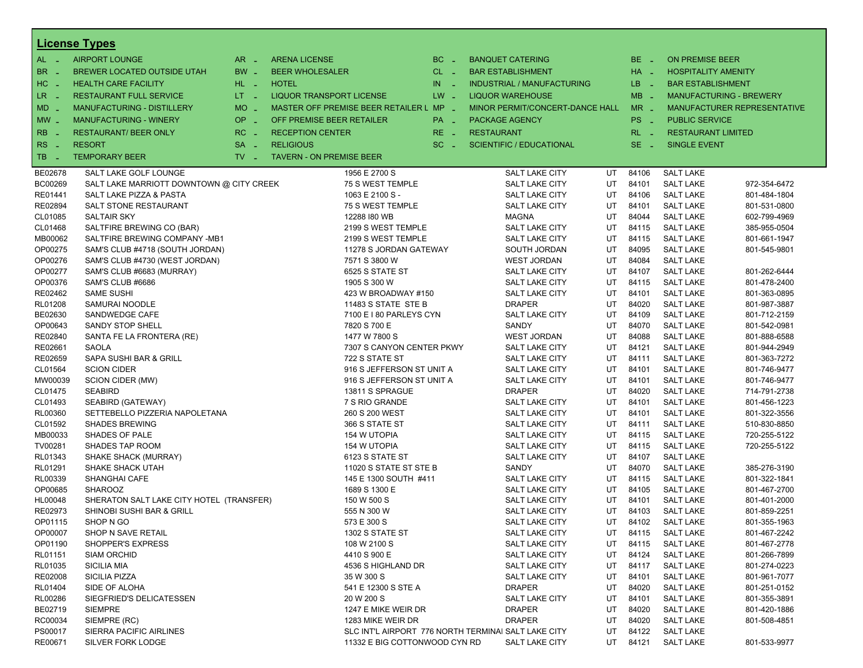|                  | <b>License Types</b>                     |                               |                                                     |          |                         |                                   |     |          |                                |                             |
|------------------|------------------------------------------|-------------------------------|-----------------------------------------------------|----------|-------------------------|-----------------------------------|-----|----------|--------------------------------|-----------------------------|
| $AL -$           | <b>AIRPORT LOUNGE</b>                    | $AR -$                        | <b>ARENA LICENSE</b>                                | $BC -$   | <b>BANQUET CATERING</b> |                                   |     | $BE -$   | <b>ON PREMISE BEER</b>         |                             |
| BR.<br>. —       | BREWER LOCATED OUTSIDE UTAH              | BW _                          | <b>BEER WHOLESALER</b>                              | $CL$ $-$ |                         | <b>BAR ESTABLISHMENT</b>          |     | HA _     | <b>HOSPITALITY AMENITY</b>     |                             |
| HC<br>nia.       | <b>HEALTH CARE FACILITY</b>              | HL L                          | <b>HOTEL</b>                                        | $IN =$   |                         | <b>INDUSTRIAL / MANUFACTURING</b> |     | LB __    | <b>BAR ESTABLISHMENT</b>       |                             |
| LR -             | <b>RESTAURANT FULL SERVICE</b>           | $LT = 1$                      | <b>LIQUOR TRANSPORT LICENSE</b>                     | $LW -$   |                         | <b>LIQUOR WAREHOUSE</b>           |     | $MB -$   | <b>MANUFACTURING - BREWERY</b> |                             |
| $MD -$           | MANUFACTURING - DISTILLERY               | $MO$ $\overline{\phantom{0}}$ | MASTER OFF PREMISE BEER RETAILER L MP _             |          |                         | MINOR PERMIT/CONCERT-DANCE HALL   |     | $MR -$   |                                | MANUFACTURER REPRESENTATIVE |
| $MW -$           | <b>MANUFACTURING - WINERY</b>            | <b>OP</b><br>i al             | OFF PREMISE BEER RETAILER                           | PA _     | <b>PACKAGE AGENCY</b>   |                                   |     | PS _     | <b>PUBLIC SERVICE</b>          |                             |
|                  |                                          |                               |                                                     |          |                         |                                   |     |          |                                |                             |
| RB               | <b>RESTAURANT/ BEER ONLY</b>             | $RC -$                        | <b>RECEPTION CENTER</b>                             | RE _     | <b>RESTAURANT</b>       |                                   |     | $RL - 1$ | <b>RESTAURANT LIMITED</b>      |                             |
| <b>RS</b><br>- 4 | <b>RESORT</b>                            | <b>SA</b><br>i al             | <b>RELIGIOUS</b>                                    | $SC =$   |                         | <b>SCIENTIFIC / EDUCATIONAL</b>   |     | $SE$ $-$ | <b>SINGLE EVENT</b>            |                             |
| TB.<br>- 4       | <b>TEMPORARY BEER</b>                    | $TV$ $\overline{\phantom{0}}$ | <b>TAVERN - ON PREMISE BEER</b>                     |          |                         |                                   |     |          |                                |                             |
| BE02678          | SALT LAKE GOLF LOUNGE                    |                               | 1956 E 2700 S                                       |          |                         | SALT LAKE CITY                    | UT  | 84106    | <b>SALT LAKE</b>               |                             |
| BC00269          | SALT LAKE MARRIOTT DOWNTOWN @ CITY CREEK |                               | 75 S WEST TEMPLE                                    |          |                         | SALT LAKE CITY                    | UT  | 84101    | <b>SALT LAKE</b>               | 972-354-6472                |
| RE01441          | SALT LAKE PIZZA & PASTA                  |                               | 1063 E 2100 S -                                     |          |                         | <b>SALT LAKE CITY</b>             | UT  | 84106    | <b>SALT LAKE</b>               | 801-484-1804                |
| RE02894          | SALT STONE RESTAURANT                    |                               | 75 S WEST TEMPLE                                    |          |                         | <b>SALT LAKE CITY</b>             | UT  | 84101    | <b>SALT LAKE</b>               | 801-531-0800                |
| CL01085          | <b>SALTAIR SKY</b>                       |                               | 12288 I80 WB                                        |          |                         | <b>MAGNA</b>                      | UT  | 84044    | <b>SALT LAKE</b>               | 602-799-4969                |
| CL01468          | SALTFIRE BREWING CO (BAR)                |                               | 2199 S WEST TEMPLE                                  |          |                         | <b>SALT LAKE CITY</b>             | UT  | 84115    | <b>SALT LAKE</b>               | 385-955-0504                |
| MB00062          | SALTFIRE BREWING COMPANY -MB1            |                               | 2199 S WEST TEMPLE                                  |          |                         | SALT LAKE CITY                    | UT  | 84115    | <b>SALT LAKE</b>               | 801-661-1947                |
| OP00275          | SAM'S CLUB #4718 (SOUTH JORDAN)          |                               | 11278 S JORDAN GATEWAY                              |          |                         | SOUTH JORDAN                      | UT  | 84095    | <b>SALT LAKE</b>               | 801-545-9801                |
| OP00276          | SAM'S CLUB #4730 (WEST JORDAN)           |                               | 7571 S 3800 W                                       |          |                         | <b>WEST JORDAN</b>                | UT  | 84084    | <b>SALT LAKE</b>               |                             |
| OP00277          | SAM'S CLUB #6683 (MURRAY)                |                               | 6525 S STATE ST                                     |          |                         | SALT LAKE CITY                    | UT  | 84107    | <b>SALT LAKE</b>               | 801-262-6444                |
| OP00376          | SAM'S CLUB #6686                         |                               | 1905 S 300 W                                        |          |                         | SALT LAKE CITY                    | UT  | 84115    | <b>SALT LAKE</b>               | 801-478-2400                |
| RE02462          | <b>SAME SUSHI</b>                        |                               | 423 W BROADWAY #150                                 |          |                         | <b>SALT LAKE CITY</b>             | UT  | 84101    | <b>SALT LAKE</b>               | 801-363-0895                |
| RL01208          | SAMURAI NOODLE                           |                               | 11483 S STATE STE B                                 |          |                         | <b>DRAPER</b>                     | UT  | 84020    | <b>SALT LAKE</b>               | 801-987-3887                |
| BE02630          | SANDWEDGE CAFE                           |                               | 7100 E I 80 PARLEYS CYN                             |          |                         | <b>SALT LAKE CITY</b>             | UT  | 84109    | <b>SALT LAKE</b>               | 801-712-2159                |
| OP00643          | <b>SANDY STOP SHELL</b>                  |                               | 7820 S 700 E                                        |          |                         | SANDY                             | UT  | 84070    | <b>SALT LAKE</b>               | 801-542-0981                |
| RE02840          | SANTA FE LA FRONTERA (RE)                |                               | 1477 W 7800 S                                       |          |                         | <b>WEST JORDAN</b>                | UT  | 84088    | <b>SALT LAKE</b>               | 801-888-6588                |
| RE02661          | SAOLA                                    |                               | 7307 S CANYON CENTER PKWY                           |          |                         | SALT LAKE CITY                    | UT  | 84121    | <b>SALT LAKE</b>               | 801-944-2949                |
| RE02659          | SAPA SUSHI BAR & GRILL                   |                               | 722 S STATE ST                                      |          |                         | <b>SALT LAKE CITY</b>             | UT  | 84111    | <b>SALT LAKE</b>               | 801-363-7272                |
| CL01564          | <b>SCION CIDER</b>                       |                               | 916 S JEFFERSON ST UNIT A                           |          |                         | SALT LAKE CITY                    | UT  | 84101    | <b>SALT LAKE</b>               | 801-746-9477                |
| MW00039          | SCION CIDER (MW)                         |                               | 916 S JEFFERSON ST UNIT A                           |          |                         | SALT LAKE CITY                    | UT  | 84101    | <b>SALT LAKE</b>               | 801-746-9477                |
| CL01475          | <b>SEABIRD</b>                           |                               | 13811 S SPRAGUE                                     |          |                         | <b>DRAPER</b>                     | UT  | 84020    | <b>SALT LAKE</b>               | 714-791-2738                |
| CL01493          | SEABIRD (GATEWAY)                        |                               | 7 S RIO GRANDE                                      |          |                         | SALT LAKE CITY                    | UT  | 84101    | <b>SALT LAKE</b>               | 801-456-1223                |
| RL00360          | SETTEBELLO PIZZERIA NAPOLETANA           |                               | 260 S 200 WEST                                      |          |                         | SALT LAKE CITY                    | UT  | 84101    | <b>SALT LAKE</b>               | 801-322-3556                |
| CL01592          | <b>SHADES BREWING</b>                    |                               | 366 S STATE ST                                      |          |                         | <b>SALT LAKE CITY</b>             | UT  | 84111    | <b>SALT LAKE</b>               | 510-830-8850                |
| MB00033          | SHADES OF PALE                           |                               | 154 W UTOPIA                                        |          |                         | SALT LAKE CITY                    | UT  | 84115    | <b>SALT LAKE</b>               | 720-255-5122                |
| TV00281          | <b>SHADES TAP ROOM</b>                   |                               | 154 W UTOPIA                                        |          |                         | SALT LAKE CITY                    | UT  | 84115    | <b>SALT LAKE</b>               | 720-255-5122                |
| RL01343          | SHAKE SHACK (MURRAY)                     |                               | 6123 S STATE ST                                     |          |                         | <b>SALT LAKE CITY</b>             | UT  | 84107    | <b>SALT LAKE</b>               |                             |
| RL01291          | SHAKE SHACK UTAH                         |                               | 11020 S STATE ST STE B                              |          |                         | SANDY                             | UT  | 84070    | <b>SALT LAKE</b>               | 385-276-3190                |
| RL00339          | <b>SHANGHAI CAFE</b>                     |                               | 145 E 1300 SOUTH #411                               |          |                         | SALT LAKE CITY                    | UT  | 84115    | <b>SALT LAKE</b>               | 801-322-1841                |
| OP00685          | <b>SHAROOZ</b>                           |                               | 1689 S 1300 E                                       |          |                         | <b>SALT LAKE CITY</b>             | UT  | 84105    | <b>SALT LAKE</b>               | 801-467-2700                |
| HL00048          | SHERATON SALT LAKE CITY HOTEL (TRANSFER) |                               | 150 W 500 S                                         |          |                         | SALT LAKE CITY                    | UT  | 84101    | <b>SALT LAKE</b>               | 801-401-2000                |
| RE02973          | <b>SHINOBI SUSHI BAR &amp; GRILL</b>     |                               | 555 N 300 W                                         |          |                         | SALT LAKE CITY                    | UT  | 84103    | <b>SALT LAKE</b>               | 801-859-2251                |
| OP01115          | SHOP N GO                                |                               | 573 E 300 S                                         |          |                         | <b>SALT LAKE CITY</b>             | UT. | 84102    | <b>SALT LAKE</b>               | 801-355-1963                |
| OP00007          | SHOP N SAVE RETAIL                       |                               | 1302 S STATE ST                                     |          |                         | SALT LAKE CITY                    | UT  | 84115    | <b>SALT LAKE</b>               | 801-467-2242                |
| OP01190          | SHOPPER'S EXPRESS                        |                               | 108 W 2100 S                                        |          |                         | SALT LAKE CITY                    | UT  | 84115    | <b>SALT LAKE</b>               | 801-467-2778                |
| RL01151          | <b>SIAM ORCHID</b>                       |                               | 4410 S 900 E                                        |          |                         | SALT LAKE CITY                    | UT  | 84124    | <b>SALT LAKE</b>               | 801-266-7899                |
| RL01035          | <b>SICILIA MIA</b>                       |                               | 4536 S HIGHLAND DR                                  |          |                         | SALT LAKE CITY                    | UT  | 84117    | <b>SALT LAKE</b>               | 801-274-0223                |
| RE02008          | SICILIA PIZZA                            |                               | 35 W 300 S                                          |          |                         | SALT LAKE CITY                    | UT  | 84101    | <b>SALT LAKE</b>               | 801-961-7077                |
| RL01404          | SIDE OF ALOHA                            |                               | 541 E 12300 S STE A                                 |          |                         | <b>DRAPER</b>                     | UT  | 84020    | <b>SALT LAKE</b>               | 801-251-0152                |
| RL00286          | SIEGFRIED'S DELICATESSEN                 |                               | 20 W 200 S                                          |          |                         | <b>SALT LAKE CITY</b>             | UT  | 84101    | <b>SALT LAKE</b>               | 801-355-3891                |
| BE02719          | <b>SIEMPRE</b>                           |                               | 1247 E MIKE WEIR DR                                 |          |                         | <b>DRAPER</b>                     | UT  | 84020    | <b>SALT LAKE</b>               | 801-420-1886                |
| RC00034          | SIEMPRE (RC)                             |                               | 1283 MIKE WEIR DR                                   |          |                         | <b>DRAPER</b>                     | UT  | 84020    | <b>SALT LAKE</b>               | 801-508-4851                |
| PS00017          | SIERRA PACIFIC AIRLINES                  |                               | SLC INT'L AIRPORT 776 NORTH TERMINAI SALT LAKE CITY |          |                         |                                   | UT  | 84122    | <b>SALT LAKE</b>               |                             |
| RE00671          | SILVER FORK LODGE                        |                               | 11332 E BIG COTTONWOOD CYN RD                       |          |                         | SALT LAKE CITY                    | UT  | 84121    | <b>SALT LAKE</b>               | 801-533-9977                |
|                  |                                          |                               |                                                     |          |                         |                                   |     |          |                                |                             |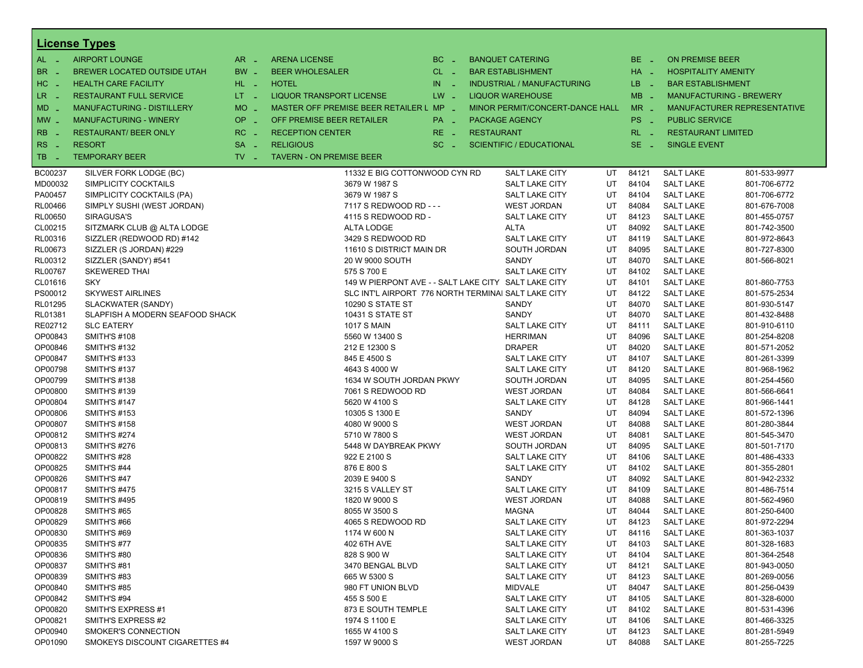|                       | <b>License Types</b>            |                     |                                                      |                 |                   |                                   |    |             |                            |                                |
|-----------------------|---------------------------------|---------------------|------------------------------------------------------|-----------------|-------------------|-----------------------------------|----|-------------|----------------------------|--------------------------------|
| $AL -$                | <b>AIRPORT LOUNGE</b>           | $AR -$              | <b>ARENA LICENSE</b>                                 | $BC -$          |                   | <b>BANQUET CATERING</b>           |    | BE _        | <b>ON PREMISE BEER</b>     |                                |
| <b>BR</b><br>- 4      | BREWER LOCATED OUTSIDE UTAH     | BW _                | <b>BEER WHOLESALER</b>                               | $CL$ $-$        |                   | <b>BAR ESTABLISHMENT</b>          |    | HA _        | <b>HOSPITALITY AMENITY</b> |                                |
| H <sub>C</sub><br>- 4 | <b>HEALTH CARE FACILITY</b>     | HL L                | <b>HOTEL</b>                                         | IN<br>$\sim 10$ |                   | <b>INDUSTRIAL / MANUFACTURING</b> |    | LB _        | <b>BAR ESTABLISHMENT</b>   |                                |
| LR.<br>- 4            | <b>RESTAURANT FULL SERVICE</b>  | $LT - 1$            | <b>LIQUOR TRANSPORT LICENSE</b>                      | $LW -$          |                   | <b>LIQUOR WAREHOUSE</b>           |    | $MB -$      |                            | <b>MANUFACTURING - BREWERY</b> |
| $MD -$                | MANUFACTURING - DISTILLERY      | <b>MO</b><br>$\sim$ | MASTER OFF PREMISE BEER RETAILER L MP _              |                 |                   | MINOR PERMIT/CONCERT-DANCE HALL   |    | $MR -$      |                            | MANUFACTURER REPRESENTATIVE    |
|                       |                                 | OP                  | OFF PREMISE BEER RETAILER                            |                 |                   |                                   |    |             |                            |                                |
| $MW$ $-$              | <b>MANUFACTURING - WINERY</b>   | п.                  |                                                      | PA _            |                   | <b>PACKAGE AGENCY</b>             |    | PS _        | <b>PUBLIC SERVICE</b>      |                                |
| <b>RB</b>             | <b>RESTAURANT/ BEER ONLY</b>    | RC<br>i a           | <b>RECEPTION CENTER</b>                              | $RE -$          | <b>RESTAURANT</b> |                                   |    | $RL - 1$    | <b>RESTAURANT LIMITED</b>  |                                |
| RS<br>- 4             | <b>RESORT</b>                   | <b>SA</b><br>п.     | <b>RELIGIOUS</b>                                     | $SC =$          |                   | <b>SCIENTIFIC / EDUCATIONAL</b>   |    | SE.<br>- 11 | <b>SINGLE EVENT</b>        |                                |
| TB<br><b>College</b>  | <b>TEMPORARY BEER</b>           | $TV -$              | <b>TAVERN - ON PREMISE BEER</b>                      |                 |                   |                                   |    |             |                            |                                |
| BC00237               | SILVER FORK LODGE (BC)          |                     | 11332 E BIG COTTONWOOD CYN RD                        |                 |                   | <b>SALT LAKE CITY</b>             | UT | 84121       | <b>SALT LAKE</b>           | 801-533-9977                   |
| MD00032               | SIMPLICITY COCKTAILS            |                     | 3679 W 1987 S                                        |                 |                   | SALT LAKE CITY                    | UT | 84104       | <b>SALT LAKE</b>           | 801-706-6772                   |
| PA00457               | SIMPLICITY COCKTAILS (PA)       |                     | 3679 W 1987 S                                        |                 |                   | <b>SALT LAKE CITY</b>             | UT | 84104       | <b>SALT LAKE</b>           | 801-706-6772                   |
| <b>RL00466</b>        | SIMPLY SUSHI (WEST JORDAN)      |                     | 7117 S REDWOOD RD - - -                              |                 |                   | <b>WEST JORDAN</b>                | UT | 84084       | <b>SALT LAKE</b>           | 801-676-7008                   |
| <b>RL00650</b>        | SIRAGUSA'S                      |                     | 4115 S REDWOOD RD -                                  |                 |                   | <b>SALT LAKE CITY</b>             | UT | 84123       | <b>SALT LAKE</b>           | 801-455-0757                   |
| CL00215               | SITZMARK CLUB @ ALTA LODGE      |                     | <b>ALTA LODGE</b>                                    |                 |                   | <b>ALTA</b>                       | UT | 84092       | <b>SALT LAKE</b>           | 801-742-3500                   |
| RL00316               | SIZZLER (REDWOOD RD) #142       |                     | 3429 S REDWOOD RD                                    |                 |                   | <b>SALT LAKE CITY</b>             | UT | 84119       | <b>SALT LAKE</b>           | 801-972-8643                   |
| RL00673               | SIZZLER (S JORDAN) #229         |                     | 11610 S DISTRICT MAIN DR                             |                 |                   | SOUTH JORDAN                      | UT | 84095       | <b>SALT LAKE</b>           | 801-727-8300                   |
| RL00312               | SIZZLER (SANDY) #541            |                     | 20 W 9000 SOUTH                                      |                 |                   | SANDY                             | UT | 84070       | <b>SALT LAKE</b>           | 801-566-8021                   |
| <b>RL00767</b>        | <b>SKEWERED THAI</b>            |                     | 575 S 700 E                                          |                 |                   | <b>SALT LAKE CITY</b>             | UT | 84102       | <b>SALT LAKE</b>           |                                |
| CL01616               | <b>SKY</b>                      |                     | 149 W PIERPONT AVE - - SALT LAKE CITY SALT LAKE CITY |                 |                   |                                   | UT | 84101       | <b>SALT LAKE</b>           | 801-860-7753                   |
| PS00012               | <b>SKYWEST AIRLINES</b>         |                     | SLC INT'L AIRPORT 776 NORTH TERMINAI SALT LAKE CITY  |                 |                   |                                   | UT | 84122       | <b>SALT LAKE</b>           | 801-575-2534                   |
| RL01295               | SLACKWATER (SANDY)              |                     | 10290 S STATE ST                                     |                 |                   | SANDY                             | UT | 84070       | <b>SALT LAKE</b>           | 801-930-5147                   |
| RL01381               | SLAPFISH A MODERN SEAFOOD SHACK |                     | <b>10431 S STATE ST</b>                              |                 |                   | SANDY                             | UT | 84070       | <b>SALT LAKE</b>           | 801-432-8488                   |
| RE02712               | <b>SLC EATERY</b>               |                     | <b>1017 S MAIN</b>                                   |                 |                   | <b>SALT LAKE CITY</b>             | UT | 84111       | <b>SALT LAKE</b>           | 801-910-6110                   |
| OP00843               | <b>SMITH'S #108</b>             |                     | 5560 W 13400 S                                       |                 |                   | <b>HERRIMAN</b>                   | UT | 84096       | <b>SALT LAKE</b>           | 801-254-8208                   |
| OP00846               | <b>SMITH'S #132</b>             |                     | 212 E 12300 S                                        |                 |                   | <b>DRAPER</b>                     | UT | 84020       | <b>SALT LAKE</b>           | 801-571-2052                   |
| OP00847               | <b>SMITH'S #133</b>             |                     | 845 E 4500 S                                         |                 |                   | <b>SALT LAKE CITY</b>             | UT | 84107       | <b>SALT LAKE</b>           | 801-261-3399                   |
| OP00798               | <b>SMITH'S #137</b>             |                     | 4643 S 4000 W                                        |                 |                   | <b>SALT LAKE CITY</b>             | UT | 84120       | <b>SALT LAKE</b>           | 801-968-1962                   |
| OP00799               | <b>SMITH'S #138</b>             |                     | 1634 W SOUTH JORDAN PKWY                             |                 |                   | SOUTH JORDAN                      | UT | 84095       | <b>SALT LAKE</b>           | 801-254-4560                   |
| OP00800               | <b>SMITH'S #139</b>             |                     | 7061 S REDWOOD RD                                    |                 |                   | <b>WEST JORDAN</b>                | UT | 84084       | <b>SALT LAKE</b>           | 801-566-6641                   |
| OP00804               | <b>SMITH'S #147</b>             |                     | 5620 W 4100 S                                        |                 |                   | <b>SALT LAKE CITY</b>             | UT | 84128       | <b>SALT LAKE</b>           | 801-966-1441                   |
| OP00806               | <b>SMITH'S #153</b>             |                     | 10305 S 1300 E                                       |                 |                   | SANDY                             | UT | 84094       | <b>SALT LAKE</b>           | 801-572-1396                   |
| OP00807               | <b>SMITH'S #158</b>             |                     | 4080 W 9000 S                                        |                 |                   | <b>WEST JORDAN</b>                | UT | 84088       | <b>SALT LAKE</b>           | 801-280-3844                   |
| OP00812               | <b>SMITH'S #274</b>             |                     | 5710 W 7800 S                                        |                 |                   | <b>WEST JORDAN</b>                | UT | 84081       | <b>SALT LAKE</b>           | 801-545-3470                   |
| OP00813               | <b>SMITH'S #276</b>             |                     | 5448 W DAYBREAK PKWY                                 |                 |                   | SOUTH JORDAN                      | UT | 84095       | <b>SALT LAKE</b>           | 801-501-7170                   |
| OP00822               | <b>SMITH'S #28</b>              |                     | 922 E 2100 S                                         |                 |                   | <b>SALT LAKE CITY</b>             | UT | 84106       | <b>SALT LAKE</b>           | 801-486-4333                   |
| OP00825               | SMITH'S #44                     |                     | 876 E 800 S                                          |                 |                   | <b>SALT LAKE CITY</b>             | UT | 84102       | <b>SALT LAKE</b>           | 801-355-2801                   |
| OP00826               | SMITH'S #47                     |                     | 2039 E 9400 S                                        |                 |                   | SANDY                             | UT | 84092       | <b>SALT LAKE</b>           | 801-942-2332                   |
| OP00817               | <b>SMITH'S #475</b>             |                     | 3215 S VALLEY ST                                     |                 |                   | <b>SALT LAKE CITY</b>             | UT | 84109       | <b>SALT LAKE</b>           | 801-486-7514                   |
| OP00819               | <b>SMITH'S #495</b>             |                     | 1820 W 9000 S                                        |                 |                   | <b>WEST JORDAN</b>                | UT | 84088       | <b>SALT LAKE</b>           | 801-562-4960                   |
| OP00828               | SMITH'S #65                     |                     | 8055 W 3500 S                                        |                 |                   | <b>MAGNA</b>                      | UT | 84044       | <b>SALT LAKE</b>           | 801-250-6400                   |
| OP00829               | SMITH'S #66                     |                     | 4065 S REDWOOD RD                                    |                 |                   | SALT LAKE CITY                    | UT | 84123       | <b>SALT LAKE</b>           | 801-972-2294                   |
| OP00830               | SMITH'S #69                     |                     | 1174 W 600 N                                         |                 |                   | <b>SALT LAKE CITY</b>             | UT | 84116       | <b>SALT LAKE</b>           | 801-363-1037                   |
| OP00835               | SMITH'S #77                     |                     | 402 6TH AVE                                          |                 |                   | <b>SALT LAKE CITY</b>             | UT | 84103       | <b>SALT LAKE</b>           | 801-328-1683                   |
| OP00836               | SMITH'S #80                     |                     | 828 S 900 W                                          |                 |                   | <b>SALT LAKE CITY</b>             | UT | 84104       | <b>SALT LAKE</b>           | 801-364-2548                   |
| OP00837               | SMITH'S #81                     |                     | 3470 BENGAL BLVD                                     |                 |                   | <b>SALT LAKE CITY</b>             | UT | 84121       | <b>SALT LAKE</b>           | 801-943-0050                   |
| OP00839               | SMITH'S #83                     |                     | 665 W 5300 S                                         |                 |                   | <b>SALT LAKE CITY</b>             | UT | 84123       | <b>SALT LAKE</b>           | 801-269-0056                   |
| OP00840               | <b>SMITH'S #85</b>              |                     | 980 FT UNION BLVD                                    |                 |                   | <b>MIDVALE</b>                    | UT | 84047       | <b>SALT LAKE</b>           | 801-256-0439                   |
| OP00842               | SMITH'S #94                     |                     | 455 S 500 E                                          |                 |                   | SALT LAKE CITY                    | UT | 84105       | <b>SALT LAKE</b>           | 801-328-6000                   |
| OP00820               | SMITH'S EXPRESS #1              |                     | 873 E SOUTH TEMPLE                                   |                 |                   | <b>SALT LAKE CITY</b>             | UT | 84102       | <b>SALT LAKE</b>           | 801-531-4396                   |
| OP00821               | SMITH'S EXPRESS #2              |                     | 1974 S 1100 E                                        |                 |                   | <b>SALT LAKE CITY</b>             | UT | 84106       | <b>SALT LAKE</b>           | 801-466-3325                   |
| OP00940               | SMOKER'S CONNECTION             |                     | 1655 W 4100 S                                        |                 |                   | <b>SALT LAKE CITY</b>             | UT | 84123       | <b>SALT LAKE</b>           | 801-281-5949                   |
| OP01090               | SMOKEYS DISCOUNT CIGARETTES #4  |                     | 1597 W 9000 S                                        |                 |                   | <b>WEST JORDAN</b>                | UT | 84088       | <b>SALT LAKE</b>           | 801-255-7225                   |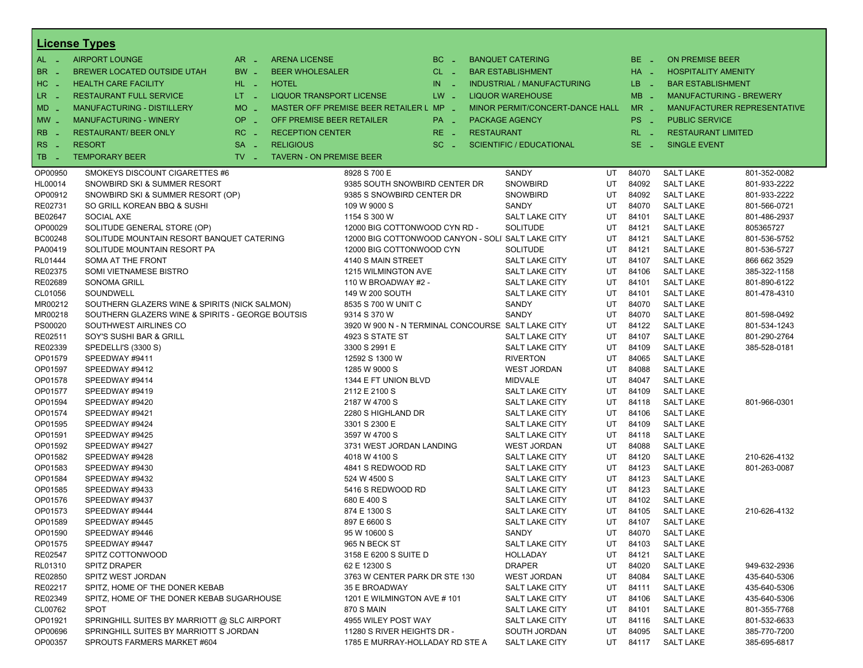|                       | <b>License Types</b>                             |                     |                                 |                                                    |                       |                   |                                   |       |                  |                                |                                    |
|-----------------------|--------------------------------------------------|---------------------|---------------------------------|----------------------------------------------------|-----------------------|-------------------|-----------------------------------|-------|------------------|--------------------------------|------------------------------------|
| $AL -$                | <b>AIRPORT LOUNGE</b>                            | $AR -$              | <b>ARENA LICENSE</b>            |                                                    | $BC -$                |                   | <b>BANQUET CATERING</b>           |       | BE _             | <b>ON PREMISE BEER</b>         |                                    |
| BR.<br>- 4            | BREWER LOCATED OUTSIDE UTAH                      | BW _                | <b>BEER WHOLESALER</b>          |                                                    | CL _                  |                   | <b>BAR ESTABLISHMENT</b>          |       | HA _             | <b>HOSPITALITY AMENITY</b>     |                                    |
| H <sub>C</sub><br>- 4 | <b>HEALTH CARE FACILITY</b>                      | HL L                | <b>HOTEL</b>                    |                                                    | IN.<br><b>College</b> |                   | <b>INDUSTRIAL / MANUFACTURING</b> |       | LB.<br>- 4       | <b>BAR ESTABLISHMENT</b>       |                                    |
| LR.<br>- 4            | <b>RESTAURANT FULL SERVICE</b>                   | $LT - 1$            | LIQUOR TRANSPORT LICENSE        |                                                    | $LW -$                |                   | <b>LIQUOR WAREHOUSE</b>           |       | $MB -$           | <b>MANUFACTURING - BREWERY</b> |                                    |
| $MD -$                | <b>MANUFACTURING - DISTILLERY</b>                | <b>MO</b><br>$\sim$ |                                 | MASTER OFF PREMISE BEER RETAILER L MP -            |                       |                   | MINOR PERMIT/CONCERT-DANCE HALL   |       | $MR -$           |                                | <b>MANUFACTURER REPRESENTATIVE</b> |
| $MW$ $-$              | <b>MANUFACTURING - WINERY</b>                    | <b>OP</b><br>п.     | OFF PREMISE BEER RETAILER       |                                                    | PA _                  |                   | <b>PACKAGE AGENCY</b>             |       | PS _             | <b>PUBLIC SERVICE</b>          |                                    |
|                       |                                                  |                     |                                 |                                                    |                       |                   |                                   |       |                  |                                |                                    |
| <b>RB</b>             | <b>RESTAURANT/ BEER ONLY</b>                     | RC<br>i a           | <b>RECEPTION CENTER</b>         |                                                    | $RE -$                | <b>RESTAURANT</b> |                                   |       | $RL - 1$         | <b>RESTAURANT LIMITED</b>      |                                    |
| R <sub>S</sub><br>- 4 | <b>RESORT</b>                                    | <b>SA</b>           | <b>RELIGIOUS</b>                |                                                    | $SC =$                |                   | <b>SCIENTIFIC / EDUCATIONAL</b>   |       | $SE -$           | <b>SINGLE EVENT</b>            |                                    |
| TB.<br>- 4            | <b>TEMPORARY BEER</b>                            | $TV -$              | <b>TAVERN - ON PREMISE BEER</b> |                                                    |                       |                   |                                   |       |                  |                                |                                    |
| OP00950               | SMOKEYS DISCOUNT CIGARETTES #6                   |                     |                                 | 8928 S 700 E                                       |                       |                   | SANDY                             | UT    | 84070            | <b>SALT LAKE</b>               | 801-352-0082                       |
| HL00014               | SNOWBIRD SKI & SUMMER RESORT                     |                     |                                 | 9385 SOUTH SNOWBIRD CENTER DR                      |                       |                   | <b>SNOWBIRD</b>                   | UT    | 84092            | <b>SALT LAKE</b>               | 801-933-2222                       |
| OP00912               | SNOWBIRD SKI & SUMMER RESORT (OP)                |                     |                                 | 9385 S SNOWBIRD CENTER DR                          |                       |                   | <b>SNOWBIRD</b>                   | UT    | 84092            | <b>SALT LAKE</b>               | 801-933-2222                       |
| RE02731               | SO GRILL KOREAN BBQ & SUSHI                      |                     |                                 | 109 W 9000 S                                       |                       |                   | SANDY                             | UT    | 84070            | <b>SALT LAKE</b>               | 801-566-0721                       |
| BE02647               | SOCIAL AXE                                       |                     |                                 | 1154 S 300 W                                       |                       |                   | SALT LAKE CITY                    | UT    | 84101            | <b>SALT LAKE</b>               | 801-486-2937                       |
| OP00029               | SOLITUDE GENERAL STORE (OP)                      |                     |                                 | 12000 BIG COTTONWOOD CYN RD -                      |                       |                   | <b>SOLITUDE</b>                   | UT    | 84121            | <b>SALT LAKE</b>               | 805365727                          |
| BC00248               | SOLITUDE MOUNTAIN RESORT BANQUET CATERING        |                     |                                 | 12000 BIG COTTONWOOD CANYON - SOLI SALT LAKE CITY  |                       |                   |                                   | UT    | 84121            | <b>SALT LAKE</b>               | 801-536-5752                       |
| PA00419               | SOLITUDE MOUNTAIN RESORT PA                      |                     |                                 | 12000 BIG COTTONWOOD CYN                           |                       |                   | <b>SOLITUDE</b>                   | UT    | 84121            | <b>SALT LAKE</b>               | 801-536-5727                       |
| RL01444               | SOMA AT THE FRONT                                |                     |                                 | 4140 S MAIN STREET                                 |                       |                   | SALT LAKE CITY                    | UT    | 84107            | <b>SALT LAKE</b>               | 866 662 3529                       |
| RE02375               | SOMI VIETNAMESE BISTRO                           |                     |                                 | 1215 WILMINGTON AVE                                |                       |                   | <b>SALT LAKE CITY</b>             | UT    | 84106            | <b>SALT LAKE</b>               | 385-322-1158                       |
| RE02689               | <b>SONOMA GRILL</b>                              |                     |                                 | 110 W BROADWAY #2 -                                |                       |                   | SALT LAKE CITY                    | UT    | 84101            | <b>SALT LAKE</b>               | 801-890-6122                       |
| CL01056               | SOUNDWELL                                        |                     |                                 | 149 W 200 SOUTH                                    |                       |                   | SALT LAKE CITY                    | UT    | 84101            | <b>SALT LAKE</b>               | 801-478-4310                       |
| MR00212               | SOUTHERN GLAZERS WINE & SPIRITS (NICK SALMON)    |                     |                                 | 8535 S 700 W UNIT C                                |                       |                   | SANDY                             | UT    | 84070            | <b>SALT LAKE</b>               |                                    |
| MR00218               | SOUTHERN GLAZERS WINE & SPIRITS - GEORGE BOUTSIS |                     |                                 | 9314 S 370 W                                       |                       |                   | SANDY                             | UT    | 84070            | <b>SALT LAKE</b>               | 801-598-0492                       |
| PS00020               | SOUTHWEST AIRLINES CO                            |                     |                                 | 3920 W 900 N - N TERMINAL CONCOURSE SALT LAKE CITY |                       |                   |                                   | UT    | 84122            | <b>SALT LAKE</b>               | 801-534-1243                       |
| RE02511               | SOY'S SUSHI BAR & GRILL                          |                     |                                 | UT<br>4923 S STATE ST<br>SALT LAKE CITY            |                       |                   |                                   | 84107 | <b>SALT LAKE</b> | 801-290-2764                   |                                    |
| RE02339               | SPEDELLI'S (3300 S)                              |                     |                                 | 3300 S 2991 E<br><b>SALT LAKE CITY</b><br>UT       |                       |                   |                                   |       | 84109            | <b>SALT LAKE</b>               | 385-528-0181                       |
| OP01579               | SPEEDWAY #9411                                   |                     |                                 | 12592 S 1300 W                                     |                       |                   | <b>RIVERTON</b>                   | UT    | 84065            | <b>SALT LAKE</b>               |                                    |
| OP01597               | SPEEDWAY #9412                                   |                     |                                 | 1285 W 9000 S                                      |                       |                   | <b>WEST JORDAN</b>                | UT    | 84088            | <b>SALT LAKE</b>               |                                    |
| OP01578               | SPEEDWAY #9414                                   |                     |                                 | 1344 E FT UNION BLVD                               |                       |                   | <b>MIDVALE</b>                    | UT    | 84047            | <b>SALT LAKE</b>               |                                    |
| OP01577               | SPEEDWAY #9419                                   |                     |                                 | 2112 E 2100 S                                      |                       |                   | SALT LAKE CITY                    | UT    | 84109            | <b>SALT LAKE</b>               |                                    |
| OP01594               | SPEEDWAY #9420                                   |                     |                                 | 2187 W 4700 S                                      |                       |                   | SALT LAKE CITY                    | UT    | 84118            | <b>SALT LAKE</b>               | 801-966-0301                       |
| OP01574               | SPEEDWAY #9421                                   |                     |                                 | 2280 S HIGHLAND DR                                 |                       |                   | SALT LAKE CITY                    | UT    | 84106            | <b>SALT LAKE</b>               |                                    |
| OP01595               | SPEEDWAY #9424                                   |                     |                                 | 3301 S 2300 E                                      |                       |                   | SALT LAKE CITY                    | UT    | 84109            | <b>SALT LAKE</b>               |                                    |
| OP01591               | SPEEDWAY #9425                                   |                     |                                 | 3597 W 4700 S                                      |                       |                   | SALT LAKE CITY                    | UT    | 84118            | <b>SALT LAKE</b>               |                                    |
| OP01592               | SPEEDWAY #9427                                   |                     |                                 | 3731 WEST JORDAN LANDING                           |                       |                   | <b>WEST JORDAN</b>                | UT    | 84088            | <b>SALT LAKE</b>               |                                    |
| OP01582               | SPEEDWAY #9428                                   |                     |                                 | 4018 W 4100 S                                      |                       |                   | SALT LAKE CITY                    | UT    | 84120            | <b>SALT LAKE</b>               | 210-626-4132                       |
| OP01583               | SPEEDWAY #9430                                   |                     |                                 | 4841 S REDWOOD RD                                  |                       |                   | <b>SALT LAKE CITY</b>             | UT    | 84123            | <b>SALT LAKE</b>               | 801-263-0087                       |
| OP01584               | SPEEDWAY #9432                                   |                     |                                 | 524 W 4500 S                                       |                       |                   | SALT LAKE CITY                    | UT    | 84123            | <b>SALT LAKE</b>               |                                    |
| OP01585               | SPEEDWAY #9433                                   |                     |                                 | 5416 S REDWOOD RD                                  |                       |                   | <b>SALT LAKE CITY</b>             | UT    | 84123            | <b>SALT LAKE</b>               |                                    |
| OP01576               | SPEEDWAY #9437                                   |                     |                                 | 680 E 400 S                                        |                       |                   | SALT LAKE CITY                    | UT    | 84102            | <b>SALT LAKE</b>               |                                    |
| OP01573               | SPEEDWAY #9444                                   |                     |                                 | 874 E 1300 S                                       |                       |                   | SALT LAKE CITY                    | UT    | 84105            | <b>SALT LAKE</b>               | 210-626-4132                       |
| OP01589               | SPEEDWAY #9445                                   |                     |                                 | 897 E 6600 S                                       |                       |                   | SALT LAKE CITY                    | UT    | 84107            | <b>SALT LAKE</b>               |                                    |
| OP01590               | SPEEDWAY #9446                                   |                     |                                 | 95 W 10600 S                                       |                       |                   | SANDY                             | UT    | 84070            | <b>SALT LAKE</b>               |                                    |
| OP01575               | SPEEDWAY #9447                                   |                     |                                 | 965 N BECK ST                                      |                       |                   | <b>SALT LAKE CITY</b>             | UT    | 84103            | <b>SALT LAKE</b>               |                                    |
| RE02547               | SPITZ COTTONWOOD                                 |                     |                                 | 3158 E 6200 S SUITE D                              |                       |                   | HOLLADAY                          | UT    | 84121            | <b>SALT LAKE</b>               |                                    |
| RL01310               | <b>SPITZ DRAPER</b>                              |                     |                                 | 62 E 12300 S                                       |                       |                   | <b>DRAPER</b>                     | UT    | 84020            | <b>SALT LAKE</b>               | 949-632-2936                       |
| RE02850               | SPITZ WEST JORDAN                                |                     |                                 | 3763 W CENTER PARK DR STE 130                      |                       |                   | <b>WEST JORDAN</b>                | UT    | 84084            | <b>SALT LAKE</b>               | 435-640-5306                       |
| RE02217               | SPITZ, HOME OF THE DONER KEBAB                   |                     |                                 | 35 E BROADWAY                                      |                       |                   | SALT LAKE CITY                    | UT    | 84111            | <b>SALT LAKE</b>               | 435-640-5306                       |
| RE02349               | SPITZ, HOME OF THE DONER KEBAB SUGARHOUSE        |                     |                                 | 1201 E WILMINGTON AVE #101                         |                       |                   | SALT LAKE CITY                    | UT    | 84106            | <b>SALT LAKE</b>               | 435-640-5306                       |
| CL00762               | <b>SPOT</b>                                      |                     |                                 | <b>870 S MAIN</b>                                  |                       |                   | SALT LAKE CITY                    | UT    | 84101            | <b>SALT LAKE</b>               | 801-355-7768                       |
| OP01921               | SPRINGHILL SUITES BY MARRIOTT @ SLC AIRPORT      |                     |                                 | 4955 WILEY POST WAY                                |                       |                   | SALT LAKE CITY                    | UT    | 84116            | <b>SALT LAKE</b>               | 801-532-6633                       |
| OP00696               | SPRINGHILL SUITES BY MARRIOTT S JORDAN           |                     |                                 | 11280 S RIVER HEIGHTS DR -                         |                       |                   | SOUTH JORDAN                      | UT    | 84095            | <b>SALT LAKE</b>               | 385-770-7200                       |
| OP00357               | SPROUTS FARMERS MARKET #604                      |                     |                                 | 1785 E MURRAY-HOLLADAY RD STE A                    |                       |                   | SALT LAKE CITY                    | UT    | 84117            | <b>SALT LAKE</b>               | 385-695-6817                       |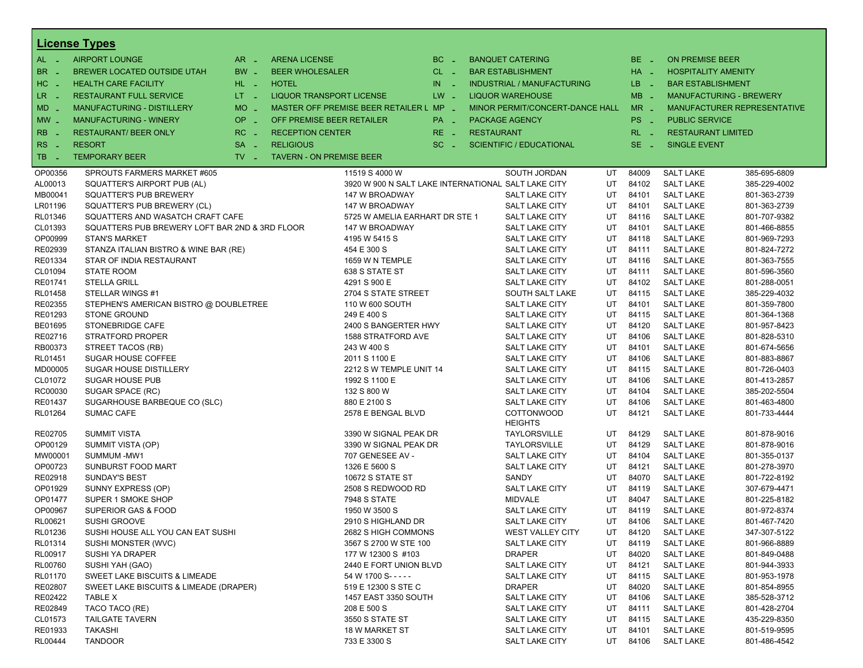|                   | <b>License Types</b>                           |                   |                                 |                                                     |          |                   |                                     |    |          |                            |                                |
|-------------------|------------------------------------------------|-------------------|---------------------------------|-----------------------------------------------------|----------|-------------------|-------------------------------------|----|----------|----------------------------|--------------------------------|
| $AL -$            | <b>AIRPORT LOUNGE</b>                          | $AR =$            | <b>ARENA LICENSE</b>            |                                                     | $BC -$   |                   | <b>BANQUET CATERING</b>             |    | $BE -$   | <b>ON PREMISE BEER</b>     |                                |
| BR.<br>. —        | BREWER LOCATED OUTSIDE UTAH                    | BW _              | <b>BEER WHOLESALER</b>          |                                                     | CL _     |                   | <b>BAR ESTABLISHMENT</b>            |    | HA _     | <b>HOSPITALITY AMENITY</b> |                                |
| HC<br>. —         | <b>HEALTH CARE FACILITY</b>                    | HL L              | <b>HOTEL</b>                    |                                                     | $IN$ $-$ |                   | <b>INDUSTRIAL / MANUFACTURING</b>   |    | LB _     | <b>BAR ESTABLISHMENT</b>   |                                |
| $LR -$            | <b>RESTAURANT FULL SERVICE</b>                 | $LT - 1$          | LIQUOR TRANSPORT LICENSE        |                                                     | $LW -$   |                   | <b>LIQUOR WAREHOUSE</b>             |    | $MB -$   |                            | <b>MANUFACTURING - BREWERY</b> |
| $MD -$            | MANUFACTURING - DISTILLERY                     | <b>MO</b><br>i al |                                 | MASTER OFF PREMISE BEER RETAILER L MP _             |          |                   | MINOR PERMIT/CONCERT-DANCE HALL     |    | $MR -$   |                            | MANUFACTURER REPRESENTATIVE    |
|                   | <b>MANUFACTURING - WINERY</b>                  | <b>OP</b>         | OFF PREMISE BEER RETAILER       |                                                     |          |                   |                                     |    | PS _     | <b>PUBLIC SERVICE</b>      |                                |
| $MW -$            |                                                | i al              |                                 |                                                     | PA _     |                   | <b>PACKAGE AGENCY</b>               |    |          |                            |                                |
| <b>RB</b>         | <b>RESTAURANT/ BEER ONLY</b>                   | $RC -$            | <b>RECEPTION CENTER</b>         |                                                     | RE _     | <b>RESTAURANT</b> |                                     |    | $RL - 1$ | <b>RESTAURANT LIMITED</b>  |                                |
| <b>RS</b><br>- 11 | <b>RESORT</b>                                  | <b>SA</b><br>÷.   | <b>RELIGIOUS</b>                |                                                     | $SC =$   |                   | <b>SCIENTIFIC / EDUCATIONAL</b>     |    | $SE -$   | <b>SINGLE EVENT</b>        |                                |
| TB.<br>- 4        | <b>TEMPORARY BEER</b>                          | $TV$ $-$          | <b>TAVERN - ON PREMISE BEER</b> |                                                     |          |                   |                                     |    |          |                            |                                |
| OP00356           | SPROUTS FARMERS MARKET #605                    |                   |                                 | 11519 S 4000 W                                      |          |                   | SOUTH JORDAN                        | UT | 84009    | <b>SALT LAKE</b>           | 385-695-6809                   |
| AL00013           | SQUATTER'S AIRPORT PUB (AL)                    |                   |                                 | 3920 W 900 N SALT LAKE INTERNATIONAL SALT LAKE CITY |          |                   |                                     | UT | 84102    | <b>SALT LAKE</b>           | 385-229-4002                   |
| MB00041           | SQUATTER'S PUB BREWERY                         |                   |                                 | 147 W BROADWAY                                      |          |                   | <b>SALT LAKE CITY</b>               | UT | 84101    | <b>SALT LAKE</b>           | 801-363-2739                   |
| LR01196           | SQUATTER'S PUB BREWERY (CL)                    |                   |                                 | 147 W BROADWAY                                      |          |                   | SALT LAKE CITY                      | UT | 84101    | <b>SALT LAKE</b>           | 801-363-2739                   |
| RL01346           | SQUATTERS AND WASATCH CRAFT CAFE               |                   |                                 | 5725 W AMELIA EARHART DR STE 1                      |          |                   | SALT LAKE CITY                      | UT | 84116    | <b>SALT LAKE</b>           | 801-707-9382                   |
| CL01393           | SQUATTERS PUB BREWERY LOFT BAR 2ND & 3RD FLOOR |                   |                                 | 147 W BROADWAY                                      |          |                   | <b>SALT LAKE CITY</b>               | UT | 84101    | <b>SALT LAKE</b>           | 801-466-8855                   |
| OP00999           | <b>STAN'S MARKET</b>                           |                   |                                 | 4195 W 5415 S                                       |          |                   | SALT LAKE CITY                      | UT | 84118    | <b>SALT LAKE</b>           | 801-969-7293                   |
| RE02939           | STANZA ITALIAN BISTRO & WINE BAR (RE)          |                   |                                 | 454 E 300 S                                         |          |                   | SALT LAKE CITY                      | UT | 84111    | <b>SALT LAKE</b>           | 801-824-7272                   |
| RE01334           | STAR OF INDIA RESTAURANT                       |                   |                                 | 1659 W N TEMPLE                                     |          |                   | <b>SALT LAKE CITY</b>               | UT | 84116    | <b>SALT LAKE</b>           | 801-363-7555                   |
| CL01094           | <b>STATE ROOM</b>                              |                   |                                 | 638 S STATE ST                                      |          |                   | <b>SALT LAKE CITY</b>               | UT | 84111    | <b>SALT LAKE</b>           | 801-596-3560                   |
| RE01741           | <b>STELLA GRILL</b>                            |                   |                                 | 4291 S 900 E                                        |          |                   | SALT LAKE CITY                      | UT | 84102    | <b>SALT LAKE</b>           | 801-288-0051                   |
| RL01458           | STELLAR WINGS #1                               |                   |                                 | 2704 S STATE STREET                                 |          |                   | SOUTH SALT LAKE                     | UT | 84115    | <b>SALT LAKE</b>           | 385-229-4032                   |
| RE02355           | STEPHEN'S AMERICAN BISTRO @ DOUBLETREE         |                   |                                 | 110 W 600 SOUTH                                     |          |                   | <b>SALT LAKE CITY</b>               | UT | 84101    | <b>SALT LAKE</b>           | 801-359-7800                   |
| RE01293           | <b>STONE GROUND</b>                            |                   |                                 | 249 E 400 S                                         |          |                   | SALT LAKE CITY                      | UT | 84115    | <b>SALT LAKE</b>           | 801-364-1368                   |
| BE01695           | STONEBRIDGE CAFE                               |                   |                                 | 2400 S BANGERTER HWY                                |          |                   | <b>SALT LAKE CITY</b>               | UT | 84120    | <b>SALT LAKE</b>           | 801-957-8423                   |
| RE02716           | <b>STRATFORD PROPER</b>                        |                   |                                 | 1588 STRATFORD AVE                                  |          |                   | SALT LAKE CITY                      | UT | 84106    | <b>SALT LAKE</b>           | 801-828-5310                   |
| RB00373           | STREET TACOS (RB)                              |                   |                                 | 243 W 400 S                                         |          |                   | SALT LAKE CITY                      | UT | 84101    | <b>SALT LAKE</b>           | 801-674-5656                   |
| RL01451           | <b>SUGAR HOUSE COFFEE</b>                      |                   |                                 | 2011 S 1100 E                                       |          |                   | <b>SALT LAKE CITY</b>               | UT | 84106    | <b>SALT LAKE</b>           | 801-883-8867                   |
| MD00005           | <b>SUGAR HOUSE DISTILLERY</b>                  |                   |                                 | 2212 S W TEMPLE UNIT 14                             |          |                   | <b>SALT LAKE CITY</b>               | UT | 84115    | <b>SALT LAKE</b>           | 801-726-0403                   |
| CL01072           | <b>SUGAR HOUSE PUB</b>                         |                   |                                 | 1992 S 1100 E                                       |          |                   | SALT LAKE CITY                      | UT | 84106    | <b>SALT LAKE</b>           | 801-413-2857                   |
| RC00030           | SUGAR SPACE (RC)                               |                   |                                 | 132 S 800 W                                         |          |                   | <b>SALT LAKE CITY</b>               | UT | 84104    | <b>SALT LAKE</b>           | 385-202-5504                   |
| RE01437           | SUGARHOUSE BARBEQUE CO (SLC)                   |                   |                                 | 880 E 2100 S                                        |          |                   | <b>SALT LAKE CITY</b>               | UT | 84106    | <b>SALT LAKE</b>           | 801-463-4800                   |
| RL01264           | <b>SUMAC CAFE</b>                              |                   |                                 | 2578 E BENGAL BLVD                                  |          |                   | <b>COTTONWOOD</b><br><b>HEIGHTS</b> | UT | 84121    | <b>SALT LAKE</b>           | 801-733-4444                   |
| RE02705           | <b>SUMMIT VISTA</b>                            |                   |                                 | 3390 W SIGNAL PEAK DR                               |          |                   | <b>TAYLORSVILLE</b>                 | UT | 84129    | <b>SALT LAKE</b>           | 801-878-9016                   |
| OP00129           | SUMMIT VISTA (OP)                              |                   |                                 | 3390 W SIGNAL PEAK DR                               |          |                   | <b>TAYLORSVILLE</b>                 | UT | 84129    | <b>SALT LAKE</b>           | 801-878-9016                   |
| MW00001           | SUMMUM-MW1                                     |                   |                                 | 707 GENESEE AV -                                    |          |                   | <b>SALT LAKE CITY</b>               | UT | 84104    | <b>SALT LAKE</b>           | 801-355-0137                   |
| OP00723           | SUNBURST FOOD MART                             |                   |                                 | 1326 E 5600 S                                       |          |                   | <b>SALT LAKE CITY</b>               | UT | 84121    | <b>SALT LAKE</b>           | 801-278-3970                   |
| RE02918           | <b>SUNDAY'S BEST</b>                           |                   |                                 | <b>10672 S STATE ST</b>                             |          |                   | SANDY                               | UT | 84070    | <b>SALT LAKE</b>           | 801-722-8192                   |
| OP01929           | SUNNY EXPRESS (OP)                             |                   |                                 | 2508 S REDWOOD RD                                   |          |                   | SALT LAKE CITY                      | UT | 84119    | <b>SALT LAKE</b>           | 307-679-4471                   |
| OP01477           | SUPER 1 SMOKE SHOP                             |                   |                                 | <b>7948 S STATE</b>                                 |          |                   | <b>MIDVALE</b>                      | UT | 84047    | <b>SALT LAKE</b>           | 801-225-8182                   |
| OP00967           | SUPERIOR GAS & FOOD                            |                   |                                 | 1950 W 3500 S                                       |          |                   | SALT LAKE CITY                      | UT | 84119    | <b>SALT LAKE</b>           | 801-972-8374                   |
| RL00621           | <b>SUSHI GROOVE</b>                            |                   |                                 | 2910 S HIGHLAND DR                                  |          |                   | SALT LAKE CITY                      | UT | 84106    | <b>SALT LAKE</b>           | 801-467-7420                   |
| RL01236           | SUSHI HOUSE ALL YOU CAN EAT SUSHI              |                   |                                 | 2682 S HIGH COMMONS                                 |          |                   | <b>WEST VALLEY CITY</b>             | UT | 84120    | <b>SALT LAKE</b>           | 347-307-5122                   |
| RL01314           | SUSHI MONSTER (WVC)                            |                   |                                 | 3567 S 2700 W STE 100                               |          |                   | SALT LAKE CITY                      | UT | 84119    | <b>SALT LAKE</b>           | 801-966-8889                   |
| RL00917           | SUSHI YA DRAPER                                |                   |                                 | 177 W 12300 S #103                                  |          |                   | <b>DRAPER</b>                       | UT | 84020    | <b>SALT LAKE</b>           | 801-849-0488                   |
| RL00760           | SUSHI YAH (GAO)                                |                   |                                 | 2440 E FORT UNION BLVD                              |          |                   | <b>SALT LAKE CITY</b>               | UT | 84121    | <b>SALT LAKE</b>           | 801-944-3933                   |
| RL01170           | SWEET LAKE BISCUITS & LIMEADE                  |                   |                                 | 54 W 1700 S-----                                    |          |                   | SALT LAKE CITY                      | UT | 84115    | <b>SALT LAKE</b>           | 801-953-1978                   |
| RE02807           | SWEET LAKE BISCUITS & LIMEADE (DRAPER)         |                   |                                 | 519 E 12300 S STE C                                 |          |                   | <b>DRAPER</b>                       | UT | 84020    | <b>SALT LAKE</b>           | 801-854-8955                   |
| RE02422           | TABLE X                                        |                   |                                 | 1457 EAST 3350 SOUTH                                |          |                   | SALT LAKE CITY                      | UT | 84106    | <b>SALT LAKE</b>           | 385-528-3712                   |
| RE02849           | TACO TACO (RE)                                 |                   |                                 | 208 E 500 S                                         |          |                   | SALT LAKE CITY                      | UT | 84111    | <b>SALT LAKE</b>           | 801-428-2704                   |
| CL01573           | <b>TAILGATE TAVERN</b>                         |                   |                                 | 3550 S STATE ST                                     |          |                   | SALT LAKE CITY                      | UT | 84115    | <b>SALT LAKE</b>           | 435-229-8350                   |
| RE01933           | <b>TAKASHI</b>                                 |                   |                                 | <b>18 W MARKET ST</b>                               |          |                   | SALT LAKE CITY                      | UT | 84101    | <b>SALT LAKE</b>           | 801-519-9595                   |
| RL00444           | <b>TANDOOR</b>                                 |                   |                                 | 733 E 3300 S                                        |          |                   | SALT LAKE CITY                      | UT | 84106    | <b>SALT LAKE</b>           | 801-486-4542                   |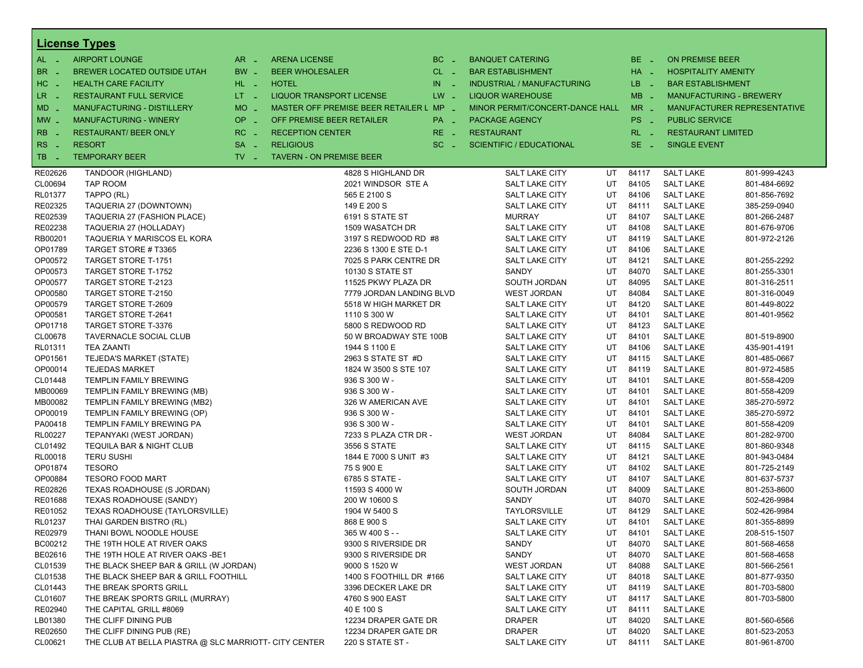|                       | <b>License Types</b>                                  |                                                                  |                                         |          |                                   |    |                 |                            |                                |
|-----------------------|-------------------------------------------------------|------------------------------------------------------------------|-----------------------------------------|----------|-----------------------------------|----|-----------------|----------------------------|--------------------------------|
| $AL -$                | <b>AIRPORT LOUNGE</b>                                 | $AR -$<br><b>ARENA LICENSE</b>                                   |                                         | $BC =$   | <b>BANQUET CATERING</b>           |    | BE _            | <b>ON PREMISE BEER</b>     |                                |
| BR<br>- 4             | BREWER LOCATED OUTSIDE UTAH                           | BW _<br><b>BEER WHOLESALER</b>                                   |                                         | $CL$ $-$ | <b>BAR ESTABLISHMENT</b>          |    | HA _            | <b>HOSPITALITY AMENITY</b> |                                |
| H <sub>C</sub><br>- 4 | <b>HEALTH CARE FACILITY</b>                           | HL L<br><b>HOTEL</b>                                             |                                         | $IN$ $-$ | <b>INDUSTRIAL / MANUFACTURING</b> |    | LB _            | <b>BAR ESTABLISHMENT</b>   |                                |
| LR -                  | <b>RESTAURANT FULL SERVICE</b>                        | $LT - 1$<br>LIQUOR TRANSPORT LICENSE                             |                                         | $LW -$   | <b>LIQUOR WAREHOUSE</b>           |    | $MB -$          |                            | <b>MANUFACTURING - BREWERY</b> |
|                       | <b>MANUFACTURING - DISTILLERY</b>                     |                                                                  |                                         |          |                                   |    |                 |                            |                                |
| $MD -$                |                                                       | <b>MO</b><br>$\sim$                                              | MASTER OFF PREMISE BEER RETAILER L MP _ |          | MINOR PERMIT/CONCERT-DANCE HALL   |    | $MR -$          |                            | MANUFACTURER REPRESENTATIVE    |
| $MW$ $-$              | <b>MANUFACTURING - WINERY</b>                         | <b>OP</b><br>$\sim$                                              | OFF PREMISE BEER RETAILER               | PA _     | <b>PACKAGE AGENCY</b>             |    | PS <sub>-</sub> | <b>PUBLIC SERVICE</b>      |                                |
| <b>RB</b>             | <b>RESTAURANT/ BEER ONLY</b>                          | RC<br><b>RECEPTION CENTER</b><br>$\sim$                          |                                         | RE _     | <b>RESTAURANT</b>                 |    | $RL - 1$        | <b>RESTAURANT LIMITED</b>  |                                |
| R <sub>S</sub><br>- 4 | <b>RESORT</b>                                         | <b>SA</b><br><b>RELIGIOUS</b><br>$\sim$                          |                                         | $SC =$   | <b>SCIENTIFIC / EDUCATIONAL</b>   |    | $SE -$          | <b>SINGLE EVENT</b>        |                                |
| TB<br>n a             | <b>TEMPORARY BEER</b>                                 | $TV$ $\overline{\phantom{0}}$<br><b>TAVERN - ON PREMISE BEER</b> |                                         |          |                                   |    |                 |                            |                                |
| RE02626               | TANDOOR (HIGHLAND)                                    |                                                                  | 4828 S HIGHLAND DR                      |          | SALT LAKE CITY                    | UT | 84117           | <b>SALT LAKE</b>           | 801-999-4243                   |
| CL00694               | TAP ROOM                                              |                                                                  | 2021 WINDSOR STE A                      |          | SALT LAKE CITY                    | UT | 84105           | <b>SALT LAKE</b>           | 801-484-6692                   |
| RL01377               | TAPPO (RL)                                            |                                                                  | 565 E 2100 S                            |          | <b>SALT LAKE CITY</b>             | UT | 84106           | <b>SALT LAKE</b>           | 801-856-7692                   |
| RE02325               | TAQUERIA 27 (DOWNTOWN)                                |                                                                  | 149 E 200 S                             |          | <b>SALT LAKE CITY</b>             | UT | 84111           | <b>SALT LAKE</b>           | 385-259-0940                   |
| RE02539               | TAQUERIA 27 (FASHION PLACE)                           |                                                                  | 6191 S STATE ST                         |          | <b>MURRAY</b>                     | UT | 84107           | <b>SALT LAKE</b>           | 801-266-2487                   |
| RE02238               | TAQUERIA 27 (HOLLADAY)                                |                                                                  | 1509 WASATCH DR                         |          | <b>SALT LAKE CITY</b>             | UT | 84108           | <b>SALT LAKE</b>           | 801-676-9706                   |
| RB00201               | TAQUERIA Y MARISCOS EL KORA                           |                                                                  | 3197 S REDWOOD RD #8                    |          | <b>SALT LAKE CITY</b>             | UT | 84119           | <b>SALT LAKE</b>           | 801-972-2126                   |
| OP01789               | TARGET STORE # T3365                                  |                                                                  | 2236 S 1300 E STE D-1                   |          | SALT LAKE CITY                    | UT | 84106           | <b>SALT LAKE</b>           |                                |
| OP00572               | TARGET STORE T-1751                                   |                                                                  | 7025 S PARK CENTRE DR                   |          | <b>SALT LAKE CITY</b>             | UT | 84121           | <b>SALT LAKE</b>           | 801-255-2292                   |
| OP00573               | TARGET STORE T-1752                                   |                                                                  | <b>10130 S STATE ST</b>                 |          | SANDY                             | UT | 84070           | <b>SALT LAKE</b>           | 801-255-3301                   |
| OP00577               | TARGET STORE T-2123                                   |                                                                  | 11525 PKWY PLAZA DR                     |          | SOUTH JORDAN                      | UT | 84095           | <b>SALT LAKE</b>           | 801-316-2511                   |
| OP00580               | TARGET STORE T-2150                                   |                                                                  | 7779 JORDAN LANDING BLVD                |          | <b>WEST JORDAN</b>                | UT | 84084           | <b>SALT LAKE</b>           | 801-316-0049                   |
| OP00579               | <b>TARGET STORE T-2609</b>                            |                                                                  | 5518 W HIGH MARKET DR                   |          | <b>SALT LAKE CITY</b>             | UT | 84120           | <b>SALT LAKE</b>           | 801-449-8022                   |
| OP00581               | TARGET STORE T-2641                                   |                                                                  | 1110 S 300 W                            |          | SALT LAKE CITY                    | UT | 84101           | <b>SALT LAKE</b>           | 801-401-9562                   |
| OP01718               | <b>TARGET STORE T-3376</b>                            |                                                                  | 5800 S REDWOOD RD                       |          | SALT LAKE CITY                    | UT | 84123           | <b>SALT LAKE</b>           |                                |
| CL00678               | TAVERNACLE SOCIAL CLUB                                |                                                                  | 50 W BROADWAY STE 100B                  |          | <b>SALT LAKE CITY</b>             | UT | 84101           | <b>SALT LAKE</b>           | 801-519-8900                   |
| RL01311               | <b>TEA ZAANTI</b>                                     |                                                                  | 1944 S 1100 E                           |          | SALT LAKE CITY                    | UT | 84106           | <b>SALT LAKE</b>           | 435-901-4191                   |
| OP01561               | TEJEDA'S MARKET (STATE)                               |                                                                  | 2963 S STATE ST #D                      |          | <b>SALT LAKE CITY</b>             | UT | 84115           | <b>SALT LAKE</b>           | 801-485-0667                   |
| OP00014               | <b>TEJEDAS MARKET</b>                                 |                                                                  | 1824 W 3500 S STE 107                   |          | <b>SALT LAKE CITY</b>             | UT | 84119           | <b>SALT LAKE</b>           | 801-972-4585                   |
| CL01448               | <b>TEMPLIN FAMILY BREWING</b>                         |                                                                  | 936 S 300 W -                           |          | SALT LAKE CITY                    | UT | 84101           | <b>SALT LAKE</b>           | 801-558-4209                   |
| MB00069               | TEMPLIN FAMILY BREWING (MB)                           |                                                                  | 936 S 300 W -                           |          | <b>SALT LAKE CITY</b>             | UT | 84101           | <b>SALT LAKE</b>           | 801-558-4209                   |
| MB00082               | TEMPLIN FAMILY BREWING (MB2)                          |                                                                  | 326 W AMERICAN AVE                      |          | <b>SALT LAKE CITY</b>             | UT | 84101           | <b>SALT LAKE</b>           | 385-270-5972                   |
| OP00019               | TEMPLIN FAMILY BREWING (OP)                           |                                                                  | 936 S 300 W -                           |          | <b>SALT LAKE CITY</b>             | UT | 84101           | <b>SALT LAKE</b>           | 385-270-5972                   |
| PA00418               | TEMPLIN FAMILY BREWING PA                             |                                                                  | 936 S 300 W -                           |          | <b>SALT LAKE CITY</b>             | UT | 84101           | <b>SALT LAKE</b>           | 801-558-4209                   |
| RL00227               | TEPANYAKI (WEST JORDAN)                               |                                                                  | 7233 S PLAZA CTR DR -                   |          | <b>WEST JORDAN</b>                | UT | 84084           | <b>SALT LAKE</b>           | 801-282-9700                   |
| CL01492               | TEQUILA BAR & NIGHT CLUB                              |                                                                  | 3556 S STATE                            |          | SALT LAKE CITY                    | UT | 84115           | <b>SALT LAKE</b>           | 801-860-9348                   |
| RL00018               | <b>TERU SUSHI</b>                                     |                                                                  | 1844 E 7000 S UNIT #3                   |          | <b>SALT LAKE CITY</b>             | UT | 84121           | <b>SALT LAKE</b>           | 801-943-0484                   |
| OP01874               | <b>TESORO</b>                                         |                                                                  | 75 S 900 E                              |          | <b>SALT LAKE CITY</b>             | UT | 84102           | <b>SALT LAKE</b>           | 801-725-2149                   |
| OP00884               | <b>TESORO FOOD MART</b>                               |                                                                  | 6785 S STATE -                          |          | SALT LAKE CITY                    | UT | 84107           | <b>SALT LAKE</b>           | 801-637-5737                   |
| RE02826               | TEXAS ROADHOUSE (S JORDAN)                            |                                                                  | 11593 S 4000 W                          |          | SOUTH JORDAN                      | UT | 84009           | <b>SALT LAKE</b>           | 801-253-8600                   |
| RE01688               | TEXAS ROADHOUSE (SANDY)                               |                                                                  | 200 W 10600 S                           |          | SANDY                             | UT | 84070           | <b>SALT LAKE</b>           | 502-426-9984                   |
| RE01052               | <b>TEXAS ROADHOUSE (TAYLORSVILLE)</b>                 |                                                                  | 1904 W 5400 S                           |          | <b>TAYLORSVILLE</b>               | UT | 84129           | <b>SALT LAKE</b>           | 502-426-9984                   |
| RL01237               | THAI GARDEN BISTRO (RL)                               |                                                                  | 868 E 900 S                             |          | <b>SALT LAKE CITY</b>             | UT | 84101           | <b>SALT LAKE</b>           | 801-355-8899                   |
| RE02979               | THANI BOWL NOODLE HOUSE                               |                                                                  | 365 W 400 S - -                         |          | <b>SALT LAKE CITY</b>             | UT | 84101           | <b>SALT LAKE</b>           | 208-515-1507                   |
| BC00212               | THE 19TH HOLE AT RIVER OAKS                           |                                                                  | 9300 S RIVERSIDE DR                     |          | SANDY                             | UT | 84070           | <b>SALT LAKE</b>           | 801-568-4658                   |
| BE02616               | THE 19TH HOLE AT RIVER OAKS -BE1                      |                                                                  | 9300 S RIVERSIDE DR                     |          | SANDY                             | UT | 84070           | <b>SALT LAKE</b>           | 801-568-4658                   |
| CL01539               | THE BLACK SHEEP BAR & GRILL (W JORDAN)                |                                                                  | 9000 S 1520 W                           |          | <b>WEST JORDAN</b>                | UT | 84088           | <b>SALT LAKE</b>           | 801-566-2561                   |
| CL01538               | THE BLACK SHEEP BAR & GRILL FOOTHILL                  |                                                                  | 1400 S FOOTHILL DR #166                 |          | SALT LAKE CITY                    | UT | 84018           | <b>SALT LAKE</b>           | 801-877-9350                   |
| CL01443               | THE BREAK SPORTS GRILL                                |                                                                  | 3396 DECKER LAKE DR                     |          | SALT LAKE CITY                    | UT | 84119           | <b>SALT LAKE</b>           | 801-703-5800                   |
| CL01607               | THE BREAK SPORTS GRILL (MURRAY)                       |                                                                  | 4760 S 900 EAST                         |          | SALT LAKE CITY                    | UT | 84117           | <b>SALT LAKE</b>           | 801-703-5800                   |
| RE02940               | THE CAPITAL GRILL #8069                               |                                                                  | 40 E 100 S                              |          | <b>SALT LAKE CITY</b>             | UT | 84111           | <b>SALT LAKE</b>           |                                |
| LB01380               | THE CLIFF DINING PUB                                  |                                                                  | 12234 DRAPER GATE DR                    |          | <b>DRAPER</b>                     | UT | 84020           | <b>SALT LAKE</b>           | 801-560-6566                   |
| RE02650               | THE CLIFF DINING PUB (RE)                             |                                                                  | 12234 DRAPER GATE DR                    |          | <b>DRAPER</b>                     | UT | 84020           | <b>SALT LAKE</b>           | 801-523-2053                   |
| CL00621               | THE CLUB AT BELLA PIASTRA @ SLC MARRIOTT- CITY CENTER |                                                                  | 220 S STATE ST -                        |          | <b>SALT LAKE CITY</b>             | UT | 84111           | <b>SALT LAKE</b>           | 801-961-8700                   |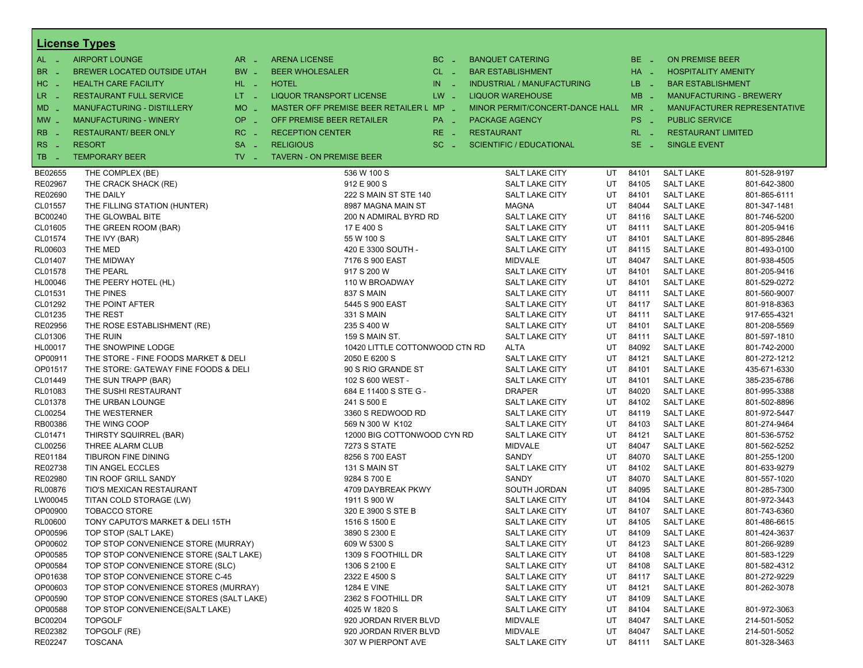|                       | <b>License Types</b>                    |                               |                                         |          |                                   |    |                 |                            |                                    |
|-----------------------|-----------------------------------------|-------------------------------|-----------------------------------------|----------|-----------------------------------|----|-----------------|----------------------------|------------------------------------|
| $AL -$                | <b>AIRPORT LOUNGE</b>                   | $AR -$                        | <b>ARENA LICENSE</b>                    | $BC -$   | <b>BANQUET CATERING</b>           |    | BE _            | <b>ON PREMISE BEER</b>     |                                    |
| BR<br>- 4             | BREWER LOCATED OUTSIDE UTAH             | BW _                          | <b>BEER WHOLESALER</b>                  | $CL$ $-$ | <b>BAR ESTABLISHMENT</b>          |    | HA _            | <b>HOSPITALITY AMENITY</b> |                                    |
| H <sub>C</sub><br>- 4 | <b>HEALTH CARE FACILITY</b>             | HL L                          | <b>HOTEL</b>                            | $IN$ $-$ | <b>INDUSTRIAL / MANUFACTURING</b> |    | LB __           | <b>BAR ESTABLISHMENT</b>   |                                    |
| LR.<br>$\sim$         | <b>RESTAURANT FULL SERVICE</b>          | $LT - 1$                      | <b>LIQUOR TRANSPORT LICENSE</b>         | $LW -$   | <b>LIQUOR WAREHOUSE</b>           |    | $MB -$          |                            | <b>MANUFACTURING - BREWERY</b>     |
| MD _                  | MANUFACTURING - DISTILLERY              | <b>MO</b><br>i a              | MASTER OFF PREMISE BEER RETAILER L MP - |          | MINOR PERMIT/CONCERT-DANCE HALL   |    | $MR -$          |                            | <b>MANUFACTURER REPRESENTATIVE</b> |
| $MW-$                 | <b>MANUFACTURING - WINERY</b>           | <b>OP</b>                     | OFF PREMISE BEER RETAILER               | PA _     | <b>PACKAGE AGENCY</b>             |    | PS <sub>-</sub> | <b>PUBLIC SERVICE</b>      |                                    |
|                       |                                         | п.                            |                                         |          |                                   |    |                 |                            |                                    |
| <b>RB</b>             | <b>RESTAURANT/ BEER ONLY</b>            | RC<br>i a                     | <b>RECEPTION CENTER</b>                 | RE _     | <b>RESTAURANT</b>                 |    | $RL - 1$        | <b>RESTAURANT LIMITED</b>  |                                    |
| RS                    | <b>RESORT</b>                           | <b>SA</b><br>i a              | <b>RELIGIOUS</b>                        | $SC =$   | <b>SCIENTIFIC / EDUCATIONAL</b>   |    | $SE -$          | <b>SINGLE EVENT</b>        |                                    |
| TB<br>- 4             | <b>TEMPORARY BEER</b>                   | $TV$ $\overline{\phantom{0}}$ | <b>TAVERN - ON PREMISE BEER</b>         |          |                                   |    |                 |                            |                                    |
| BE02655               | THE COMPLEX (BE)                        |                               | 536 W 100 S                             |          | SALT LAKE CITY                    | UT | 84101           | <b>SALT LAKE</b>           | 801-528-9197                       |
| RE02967               | THE CRACK SHACK (RE)                    |                               | 912 E 900 S                             |          | SALT LAKE CITY                    | UT | 84105           | <b>SALT LAKE</b>           | 801-642-3800                       |
| RE02690               | THE DAILY                               |                               | 222 S MAIN ST STE 140                   |          | SALT LAKE CITY                    | UT | 84101           | <b>SALT LAKE</b>           | 801-865-6111                       |
| CL01557               | THE FILLING STATION (HUNTER)            |                               | 8987 MAGNA MAIN ST                      |          | <b>MAGNA</b>                      | UT | 84044           | <b>SALT LAKE</b>           | 801-347-1481                       |
| BC00240               | THE GLOWBAL BITE                        |                               | 200 N ADMIRAL BYRD RD                   |          | SALT LAKE CITY                    | UT | 84116           | <b>SALT LAKE</b>           | 801-746-5200                       |
| CL01605               | THE GREEN ROOM (BAR)                    |                               | 17 E 400 S                              |          | SALT LAKE CITY                    | UT | 84111           | <b>SALT LAKE</b>           | 801-205-9416                       |
| CL01574               | THE IVY (BAR)                           |                               | 55 W 100 S                              |          | SALT LAKE CITY                    | UT | 84101           | <b>SALT LAKE</b>           | 801-895-2846                       |
| RL00603               | THE MED                                 |                               | 420 E 3300 SOUTH -                      |          | SALT LAKE CITY                    | UT | 84115           | <b>SALT LAKE</b>           | 801-493-0100                       |
| CL01407               | THE MIDWAY                              |                               | 7176 S 900 EAST                         |          | <b>MIDVALE</b>                    | UT | 84047           | <b>SALT LAKE</b>           | 801-938-4505                       |
| CL01578               | THE PEARL                               |                               | 917 S 200 W                             |          | <b>SALT LAKE CITY</b>             | UT | 84101           | <b>SALT LAKE</b>           | 801-205-9416                       |
| HL00046               | THE PEERY HOTEL (HL)                    |                               | 110 W BROADWAY                          |          | SALT LAKE CITY                    | UT | 84101           | <b>SALT LAKE</b>           | 801-529-0272                       |
| CL01531               | THE PINES                               |                               | 837 S MAIN                              |          | SALT LAKE CITY                    | UT | 84111           | <b>SALT LAKE</b>           | 801-560-9007                       |
| CL01292               | THE POINT AFTER                         |                               | 5445 S 900 EAST                         |          | SALT LAKE CITY                    | UT | 84117           | <b>SALT LAKE</b>           | 801-918-8363                       |
| CL01235               | THE REST                                |                               | 331 S MAIN                              |          | SALT LAKE CITY                    | UT | 84111           | <b>SALT LAKE</b>           | 917-655-4321                       |
| RE02956               | THE ROSE ESTABLISHMENT (RE)             |                               | 235 S 400 W                             |          | SALT LAKE CITY                    | UT | 84101           | <b>SALT LAKE</b>           | 801-208-5569                       |
| CL01306               | THE RUIN                                |                               | 159 S MAIN ST.                          |          | <b>SALT LAKE CITY</b>             | UT | 84111           | <b>SALT LAKE</b>           | 801-597-1810                       |
| HL00017               | THE SNOWPINE LODGE                      |                               | 10420 LITTLE COTTONWOOD CTN RD          |          | ALTA                              | UT | 84092           | <b>SALT LAKE</b>           | 801-742-2000                       |
| OP00911               | THE STORE - FINE FOODS MARKET & DELI    |                               | 2050 E 6200 S                           |          | SALT LAKE CITY                    | UT | 84121           | <b>SALT LAKE</b>           | 801-272-1212                       |
| OP01517               | THE STORE: GATEWAY FINE FOODS & DELI    |                               | 90 S RIO GRANDE ST                      |          | SALT LAKE CITY                    | UT | 84101           | <b>SALT LAKE</b>           | 435-671-6330                       |
| CL01449               | THE SUN TRAPP (BAR)                     |                               | 102 S 600 WEST -                        |          | SALT LAKE CITY                    | UT | 84101           | <b>SALT LAKE</b>           | 385-235-6786                       |
| RL01083               | THE SUSHI RESTAURANT                    |                               | 684 E 11400 S STE G -                   |          | <b>DRAPER</b>                     | UT | 84020           | <b>SALT LAKE</b>           | 801-995-3388                       |
| CL01378               | THE URBAN LOUNGE                        |                               | 241 S 500 E                             |          | SALT LAKE CITY                    | UT | 84102           | <b>SALT LAKE</b>           | 801-502-8896                       |
| CL00254               | THE WESTERNER                           |                               | 3360 S REDWOOD RD                       |          | SALT LAKE CITY                    | UT | 84119           | <b>SALT LAKE</b>           | 801-972-5447                       |
| RB00386               | THE WING COOP                           |                               | 569 N 300 W K102                        |          | SALT LAKE CITY                    | UT | 84103           | <b>SALT LAKE</b>           | 801-274-9464                       |
| CL01471               | THIRSTY SQUIRREL (BAR)                  |                               | 12000 BIG COTTONWOOD CYN RD             |          | <b>SALT LAKE CITY</b>             | UT | 84121           | <b>SALT LAKE</b>           | 801-536-5752                       |
| CL00256               | THREE ALARM CLUB                        |                               | 7273 S STATE                            |          | <b>MIDVALE</b>                    | UT | 84047           | <b>SALT LAKE</b>           | 801-562-5252                       |
| RE01184               | TIBURON FINE DINING                     |                               | 8256 S 700 EAST                         |          | SANDY                             | UT | 84070           | <b>SALT LAKE</b>           | 801-255-1200                       |
| RE02738               | TIN ANGEL ECCLES                        |                               | 131 S MAIN ST                           |          | SALT LAKE CITY                    | UT | 84102           | <b>SALT LAKE</b>           | 801-633-9279                       |
| RE02980               | TIN ROOF GRILL SANDY                    |                               | 9284 S 700 E                            |          | SANDY                             | UT | 84070           | <b>SALT LAKE</b>           | 801-557-1020                       |
| RL00876               | TIO'S MEXICAN RESTAURANT                |                               | 4709 DAYBREAK PKWY                      |          | SOUTH JORDAN                      | UT | 84095           | <b>SALT LAKE</b>           | 801-285-7300                       |
| LW00045               | TITAN COLD STORAGE (LW)                 |                               | 1911 S 900 W                            |          | SALT LAKE CITY                    | UT | 84104           | <b>SALT LAKE</b>           | 801-972-3443                       |
| OP00900               | <b>TOBACCO STORE</b>                    |                               | 320 E 3900 S STE B                      |          | SALT LAKE CITY                    | UT | 84107           | <b>SALT LAKE</b>           | 801-743-6360                       |
| RL00600               | TONY CAPUTO'S MARKET & DELI 15TH        |                               | 1516 S 1500 E                           |          | SALT LAKE CITY                    | UT | 84105           | <b>SALT LAKE</b>           | 801-486-6615                       |
| OP00596               | TOP STOP (SALT LAKE)                    |                               | 3890 S 2300 E                           |          | SALT LAKE CITY                    | UT | 84109           | <b>SALT LAKE</b>           | 801-424-3637                       |
| OP00602               | TOP STOP CONVENIENCE STORE (MURRAY)     |                               | 609 W 5300 S                            |          | SALT LAKE CITY                    | UT | 84123           | <b>SALT LAKE</b>           | 801-266-9289                       |
| OP00585               | TOP STOP CONVENIENCE STORE (SALT LAKE)  |                               | 1309 S FOOTHILL DR                      |          | SALT LAKE CITY                    | UT | 84108           | <b>SALT LAKE</b>           | 801-583-1229                       |
| OP00584               | TOP STOP CONVENIENCE STORE (SLC)        |                               | 1306 S 2100 E                           |          | SALT LAKE CITY                    | UT | 84108           | <b>SALT LAKE</b>           | 801-582-4312                       |
| OP01638               | TOP STOP CONVENIENCE STORE C-45         |                               | 2322 E 4500 S                           |          | SALT LAKE CITY                    | UT | 84117           | <b>SALT LAKE</b>           | 801-272-9229                       |
| OP00603               | TOP STOP CONVENIENCE STORES (MURRAY)    |                               | <b>1284 E VINE</b>                      |          | SALT LAKE CITY                    | UT | 84121           | <b>SALT LAKE</b>           | 801-262-3078                       |
| OP00590               | TOP STOP CONVENIENCE STORES (SALT LAKE) |                               | 2362 S FOOTHILL DR                      |          | SALT LAKE CITY                    | UT | 84109           | <b>SALT LAKE</b>           |                                    |
| OP00588               | TOP STOP CONVENIENCE(SALT LAKE)         |                               | 4025 W 1820 S                           |          | SALT LAKE CITY                    | UT | 84104           | <b>SALT LAKE</b>           | 801-972-3063                       |
| BC00204               | <b>TOPGOLF</b>                          |                               | 920 JORDAN RIVER BLVD                   |          | <b>MIDVALE</b>                    | UT | 84047           | <b>SALT LAKE</b>           | 214-501-5052                       |
| RE02382               | TOPGOLF (RE)                            |                               | 920 JORDAN RIVER BLVD                   |          | <b>MIDVALE</b>                    | UT | 84047           | <b>SALT LAKE</b>           | 214-501-5052                       |
| RE02247               | <b>TOSCANA</b>                          |                               | 307 W PIERPONT AVE                      |          | <b>SALT LAKE CITY</b>             | UT | 84111           | <b>SALT LAKE</b>           | 801-328-3463                       |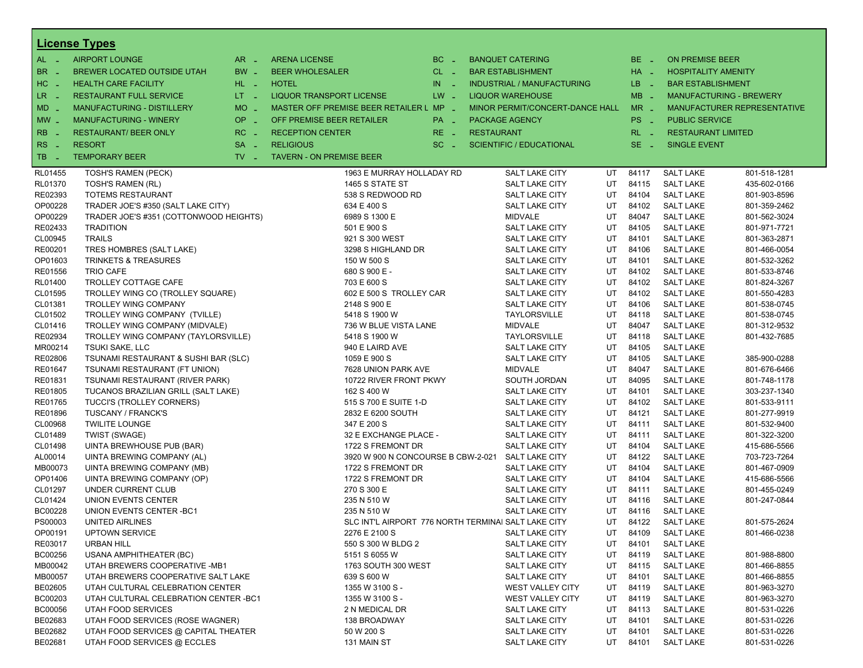|                       | <b>License Types</b>                   |                     |                                                     |                       |                   |                                   |           |          |                            |                                |
|-----------------------|----------------------------------------|---------------------|-----------------------------------------------------|-----------------------|-------------------|-----------------------------------|-----------|----------|----------------------------|--------------------------------|
| $AL -$                | <b>AIRPORT LOUNGE</b>                  | $AR -$              | <b>ARENA LICENSE</b>                                | $BC -$                |                   | <b>BANQUET CATERING</b>           |           | $BE -$   | <b>ON PREMISE BEER</b>     |                                |
| BR<br>- 4             | BREWER LOCATED OUTSIDE UTAH            | BW _                | <b>BEER WHOLESALER</b>                              | $CL$ $-$              |                   | <b>BAR ESTABLISHMENT</b>          |           | $HA$ $-$ | <b>HOSPITALITY AMENITY</b> |                                |
| H <sub>C</sub><br>- 4 | <b>HEALTH CARE FACILITY</b>            | HL L                | <b>HOTEL</b>                                        | IN.<br><b>College</b> |                   | <b>INDUSTRIAL / MANUFACTURING</b> |           | $LB - 1$ | <b>BAR ESTABLISHMENT</b>   |                                |
| LR.<br>- 4            | <b>RESTAURANT FULL SERVICE</b>         | $LT - 1$            | <b>LIQUOR TRANSPORT LICENSE</b>                     | $LW -$                |                   | <b>LIQUOR WAREHOUSE</b>           |           | $MB -$   |                            | <b>MANUFACTURING - BREWERY</b> |
| $MD -$                | MANUFACTURING - DISTILLERY             | <b>MO</b><br>i al   | MASTER OFF PREMISE BEER RETAILER L MP _             |                       |                   | MINOR PERMIT/CONCERT-DANCE HALL   |           | $MR -$   |                            | MANUFACTURER REPRESENTATIVE    |
|                       |                                        | <b>OP</b>           |                                                     |                       |                   |                                   |           |          |                            |                                |
| $MW$ $-$              | <b>MANUFACTURING - WINERY</b>          | i al                | OFF PREMISE BEER RETAILER                           | PA _                  |                   | <b>PACKAGE AGENCY</b>             |           | PS _     | <b>PUBLIC SERVICE</b>      |                                |
| <b>RB</b>             | <b>RESTAURANT/ BEER ONLY</b>           | RC<br>- 4           | <b>RECEPTION CENTER</b>                             | $RE -$                | <b>RESTAURANT</b> |                                   |           | $RL - 1$ | <b>RESTAURANT LIMITED</b>  |                                |
| RS<br>- 4             | <b>RESORT</b>                          | <b>SA</b><br>$\sim$ | <b>RELIGIOUS</b>                                    | $SC =$                |                   | <b>SCIENTIFIC / EDUCATIONAL</b>   |           | $SE -$   | <b>SINGLE EVENT</b>        |                                |
| TB<br><b>College</b>  | <b>TEMPORARY BEER</b>                  | $TV -$              | <b>TAVERN - ON PREMISE BEER</b>                     |                       |                   |                                   |           |          |                            |                                |
| RL01455               | <b>TOSH'S RAMEN (PECK)</b>             |                     | 1963 E MURRAY HOLLADAY RD                           |                       |                   | <b>SALT LAKE CITY</b>             | UT        | 84117    | <b>SALT LAKE</b>           | 801-518-1281                   |
| RL01370               | TOSH'S RAMEN (RL)                      |                     | 1465 S STATE ST                                     |                       |                   | <b>SALT LAKE CITY</b>             | UT        | 84115    | <b>SALT LAKE</b>           | 435-602-0166                   |
| RE02393               | <b>TOTEMS RESTAURANT</b>               |                     | 538 S REDWOOD RD                                    |                       |                   | <b>SALT LAKE CITY</b>             | UT        | 84104    | <b>SALT LAKE</b>           | 801-903-8596                   |
| OP00228               | TRADER JOE'S #350 (SALT LAKE CITY)     |                     | 634 E 400 S                                         |                       |                   | <b>SALT LAKE CITY</b>             | UT        | 84102    | <b>SALT LAKE</b>           | 801-359-2462                   |
| OP00229               | TRADER JOE'S #351 (COTTONWOOD HEIGHTS) |                     | 6989 S 1300 E                                       |                       |                   | <b>MIDVALE</b>                    | UT        | 84047    | <b>SALT LAKE</b>           | 801-562-3024                   |
| RE02433               | <b>TRADITION</b>                       |                     | 501 E 900 S                                         |                       |                   | <b>SALT LAKE CITY</b>             | UT        | 84105    | <b>SALT LAKE</b>           | 801-971-7721                   |
| CL00945               | <b>TRAILS</b>                          |                     | 921 S 300 WEST                                      |                       |                   | <b>SALT LAKE CITY</b>             | UT        | 84101    | <b>SALT LAKE</b>           | 801-363-2871                   |
| RE00201               | TRES HOMBRES (SALT LAKE)               |                     | 3298 S HIGHLAND DR                                  |                       |                   | SALT LAKE CITY                    | UT        | 84106    | <b>SALT LAKE</b>           | 801-466-0054                   |
| OP01603               | <b>TRINKETS &amp; TREASURES</b>        |                     | 150 W 500 S                                         |                       |                   | <b>SALT LAKE CITY</b>             | UT        | 84101    | <b>SALT LAKE</b>           | 801-532-3262                   |
| RE01556               | <b>TRIO CAFE</b>                       |                     | 680 S 900 E -                                       |                       |                   | <b>SALT LAKE CITY</b>             | UT        | 84102    | <b>SALT LAKE</b>           | 801-533-8746                   |
| RL01400               | TROLLEY COTTAGE CAFE                   |                     | 703 E 600 S                                         |                       |                   | <b>SALT LAKE CITY</b>             | UT        | 84102    | <b>SALT LAKE</b>           | 801-824-3267                   |
| CL01595               | TROLLEY WING CO (TROLLEY SQUARE)       |                     | 602 E 500 S TROLLEY CAR                             |                       |                   | <b>SALT LAKE CITY</b>             | UT        | 84102    | <b>SALT LAKE</b>           | 801-550-4283                   |
| CL01381               | <b>TROLLEY WING COMPANY</b>            |                     | 2148 S 900 E                                        |                       |                   | <b>SALT LAKE CITY</b>             | UT        | 84106    | <b>SALT LAKE</b>           | 801-538-0745                   |
| CL01502               | TROLLEY WING COMPANY (TVILLE)          |                     | 5418 S 1900 W                                       |                       |                   | TAYLORSVILLE                      | UT        | 84118    | <b>SALT LAKE</b>           | 801-538-0745                   |
| CL01416               | TROLLEY WING COMPANY (MIDVALE)         |                     | 736 W BLUE VISTA LANE                               |                       |                   | <b>MIDVALE</b>                    | UT        | 84047    | <b>SALT LAKE</b>           | 801-312-9532                   |
| RE02934               | TROLLEY WING COMPANY (TAYLORSVILLE)    |                     | 5418 S 1900 W                                       | TAYLORSVILLE<br>UT    |                   |                                   |           |          |                            | 801-432-7685                   |
| MR00214               | <b>TSUKI SAKE, LLC</b>                 |                     | 940 E LAIRD AVE                                     | UT<br>SALT LAKE CITY  |                   |                                   |           |          |                            |                                |
| RE02806               | TSUNAMI RESTAURANT & SUSHI BAR (SLC)   |                     | 1059 E 900 S                                        |                       |                   | <b>SALT LAKE CITY</b>             | UT        | 84105    | <b>SALT LAKE</b>           | 385-900-0288                   |
| RE01647               | TSUNAMI RESTAURANT (FT UNION)          |                     | 7628 UNION PARK AVE                                 |                       |                   | <b>MIDVALE</b>                    | UT        | 84047    | <b>SALT LAKE</b>           | 801-676-6466                   |
| RE01831               | TSUNAMI RESTAURANT (RIVER PARK)        |                     | 10722 RIVER FRONT PKWY                              |                       |                   | SOUTH JORDAN                      | UT        | 84095    | <b>SALT LAKE</b>           | 801-748-1178                   |
| RE01805               | TUCANOS BRAZILIAN GRILL (SALT LAKE)    |                     | 162 S 400 W                                         |                       |                   | <b>SALT LAKE CITY</b>             | UT        | 84101    | <b>SALT LAKE</b>           | 303-237-1340                   |
| RE01765               | TUCCI'S (TROLLEY CORNERS)              |                     | 515 S 700 E SUITE 1-D                               |                       |                   | <b>SALT LAKE CITY</b>             | UT        | 84102    | <b>SALT LAKE</b>           | 801-533-9111                   |
| RE01896               | TUSCANY / FRANCK'S                     |                     | 2832 E 6200 SOUTH                                   |                       |                   | <b>SALT LAKE CITY</b>             | UT        | 84121    | <b>SALT LAKE</b>           | 801-277-9919                   |
| CL00968               | <b>TWILITE LOUNGE</b>                  |                     | 347 E 200 S                                         |                       |                   | <b>SALT LAKE CITY</b>             | UT        | 84111    | <b>SALT LAKE</b>           | 801-532-9400                   |
| CL01489               | TWIST (SWAGE)                          |                     | 32 E EXCHANGE PLACE -                               |                       |                   | <b>SALT LAKE CITY</b>             | UT        | 84111    | <b>SALT LAKE</b>           | 801-322-3200                   |
| CL01498               | UINTA BREWHOUSE PUB (BAR)              |                     | 1722 S FREMONT DR                                   |                       |                   | <b>SALT LAKE CITY</b>             | UT        | 84104    | <b>SALT LAKE</b>           | 415-686-5566                   |
| AL00014               | UINTA BREWING COMPANY (AL)             |                     | 3920 W 900 N CONCOURSE B CBW-2-021                  |                       |                   | <b>SALT LAKE CITY</b>             | UT        | 84122    | <b>SALT LAKE</b>           | 703-723-7264                   |
| MB00073               | UINTA BREWING COMPANY (MB)             |                     | 1722 S FREMONT DR                                   |                       |                   | <b>SALT LAKE CITY</b>             | UT        | 84104    | <b>SALT LAKE</b>           | 801-467-0909                   |
| OP01406               | UINTA BREWING COMPANY (OP)             |                     | 1722 S FREMONT DR                                   |                       |                   | <b>SALT LAKE CITY</b>             | UT        | 84104    | <b>SALT LAKE</b>           | 415-686-5566                   |
| CL01297               | UNDER CURRENT CLUB                     |                     | 270 S 300 E                                         |                       |                   | <b>SALT LAKE CITY</b>             | UT        | 84111    | <b>SALT LAKE</b>           | 801-455-0249                   |
| CL01424               | UNION EVENTS CENTER                    |                     | 235 N 510 W                                         |                       |                   | <b>SALT LAKE CITY</b>             | UT        | 84116    | <b>SALT LAKE</b>           | 801-247-0844                   |
| BC00228               | UNION EVENTS CENTER - BC1              |                     | 235 N 510 W                                         |                       |                   | <b>SALT LAKE CITY</b>             | UT        | 84116    | <b>SALT LAKE</b>           |                                |
| PS00003               | <b>UNITED AIRLINES</b>                 |                     | SLC INT'L AIRPORT 776 NORTH TERMINAI SALT LAKE CITY |                       |                   |                                   | <b>UT</b> | 84122    | <b>SALT LAKE</b>           | 801-575-2624                   |
| OP00191               | <b>UPTOWN SERVICE</b>                  |                     | 2276 E 2100 S                                       |                       |                   | SALT LAKE CITY                    | UT        | 84109    | <b>SALT LAKE</b>           | 801-466-0238                   |
| RE03017               | <b>URBAN HILL</b>                      |                     | 550 S 300 W BLDG 2                                  |                       |                   | <b>SALT LAKE CITY</b>             | UT        | 84101    | <b>SALT LAKE</b>           |                                |
| BC00256               | <b>USANA AMPHITHEATER (BC)</b>         |                     | 5151 S 6055 W                                       |                       |                   | SALT LAKE CITY                    | UT        | 84119    | <b>SALT LAKE</b>           | 801-988-8800                   |
| MB00042               | UTAH BREWERS COOPERATIVE -MB1          |                     | 1763 SOUTH 300 WEST                                 |                       |                   | SALT LAKE CITY                    | UT        | 84115    | <b>SALT LAKE</b>           | 801-466-8855                   |
| MB00057               | UTAH BREWERS COOPERATIVE SALT LAKE     |                     | 639 S 600 W                                         |                       |                   | <b>SALT LAKE CITY</b>             | UT        | 84101    | <b>SALT LAKE</b>           | 801-466-8855                   |
| BE02605               | UTAH CULTURAL CELEBRATION CENTER       |                     | 1355 W 3100 S -                                     |                       |                   | WEST VALLEY CITY                  | UT        | 84119    | <b>SALT LAKE</b>           | 801-963-3270                   |
| BC00203               | UTAH CULTURAL CELEBRATION CENTER - BC1 |                     | 1355 W 3100 S -                                     |                       |                   | WEST VALLEY CITY                  | UT        | 84119    | <b>SALT LAKE</b>           | 801-963-3270                   |
| <b>BC00056</b>        | UTAH FOOD SERVICES                     |                     | 2 N MEDICAL DR                                      |                       |                   | SALT LAKE CITY                    | UT        | 84113    | <b>SALT LAKE</b>           | 801-531-0226                   |
| BE02683               | UTAH FOOD SERVICES (ROSE WAGNER)       |                     | 138 BROADWAY                                        |                       |                   | SALT LAKE CITY                    | UT        | 84101    | <b>SALT LAKE</b>           | 801-531-0226                   |
| BE02682               | UTAH FOOD SERVICES @ CAPITAL THEATER   |                     | 50 W 200 S                                          |                       |                   | <b>SALT LAKE CITY</b>             | UT        | 84101    | <b>SALT LAKE</b>           | 801-531-0226                   |
| BE02681               | UTAH FOOD SERVICES @ ECCLES            |                     | 131 MAIN ST                                         |                       |                   | SALT LAKE CITY                    | UT        | 84101    | <b>SALT LAKE</b>           | 801-531-0226                   |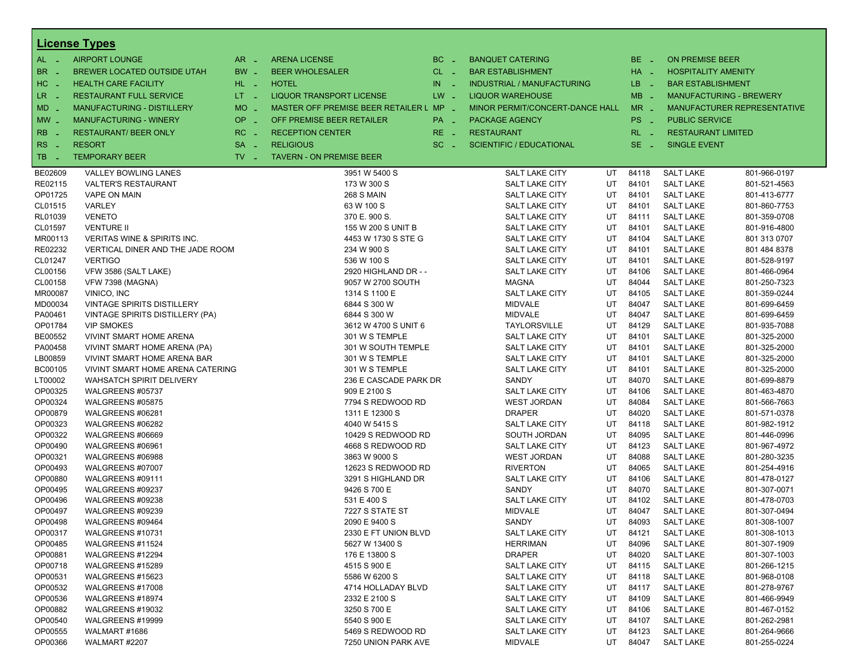|                       | <b>License Types</b>              |                               |                                         |            |                                   |    |                 |                            |                                |
|-----------------------|-----------------------------------|-------------------------------|-----------------------------------------|------------|-----------------------------------|----|-----------------|----------------------------|--------------------------------|
| $AL -$                | <b>AIRPORT LOUNGE</b>             | $AR -$                        | <b>ARENA LICENSE</b>                    | $BC -$     | <b>BANQUET CATERING</b>           |    | BE _            | <b>ON PREMISE BEER</b>     |                                |
| BR<br>- 4             | BREWER LOCATED OUTSIDE UTAH       | BW _                          | <b>BEER WHOLESALER</b>                  | $CL$ $-$   | <b>BAR ESTABLISHMENT</b>          |    | $HA$ $-$        | <b>HOSPITALITY AMENITY</b> |                                |
| H <sub>C</sub><br>- 4 | <b>HEALTH CARE FACILITY</b>       | HL L                          | <b>HOTEL</b>                            | IN.<br>- 4 | <b>INDUSTRIAL / MANUFACTURING</b> |    | $LB - 1$        | <b>BAR ESTABLISHMENT</b>   |                                |
| LR.                   | <b>RESTAURANT FULL SERVICE</b>    | $LT - 1$                      | <b>LIQUOR TRANSPORT LICENSE</b>         | $LW -$     | <b>LIQUOR WAREHOUSE</b>           |    | $MB -$          |                            | <b>MANUFACTURING - BREWERY</b> |
| - 4                   |                                   |                               |                                         |            |                                   |    |                 |                            |                                |
| $MD -$                | <b>MANUFACTURING - DISTILLERY</b> | <b>MO</b><br>$\sim$           | MASTER OFF PREMISE BEER RETAILER L MP - |            | MINOR PERMIT/CONCERT-DANCE HALL   |    | $MR -$          |                            | MANUFACTURER REPRESENTATIVE    |
| $MW$ $-$              | <b>MANUFACTURING - WINERY</b>     | <b>OP</b><br>$\sim$           | OFF PREMISE BEER RETAILER               | PA _       | <b>PACKAGE AGENCY</b>             |    | PS <sub>-</sub> | <b>PUBLIC SERVICE</b>      |                                |
| <b>RB</b>             | <b>RESTAURANT/ BEER ONLY</b>      | RC<br>$\sim$                  | <b>RECEPTION CENTER</b>                 | RE _       | <b>RESTAURANT</b>                 |    | $RL - 1$        | <b>RESTAURANT LIMITED</b>  |                                |
| RS<br>- 11            | <b>RESORT</b>                     | <b>SA</b><br>$\sim$           | <b>RELIGIOUS</b>                        | $SC =$     | <b>SCIENTIFIC / EDUCATIONAL</b>   |    | $SE -$          | <b>SINGLE EVENT</b>        |                                |
| TB<br><b>College</b>  | <b>TEMPORARY BEER</b>             | $TV$ $\overline{\phantom{0}}$ | <b>TAVERN - ON PREMISE BEER</b>         |            |                                   |    |                 |                            |                                |
| BE02609               | <b>VALLEY BOWLING LANES</b>       |                               | 3951 W 5400 S                           |            | <b>SALT LAKE CITY</b>             | UT | 84118           | <b>SALT LAKE</b>           | 801-966-0197                   |
| RE02115               | <b>VALTER'S RESTAURANT</b>        |                               | 173 W 300 S                             |            | <b>SALT LAKE CITY</b>             | UT | 84101           | <b>SALT LAKE</b>           | 801-521-4563                   |
| OP01725               | <b>VAPE ON MAIN</b>               |                               | <b>268 S MAIN</b>                       |            | <b>SALT LAKE CITY</b>             | UT | 84101           | <b>SALT LAKE</b>           | 801-413-6777                   |
| CL01515               | <b>VARLEY</b>                     |                               | 63 W 100 S                              |            | <b>SALT LAKE CITY</b>             | UT | 84101           | <b>SALT LAKE</b>           | 801-860-7753                   |
| RL01039               | <b>VENETO</b>                     |                               | 370 E. 900 S.                           |            | <b>SALT LAKE CITY</b>             | UT | 84111           | <b>SALT LAKE</b>           | 801-359-0708                   |
| CL01597               | <b>VENTURE II</b>                 |                               | 155 W 200 S UNIT B                      |            | <b>SALT LAKE CITY</b>             | UT | 84101           | <b>SALT LAKE</b>           | 801-916-4800                   |
| MR00113               | VERITAS WINE & SPIRITS INC.       |                               | 4453 W 1730 S STE G                     |            | <b>SALT LAKE CITY</b>             | UT | 84104           | <b>SALT LAKE</b>           | 801 313 0707                   |
| RE02232               | VERTICAL DINER AND THE JADE ROOM  |                               | 234 W 900 S                             |            | <b>SALT LAKE CITY</b>             | UT | 84101           | <b>SALT LAKE</b>           | 801 484 8378                   |
| CL01247               | <b>VERTIGO</b>                    |                               | 536 W 100 S                             |            | <b>SALT LAKE CITY</b>             | UT | 84101           | <b>SALT LAKE</b>           | 801-528-9197                   |
| CL00156               | VFW 3586 (SALT LAKE)              |                               | 2920 HIGHLAND DR - -                    |            | <b>SALT LAKE CITY</b>             | UT | 84106           | <b>SALT LAKE</b>           | 801-466-0964                   |
| CL00158               | VFW 7398 (MAGNA)                  |                               | 9057 W 2700 SOUTH                       |            | <b>MAGNA</b>                      | UT | 84044           | <b>SALT LAKE</b>           | 801-250-7323                   |
| MR00087               | VINICO, INC                       |                               | 1314 S 1100 E                           |            | <b>SALT LAKE CITY</b>             | UT | 84105           | <b>SALT LAKE</b>           | 801-359-0244                   |
| MD00034               | <b>VINTAGE SPIRITS DISTILLERY</b> |                               | 6844 S 300 W                            |            | <b>MIDVALE</b>                    | UT | 84047           | <b>SALT LAKE</b>           | 801-699-6459                   |
| PA00461               | VINTAGE SPIRITS DISTILLERY (PA)   |                               | 6844 S 300 W                            |            | <b>MIDVALE</b>                    | UT | 84047           | <b>SALT LAKE</b>           | 801-699-6459                   |
| OP01784               | <b>VIP SMOKES</b>                 |                               | 3612 W 4700 S UNIT 6                    |            | <b>TAYLORSVILLE</b>               | UT | 84129           | <b>SALT LAKE</b>           | 801-935-7088                   |
| BE00552               | <b>VIVINT SMART HOME ARENA</b>    |                               | 301 W S TEMPLE                          |            | <b>SALT LAKE CITY</b>             | UT | 84101           | <b>SALT LAKE</b>           | 801-325-2000                   |
| PA00458               | VIVINT SMART HOME ARENA (PA)      |                               | 301 W SOUTH TEMPLE                      |            | <b>SALT LAKE CITY</b>             | UT | 84101           | <b>SALT LAKE</b>           | 801-325-2000                   |
| LB00859               | VIVINT SMART HOME ARENA BAR       |                               | 301 W S TEMPLE                          |            | <b>SALT LAKE CITY</b>             | UT | 84101           | <b>SALT LAKE</b>           | 801-325-2000                   |
| BC00105               | VIVINT SMART HOME ARENA CATERING  |                               | 301 W S TEMPLE                          |            | <b>SALT LAKE CITY</b>             | UT | 84101           | <b>SALT LAKE</b>           | 801-325-2000                   |
| LT00002               | <b>WAHSATCH SPIRIT DELIVERY</b>   |                               | 236 E CASCADE PARK DR                   |            | SANDY                             | UT | 84070           | <b>SALT LAKE</b>           | 801-699-8879                   |
| OP00325               | WALGREENS #05737                  |                               | 909 E 2100 S                            |            | <b>SALT LAKE CITY</b>             | UT | 84106           | <b>SALT LAKE</b>           | 801-463-4870                   |
| OP00324               | WALGREENS #05875                  |                               | 7794 S REDWOOD RD                       |            | <b>WEST JORDAN</b>                | UT | 84084           | <b>SALT LAKE</b>           | 801-566-7663                   |
| OP00879               | WALGREENS #06281                  |                               | 1311 E 12300 S                          |            | <b>DRAPER</b>                     | UT | 84020           | <b>SALT LAKE</b>           | 801-571-0378                   |
| OP00323               | WALGREENS #06282                  |                               | 4040 W 5415 S                           |            | <b>SALT LAKE CITY</b>             | UT | 84118           | <b>SALT LAKE</b>           | 801-982-1912                   |
| OP00322               | WALGREENS #06669                  |                               | 10429 S REDWOOD RD                      |            | SOUTH JORDAN                      | UT | 84095           | <b>SALT LAKE</b>           | 801-446-0996                   |
| OP00490               | WALGREENS #06961                  |                               | 4668 S REDWOOD RD                       |            | <b>SALT LAKE CITY</b>             | UT | 84123           | <b>SALT LAKE</b>           | 801-967-4972                   |
| OP00321               | WALGREENS #06988                  |                               | 3863 W 9000 S                           |            | <b>WEST JORDAN</b>                | UT | 84088           | <b>SALT LAKE</b>           | 801-280-3235                   |
| OP00493               | WALGREENS #07007                  |                               | 12623 S REDWOOD RD                      |            | <b>RIVERTON</b>                   | UT | 84065           | <b>SALT LAKE</b>           | 801-254-4916                   |
| OP00880               | WALGREENS #09111                  |                               | 3291 S HIGHLAND DR                      |            | <b>SALT LAKE CITY</b>             | UT | 84106           | <b>SALT LAKE</b>           | 801-478-0127                   |
| OP00495               | WALGREENS #09237                  |                               | 9426 S 700 E                            |            | <b>SANDY</b>                      | UT | 84070           | <b>SALT LAKE</b>           | 801-307-0071                   |
| OP00496               | WALGREENS #09238                  |                               | 531 E 400 S                             |            | <b>SALT LAKE CITY</b>             | UT | 84102           | <b>SALT LAKE</b>           | 801-478-0703                   |
| OP00497               | WALGREENS #09239                  |                               | 7227 S STATE ST                         |            | <b>MIDVALE</b>                    | UT | 84047           | <b>SALT LAKE</b>           | 801-307-0494                   |
| OP00498               | WALGREENS #09464                  |                               | 2090 E 9400 S                           |            | SANDY                             | UT | 84093           | <b>SALT LAKE</b>           | 801-308-1007                   |
| OP00317               | WALGREENS #10731                  |                               | 2330 E FT UNION BLVD                    |            | <b>SALT LAKE CITY</b>             | UT | 84121           | <b>SALT LAKE</b>           | 801-308-1013                   |
| OP00485               | WALGREENS #11524                  |                               | 5627 W 13400 S                          |            | <b>HERRIMAN</b>                   | UT | 84096           | <b>SALT LAKE</b>           | 801-307-1909                   |
| OP00881               | WALGREENS #12294                  |                               | 176 E 13800 S                           |            | <b>DRAPER</b>                     | UT | 84020           | <b>SALT LAKE</b>           | 801-307-1003                   |
| OP00718               | WALGREENS #15289                  |                               | 4515 S 900 E                            |            | <b>SALT LAKE CITY</b>             | UT | 84115           | <b>SALT LAKE</b>           | 801-266-1215                   |
| OP00531               | WALGREENS #15623                  |                               | 5586 W 6200 S                           |            | <b>SALT LAKE CITY</b>             | UT | 84118           | <b>SALT LAKE</b>           | 801-968-0108                   |
| OP00532               | WALGREENS #17008                  |                               | 4714 HOLLADAY BLVD                      |            | <b>SALT LAKE CITY</b>             | UT | 84117           | <b>SALT LAKE</b>           | 801-278-9767                   |
| OP00536               | WALGREENS #18974                  |                               | 2332 E 2100 S                           |            | <b>SALT LAKE CITY</b>             | UT | 84109           | <b>SALT LAKE</b>           | 801-466-9949                   |
| OP00882               | WALGREENS #19032                  |                               | 3250 S 700 E                            |            | <b>SALT LAKE CITY</b>             | UT | 84106           | <b>SALT LAKE</b>           | 801-467-0152                   |
| OP00540               | WALGREENS #19999                  |                               | 5540 S 900 E                            |            | SALT LAKE CITY                    | UT | 84107           | <b>SALT LAKE</b>           | 801-262-2981                   |
| OP00555               | WALMART #1686                     |                               | 5469 S REDWOOD RD                       |            | <b>SALT LAKE CITY</b>             | UT | 84123           | <b>SALT LAKE</b>           | 801-264-9666                   |
| OP00366               | WALMART #2207                     |                               | 7250 UNION PARK AVE                     |            | <b>MIDVALE</b>                    | UT | 84047           | <b>SALT LAKE</b>           | 801-255-0224                   |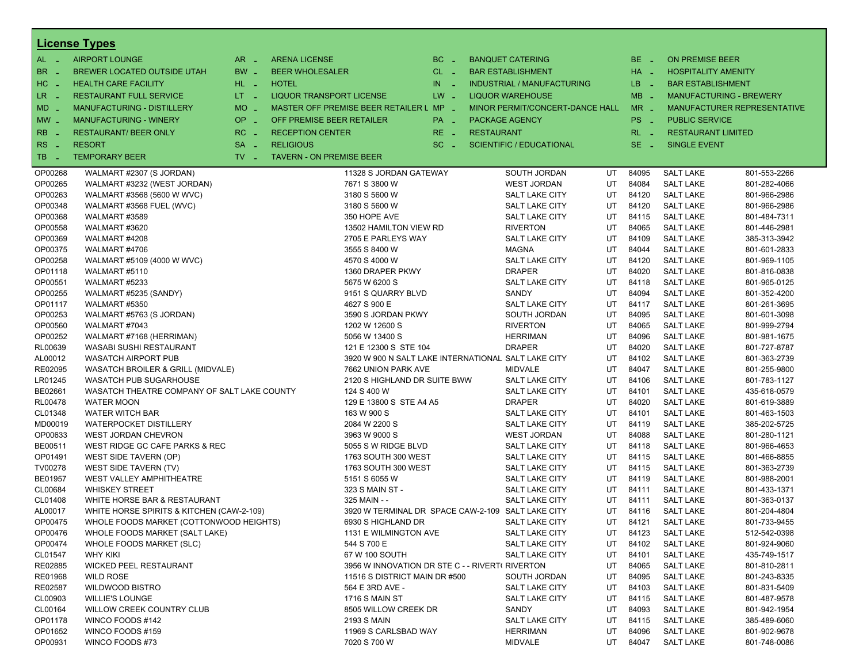|                            | <b>License Types</b>                        |                  |                                                     |          |                   |                                   |    |          |                            |                                |
|----------------------------|---------------------------------------------|------------------|-----------------------------------------------------|----------|-------------------|-----------------------------------|----|----------|----------------------------|--------------------------------|
| $AL -$                     | <b>AIRPORT LOUNGE</b>                       | $AR -$           | <b>ARENA LICENSE</b>                                | $BC =$   |                   | <b>BANQUET CATERING</b>           |    | BE _     | <b>ON PREMISE BEER</b>     |                                |
| BR.<br>. —                 | BREWER LOCATED OUTSIDE UTAH                 | BW _             | <b>BEER WHOLESALER</b>                              | $CL$ $-$ |                   | <b>BAR ESTABLISHMENT</b>          |    | $HA$ $=$ | <b>HOSPITALITY AMENITY</b> |                                |
| HC<br>nia.                 | <b>HEALTH CARE FACILITY</b>                 | HL L             | <b>HOTEL</b>                                        | $IN$ $-$ |                   | <b>INDUSTRIAL / MANUFACTURING</b> |    | LB __    | <b>BAR ESTABLISHMENT</b>   |                                |
| $LR -$                     | <b>RESTAURANT FULL SERVICE</b>              | $LT - 1$         | LIQUOR TRANSPORT LICENSE                            | $LW -$   |                   | <b>LIQUOR WAREHOUSE</b>           |    | $MB -$   |                            | <b>MANUFACTURING - BREWERY</b> |
|                            |                                             | MO _             | MASTER OFF PREMISE BEER RETAILER L MP -             |          |                   | MINOR PERMIT/CONCERT-DANCE HALL   |    | $MR -$   |                            |                                |
| $MD -$                     | MANUFACTURING - DISTILLERY                  |                  |                                                     |          |                   |                                   |    |          |                            | MANUFACTURER REPRESENTATIVE    |
| $MW_{-}$                   | <b>MANUFACTURING - WINERY</b>               | <b>OP</b><br>п.  | OFF PREMISE BEER RETAILER                           | PA _     |                   | <b>PACKAGE AGENCY</b>             |    | PS _     | <b>PUBLIC SERVICE</b>      |                                |
| <b>RB</b>                  | <b>RESTAURANT/ BEER ONLY</b>                | RC<br>$\sim$     | <b>RECEPTION CENTER</b>                             | $RE -$   | <b>RESTAURANT</b> |                                   |    | $RL - 1$ | <b>RESTAURANT LIMITED</b>  |                                |
| <b>RS</b><br>$\sim$ $\sim$ | <b>RESORT</b>                               | <b>SA</b><br>i a | <b>RELIGIOUS</b>                                    | $SC =$   |                   | <b>SCIENTIFIC / EDUCATIONAL</b>   |    | $SE -$   | <b>SINGLE EVENT</b>        |                                |
| TB.<br>- 4                 | <b>TEMPORARY BEER</b>                       | $TV -$           | <b>TAVERN - ON PREMISE BEER</b>                     |          |                   |                                   |    |          |                            |                                |
| OP00268                    | WALMART #2307 (S JORDAN)                    |                  | 11328 S JORDAN GATEWAY                              |          |                   | SOUTH JORDAN                      | UT | 84095    | <b>SALT LAKE</b>           | 801-553-2266                   |
| OP00265                    | WALMART #3232 (WEST JORDAN)                 |                  | 7671 S 3800 W                                       |          |                   | <b>WEST JORDAN</b>                | UT | 84084    | <b>SALT LAKE</b>           | 801-282-4066                   |
| OP00263                    | WALMART #3568 (5600 W WVC)                  |                  | 3180 S 5600 W                                       |          |                   | SALT LAKE CITY                    | UT | 84120    | <b>SALT LAKE</b>           | 801-966-2986                   |
| OP00348                    | WALMART #3568 FUEL (WVC)                    |                  | 3180 S 5600 W                                       |          |                   | SALT LAKE CITY                    | UT | 84120    | <b>SALT LAKE</b>           | 801-966-2986                   |
| OP00368                    | WALMART #3589                               |                  | 350 HOPE AVE                                        |          |                   | SALT LAKE CITY                    | UT | 84115    | <b>SALT LAKE</b>           | 801-484-7311                   |
| OP00558                    | WALMART #3620                               |                  | 13502 HAMILTON VIEW RD                              |          |                   | <b>RIVERTON</b>                   | UT | 84065    | <b>SALT LAKE</b>           | 801-446-2981                   |
| OP00369                    | WALMART #4208                               |                  | 2705 E PARLEYS WAY                                  |          |                   | <b>SALT LAKE CITY</b>             | UT | 84109    | <b>SALT LAKE</b>           | 385-313-3942                   |
| OP00375                    | WALMART #4706                               |                  | 3555 S 8400 W                                       |          |                   | <b>MAGNA</b>                      | UT | 84044    | <b>SALT LAKE</b>           | 801-601-2833                   |
| OP00258                    | WALMART #5109 (4000 W WVC)                  |                  | 4570 S 4000 W                                       |          |                   | <b>SALT LAKE CITY</b>             | UT | 84120    | <b>SALT LAKE</b>           | 801-969-1105                   |
| OP01118                    | WALMART #5110                               |                  | 1360 DRAPER PKWY                                    |          |                   | <b>DRAPER</b>                     | UT | 84020    | <b>SALT LAKE</b>           | 801-816-0838                   |
| OP00551                    | WALMART #5233                               |                  | 5675 W 6200 S                                       |          |                   | SALT LAKE CITY                    | UT | 84118    | <b>SALT LAKE</b>           | 801-965-0125                   |
| OP00255                    | WALMART #5235 (SANDY)                       |                  | 9151 S QUARRY BLVD                                  |          |                   | SANDY                             | UT | 84094    | <b>SALT LAKE</b>           | 801-352-4200                   |
| OP01117                    | WALMART #5350                               |                  | 4627 S 900 E                                        |          |                   | SALT LAKE CITY                    | UT | 84117    | <b>SALT LAKE</b>           | 801-261-3695                   |
| OP00253                    | WALMART #5763 (S JORDAN)                    |                  | 3590 S JORDAN PKWY                                  |          |                   | SOUTH JORDAN                      | UT | 84095    | <b>SALT LAKE</b>           | 801-601-3098                   |
| OP00560                    | WALMART #7043                               |                  | 1202 W 12600 S                                      |          |                   | <b>RIVERTON</b>                   | UT | 84065    | <b>SALT LAKE</b>           | 801-999-2794                   |
| OP00252                    | WALMART #7168 (HERRIMAN)                    |                  | 5056 W 13400 S                                      |          |                   | <b>HERRIMAN</b>                   | UT | 84096    | <b>SALT LAKE</b>           | 801-981-1675                   |
| RL00639                    | WASABI SUSHI RESTAURANT                     |                  | 121 E 12300 S STE 104                               |          |                   | <b>DRAPER</b>                     | UT | 84020    | <b>SALT LAKE</b>           | 801-727-8787                   |
| AL00012                    | <b>WASATCH AIRPORT PUB</b>                  |                  | 3920 W 900 N SALT LAKE INTERNATIONAL SALT LAKE CITY |          |                   |                                   | UT | 84102    | <b>SALT LAKE</b>           | 801-363-2739                   |
| RE02095                    | WASATCH BROILER & GRILL (MIDVALE)           |                  | 7662 UNION PARK AVE                                 |          |                   | <b>MIDVALE</b>                    | UT | 84047    | <b>SALT LAKE</b>           | 801-255-9800                   |
| LR01245                    | <b>WASATCH PUB SUGARHOUSE</b>               |                  | 2120 S HIGHLAND DR SUITE BWW                        |          |                   | SALT LAKE CITY                    | UT | 84106    | <b>SALT LAKE</b>           | 801-783-1127                   |
| BE02661                    | WASATCH THEATRE COMPANY OF SALT LAKE COUNTY |                  | 124 S 400 W                                         |          |                   | SALT LAKE CITY                    | UT | 84101    | <b>SALT LAKE</b>           | 435-618-0579                   |
| <b>RL00478</b>             | <b>WATER MOON</b>                           |                  | 129 E 13800 S STE A4 A5                             |          |                   | <b>DRAPER</b>                     | UT | 84020    | <b>SALT LAKE</b>           | 801-619-3889                   |
| CL01348                    | WATER WITCH BAR                             |                  | 163 W 900 S                                         |          |                   | SALT LAKE CITY                    | UT | 84101    | <b>SALT LAKE</b>           | 801-463-1503                   |
| MD00019                    | <b>WATERPOCKET DISTILLERY</b>               |                  | 2084 W 2200 S                                       |          |                   | SALT LAKE CITY                    | UT | 84119    | <b>SALT LAKE</b>           | 385-202-5725                   |
| OP00633                    | WEST JORDAN CHEVRON                         |                  | 3963 W 9000 S                                       |          |                   | <b>WEST JORDAN</b>                | UT | 84088    | <b>SALT LAKE</b>           | 801-280-1121                   |
| BE00511                    | WEST RIDGE GC CAFE PARKS & REC              |                  | 5055 S W RIDGE BLVD                                 |          |                   | SALT LAKE CITY                    | UT | 84118    | <b>SALT LAKE</b>           | 801-966-4653                   |
| OP01491                    | WEST SIDE TAVERN (OP)                       |                  | 1763 SOUTH 300 WEST                                 |          |                   | SALT LAKE CITY                    | UT | 84115    | <b>SALT LAKE</b>           | 801-466-8855                   |
| TV00278                    | WEST SIDE TAVERN (TV)                       |                  | 1763 SOUTH 300 WEST                                 |          |                   | SALT LAKE CITY                    | UT | 84115    | <b>SALT LAKE</b>           | 801-363-2739                   |
| <b>BE01957</b>             | WEST VALLEY AMPHITHEATRE                    |                  | 5151 S 6055 W                                       |          |                   | SALT LAKE CITY                    | UT | 84119    | <b>SALT LAKE</b>           | 801-988-2001                   |
| CL00684                    | <b>WHISKEY STREET</b>                       |                  | 323 S MAIN ST -                                     |          |                   | SALT LAKE CITY                    | UT | 84111    | <b>SALT LAKE</b>           | 801-433-1371                   |
| CL01408                    | WHITE HORSE BAR & RESTAURANT                |                  | 325 MAIN - -                                        |          |                   | SALT LAKE CITY                    | UT | 84111    | <b>SALT LAKE</b>           | 801-363-0137                   |
| AL00017                    | WHITE HORSE SPIRITS & KITCHEN (CAW-2-109)   |                  | 3920 W TERMINAL DR SPACE CAW-2-109 SALT LAKE CITY   |          |                   |                                   | UT | 84116    | <b>SALT LAKE</b>           | 801-204-4804                   |
| OP00475                    | WHOLE FOODS MARKET (COTTONWOOD HEIGHTS)     |                  | 6930 S HIGHLAND DR                                  |          |                   | SALT LAKE CITY                    | UT | 84121    | <b>SALT LAKE</b>           | 801-733-9455                   |
| OP00476                    | WHOLE FOODS MARKET (SALT LAKE)              |                  | 1131 E WILMINGTON AVE                               |          |                   | SALT LAKE CITY                    | UT | 84123    | <b>SALT LAKE</b>           | 512-542-0398                   |
| OP00474                    | WHOLE FOODS MARKET (SLC)                    |                  | 544 S 700 E                                         |          |                   | SALT LAKE CITY                    | UT | 84102    | <b>SALT LAKE</b>           | 801-924-9060                   |
| CL01547                    | <b>WHY KIKI</b>                             |                  | 67 W 100 SOUTH                                      |          |                   | SALT LAKE CITY                    | UT | 84101    | <b>SALT LAKE</b>           | 435-749-1517                   |
| RE02885                    | <b>WICKED PEEL RESTAURANT</b>               |                  | 3956 W INNOVATION DR STE C - - RIVERT( RIVERTON     |          |                   |                                   | UT | 84065    | <b>SALT LAKE</b>           | 801-810-2811                   |
| RE01968                    | <b>WILD ROSE</b>                            |                  | 11516 S DISTRICT MAIN DR #500                       |          |                   | SOUTH JORDAN                      | UT | 84095    | <b>SALT LAKE</b>           | 801-243-8335                   |
| RE02587                    | <b>WILDWOOD BISTRO</b>                      |                  | 564 E 3RD AVE -                                     |          |                   | SALT LAKE CITY                    | UT | 84103    | <b>SALT LAKE</b>           | 801-831-5409                   |
| CL00903                    | <b>WILLIE'S LOUNGE</b>                      |                  | 1716 S MAIN ST                                      |          |                   | SALT LAKE CITY                    | UT | 84115    | <b>SALT LAKE</b>           | 801-487-9578                   |
| CL00164                    | WILLOW CREEK COUNTRY CLUB                   |                  | 8505 WILLOW CREEK DR                                |          |                   | SANDY                             | UT | 84093    | <b>SALT LAKE</b>           | 801-942-1954                   |
| OP01178                    | WINCO FOODS #142                            |                  | 2193 S MAIN                                         |          |                   | SALT LAKE CITY                    | UT | 84115    | <b>SALT LAKE</b>           | 385-489-6060                   |
| OP01652                    | WINCO FOODS #159                            |                  | 11969 S CARLSBAD WAY                                |          |                   | <b>HERRIMAN</b>                   | UT | 84096    | <b>SALT LAKE</b>           | 801-902-9678                   |
| OP00931                    | WINCO FOODS #73                             |                  | 7020 S 700 W                                        |          |                   | <b>MIDVALE</b>                    | UT | 84047    | <b>SALT LAKE</b>           | 801-748-0086                   |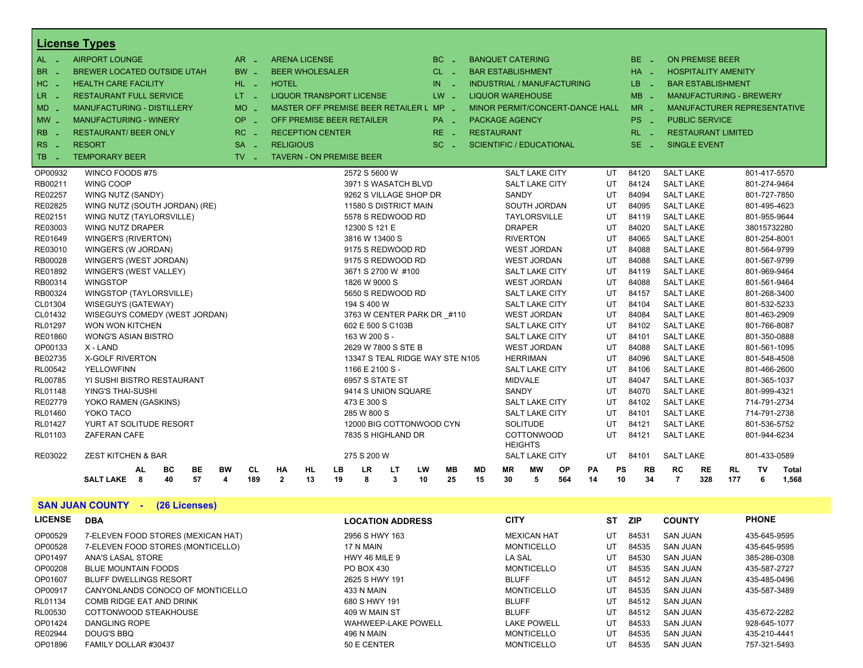|                    | <b>License Types</b>                                         |                               |                      |                                         |                                    |    |           |             |           |                       |                                         |           |           |          |                  |                                      |     |           |                                |                                    |
|--------------------|--------------------------------------------------------------|-------------------------------|----------------------|-----------------------------------------|------------------------------------|----|-----------|-------------|-----------|-----------------------|-----------------------------------------|-----------|-----------|----------|------------------|--------------------------------------|-----|-----------|--------------------------------|------------------------------------|
| $AL -$             | <b>AIRPORT LOUNGE</b>                                        | $AR -$                        | <b>ARENA LICENSE</b> |                                         |                                    |    |           | BC.         |           |                       | <b>BANQUET CATERING</b>                 |           |           |          | $BE -$           | <b>ON PREMISE BEER</b>               |     |           |                                |                                    |
| <b>BR</b>          | <b>BREWER LOCATED OUTSIDE UTAH</b>                           | BW                            |                      | <b>BEER WHOLESALER</b>                  |                                    |    |           | $CL$ $-$    |           |                       | <b>BAR ESTABLISHMENT</b>                |           |           |          | $HA -$           | <b>HOSPITALITY AMENITY</b>           |     |           |                                |                                    |
| HC                 | <b>HEALTH CARE FACILITY</b>                                  | HL L                          | <b>HOTEL</b>         |                                         |                                    |    | IN        |             |           |                       | <b>INDUSTRIAL / MANUFACTURING</b>       |           |           |          | LB.              | <b>BAR ESTABLISHMENT</b>             |     |           |                                |                                    |
| LR.                | <b>RESTAURANT FULL SERVICE</b>                               | LT = 1                        |                      | <b>LIQUOR TRANSPORT LICENSE</b>         |                                    |    |           | $LW -$      |           |                       | <b>LIQUOR WAREHOUSE</b>                 |           |           |          | <b>MB</b><br>- 2 |                                      |     |           | <b>MANUFACTURING - BREWERY</b> |                                    |
| <b>MD</b>          | <b>MANUFACTURING - DISTILLERY</b>                            | <b>MO</b>                     |                      | MASTER OFF PREMISE BEER RETAILER L MP - |                                    |    |           |             |           |                       | MINOR PERMIT/CONCERT-DANCE HALL         |           |           |          | $MR -$           |                                      |     |           |                                | <b>MANUFACTURER REPRESENTATIVE</b> |
| MW _               | <b>MANUFACTURING - WINERY</b>                                | OP<br>$\sim$                  |                      | OFF PREMISE BEER RETAILER               |                                    |    |           | $PA -$      |           | <b>PACKAGE AGENCY</b> |                                         |           |           |          | PS.<br>- 2       | <b>PUBLIC SERVICE</b>                |     |           |                                |                                    |
| <b>RB</b>          | <b>RESTAURANT/ BEER ONLY</b>                                 | RC<br>i al                    |                      | <b>RECEPTION CENTER</b>                 |                                    |    |           | $RE -$      |           | <b>RESTAURANT</b>     |                                         |           |           |          | $RL - 1$         | <b>RESTAURANT LIMITED</b>            |     |           |                                |                                    |
|                    |                                                              |                               |                      |                                         |                                    |    |           |             |           |                       |                                         |           |           |          |                  |                                      |     |           |                                |                                    |
| <b>RS</b>          | <b>RESORT</b>                                                | $SA -$                        | <b>RELIGIOUS</b>     |                                         |                                    |    |           | SC.<br>- 20 |           |                       | <b>SCIENTIFIC / EDUCATIONAL</b>         |           |           |          | $SE -$           | <b>SINGLE EVENT</b>                  |     |           |                                |                                    |
| TB.                | <b>TEMPORARY BEER</b>                                        | $TV$ $\overline{\phantom{0}}$ |                      | <b>TAVERN - ON PREMISE BEER</b>         |                                    |    |           |             |           |                       |                                         |           |           |          |                  |                                      |     |           |                                |                                    |
| OP00932            | WINCO FOODS #75                                              |                               |                      |                                         | 2572 S 5600 W                      |    |           |             |           |                       | <b>SALT LAKE CITY</b>                   |           |           | UT       | 84120            | <b>SALT LAKE</b>                     |     |           | 801-417-5570                   |                                    |
| RB00211            | WING COOP                                                    |                               |                      |                                         | 3971 S WASATCH BLVD                |    |           |             |           |                       | <b>SALT LAKE CITY</b>                   |           |           | UT       | 84124            | <b>SALT LAKE</b>                     |     |           | 801-274-9464                   |                                    |
| RE02257            | WING NUTZ (SANDY)                                            |                               |                      |                                         | 9262 S VILLAGE SHOP DR             |    |           |             |           | <b>SANDY</b>          |                                         |           |           | UT       | 84094            | <b>SALT LAKE</b>                     |     |           | 801-727-7850                   |                                    |
| RE02825            | WING NUTZ (SOUTH JORDAN) (RE)                                |                               |                      |                                         | 11580 S DISTRICT MAIN              |    |           |             |           |                       | SOUTH JORDAN                            |           |           | UT       | 84095            | <b>SALT LAKE</b>                     |     |           | 801-495-4623                   |                                    |
| RE02151            | WING NUTZ (TAYLORSVILLE)                                     |                               |                      |                                         | 5578 S REDWOOD RD                  |    |           |             |           |                       | <b>TAYLORSVILLE</b>                     |           |           | UT       | 84119            | <b>SALT LAKE</b>                     |     |           | 801-955-9644                   |                                    |
| RE03003            | WING NUTZ DRAPER                                             |                               |                      |                                         | 12300 S 121 E                      |    |           |             |           | <b>DRAPER</b>         |                                         |           |           | UT       | 84020            | <b>SALT LAKE</b>                     |     |           | 38015732280                    |                                    |
| RE01649            | WINGER'S (RIVERTON)                                          |                               |                      |                                         | 3816 W 13400 S                     |    |           |             |           |                       | <b>RIVERTON</b>                         |           |           | UT       | 84065            | <b>SALT LAKE</b>                     |     |           | 801-254-8001                   |                                    |
| RE03010            | WINGER'S (W JORDAN)                                          |                               |                      |                                         | 9175 S REDWOOD RD                  |    |           |             |           |                       | <b>WEST JORDAN</b>                      |           |           | UT       | 84088            | <b>SALT LAKE</b>                     |     |           | 801-564-9799                   |                                    |
| RB00028            | WINGER'S (WEST JORDAN)                                       |                               |                      |                                         | 9175 S REDWOOD RD                  |    |           |             |           |                       | <b>WEST JORDAN</b>                      |           |           | UT       | 84088            | <b>SALT LAKE</b>                     |     |           | 801-567-9799                   |                                    |
| RE01892            | WINGER'S (WEST VALLEY)                                       |                               |                      |                                         | 3671 S 2700 W #100                 |    |           |             |           |                       | <b>SALT LAKE CITY</b>                   |           |           | UT       | 84119            | <b>SALT LAKE</b>                     |     |           | 801-969-9464                   |                                    |
| RB00314            | <b>WINGSTOP</b>                                              |                               |                      |                                         | 1826 W 9000 S                      |    |           |             |           |                       | <b>WEST JORDAN</b>                      |           |           | UT       | 84088            | <b>SALT LAKE</b>                     |     |           | 801-561-9464                   |                                    |
| RB00324            | WINGSTOP (TAYLORSVILLE)                                      |                               |                      |                                         | 5650 S REDWOOD RD                  |    |           |             |           |                       | <b>SALT LAKE CITY</b>                   |           |           | UT       | 84157            | <b>SALT LAKE</b>                     |     |           | 801-268-3400                   |                                    |
| CL01304            | WISEGUYS (GATEWAY)                                           |                               |                      |                                         | 194 S 400 W                        |    |           |             |           |                       | <b>SALT LAKE CITY</b>                   |           |           | UT       | 84104            | <b>SALT LAKE</b>                     |     |           | 801-532-5233                   |                                    |
| CL01432            | WISEGUYS COMEDY (WEST JORDAN)                                |                               |                      |                                         | 3763 W CENTER PARK DR #110         |    |           |             |           |                       | <b>WEST JORDAN</b>                      |           |           | UT       | 84084            | <b>SALT LAKE</b>                     |     |           | 801-463-2909                   |                                    |
| RL01297            | WON WON KITCHEN                                              |                               |                      |                                         | 602 E 500 S C103B                  |    |           |             |           |                       | <b>SALT LAKE CITY</b>                   |           |           | UT       | 84102            | <b>SALT LAKE</b>                     |     |           | 801-766-8087                   |                                    |
| RE01860            | <b>WONG'S ASIAN BISTRO</b>                                   |                               |                      |                                         | 163 W 200 S -                      |    |           |             |           |                       | <b>SALT LAKE CITY</b>                   |           |           | UT       | 84101            | <b>SALT LAKE</b>                     |     |           | 801-350-0888                   |                                    |
| OP00133            | X - LAND                                                     |                               |                      |                                         | 2629 W 7800 S STE B                |    |           |             |           |                       | <b>WEST JORDAN</b>                      |           |           | UT       | 84088            | <b>SALT LAKE</b>                     |     |           | 801-561-1095                   |                                    |
| BE02735            | <b>X-GOLF RIVERTON</b><br><b>YELLOWFINN</b>                  |                               |                      |                                         | 13347 S TEAL RIDGE WAY STE N105    |    |           |             |           |                       | <b>HERRIMAN</b>                         |           |           | UT       | 84096<br>84106   | <b>SALT LAKE</b>                     |     |           | 801-548-4508                   |                                    |
| RL00542<br>RL00785 | YI SUSHI BISTRO RESTAURANT                                   |                               |                      |                                         | 1166 E 2100 S -<br>6957 S STATE ST |    |           |             |           |                       | <b>SALT LAKE CITY</b><br><b>MIDVALE</b> |           |           | UT<br>UT | 84047            | <b>SALT LAKE</b><br><b>SALT LAKE</b> |     |           | 801-466-2600<br>801-365-1037   |                                    |
| RL01148            | <b>YING'S THAI-SUSHI</b>                                     |                               |                      |                                         | 9414 S UNION SQUARE                |    |           |             |           | <b>SANDY</b>          |                                         |           |           | UT       | 84070            | <b>SALT LAKE</b>                     |     |           | 801-999-4321                   |                                    |
| RE02779            | YOKO RAMEN (GASKINS)                                         |                               |                      |                                         | 473 E 300 S                        |    |           |             |           |                       | <b>SALT LAKE CITY</b>                   |           |           | UT       | 84102            | <b>SALT LAKE</b>                     |     |           | 714-791-2734                   |                                    |
| RL01460            | YOKO TACO                                                    |                               |                      |                                         | 285 W 800 S                        |    |           |             |           |                       | <b>SALT LAKE CITY</b>                   |           |           | UT       | 84101            | <b>SALT LAKE</b>                     |     |           | 714-791-2738                   |                                    |
| RL01427            | YURT AT SOLITUDE RESORT                                      |                               |                      |                                         | 12000 BIG COTTONWOOD CYN           |    |           |             |           |                       | <b>SOLITUDE</b>                         |           |           | UT       | 84121            | <b>SALT LAKE</b>                     |     |           | 801-536-5752                   |                                    |
| RL01103            | <b>ZAFERAN CAFE</b>                                          |                               |                      |                                         | 7835 S HIGHLAND DR                 |    |           |             |           |                       | COTTONWOOD                              |           |           | UT       | 84121            | <b>SALT LAKE</b>                     |     |           | 801-944-6234                   |                                    |
|                    |                                                              |                               |                      |                                         |                                    |    |           |             |           |                       | <b>HEIGHTS</b>                          |           |           |          |                  |                                      |     |           |                                |                                    |
| RE03022            | <b>ZEST KITCHEN &amp; BAR</b>                                |                               |                      |                                         | 275 S 200 W                        |    |           |             |           |                       | <b>SALT LAKE CITY</b>                   |           |           | UT       | 84101            | <b>SALT LAKE</b>                     |     |           | 801-433-0589                   |                                    |
|                    | BE<br><b>BW</b><br><b>AL</b><br>ВC                           | <b>CL</b>                     | НA                   | HL<br>LВ                                | <b>LR</b>                          | LT | <b>LW</b> | MВ          | <b>MD</b> | <b>MR</b>             | МW                                      | <b>OP</b> | <b>PA</b> | PS       | RB               | <b>RC</b>                            | RE  | <b>RL</b> | TV                             | Total                              |
|                    | 8<br>40<br>57<br>$\overline{\mathbf{4}}$<br><b>SALT LAKE</b> | 189                           | $\mathbf{2}$         | 13<br>19                                | 8                                  | 3  | 10        | 25          | 15        | 30                    | 5                                       | 564       | 14        | 10       | 34               | $\overline{7}$                       | 328 | 177       | 6                              | 1,568                              |

# **SAN JUAN COUNTY - (26 Licenses)**

| <b>LICENSE</b> | <b>DBA</b>                         | <b>LOCATION ADDRESS</b> | <b>CITY</b>        | ST | <b>ZIP</b> | <b>COUNTY</b>   | <b>PHONE</b> |
|----------------|------------------------------------|-------------------------|--------------------|----|------------|-----------------|--------------|
| OP00529        | 7-ELEVEN FOOD STORES (MEXICAN HAT) | 2956 S HWY 163          | <b>MEXICAN HAT</b> | UT | 84531      | <b>SAN JUAN</b> | 435-645-9595 |
| OP00528        | 7-ELEVEN FOOD STORES (MONTICELLO)  | 17 N MAIN               | <b>MONTICELLO</b>  | UT | 84535      | <b>SAN JUAN</b> | 435-645-9595 |
| OP01497        | ANA'S LASAL STORE                  | HWY 46 MILE 9           | <b>LA SAL</b>      | UT | 84530      | <b>SAN JUAN</b> | 385-286-0308 |
| OP00208        | <b>BLUE MOUNTAIN FOODS</b>         | PO BOX 430              | <b>MONTICELLO</b>  | UT | 84535      | <b>SAN JUAN</b> | 435-587-2727 |
| OP01607        | <b>BLUFF DWELLINGS RESORT</b>      | 2625 S HWY 191          | <b>BLUFF</b>       | UT | 84512      | <b>SAN JUAN</b> | 435-485-0496 |
| OP00917        | CANYONLANDS CONOCO OF MONTICELLO   | <b>433 N MAIN</b>       | <b>MONTICELLO</b>  | UT | 84535      | <b>SAN JUAN</b> | 435-587-3489 |
| RL01134        | COMB RIDGE EAT AND DRINK           | 680 S HWY 191           | <b>BLUFF</b>       | UT | 84512      | <b>SAN JUAN</b> |              |
| RL00530        | COTTONWOOD STEAKHOUSE              | 409 W MAIN ST           | <b>BLUFF</b>       | UT | 84512      | <b>SAN JUAN</b> | 435-672-2282 |
| OP01424        | DANGLING ROPE                      | WAHWEEP-LAKE POWELL     | <b>LAKE POWELL</b> | UT | 84533      | <b>SAN JUAN</b> | 928-645-1077 |
| RE02944        | DOUG'S BBO                         | <b>496 N MAIN</b>       | <b>MONTICELLO</b>  | UT | 84535      | <b>SAN JUAN</b> | 435-210-4441 |
| OP01896        | FAMILY DOLLAR #30437               | 50 E CENTER             | <b>MONTICELLO</b>  | UT | 84535      | <b>SAN JUAN</b> | 757-321-5493 |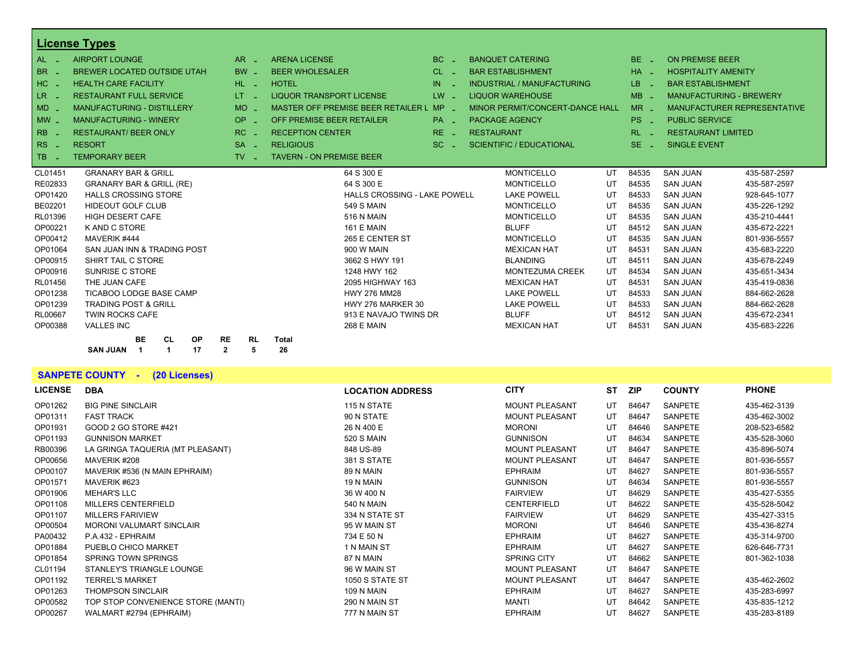|                | <b>License Types</b>                           |                                          |                                    |                 |                                   |            |                                |                             |
|----------------|------------------------------------------------|------------------------------------------|------------------------------------|-----------------|-----------------------------------|------------|--------------------------------|-----------------------------|
| $AL -$         | <b>AIRPORT LOUNGE</b>                          | $AR -$                                   | <b>ARENA LICENSE</b>               | $BC -$          | <b>BANQUET CATERING</b>           | $BE =$     | <b>ON PREMISE BEER</b>         |                             |
| BR<br>- 20     | <b>BREWER LOCATED OUTSIDE UTAH</b>             | <b>BW</b>                                | <b>BEER WHOLESALER</b>             | $CL$ $-$        | <b>BAR ESTABLISHMENT</b>          | $HA -$     | <b>HOSPITALITY AMENITY</b>     |                             |
| $HC -$         | <b>HEALTH CARE FACILITY</b>                    | $HL$ $-$                                 | <b>HOTEL</b>                       | $IN$ $-$        | <b>INDUSTRIAL / MANUFACTURING</b> | LB.<br>- 4 | <b>BAR ESTABLISHMENT</b>       |                             |
| LR _           | <b>RESTAURANT FULL SERVICE</b>                 | LT.<br>in 191                            | <b>LIQUOR TRANSPORT LICENSE</b>    | $LW -$          | <b>LIQUOR WAREHOUSE</b>           | $MB -$     | <b>MANUFACTURING - BREWERY</b> |                             |
| $MD -$         | <b>MANUFACTURING - DISTILLERY</b>              | <b>MO</b>                                | MASTER OFF PREMISE BEER RETAILER L | $MP -$          | MINOR PERMIT/CONCERT-DANCE HALL   | $MR -$     |                                | MANUFACTURER REPRESENTATIVE |
| $MW -$         | <b>MANUFACTURING - WINERY</b>                  | OP<br>- 20                               | OFF PREMISE BEER RETAILER          | PA <sub>-</sub> | <b>PACKAGE AGENCY</b>             | $PS -$     | <b>PUBLIC SERVICE</b>          |                             |
| <b>RB</b>      | <b>RESTAURANT/ BEER ONLY</b>                   | RC                                       | <b>RECEPTION CENTER</b>            | $RE -$          | <b>RESTAURANT</b>                 | $RL - 1$   | <b>RESTAURANT LIMITED</b>      |                             |
| $RS -$         | <b>RESORT</b>                                  | $SA -$                                   | <b>RELIGIOUS</b>                   | $SC =$          | SCIENTIFIC / EDUCATIONAL          | $SE =$     | SINGLE EVENT                   |                             |
| <b>TB</b>      | <b>TEMPORARY BEER</b>                          | TV -<br>a.                               | <b>TAVERN - ON PREMISE BEER</b>    |                 |                                   |            |                                |                             |
| CL01451        | <b>GRANARY BAR &amp; GRILL</b>                 |                                          | 64 S 300 E                         |                 | <b>MONTICELLO</b><br>UT           | 84535      | <b>SAN JUAN</b>                | 435-587-2597                |
| RE02833        | <b>GRANARY BAR &amp; GRILL (RE)</b>            |                                          | 64 S 300 E                         |                 | <b>MONTICELLO</b><br>UT           | 84535      | <b>SAN JUAN</b>                | 435-587-2597                |
| OP01420        | <b>HALLS CROSSING STORE</b>                    |                                          | HALLS CROSSING - LAKE POWELL       |                 | UT<br><b>LAKE POWELL</b>          | 84533      | <b>SAN JUAN</b>                | 928-645-1077                |
| BE02201        | <b>HIDEOUT GOLF CLUB</b>                       |                                          | 549 S MAIN                         |                 | <b>MONTICELLO</b><br>UT           | 84535      | <b>SAN JUAN</b>                | 435-226-1292                |
| RL01396        | <b>HIGH DESERT CAFE</b>                        |                                          | <b>516 N MAIN</b>                  |                 | <b>MONTICELLO</b><br>UT           | 84535      | <b>SAN JUAN</b>                | 435-210-4441                |
| OP00221        | K AND C STORE                                  |                                          | <b>161 E MAIN</b>                  |                 | <b>BLUFF</b><br>UT                | 84512      | <b>SAN JUAN</b>                | 435-672-2221                |
| OP00412        | MAVERIK #444                                   |                                          | 265 E CENTER ST                    |                 | <b>MONTICELLO</b><br>UT           | 84535      | <b>SAN JUAN</b>                | 801-936-5557                |
| OP01064        | SAN JUAN INN & TRADING POST                    |                                          | 900 W MAIN                         |                 | <b>MEXICAN HAT</b><br>UT          | 84531      | <b>SAN JUAN</b>                | 435-683-2220                |
| OP00915        | SHIRT TAIL C STORE                             |                                          | 3662 S HWY 191                     |                 | <b>BLANDING</b><br>UT             | 84511      | <b>SAN JUAN</b>                | 435-678-2249                |
| OP00916        | SUNRISE C STORE                                |                                          | 1248 HWY 162                       |                 | UT<br><b>MONTEZUMA CREEK</b>      | 84534      | <b>SAN JUAN</b>                | 435-651-3434                |
| RL01456        | THE JUAN CAFE                                  |                                          | 2095 HIGHWAY 163                   |                 | UT<br><b>MEXICAN HAT</b>          | 84531      | <b>SAN JUAN</b>                | 435-419-0836                |
| OP01238        | TICABOO LODGE BASE CAMP                        |                                          | <b>HWY 276 MM28</b>                |                 | <b>LAKE POWELL</b><br>UT          | 84533      | <b>SAN JUAN</b>                | 884-662-2628                |
| OP01239        | <b>TRADING POST &amp; GRILL</b>                |                                          | HWY 276 MARKER 30                  |                 | <b>LAKE POWELL</b><br>UT          | 84533      | <b>SAN JUAN</b>                | 884-662-2628                |
| <b>RL00667</b> | <b>TWIN ROCKS CAFE</b>                         |                                          | 913 E NAVAJO TWINS DR              |                 | <b>BLUFF</b><br>UT                | 84512      | <b>SAN JUAN</b>                | 435-672-2341                |
| OP00388        | <b>VALLES INC</b>                              |                                          | <b>268 E MAIN</b>                  |                 | UT<br><b>MEXICAN HAT</b>          | 84531      | <b>SAN JUAN</b>                | 435-683-2226                |
|                | BE<br>CL<br><b>OP</b><br>17<br><b>SAN JUAN</b> | <b>RE</b><br><b>RL</b><br>$\overline{2}$ | <b>Total</b><br>26                 |                 |                                   |            |                                |                             |
|                |                                                | 5                                        |                                    |                 |                                   |            |                                |                             |

#### **SANPETE COUNTY - (20 Licenses)**

| <b>LICENSE</b> | <b>DBA</b>                         | <b>LOCATION ADDRESS</b> | <b>CITY</b>           | <b>ST</b> | <b>ZIP</b> | <b>COUNTY</b>  | <b>PHONE</b> |
|----------------|------------------------------------|-------------------------|-----------------------|-----------|------------|----------------|--------------|
| OP01262        | <b>BIG PINE SINCLAIR</b>           | 115 N STATE             | <b>MOUNT PLEASANT</b> | UT        | 84647      | <b>SANPETE</b> | 435-462-3139 |
| OP01311        | <b>FAST TRACK</b>                  | 90 N STATE              | <b>MOUNT PLEASANT</b> | UT        | 84647      | <b>SANPETE</b> | 435-462-3002 |
| OP01931        | GOOD 2 GO STORE #421               | 26 N 400 E              | <b>MORONI</b>         | UT        | 84646      | SANPETE        | 208-523-6582 |
| OP01193        | <b>GUNNISON MARKET</b>             | 520 S MAIN              | GUNNISON              | UT        | 84634      | <b>SANPETE</b> | 435-528-3060 |
| RB00396        | LA GRINGA TAQUERIA (MT PLEASANT)   | 848 US-89               | <b>MOUNT PLEASANT</b> | UT        | 84647      | <b>SANPETE</b> | 435-896-5074 |
| OP00656        | MAVERIK #208                       | 381 S STATE             | <b>MOUNT PLEASANT</b> | UT        | 84647      | <b>SANPETE</b> | 801-936-5557 |
| OP00107        | MAVERIK #536 (N MAIN EPHRAIM)      | 89 N MAIN               | <b>EPHRAIM</b>        | UT        | 84627      | SANPETE        | 801-936-5557 |
| OP01571        | MAVERIK #623                       | 19 N MAIN               | <b>GUNNISON</b>       | UT        | 84634      | SANPETE        | 801-936-5557 |
| OP01906        | <b>MEHAR'S LLC</b>                 | 36 W 400 N              | <b>FAIRVIEW</b>       | UT        | 84629      | <b>SANPETE</b> | 435-427-5355 |
| OP01108        | <b>MILLERS CENTERFIELD</b>         | 540 N MAIN              | <b>CENTERFIELD</b>    | UT        | 84622      | <b>SANPETE</b> | 435-528-5042 |
| OP01107        | <b>MILLERS FARIVIEW</b>            | 334 N STATE ST          | <b>FAIRVIEW</b>       | UT        | 84629      | SANPETE        | 435-427-3315 |
| OP00504        | <b>MORONI VALUMART SINCLAIR</b>    | 95 W MAIN ST            | <b>MORONI</b>         | UT        | 84646      | SANPETE        | 435-436-8274 |
| PA00432        | P.A.432 - EPHRAIM                  | 734 E 50 N              | <b>EPHRAIM</b>        | UT        | 84627      | <b>SANPETE</b> | 435-314-9700 |
| OP01884        | PUEBLO CHICO MARKET                | 1 N MAIN ST             | <b>EPHRAIM</b>        | UT        | 84627      | <b>SANPETE</b> | 626-646-7731 |
| OP01854        | <b>SPRING TOWN SPRINGS</b>         | 87 N MAIN               | <b>SPRING CITY</b>    | UT        | 84662      | SANPETE        | 801-362-1038 |
| CL01194        | STANLEY'S TRIANGLE LOUNGE          | 96 W MAIN ST            | <b>MOUNT PLEASANT</b> | UT        | 84647      | <b>SANPETE</b> |              |
| OP01192        | <b>TERREL'S MARKET</b>             | 1050 S STATE ST         | <b>MOUNT PLEASANT</b> | UT        | 84647      | <b>SANPETE</b> | 435-462-2602 |
| OP01263        | <b>THOMPSON SINCLAIR</b>           | <b>109 N MAIN</b>       | <b>EPHRAIM</b>        | UT        | 84627      | <b>SANPETE</b> | 435-283-6997 |
| OP00582        | TOP STOP CONVENIENCE STORE (MANTI) | 290 N MAIN ST           | MANTI                 | UT        | 84642      | SANPETE        | 435-835-1212 |
| OP00267        | WALMART #2794 (EPHRAIM)            | 777 N MAIN ST           | EPHRAIM               | UT        | 84627      | SANPETE        | 435-283-8189 |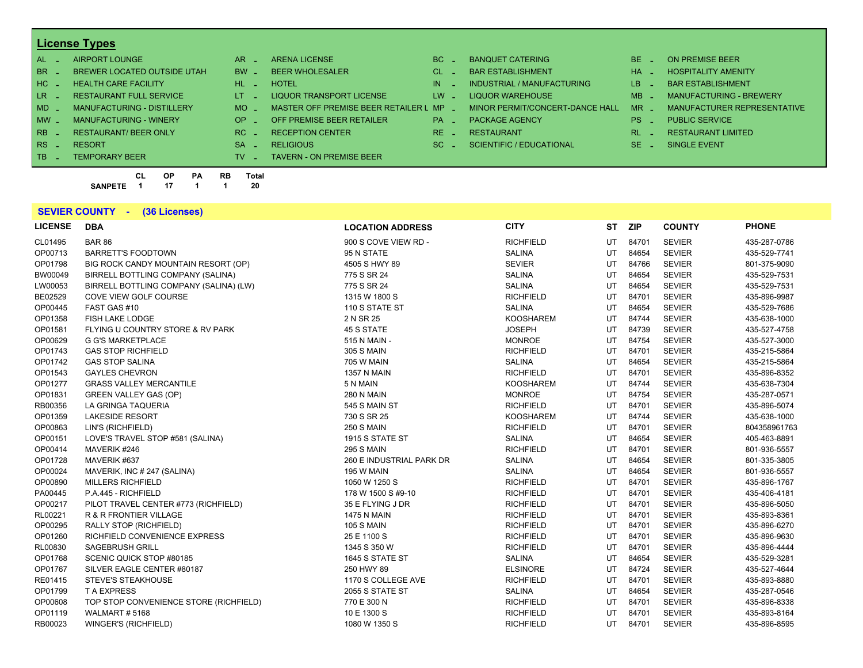# **License Types**

| <b>HOSPITALITY AMENITY</b>     |
|--------------------------------|
| <b>BAR ESTABLISHMENT</b>       |
| <b>MANUFACTURING - BREWERY</b> |
| MANUFACTURER REPRESENTATIVE    |
| <b>PUBLIC SERVICE</b>          |
| RESTAURANT LIMITED             |
| SINGLE EVENT                   |
|                                |
|                                |

**CL OP PA RB Total SANPETE 1 17 1 1 20**

#### **SEVIER COUNTY - (36 Licenses)**

| <b>LICENSE</b> | <b>DBA</b>                             | <b>LOCATION ADDRESS</b>  | <b>CITY</b>      | <b>ST</b> | <b>ZIP</b> | <b>COUNTY</b> | <b>PHONE</b> |
|----------------|----------------------------------------|--------------------------|------------------|-----------|------------|---------------|--------------|
| CL01495        | <b>BAR 86</b>                          | 900 S COVE VIEW RD -     | <b>RICHFIELD</b> | UT        | 84701      | <b>SEVIER</b> | 435-287-0786 |
| OP00713        | <b>BARRETT'S FOODTOWN</b>              | 95 N STATE               | <b>SALINA</b>    | UT        | 84654      | <b>SEVIER</b> | 435-529-7741 |
| OP01798        | BIG ROCK CANDY MOUNTAIN RESORT (OP)    | 4505 S HWY 89            | <b>SEVIER</b>    | UT        | 84766      | <b>SEVIER</b> | 801-375-9090 |
| BW00049        | BIRRELL BOTTLING COMPANY (SALINA)      | 775 S SR 24              | <b>SALINA</b>    | UT        | 84654      | <b>SEVIER</b> | 435-529-7531 |
| LW00053        | BIRRELL BOTTLING COMPANY (SALINA) (LW) | 775 S SR 24              | <b>SALINA</b>    | UT        | 84654      | <b>SEVIER</b> | 435-529-7531 |
| BE02529        | COVE VIEW GOLF COURSE                  | 1315 W 1800 S            | <b>RICHFIELD</b> | UT        | 84701      | <b>SEVIER</b> | 435-896-9987 |
| OP00445        | FAST GAS #10                           | 110 S STATE ST           | <b>SALINA</b>    | UT        | 84654      | <b>SEVIER</b> | 435-529-7686 |
| OP01358        | FISH LAKE LODGE                        | 2 N SR 25                | <b>KOOSHAREM</b> | UT        | 84744      | <b>SEVIER</b> | 435-638-1000 |
| OP01581        | FLYING U COUNTRY STORE & RV PARK       | <b>45 S STATE</b>        | <b>JOSEPH</b>    | UT        | 84739      | <b>SEVIER</b> | 435-527-4758 |
| OP00629        | <b>G G'S MARKETPLACE</b>               | 515 N MAIN -             | <b>MONROE</b>    | UT        | 84754      | <b>SEVIER</b> | 435-527-3000 |
| OP01743        | <b>GAS STOP RICHFIELD</b>              | <b>305 S MAIN</b>        | <b>RICHFIELD</b> | UT        | 84701      | <b>SEVIER</b> | 435-215-5864 |
| OP01742        | <b>GAS STOP SALINA</b>                 | 705 W MAIN               | <b>SALINA</b>    | UT        | 84654      | <b>SEVIER</b> | 435-215-5864 |
| OP01543        | <b>GAYLES CHEVRON</b>                  | <b>1357 N MAIN</b>       | <b>RICHFIELD</b> | UT        | 84701      | <b>SEVIER</b> | 435-896-8352 |
| OP01277        | <b>GRASS VALLEY MERCANTILE</b>         | 5 N MAIN                 | <b>KOOSHAREM</b> | UT        | 84744      | <b>SEVIER</b> | 435-638-7304 |
| OP01831        | <b>GREEN VALLEY GAS (OP)</b>           | <b>280 N MAIN</b>        | <b>MONROE</b>    | UT        | 84754      | <b>SEVIER</b> | 435-287-0571 |
| RB00356        | LA GRINGA TAQUERIA                     | 545 S MAIN ST            | <b>RICHFIELD</b> | UT        | 84701      | <b>SEVIER</b> | 435-896-5074 |
| OP01359        | <b>LAKESIDE RESORT</b>                 | 730 S SR 25              | <b>KOOSHAREM</b> | UT        | 84744      | <b>SEVIER</b> | 435-638-1000 |
| OP00863        | LIN'S (RICHFIELD)                      | <b>250 S MAIN</b>        | <b>RICHFIELD</b> | UT        | 84701      | <b>SEVIER</b> | 804358961763 |
| OP00151        | LOVE'S TRAVEL STOP #581 (SALINA)       | 1915 S STATE ST          | <b>SALINA</b>    | UT        | 84654      | <b>SEVIER</b> | 405-463-8891 |
| OP00414        | MAVERIK #246                           | <b>295 S MAIN</b>        | <b>RICHFIELD</b> | UT        | 84701      | <b>SEVIER</b> | 801-936-5557 |
| OP01728        | MAVERIK #637                           | 260 E INDUSTRIAL PARK DR | <b>SALINA</b>    | UT        | 84654      | <b>SEVIER</b> | 801-335-3805 |
| OP00024        | MAVERIK, INC # 247 (SALINA)            | 195 W MAIN               | <b>SALINA</b>    | UT        | 84654      | <b>SEVIER</b> | 801-936-5557 |
| OP00890        | <b>MILLERS RICHFIELD</b>               | 1050 W 1250 S            | <b>RICHFIELD</b> | UT        | 84701      | <b>SEVIER</b> | 435-896-1767 |
| PA00445        | P.A.445 - RICHFIELD                    | 178 W 1500 S #9-10       | <b>RICHFIELD</b> | UT        | 84701      | <b>SEVIER</b> | 435-406-4181 |
| OP00217        | PILOT TRAVEL CENTER #773 (RICHFIELD)   | 35 E FLYING J DR         | <b>RICHFIELD</b> | UT        | 84701      | <b>SEVIER</b> | 435-896-5050 |
| RL00221        | R & R FRONTIER VILLAGE                 | <b>1475 N MAIN</b>       | <b>RICHFIELD</b> | UT        | 84701      | <b>SEVIER</b> | 435-893-8361 |
| OP00295        | RALLY STOP (RICHFIELD)                 | <b>105 S MAIN</b>        | <b>RICHFIELD</b> | UT        | 84701      | <b>SEVIER</b> | 435-896-6270 |
| OP01260        | RICHFIELD CONVENIENCE EXPRESS          | 25 E 1100 S              | <b>RICHFIELD</b> | UT        | 84701      | <b>SEVIER</b> | 435-896-9630 |
| RL00830        | <b>SAGEBRUSH GRILL</b>                 | 1345 S 350 W             | <b>RICHFIELD</b> | UT        | 84701      | <b>SEVIER</b> | 435-896-4444 |
| OP01768        | SCENIC QUICK STOP #80185               | 1645 S STATE ST          | <b>SALINA</b>    | UT        | 84654      | <b>SEVIER</b> | 435-529-3281 |
| OP01767        | SILVER EAGLE CENTER #80187             | 250 HWY 89               | <b>ELSINORE</b>  | UT        | 84724      | <b>SEVIER</b> | 435-527-4644 |
| RE01415        | <b>STEVE'S STEAKHOUSE</b>              | 1170 S COLLEGE AVE       | <b>RICHFIELD</b> | UT        | 84701      | <b>SEVIER</b> | 435-893-8880 |
| OP01799        | <b>TA EXPRESS</b>                      | 2055 S STATE ST          | <b>SALINA</b>    | UT        | 84654      | <b>SEVIER</b> | 435-287-0546 |
| OP00608        | TOP STOP CONVENIENCE STORE (RICHFIELD) | 770 E 300 N              | <b>RICHFIELD</b> | UT        | 84701      | <b>SEVIER</b> | 435-896-8338 |
| OP01119        | WALMART#5168                           | 10 E 1300 S              | <b>RICHFIELD</b> | UT        | 84701      | <b>SEVIER</b> | 435-893-8164 |
| RB00023        | WINGER'S (RICHFIELD)                   | 1080 W 1350 S            | <b>RICHFIELD</b> | UT        | 84701      | <b>SEVIER</b> | 435-896-8595 |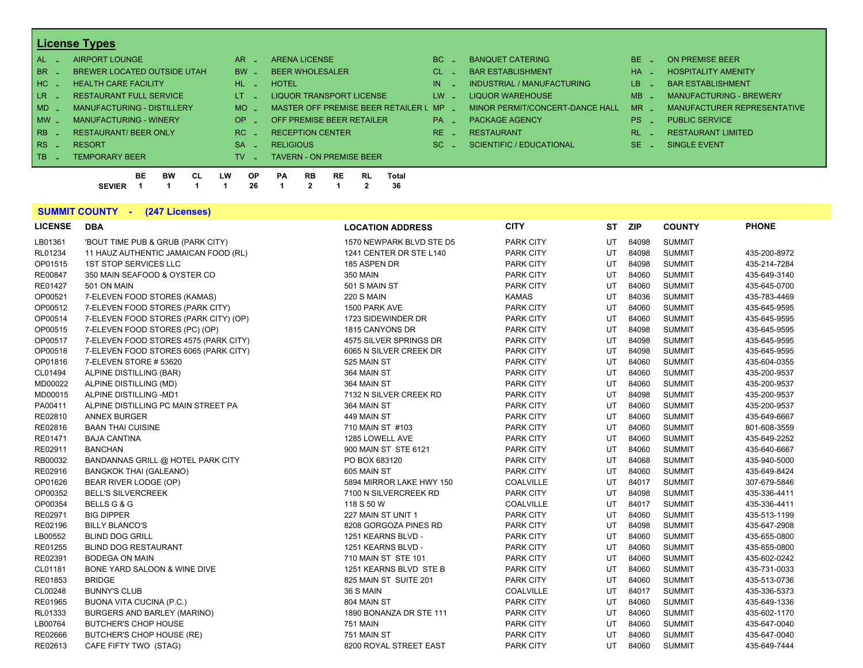# **License Types**

| $AL -$   | AIRPORT LOUNGE                    | AR.       | <b>ARENA LICENSE</b>                        | BC.       | <b>BANQUET CATERING</b>         | BE.            | ON PREMISE BEER                |
|----------|-----------------------------------|-----------|---------------------------------------------|-----------|---------------------------------|----------------|--------------------------------|
| BR _     | BREWER LOCATED OUTSIDE UTAH       | <b>BW</b> | <b>BEER WHOLESALER</b>                      | CL.       | <b>BAR ESTABLISHMENT</b>        | <b>HA</b>      | <b>HOSPITALITY AMENITY</b>     |
| $HC =$   | <b>HEALTH CARE FACILITY</b>       | $HL$ $-$  | <b>HOTEL</b>                                | IN.       | INDUSTRIAL / MANUFACTURING      | LB.            | <b>BAR ESTABLISHMENT</b>       |
| $LR -$   | <b>RESTAURANT FULL SERVICE</b>    | IT.       | <b>LIQUOR TRANSPORT LICENSE</b>             | LW.       | LIQUOR WAREHOUSE                | M <sub>B</sub> | <b>MANUFACTURING - BREWERY</b> |
| $MD -$   | <b>MANUFACTURING - DISTILLERY</b> | MO.       | MASTER OFF PREMISE BEER RETAILER L MP       |           | MINOR PERMIT/CONCERT-DANCE HALL | <b>MR</b>      | MANUFACTURER REPRESENTATIVE    |
| $MW_{-}$ | <b>MANUFACTURING - WINERY</b>     | OP        | OFF PREMISE BEER RETAILER                   | <b>PA</b> | <b>PACKAGE AGENCY</b>           | PS.            | <b>PUBLIC SERVICE</b>          |
| $RB -$   | <b>RESTAURANT/ BEER ONLY</b>      | RC.       | <b>RECEPTION CENTER</b>                     | RE.       | <b>RESTAURANT</b>               | <b>RL</b>      | <b>RESTAURANT LIMITED</b>      |
| RS :     | <b>RESORT</b>                     | <b>SA</b> | <b>RELIGIOUS</b>                            | SC.       | <b>SCIENTIFIC / EDUCATIONAL</b> | SE.            | SINGLE EVENT                   |
| TR _     | <b>TEMPORARY BEER</b>             | TV.       | <b>TAVERN - ON PREMISE BEER</b>             |           |                                 |                |                                |
|          | BE<br>СL<br>вw                    | LW<br>ΟP  | <b>RB</b><br>RL<br>Total<br>PА<br><b>RE</b> |           |                                 |                |                                |

# **SUMMIT COUNTY - (247 Licenses)**

**SEVIER 1 1 1 1 26 1 2 1 2 36**

| <b>LICENSE</b> | <b>DBA</b>                            | <b>LOCATION ADDRESS</b>  | <b>CITY</b>      | ST  | <b>ZIP</b> | <b>COUNTY</b> | <b>PHONE</b> |
|----------------|---------------------------------------|--------------------------|------------------|-----|------------|---------------|--------------|
| LB01361        | 'BOUT TIME PUB & GRUB (PARK CITY)     | 1570 NEWPARK BLVD STE D5 | <b>PARK CITY</b> | UT  | 84098      | <b>SUMMIT</b> |              |
| RL01234        | 11 HAUZ AUTHENTIC JAMAICAN FOOD (RL)  | 1241 CENTER DR STE L140  | <b>PARK CITY</b> | UT  | 84098      | <b>SUMMIT</b> | 435-200-8972 |
| OP01515        | <b>1ST STOP SERVICES LLC</b>          | 185 ASPEN DR             | <b>PARK CITY</b> | UT  | 84098      | <b>SUMMIT</b> | 435-214-7284 |
| RE00847        | 350 MAIN SEAFOOD & OYSTER CO          | <b>350 MAIN</b>          | <b>PARK CITY</b> | UT  | 84060      | <b>SUMMIT</b> | 435-649-3140 |
| RE01427        | 501 ON MAIN                           | 501 S MAIN ST            | <b>PARK CITY</b> | UT  | 84060      | <b>SUMMIT</b> | 435-645-0700 |
| OP00521        | 7-ELEVEN FOOD STORES (KAMAS)          | <b>220 S MAIN</b>        | <b>KAMAS</b>     | UT  | 84036      | <b>SUMMIT</b> | 435-783-4469 |
| OP00512        | 7-ELEVEN FOOD STORES (PARK CITY)      | 1500 PARK AVE            | <b>PARK CITY</b> | UT  | 84060      | <b>SUMMIT</b> | 435-645-9595 |
| OP00514        | 7-ELEVEN FOOD STORES (PARK CITY) (OP) | 1723 SIDEWINDER DR       | <b>PARK CITY</b> | UT  | 84060      | <b>SUMMIT</b> | 435-645-9595 |
| OP00515        | 7-ELEVEN FOOD STORES (PC) (OP)        | 1815 CANYONS DR          | <b>PARK CITY</b> | UT  | 84098      | <b>SUMMIT</b> | 435-645-9595 |
| OP00517        | 7-ELEVEN FOOD STORES 4575 (PARK CITY) | 4575 SILVER SPRINGS DR   | <b>PARK CITY</b> | UT  | 84098      | <b>SUMMIT</b> | 435-645-9595 |
| OP00518        | 7-ELEVEN FOOD STORES 6065 (PARK CITY) | 6065 N SILVER CREEK DR   | <b>PARK CITY</b> | UT  | 84098      | <b>SUMMIT</b> | 435-645-9595 |
| OP01816        | 7-ELEVEN STORE #53620                 | 525 MAIN ST              | <b>PARK CITY</b> | UT  | 84060      | <b>SUMMIT</b> | 435-604-0355 |
| CL01494        | ALPINE DISTILLING (BAR)               | 364 MAIN ST              | <b>PARK CITY</b> | UT  | 84060      | <b>SUMMIT</b> | 435-200-9537 |
| MD00022        | ALPINE DISTILLING (MD)                | 364 MAIN ST              | <b>PARK CITY</b> | UT  | 84060      | <b>SUMMIT</b> | 435-200-9537 |
| MD00015        | ALPINE DISTILLING -MD1                | 7132 N SILVER CREEK RD   | <b>PARK CITY</b> | UT  | 84098      | <b>SUMMIT</b> | 435-200-9537 |
| PA00411        | ALPINE DISTILLING PC MAIN STREET PA   | 364 MAIN ST              | <b>PARK CITY</b> | UT  | 84060      | <b>SUMMIT</b> | 435-200-9537 |
| RE02810        | <b>ANNEX BURGER</b>                   | 449 MAIN ST              | <b>PARK CITY</b> | UT  | 84060      | <b>SUMMIT</b> | 435-649-6667 |
| RE02816        | <b>BAAN THAI CUISINE</b>              | 710 MAIN ST #103         | <b>PARK CITY</b> | UT  | 84060      | <b>SUMMIT</b> | 801-608-3559 |
| RE01471        | <b>BAJA CANTINA</b>                   | 1285 LOWELL AVE          | <b>PARK CITY</b> | UT  | 84060      | <b>SUMMIT</b> | 435-649-2252 |
| RE02911        | <b>BANCHAN</b>                        | 900 MAIN ST STE 6121     | <b>PARK CITY</b> | UT  | 84060      | <b>SUMMIT</b> | 435-640-6667 |
| RB00032        | BANDANNAS GRILL @ HOTEL PARK CITY     | PO BOX 683120            | <b>PARK CITY</b> | UT  | 84068      | <b>SUMMIT</b> | 435-940-5000 |
| RE02916        | <b>BANGKOK THAI (GALEANO)</b>         | 605 MAIN ST              | <b>PARK CITY</b> | UT  | 84060      | <b>SUMMIT</b> | 435-649-8424 |
| OP01626        | BEAR RIVER LODGE (OP)                 | 5894 MIRROR LAKE HWY 150 | <b>COALVILLE</b> | UT  | 84017      | <b>SUMMIT</b> | 307-679-5846 |
| OP00352        | <b>BELL'S SILVERCREEK</b>             | 7100 N SILVERCREEK RD    | <b>PARK CITY</b> | UT  | 84098      | <b>SUMMIT</b> | 435-336-4411 |
| OP00354        | BELLS G & G                           | 118 S 50 W               | COALVILLE        | UT  | 84017      | <b>SUMMIT</b> | 435-336-4411 |
| RE02971        | <b>BIG DIPPER</b>                     | 227 MAIN ST UNIT 1       | <b>PARK CITY</b> | UT  | 84060      | <b>SUMMIT</b> | 435-513-1199 |
| RE02196        | <b>BILLY BLANCO'S</b>                 | 8208 GORGOZA PINES RD    | <b>PARK CITY</b> | UT  | 84098      | <b>SUMMIT</b> | 435-647-2908 |
| LB00552        | <b>BLIND DOG GRILL</b>                | 1251 KEARNS BLVD -       | <b>PARK CITY</b> | UT  | 84060      | <b>SUMMIT</b> | 435-655-0800 |
| RE01255        | <b>BLIND DOG RESTAURANT</b>           | 1251 KEARNS BLVD -       | <b>PARK CITY</b> | UT  | 84060      | <b>SUMMIT</b> | 435-655-0800 |
| RE02391        | <b>BODEGA ON MAIN</b>                 | 710 MAIN ST STE 101      | <b>PARK CITY</b> | UT  | 84060      | <b>SUMMIT</b> | 435-602-0242 |
| CL01181        | BONE YARD SALOON & WINE DIVE          | 1251 KEARNS BLVD STE B   | <b>PARK CITY</b> | UT  | 84060      | <b>SUMMIT</b> | 435-731-0033 |
| RE01853        | <b>BRIDGE</b>                         | 825 MAIN ST SUITE 201    | <b>PARK CITY</b> | UT  | 84060      | <b>SUMMIT</b> | 435-513-0736 |
| CL00248        | <b>BUNNY'S CLUB</b>                   | 36 S MAIN                | COALVILLE        | UT  | 84017      | <b>SUMMIT</b> | 435-336-5373 |
| RE01965        | <b>BUONA VITA CUCINA (P.C.)</b>       | 804 MAIN ST              | <b>PARK CITY</b> | UT  | 84060      | <b>SUMMIT</b> | 435-649-1336 |
| RL01333        | BURGERS AND BARLEY (MARINO)           | 1890 BONANZA DR STE 111  | <b>PARK CITY</b> | UT  | 84060      | <b>SUMMIT</b> | 435-602-1170 |
| LB00764        | <b>BUTCHER'S CHOP HOUSE</b>           | 751 MAIN                 | <b>PARK CITY</b> | UT  | 84060      | <b>SUMMIT</b> | 435-647-0040 |
| RE02666        | BUTCHER'S CHOP HOUSE (RE)             | 751 MAIN ST              | <b>PARK CITY</b> | UT  | 84060      | <b>SUMMIT</b> | 435-647-0040 |
| RE02613        | CAFE FIFTY TWO (STAG)                 | 8200 ROYAL STREET EAST   | <b>PARK CITY</b> | UT. | 84060      | <b>SUMMIT</b> | 435-649-7444 |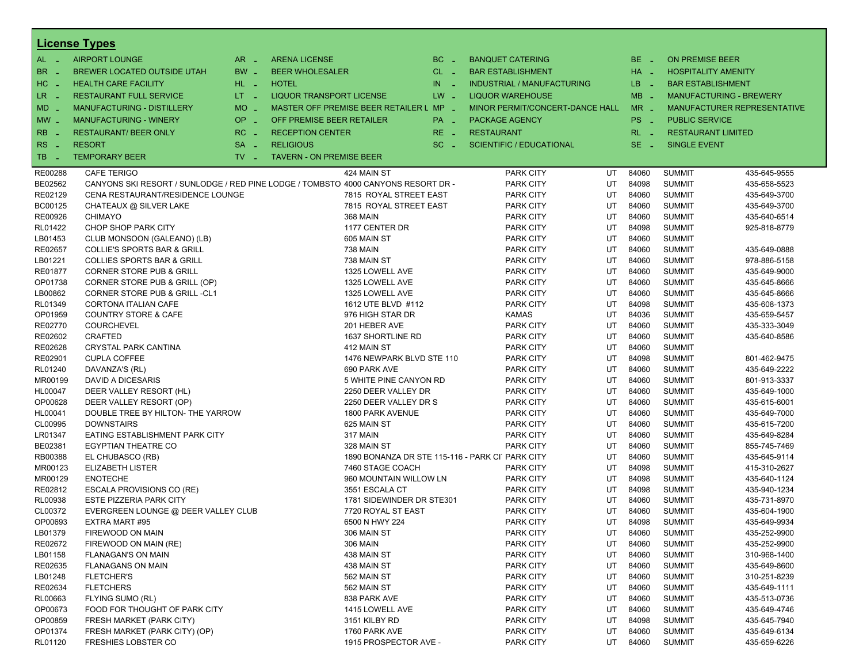| <b>License Types</b>  |                                          |                               |                                                                                   |           |                                                 |    |                 |                             |                                |  |  |  |  |
|-----------------------|------------------------------------------|-------------------------------|-----------------------------------------------------------------------------------|-----------|-------------------------------------------------|----|-----------------|-----------------------------|--------------------------------|--|--|--|--|
| $AL -$                | <b>AIRPORT LOUNGE</b>                    | $AR -$                        | <b>ARENA LICENSE</b>                                                              | $BC -$    | <b>BANQUET CATERING</b>                         |    | BE _            | <b>ON PREMISE BEER</b>      |                                |  |  |  |  |
| BR<br>- 4             | BREWER LOCATED OUTSIDE UTAH              | BW _                          | <b>BEER WHOLESALER</b>                                                            | $CL$ $-$  | <b>BAR ESTABLISHMENT</b>                        |    | HA _            |                             | <b>HOSPITALITY AMENITY</b>     |  |  |  |  |
| H <sub>C</sub><br>- 4 | <b>HEALTH CARE FACILITY</b>              | HL L                          | <b>HOTEL</b>                                                                      | IN<br>- 2 | <b>INDUSTRIAL / MANUFACTURING</b>               |    | LB _            | <b>BAR ESTABLISHMENT</b>    |                                |  |  |  |  |
| LR.                   | <b>RESTAURANT FULL SERVICE</b>           | $LT - 1$                      | LIQUOR TRANSPORT LICENSE                                                          | $LW -$    | <b>LIQUOR WAREHOUSE</b>                         |    | $MB -$          |                             | <b>MANUFACTURING - BREWERY</b> |  |  |  |  |
| - 4                   | <b>MANUFACTURING - DISTILLERY</b>        | <b>MO</b>                     | MASTER OFF PREMISE BEER RETAILER L MP _                                           |           |                                                 |    | $MR -$          | MANUFACTURER REPRESENTATIVE |                                |  |  |  |  |
| $MD -$                |                                          | $\sim$                        |                                                                                   |           | MINOR PERMIT/CONCERT-DANCE HALL                 |    |                 | <b>PUBLIC SERVICE</b>       |                                |  |  |  |  |
| $MW$ $-$              | <b>MANUFACTURING - WINERY</b>            | <b>OP</b><br>i al             | OFF PREMISE BEER RETAILER                                                         | PA _      | <b>PACKAGE AGENCY</b>                           |    | PS <sub>-</sub> |                             |                                |  |  |  |  |
| <b>RB</b>             | <b>RESTAURANT/ BEER ONLY</b>             | RC<br>$\sim$                  | <b>RECEPTION CENTER</b>                                                           | $RE -$    | <b>RESTAURANT</b>                               |    | $RL - 1$        | <b>RESTAURANT LIMITED</b>   |                                |  |  |  |  |
| RS<br>- 4             | <b>RESORT</b>                            | <b>SA</b><br>i a              | <b>RELIGIOUS</b>                                                                  | $SC =$    | <b>SCIENTIFIC / EDUCATIONAL</b>                 |    | $SE$ $-$        | <b>SINGLE EVENT</b>         |                                |  |  |  |  |
| TB<br>- 4             | <b>TEMPORARY BEER</b>                    | $TV$ $\overline{\phantom{0}}$ | <b>TAVERN - ON PREMISE BEER</b>                                                   |           |                                                 |    |                 |                             |                                |  |  |  |  |
| RE00288               | <b>CAFE TERIGO</b>                       |                               | 424 MAIN ST                                                                       |           | PARK CITY                                       | UT | 84060           | <b>SUMMIT</b>               | 435-645-9555                   |  |  |  |  |
| BE02562               |                                          |                               | CANYONS SKI RESORT / SUNLODGE / RED PINE LODGE / TOMBSTO 4000 CANYONS RESORT DR - |           | <b>PARK CITY</b>                                | UT | 84098           | <b>SUMMIT</b>               | 435-658-5523                   |  |  |  |  |
| RE02129               | CENA RESTAURANT/RESIDENCE LOUNGE         |                               | 7815 ROYAL STREET EAST                                                            |           | PARK CITY                                       | UT | 84060           | <b>SUMMIT</b>               | 435-649-3700                   |  |  |  |  |
| BC00125               | CHATEAUX @ SILVER LAKE                   |                               | 7815 ROYAL STREET EAST                                                            |           | PARK CITY                                       | UT | 84060           | <b>SUMMIT</b>               | 435-649-3700                   |  |  |  |  |
| RE00926               | <b>CHIMAYO</b>                           |                               | <b>368 MAIN</b>                                                                   |           | <b>PARK CITY</b>                                | UT | 84060           | <b>SUMMIT</b>               | 435-640-6514                   |  |  |  |  |
| RL01422               | CHOP SHOP PARK CITY                      |                               | 1177 CENTER DR                                                                    |           | PARK CITY                                       | UT | 84098           | <b>SUMMIT</b>               | 925-818-8779                   |  |  |  |  |
| LB01453               | CLUB MONSOON (GALEANO) (LB)              |                               | 605 MAIN ST                                                                       |           | PARK CITY                                       | UT | 84060           | <b>SUMMIT</b>               |                                |  |  |  |  |
| RE02657               | <b>COLLIE'S SPORTS BAR &amp; GRILL</b>   |                               | 738 MAIN                                                                          |           | <b>PARK CITY</b>                                | UT | 84060           | <b>SUMMIT</b>               | 435-649-0888                   |  |  |  |  |
| LB01221               | <b>COLLIES SPORTS BAR &amp; GRILL</b>    |                               | 738 MAIN ST                                                                       |           | PARK CITY                                       | UT | 84060           | <b>SUMMIT</b>               | 978-886-5158                   |  |  |  |  |
| <b>RE01877</b>        | <b>CORNER STORE PUB &amp; GRILL</b>      |                               | 1325 LOWELL AVE                                                                   |           | PARK CITY                                       | UT | 84060           | <b>SUMMIT</b>               | 435-649-9000                   |  |  |  |  |
| OP01738               | CORNER STORE PUB & GRILL (OP)            |                               | 1325 LOWELL AVE                                                                   |           | <b>PARK CITY</b>                                | UT | 84060           | <b>SUMMIT</b>               | 435-645-8666                   |  |  |  |  |
| LB00862               | <b>CORNER STORE PUB &amp; GRILL -CL1</b> |                               | 1325 LOWELL AVE                                                                   |           | PARK CITY                                       | UT | 84060           | <b>SUMMIT</b>               | 435-645-8666                   |  |  |  |  |
| RL01349               | CORTONA ITALIAN CAFE                     |                               | 1612 UTE BLVD #112                                                                |           | PARK CITY                                       | UT | 84098           | <b>SUMMIT</b>               | 435-608-1373                   |  |  |  |  |
| OP01959               | <b>COUNTRY STORE &amp; CAFE</b>          |                               | 976 HIGH STAR DR                                                                  |           | KAMAS                                           | UT | 84036           | <b>SUMMIT</b>               | 435-659-5457                   |  |  |  |  |
| RE02770               | <b>COURCHEVEL</b>                        |                               | 201 HEBER AVE                                                                     |           | PARK CITY                                       | UT | 84060           | <b>SUMMIT</b>               | 435-333-3049                   |  |  |  |  |
| RE02602               | CRAFTED                                  |                               | 1637 SHORTLINE RD                                                                 |           | PARK CITY                                       | UT | 84060           | <b>SUMMIT</b>               | 435-640-8586                   |  |  |  |  |
| RE02628               | CRYSTAL PARK CANTINA                     |                               | 412 MAIN ST                                                                       |           | <b>PARK CITY</b>                                | UT | 84060           | <b>SUMMIT</b>               |                                |  |  |  |  |
| RE02901               | <b>CUPLA COFFEE</b>                      |                               | 1476 NEWPARK BLVD STE 110                                                         |           | <b>PARK CITY</b>                                | UT | 84098           | <b>SUMMIT</b>               | 801-462-9475                   |  |  |  |  |
| RL01240               | DAVANZA'S (RL)                           |                               | 690 PARK AVE                                                                      |           | <b>PARK CITY</b>                                | UT | 84060           | <b>SUMMIT</b>               | 435-649-2222                   |  |  |  |  |
| MR00199               | DAVID A DICESARIS                        |                               | 5 WHITE PINE CANYON RD                                                            |           | PARK CITY                                       | UT | 84060           | <b>SUMMIT</b>               | 801-913-3337                   |  |  |  |  |
| HL00047               | DEER VALLEY RESORT (HL)                  |                               | 2250 DEER VALLEY DR                                                               |           | <b>PARK CITY</b>                                | UT | 84060           | <b>SUMMIT</b>               | 435-649-1000                   |  |  |  |  |
| OP00628               | DEER VALLEY RESORT (OP)                  |                               | 2250 DEER VALLEY DR S                                                             |           | <b>PARK CITY</b>                                | UT | 84060           | <b>SUMMIT</b>               | 435-615-6001                   |  |  |  |  |
| HL00041               | DOUBLE TREE BY HILTON- THE YARROW        |                               | 1800 PARK AVENUE                                                                  |           | <b>PARK CITY</b>                                | UT | 84060           | <b>SUMMIT</b>               | 435-649-7000                   |  |  |  |  |
| CL00995               | <b>DOWNSTAIRS</b>                        |                               | 625 MAIN ST                                                                       |           | <b>PARK CITY</b>                                | UT | 84060           | <b>SUMMIT</b>               | 435-615-7200                   |  |  |  |  |
| LR01347               | EATING ESTABLISHMENT PARK CITY           |                               | 317 MAIN                                                                          |           | <b>PARK CITY</b>                                | UT | 84060           | <b>SUMMIT</b>               | 435-649-8284                   |  |  |  |  |
| BE02381               | EGYPTIAN THEATRE CO                      |                               | 328 MAIN ST                                                                       |           | <b>PARK CITY</b>                                | UT | 84060           | <b>SUMMIT</b>               | 855-745-7469                   |  |  |  |  |
| RB00388               | EL CHUBASCO (RB)                         |                               |                                                                                   |           | 1890 BONANZA DR STE 115-116 - PARK CITPARK CITY | UT | 84060           | <b>SUMMIT</b>               | 435-645-9114                   |  |  |  |  |
| MR00123               | <b>ELIZABETH LISTER</b>                  |                               | 7460 STAGE COACH                                                                  |           | <b>PARK CITY</b>                                | UT | 84098           | <b>SUMMIT</b>               | 415-310-2627                   |  |  |  |  |
| MR00129               | <b>ENOTECHE</b>                          |                               | 960 MOUNTAIN WILLOW LN                                                            |           | PARK CITY                                       | UT | 84098           | <b>SUMMIT</b>               | 435-640-1124                   |  |  |  |  |
| RE02812               | ESCALA PROVISIONS CO (RE)                |                               | 3551 ESCALA CT                                                                    |           | <b>PARK CITY</b>                                | UT | 84098           | <b>SUMMIT</b>               | 435-940-1234                   |  |  |  |  |
| RL00938               | <b>ESTE PIZZERIA PARK CITY</b>           |                               | 1781 SIDEWINDER DR STE301                                                         |           | <b>PARK CITY</b>                                | UT | 84060           | <b>SUMMIT</b>               | 435-731-8970                   |  |  |  |  |
| CL00372               | EVERGREEN LOUNGE @ DEER VALLEY CLUB      |                               | 7720 ROYAL ST EAST                                                                |           | <b>PARK CITY</b>                                | UT | 84060           | <b>SUMMIT</b>               | 435-604-1900                   |  |  |  |  |
| OP00693               | EXTRA MART #95                           |                               | 6500 N HWY 224                                                                    |           | <b>PARK CITY</b>                                | UT | 84098           | <b>SUMMIT</b>               | 435-649-9934                   |  |  |  |  |
| LB01379               | FIREWOOD ON MAIN                         |                               | 306 MAIN ST                                                                       |           | PARK CITY                                       | UT | 84060           | <b>SUMMIT</b>               | 435-252-9900                   |  |  |  |  |
| RE02672               | FIREWOOD ON MAIN (RE)                    |                               | <b>306 MAIN</b>                                                                   |           | PARK CITY                                       | UT | 84060           | <b>SUMMIT</b>               | 435-252-9900                   |  |  |  |  |
| LB01158               | <b>FLANAGAN'S ON MAIN</b>                |                               | 438 MAIN ST                                                                       |           | PARK CITY                                       | UT | 84060           | <b>SUMMIT</b>               | 310-968-1400                   |  |  |  |  |
| RE02635               | <b>FLANAGANS ON MAIN</b>                 |                               | 438 MAIN ST                                                                       |           | PARK CITY                                       | UT | 84060           | <b>SUMMIT</b>               | 435-649-8600                   |  |  |  |  |
| LB01248               | <b>FLETCHER'S</b>                        |                               | 562 MAIN ST                                                                       |           | <b>PARK CITY</b>                                | UT | 84060           | <b>SUMMIT</b>               | 310-251-8239                   |  |  |  |  |
| RE02634               | <b>FLETCHERS</b>                         |                               | 562 MAIN ST                                                                       |           | PARK CITY                                       | UT | 84060           | <b>SUMMIT</b>               | 435-649-1111                   |  |  |  |  |
| RL00663               | FLYING SUMO (RL)                         |                               | 838 PARK AVE                                                                      |           | PARK CITY                                       | UT | 84060           | <b>SUMMIT</b>               | 435-513-0736                   |  |  |  |  |
| OP00673               | FOOD FOR THOUGHT OF PARK CITY            |                               | 1415 LOWELL AVE                                                                   |           | PARK CITY                                       | UT | 84060           | <b>SUMMIT</b>               | 435-649-4746                   |  |  |  |  |
| OP00859               | FRESH MARKET (PARK CITY)                 |                               | 3151 KILBY RD                                                                     |           | <b>PARK CITY</b>                                | UT | 84098           | <b>SUMMIT</b>               | 435-645-7940                   |  |  |  |  |
| OP01374               | FRESH MARKET (PARK CITY) (OP)            |                               | 1760 PARK AVE                                                                     |           | PARK CITY                                       | UT | 84060           | <b>SUMMIT</b>               | 435-649-6134                   |  |  |  |  |
| RL01120               | FRESHIES LOBSTER CO                      |                               | 1915 PROSPECTOR AVE -                                                             |           | PARK CITY                                       | UT | 84060           | <b>SUMMIT</b>               | 435-659-6226                   |  |  |  |  |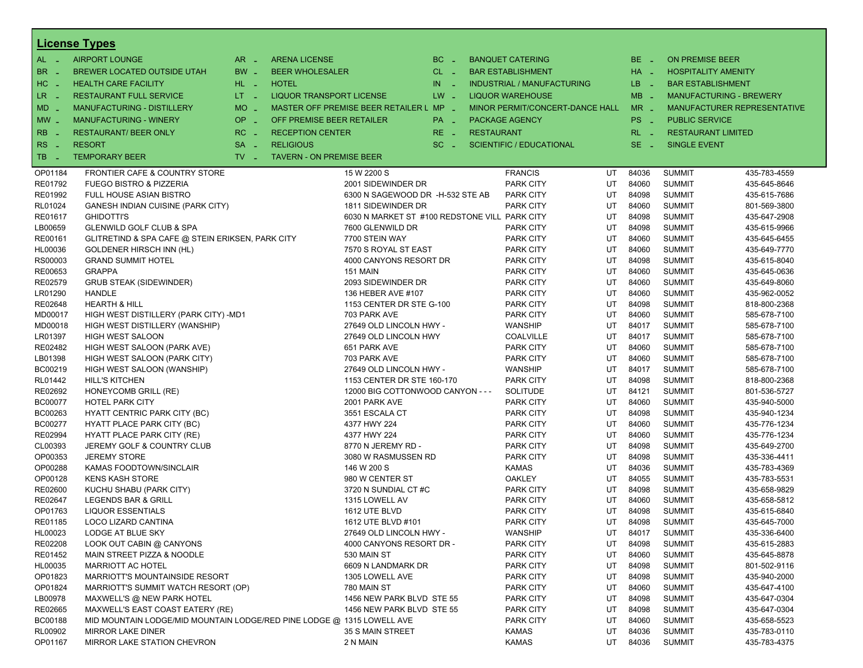|                      | <b>License Types</b>                                                   |                                 |                                               |           |                   |                                   |    |            |                                |              |  |  |  |  |
|----------------------|------------------------------------------------------------------------|---------------------------------|-----------------------------------------------|-----------|-------------------|-----------------------------------|----|------------|--------------------------------|--------------|--|--|--|--|
| AL -                 | <b>AIRPORT LOUNGE</b><br>$AR -$                                        | <b>ARENA LICENSE</b>            |                                               | $BC =$    |                   | <b>BANQUET CATERING</b>           |    | $BE -$     | <b>ON PREMISE BEER</b>         |              |  |  |  |  |
| BR.<br>n a           | BW _<br>BREWER LOCATED OUTSIDE UTAH                                    | <b>BEER WHOLESALER</b>          |                                               | $CL$ $-$  |                   | <b>BAR ESTABLISHMENT</b>          |    | HA _       | <b>HOSPITALITY AMENITY</b>     |              |  |  |  |  |
| HC.<br>$\sim$ $\sim$ | <b>HEALTH CARE FACILITY</b><br>HL L                                    | <b>HOTEL</b>                    |                                               | IN<br>- 2 |                   | <b>INDUSTRIAL / MANUFACTURING</b> |    | LB.<br>- 2 | <b>BAR ESTABLISHMENT</b>       |              |  |  |  |  |
| LR -                 | $LT - 1$<br><b>RESTAURANT FULL SERVICE</b>                             | LIQUOR TRANSPORT LICENSE        |                                               | $LW -$    |                   | <b>LIQUOR WAREHOUSE</b>           |    | $MB -$     | <b>MANUFACTURING - BREWERY</b> |              |  |  |  |  |
| $MD -$               | MO _<br><b>MANUFACTURING - DISTILLERY</b>                              |                                 | MASTER OFF PREMISE BEER RETAILER L MP _       |           |                   | MINOR PERMIT/CONCERT-DANCE HALL   |    | $MR -$     | MANUFACTURER REPRESENTATIVE    |              |  |  |  |  |
| $MW_{-}$             | OP.<br><b>MANUFACTURING - WINERY</b>                                   | OFF PREMISE BEER RETAILER       |                                               | PA _      |                   | <b>PACKAGE AGENCY</b>             |    | PS _       | <b>PUBLIC SERVICE</b>          |              |  |  |  |  |
|                      |                                                                        | п.                              |                                               |           |                   |                                   |    |            | <b>RESTAURANT LIMITED</b>      |              |  |  |  |  |
| RB                   | RC<br><b>RESTAURANT/ BEER ONLY</b>                                     | <b>RECEPTION CENTER</b>         |                                               | $RE -$    | <b>RESTAURANT</b> |                                   |    | $RL - 1$   |                                |              |  |  |  |  |
| RS.<br>∴.            | <b>RESORT</b><br><b>SA</b>                                             | <b>RELIGIOUS</b>                |                                               | $SC =$    |                   | <b>SCIENTIFIC / EDUCATIONAL</b>   |    | $SE$ $-$   | <b>SINGLE EVENT</b>            |              |  |  |  |  |
| TB.<br>- 4           | <b>TEMPORARY BEER</b><br>$TV$ $\overline{\phantom{0}}$                 | <b>TAVERN - ON PREMISE BEER</b> |                                               |           |                   |                                   |    |            |                                |              |  |  |  |  |
| OP01184              | FRONTIER CAFE & COUNTRY STORE                                          |                                 | 15 W 2200 S                                   |           |                   | <b>FRANCIS</b>                    | UT | 84036      | <b>SUMMIT</b>                  | 435-783-4559 |  |  |  |  |
| RE01792              | <b>FUEGO BISTRO &amp; PIZZERIA</b>                                     |                                 | 2001 SIDEWINDER DR                            |           |                   | <b>PARK CITY</b>                  | UT | 84060      | <b>SUMMIT</b>                  | 435-645-8646 |  |  |  |  |
| RE01992              | <b>FULL HOUSE ASIAN BISTRO</b>                                         |                                 | 6300 N SAGEWOOD DR -H-532 STE AB              |           |                   | <b>PARK CITY</b>                  | UT | 84098      | <b>SUMMIT</b>                  | 435-615-7686 |  |  |  |  |
| RL01024              | <b>GANESH INDIAN CUISINE (PARK CITY)</b>                               |                                 | 1811 SIDEWINDER DR                            |           |                   | <b>PARK CITY</b>                  | UT | 84060      | <b>SUMMIT</b>                  | 801-569-3800 |  |  |  |  |
| RE01617              | <b>GHIDOTTI'S</b>                                                      |                                 | 6030 N MARKET ST #100 REDSTONE VILL PARK CITY |           |                   |                                   | UT | 84098      | <b>SUMMIT</b>                  | 435-647-2908 |  |  |  |  |
| LB00659              | <b>GLENWILD GOLF CLUB &amp; SPA</b>                                    |                                 | 7600 GLENWILD DR                              |           |                   | <b>PARK CITY</b>                  | UT | 84098      | <b>SUMMIT</b>                  | 435-615-9966 |  |  |  |  |
| RE00161              | GLITRETIND & SPA CAFE @ STEIN ERIKSEN, PARK CITY                       |                                 | 7700 STEIN WAY                                |           |                   | <b>PARK CITY</b>                  | UT | 84060      | <b>SUMMIT</b>                  | 435-645-6455 |  |  |  |  |
| HL00036              | GOLDENER HIRSCH INN (HL)                                               |                                 | 7570 S ROYAL ST EAST                          |           |                   | <b>PARK CITY</b>                  | UT | 84060      | <b>SUMMIT</b>                  | 435-649-7770 |  |  |  |  |
| RS00003              | <b>GRAND SUMMIT HOTEL</b>                                              |                                 | 4000 CANYONS RESORT DR                        |           |                   | <b>PARK CITY</b>                  | UT | 84098      | <b>SUMMIT</b>                  | 435-615-8040 |  |  |  |  |
| RE00653              | <b>GRAPPA</b>                                                          |                                 | 151 MAIN                                      |           |                   | <b>PARK CITY</b>                  | UT | 84060      | <b>SUMMIT</b>                  | 435-645-0636 |  |  |  |  |
| RE02579              | <b>GRUB STEAK (SIDEWINDER)</b>                                         |                                 | 2093 SIDEWINDER DR                            |           |                   | <b>PARK CITY</b>                  | UT | 84060      | <b>SUMMIT</b>                  | 435-649-8060 |  |  |  |  |
| LR01290              | <b>HANDLE</b>                                                          |                                 | 136 HEBER AVE #107                            |           |                   | <b>PARK CITY</b>                  | UT | 84060      | <b>SUMMIT</b>                  | 435-962-0052 |  |  |  |  |
| RE02648              | <b>HEARTH &amp; HILL</b>                                               |                                 | 1153 CENTER DR STE G-100                      |           |                   | <b>PARK CITY</b>                  | UT | 84098      | <b>SUMMIT</b>                  | 818-800-2368 |  |  |  |  |
| MD00017              | HIGH WEST DISTILLERY (PARK CITY) -MD1                                  |                                 | 703 PARK AVE                                  |           |                   | <b>PARK CITY</b>                  | UT | 84060      | <b>SUMMIT</b>                  | 585-678-7100 |  |  |  |  |
| MD00018              | HIGH WEST DISTILLERY (WANSHIP)                                         |                                 | 27649 OLD LINCOLN HWY -                       |           |                   | <b>WANSHIP</b>                    | UT | 84017      | <b>SUMMIT</b>                  | 585-678-7100 |  |  |  |  |
| LR01397              | <b>HIGH WEST SALOON</b>                                                |                                 | 27649 OLD LINCOLN HWY                         |           |                   | <b>COALVILLE</b>                  | UT | 84017      | <b>SUMMIT</b>                  | 585-678-7100 |  |  |  |  |
| RE02482              | HIGH WEST SALOON (PARK AVE)                                            |                                 | 651 PARK AVE                                  |           |                   | <b>PARK CITY</b>                  | UT | 84060      | <b>SUMMIT</b>                  | 585-678-7100 |  |  |  |  |
| LB01398              | HIGH WEST SALOON (PARK CITY)                                           |                                 | 703 PARK AVE                                  |           |                   | <b>PARK CITY</b>                  | UT | 84060      | <b>SUMMIT</b>                  | 585-678-7100 |  |  |  |  |
| BC00219              | HIGH WEST SALOON (WANSHIP)                                             |                                 | 27649 OLD LINCOLN HWY -                       |           |                   | <b>WANSHIP</b>                    | UT | 84017      | <b>SUMMIT</b>                  | 585-678-7100 |  |  |  |  |
| RL01442              | <b>HILL'S KITCHEN</b>                                                  |                                 | 1153 CENTER DR STE 160-170                    |           |                   | <b>PARK CITY</b>                  | UT | 84098      | <b>SUMMIT</b>                  | 818-800-2368 |  |  |  |  |
| RE02692              | HONEYCOMB GRILL (RE)                                                   |                                 | 12000 BIG COTTONWOOD CANYON - - -             |           |                   | <b>SOLITUDE</b>                   | UT | 84121      | <b>SUMMIT</b>                  | 801-536-5727 |  |  |  |  |
| <b>BC00077</b>       | <b>HOTEL PARK CITY</b>                                                 |                                 | 2001 PARK AVE                                 |           |                   | <b>PARK CITY</b>                  | UT | 84060      | <b>SUMMIT</b>                  | 435-940-5000 |  |  |  |  |
| BC00263              | <b>HYATT CENTRIC PARK CITY (BC)</b>                                    |                                 | 3551 ESCALA CT                                |           |                   | <b>PARK CITY</b>                  | UT | 84098      | <b>SUMMIT</b>                  | 435-940-1234 |  |  |  |  |
| BC00277              | <b>HYATT PLACE PARK CITY (BC)</b>                                      |                                 | 4377 HWY 224                                  |           |                   | <b>PARK CITY</b>                  | UT | 84060      | <b>SUMMIT</b>                  | 435-776-1234 |  |  |  |  |
| RE02994              | HYATT PLACE PARK CITY (RE)                                             |                                 | 4377 HWY 224                                  |           |                   | <b>PARK CITY</b>                  | UT | 84060      | <b>SUMMIT</b>                  | 435-776-1234 |  |  |  |  |
| CL00393              | JEREMY GOLF & COUNTRY CLUB                                             |                                 | 8770 N JEREMY RD -                            |           |                   | <b>PARK CITY</b>                  | UT | 84098      | <b>SUMMIT</b>                  | 435-649-2700 |  |  |  |  |
| OP00353              | <b>JEREMY STORE</b>                                                    |                                 | 3080 W RASMUSSEN RD                           |           |                   | <b>PARK CITY</b>                  | UT | 84098      | <b>SUMMIT</b>                  | 435-336-4411 |  |  |  |  |
| OP00288              | KAMAS FOODTOWN/SINCLAIR                                                |                                 | 146 W 200 S                                   |           |                   | <b>KAMAS</b>                      | UT | 84036      | <b>SUMMIT</b>                  | 435-783-4369 |  |  |  |  |
| OP00128              | <b>KENS KASH STORE</b>                                                 |                                 | 980 W CENTER ST                               |           |                   | <b>OAKLEY</b>                     | UT | 84055      | <b>SUMMIT</b>                  | 435-783-5531 |  |  |  |  |
| RE02600              | KUCHU SHABU (PARK CITY)                                                |                                 | 3720 N SUNDIAL CT #C                          |           |                   | <b>PARK CITY</b>                  | UT | 84098      | <b>SUMMIT</b>                  | 435-658-9829 |  |  |  |  |
| RE02647              | LEGENDS BAR & GRILL                                                    |                                 | 1315 LOWELL AV                                |           |                   | <b>PARK CITY</b>                  | UT | 84060      | <b>SUMMIT</b>                  | 435-658-5812 |  |  |  |  |
| OP01763              | <b>LIQUOR ESSENTIALS</b>                                               |                                 | 1612 UTE BLVD                                 |           |                   | <b>PARK CITY</b>                  | UT | 84098      | <b>SUMMIT</b>                  | 435-615-6840 |  |  |  |  |
| RE01185              | LOCO LIZARD CANTINA                                                    |                                 | 1612 UTE BLVD #101                            |           |                   | <b>PARK CITY</b>                  | UT | 84098      | <b>SUMMIT</b>                  | 435-645-7000 |  |  |  |  |
| HL00023              | LODGE AT BLUE SKY                                                      |                                 | 27649 OLD LINCOLN HWY -                       |           |                   | WANSHIP                           | UT | 84017      | <b>SUMMIT</b>                  | 435-336-6400 |  |  |  |  |
| RE02208              | LOOK OUT CABIN @ CANYONS                                               |                                 | 4000 CANYONS RESORT DR -                      |           |                   | <b>PARK CITY</b>                  | UT | 84098      | <b>SUMMIT</b>                  | 435-615-2883 |  |  |  |  |
| RE01452              | MAIN STREET PIZZA & NOODLE                                             |                                 | 530 MAIN ST                                   |           |                   | <b>PARK CITY</b>                  | UT | 84060      | <b>SUMMIT</b>                  | 435-645-8878 |  |  |  |  |
| HL00035              | <b>MARRIOTT AC HOTEL</b>                                               |                                 | 6609 N LANDMARK DR                            |           |                   | PARK CITY                         | UT | 84098      | <b>SUMMIT</b>                  | 801-502-9116 |  |  |  |  |
| OP01823              | <b>MARRIOTT'S MOUNTAINSIDE RESORT</b>                                  |                                 | 1305 LOWELL AVE                               |           |                   | <b>PARK CITY</b>                  | UT | 84098      | <b>SUMMIT</b>                  | 435-940-2000 |  |  |  |  |
| OP01824              | MARRIOTT'S SUMMIT WATCH RESORT (OP)                                    |                                 | 780 MAIN ST                                   |           |                   | <b>PARK CITY</b>                  | UT | 84060      | <b>SUMMIT</b>                  | 435-647-4100 |  |  |  |  |
| LB00978              | MAXWELL'S @ NEW PARK HOTEL                                             |                                 | 1456 NEW PARK BLVD STE 55                     |           |                   | <b>PARK CITY</b>                  | UT | 84098      | <b>SUMMIT</b>                  | 435-647-0304 |  |  |  |  |
| RE02665              | MAXWELL'S EAST COAST EATERY (RE)                                       |                                 | 1456 NEW PARK BLVD STE 55                     |           |                   | <b>PARK CITY</b>                  | UT | 84098      | <b>SUMMIT</b>                  | 435-647-0304 |  |  |  |  |
| BC00188              | MID MOUNTAIN LODGE/MID MOUNTAIN LODGE/RED PINE LODGE @ 1315 LOWELL AVE |                                 |                                               |           |                   | <b>PARK CITY</b>                  | UT | 84060      | <b>SUMMIT</b>                  | 435-658-5523 |  |  |  |  |
| RL00902              | <b>MIRROR LAKE DINER</b>                                               |                                 | 35 S MAIN STREET                              |           |                   | KAMAS                             | UT | 84036      | <b>SUMMIT</b>                  | 435-783-0110 |  |  |  |  |
| OP01167              | MIRROR LAKE STATION CHEVRON                                            |                                 | 2 N MAIN                                      |           |                   | <b>KAMAS</b>                      | UT | 84036      | <b>SUMMIT</b>                  | 435-783-4375 |  |  |  |  |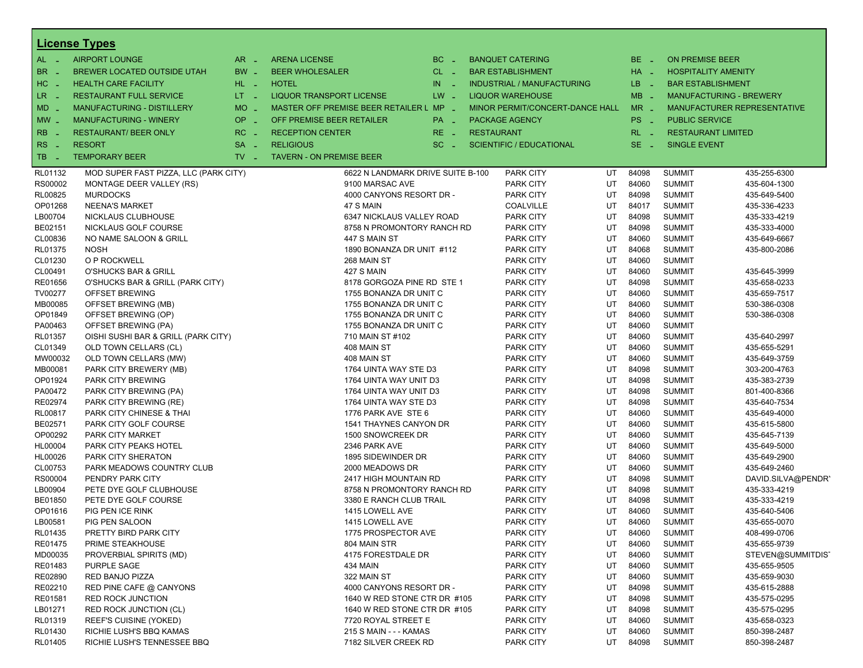|                     | <b>License Types</b>                  |                               |                                         |             |                                 |        |                             |                                |                    |  |  |  |  |
|---------------------|---------------------------------------|-------------------------------|-----------------------------------------|-------------|---------------------------------|--------|-----------------------------|--------------------------------|--------------------|--|--|--|--|
| $AL -$              | <b>AIRPORT LOUNGE</b>                 | $AR -$                        | <b>ARENA LICENSE</b>                    | $BC -$      | <b>BANQUET CATERING</b>         |        | $BE -$                      | <b>ON PREMISE BEER</b>         |                    |  |  |  |  |
| BR.<br>$\sim$       | <b>BREWER LOCATED OUTSIDE UTAH</b>    | BW _                          | <b>BEER WHOLESALER</b>                  | $CL$ $-$    | <b>BAR ESTABLISHMENT</b>        |        | HA _                        | <b>HOSPITALITY AMENITY</b>     |                    |  |  |  |  |
| HC<br>$\sim$        | <b>HEALTH CARE FACILITY</b>           | HL L                          | <b>HOTEL</b>                            | IN.<br>na k | INDUSTRIAL / MANUFACTURING      |        | LB _                        | <b>BAR ESTABLISHMENT</b>       |                    |  |  |  |  |
| LR.<br>- 4          | <b>RESTAURANT FULL SERVICE</b>        | $LT - 1$                      | <b>LIQUOR TRANSPORT LICENSE</b>         | $LW -$      | <b>LIQUOR WAREHOUSE</b>         |        | $MB -$                      | <b>MANUFACTURING - BREWERY</b> |                    |  |  |  |  |
| MD                  | <b>MANUFACTURING - DISTILLERY</b>     | MO _                          | MASTER OFF PREMISE BEER RETAILER L MP _ |             |                                 | $MR -$ | MANUFACTURER REPRESENTATIVE |                                |                    |  |  |  |  |
|                     |                                       |                               |                                         |             | MINOR PERMIT/CONCERT-DANCE HALL |        |                             |                                |                    |  |  |  |  |
| $MW_{-}$            | <b>MANUFACTURING - WINERY</b>         | OP _                          | OFF PREMISE BEER RETAILER               | PA _        | <b>PACKAGE AGENCY</b>           |        | $PS -$                      | <b>PUBLIC SERVICE</b>          |                    |  |  |  |  |
| R <sub>B</sub>      | <b>RESTAURANT/ BEER ONLY</b>          | $RC -$                        | <b>RECEPTION CENTER</b>                 | $RE -$      | <b>RESTAURANT</b>               |        | $RL - 1$                    | <b>RESTAURANT LIMITED</b>      |                    |  |  |  |  |
| <b>RS</b><br>$\sim$ | <b>RESORT</b>                         | <b>SA</b><br>$\sim$           | <b>RELIGIOUS</b>                        | $SC -$      | <b>SCIENTIFIC / EDUCATIONAL</b> |        | $SE -$                      | <b>SINGLE EVENT</b>            |                    |  |  |  |  |
| TB.<br>$\sim$       | <b>TEMPORARY BEER</b>                 | $TV$ $\overline{\phantom{0}}$ | <b>TAVERN - ON PREMISE BEER</b>         |             |                                 |        |                             |                                |                    |  |  |  |  |
| RL01132             | MOD SUPER FAST PIZZA, LLC (PARK CITY) |                               | 6622 N LANDMARK DRIVE SUITE B-100       |             | <b>PARK CITY</b>                | UT     | 84098                       | <b>SUMMIT</b>                  | 435-255-6300       |  |  |  |  |
| RS00002             | MONTAGE DEER VALLEY (RS)              |                               | 9100 MARSAC AVE                         |             | <b>PARK CITY</b>                | UT     | 84060                       | <b>SUMMIT</b>                  | 435-604-1300       |  |  |  |  |
| RL00825             | <b>MURDOCKS</b>                       |                               | 4000 CANYONS RESORT DR -                |             | <b>PARK CITY</b>                | UT     | 84098                       | <b>SUMMIT</b>                  | 435-649-5400       |  |  |  |  |
| OP01268             | <b>NEENA'S MARKET</b>                 |                               | 47 S MAIN                               |             | <b>COALVILLE</b>                | UT     | 84017                       | <b>SUMMIT</b>                  | 435-336-4233       |  |  |  |  |
| LB00704             | NICKLAUS CLUBHOUSE                    |                               | 6347 NICKLAUS VALLEY ROAD               |             | <b>PARK CITY</b>                | UT     | 84098                       | <b>SUMMIT</b>                  | 435-333-4219       |  |  |  |  |
| BE02151             | NICKLAUS GOLF COURSE                  |                               | 8758 N PROMONTORY RANCH RD              |             | <b>PARK CITY</b>                | UT     | 84098                       | <b>SUMMIT</b>                  | 435-333-4000       |  |  |  |  |
| CL00836             | NO NAME SALOON & GRILL                |                               | 447 S MAIN ST                           |             | <b>PARK CITY</b>                | UT     | 84060                       | <b>SUMMIT</b>                  | 435-649-6667       |  |  |  |  |
| RL01375             | <b>NOSH</b>                           |                               | 1890 BONANZA DR UNIT #112               |             | <b>PARK CITY</b>                | UT     | 84068                       | <b>SUMMIT</b>                  | 435-800-2086       |  |  |  |  |
| CL01230             | O P ROCKWELL                          |                               | 268 MAIN ST                             |             | <b>PARK CITY</b>                | UT     | 84060                       | <b>SUMMIT</b>                  |                    |  |  |  |  |
| CL00491             | <b>O'SHUCKS BAR &amp; GRILL</b>       |                               | 427 S MAIN                              |             | <b>PARK CITY</b>                | UT     | 84060                       | <b>SUMMIT</b>                  | 435-645-3999       |  |  |  |  |
| RE01656             | O'SHUCKS BAR & GRILL (PARK CITY)      |                               | 8178 GORGOZA PINE RD STE 1              |             | <b>PARK CITY</b>                | UT     | 84098                       | <b>SUMMIT</b>                  | 435-658-0233       |  |  |  |  |
| TV00277             | OFFSET BREWING                        |                               | 1755 BONANZA DR UNIT C                  |             | <b>PARK CITY</b>                | UT     | 84060                       | <b>SUMMIT</b>                  | 435-659-7517       |  |  |  |  |
| MB00085             | OFFSET BREWING (MB)                   |                               | 1755 BONANZA DR UNIT C                  |             | <b>PARK CITY</b>                | UT     | 84060                       | <b>SUMMIT</b>                  | 530-386-0308       |  |  |  |  |
| OP01849             | OFFSET BREWING (OP)                   |                               | 1755 BONANZA DR UNIT C                  |             | <b>PARK CITY</b>                | UT     | 84060                       | <b>SUMMIT</b>                  | 530-386-0308       |  |  |  |  |
| PA00463             | OFFSET BREWING (PA)                   |                               | 1755 BONANZA DR UNIT C                  |             | <b>PARK CITY</b>                | UT     | 84060                       | <b>SUMMIT</b>                  |                    |  |  |  |  |
| RL01357             | OISHI SUSHI BAR & GRILL (PARK CITY)   |                               | 710 MAIN ST #102                        |             | <b>PARK CITY</b>                | UT     | 84060                       | <b>SUMMIT</b>                  | 435-640-2997       |  |  |  |  |
| CL01349             | OLD TOWN CELLARS (CL)                 |                               | 408 MAIN ST                             |             | <b>PARK CITY</b>                | UT     | 84060                       | <b>SUMMIT</b>                  | 435-655-5291       |  |  |  |  |
| MW00032             | OLD TOWN CELLARS (MW)                 |                               | 408 MAIN ST                             |             | <b>PARK CITY</b>                | UT     | 84060                       | <b>SUMMIT</b>                  | 435-649-3759       |  |  |  |  |
| MB00081             | PARK CITY BREWERY (MB)                |                               | 1764 UINTA WAY STE D3                   |             | <b>PARK CITY</b>                | UT     | 84098                       | <b>SUMMIT</b>                  | 303-200-4763       |  |  |  |  |
| OP01924             | PARK CITY BREWING                     |                               | 1764 UINTA WAY UNIT D3                  |             | <b>PARK CITY</b>                | UT     | 84098                       | <b>SUMMIT</b>                  | 435-383-2739       |  |  |  |  |
| PA00472             | PARK CITY BREWING (PA)                |                               | 1764 UINTA WAY UNIT D3                  |             | <b>PARK CITY</b>                | UT     | 84098                       | <b>SUMMIT</b>                  | 801-400-8366       |  |  |  |  |
| RE02974             | PARK CITY BREWING (RE)                |                               | 1764 UINTA WAY STE D3                   |             | <b>PARK CITY</b>                | UT     | 84098                       | <b>SUMMIT</b>                  | 435-640-7534       |  |  |  |  |
| RL00817             | PARK CITY CHINESE & THAI              |                               | 1776 PARK AVE STE 6                     |             | <b>PARK CITY</b>                | UT     | 84060                       | <b>SUMMIT</b>                  | 435-649-4000       |  |  |  |  |
| BE02571             | PARK CITY GOLF COURSE                 |                               | 1541 THAYNES CANYON DR                  |             | <b>PARK CITY</b>                | UT     | 84060                       | <b>SUMMIT</b>                  | 435-615-5800       |  |  |  |  |
| OP00292             | PARK CITY MARKET                      |                               |                                         |             | <b>PARK CITY</b>                | UT     | 84060                       | <b>SUMMIT</b>                  | 435-645-7139       |  |  |  |  |
|                     |                                       |                               | 1500 SNOWCREEK DR                       |             |                                 | UT     | 84060                       | <b>SUMMIT</b>                  |                    |  |  |  |  |
| HL00004             | PARK CITY PEAKS HOTEL                 |                               | 2346 PARK AVE                           |             | <b>PARK CITY</b>                |        |                             |                                | 435-649-5000       |  |  |  |  |
| HL00026             | PARK CITY SHERATON                    |                               | 1895 SIDEWINDER DR                      |             | <b>PARK CITY</b>                | UT     | 84060                       | <b>SUMMIT</b>                  | 435-649-2900       |  |  |  |  |
| CL00753             | PARK MEADOWS COUNTRY CLUB             |                               | 2000 MEADOWS DR                         |             | <b>PARK CITY</b>                | UT     | 84060                       | <b>SUMMIT</b>                  | 435-649-2460       |  |  |  |  |
| RS00004             | PENDRY PARK CITY                      |                               | 2417 HIGH MOUNTAIN RD                   |             | <b>PARK CITY</b>                | UT     | 84098                       | <b>SUMMIT</b>                  | DAVID.SILVA@PENDR' |  |  |  |  |
| LB00904             | PETE DYE GOLF CLUBHOUSE               |                               | 8758 N PROMONTORY RANCH RD              |             | <b>PARK CITY</b>                | UT     | 84098                       | <b>SUMMIT</b>                  | 435-333-4219       |  |  |  |  |
| <b>BE01850</b>      | PETE DYE GOLF COURSE                  |                               | 3380 E RANCH CLUB TRAIL                 |             | <b>PARK CITY</b>                | UT     | 84098                       | <b>SUMMIT</b>                  | 435-333-4219       |  |  |  |  |
| OP01616             | PIG PEN ICE RINK                      |                               | 1415 LOWELL AVE                         |             | <b>PARK CITY</b>                | UT     | 84060                       | <b>SUMMIT</b>                  | 435-640-5406       |  |  |  |  |
| LB00581             | PIG PEN SALOON                        |                               | 1415 LOWELL AVE                         |             | <b>PARK CITY</b>                | UT     | 84060                       | <b>SUMMIT</b>                  | 435-655-0070       |  |  |  |  |
| RL01435             | PRETTY BIRD PARK CITY                 |                               | 1775 PROSPECTOR AVE                     |             | <b>PARK CITY</b>                | UT     | 84060                       | <b>SUMMIT</b>                  | 408-499-0706       |  |  |  |  |
| RE01475             | PRIME STEAKHOUSE                      |                               | 804 MAIN STR                            |             | <b>PARK CITY</b>                | UT     | 84060                       | <b>SUMMIT</b>                  | 435-655-9739       |  |  |  |  |
| MD00035             | PROVERBIAL SPIRITS (MD)               |                               | 4175 FORESTDALE DR                      |             | <b>PARK CITY</b>                | UT     | 84060                       | <b>SUMMIT</b>                  | STEVEN@SUMMITDIST  |  |  |  |  |
| RE01483             | <b>PURPLE SAGE</b>                    |                               | 434 MAIN                                |             | <b>PARK CITY</b>                | UT     | 84060                       | <b>SUMMIT</b>                  | 435-655-9505       |  |  |  |  |
| RE02890             | RED BANJO PIZZA                       |                               | 322 MAIN ST                             |             | <b>PARK CITY</b>                | UT     | 84060                       | <b>SUMMIT</b>                  | 435-659-9030       |  |  |  |  |
| RE02210             | RED PINE CAFE @ CANYONS               |                               | 4000 CANYONS RESORT DR -                |             | PARK CITY                       | UT     | 84098                       | <b>SUMMIT</b>                  | 435-615-2888       |  |  |  |  |
| RE01581             | <b>RED ROCK JUNCTION</b>              |                               | 1640 W RED STONE CTR DR #105            |             | <b>PARK CITY</b>                | UT     | 84098                       | <b>SUMMIT</b>                  | 435-575-0295       |  |  |  |  |
| LB01271             | <b>RED ROCK JUNCTION (CL)</b>         |                               | 1640 W RED STONE CTR DR #105            |             | <b>PARK CITY</b>                | UT     | 84098                       | SUMMIT                         | 435-575-0295       |  |  |  |  |
| RL01319             | REEF'S CUISINE (YOKED)                |                               | 7720 ROYAL STREET E                     |             | <b>PARK CITY</b>                | UT     | 84060                       | <b>SUMMIT</b>                  | 435-658-0323       |  |  |  |  |
| RL01430             | RICHIE LUSH'S BBQ KAMAS               |                               | 215 S MAIN - - - KAMAS                  |             | <b>PARK CITY</b>                | UT     | 84060                       | SUMMIT                         | 850-398-2487       |  |  |  |  |
| RL01405             | RICHIE LUSH'S TENNESSEE BBQ           |                               | 7182 SILVER CREEK RD                    |             | <b>PARK CITY</b>                | UT     | 84098                       | <b>SUMMIT</b>                  | 850-398-2487       |  |  |  |  |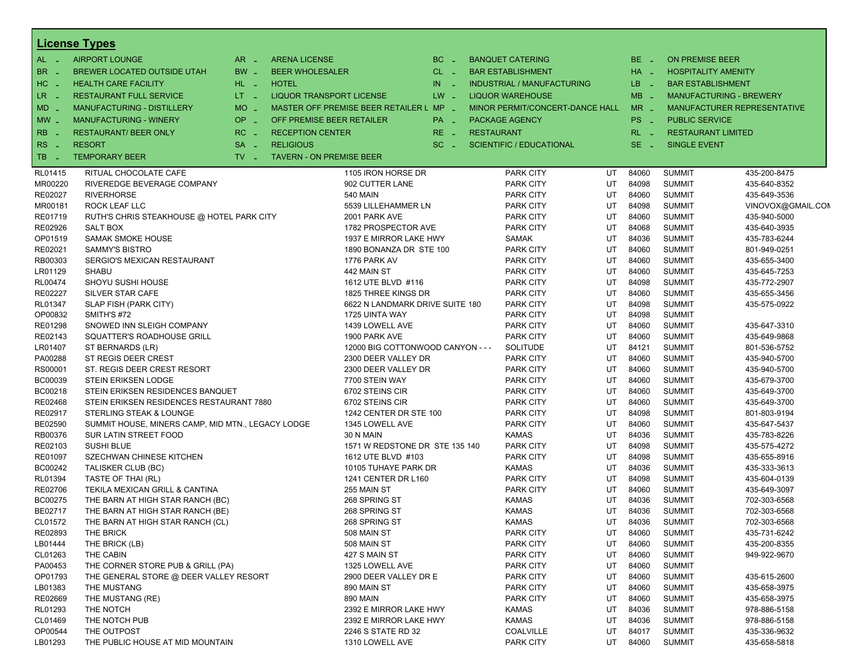|                     | <b>License Types</b>                              |          |                                 |                                       |              |                   |                                   |    |            |                            |                                |
|---------------------|---------------------------------------------------|----------|---------------------------------|---------------------------------------|--------------|-------------------|-----------------------------------|----|------------|----------------------------|--------------------------------|
| $AL -$              | <b>AIRPORT LOUNGE</b>                             | $AR -$   | <b>ARENA LICENSE</b>            |                                       | $BC =$       |                   | <b>BANQUET CATERING</b>           |    | $BE -$     | <b>ON PREMISE BEER</b>     |                                |
| BR<br>n a           | BREWER LOCATED OUTSIDE UTAH                       | BW _     | <b>BEER WHOLESALER</b>          |                                       | $CL$ $-$     |                   | <b>BAR ESTABLISHMENT</b>          |    | HA _       | <b>HOSPITALITY AMENITY</b> |                                |
| HC.<br>$\sim$       | <b>HEALTH CARE FACILITY</b>                       | HL L     | <b>HOTEL</b>                    |                                       | IN.<br>in 19 |                   | <b>INDUSTRIAL / MANUFACTURING</b> |    | LB.<br>- 4 | <b>BAR ESTABLISHMENT</b>   |                                |
| LR.<br>$\sim$ $\pm$ | <b>RESTAURANT FULL SERVICE</b>                    | $LT = 1$ | LIQUOR TRANSPORT LICENSE        |                                       | $LW -$       |                   | <b>LIQUOR WAREHOUSE</b>           |    | $MB -$     |                            | <b>MANUFACTURING - BREWERY</b> |
| $MD -$              | <b>MANUFACTURING - DISTILLERY</b>                 | MO _     |                                 | MASTER OFF PREMISE BEER RETAILER L MP | <b>Card</b>  |                   | MINOR PERMIT/CONCERT-DANCE HALL   |    | $MR -$     |                            | MANUFACTURER REPRESENTATIVE    |
| MW _                | <b>MANUFACTURING - WINERY</b>                     | OP _     | OFF PREMISE BEER RETAILER       |                                       | PA _         |                   | <b>PACKAGE AGENCY</b>             |    | PS _       | <b>PUBLIC SERVICE</b>      |                                |
|                     |                                                   | $RC -$   |                                 |                                       |              |                   |                                   |    |            |                            |                                |
| RB                  | <b>RESTAURANT/ BEER ONLY</b>                      |          | <b>RECEPTION CENTER</b>         |                                       | $RE -$       | <b>RESTAURANT</b> |                                   |    | $RL - 1$   | <b>RESTAURANT LIMITED</b>  |                                |
| <b>RS</b><br>$\sim$ | <b>RESORT</b>                                     | $SA -$   | <b>RELIGIOUS</b>                |                                       | $SC -$       |                   | <b>SCIENTIFIC / EDUCATIONAL</b>   |    | $SE -$     | <b>SINGLE EVENT</b>        |                                |
| TB.<br>- 2          | <b>TEMPORARY BEER</b>                             | $TV - 1$ | <b>TAVERN - ON PREMISE BEER</b> |                                       |              |                   |                                   |    |            |                            |                                |
| RL01415             | RITUAL CHOCOLATE CAFE                             |          |                                 | 1105 IRON HORSE DR                    |              |                   | <b>PARK CITY</b>                  | UT | 84060      | <b>SUMMIT</b>              | 435-200-8475                   |
| MR00220             | RIVEREDGE BEVERAGE COMPANY                        |          |                                 | 902 CUTTER LANE                       |              |                   | <b>PARK CITY</b>                  | UT | 84098      | <b>SUMMIT</b>              | 435-640-8352                   |
| RE02027             | <b>RIVERHORSE</b>                                 |          |                                 | <b>540 MAIN</b>                       |              |                   | <b>PARK CITY</b>                  | UT | 84060      | <b>SUMMIT</b>              | 435-649-3536                   |
| MR00181             | ROCK LEAF LLC                                     |          |                                 | 5539 LILLEHAMMER LN                   |              |                   | <b>PARK CITY</b>                  | UT | 84098      | <b>SUMMIT</b>              | VINOVOX@GMAIL.COM              |
| RE01719             | RUTH'S CHRIS STEAKHOUSE @ HOTEL PARK CITY         |          |                                 | 2001 PARK AVE                         |              |                   | <b>PARK CITY</b>                  | UT | 84060      | <b>SUMMIT</b>              | 435-940-5000                   |
| RE02926             | <b>SALT BOX</b>                                   |          |                                 | 1782 PROSPECTOR AVE                   |              |                   | <b>PARK CITY</b>                  | UT | 84068      | <b>SUMMIT</b>              | 435-640-3935                   |
| OP01519             | <b>SAMAK SMOKE HOUSE</b>                          |          |                                 | 1937 E MIRROR LAKE HWY                |              |                   | <b>SAMAK</b>                      | UT | 84036      | <b>SUMMIT</b>              | 435-783-6244                   |
| RE02021             | SAMMY'S BISTRO                                    |          |                                 | 1890 BONANZA DR STE 100               |              |                   | <b>PARK CITY</b>                  | UT | 84060      | <b>SUMMIT</b>              | 801-949-0251                   |
| RB00303             | SERGIO'S MEXICAN RESTAURANT                       |          |                                 | 1776 PARK AV                          |              |                   | <b>PARK CITY</b>                  | UT | 84060      | <b>SUMMIT</b>              | 435-655-3400                   |
| LR01129             | SHABU                                             |          |                                 | 442 MAIN ST                           |              |                   | <b>PARK CITY</b>                  | UT | 84060      | <b>SUMMIT</b>              | 435-645-7253                   |
| RL00474             | SHOYU SUSHI HOUSE                                 |          |                                 | 1612 UTE BLVD #116                    |              |                   | <b>PARK CITY</b>                  | UT | 84098      | <b>SUMMIT</b>              | 435-772-2907                   |
| RE02227             | <b>SILVER STAR CAFE</b>                           |          |                                 | 1825 THREE KINGS DR                   |              |                   | <b>PARK CITY</b>                  | UT | 84060      | <b>SUMMIT</b>              | 435-655-3456                   |
| RL01347             | SLAP FISH (PARK CITY)                             |          |                                 | 6622 N LANDMARK DRIVE SUITE 180       |              |                   | <b>PARK CITY</b>                  | UT | 84098      | <b>SUMMIT</b>              | 435-575-0922                   |
| OP00832             | <b>SMITH'S #72</b>                                |          |                                 | 1725 UINTA WAY                        |              |                   | <b>PARK CITY</b>                  | UT | 84098      | <b>SUMMIT</b>              |                                |
| RE01298             | SNOWED INN SLEIGH COMPANY                         |          |                                 | 1439 LOWELL AVE                       |              |                   | <b>PARK CITY</b>                  | UT | 84060      | <b>SUMMIT</b>              | 435-647-3310                   |
| RE02143             | SQUATTER'S ROADHOUSE GRILL                        |          |                                 | 1900 PARK AVE                         |              |                   | <b>PARK CITY</b>                  | UT | 84060      | <b>SUMMIT</b>              | 435-649-9868                   |
| LR01407             | ST BERNARDS (LR)                                  |          |                                 | 12000 BIG COTTONWOOD CANYON - - -     |              |                   | <b>SOLITUDE</b>                   | UT | 84121      | <b>SUMMIT</b>              | 801-536-5752                   |
| PA00288             | ST REGIS DEER CREST                               |          |                                 | 2300 DEER VALLEY DR                   |              |                   | <b>PARK CITY</b>                  | UT | 84060      | <b>SUMMIT</b>              | 435-940-5700                   |
| RS00001             | ST. REGIS DEER CREST RESORT                       |          |                                 | 2300 DEER VALLEY DR                   |              |                   | <b>PARK CITY</b>                  | UT | 84060      | <b>SUMMIT</b>              | 435-940-5700                   |
| BC00039             | <b>STEIN ERIKSEN LODGE</b>                        |          |                                 | 7700 STEIN WAY                        |              |                   | <b>PARK CITY</b>                  | UT | 84060      | <b>SUMMIT</b>              | 435-679-3700                   |
| BC00218             | STEIN ERIKSEN RESIDENCES BANQUET                  |          |                                 | 6702 STEINS CIR                       |              |                   | <b>PARK CITY</b>                  | UT | 84060      | <b>SUMMIT</b>              | 435-649-3700                   |
| RE02468             | STEIN ERIKSEN RESIDENCES RESTAURANT 7880          |          |                                 | 6702 STEINS CIR                       |              |                   | <b>PARK CITY</b>                  | UT | 84060      | <b>SUMMIT</b>              | 435-649-3700                   |
| RE02917             | STERLING STEAK & LOUNGE                           |          |                                 | 1242 CENTER DR STE 100                |              |                   | <b>PARK CITY</b>                  | UT | 84098      | <b>SUMMIT</b>              | 801-803-9194                   |
| BE02590             | SUMMIT HOUSE, MINERS CAMP, MID MTN., LEGACY LODGE |          |                                 | 1345 LOWELL AVE                       |              |                   | <b>PARK CITY</b>                  | UT | 84060      | <b>SUMMIT</b>              | 435-647-5437                   |
| RB00376             | SUR LATIN STREET FOOD                             |          |                                 | 30 N MAIN                             |              |                   | <b>KAMAS</b>                      | UT | 84036      | <b>SUMMIT</b>              | 435-783-8226                   |
| RE02103             | <b>SUSHI BLUE</b>                                 |          |                                 | 1571 W REDSTONE DR STE 135 140        |              |                   | <b>PARK CITY</b>                  | UT | 84098      | <b>SUMMIT</b>              | 435-575-4272                   |
| RE01097             | SZECHWAN CHINESE KITCHEN                          |          |                                 | 1612 UTE BLVD #103                    |              |                   | <b>PARK CITY</b>                  | UT | 84098      | <b>SUMMIT</b>              | 435-655-8916                   |
| BC00242             | TALISKER CLUB (BC)                                |          |                                 | 10105 TUHAYE PARK DR                  |              |                   | <b>KAMAS</b>                      | UT | 84036      | <b>SUMMIT</b>              | 435-333-3613                   |
| RL01394             | TASTE OF THAI (RL)                                |          |                                 | 1241 CENTER DR L160                   |              |                   | <b>PARK CITY</b>                  | UT | 84098      | <b>SUMMIT</b>              | 435-604-0139                   |
| RE02706             | TEKILA MEXICAN GRILL & CANTINA                    |          |                                 | 255 MAIN ST                           |              |                   | <b>PARK CITY</b>                  | UT | 84060      | <b>SUMMIT</b>              | 435-649-3097                   |
| BC00275             | THE BARN AT HIGH STAR RANCH (BC)                  |          |                                 | 268 SPRING ST                         |              |                   | <b>KAMAS</b>                      | UT | 84036      | <b>SUMMIT</b>              | 702-303-6568                   |
| BE02717             | THE BARN AT HIGH STAR RANCH (BE)                  |          |                                 | 268 SPRING ST                         |              |                   | <b>KAMAS</b>                      | UT | 84036      | <b>SUMMIT</b>              | 702-303-6568                   |
| CL01572             | THE BARN AT HIGH STAR RANCH (CL)                  |          |                                 | 268 SPRING ST                         |              |                   | <b>KAMAS</b>                      | UT | 84036      | <b>SUMMIT</b>              | 702-303-6568                   |
| RE02893             | THE BRICK                                         |          |                                 | 508 MAIN ST                           |              |                   | <b>PARK CITY</b>                  | UT | 84060      | <b>SUMMIT</b>              | 435-731-6242                   |
| LB01444             | THE BRICK (LB)                                    |          |                                 | 508 MAIN ST                           |              |                   | <b>PARK CITY</b>                  | UT | 84060      | <b>SUMMIT</b>              | 435-200-8355                   |
| CL01263             | THE CABIN                                         |          |                                 | 427 S MAIN ST                         |              |                   | PARK CITY                         | UT | 84060      | <b>SUMMIT</b>              | 949-922-9670                   |
| PA00453             | THE CORNER STORE PUB & GRILL (PA)                 |          |                                 | 1325 LOWELL AVE                       |              |                   | <b>PARK CITY</b>                  | UT | 84060      | <b>SUMMIT</b>              |                                |
| OP01793             | THE GENERAL STORE @ DEER VALLEY RESORT            |          |                                 | 2900 DEER VALLEY DR E                 |              |                   | <b>PARK CITY</b>                  | UT | 84060      | <b>SUMMIT</b>              | 435-615-2600                   |
| LB01383             | THE MUSTANG                                       |          |                                 | 890 MAIN ST                           |              |                   | PARK CITY                         | UT | 84060      | <b>SUMMIT</b>              | 435-658-3975                   |
| RE02669             | THE MUSTANG (RE)                                  |          |                                 | <b>890 MAIN</b>                       |              |                   | <b>PARK CITY</b>                  | UT | 84060      | <b>SUMMIT</b>              | 435-658-3975                   |
| RL01293             | THE NOTCH                                         |          |                                 | 2392 E MIRROR LAKE HWY                |              |                   | KAMAS                             | UT | 84036      | <b>SUMMIT</b>              | 978-886-5158                   |
| CL01469             | THE NOTCH PUB                                     |          |                                 | 2392 E MIRROR LAKE HWY                |              |                   | <b>KAMAS</b>                      | UT | 84036      | <b>SUMMIT</b>              | 978-886-5158                   |
| OP00544             | THE OUTPOST                                       |          |                                 | 2246 S STATE RD 32                    |              |                   | <b>COALVILLE</b>                  | UT | 84017      | <b>SUMMIT</b>              | 435-336-9632                   |
| LB01293             | THE PUBLIC HOUSE AT MID MOUNTAIN                  |          |                                 | 1310 LOWELL AVE                       |              |                   | PARK CITY                         | UT | 84060      | <b>SUMMIT</b>              | 435-658-5818                   |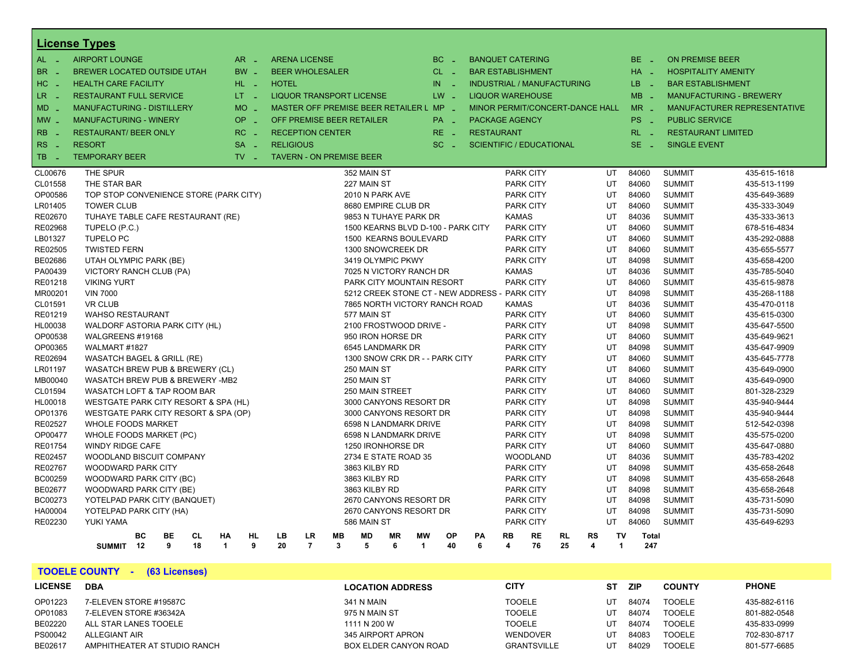|                    | <b>License Types</b>                                      |    |           |           |                      |                 |                                 |                |              |               |                      |                                         |                 |                                               |                                  |                 |           |           |                         |                 |                                |                                |                              |
|--------------------|-----------------------------------------------------------|----|-----------|-----------|----------------------|-----------------|---------------------------------|----------------|--------------|---------------|----------------------|-----------------------------------------|-----------------|-----------------------------------------------|----------------------------------|-----------------|-----------|-----------|-------------------------|-----------------|--------------------------------|--------------------------------|------------------------------|
| $AL - 1$           | <b>AIRPORT LOUNGE</b>                                     |    |           |           |                      | $AR -$          | <b>ARENA LICENSE</b>            |                |              |               |                      | BC                                      | - 4             | <b>BANQUET CATERING</b>                       |                                  |                 |           |           |                         | BE _            |                                | <b>ON PREMISE BEER</b>         |                              |
| BR.<br>$\sim$      | <b>BREWER LOCATED OUTSIDE UTAH</b>                        |    |           |           |                      | $BW -$          | <b>BEER WHOLESALER</b>          |                |              |               |                      |                                         | $CL$ $-$        | <b>BAR ESTABLISHMENT</b>                      |                                  |                 |           |           |                         | $HA -$          |                                | <b>HOSPITALITY AMENITY</b>     |                              |
| $HC -$             | <b>HEALTH CARE FACILITY</b>                               |    |           |           |                      | HL L            | <b>HOTEL</b>                    |                |              |               |                      | IN.                                     |                 | <b>INDUSTRIAL / MANUFACTURING</b>             |                                  |                 |           |           |                         | LB.<br>- 2      |                                | <b>BAR ESTABLISHMENT</b>       |                              |
| LR _               | <b>RESTAURANT FULL SERVICE</b>                            |    |           |           |                      | LT <sub>1</sub> | <b>LIQUOR TRANSPORT LICENSE</b> |                |              |               |                      |                                         | $LW -$          | <b>LIQUOR WAREHOUSE</b>                       |                                  |                 |           |           |                         | $MB -$          |                                | <b>MANUFACTURING - BREWERY</b> |                              |
| MD.<br>- 11        | <b>MANUFACTURING - DISTILLERY</b>                         |    |           |           |                      | $MO$ $-$        |                                 |                |              |               |                      | MASTER OFF PREMISE BEER RETAILER L MP - |                 | MINOR PERMIT/CONCERT-DANCE HALL               |                                  |                 |           |           |                         | $MR -$          |                                |                                | MANUFACTURER REPRESENTATIVE  |
| $MW_{-}$           | <b>MANUFACTURING - WINERY</b>                             |    |           |           |                      | OP<br>in 19     | OFF PREMISE BEER RETAILER       |                |              |               |                      |                                         | PA <sub>-</sub> | PACKAGE AGENCY                                |                                  |                 |           |           |                         | PS <sub>-</sub> |                                | <b>PUBLIC SERVICE</b>          |                              |
| <b>RB</b><br>- 4   | <b>RESTAURANT/ BEER ONLY</b>                              |    |           |           |                      | $RC -$          | <b>RECEPTION CENTER</b>         |                |              |               |                      |                                         | $RE -$          | <b>RESTAURANT</b>                             |                                  |                 |           |           |                         | $RL - 1$        |                                | <b>RESTAURANT LIMITED</b>      |                              |
|                    | <b>RESORT</b>                                             |    |           |           |                      | $SA -$          | <b>RELIGIOUS</b>                |                |              |               |                      |                                         |                 |                                               |                                  |                 |           |           |                         | $SE$ $-$        |                                |                                |                              |
| <b>RS</b>          |                                                           |    |           |           |                      |                 |                                 |                |              |               |                      | SC.                                     | - 4             | <b>SCIENTIFIC / EDUCATIONAL</b>               |                                  |                 |           |           |                         |                 | <b>SINGLE EVENT</b>            |                                |                              |
| TB.<br>- 4         | <b>TEMPORARY BEER</b>                                     |    |           |           |                      | $TV -$          | <b>TAVERN - ON PREMISE BEER</b> |                |              |               |                      |                                         |                 |                                               |                                  |                 |           |           |                         |                 |                                |                                |                              |
| CL00676            | THE SPUR                                                  |    |           |           |                      |                 |                                 |                |              | 352 MAIN ST   |                      |                                         |                 |                                               | <b>PARK CITY</b>                 |                 |           |           | UT                      | 84060           | <b>SUMMIT</b>                  |                                | 435-615-1618                 |
| CL01558            | THE STAR BAR                                              |    |           |           |                      |                 |                                 |                |              | 227 MAIN ST   |                      |                                         |                 |                                               | <b>PARK CITY</b>                 |                 |           |           | UT                      | 84060           | <b>SUMMIT</b>                  |                                | 435-513-1199                 |
| OP00586            | TOP STOP CONVENIENCE STORE (PARK CITY)                    |    |           |           |                      |                 |                                 |                |              |               | 2010 N PARK AVE      |                                         |                 |                                               | <b>PARK CITY</b>                 |                 |           |           | UT                      | 84060           | <b>SUMMIT</b>                  |                                | 435-649-3689                 |
| LR01405            | <b>TOWER CLUB</b>                                         |    |           |           |                      |                 |                                 |                |              |               | 8680 EMPIRE CLUB DR  |                                         |                 |                                               | <b>PARK CITY</b>                 |                 |           |           | UT                      | 84060           | <b>SUMMIT</b>                  |                                | 435-333-3049                 |
| RE02670            | TUHAYE TABLE CAFE RESTAURANT (RE)                         |    |           |           |                      |                 |                                 |                |              |               |                      | 9853 N TUHAYE PARK DR                   |                 |                                               | <b>KAMAS</b>                     |                 |           |           | UT                      | 84036           | <b>SUMMIT</b>                  |                                | 435-333-3613                 |
| RE02968            | TUPELO (P.C.)                                             |    |           |           |                      |                 |                                 |                |              |               |                      | 1500 KEARNS BLVD D-100 - PARK CITY      |                 |                                               | <b>PARK CITY</b>                 |                 |           |           | UT                      | 84060           | <b>SUMMIT</b>                  |                                | 678-516-4834                 |
| LB01327            | <b>TUPELO PC</b>                                          |    |           |           |                      |                 |                                 |                |              |               |                      | 1500 KEARNS BOULEVARD                   |                 |                                               | <b>PARK CITY</b>                 |                 |           |           | UT                      | 84060           | <b>SUMMIT</b>                  |                                | 435-292-0888                 |
| RE02505            | <b>TWISTED FERN</b>                                       |    |           |           |                      |                 |                                 |                |              |               | 1300 SNOWCREEK DR    |                                         |                 |                                               | <b>PARK CITY</b>                 |                 |           |           | UT                      | 84060           | <b>SUMMIT</b>                  |                                | 435-655-5577                 |
| BE02686            | UTAH OLYMPIC PARK (BE)                                    |    |           |           |                      |                 |                                 |                |              |               | 3419 OLYMPIC PKWY    |                                         |                 |                                               | <b>PARK CITY</b>                 |                 |           |           | UT                      | 84098           | <b>SUMMIT</b>                  |                                | 435-658-4200                 |
| PA00439            | VICTORY RANCH CLUB (PA)                                   |    |           |           |                      |                 |                                 |                |              |               |                      | 7025 N VICTORY RANCH DR                 |                 |                                               | <b>KAMAS</b>                     |                 |           |           | UT                      | 84036           | <b>SUMMIT</b>                  |                                | 435-785-5040                 |
| RE01218            | <b>VIKING YURT</b>                                        |    |           |           |                      |                 |                                 |                |              |               |                      | PARK CITY MOUNTAIN RESORT               |                 |                                               | <b>PARK CITY</b>                 |                 |           |           | UT                      | 84060<br>84098  | <b>SUMMIT</b>                  |                                | 435-615-9878                 |
| MR00201            | <b>VIN 7000</b>                                           |    |           |           |                      |                 |                                 |                |              |               |                      |                                         |                 | 5212 CREEK STONE CT - NEW ADDRESS - PARK CITY |                                  |                 |           |           | UT                      |                 | <b>SUMMIT</b>                  |                                | 435-268-1188                 |
| CL01591            | <b>VR CLUB</b>                                            |    |           |           |                      |                 |                                 |                |              | 577 MAIN ST   |                      | 7865 NORTH VICTORY RANCH ROAD           |                 |                                               | <b>KAMAS</b><br><b>PARK CITY</b> |                 |           |           | UT<br>UT                | 84036<br>84060  | <b>SUMMIT</b>                  |                                | 435-470-0118                 |
| RE01219<br>HL00038 | <b>WAHSO RESTAURANT</b><br>WALDORF ASTORIA PARK CITY (HL) |    |           |           |                      |                 |                                 |                |              |               |                      | 2100 FROSTWOOD DRIVE -                  |                 |                                               | <b>PARK CITY</b>                 |                 |           |           | UT                      | 84098           | <b>SUMMIT</b><br><b>SUMMIT</b> |                                | 435-615-0300<br>435-647-5500 |
| OP00538            | WALGREENS #19168                                          |    |           |           |                      |                 |                                 |                |              |               | 950 IRON HORSE DR    |                                         |                 |                                               | <b>PARK CITY</b>                 |                 |           |           | UT                      | 84060           | <b>SUMMIT</b>                  |                                | 435-649-9621                 |
| OP00365            | WALMART #1827                                             |    |           |           |                      |                 |                                 |                |              |               | 6545 LANDMARK DR     |                                         |                 |                                               | <b>PARK CITY</b>                 |                 |           |           | UT                      | 84098           | <b>SUMMIT</b>                  |                                | 435-647-9909                 |
| RE02694            | WASATCH BAGEL & GRILL (RE)                                |    |           |           |                      |                 |                                 |                |              |               |                      | 1300 SNOW CRK DR - - PARK CITY          |                 |                                               | <b>PARK CITY</b>                 |                 |           |           | UT                      | 84060           | <b>SUMMIT</b>                  |                                | 435-645-7778                 |
| LR01197            | WASATCH BREW PUB & BREWERY (CL)                           |    |           |           |                      |                 |                                 |                |              | 250 MAIN ST   |                      |                                         |                 |                                               | <b>PARK CITY</b>                 |                 |           |           | UT                      | 84060           | <b>SUMMIT</b>                  |                                | 435-649-0900                 |
| MB00040            | WASATCH BREW PUB & BREWERY -MB2                           |    |           |           |                      |                 |                                 |                |              | 250 MAIN ST   |                      |                                         |                 |                                               | <b>PARK CITY</b>                 |                 |           |           | UT                      | 84060           | <b>SUMMIT</b>                  |                                | 435-649-0900                 |
| CL01594            | WASATCH LOFT & TAP ROOM BAR                               |    |           |           |                      |                 |                                 |                |              |               | 250 MAIN STREET      |                                         |                 |                                               | <b>PARK CITY</b>                 |                 |           |           | UT                      | 84060           | <b>SUMMIT</b>                  |                                | 801-328-2329                 |
| HL00018            | WESTGATE PARK CITY RESORT & SPA (HL)                      |    |           |           |                      |                 |                                 |                |              |               |                      | 3000 CANYONS RESORT DR                  |                 |                                               | <b>PARK CITY</b>                 |                 |           |           | UT                      | 84098           | <b>SUMMIT</b>                  |                                | 435-940-9444                 |
| OP01376            | WESTGATE PARK CITY RESORT & SPA (OP)                      |    |           |           |                      |                 |                                 |                |              |               |                      | 3000 CANYONS RESORT DR                  |                 |                                               | <b>PARK CITY</b>                 |                 |           |           | UT                      | 84098           | <b>SUMMIT</b>                  |                                | 435-940-9444                 |
| RE02527            | <b>WHOLE FOODS MARKET</b>                                 |    |           |           |                      |                 |                                 |                |              |               |                      | 6598 N LANDMARK DRIVE                   |                 |                                               | <b>PARK CITY</b>                 |                 |           |           | UT                      | 84098           | <b>SUMMIT</b>                  |                                | 512-542-0398                 |
| OP00477            | WHOLE FOODS MARKET (PC)                                   |    |           |           |                      |                 |                                 |                |              |               |                      | 6598 N LANDMARK DRIVE                   |                 |                                               | <b>PARK CITY</b>                 |                 |           |           | UT                      | 84098           | <b>SUMMIT</b>                  |                                | 435-575-0200                 |
| RE01754            | <b>WINDY RIDGE CAFE</b>                                   |    |           |           |                      |                 |                                 |                |              |               | 1250 IRONHORSE DR    |                                         |                 |                                               | <b>PARK CITY</b>                 |                 |           |           | UT                      | 84060           | <b>SUMMIT</b>                  |                                | 435-647-0880                 |
| RE02457            | WOODLAND BISCUIT COMPANY                                  |    |           |           |                      |                 |                                 |                |              |               | 2734 E STATE ROAD 35 |                                         |                 |                                               |                                  | <b>WOODLAND</b> |           |           | UT                      | 84036           | <b>SUMMIT</b>                  |                                | 435-783-4202                 |
| RE02767            | <b>WOODWARD PARK CITY</b>                                 |    |           |           |                      |                 |                                 |                |              | 3863 KILBY RD |                      |                                         |                 |                                               | PARK CITY                        |                 |           |           | UT                      | 84098           | <b>SUMMIT</b>                  |                                | 435-658-2648                 |
| BC00259            | WOODWARD PARK CITY (BC)                                   |    |           |           |                      |                 |                                 |                |              | 3863 KILBY RD |                      |                                         |                 |                                               | <b>PARK CITY</b>                 |                 |           |           | UT                      | 84098           | <b>SUMMIT</b>                  |                                | 435-658-2648                 |
| BE02677            | WOODWARD PARK CITY (BE)                                   |    |           |           |                      |                 |                                 |                |              | 3863 KILBY RD |                      |                                         |                 |                                               | <b>PARK CITY</b>                 |                 |           |           | UT                      | 84098           | <b>SUMMIT</b>                  |                                | 435-658-2648                 |
| BC00273            | YOTELPAD PARK CITY (BANQUET)                              |    |           |           |                      |                 |                                 |                |              |               |                      | 2670 CANYONS RESORT DR                  |                 |                                               | <b>PARK CITY</b>                 |                 |           |           | UT                      | 84098           | <b>SUMMIT</b>                  |                                | 435-731-5090                 |
| HA00004            | YOTELPAD PARK CITY (HA)                                   |    |           |           |                      |                 |                                 |                |              |               |                      | 2670 CANYONS RESORT DR                  |                 |                                               | <b>PARK CITY</b>                 |                 |           |           | UT                      | 84098           | <b>SUMMIT</b>                  |                                | 435-731-5090                 |
| RE02230            | YUKI YAMA                                                 |    |           |           |                      |                 |                                 |                |              | 586 MAIN ST   |                      |                                         |                 |                                               | <b>PARK CITY</b>                 |                 |           |           | UT                      | 84060           | <b>SUMMIT</b>                  |                                | 435-649-6293                 |
|                    |                                                           | BC | <b>BE</b> | <b>CL</b> | <b>HA</b>            | <b>HL</b>       | <b>LB</b>                       | <b>LR</b>      | <b>MB</b>    | <b>MD</b>     | <b>MR</b>            | <b>MW</b>                               | OP              | PA                                            | <b>RB</b>                        | <b>RE</b>       | <b>RL</b> | <b>RS</b> | TV                      | <b>Total</b>    |                                |                                |                              |
|                    | SUMMIT 12                                                 |    | 9         | 18        | $\blacktriangleleft$ | 9               | 20                              | $\overline{7}$ | $\mathbf{3}$ | 5             | 6                    | $\overline{1}$                          | 40              | 6                                             | 4                                | 76              | 25        | 4         | $\overline{\mathbf{1}}$ | 247             |                                |                                |                              |

**TOOELE COUNTY - (63 Licenses)**

| <b>LICENSE</b> | <b>DBA</b>                   | <b>LOCATION ADDRESS</b> | <b>CITY</b>        | SТ | <b>ZIP</b> | <b>COUNTY</b> | <b>PHONE</b> |
|----------------|------------------------------|-------------------------|--------------------|----|------------|---------------|--------------|
| OP01223        | 7-ELEVEN STORE #19587C       | <b>341 N MAIN</b>       | <b>TOOELE</b>      | UT | 84074      | <b>TOOELE</b> | 435-882-6116 |
| OP01083        | 7-ELEVEN STORE #36342A       | 975 N MAIN ST           | <b>TOOELE</b>      | UT | 84074      | <b>TOOELE</b> | 801-882-0548 |
| BE02220        | ALL STAR LANES TOOELE        | 1111 N 200 W            | <b>TOOELE</b>      | UT | 84074      | <b>TOOELE</b> | 435-833-0999 |
| PS00042        | <b>ALLEGIANT AIR</b>         | 345 AIRPORT APRON       | <b>WENDOVER</b>    | UT | 84083      | <b>TOOELE</b> | 702-830-8717 |
| BE02617        | AMPHITHEATER AT STUDIO RANCH | BOX ELDER CANYON ROAD   | <b>GRANTSVILLE</b> | UΤ | 84029      | <b>TOOELE</b> | 801-577-6685 |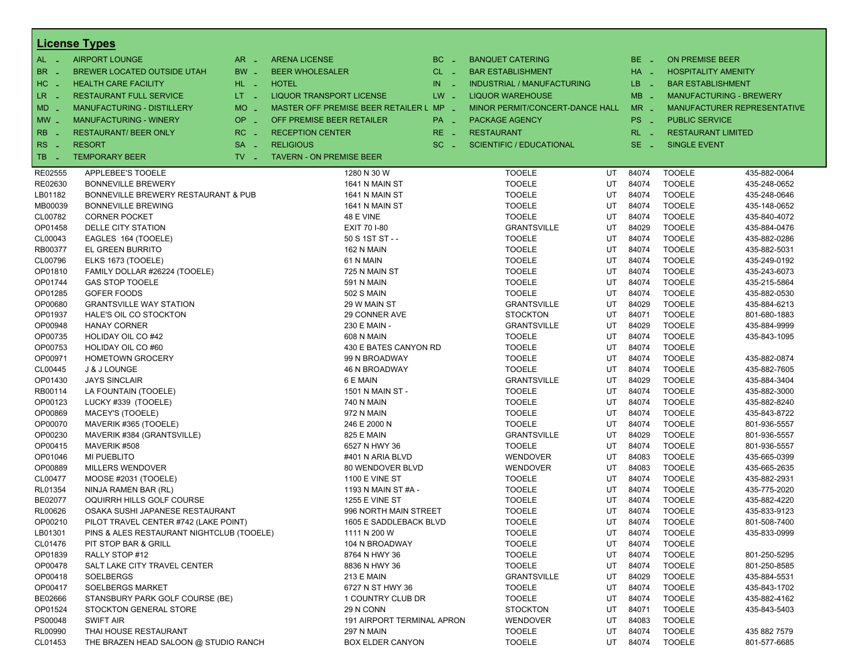| <b>AIRPORT LOUNGE</b><br>$AR -$<br>BC<br>$BE -$<br>$AL -$<br><b>ARENA LICENSE</b><br>ON PREMISE BEER<br><b>BANQUET CATERING</b><br>$\sim$<br>BR<br>BW _<br><b>BEER WHOLESALER</b><br>$HA$ $-$<br>BREWER LOCATED OUTSIDE UTAH<br>$CL$ $-$<br><b>BAR ESTABLISHMENT</b><br><b>HOSPITALITY AMENITY</b><br>- 4<br>H <sub>C</sub><br><b>HEALTH CARE FACILITY</b><br>HL L<br><b>HOTEL</b><br>IN<br>LB.<br><b>INDUSTRIAL / MANUFACTURING</b><br><b>BAR ESTABLISHMENT</b><br>- 2<br>- 2<br>- 4<br>$MB -$<br>LR<br>$LT - 1$<br>$LW -$<br><b>RESTAURANT FULL SERVICE</b><br>LIQUOR TRANSPORT LICENSE<br><b>LIQUOR WAREHOUSE</b><br><b>MANUFACTURING - BREWERY</b><br>$\sim$<br><b>MO</b><br>MASTER OFF PREMISE BEER RETAILER L MP _<br>$MR -$<br>$MD -$<br>MANUFACTURING - DISTILLERY<br>MINOR PERMIT/CONCERT-DANCE HALL<br><b>MANUFACTURER REPRESENTATIVE</b><br>i al<br><b>OP</b><br><b>MANUFACTURING - WINERY</b><br>OFF PREMISE BEER RETAILER<br>PS _<br><b>PUBLIC SERVICE</b><br>$MW-$<br><b>PACKAGE AGENCY</b><br>PA _<br>п.<br><b>RB</b><br><b>RESTAURANT/ BEER ONLY</b><br>RC<br><b>RECEPTION CENTER</b><br>$RE -$<br><b>RESTAURANT</b><br>$RL - 1$<br><b>RESTAURANT LIMITED</b><br><b>Simple</b><br>RS<br>$SE -$<br><b>RESORT</b><br><b>SA</b><br><b>RELIGIOUS</b><br>$SC =$<br><b>SCIENTIFIC / EDUCATIONAL</b><br><b>SINGLE EVENT</b><br>- 4<br>$\sim$<br>$TV$ $\overline{\phantom{0}}$<br>TB.<br><b>TEMPORARY BEER</b><br><b>TAVERN - ON PREMISE BEER</b><br>- 4<br>RE02555<br>APPLEBEE'S TOOELE<br><b>TOOELE</b><br>UT<br>84074<br><b>TOOELE</b><br>435-882-0064<br>1280 N 30 W<br><b>TOOELE</b><br>RE02630<br><b>TOOELE</b><br>UT<br>84074<br><b>BONNEVILLE BREWERY</b><br>1641 N MAIN ST<br>435-248-0652<br>LB01182<br><b>TOOELE</b><br>UT<br>84074<br><b>TOOELE</b><br>435-248-0646<br>BONNEVILLE BREWERY RESTAURANT & PUB<br>1641 N MAIN ST<br>MB00039<br><b>TOOELE</b><br>UT<br>84074<br><b>TOOELE</b><br>435-148-0652<br><b>BONNEVILLE BREWING</b><br>1641 N MAIN ST<br>CL00782<br><b>TOOELE</b><br>UT<br>84074<br><b>TOOELE</b><br><b>CORNER POCKET</b><br>48 E VINE<br>435-840-4072<br><b>GRANTSVILLE</b><br><b>TOOELE</b><br>OP01458<br><b>DELLE CITY STATION</b><br>EXIT 70 I-80<br>UT<br>84029<br>435-884-0476<br><b>TOOELE</b><br>CL00043<br>50 S 1ST ST - -<br><b>TOOELE</b><br>UT<br>84074<br>435-882-0286<br>EAGLES 164 (TOOELE)<br><b>TOOELE</b><br>RB00377<br>EL GREEN BURRITO<br><b>TOOELE</b><br>UT<br>84074<br>162 N MAIN<br>435-882-5031<br><b>TOOELE</b><br>84074<br><b>TOOELE</b><br>CL00796<br>ELKS 1673 (TOOELE)<br>61 N MAIN<br>UT<br>435-249-0192<br>OP01810<br><b>TOOELE</b><br>UT<br>84074<br><b>TOOELE</b><br>435-243-6073<br>FAMILY DOLLAR #26224 (TOOELE)<br>725 N MAIN ST<br><b>TOOELE</b><br>OP01744<br><b>TOOELE</b><br>UT<br>84074<br><b>GAS STOP TOOELE</b><br>591 N MAIN<br>435-215-5864<br><b>TOOELE</b><br>OP01285<br><b>GOFER FOODS</b><br><b>502 S MAIN</b><br><b>TOOELE</b><br>UT<br>84074<br>435-882-0530<br>OP00680<br><b>GRANTSVILLE</b><br>UT<br>84029<br><b>TOOELE</b><br>435-884-6213<br><b>GRANTSVILLE WAY STATION</b><br>29 W MAIN ST<br>OP01937<br>UT<br>84071<br><b>TOOELE</b><br>HALE'S OIL CO STOCKTON<br>29 CONNER AVE<br><b>STOCKTON</b><br>801-680-1883<br>OP00948<br>230 E MAIN -<br><b>GRANTSVILLE</b><br>UT<br>84029<br><b>TOOELE</b><br>435-884-9999<br><b>HANAY CORNER</b><br>OP00735<br><b>608 N MAIN</b><br><b>TOOELE</b><br>UT<br>84074<br><b>TOOELE</b><br>435-843-1095<br>HOLIDAY OIL CO#42<br>OP00753<br><b>TOOELE</b><br>UT<br>84074<br><b>TOOELE</b><br>HOLIDAY OIL CO#60<br>430 E BATES CANYON RD<br><b>TOOELE</b><br><b>TOOELE</b><br>OP00971<br>99 N BROADWAY<br>UT<br>84074<br>435-882-0874<br><b>HOMETOWN GROCERY</b><br><b>TOOELE</b><br>CL00445<br><b>J &amp; J LOUNGE</b><br><b>TOOELE</b><br>UT<br>84074<br>435-882-7605<br>46 N BROADWAY<br><b>TOOELE</b><br>OP01430<br><b>GRANTSVILLE</b><br>UT<br>84029<br><b>JAYS SINCLAIR</b><br>6 E MAIN<br>435-884-3404<br>84074<br><b>TOOELE</b><br>RB00114<br>1501 N MAIN ST -<br><b>TOOELE</b><br>UT<br>435-882-3000<br>LA FOUNTAIN (TOOELE)<br>OP00123<br><b>740 N MAIN</b><br><b>TOOELE</b><br>UT<br>84074<br><b>TOOELE</b><br>435-882-8240<br>LUCKY #339 (TOOELE)<br><b>TOOELE</b><br>OP00869<br><b>TOOELE</b><br>UT<br>84074<br>MACEY'S (TOOELE)<br>972 N MAIN<br>435-843-8722<br><b>TOOELE</b><br>OP00070<br>246 E 2000 N<br><b>TOOELE</b><br>UT<br>84074<br>801-936-5557<br>MAVERIK #365 (TOOELE)<br>OP00230<br>MAVERIK #384 (GRANTSVILLE)<br><b>825 E MAIN</b><br><b>GRANTSVILLE</b><br>UT<br>84029<br><b>TOOELE</b><br>801-936-5557<br>OP00415<br>UT<br>84074<br><b>TOOELE</b><br>MAVERIK #508<br>6527 N HWY 36<br><b>TOOELE</b><br>801-936-5557<br>OP01046<br><b>MI PUEBLITO</b><br><b>WENDOVER</b><br>UT<br>84083<br><b>TOOELE</b><br>435-665-0399<br>#401 N ARIA BLVD<br>OP00889<br><b>WENDOVER</b><br>UT<br>84083<br><b>TOOELE</b><br>435-665-2635<br><b>MILLERS WENDOVER</b><br>80 WENDOVER BLVD<br>CL00477<br>UT<br>84074<br><b>TOOELE</b><br>MOOSE #2031 (TOOELE)<br><b>1100 E VINE ST</b><br><b>TOOELE</b><br>435-882-2931<br><b>TOOELE</b><br>RL01354<br>NINJA RAMEN BAR (RL)<br><b>TOOELE</b><br>UT<br>84074<br>435-775-2020<br>1193 N MAIN ST #A -<br>BE02077<br>OQUIRRH HILLS GOLF COURSE<br><b>1255 E VINE ST</b><br><b>TOOELE</b><br>UT<br>84074<br><b>TOOELE</b><br>435-882-4220<br><b>TOOELE</b><br>UT<br>84074<br><b>TOOELE</b><br>RL00626<br>OSAKA SUSHI JAPANESE RESTAURANT<br>996 NORTH MAIN STREET<br>435-833-9123<br>OP00210<br>84074<br>PILOT TRAVEL CENTER #742 (LAKE POINT)<br>1605 E SADDLEBACK BLVD<br><b>TOOELE</b><br>UT<br><b>TOOELE</b><br>801-508-7400<br>LB01301<br><b>TOOELE</b><br><b>TOOELE</b><br>PINS & ALES RESTAURANT NIGHTCLUB (TOOELE)<br>1111 N 200 W<br>UT<br>84074<br>435-833-0999<br><b>TOOELE</b><br>UT<br>84074<br><b>TOOELE</b><br>CL01476<br>PIT STOP BAR & GRILL<br>104 N BROADWAY<br>OP01839<br><b>TOOELE</b><br>84074<br><b>TOOELE</b><br>801-250-5295<br>RALLY STOP #12<br>8764 N HWY 36<br>UT<br>OP00478<br><b>TOOELE</b><br>UT<br>84074<br><b>TOOELE</b><br>SALT LAKE CITY TRAVEL CENTER<br>8836 N HWY 36<br>801-250-8585<br>OP00418<br><b>GRANTSVILLE</b><br><b>TOOELE</b><br>SOELBERGS<br>213 E MAIN<br>UT<br>84029<br>435-884-5531<br><b>TOOELE</b><br>OP00417<br><b>SOELBERGS MARKET</b><br><b>TOOELE</b><br>UT<br>84074<br>435-843-1702<br>6727 N ST HWY 36<br>BE02666<br><b>TOOELE</b><br>UT<br>84074<br><b>TOOELE</b><br>435-882-4162<br>STANSBURY PARK GOLF COURSE (BE)<br>1 COUNTRY CLUB DR<br>OP01524<br><b>TOOELE</b><br>STOCKTON GENERAL STORE<br>29 N CONN<br><b>STOCKTON</b><br>UT<br>84071<br>435-843-5403<br>PS00048<br><b>SWIFT AIR</b><br>191 AIRPORT TERMINAL APRON<br>84083<br><b>TOOELE</b><br><b>WENDOVER</b><br>UT |         | <b>License Types</b>  |                   |  |               |    |       |               |              |
|--------------------------------------------------------------------------------------------------------------------------------------------------------------------------------------------------------------------------------------------------------------------------------------------------------------------------------------------------------------------------------------------------------------------------------------------------------------------------------------------------------------------------------------------------------------------------------------------------------------------------------------------------------------------------------------------------------------------------------------------------------------------------------------------------------------------------------------------------------------------------------------------------------------------------------------------------------------------------------------------------------------------------------------------------------------------------------------------------------------------------------------------------------------------------------------------------------------------------------------------------------------------------------------------------------------------------------------------------------------------------------------------------------------------------------------------------------------------------------------------------------------------------------------------------------------------------------------------------------------------------------------------------------------------------------------------------------------------------------------------------------------------------------------------------------------------------------------------------------------------------------------------------------------------------------------------------------------------------------------------------------------------------------------------------------------------------------------------------------------------------------------------------------------------------------------------------------------------------------------------------------------------------------------------------------------------------------------------------------------------------------------------------------------------------------------------------------------------------------------------------------------------------------------------------------------------------------------------------------------------------------------------------------------------------------------------------------------------------------------------------------------------------------------------------------------------------------------------------------------------------------------------------------------------------------------------------------------------------------------------------------------------------------------------------------------------------------------------------------------------------------------------------------------------------------------------------------------------------------------------------------------------------------------------------------------------------------------------------------------------------------------------------------------------------------------------------------------------------------------------------------------------------------------------------------------------------------------------------------------------------------------------------------------------------------------------------------------------------------------------------------------------------------------------------------------------------------------------------------------------------------------------------------------------------------------------------------------------------------------------------------------------------------------------------------------------------------------------------------------------------------------------------------------------------------------------------------------------------------------------------------------------------------------------------------------------------------------------------------------------------------------------------------------------------------------------------------------------------------------------------------------------------------------------------------------------------------------------------------------------------------------------------------------------------------------------------------------------------------------------------------------------------------------------------------------------------------------------------------------------------------------------------------------------------------------------------------------------------------------------------------------------------------------------------------------------------------------------------------------------------------------------------------------------------------------------------------------------------------------------------------------------------------------------------------------------------------------------------------------------------------------------------------------------------------------------------------------------------------------------------------------------------------------------------------------------------------------------------------------------------------------------------------------------------------------------------------------------------------------------------------------------------------------------------------------------------------------------------------------------------------------------------------------------------------------------------------------------------------------------------------------------------------------------------------------------------------------------------------------------------------------------------------------------------------------------------------------------------------------------------------------------------------------------------------------------------------------------------------------------------------------------------------------------------------------------------------------------------------------------------------------------------------------------------------------------------------------------------------------------------------------------------------------------------------------------------------------------------------------|---------|-----------------------|-------------------|--|---------------|----|-------|---------------|--------------|
|                                                                                                                                                                                                                                                                                                                                                                                                                                                                                                                                                                                                                                                                                                                                                                                                                                                                                                                                                                                                                                                                                                                                                                                                                                                                                                                                                                                                                                                                                                                                                                                                                                                                                                                                                                                                                                                                                                                                                                                                                                                                                                                                                                                                                                                                                                                                                                                                                                                                                                                                                                                                                                                                                                                                                                                                                                                                                                                                                                                                                                                                                                                                                                                                                                                                                                                                                                                                                                                                                                                                                                                                                                                                                                                                                                                                                                                                                                                                                                                                                                                                                                                                                                                                                                                                                                                                                                                                                                                                                                                                                                                                                                                                                                                                                                                                                                                                                                                                                                                                                                                                                                                                                                                                                                                                                                                                                                                                                                                                                                                                                                                                                                                                                                                                                                                                                                                                                                                                                                                                                                                                                                                                                                                                                                                                                                                                                                                                                                                                                                                                                                                                                                                                                                                                      |         |                       |                   |  |               |    |       |               |              |
|                                                                                                                                                                                                                                                                                                                                                                                                                                                                                                                                                                                                                                                                                                                                                                                                                                                                                                                                                                                                                                                                                                                                                                                                                                                                                                                                                                                                                                                                                                                                                                                                                                                                                                                                                                                                                                                                                                                                                                                                                                                                                                                                                                                                                                                                                                                                                                                                                                                                                                                                                                                                                                                                                                                                                                                                                                                                                                                                                                                                                                                                                                                                                                                                                                                                                                                                                                                                                                                                                                                                                                                                                                                                                                                                                                                                                                                                                                                                                                                                                                                                                                                                                                                                                                                                                                                                                                                                                                                                                                                                                                                                                                                                                                                                                                                                                                                                                                                                                                                                                                                                                                                                                                                                                                                                                                                                                                                                                                                                                                                                                                                                                                                                                                                                                                                                                                                                                                                                                                                                                                                                                                                                                                                                                                                                                                                                                                                                                                                                                                                                                                                                                                                                                                                                      |         |                       |                   |  |               |    |       |               |              |
|                                                                                                                                                                                                                                                                                                                                                                                                                                                                                                                                                                                                                                                                                                                                                                                                                                                                                                                                                                                                                                                                                                                                                                                                                                                                                                                                                                                                                                                                                                                                                                                                                                                                                                                                                                                                                                                                                                                                                                                                                                                                                                                                                                                                                                                                                                                                                                                                                                                                                                                                                                                                                                                                                                                                                                                                                                                                                                                                                                                                                                                                                                                                                                                                                                                                                                                                                                                                                                                                                                                                                                                                                                                                                                                                                                                                                                                                                                                                                                                                                                                                                                                                                                                                                                                                                                                                                                                                                                                                                                                                                                                                                                                                                                                                                                                                                                                                                                                                                                                                                                                                                                                                                                                                                                                                                                                                                                                                                                                                                                                                                                                                                                                                                                                                                                                                                                                                                                                                                                                                                                                                                                                                                                                                                                                                                                                                                                                                                                                                                                                                                                                                                                                                                                                                      |         |                       |                   |  |               |    |       |               |              |
|                                                                                                                                                                                                                                                                                                                                                                                                                                                                                                                                                                                                                                                                                                                                                                                                                                                                                                                                                                                                                                                                                                                                                                                                                                                                                                                                                                                                                                                                                                                                                                                                                                                                                                                                                                                                                                                                                                                                                                                                                                                                                                                                                                                                                                                                                                                                                                                                                                                                                                                                                                                                                                                                                                                                                                                                                                                                                                                                                                                                                                                                                                                                                                                                                                                                                                                                                                                                                                                                                                                                                                                                                                                                                                                                                                                                                                                                                                                                                                                                                                                                                                                                                                                                                                                                                                                                                                                                                                                                                                                                                                                                                                                                                                                                                                                                                                                                                                                                                                                                                                                                                                                                                                                                                                                                                                                                                                                                                                                                                                                                                                                                                                                                                                                                                                                                                                                                                                                                                                                                                                                                                                                                                                                                                                                                                                                                                                                                                                                                                                                                                                                                                                                                                                                                      |         |                       |                   |  |               |    |       |               |              |
|                                                                                                                                                                                                                                                                                                                                                                                                                                                                                                                                                                                                                                                                                                                                                                                                                                                                                                                                                                                                                                                                                                                                                                                                                                                                                                                                                                                                                                                                                                                                                                                                                                                                                                                                                                                                                                                                                                                                                                                                                                                                                                                                                                                                                                                                                                                                                                                                                                                                                                                                                                                                                                                                                                                                                                                                                                                                                                                                                                                                                                                                                                                                                                                                                                                                                                                                                                                                                                                                                                                                                                                                                                                                                                                                                                                                                                                                                                                                                                                                                                                                                                                                                                                                                                                                                                                                                                                                                                                                                                                                                                                                                                                                                                                                                                                                                                                                                                                                                                                                                                                                                                                                                                                                                                                                                                                                                                                                                                                                                                                                                                                                                                                                                                                                                                                                                                                                                                                                                                                                                                                                                                                                                                                                                                                                                                                                                                                                                                                                                                                                                                                                                                                                                                                                      |         |                       |                   |  |               |    |       |               |              |
|                                                                                                                                                                                                                                                                                                                                                                                                                                                                                                                                                                                                                                                                                                                                                                                                                                                                                                                                                                                                                                                                                                                                                                                                                                                                                                                                                                                                                                                                                                                                                                                                                                                                                                                                                                                                                                                                                                                                                                                                                                                                                                                                                                                                                                                                                                                                                                                                                                                                                                                                                                                                                                                                                                                                                                                                                                                                                                                                                                                                                                                                                                                                                                                                                                                                                                                                                                                                                                                                                                                                                                                                                                                                                                                                                                                                                                                                                                                                                                                                                                                                                                                                                                                                                                                                                                                                                                                                                                                                                                                                                                                                                                                                                                                                                                                                                                                                                                                                                                                                                                                                                                                                                                                                                                                                                                                                                                                                                                                                                                                                                                                                                                                                                                                                                                                                                                                                                                                                                                                                                                                                                                                                                                                                                                                                                                                                                                                                                                                                                                                                                                                                                                                                                                                                      |         |                       |                   |  |               |    |       |               |              |
|                                                                                                                                                                                                                                                                                                                                                                                                                                                                                                                                                                                                                                                                                                                                                                                                                                                                                                                                                                                                                                                                                                                                                                                                                                                                                                                                                                                                                                                                                                                                                                                                                                                                                                                                                                                                                                                                                                                                                                                                                                                                                                                                                                                                                                                                                                                                                                                                                                                                                                                                                                                                                                                                                                                                                                                                                                                                                                                                                                                                                                                                                                                                                                                                                                                                                                                                                                                                                                                                                                                                                                                                                                                                                                                                                                                                                                                                                                                                                                                                                                                                                                                                                                                                                                                                                                                                                                                                                                                                                                                                                                                                                                                                                                                                                                                                                                                                                                                                                                                                                                                                                                                                                                                                                                                                                                                                                                                                                                                                                                                                                                                                                                                                                                                                                                                                                                                                                                                                                                                                                                                                                                                                                                                                                                                                                                                                                                                                                                                                                                                                                                                                                                                                                                                                      |         |                       |                   |  |               |    |       |               |              |
|                                                                                                                                                                                                                                                                                                                                                                                                                                                                                                                                                                                                                                                                                                                                                                                                                                                                                                                                                                                                                                                                                                                                                                                                                                                                                                                                                                                                                                                                                                                                                                                                                                                                                                                                                                                                                                                                                                                                                                                                                                                                                                                                                                                                                                                                                                                                                                                                                                                                                                                                                                                                                                                                                                                                                                                                                                                                                                                                                                                                                                                                                                                                                                                                                                                                                                                                                                                                                                                                                                                                                                                                                                                                                                                                                                                                                                                                                                                                                                                                                                                                                                                                                                                                                                                                                                                                                                                                                                                                                                                                                                                                                                                                                                                                                                                                                                                                                                                                                                                                                                                                                                                                                                                                                                                                                                                                                                                                                                                                                                                                                                                                                                                                                                                                                                                                                                                                                                                                                                                                                                                                                                                                                                                                                                                                                                                                                                                                                                                                                                                                                                                                                                                                                                                                      |         |                       |                   |  |               |    |       |               |              |
|                                                                                                                                                                                                                                                                                                                                                                                                                                                                                                                                                                                                                                                                                                                                                                                                                                                                                                                                                                                                                                                                                                                                                                                                                                                                                                                                                                                                                                                                                                                                                                                                                                                                                                                                                                                                                                                                                                                                                                                                                                                                                                                                                                                                                                                                                                                                                                                                                                                                                                                                                                                                                                                                                                                                                                                                                                                                                                                                                                                                                                                                                                                                                                                                                                                                                                                                                                                                                                                                                                                                                                                                                                                                                                                                                                                                                                                                                                                                                                                                                                                                                                                                                                                                                                                                                                                                                                                                                                                                                                                                                                                                                                                                                                                                                                                                                                                                                                                                                                                                                                                                                                                                                                                                                                                                                                                                                                                                                                                                                                                                                                                                                                                                                                                                                                                                                                                                                                                                                                                                                                                                                                                                                                                                                                                                                                                                                                                                                                                                                                                                                                                                                                                                                                                                      |         |                       |                   |  |               |    |       |               |              |
|                                                                                                                                                                                                                                                                                                                                                                                                                                                                                                                                                                                                                                                                                                                                                                                                                                                                                                                                                                                                                                                                                                                                                                                                                                                                                                                                                                                                                                                                                                                                                                                                                                                                                                                                                                                                                                                                                                                                                                                                                                                                                                                                                                                                                                                                                                                                                                                                                                                                                                                                                                                                                                                                                                                                                                                                                                                                                                                                                                                                                                                                                                                                                                                                                                                                                                                                                                                                                                                                                                                                                                                                                                                                                                                                                                                                                                                                                                                                                                                                                                                                                                                                                                                                                                                                                                                                                                                                                                                                                                                                                                                                                                                                                                                                                                                                                                                                                                                                                                                                                                                                                                                                                                                                                                                                                                                                                                                                                                                                                                                                                                                                                                                                                                                                                                                                                                                                                                                                                                                                                                                                                                                                                                                                                                                                                                                                                                                                                                                                                                                                                                                                                                                                                                                                      |         |                       |                   |  |               |    |       |               |              |
|                                                                                                                                                                                                                                                                                                                                                                                                                                                                                                                                                                                                                                                                                                                                                                                                                                                                                                                                                                                                                                                                                                                                                                                                                                                                                                                                                                                                                                                                                                                                                                                                                                                                                                                                                                                                                                                                                                                                                                                                                                                                                                                                                                                                                                                                                                                                                                                                                                                                                                                                                                                                                                                                                                                                                                                                                                                                                                                                                                                                                                                                                                                                                                                                                                                                                                                                                                                                                                                                                                                                                                                                                                                                                                                                                                                                                                                                                                                                                                                                                                                                                                                                                                                                                                                                                                                                                                                                                                                                                                                                                                                                                                                                                                                                                                                                                                                                                                                                                                                                                                                                                                                                                                                                                                                                                                                                                                                                                                                                                                                                                                                                                                                                                                                                                                                                                                                                                                                                                                                                                                                                                                                                                                                                                                                                                                                                                                                                                                                                                                                                                                                                                                                                                                                                      |         |                       |                   |  |               |    |       |               |              |
|                                                                                                                                                                                                                                                                                                                                                                                                                                                                                                                                                                                                                                                                                                                                                                                                                                                                                                                                                                                                                                                                                                                                                                                                                                                                                                                                                                                                                                                                                                                                                                                                                                                                                                                                                                                                                                                                                                                                                                                                                                                                                                                                                                                                                                                                                                                                                                                                                                                                                                                                                                                                                                                                                                                                                                                                                                                                                                                                                                                                                                                                                                                                                                                                                                                                                                                                                                                                                                                                                                                                                                                                                                                                                                                                                                                                                                                                                                                                                                                                                                                                                                                                                                                                                                                                                                                                                                                                                                                                                                                                                                                                                                                                                                                                                                                                                                                                                                                                                                                                                                                                                                                                                                                                                                                                                                                                                                                                                                                                                                                                                                                                                                                                                                                                                                                                                                                                                                                                                                                                                                                                                                                                                                                                                                                                                                                                                                                                                                                                                                                                                                                                                                                                                                                                      |         |                       |                   |  |               |    |       |               |              |
|                                                                                                                                                                                                                                                                                                                                                                                                                                                                                                                                                                                                                                                                                                                                                                                                                                                                                                                                                                                                                                                                                                                                                                                                                                                                                                                                                                                                                                                                                                                                                                                                                                                                                                                                                                                                                                                                                                                                                                                                                                                                                                                                                                                                                                                                                                                                                                                                                                                                                                                                                                                                                                                                                                                                                                                                                                                                                                                                                                                                                                                                                                                                                                                                                                                                                                                                                                                                                                                                                                                                                                                                                                                                                                                                                                                                                                                                                                                                                                                                                                                                                                                                                                                                                                                                                                                                                                                                                                                                                                                                                                                                                                                                                                                                                                                                                                                                                                                                                                                                                                                                                                                                                                                                                                                                                                                                                                                                                                                                                                                                                                                                                                                                                                                                                                                                                                                                                                                                                                                                                                                                                                                                                                                                                                                                                                                                                                                                                                                                                                                                                                                                                                                                                                                                      |         |                       |                   |  |               |    |       |               |              |
|                                                                                                                                                                                                                                                                                                                                                                                                                                                                                                                                                                                                                                                                                                                                                                                                                                                                                                                                                                                                                                                                                                                                                                                                                                                                                                                                                                                                                                                                                                                                                                                                                                                                                                                                                                                                                                                                                                                                                                                                                                                                                                                                                                                                                                                                                                                                                                                                                                                                                                                                                                                                                                                                                                                                                                                                                                                                                                                                                                                                                                                                                                                                                                                                                                                                                                                                                                                                                                                                                                                                                                                                                                                                                                                                                                                                                                                                                                                                                                                                                                                                                                                                                                                                                                                                                                                                                                                                                                                                                                                                                                                                                                                                                                                                                                                                                                                                                                                                                                                                                                                                                                                                                                                                                                                                                                                                                                                                                                                                                                                                                                                                                                                                                                                                                                                                                                                                                                                                                                                                                                                                                                                                                                                                                                                                                                                                                                                                                                                                                                                                                                                                                                                                                                                                      |         |                       |                   |  |               |    |       |               |              |
|                                                                                                                                                                                                                                                                                                                                                                                                                                                                                                                                                                                                                                                                                                                                                                                                                                                                                                                                                                                                                                                                                                                                                                                                                                                                                                                                                                                                                                                                                                                                                                                                                                                                                                                                                                                                                                                                                                                                                                                                                                                                                                                                                                                                                                                                                                                                                                                                                                                                                                                                                                                                                                                                                                                                                                                                                                                                                                                                                                                                                                                                                                                                                                                                                                                                                                                                                                                                                                                                                                                                                                                                                                                                                                                                                                                                                                                                                                                                                                                                                                                                                                                                                                                                                                                                                                                                                                                                                                                                                                                                                                                                                                                                                                                                                                                                                                                                                                                                                                                                                                                                                                                                                                                                                                                                                                                                                                                                                                                                                                                                                                                                                                                                                                                                                                                                                                                                                                                                                                                                                                                                                                                                                                                                                                                                                                                                                                                                                                                                                                                                                                                                                                                                                                                                      |         |                       |                   |  |               |    |       |               |              |
|                                                                                                                                                                                                                                                                                                                                                                                                                                                                                                                                                                                                                                                                                                                                                                                                                                                                                                                                                                                                                                                                                                                                                                                                                                                                                                                                                                                                                                                                                                                                                                                                                                                                                                                                                                                                                                                                                                                                                                                                                                                                                                                                                                                                                                                                                                                                                                                                                                                                                                                                                                                                                                                                                                                                                                                                                                                                                                                                                                                                                                                                                                                                                                                                                                                                                                                                                                                                                                                                                                                                                                                                                                                                                                                                                                                                                                                                                                                                                                                                                                                                                                                                                                                                                                                                                                                                                                                                                                                                                                                                                                                                                                                                                                                                                                                                                                                                                                                                                                                                                                                                                                                                                                                                                                                                                                                                                                                                                                                                                                                                                                                                                                                                                                                                                                                                                                                                                                                                                                                                                                                                                                                                                                                                                                                                                                                                                                                                                                                                                                                                                                                                                                                                                                                                      |         |                       |                   |  |               |    |       |               |              |
|                                                                                                                                                                                                                                                                                                                                                                                                                                                                                                                                                                                                                                                                                                                                                                                                                                                                                                                                                                                                                                                                                                                                                                                                                                                                                                                                                                                                                                                                                                                                                                                                                                                                                                                                                                                                                                                                                                                                                                                                                                                                                                                                                                                                                                                                                                                                                                                                                                                                                                                                                                                                                                                                                                                                                                                                                                                                                                                                                                                                                                                                                                                                                                                                                                                                                                                                                                                                                                                                                                                                                                                                                                                                                                                                                                                                                                                                                                                                                                                                                                                                                                                                                                                                                                                                                                                                                                                                                                                                                                                                                                                                                                                                                                                                                                                                                                                                                                                                                                                                                                                                                                                                                                                                                                                                                                                                                                                                                                                                                                                                                                                                                                                                                                                                                                                                                                                                                                                                                                                                                                                                                                                                                                                                                                                                                                                                                                                                                                                                                                                                                                                                                                                                                                                                      |         |                       |                   |  |               |    |       |               |              |
|                                                                                                                                                                                                                                                                                                                                                                                                                                                                                                                                                                                                                                                                                                                                                                                                                                                                                                                                                                                                                                                                                                                                                                                                                                                                                                                                                                                                                                                                                                                                                                                                                                                                                                                                                                                                                                                                                                                                                                                                                                                                                                                                                                                                                                                                                                                                                                                                                                                                                                                                                                                                                                                                                                                                                                                                                                                                                                                                                                                                                                                                                                                                                                                                                                                                                                                                                                                                                                                                                                                                                                                                                                                                                                                                                                                                                                                                                                                                                                                                                                                                                                                                                                                                                                                                                                                                                                                                                                                                                                                                                                                                                                                                                                                                                                                                                                                                                                                                                                                                                                                                                                                                                                                                                                                                                                                                                                                                                                                                                                                                                                                                                                                                                                                                                                                                                                                                                                                                                                                                                                                                                                                                                                                                                                                                                                                                                                                                                                                                                                                                                                                                                                                                                                                                      |         |                       |                   |  |               |    |       |               |              |
|                                                                                                                                                                                                                                                                                                                                                                                                                                                                                                                                                                                                                                                                                                                                                                                                                                                                                                                                                                                                                                                                                                                                                                                                                                                                                                                                                                                                                                                                                                                                                                                                                                                                                                                                                                                                                                                                                                                                                                                                                                                                                                                                                                                                                                                                                                                                                                                                                                                                                                                                                                                                                                                                                                                                                                                                                                                                                                                                                                                                                                                                                                                                                                                                                                                                                                                                                                                                                                                                                                                                                                                                                                                                                                                                                                                                                                                                                                                                                                                                                                                                                                                                                                                                                                                                                                                                                                                                                                                                                                                                                                                                                                                                                                                                                                                                                                                                                                                                                                                                                                                                                                                                                                                                                                                                                                                                                                                                                                                                                                                                                                                                                                                                                                                                                                                                                                                                                                                                                                                                                                                                                                                                                                                                                                                                                                                                                                                                                                                                                                                                                                                                                                                                                                                                      |         |                       |                   |  |               |    |       |               |              |
|                                                                                                                                                                                                                                                                                                                                                                                                                                                                                                                                                                                                                                                                                                                                                                                                                                                                                                                                                                                                                                                                                                                                                                                                                                                                                                                                                                                                                                                                                                                                                                                                                                                                                                                                                                                                                                                                                                                                                                                                                                                                                                                                                                                                                                                                                                                                                                                                                                                                                                                                                                                                                                                                                                                                                                                                                                                                                                                                                                                                                                                                                                                                                                                                                                                                                                                                                                                                                                                                                                                                                                                                                                                                                                                                                                                                                                                                                                                                                                                                                                                                                                                                                                                                                                                                                                                                                                                                                                                                                                                                                                                                                                                                                                                                                                                                                                                                                                                                                                                                                                                                                                                                                                                                                                                                                                                                                                                                                                                                                                                                                                                                                                                                                                                                                                                                                                                                                                                                                                                                                                                                                                                                                                                                                                                                                                                                                                                                                                                                                                                                                                                                                                                                                                                                      |         |                       |                   |  |               |    |       |               |              |
|                                                                                                                                                                                                                                                                                                                                                                                                                                                                                                                                                                                                                                                                                                                                                                                                                                                                                                                                                                                                                                                                                                                                                                                                                                                                                                                                                                                                                                                                                                                                                                                                                                                                                                                                                                                                                                                                                                                                                                                                                                                                                                                                                                                                                                                                                                                                                                                                                                                                                                                                                                                                                                                                                                                                                                                                                                                                                                                                                                                                                                                                                                                                                                                                                                                                                                                                                                                                                                                                                                                                                                                                                                                                                                                                                                                                                                                                                                                                                                                                                                                                                                                                                                                                                                                                                                                                                                                                                                                                                                                                                                                                                                                                                                                                                                                                                                                                                                                                                                                                                                                                                                                                                                                                                                                                                                                                                                                                                                                                                                                                                                                                                                                                                                                                                                                                                                                                                                                                                                                                                                                                                                                                                                                                                                                                                                                                                                                                                                                                                                                                                                                                                                                                                                                                      |         |                       |                   |  |               |    |       |               |              |
|                                                                                                                                                                                                                                                                                                                                                                                                                                                                                                                                                                                                                                                                                                                                                                                                                                                                                                                                                                                                                                                                                                                                                                                                                                                                                                                                                                                                                                                                                                                                                                                                                                                                                                                                                                                                                                                                                                                                                                                                                                                                                                                                                                                                                                                                                                                                                                                                                                                                                                                                                                                                                                                                                                                                                                                                                                                                                                                                                                                                                                                                                                                                                                                                                                                                                                                                                                                                                                                                                                                                                                                                                                                                                                                                                                                                                                                                                                                                                                                                                                                                                                                                                                                                                                                                                                                                                                                                                                                                                                                                                                                                                                                                                                                                                                                                                                                                                                                                                                                                                                                                                                                                                                                                                                                                                                                                                                                                                                                                                                                                                                                                                                                                                                                                                                                                                                                                                                                                                                                                                                                                                                                                                                                                                                                                                                                                                                                                                                                                                                                                                                                                                                                                                                                                      |         |                       |                   |  |               |    |       |               |              |
|                                                                                                                                                                                                                                                                                                                                                                                                                                                                                                                                                                                                                                                                                                                                                                                                                                                                                                                                                                                                                                                                                                                                                                                                                                                                                                                                                                                                                                                                                                                                                                                                                                                                                                                                                                                                                                                                                                                                                                                                                                                                                                                                                                                                                                                                                                                                                                                                                                                                                                                                                                                                                                                                                                                                                                                                                                                                                                                                                                                                                                                                                                                                                                                                                                                                                                                                                                                                                                                                                                                                                                                                                                                                                                                                                                                                                                                                                                                                                                                                                                                                                                                                                                                                                                                                                                                                                                                                                                                                                                                                                                                                                                                                                                                                                                                                                                                                                                                                                                                                                                                                                                                                                                                                                                                                                                                                                                                                                                                                                                                                                                                                                                                                                                                                                                                                                                                                                                                                                                                                                                                                                                                                                                                                                                                                                                                                                                                                                                                                                                                                                                                                                                                                                                                                      |         |                       |                   |  |               |    |       |               |              |
|                                                                                                                                                                                                                                                                                                                                                                                                                                                                                                                                                                                                                                                                                                                                                                                                                                                                                                                                                                                                                                                                                                                                                                                                                                                                                                                                                                                                                                                                                                                                                                                                                                                                                                                                                                                                                                                                                                                                                                                                                                                                                                                                                                                                                                                                                                                                                                                                                                                                                                                                                                                                                                                                                                                                                                                                                                                                                                                                                                                                                                                                                                                                                                                                                                                                                                                                                                                                                                                                                                                                                                                                                                                                                                                                                                                                                                                                                                                                                                                                                                                                                                                                                                                                                                                                                                                                                                                                                                                                                                                                                                                                                                                                                                                                                                                                                                                                                                                                                                                                                                                                                                                                                                                                                                                                                                                                                                                                                                                                                                                                                                                                                                                                                                                                                                                                                                                                                                                                                                                                                                                                                                                                                                                                                                                                                                                                                                                                                                                                                                                                                                                                                                                                                                                                      |         |                       |                   |  |               |    |       |               |              |
|                                                                                                                                                                                                                                                                                                                                                                                                                                                                                                                                                                                                                                                                                                                                                                                                                                                                                                                                                                                                                                                                                                                                                                                                                                                                                                                                                                                                                                                                                                                                                                                                                                                                                                                                                                                                                                                                                                                                                                                                                                                                                                                                                                                                                                                                                                                                                                                                                                                                                                                                                                                                                                                                                                                                                                                                                                                                                                                                                                                                                                                                                                                                                                                                                                                                                                                                                                                                                                                                                                                                                                                                                                                                                                                                                                                                                                                                                                                                                                                                                                                                                                                                                                                                                                                                                                                                                                                                                                                                                                                                                                                                                                                                                                                                                                                                                                                                                                                                                                                                                                                                                                                                                                                                                                                                                                                                                                                                                                                                                                                                                                                                                                                                                                                                                                                                                                                                                                                                                                                                                                                                                                                                                                                                                                                                                                                                                                                                                                                                                                                                                                                                                                                                                                                                      |         |                       |                   |  |               |    |       |               |              |
|                                                                                                                                                                                                                                                                                                                                                                                                                                                                                                                                                                                                                                                                                                                                                                                                                                                                                                                                                                                                                                                                                                                                                                                                                                                                                                                                                                                                                                                                                                                                                                                                                                                                                                                                                                                                                                                                                                                                                                                                                                                                                                                                                                                                                                                                                                                                                                                                                                                                                                                                                                                                                                                                                                                                                                                                                                                                                                                                                                                                                                                                                                                                                                                                                                                                                                                                                                                                                                                                                                                                                                                                                                                                                                                                                                                                                                                                                                                                                                                                                                                                                                                                                                                                                                                                                                                                                                                                                                                                                                                                                                                                                                                                                                                                                                                                                                                                                                                                                                                                                                                                                                                                                                                                                                                                                                                                                                                                                                                                                                                                                                                                                                                                                                                                                                                                                                                                                                                                                                                                                                                                                                                                                                                                                                                                                                                                                                                                                                                                                                                                                                                                                                                                                                                                      |         |                       |                   |  |               |    |       |               |              |
|                                                                                                                                                                                                                                                                                                                                                                                                                                                                                                                                                                                                                                                                                                                                                                                                                                                                                                                                                                                                                                                                                                                                                                                                                                                                                                                                                                                                                                                                                                                                                                                                                                                                                                                                                                                                                                                                                                                                                                                                                                                                                                                                                                                                                                                                                                                                                                                                                                                                                                                                                                                                                                                                                                                                                                                                                                                                                                                                                                                                                                                                                                                                                                                                                                                                                                                                                                                                                                                                                                                                                                                                                                                                                                                                                                                                                                                                                                                                                                                                                                                                                                                                                                                                                                                                                                                                                                                                                                                                                                                                                                                                                                                                                                                                                                                                                                                                                                                                                                                                                                                                                                                                                                                                                                                                                                                                                                                                                                                                                                                                                                                                                                                                                                                                                                                                                                                                                                                                                                                                                                                                                                                                                                                                                                                                                                                                                                                                                                                                                                                                                                                                                                                                                                                                      |         |                       |                   |  |               |    |       |               |              |
|                                                                                                                                                                                                                                                                                                                                                                                                                                                                                                                                                                                                                                                                                                                                                                                                                                                                                                                                                                                                                                                                                                                                                                                                                                                                                                                                                                                                                                                                                                                                                                                                                                                                                                                                                                                                                                                                                                                                                                                                                                                                                                                                                                                                                                                                                                                                                                                                                                                                                                                                                                                                                                                                                                                                                                                                                                                                                                                                                                                                                                                                                                                                                                                                                                                                                                                                                                                                                                                                                                                                                                                                                                                                                                                                                                                                                                                                                                                                                                                                                                                                                                                                                                                                                                                                                                                                                                                                                                                                                                                                                                                                                                                                                                                                                                                                                                                                                                                                                                                                                                                                                                                                                                                                                                                                                                                                                                                                                                                                                                                                                                                                                                                                                                                                                                                                                                                                                                                                                                                                                                                                                                                                                                                                                                                                                                                                                                                                                                                                                                                                                                                                                                                                                                                                      |         |                       |                   |  |               |    |       |               |              |
|                                                                                                                                                                                                                                                                                                                                                                                                                                                                                                                                                                                                                                                                                                                                                                                                                                                                                                                                                                                                                                                                                                                                                                                                                                                                                                                                                                                                                                                                                                                                                                                                                                                                                                                                                                                                                                                                                                                                                                                                                                                                                                                                                                                                                                                                                                                                                                                                                                                                                                                                                                                                                                                                                                                                                                                                                                                                                                                                                                                                                                                                                                                                                                                                                                                                                                                                                                                                                                                                                                                                                                                                                                                                                                                                                                                                                                                                                                                                                                                                                                                                                                                                                                                                                                                                                                                                                                                                                                                                                                                                                                                                                                                                                                                                                                                                                                                                                                                                                                                                                                                                                                                                                                                                                                                                                                                                                                                                                                                                                                                                                                                                                                                                                                                                                                                                                                                                                                                                                                                                                                                                                                                                                                                                                                                                                                                                                                                                                                                                                                                                                                                                                                                                                                                                      |         |                       |                   |  |               |    |       |               |              |
|                                                                                                                                                                                                                                                                                                                                                                                                                                                                                                                                                                                                                                                                                                                                                                                                                                                                                                                                                                                                                                                                                                                                                                                                                                                                                                                                                                                                                                                                                                                                                                                                                                                                                                                                                                                                                                                                                                                                                                                                                                                                                                                                                                                                                                                                                                                                                                                                                                                                                                                                                                                                                                                                                                                                                                                                                                                                                                                                                                                                                                                                                                                                                                                                                                                                                                                                                                                                                                                                                                                                                                                                                                                                                                                                                                                                                                                                                                                                                                                                                                                                                                                                                                                                                                                                                                                                                                                                                                                                                                                                                                                                                                                                                                                                                                                                                                                                                                                                                                                                                                                                                                                                                                                                                                                                                                                                                                                                                                                                                                                                                                                                                                                                                                                                                                                                                                                                                                                                                                                                                                                                                                                                                                                                                                                                                                                                                                                                                                                                                                                                                                                                                                                                                                                                      |         |                       |                   |  |               |    |       |               |              |
|                                                                                                                                                                                                                                                                                                                                                                                                                                                                                                                                                                                                                                                                                                                                                                                                                                                                                                                                                                                                                                                                                                                                                                                                                                                                                                                                                                                                                                                                                                                                                                                                                                                                                                                                                                                                                                                                                                                                                                                                                                                                                                                                                                                                                                                                                                                                                                                                                                                                                                                                                                                                                                                                                                                                                                                                                                                                                                                                                                                                                                                                                                                                                                                                                                                                                                                                                                                                                                                                                                                                                                                                                                                                                                                                                                                                                                                                                                                                                                                                                                                                                                                                                                                                                                                                                                                                                                                                                                                                                                                                                                                                                                                                                                                                                                                                                                                                                                                                                                                                                                                                                                                                                                                                                                                                                                                                                                                                                                                                                                                                                                                                                                                                                                                                                                                                                                                                                                                                                                                                                                                                                                                                                                                                                                                                                                                                                                                                                                                                                                                                                                                                                                                                                                                                      |         |                       |                   |  |               |    |       |               |              |
|                                                                                                                                                                                                                                                                                                                                                                                                                                                                                                                                                                                                                                                                                                                                                                                                                                                                                                                                                                                                                                                                                                                                                                                                                                                                                                                                                                                                                                                                                                                                                                                                                                                                                                                                                                                                                                                                                                                                                                                                                                                                                                                                                                                                                                                                                                                                                                                                                                                                                                                                                                                                                                                                                                                                                                                                                                                                                                                                                                                                                                                                                                                                                                                                                                                                                                                                                                                                                                                                                                                                                                                                                                                                                                                                                                                                                                                                                                                                                                                                                                                                                                                                                                                                                                                                                                                                                                                                                                                                                                                                                                                                                                                                                                                                                                                                                                                                                                                                                                                                                                                                                                                                                                                                                                                                                                                                                                                                                                                                                                                                                                                                                                                                                                                                                                                                                                                                                                                                                                                                                                                                                                                                                                                                                                                                                                                                                                                                                                                                                                                                                                                                                                                                                                                                      |         |                       |                   |  |               |    |       |               |              |
|                                                                                                                                                                                                                                                                                                                                                                                                                                                                                                                                                                                                                                                                                                                                                                                                                                                                                                                                                                                                                                                                                                                                                                                                                                                                                                                                                                                                                                                                                                                                                                                                                                                                                                                                                                                                                                                                                                                                                                                                                                                                                                                                                                                                                                                                                                                                                                                                                                                                                                                                                                                                                                                                                                                                                                                                                                                                                                                                                                                                                                                                                                                                                                                                                                                                                                                                                                                                                                                                                                                                                                                                                                                                                                                                                                                                                                                                                                                                                                                                                                                                                                                                                                                                                                                                                                                                                                                                                                                                                                                                                                                                                                                                                                                                                                                                                                                                                                                                                                                                                                                                                                                                                                                                                                                                                                                                                                                                                                                                                                                                                                                                                                                                                                                                                                                                                                                                                                                                                                                                                                                                                                                                                                                                                                                                                                                                                                                                                                                                                                                                                                                                                                                                                                                                      |         |                       |                   |  |               |    |       |               |              |
|                                                                                                                                                                                                                                                                                                                                                                                                                                                                                                                                                                                                                                                                                                                                                                                                                                                                                                                                                                                                                                                                                                                                                                                                                                                                                                                                                                                                                                                                                                                                                                                                                                                                                                                                                                                                                                                                                                                                                                                                                                                                                                                                                                                                                                                                                                                                                                                                                                                                                                                                                                                                                                                                                                                                                                                                                                                                                                                                                                                                                                                                                                                                                                                                                                                                                                                                                                                                                                                                                                                                                                                                                                                                                                                                                                                                                                                                                                                                                                                                                                                                                                                                                                                                                                                                                                                                                                                                                                                                                                                                                                                                                                                                                                                                                                                                                                                                                                                                                                                                                                                                                                                                                                                                                                                                                                                                                                                                                                                                                                                                                                                                                                                                                                                                                                                                                                                                                                                                                                                                                                                                                                                                                                                                                                                                                                                                                                                                                                                                                                                                                                                                                                                                                                                                      |         |                       |                   |  |               |    |       |               |              |
|                                                                                                                                                                                                                                                                                                                                                                                                                                                                                                                                                                                                                                                                                                                                                                                                                                                                                                                                                                                                                                                                                                                                                                                                                                                                                                                                                                                                                                                                                                                                                                                                                                                                                                                                                                                                                                                                                                                                                                                                                                                                                                                                                                                                                                                                                                                                                                                                                                                                                                                                                                                                                                                                                                                                                                                                                                                                                                                                                                                                                                                                                                                                                                                                                                                                                                                                                                                                                                                                                                                                                                                                                                                                                                                                                                                                                                                                                                                                                                                                                                                                                                                                                                                                                                                                                                                                                                                                                                                                                                                                                                                                                                                                                                                                                                                                                                                                                                                                                                                                                                                                                                                                                                                                                                                                                                                                                                                                                                                                                                                                                                                                                                                                                                                                                                                                                                                                                                                                                                                                                                                                                                                                                                                                                                                                                                                                                                                                                                                                                                                                                                                                                                                                                                                                      |         |                       |                   |  |               |    |       |               |              |
|                                                                                                                                                                                                                                                                                                                                                                                                                                                                                                                                                                                                                                                                                                                                                                                                                                                                                                                                                                                                                                                                                                                                                                                                                                                                                                                                                                                                                                                                                                                                                                                                                                                                                                                                                                                                                                                                                                                                                                                                                                                                                                                                                                                                                                                                                                                                                                                                                                                                                                                                                                                                                                                                                                                                                                                                                                                                                                                                                                                                                                                                                                                                                                                                                                                                                                                                                                                                                                                                                                                                                                                                                                                                                                                                                                                                                                                                                                                                                                                                                                                                                                                                                                                                                                                                                                                                                                                                                                                                                                                                                                                                                                                                                                                                                                                                                                                                                                                                                                                                                                                                                                                                                                                                                                                                                                                                                                                                                                                                                                                                                                                                                                                                                                                                                                                                                                                                                                                                                                                                                                                                                                                                                                                                                                                                                                                                                                                                                                                                                                                                                                                                                                                                                                                                      |         |                       |                   |  |               |    |       |               |              |
|                                                                                                                                                                                                                                                                                                                                                                                                                                                                                                                                                                                                                                                                                                                                                                                                                                                                                                                                                                                                                                                                                                                                                                                                                                                                                                                                                                                                                                                                                                                                                                                                                                                                                                                                                                                                                                                                                                                                                                                                                                                                                                                                                                                                                                                                                                                                                                                                                                                                                                                                                                                                                                                                                                                                                                                                                                                                                                                                                                                                                                                                                                                                                                                                                                                                                                                                                                                                                                                                                                                                                                                                                                                                                                                                                                                                                                                                                                                                                                                                                                                                                                                                                                                                                                                                                                                                                                                                                                                                                                                                                                                                                                                                                                                                                                                                                                                                                                                                                                                                                                                                                                                                                                                                                                                                                                                                                                                                                                                                                                                                                                                                                                                                                                                                                                                                                                                                                                                                                                                                                                                                                                                                                                                                                                                                                                                                                                                                                                                                                                                                                                                                                                                                                                                                      |         |                       |                   |  |               |    |       |               |              |
|                                                                                                                                                                                                                                                                                                                                                                                                                                                                                                                                                                                                                                                                                                                                                                                                                                                                                                                                                                                                                                                                                                                                                                                                                                                                                                                                                                                                                                                                                                                                                                                                                                                                                                                                                                                                                                                                                                                                                                                                                                                                                                                                                                                                                                                                                                                                                                                                                                                                                                                                                                                                                                                                                                                                                                                                                                                                                                                                                                                                                                                                                                                                                                                                                                                                                                                                                                                                                                                                                                                                                                                                                                                                                                                                                                                                                                                                                                                                                                                                                                                                                                                                                                                                                                                                                                                                                                                                                                                                                                                                                                                                                                                                                                                                                                                                                                                                                                                                                                                                                                                                                                                                                                                                                                                                                                                                                                                                                                                                                                                                                                                                                                                                                                                                                                                                                                                                                                                                                                                                                                                                                                                                                                                                                                                                                                                                                                                                                                                                                                                                                                                                                                                                                                                                      |         |                       |                   |  |               |    |       |               |              |
|                                                                                                                                                                                                                                                                                                                                                                                                                                                                                                                                                                                                                                                                                                                                                                                                                                                                                                                                                                                                                                                                                                                                                                                                                                                                                                                                                                                                                                                                                                                                                                                                                                                                                                                                                                                                                                                                                                                                                                                                                                                                                                                                                                                                                                                                                                                                                                                                                                                                                                                                                                                                                                                                                                                                                                                                                                                                                                                                                                                                                                                                                                                                                                                                                                                                                                                                                                                                                                                                                                                                                                                                                                                                                                                                                                                                                                                                                                                                                                                                                                                                                                                                                                                                                                                                                                                                                                                                                                                                                                                                                                                                                                                                                                                                                                                                                                                                                                                                                                                                                                                                                                                                                                                                                                                                                                                                                                                                                                                                                                                                                                                                                                                                                                                                                                                                                                                                                                                                                                                                                                                                                                                                                                                                                                                                                                                                                                                                                                                                                                                                                                                                                                                                                                                                      |         |                       |                   |  |               |    |       |               |              |
|                                                                                                                                                                                                                                                                                                                                                                                                                                                                                                                                                                                                                                                                                                                                                                                                                                                                                                                                                                                                                                                                                                                                                                                                                                                                                                                                                                                                                                                                                                                                                                                                                                                                                                                                                                                                                                                                                                                                                                                                                                                                                                                                                                                                                                                                                                                                                                                                                                                                                                                                                                                                                                                                                                                                                                                                                                                                                                                                                                                                                                                                                                                                                                                                                                                                                                                                                                                                                                                                                                                                                                                                                                                                                                                                                                                                                                                                                                                                                                                                                                                                                                                                                                                                                                                                                                                                                                                                                                                                                                                                                                                                                                                                                                                                                                                                                                                                                                                                                                                                                                                                                                                                                                                                                                                                                                                                                                                                                                                                                                                                                                                                                                                                                                                                                                                                                                                                                                                                                                                                                                                                                                                                                                                                                                                                                                                                                                                                                                                                                                                                                                                                                                                                                                                                      |         |                       |                   |  |               |    |       |               |              |
|                                                                                                                                                                                                                                                                                                                                                                                                                                                                                                                                                                                                                                                                                                                                                                                                                                                                                                                                                                                                                                                                                                                                                                                                                                                                                                                                                                                                                                                                                                                                                                                                                                                                                                                                                                                                                                                                                                                                                                                                                                                                                                                                                                                                                                                                                                                                                                                                                                                                                                                                                                                                                                                                                                                                                                                                                                                                                                                                                                                                                                                                                                                                                                                                                                                                                                                                                                                                                                                                                                                                                                                                                                                                                                                                                                                                                                                                                                                                                                                                                                                                                                                                                                                                                                                                                                                                                                                                                                                                                                                                                                                                                                                                                                                                                                                                                                                                                                                                                                                                                                                                                                                                                                                                                                                                                                                                                                                                                                                                                                                                                                                                                                                                                                                                                                                                                                                                                                                                                                                                                                                                                                                                                                                                                                                                                                                                                                                                                                                                                                                                                                                                                                                                                                                                      |         |                       |                   |  |               |    |       |               |              |
|                                                                                                                                                                                                                                                                                                                                                                                                                                                                                                                                                                                                                                                                                                                                                                                                                                                                                                                                                                                                                                                                                                                                                                                                                                                                                                                                                                                                                                                                                                                                                                                                                                                                                                                                                                                                                                                                                                                                                                                                                                                                                                                                                                                                                                                                                                                                                                                                                                                                                                                                                                                                                                                                                                                                                                                                                                                                                                                                                                                                                                                                                                                                                                                                                                                                                                                                                                                                                                                                                                                                                                                                                                                                                                                                                                                                                                                                                                                                                                                                                                                                                                                                                                                                                                                                                                                                                                                                                                                                                                                                                                                                                                                                                                                                                                                                                                                                                                                                                                                                                                                                                                                                                                                                                                                                                                                                                                                                                                                                                                                                                                                                                                                                                                                                                                                                                                                                                                                                                                                                                                                                                                                                                                                                                                                                                                                                                                                                                                                                                                                                                                                                                                                                                                                                      |         |                       |                   |  |               |    |       |               |              |
|                                                                                                                                                                                                                                                                                                                                                                                                                                                                                                                                                                                                                                                                                                                                                                                                                                                                                                                                                                                                                                                                                                                                                                                                                                                                                                                                                                                                                                                                                                                                                                                                                                                                                                                                                                                                                                                                                                                                                                                                                                                                                                                                                                                                                                                                                                                                                                                                                                                                                                                                                                                                                                                                                                                                                                                                                                                                                                                                                                                                                                                                                                                                                                                                                                                                                                                                                                                                                                                                                                                                                                                                                                                                                                                                                                                                                                                                                                                                                                                                                                                                                                                                                                                                                                                                                                                                                                                                                                                                                                                                                                                                                                                                                                                                                                                                                                                                                                                                                                                                                                                                                                                                                                                                                                                                                                                                                                                                                                                                                                                                                                                                                                                                                                                                                                                                                                                                                                                                                                                                                                                                                                                                                                                                                                                                                                                                                                                                                                                                                                                                                                                                                                                                                                                                      |         |                       |                   |  |               |    |       |               |              |
|                                                                                                                                                                                                                                                                                                                                                                                                                                                                                                                                                                                                                                                                                                                                                                                                                                                                                                                                                                                                                                                                                                                                                                                                                                                                                                                                                                                                                                                                                                                                                                                                                                                                                                                                                                                                                                                                                                                                                                                                                                                                                                                                                                                                                                                                                                                                                                                                                                                                                                                                                                                                                                                                                                                                                                                                                                                                                                                                                                                                                                                                                                                                                                                                                                                                                                                                                                                                                                                                                                                                                                                                                                                                                                                                                                                                                                                                                                                                                                                                                                                                                                                                                                                                                                                                                                                                                                                                                                                                                                                                                                                                                                                                                                                                                                                                                                                                                                                                                                                                                                                                                                                                                                                                                                                                                                                                                                                                                                                                                                                                                                                                                                                                                                                                                                                                                                                                                                                                                                                                                                                                                                                                                                                                                                                                                                                                                                                                                                                                                                                                                                                                                                                                                                                                      |         |                       |                   |  |               |    |       |               |              |
|                                                                                                                                                                                                                                                                                                                                                                                                                                                                                                                                                                                                                                                                                                                                                                                                                                                                                                                                                                                                                                                                                                                                                                                                                                                                                                                                                                                                                                                                                                                                                                                                                                                                                                                                                                                                                                                                                                                                                                                                                                                                                                                                                                                                                                                                                                                                                                                                                                                                                                                                                                                                                                                                                                                                                                                                                                                                                                                                                                                                                                                                                                                                                                                                                                                                                                                                                                                                                                                                                                                                                                                                                                                                                                                                                                                                                                                                                                                                                                                                                                                                                                                                                                                                                                                                                                                                                                                                                                                                                                                                                                                                                                                                                                                                                                                                                                                                                                                                                                                                                                                                                                                                                                                                                                                                                                                                                                                                                                                                                                                                                                                                                                                                                                                                                                                                                                                                                                                                                                                                                                                                                                                                                                                                                                                                                                                                                                                                                                                                                                                                                                                                                                                                                                                                      |         |                       |                   |  |               |    |       |               |              |
|                                                                                                                                                                                                                                                                                                                                                                                                                                                                                                                                                                                                                                                                                                                                                                                                                                                                                                                                                                                                                                                                                                                                                                                                                                                                                                                                                                                                                                                                                                                                                                                                                                                                                                                                                                                                                                                                                                                                                                                                                                                                                                                                                                                                                                                                                                                                                                                                                                                                                                                                                                                                                                                                                                                                                                                                                                                                                                                                                                                                                                                                                                                                                                                                                                                                                                                                                                                                                                                                                                                                                                                                                                                                                                                                                                                                                                                                                                                                                                                                                                                                                                                                                                                                                                                                                                                                                                                                                                                                                                                                                                                                                                                                                                                                                                                                                                                                                                                                                                                                                                                                                                                                                                                                                                                                                                                                                                                                                                                                                                                                                                                                                                                                                                                                                                                                                                                                                                                                                                                                                                                                                                                                                                                                                                                                                                                                                                                                                                                                                                                                                                                                                                                                                                                                      |         |                       |                   |  |               |    |       |               |              |
|                                                                                                                                                                                                                                                                                                                                                                                                                                                                                                                                                                                                                                                                                                                                                                                                                                                                                                                                                                                                                                                                                                                                                                                                                                                                                                                                                                                                                                                                                                                                                                                                                                                                                                                                                                                                                                                                                                                                                                                                                                                                                                                                                                                                                                                                                                                                                                                                                                                                                                                                                                                                                                                                                                                                                                                                                                                                                                                                                                                                                                                                                                                                                                                                                                                                                                                                                                                                                                                                                                                                                                                                                                                                                                                                                                                                                                                                                                                                                                                                                                                                                                                                                                                                                                                                                                                                                                                                                                                                                                                                                                                                                                                                                                                                                                                                                                                                                                                                                                                                                                                                                                                                                                                                                                                                                                                                                                                                                                                                                                                                                                                                                                                                                                                                                                                                                                                                                                                                                                                                                                                                                                                                                                                                                                                                                                                                                                                                                                                                                                                                                                                                                                                                                                                                      |         |                       |                   |  |               |    |       |               |              |
|                                                                                                                                                                                                                                                                                                                                                                                                                                                                                                                                                                                                                                                                                                                                                                                                                                                                                                                                                                                                                                                                                                                                                                                                                                                                                                                                                                                                                                                                                                                                                                                                                                                                                                                                                                                                                                                                                                                                                                                                                                                                                                                                                                                                                                                                                                                                                                                                                                                                                                                                                                                                                                                                                                                                                                                                                                                                                                                                                                                                                                                                                                                                                                                                                                                                                                                                                                                                                                                                                                                                                                                                                                                                                                                                                                                                                                                                                                                                                                                                                                                                                                                                                                                                                                                                                                                                                                                                                                                                                                                                                                                                                                                                                                                                                                                                                                                                                                                                                                                                                                                                                                                                                                                                                                                                                                                                                                                                                                                                                                                                                                                                                                                                                                                                                                                                                                                                                                                                                                                                                                                                                                                                                                                                                                                                                                                                                                                                                                                                                                                                                                                                                                                                                                                                      |         |                       |                   |  |               |    |       |               |              |
|                                                                                                                                                                                                                                                                                                                                                                                                                                                                                                                                                                                                                                                                                                                                                                                                                                                                                                                                                                                                                                                                                                                                                                                                                                                                                                                                                                                                                                                                                                                                                                                                                                                                                                                                                                                                                                                                                                                                                                                                                                                                                                                                                                                                                                                                                                                                                                                                                                                                                                                                                                                                                                                                                                                                                                                                                                                                                                                                                                                                                                                                                                                                                                                                                                                                                                                                                                                                                                                                                                                                                                                                                                                                                                                                                                                                                                                                                                                                                                                                                                                                                                                                                                                                                                                                                                                                                                                                                                                                                                                                                                                                                                                                                                                                                                                                                                                                                                                                                                                                                                                                                                                                                                                                                                                                                                                                                                                                                                                                                                                                                                                                                                                                                                                                                                                                                                                                                                                                                                                                                                                                                                                                                                                                                                                                                                                                                                                                                                                                                                                                                                                                                                                                                                                                      |         |                       |                   |  |               |    |       |               |              |
|                                                                                                                                                                                                                                                                                                                                                                                                                                                                                                                                                                                                                                                                                                                                                                                                                                                                                                                                                                                                                                                                                                                                                                                                                                                                                                                                                                                                                                                                                                                                                                                                                                                                                                                                                                                                                                                                                                                                                                                                                                                                                                                                                                                                                                                                                                                                                                                                                                                                                                                                                                                                                                                                                                                                                                                                                                                                                                                                                                                                                                                                                                                                                                                                                                                                                                                                                                                                                                                                                                                                                                                                                                                                                                                                                                                                                                                                                                                                                                                                                                                                                                                                                                                                                                                                                                                                                                                                                                                                                                                                                                                                                                                                                                                                                                                                                                                                                                                                                                                                                                                                                                                                                                                                                                                                                                                                                                                                                                                                                                                                                                                                                                                                                                                                                                                                                                                                                                                                                                                                                                                                                                                                                                                                                                                                                                                                                                                                                                                                                                                                                                                                                                                                                                                                      |         |                       |                   |  |               |    |       |               |              |
|                                                                                                                                                                                                                                                                                                                                                                                                                                                                                                                                                                                                                                                                                                                                                                                                                                                                                                                                                                                                                                                                                                                                                                                                                                                                                                                                                                                                                                                                                                                                                                                                                                                                                                                                                                                                                                                                                                                                                                                                                                                                                                                                                                                                                                                                                                                                                                                                                                                                                                                                                                                                                                                                                                                                                                                                                                                                                                                                                                                                                                                                                                                                                                                                                                                                                                                                                                                                                                                                                                                                                                                                                                                                                                                                                                                                                                                                                                                                                                                                                                                                                                                                                                                                                                                                                                                                                                                                                                                                                                                                                                                                                                                                                                                                                                                                                                                                                                                                                                                                                                                                                                                                                                                                                                                                                                                                                                                                                                                                                                                                                                                                                                                                                                                                                                                                                                                                                                                                                                                                                                                                                                                                                                                                                                                                                                                                                                                                                                                                                                                                                                                                                                                                                                                                      |         |                       |                   |  |               |    |       |               |              |
|                                                                                                                                                                                                                                                                                                                                                                                                                                                                                                                                                                                                                                                                                                                                                                                                                                                                                                                                                                                                                                                                                                                                                                                                                                                                                                                                                                                                                                                                                                                                                                                                                                                                                                                                                                                                                                                                                                                                                                                                                                                                                                                                                                                                                                                                                                                                                                                                                                                                                                                                                                                                                                                                                                                                                                                                                                                                                                                                                                                                                                                                                                                                                                                                                                                                                                                                                                                                                                                                                                                                                                                                                                                                                                                                                                                                                                                                                                                                                                                                                                                                                                                                                                                                                                                                                                                                                                                                                                                                                                                                                                                                                                                                                                                                                                                                                                                                                                                                                                                                                                                                                                                                                                                                                                                                                                                                                                                                                                                                                                                                                                                                                                                                                                                                                                                                                                                                                                                                                                                                                                                                                                                                                                                                                                                                                                                                                                                                                                                                                                                                                                                                                                                                                                                                      |         |                       |                   |  |               |    |       |               |              |
|                                                                                                                                                                                                                                                                                                                                                                                                                                                                                                                                                                                                                                                                                                                                                                                                                                                                                                                                                                                                                                                                                                                                                                                                                                                                                                                                                                                                                                                                                                                                                                                                                                                                                                                                                                                                                                                                                                                                                                                                                                                                                                                                                                                                                                                                                                                                                                                                                                                                                                                                                                                                                                                                                                                                                                                                                                                                                                                                                                                                                                                                                                                                                                                                                                                                                                                                                                                                                                                                                                                                                                                                                                                                                                                                                                                                                                                                                                                                                                                                                                                                                                                                                                                                                                                                                                                                                                                                                                                                                                                                                                                                                                                                                                                                                                                                                                                                                                                                                                                                                                                                                                                                                                                                                                                                                                                                                                                                                                                                                                                                                                                                                                                                                                                                                                                                                                                                                                                                                                                                                                                                                                                                                                                                                                                                                                                                                                                                                                                                                                                                                                                                                                                                                                                                      | RL00990 | THAI HOUSE RESTAURANT | <b>297 N MAIN</b> |  | <b>TOOELE</b> | UT | 84074 | <b>TOOELE</b> | 435 882 7579 |
| CL01453<br><b>BOX ELDER CANYON</b><br><b>TOOELE</b><br>UT<br>84074<br><b>TOOELE</b><br>THE BRAZEN HEAD SALOON @ STUDIO RANCH<br>801-577-6685                                                                                                                                                                                                                                                                                                                                                                                                                                                                                                                                                                                                                                                                                                                                                                                                                                                                                                                                                                                                                                                                                                                                                                                                                                                                                                                                                                                                                                                                                                                                                                                                                                                                                                                                                                                                                                                                                                                                                                                                                                                                                                                                                                                                                                                                                                                                                                                                                                                                                                                                                                                                                                                                                                                                                                                                                                                                                                                                                                                                                                                                                                                                                                                                                                                                                                                                                                                                                                                                                                                                                                                                                                                                                                                                                                                                                                                                                                                                                                                                                                                                                                                                                                                                                                                                                                                                                                                                                                                                                                                                                                                                                                                                                                                                                                                                                                                                                                                                                                                                                                                                                                                                                                                                                                                                                                                                                                                                                                                                                                                                                                                                                                                                                                                                                                                                                                                                                                                                                                                                                                                                                                                                                                                                                                                                                                                                                                                                                                                                                                                                                                                         |         |                       |                   |  |               |    |       |               |              |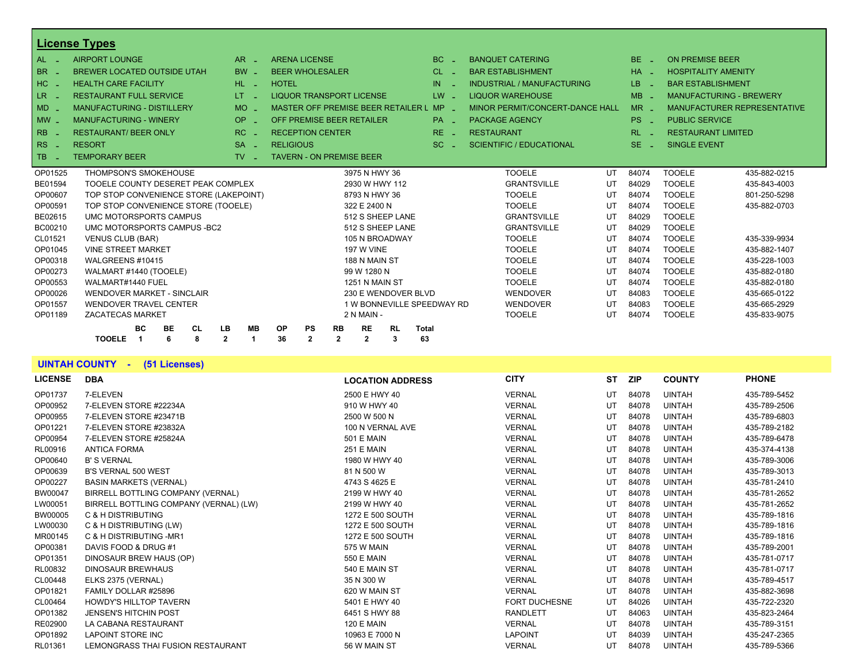|                  | <b>License Types</b>                                    |                                   |                                         |                           |                           |                |                            |                                 |    |               |                          |                                |
|------------------|---------------------------------------------------------|-----------------------------------|-----------------------------------------|---------------------------|---------------------------|----------------|----------------------------|---------------------------------|----|---------------|--------------------------|--------------------------------|
| $AL -$           | <b>AIRPORT LOUNGE</b>                                   | $AR -$                            | <b>ARENA LICENSE</b>                    |                           |                           |                | $BC =$                     | <b>BANQUET CATERING</b>         |    | $BE =$        | <b>ON PREMISE BEER</b>   |                                |
| BR               | <b>BREWER LOCATED OUTSIDE UTAH</b>                      | <b>BW</b><br>in 1911.             | <b>BEER WHOLESALER</b>                  |                           |                           |                | $CL$ $-$                   | <b>BAR ESTABLISHMENT</b>        |    | $HA -$        |                          | <b>HOSPITALITY AMENITY</b>     |
| $HC -$           | <b>HEALTH CARE FACILITY</b>                             | HL L                              | <b>HOTEL</b>                            |                           |                           |                | IN                         | INDUSTRIAL / MANUFACTURING      |    | LB.<br>$\sim$ | <b>BAR ESTABLISHMENT</b> |                                |
| LR -             | <b>RESTAURANT FULL SERVICE</b>                          | LT.                               | <b>LIQUOR TRANSPORT LICENSE</b>         |                           |                           |                | $LW -$                     | <b>LIQUOR WAREHOUSE</b>         |    | $MB -$        |                          | <b>MANUFACTURING - BREWERY</b> |
| $MD -$           | <b>MANUFACTURING - DISTILLERY</b>                       | <b>MO</b><br>in 19                | MASTER OFF PREMISE BEER RETAILER L      |                           |                           |                | $MP -$                     | MINOR PERMIT/CONCERT-DANCE HALL |    | $MR -$        |                          | MANUFACTURER REPRESENTATIVE    |
| $MW -$           | <b>MANUFACTURING - WINERY</b>                           | <b>OP</b><br>a.                   | OFF PREMISE BEER RETAILER               |                           |                           |                | $PA =$                     | <b>PACKAGE AGENCY</b>           |    | $PS -$        | <b>PUBLIC SERVICE</b>    |                                |
| <b>RB</b>        | <b>RESTAURANT/ BEER ONLY</b>                            | $RC -$                            | <b>RECEPTION CENTER</b>                 |                           |                           |                | $RE -$                     | <b>RESTAURANT</b>               |    | $RL - 1$      |                          | <b>RESTAURANT LIMITED</b>      |
| $RS -$           | <b>RESORT</b>                                           | $SA -$                            | <b>RELIGIOUS</b>                        |                           |                           |                | $SC =$                     | <b>SCIENTIFIC / EDUCATIONAL</b> |    | $SE =$        | <b>SINGLE EVENT</b>      |                                |
| <b>TB</b><br>- 2 | <b>TEMPORARY BEER</b>                                   | $TV$ $=$                          | <b>TAVERN - ON PREMISE BEER</b>         |                           |                           |                |                            |                                 |    |               |                          |                                |
| OP01525          | <b>THOMPSON'S SMOKEHOUSE</b>                            |                                   |                                         |                           | 3975 N HWY 36             |                |                            | <b>TOOELE</b>                   | UT | 84074         | <b>TOOELE</b>            | 435-882-0215                   |
| <b>BE01594</b>   | TOOELE COUNTY DESERET PEAK COMPLEX                      |                                   |                                         |                           | 2930 W HWY 112            |                |                            | <b>GRANTSVILLE</b>              | UT | 84029         | <b>TOOELE</b>            | 435-843-4003                   |
| OP00607          | TOP STOP CONVENIENCE STORE (LAKEPOINT)                  |                                   |                                         |                           | 8793 N HWY 36             |                |                            | <b>TOOELE</b>                   | UT | 84074         | <b>TOOELE</b>            | 801-250-5298                   |
| OP00591          | TOP STOP CONVENIENCE STORE (TOOELE)                     |                                   |                                         |                           | 322 E 2400 N              |                |                            | <b>TOOELE</b>                   | UT | 84074         | <b>TOOELE</b>            | 435-882-0703                   |
| BE02615          | UMC MOTORSPORTS CAMPUS                                  |                                   |                                         |                           | 512 S SHEEP LANE          |                |                            | <b>GRANTSVILLE</b>              | UT | 84029         | <b>TOOELE</b>            |                                |
| BC00210          | UMC MOTORSPORTS CAMPUS - BC2                            |                                   |                                         |                           | 512 S SHEEP LANE          |                |                            | <b>GRANTSVILLE</b>              | UT | 84029         | <b>TOOELE</b>            |                                |
| CL01521          | <b>VENUS CLUB (BAR)</b>                                 |                                   |                                         |                           | 105 N BROADWAY            |                |                            | <b>TOOELE</b>                   | UT | 84074         | <b>TOOELE</b>            | 435-339-9934                   |
| OP01045          | <b>VINE STREET MARKET</b>                               |                                   |                                         |                           | <b>197 W VINE</b>         |                |                            | <b>TOOELE</b>                   | UT | 84074         | <b>TOOELE</b>            | 435-882-1407                   |
| OP00318          | WALGREENS #10415                                        |                                   |                                         |                           | 188 N MAIN ST             |                |                            | <b>TOOELE</b>                   | UT | 84074         | <b>TOOELE</b>            | 435-228-1003                   |
| OP00273          | WALMART #1440 (TOOELE)                                  |                                   |                                         |                           | 99 W 1280 N               |                |                            | <b>TOOELE</b>                   | UT | 84074         | <b>TOOELE</b>            | 435-882-0180                   |
| OP00553          | WALMART#1440 FUEL                                       |                                   |                                         |                           | 1251 N MAIN ST            |                |                            | <b>TOOELE</b>                   | UT | 84074         | <b>TOOELE</b>            | 435-882-0180                   |
| OP00026          | <b>WENDOVER MARKET - SINCLAIR</b>                       |                                   |                                         |                           | 230 E WENDOVER BLVD       |                |                            | <b>WENDOVER</b>                 | UT | 84083         | <b>TOOELE</b>            | 435-665-0122                   |
| OP01557          | <b>WENDOVER TRAVEL CENTER</b>                           |                                   |                                         |                           |                           |                | 1 W BONNEVILLE SPEEDWAY RD | WENDOVER                        | UT | 84083         | <b>TOOELE</b>            | 435-665-2929                   |
| OP01189          | <b>ZACATECAS MARKET</b>                                 |                                   |                                         |                           | 2 N MAIN -                |                |                            | <b>TOOELE</b>                   | UT | 84074         | <b>TOOELE</b>            | 435-833-9075                   |
|                  | <b>BC</b><br><b>CL</b><br>BE<br><b>TOOELE</b><br>8<br>6 | LB<br><b>MB</b><br>$\overline{2}$ | <b>OP</b><br>PS<br>36<br>$\overline{2}$ | <b>RB</b><br>$\mathbf{2}$ | <b>RE</b><br>$\mathbf{2}$ | <b>RL</b><br>3 | <b>Total</b><br>63         |                                 |    |               |                          |                                |
|                  |                                                         |                                   |                                         |                           |                           |                |                            |                                 |    |               |                          |                                |

#### **UINTAH COUNTY - (51 Licenses)**

| <b>LICENSE</b> | <b>DBA</b>                             | <b>LOCATION ADDRESS</b> | <b>CITY</b>          | <b>ST</b> | <b>ZIP</b> | <b>COUNTY</b> | <b>PHONE</b> |
|----------------|----------------------------------------|-------------------------|----------------------|-----------|------------|---------------|--------------|
| OP01737        | 7-ELEVEN                               | 2500 E HWY 40           | <b>VERNAL</b>        | UT        | 84078      | <b>UINTAH</b> | 435-789-5452 |
| OP00952        | 7-ELEVEN STORE #22234A                 | 910 W HWY 40            | <b>VERNAL</b>        | UT        | 84078      | <b>UINTAH</b> | 435-789-2506 |
| OP00955        | 7-ELEVEN STORE #23471B                 | 2500 W 500 N            | <b>VERNAL</b>        | UT        | 84078      | <b>UINTAH</b> | 435-789-6803 |
| OP01221        | 7-ELEVEN STORE #23832A                 | 100 N VERNAL AVE        | <b>VERNAL</b>        | UT        | 84078      | <b>UINTAH</b> | 435-789-2182 |
| OP00954        | 7-ELEVEN STORE #25824A                 | <b>501 E MAIN</b>       | <b>VERNAL</b>        | UT        | 84078      | <b>UINTAH</b> | 435-789-6478 |
| RL00916        | <b>ANTICA FORMA</b>                    | <b>251 E MAIN</b>       | <b>VERNAL</b>        | UT        | 84078      | <b>UINTAH</b> | 435-374-4138 |
| OP00640        | <b>B' S VERNAL</b>                     | 1980 W HWY 40           | <b>VERNAL</b>        | UT        | 84078      | <b>UINTAH</b> | 435-789-3006 |
| OP00639        | <b>B'S VERNAL 500 WEST</b>             | 81 N 500 W              | <b>VERNAL</b>        | UT        | 84078      | <b>UINTAH</b> | 435-789-3013 |
| OP00227        | <b>BASIN MARKETS (VERNAL)</b>          | 4743 S 4625 E           | <b>VERNAL</b>        | UT        | 84078      | <b>UINTAH</b> | 435-781-2410 |
| BW00047        | BIRRELL BOTTLING COMPANY (VERNAL)      | 2199 W HWY 40           | <b>VERNAL</b>        | UT        | 84078      | <b>UINTAH</b> | 435-781-2652 |
| LW00051        | BIRRELL BOTTLING COMPANY (VERNAL) (LW) | 2199 W HWY 40           | <b>VERNAL</b>        | UT        | 84078      | <b>UINTAH</b> | 435-781-2652 |
| BW00005        | C & H DISTRIBUTING                     | 1272 E 500 SOUTH        | <b>VERNAL</b>        | UT        | 84078      | <b>UINTAH</b> | 435-789-1816 |
| LW00030        | C & H DISTRIBUTING (LW)                | 1272 E 500 SOUTH        | <b>VERNAL</b>        | UT        | 84078      | <b>UINTAH</b> | 435-789-1816 |
| MR00145        | C & H DISTRIBUTING -MR1                | 1272 E 500 SOUTH        | <b>VERNAL</b>        | UT        | 84078      | <b>UINTAH</b> | 435-789-1816 |
| OP00381        | DAVIS FOOD & DRUG #1                   | 575 W MAIN              | <b>VERNAL</b>        | UT        | 84078      | <b>UINTAH</b> | 435-789-2001 |
| OP01351        | DINOSAUR BREW HAUS (OP)                | 550 E MAIN              | <b>VERNAL</b>        | UT        | 84078      | <b>UINTAH</b> | 435-781-0717 |
| RL00832        | <b>DINOSAUR BREWHAUS</b>               | 540 E MAIN ST           | <b>VERNAL</b>        | UT        | 84078      | <b>UINTAH</b> | 435-781-0717 |
| CL00448        | ELKS 2375 (VERNAL)                     | 35 N 300 W              | <b>VERNAL</b>        | UT        | 84078      | <b>UINTAH</b> | 435-789-4517 |
| OP01821        | FAMILY DOLLAR #25896                   | 620 W MAIN ST           | <b>VERNAL</b>        | UT        | 84078      | <b>UINTAH</b> | 435-882-3698 |
| CL00464        | <b>HOWDY'S HILLTOP TAVERN</b>          | 5401 E HWY 40           | <b>FORT DUCHESNE</b> | UT        | 84026      | <b>UINTAH</b> | 435-722-2320 |
| OP01382        | <b>JENSEN'S HITCHIN POST</b>           | 6451 S HWY 88           | <b>RANDLETT</b>      | UT        | 84063      | <b>UINTAH</b> | 435-823-2464 |
| RE02900        | LA CABANA RESTAURANT                   | <b>120 E MAIN</b>       | <b>VERNAL</b>        | UT        | 84078      | <b>UINTAH</b> | 435-789-3151 |
| OP01892        | <b>LAPOINT STORE INC</b>               | 10963 E 7000 N          | <b>LAPOINT</b>       | UT        | 84039      | <b>UINTAH</b> | 435-247-2365 |
| RL01361        | LEMONGRASS THAI FUSION RESTAURANT      | 56 W MAIN ST            | <b>VERNAL</b>        | UT        | 84078      | <b>UINTAH</b> | 435-789-5366 |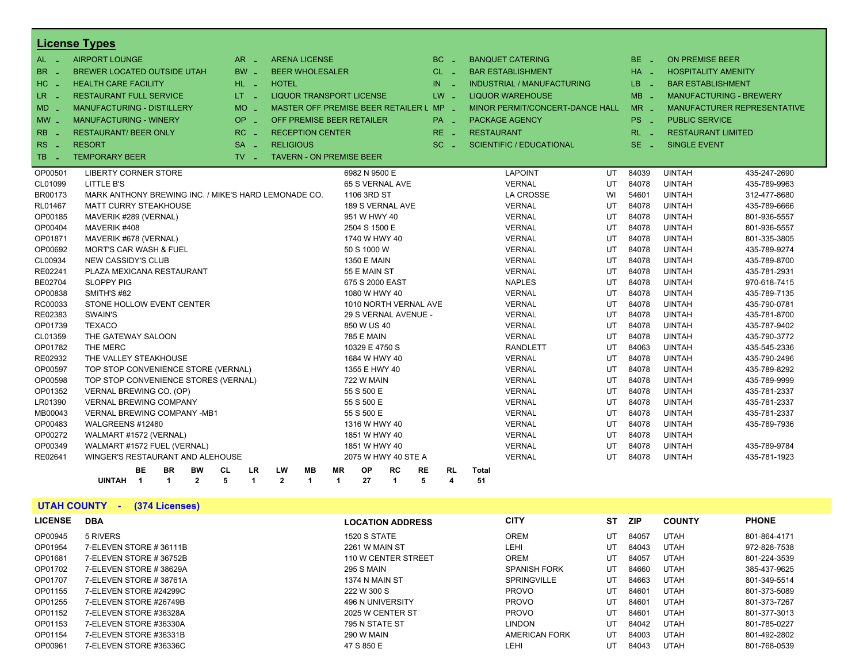|                     | <b>License Types</b>                                 |                   |                                         |              |                       |                      |           |                         |                   |                                   |    |                 |                       |                                    |
|---------------------|------------------------------------------------------|-------------------|-----------------------------------------|--------------|-----------------------|----------------------|-----------|-------------------------|-------------------|-----------------------------------|----|-----------------|-----------------------|------------------------------------|
| AL _                | <b>AIRPORT LOUNGE</b>                                | $AR -$            | <b>ARENA LICENSE</b>                    |              |                       |                      |           | $BC -$                  |                   | <b>BANQUET CATERING</b>           |    | BE -            | ON PREMISE BEER       |                                    |
| <b>BR</b>           | <b>BREWER LOCATED OUTSIDE UTAH</b>                   | $BW -$            | <b>BEER WHOLESALER</b>                  |              |                       |                      |           | $CL$ $-$                |                   | <b>BAR ESTABLISHMENT</b>          |    | $HA -$          |                       | <b>HOSPITALITY AMENITY</b>         |
| HC                  | <b>HEALTH CARE FACILITY</b>                          | HL L              | <b>HOTEL</b>                            |              |                       |                      | IN        |                         |                   | <b>INDUSTRIAL / MANUFACTURING</b> |    | LB.<br>- 1      |                       | <b>BAR ESTABLISHMENT</b>           |
| LR _                | <b>RESTAURANT FULL SERVICE</b>                       | LT = 1            | <b>LIQUOR TRANSPORT LICENSE</b>         |              |                       |                      |           | $LW -$                  |                   | <b>LIQUOR WAREHOUSE</b>           |    | $MB -$          |                       | <b>MANUFACTURING - BREWERY</b>     |
| $MD -$              | <b>MANUFACTURING - DISTILLERY</b>                    | $MO$ $-$          | MASTER OFF PREMISE BEER RETAILER L MP - |              |                       |                      |           |                         |                   | MINOR PERMIT/CONCERT-DANCE HALL   |    | $MR -$          |                       | <b>MANUFACTURER REPRESENTATIVE</b> |
| $MW -$              | <b>MANUFACTURING - WINERY</b>                        | OP.<br>in Li      | OFF PREMISE BEER RETAILER               |              |                       |                      |           | $PA -$                  |                   | <b>PACKAGE AGENCY</b>             |    | PS <sub>-</sub> | <b>PUBLIC SERVICE</b> |                                    |
| <b>RB</b>           |                                                      | RC.               |                                         |              |                       |                      |           |                         |                   |                                   |    |                 |                       |                                    |
| $\sim$ $-$          | <b>RESTAURANT/ BEER ONLY</b>                         | - 4               | <b>RECEPTION CENTER</b>                 |              |                       |                      |           | $RE -$                  | <b>RESTAURANT</b> |                                   |    | $RL - 1$        |                       | <b>RESTAURANT LIMITED</b>          |
| <b>RS</b><br>$\sim$ | <b>RESORT</b>                                        | $SA -$            | <b>RELIGIOUS</b>                        |              |                       |                      |           | $SC =$                  |                   | <b>SCIENTIFIC / EDUCATIONAL</b>   |    | $SE =$          | <b>SINGLE EVENT</b>   |                                    |
| TB <sub>1</sub>     | <b>TEMPORARY BEER</b>                                | $TV$ $\Box$       | <b>TAVERN - ON PREMISE BEER</b>         |              |                       |                      |           |                         |                   |                                   |    |                 |                       |                                    |
| OP00501             | <b>LIBERTY CORNER STORE</b>                          |                   |                                         |              | 6982 N 9500 E         |                      |           |                         |                   | <b>LAPOINT</b>                    | UT | 84039           | <b>UINTAH</b>         | 435-247-2690                       |
| CL01099             | LITTLE B'S                                           |                   |                                         |              | 65 S VERNAL AVE       |                      |           |                         |                   | <b>VERNAL</b>                     | UT | 84078           | <b>UINTAH</b>         | 435-789-9963                       |
| BR00173             | MARK ANTHONY BREWING INC. / MIKE'S HARD LEMONADE CO. |                   |                                         |              | 1106 3RD ST           |                      |           |                         |                   | <b>LA CROSSE</b>                  | WI | 54601           | <b>UINTAH</b>         | 312-477-8680                       |
| RL01467             | <b>MATT CURRY STEAKHOUSE</b>                         |                   |                                         |              | 189 S VERNAL AVE      |                      |           |                         |                   | <b>VERNAL</b>                     | UT | 84078           | <b>UINTAH</b>         | 435-789-6666                       |
| OP00185             | MAVERIK #289 (VERNAL)                                |                   |                                         |              | 951 W HWY 40          |                      |           |                         |                   | <b>VERNAL</b>                     | UT | 84078           | <b>UINTAH</b>         | 801-936-5557                       |
| OP00404             | MAVERIK #408                                         |                   |                                         |              | 2504 S 1500 E         |                      |           |                         |                   | <b>VERNAL</b>                     | UT | 84078           | <b>UINTAH</b>         | 801-936-5557                       |
| OP01871             | MAVERIK #678 (VERNAL)                                |                   |                                         |              | 1740 W HWY 40         |                      |           |                         |                   | <b>VERNAL</b>                     | UT | 84078           | <b>UINTAH</b>         | 801-335-3805                       |
| OP00692             | MORT'S CAR WASH & FUEL                               |                   |                                         |              | 50 S 1000 W           |                      |           |                         |                   | <b>VERNAL</b>                     | UT | 84078           | <b>UINTAH</b>         | 435-789-9274                       |
| CL00934             | NEW CASSIDY'S CLUB                                   |                   |                                         |              | <b>1350 E MAIN</b>    |                      |           |                         |                   | <b>VERNAL</b>                     | UT | 84078           | <b>UINTAH</b>         | 435-789-8700                       |
| RE02241             | PLAZA MEXICANA RESTAURANT                            |                   |                                         |              | 55 E MAIN ST          |                      |           |                         |                   | <b>VERNAL</b>                     | UT | 84078           | <b>UINTAH</b>         | 435-781-2931                       |
| BE02704             | <b>SLOPPY PIG</b>                                    |                   |                                         |              | 675 S 2000 EAST       |                      |           |                         |                   | <b>NAPLES</b>                     | UT | 84078           | <b>UINTAH</b>         | 970-618-7415                       |
| OP00838             | SMITH'S #82                                          |                   |                                         |              | 1080 W HWY 40         |                      |           |                         |                   | <b>VERNAL</b>                     | UT | 84078           | <b>UINTAH</b>         | 435-789-7135                       |
| RC00033             | STONE HOLLOW EVENT CENTER                            |                   |                                         |              | 1010 NORTH VERNAL AVE |                      |           |                         |                   | <b>VERNAL</b>                     | UT | 84078           | <b>UINTAH</b>         | 435-790-0781                       |
| RE02383             | SWAIN'S                                              |                   |                                         |              | 29 S VERNAL AVENUE -  |                      |           |                         |                   | <b>VERNAL</b>                     | UT | 84078           | <b>UINTAH</b>         | 435-781-8700                       |
| OP01739             | <b>TEXACO</b>                                        |                   |                                         |              | 850 W US 40           |                      |           |                         |                   | <b>VERNAL</b>                     | UT | 84078           | <b>UINTAH</b>         | 435-787-9402                       |
| CL01359             | THE GATEWAY SALOON                                   |                   |                                         |              | <b>785 E MAIN</b>     |                      |           |                         |                   | <b>VERNAL</b>                     | UT | 84078           | <b>UINTAH</b>         | 435-790-3772                       |
| OP01782             | THE MERC                                             |                   |                                         |              | 10329 E 4750 S        |                      |           |                         |                   | <b>RANDLETT</b>                   | UT | 84063           | <b>UINTAH</b>         | 435-545-2336                       |
| RE02932             | THE VALLEY STEAKHOUSE                                |                   |                                         |              | 1684 W HWY 40         |                      |           |                         |                   | <b>VERNAL</b>                     | UT | 84078           | <b>UINTAH</b>         | 435-790-2496                       |
| OP00597             | TOP STOP CONVENIENCE STORE (VERNAL)                  |                   |                                         |              | 1355 E HWY 40         |                      |           |                         |                   | <b>VERNAL</b>                     | UT | 84078           | <b>UINTAH</b>         | 435-789-8292                       |
| OP00598             | TOP STOP CONVENIENCE STORES (VERNAL)                 |                   |                                         |              | <b>722 W MAIN</b>     |                      |           |                         |                   | <b>VERNAL</b>                     | UT | 84078           | <b>UINTAH</b>         | 435-789-9999                       |
| OP01352             | VERNAL BREWING CO. (OP)                              |                   |                                         |              | 55 S 500 E            |                      |           |                         |                   | <b>VERNAL</b>                     | UT | 84078           | <b>UINTAH</b>         | 435-781-2337                       |
| LR01390             | <b>VERNAL BREWING COMPANY</b>                        |                   |                                         |              | 55 S 500 E            |                      |           |                         |                   | <b>VERNAL</b>                     | UT | 84078           | <b>UINTAH</b>         | 435-781-2337                       |
| MB00043             | <b>VERNAL BREWING COMPANY -MB1</b>                   |                   |                                         |              | 55 S 500 E            |                      |           |                         |                   | <b>VERNAL</b>                     | UT | 84078           | <b>UINTAH</b>         | 435-781-2337                       |
| OP00483             | WALGREENS #12480                                     |                   |                                         |              | 1316 W HWY 40         |                      |           |                         |                   | <b>VERNAL</b>                     | UT | 84078           | <b>UINTAH</b>         | 435-789-7936                       |
| OP00272             | WALMART #1572 (VERNAL)                               |                   |                                         |              | 1851 W HWY 40         |                      |           |                         |                   | <b>VERNAL</b>                     | UT | 84078           | <b>UINTAH</b>         |                                    |
| OP00349             | WALMART #1572 FUEL (VERNAL)                          |                   |                                         |              | 1851 W HWY 40         |                      |           |                         |                   | <b>VERNAL</b>                     | UT | 84078           | <b>UINTAH</b>         | 435-789-9784                       |
| RE02641             | WINGER'S RESTAURANT AND ALEHOUSE                     |                   |                                         |              | 2075 W HWY 40 STE A   |                      |           |                         |                   | <b>VERNAL</b>                     | UT | 84078           | <b>UINTAH</b>         | 435-781-1923                       |
|                     | BE.<br>BR<br>BW                                      | CL<br><b>LR</b>   | LW<br>MВ                                | <b>MR</b>    | <b>OP</b>             | RC                   | <b>RE</b> | <b>RL</b>               | <b>Total</b>      |                                   |    |                 |                       |                                    |
|                     | $\blacktriangleleft$<br>$\mathbf{2}$<br>UINTAH 1     | 5<br>$\mathbf{1}$ | $\mathbf{2}$<br>$\mathbf{1}$            | $\mathbf{1}$ | 27                    | $\blacktriangleleft$ | 5         | $\overline{\mathbf{4}}$ | 51                |                                   |    |                 |                       |                                    |

# **UTAH COUNTY - (374 Licenses)**

| <b>LICENSE</b> | <b>DBA</b>             | <b>LOCATION ADDRESS</b> | <b>CITY</b>          | ST | ZIP.  | <b>COUNTY</b> | <b>PHONE</b> |
|----------------|------------------------|-------------------------|----------------------|----|-------|---------------|--------------|
| OP00945        | 5 RIVERS               | 1520 S STATE            | <b>OREM</b>          | UT | 84057 | <b>UTAH</b>   | 801-864-4171 |
| OP01954        | 7-ELEVEN STORE #36111B | 2261 W MAIN ST          | LEHI                 | UT | 84043 | <b>UTAH</b>   | 972-828-7538 |
| OP01681        | 7-ELEVEN STORE #36752B | 110 W CENTER STREET     | <b>OREM</b>          | UT | 84057 | UTAH          | 801-224-3539 |
| OP01702        | 7-ELEVEN STORE #38629A | 295 S MAIN              | <b>SPANISH FORK</b>  | UT | 84660 | <b>UTAH</b>   | 385-437-9625 |
| OP01707        | 7-ELEVEN STORE #38761A | 1374 N MAIN ST          | <b>SPRINGVILLE</b>   | UT | 84663 | <b>UTAH</b>   | 801-349-5514 |
| OP01155        | 7-ELEVEN STORE #24299C | 222 W 300 S             | <b>PROVO</b>         | UT | 84601 | <b>UTAH</b>   | 801-373-5089 |
| OP01255        | 7-ELEVEN STORE #26749B | <b>496 N UNIVERSITY</b> | <b>PROVO</b>         | UT | 84601 | <b>UTAH</b>   | 801-373-7267 |
| OP01152        | 7-ELEVEN STORE #36328A | 2025 W CENTER ST        | <b>PROVO</b>         | UT | 84601 | <b>UTAH</b>   | 801-377-3013 |
| OP01153        | 7-ELEVEN STORE #36330A | 795 N STATE ST          | <b>LINDON</b>        | UT | 84042 | <b>UTAH</b>   | 801-785-0227 |
| OP01154        | 7-ELEVEN STORE #36331B | 290 W MAIN              | <b>AMERICAN FORK</b> | UT | 84003 | <b>UTAH</b>   | 801-492-2802 |
| OP00961        | 7-ELEVEN STORE #36336C | 47 S 850 E              | LEHI                 | UT | 84043 | <b>UTAH</b>   | 801-768-0539 |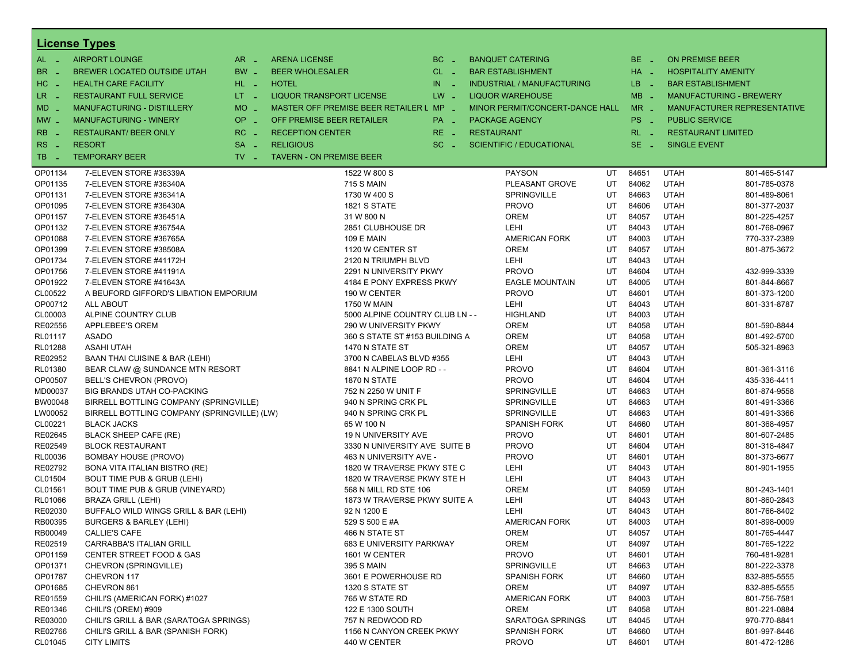|            | <b>License Types</b>                        |                               |                                         |           |                                 |                       |    |          |                            |                                |
|------------|---------------------------------------------|-------------------------------|-----------------------------------------|-----------|---------------------------------|-----------------------|----|----------|----------------------------|--------------------------------|
| $AL -$     | <b>AIRPORT LOUNGE</b>                       | $AR -$                        | <b>ARENA LICENSE</b>                    | BC<br>i a | <b>BANQUET CATERING</b>         |                       |    | $BE -$   | <b>ON PREMISE BEER</b>     |                                |
| BR.<br>. — | BREWER LOCATED OUTSIDE UTAH                 | BW _                          | <b>BEER WHOLESALER</b>                  | $CL$ $-$  | <b>BAR ESTABLISHMENT</b>        |                       |    | $HA$ $-$ | <b>HOSPITALITY AMENITY</b> |                                |
| HC<br>nia. | <b>HEALTH CARE FACILITY</b>                 | HL L                          | <b>HOTEL</b>                            | IN<br>- 2 | INDUSTRIAL / MANUFACTURING      |                       |    | LB _     | <b>BAR ESTABLISHMENT</b>   |                                |
| $LR -$     | <b>RESTAURANT FULL SERVICE</b>              | $LT - 1$                      | LIQUOR TRANSPORT LICENSE                | $LW -$    | <b>LIQUOR WAREHOUSE</b>         |                       |    | $MB -$   |                            | <b>MANUFACTURING - BREWERY</b> |
| $MD -$     | <b>MANUFACTURING - DISTILLERY</b>           | <b>MO</b>                     | MASTER OFF PREMISE BEER RETAILER L MP - |           | MINOR PERMIT/CONCERT-DANCE HALL |                       |    | $MR -$   |                            | MANUFACTURER REPRESENTATIVE    |
|            | <b>MANUFACTURING - WINERY</b>               | <b>OP</b>                     | OFF PREMISE BEER RETAILER               |           |                                 |                       |    | PS _     | <b>PUBLIC SERVICE</b>      |                                |
| $MW -$     |                                             | $\sim$                        |                                         | PA _      | <b>PACKAGE AGENCY</b>           |                       |    |          |                            |                                |
| <b>RB</b>  | <b>RESTAURANT/ BEER ONLY</b>                | RC<br>i a                     | <b>RECEPTION CENTER</b>                 | $RE -$    | <b>RESTAURANT</b>               |                       |    | $RL - 1$ | <b>RESTAURANT LIMITED</b>  |                                |
| <b>RS</b>  | <b>RESORT</b>                               | <b>SA</b><br>п.               | <b>RELIGIOUS</b>                        | $SC =$    | <b>SCIENTIFIC / EDUCATIONAL</b> |                       |    | $SE$ $-$ | <b>SINGLE EVENT</b>        |                                |
| TB.<br>. — | <b>TEMPORARY BEER</b>                       | $TV$ $\overline{\phantom{0}}$ | <b>TAVERN - ON PREMISE BEER</b>         |           |                                 |                       |    |          |                            |                                |
| OP01134    | 7-ELEVEN STORE #36339A                      |                               | 1522 W 800 S                            |           | <b>PAYSON</b>                   |                       | UT | 84651    | <b>UTAH</b>                | 801-465-5147                   |
| OP01135    | 7-ELEVEN STORE #36340A                      |                               | <b>715 S MAIN</b>                       |           |                                 | PLEASANT GROVE        | UT | 84062    | <b>UTAH</b>                | 801-785-0378                   |
| OP01131    | 7-ELEVEN STORE #36341A                      |                               | 1730 W 400 S                            |           | SPRINGVILLE                     |                       | UT | 84663    | <b>UTAH</b>                | 801-489-8061                   |
| OP01095    | 7-ELEVEN STORE #36430A                      |                               | <b>1821 S STATE</b>                     |           | <b>PROVO</b>                    |                       | UT | 84606    | <b>UTAH</b>                | 801-377-2037                   |
| OP01157    | 7-ELEVEN STORE #36451A                      |                               | 31 W 800 N                              |           | <b>OREM</b>                     |                       | UT | 84057    | <b>UTAH</b>                | 801-225-4257                   |
| OP01132    | 7-ELEVEN STORE #36754A                      |                               | 2851 CLUBHOUSE DR                       |           | <b>LEHI</b>                     |                       | UT | 84043    | <b>UTAH</b>                | 801-768-0967                   |
| OP01088    | 7-ELEVEN STORE #36765A                      |                               | <b>109 E MAIN</b>                       |           | <b>AMERICAN FORK</b>            |                       | UT | 84003    | <b>UTAH</b>                | 770-337-2389                   |
| OP01399    | 7-ELEVEN STORE #38508A                      |                               | 1120 W CENTER ST                        |           | <b>OREM</b>                     |                       | UT | 84057    | <b>UTAH</b>                | 801-875-3672                   |
| OP01734    | 7-ELEVEN STORE #41172H                      |                               | 2120 N TRIUMPH BLVD                     |           | <b>LEHI</b>                     |                       | UT | 84043    | <b>UTAH</b>                |                                |
| OP01756    | 7-ELEVEN STORE #41191A                      |                               | 2291 N UNIVERSITY PKWY                  |           | <b>PROVO</b>                    |                       | UT | 84604    | <b>UTAH</b>                | 432-999-3339                   |
| OP01922    | 7-ELEVEN STORE #41643A                      |                               | 4184 E PONY EXPRESS PKWY                |           |                                 | <b>EAGLE MOUNTAIN</b> | UT | 84005    | <b>UTAH</b>                | 801-844-8667                   |
| CL00522    | A BEUFORD GIFFORD'S LIBATION EMPORIUM       |                               | 190 W CENTER                            |           | <b>PROVO</b>                    |                       | UT | 84601    | <b>UTAH</b>                | 801-373-1200                   |
| OP00712    | ALL ABOUT                                   |                               | 1750 W MAIN                             |           | LEHI                            |                       | UT | 84043    | <b>UTAH</b>                | 801-331-8787                   |
| CL00003    | ALPINE COUNTRY CLUB                         |                               | 5000 ALPINE COUNTRY CLUB LN - -         |           | <b>HIGHLAND</b>                 |                       | UT | 84003    | <b>UTAH</b>                |                                |
| RE02556    | APPLEBEE'S OREM                             |                               | 290 W UNIVERSITY PKWY                   |           | <b>OREM</b>                     |                       | UT | 84058    | <b>UTAH</b>                | 801-590-8844                   |
| RL01117    | <b>ASADO</b>                                |                               | 360 S STATE ST #153 BUILDING A          |           | <b>OREM</b>                     |                       | UT | 84058    | <b>UTAH</b>                | 801-492-5700                   |
| RL01288    | <b>ASAHI UTAH</b>                           |                               | 1470 N STATE ST                         |           | OREM                            |                       | UT | 84057    | <b>UTAH</b>                | 505-321-8963                   |
| RE02952    | BAAN THAI CUISINE & BAR (LEHI)              |                               | 3700 N CABELAS BLVD #355                |           | LEHI                            |                       | UT | 84043    | <b>UTAH</b>                |                                |
| RL01380    | BEAR CLAW @ SUNDANCE MTN RESORT             |                               | 8841 N ALPINE LOOP RD - -               |           | <b>PROVO</b>                    |                       | UT | 84604    | <b>UTAH</b>                | 801-361-3116                   |
| OP00507    | BELL'S CHEVRON (PROVO)                      |                               | 1870 N STATE                            |           | <b>PROVO</b>                    |                       | UT | 84604    | <b>UTAH</b>                | 435-336-4411                   |
| MD00037    | <b>BIG BRANDS UTAH CO-PACKING</b>           |                               | 752 N 2250 W UNIT F                     |           | SPRINGVILLE                     |                       | UT | 84663    | <b>UTAH</b>                | 801-874-9558                   |
| BW00048    | BIRRELL BOTTLING COMPANY (SPRINGVILLE)      |                               | 940 N SPRING CRK PL                     |           | SPRINGVILLE                     |                       | UT | 84663    | <b>UTAH</b>                | 801-491-3366                   |
| LW00052    | BIRRELL BOTTLING COMPANY (SPRINGVILLE) (LW) |                               | 940 N SPRING CRK PL                     |           | SPRINGVILLE                     |                       | UT | 84663    | <b>UTAH</b>                | 801-491-3366                   |
| CL00221    | <b>BLACK JACKS</b>                          |                               | 65 W 100 N                              |           | <b>SPANISH FORK</b>             |                       | UT | 84660    | <b>UTAH</b>                | 801-368-4957                   |
| RE02645    | <b>BLACK SHEEP CAFE (RE)</b>                |                               | 19 N UNIVERSITY AVE                     |           | <b>PROVO</b>                    |                       | UT | 84601    | <b>UTAH</b>                | 801-607-2485                   |
| RE02549    | <b>BLOCK RESTAURANT</b>                     |                               | 3330 N UNIVERSITY AVE SUITE B           |           | <b>PROVO</b>                    |                       | UT | 84604    | <b>UTAH</b>                | 801-318-4847                   |
| RL00036    | <b>BOMBAY HOUSE (PROVO)</b>                 |                               | 463 N UNIVERSITY AVE -                  |           | <b>PROVO</b>                    |                       | UT | 84601    | <b>UTAH</b>                | 801-373-6677                   |
| RE02792    | <b>BONA VITA ITALIAN BISTRO (RE)</b>        |                               | 1820 W TRAVERSE PKWY STE C              |           | LEHI                            |                       | UT | 84043    | <b>UTAH</b>                | 801-901-1955                   |
| CL01504    | BOUT TIME PUB & GRUB (LEHI)                 |                               | 1820 W TRAVERSE PKWY STE H              |           | LEHI                            |                       | UT | 84043    | <b>UTAH</b>                |                                |
| CL01561    | BOUT TIME PUB & GRUB (VINEYARD)             |                               | 568 N MILL RD STE 106                   |           | <b>OREM</b>                     |                       | UT | 84059    | <b>UTAH</b>                | 801-243-1401                   |
| RL01066    | <b>BRAZA GRILL (LEHI)</b>                   |                               | 1873 W TRAVERSE PKWY SUITE A            |           | LEHI                            |                       | UT | 84043    | <b>UTAH</b>                | 801-860-2843                   |
| RE02030    | BUFFALO WILD WINGS GRILL & BAR (LEHI)       |                               | 92 N 1200 E                             |           | LEHI                            |                       | UT | 84043    | <b>UTAH</b>                | 801-766-8402                   |
| RB00395    | <b>BURGERS &amp; BARLEY (LEHI)</b>          |                               | 529 S 500 E #A                          |           | <b>AMERICAN FORK</b>            |                       | UT | 84003    | <b>UTAH</b>                | 801-898-0009                   |
| RB00049    | <b>CALLIE'S CAFE</b>                        |                               | 466 N STATE ST                          |           | <b>OREM</b>                     |                       | UT | 84057    | <b>UTAH</b>                | 801-765-4447                   |
| RE02519    | CARRABBA'S ITALIAN GRILL                    |                               | 683 E UNIVERSITY PARKWAY                |           | <b>OREM</b>                     |                       | UT | 84097    | <b>UTAH</b>                | 801-765-1222                   |
| OP01159    | <b>CENTER STREET FOOD &amp; GAS</b>         |                               | 1601 W CENTER                           |           | <b>PROVO</b>                    |                       | UT | 84601    | <b>UTAH</b>                | 760-481-9281                   |
| OP01371    | CHEVRON (SPRINGVILLE)                       |                               | <b>395 S MAIN</b>                       |           | SPRINGVILLE                     |                       | UT | 84663    | <b>UTAH</b>                | 801-222-3378                   |
| OP01787    | CHEVRON 117                                 |                               | 3601 E POWERHOUSE RD                    |           | <b>SPANISH FORK</b>             |                       | UT | 84660    | <b>UTAH</b>                | 832-885-5555                   |
| OP01685    | CHEVRON 861                                 |                               | 1320 S STATE ST                         |           | OREM                            |                       | UT | 84097    | <b>UTAH</b>                | 832-885-5555                   |
| RE01559    | CHILI'S (AMERICAN FORK) #1027               |                               | 765 W STATE RD                          |           | <b>AMERICAN FORK</b>            |                       | UT | 84003    | <b>UTAH</b>                | 801-756-7581                   |
| RE01346    | CHILI'S (OREM) #909                         |                               | 122 E 1300 SOUTH                        |           | <b>OREM</b>                     |                       | UT | 84058    | <b>UTAH</b>                | 801-221-0884                   |
| RE03000    | CHILI'S GRILL & BAR (SARATOGA SPRINGS)      |                               | 757 N REDWOOD RD                        |           |                                 | SARATOGA SPRINGS      | UT | 84045    | <b>UTAH</b>                | 970-770-8841                   |
| RE02766    | CHILI'S GRILL & BAR (SPANISH FORK)          |                               | 1156 N CANYON CREEK PKWY                |           | SPANISH FORK                    |                       | UT | 84660    | <b>UTAH</b>                | 801-997-8446                   |
| CL01045    | <b>CITY LIMITS</b>                          |                               | 440 W CENTER                            |           | <b>PROVO</b>                    |                       | UT | 84601    | <b>UTAH</b>                | 801-472-1286                   |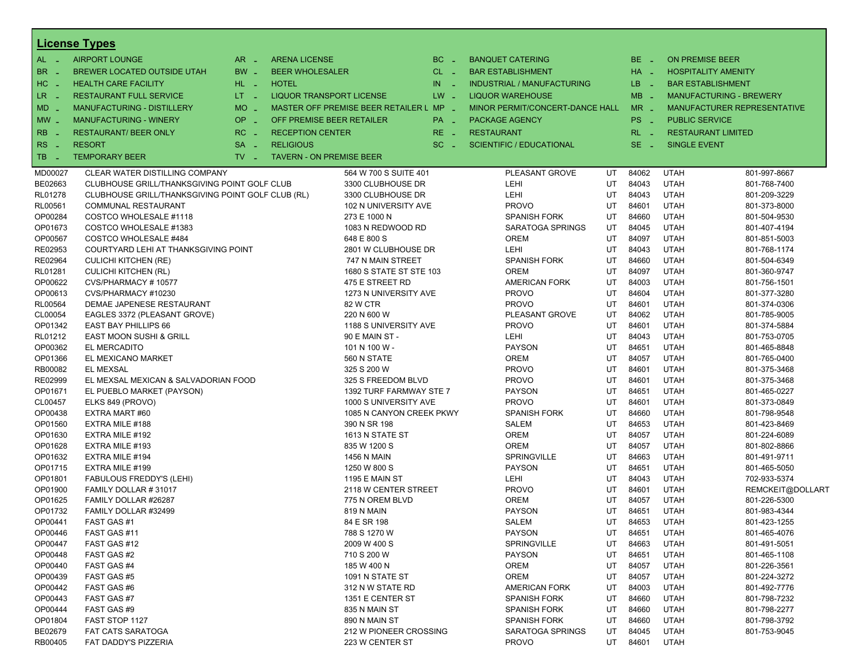|                     | <b>License Types</b>                                       |                               |                                 |                                              |           |                                    |          |                |                                |                              |  |
|---------------------|------------------------------------------------------------|-------------------------------|---------------------------------|----------------------------------------------|-----------|------------------------------------|----------|----------------|--------------------------------|------------------------------|--|
| $AL -$              | <b>AIRPORT LOUNGE</b>                                      | $AR -$                        | <b>ARENA LICENSE</b>            |                                              | $BC =$    | <b>BANQUET CATERING</b>            |          | BE _           | <b>ON PREMISE BEER</b>         |                              |  |
| BR.<br>$\sim$       | BREWER LOCATED OUTSIDE UTAH                                | $BW -$                        | <b>BEER WHOLESALER</b>          |                                              | $CL$ $-$  | <b>BAR ESTABLISHMENT</b>           |          | $HA$ $-$       | <b>HOSPITALITY AMENITY</b>     |                              |  |
| HC<br>$\sim$        | <b>HEALTH CARE FACILITY</b>                                | $HL$ $-$                      | <b>HOTEL</b>                    |                                              | $IN \sim$ | <b>INDUSTRIAL / MANUFACTURING</b>  |          | $LB - 1$       | <b>BAR ESTABLISHMENT</b>       |                              |  |
| LR.<br>$\sim$ $-$   | <b>RESTAURANT FULL SERVICE</b>                             | $LT = 1$                      | <b>LIQUOR TRANSPORT LICENSE</b> |                                              | $LW -$    | <b>LIQUOR WAREHOUSE</b>            |          | $MB -$         | <b>MANUFACTURING - BREWERY</b> |                              |  |
| MD                  | <b>MANUFACTURING - DISTILLERY</b>                          | $MO$ $\overline{\phantom{0}}$ |                                 | MASTER OFF PREMISE BEER RETAILER L MP _      |           | MINOR PERMIT/CONCERT-DANCE HALL    |          | $MR -$         |                                | MANUFACTURER REPRESENTATIVE  |  |
| $MW$ $-$            | <b>MANUFACTURING - WINERY</b>                              | OP.<br>$\sim$                 | OFF PREMISE BEER RETAILER       |                                              | PA _      | PACKAGE AGENCY                     |          | PS _           | <b>PUBLIC SERVICE</b>          |                              |  |
| <b>RB</b>           | <b>RESTAURANT/ BEER ONLY</b>                               | RC                            | <b>RECEPTION CENTER</b>         |                                              | RE.       | <b>RESTAURANT</b>                  |          | $RL - 1$       | <b>RESTAURANT LIMITED</b>      |                              |  |
|                     |                                                            | $\sim$ $\sim$                 |                                 |                                              | - 4       |                                    |          |                |                                |                              |  |
| <b>RS</b><br>$\sim$ | <b>RESORT</b>                                              | $SA =$                        | <b>RELIGIOUS</b>                |                                              | $SC =$    | <b>SCIENTIFIC / EDUCATIONAL</b>    |          | $SE -$         | <b>SINGLE EVENT</b>            |                              |  |
| TB.<br>- 4          | <b>TEMPORARY BEER</b>                                      | $TV -$                        | <b>TAVERN - ON PREMISE BEER</b> |                                              |           |                                    |          |                |                                |                              |  |
| MD00027             | CLEAR WATER DISTILLING COMPANY                             |                               |                                 | 564 W 700 S SUITE 401                        |           | PLEASANT GROVE                     | UT       | 84062          | <b>UTAH</b>                    | 801-997-8667                 |  |
| BE02663             | CLUBHOUSE GRILL/THANKSGIVING POINT GOLF CLUB               |                               |                                 | 3300 CLUBHOUSE DR                            |           | LEHI                               | UT       | 84043          | <b>UTAH</b>                    | 801-768-7400                 |  |
| RL01278             | CLUBHOUSE GRILL/THANKSGIVING POINT GOLF CLUB (RL)          |                               |                                 | 3300 CLUBHOUSE DR                            |           | LEHI                               | UT       | 84043          | <b>UTAH</b>                    | 801-209-3229                 |  |
| RL00561             | COMMUNAL RESTAURANT                                        |                               |                                 | 102 N UNIVERSITY AVE                         |           | <b>PROVO</b>                       | UT       | 84601          | <b>UTAH</b>                    | 801-373-8000                 |  |
| OP00284             | COSTCO WHOLESALE #1118                                     |                               |                                 | 273 E 1000 N                                 |           | <b>SPANISH FORK</b>                | UT       | 84660          | <b>UTAH</b>                    | 801-504-9530                 |  |
| OP01673             | COSTCO WHOLESALE #1383                                     |                               |                                 | 1083 N REDWOOD RD                            |           | SARATOGA SPRINGS                   | UT       | 84045          | <b>UTAH</b>                    | 801-407-4194                 |  |
| OP00567             | COSTCO WHOLESALE #484                                      |                               |                                 | 648 E 800 S                                  |           | <b>OREM</b>                        | UT       | 84097          | <b>UTAH</b>                    | 801-851-5003                 |  |
| RE02953             | COURTYARD LEHI AT THANKSGIVING POINT                       |                               |                                 | 2801 W CLUBHOUSE DR                          |           | LEHI                               | UT<br>UT | 84043          | <b>UTAH</b><br><b>UTAH</b>     | 801-768-1174                 |  |
| RE02964<br>RL01281  | <b>CULICHI KITCHEN (RE)</b><br><b>CULICHI KITCHEN (RL)</b> |                               |                                 | 747 N MAIN STREET<br>1680 S STATE ST STE 103 |           | <b>SPANISH FORK</b><br><b>OREM</b> | UT       | 84660<br>84097 | <b>UTAH</b>                    | 801-504-6349<br>801-360-9747 |  |
| OP00622             | CVS/PHARMACY #10577                                        |                               |                                 | 475 E STREET RD                              |           | <b>AMERICAN FORK</b>               | UT       | 84003          | <b>UTAH</b>                    | 801-756-1501                 |  |
| OP00613             | CVS/PHARMACY #10230                                        |                               |                                 | 1273 N UNIVERSITY AVE                        |           | <b>PROVO</b>                       | UT       | 84604          | <b>UTAH</b>                    | 801-377-3280                 |  |
| RL00564             | DEMAE JAPENESE RESTAURANT                                  |                               |                                 | <b>82 W CTR</b>                              |           | <b>PROVO</b>                       | UT       | 84601          | <b>UTAH</b>                    | 801-374-0306                 |  |
| CL00054             | EAGLES 3372 (PLEASANT GROVE)                               |                               |                                 | 220 N 600 W                                  |           | PLEASANT GROVE                     | UT       | 84062          | <b>UTAH</b>                    | 801-785-9005                 |  |
| OP01342             | <b>EAST BAY PHILLIPS 66</b>                                |                               |                                 | 1188 S UNIVERSITY AVE                        |           | <b>PROVO</b>                       | UT       | 84601          | <b>UTAH</b>                    | 801-374-5884                 |  |
| RL01212             | <b>EAST MOON SUSHI &amp; GRILL</b>                         |                               |                                 | 90 E MAIN ST -                               |           | LEHI                               | UT       | 84043          | <b>UTAH</b>                    | 801-753-0705                 |  |
| OP00362             | EL MERCADITO                                               |                               |                                 | 101 N 100 W -                                |           | <b>PAYSON</b>                      | UT       | 84651          | <b>UTAH</b>                    | 801-465-8848                 |  |
| OP01366             | EL MEXICANO MARKET                                         |                               |                                 | 560 N STATE                                  |           | <b>OREM</b>                        | UT       | 84057          | <b>UTAH</b>                    | 801-765-0400                 |  |
| RB00082             | <b>EL MEXSAL</b>                                           |                               |                                 | 325 S 200 W                                  |           | <b>PROVO</b>                       | UT       | 84601          | <b>UTAH</b>                    | 801-375-3468                 |  |
| RE02999             | EL MEXSAL MEXICAN & SALVADORIAN FOOD                       |                               |                                 | 325 S FREEDOM BLVD                           |           | <b>PROVO</b>                       | UT       | 84601          | <b>UTAH</b>                    | 801-375-3468                 |  |
| OP01671             | EL PUEBLO MARKET (PAYSON)                                  |                               |                                 | 1392 TURF FARMWAY STE 7                      |           | <b>PAYSON</b>                      | UT       | 84651          | <b>UTAH</b>                    | 801-465-0227                 |  |
| CL00457             | ELKS 849 (PROVO)                                           |                               |                                 | 1000 S UNIVERSITY AVE                        |           | <b>PROVO</b>                       | UT       | 84601          | <b>UTAH</b>                    | 801-373-0849                 |  |
| OP00438             | EXTRA MART #60                                             |                               |                                 | 1085 N CANYON CREEK PKWY                     |           | <b>SPANISH FORK</b>                | UT       | 84660          | <b>UTAH</b>                    | 801-798-9548                 |  |
| OP01560             | EXTRA MILE #188                                            |                               |                                 | 390 N SR 198                                 |           | SALEM                              | UT       | 84653          | <b>UTAH</b>                    | 801-423-8469                 |  |
| OP01630             | EXTRA MILE #192                                            |                               |                                 | 1613 N STATE ST                              |           | <b>OREM</b>                        | UT       | 84057          | <b>UTAH</b>                    | 801-224-6089                 |  |
| OP01628             | EXTRA MILE #193                                            |                               |                                 | 835 W 1200 S                                 |           | <b>OREM</b>                        | UT       | 84057          | <b>UTAH</b>                    | 801-802-8866                 |  |
| OP01632             | EXTRA MILE #194                                            |                               |                                 | <b>1456 N MAIN</b>                           |           | SPRINGVILLE                        | UT       | 84663          | <b>UTAH</b>                    | 801-491-9711                 |  |
| OP01715             | EXTRA MILE #199                                            |                               |                                 | 1250 W 800 S                                 |           | <b>PAYSON</b>                      | UT       | 84651          | <b>UTAH</b>                    | 801-465-5050                 |  |
| OP01801             | <b>FABULOUS FREDDY'S (LEHI)</b>                            |                               |                                 | 1195 E MAIN ST                               |           | LEHI                               | UT       | 84043          | <b>UTAH</b>                    | 702-933-5374                 |  |
| OP01900             | FAMILY DOLLAR #31017                                       |                               |                                 | 2118 W CENTER STREET                         |           | <b>PROVO</b>                       | UT       | 84601          | <b>UTAH</b>                    | REMCKEIT@DOLLART             |  |
| OP01625             | FAMILY DOLLAR #26287                                       |                               |                                 | 775 N OREM BLVD                              |           | <b>OREM</b>                        | UT       | 84057          | <b>UTAH</b>                    | 801-226-5300                 |  |
| OP01732             | FAMILY DOLLAR #32499                                       |                               |                                 | 819 N MAIN                                   |           | <b>PAYSON</b>                      | UT       | 84651          | <b>UTAH</b><br><b>UTAH</b>     | 801-983-4344                 |  |
| OP00441             | FAST GAS #1                                                |                               |                                 | 84 E SR 198                                  |           | SALEM<br><b>PAYSON</b>             | UT       | 84653          |                                | 801-423-1255<br>801-465-4076 |  |
| OP00446<br>OP00447  | FAST GAS #11<br>FAST GAS #12                               |                               |                                 | 788 S 1270 W<br>2009 W 400 S                 |           | SPRINGVILLE                        | UT<br>UT | 84651<br>84663 | <b>UTAH</b><br><b>UTAH</b>     | 801-491-5051                 |  |
| OP00448             | FAST GAS #2                                                |                               |                                 | 710 S 200 W                                  |           | <b>PAYSON</b>                      | UT       | 84651          | <b>UTAH</b>                    | 801-465-1108                 |  |
| OP00440             | FAST GAS #4                                                |                               |                                 | 185 W 400 N                                  |           | <b>OREM</b>                        | UT       | 84057          | <b>UTAH</b>                    | 801-226-3561                 |  |
| OP00439             | FAST GAS#5                                                 |                               |                                 | 1091 N STATE ST                              |           | <b>OREM</b>                        | UT       | 84057          | <b>UTAH</b>                    | 801-224-3272                 |  |
| OP00442             | FAST GAS#6                                                 |                               |                                 | 312 N W STATE RD                             |           | <b>AMERICAN FORK</b>               | UT       | 84003          | <b>UTAH</b>                    | 801-492-7776                 |  |
| OP00443             | FAST GAS #7                                                |                               |                                 | 1351 E CENTER ST                             |           | <b>SPANISH FORK</b>                | UT       | 84660          | <b>UTAH</b>                    | 801-798-7232                 |  |
| OP00444             | FAST GAS #9                                                |                               |                                 | 835 N MAIN ST                                |           | <b>SPANISH FORK</b>                | UT       | 84660          | <b>UTAH</b>                    | 801-798-2277                 |  |
| OP01804             | FAST STOP 1127                                             |                               |                                 | 890 N MAIN ST                                |           | <b>SPANISH FORK</b>                | UT       | 84660          | <b>UTAH</b>                    | 801-798-3792                 |  |
| BE02679             | <b>FAT CATS SARATOGA</b>                                   |                               |                                 | 212 W PIONEER CROSSING                       |           | SARATOGA SPRINGS                   | UT       | 84045          | <b>UTAH</b>                    | 801-753-9045                 |  |
| RB00405             | FAT DADDY'S PIZZERIA                                       |                               |                                 | 223 W CENTER ST                              |           | <b>PROVO</b>                       | UT       | 84601          | <b>UTAH</b>                    |                              |  |
|                     |                                                            |                               |                                 |                                              |           |                                    |          |                |                                |                              |  |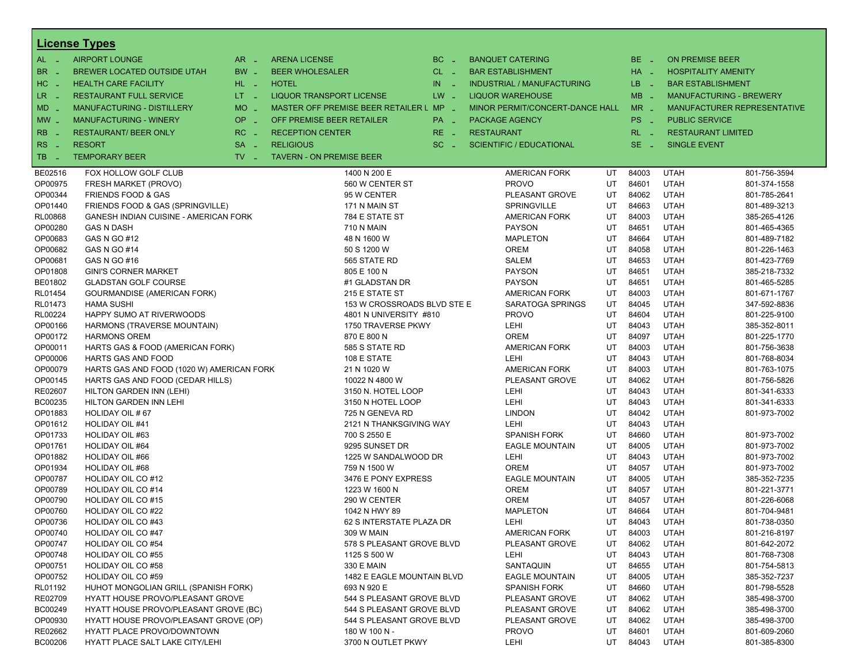|                   | <b>License Types</b>                      |                               |                                         |                      |                                   |    |                 |                        |                                    |
|-------------------|-------------------------------------------|-------------------------------|-----------------------------------------|----------------------|-----------------------------------|----|-----------------|------------------------|------------------------------------|
| $AL -$            | <b>AIRPORT LOUNGE</b>                     | AR<br>- 4                     | <b>ARENA LICENSE</b>                    | $BC -$               | <b>BANQUET CATERING</b>           |    | $BE -$          | <b>ON PREMISE BEER</b> |                                    |
| BR.<br>. —        | BREWER LOCATED OUTSIDE UTAH               | BW _                          | <b>BEER WHOLESALER</b>                  | $CL$ $-$             | <b>BAR ESTABLISHMENT</b>          |    | $HA$ $-$        |                        | <b>HOSPITALITY AMENITY</b>         |
| HC<br>. —         | <b>HEALTH CARE FACILITY</b>               | HL L                          | <b>HOTEL</b>                            | IN<br><b>College</b> | <b>INDUSTRIAL / MANUFACTURING</b> |    | LB.<br>- 2      |                        | <b>BAR ESTABLISHMENT</b>           |
| LR _              | <b>RESTAURANT FULL SERVICE</b>            | $LT - 1$                      | <b>LIQUOR TRANSPORT LICENSE</b>         | $LW -$               | <b>LIQUOR WAREHOUSE</b>           |    | $MB -$          |                        | <b>MANUFACTURING - BREWERY</b>     |
| $MD -$            | MANUFACTURING - DISTILLERY                | <b>MO</b><br>i al             | MASTER OFF PREMISE BEER RETAILER L MP _ |                      | MINOR PERMIT/CONCERT-DANCE HALL   |    | $MR -$          |                        | <b>MANUFACTURER REPRESENTATIVE</b> |
|                   | <b>MANUFACTURING - WINERY</b>             | <b>OP</b>                     | OFF PREMISE BEER RETAILER               |                      |                                   |    | PS <sub>-</sub> | <b>PUBLIC SERVICE</b>  |                                    |
| $MW -$            |                                           | i al                          |                                         | PA _                 | <b>PACKAGE AGENCY</b>             |    |                 |                        |                                    |
| <b>RB</b>         | <b>RESTAURANT/ BEER ONLY</b>              | RC<br>- 4                     | <b>RECEPTION CENTER</b>                 | $RE -$               | <b>RESTAURANT</b>                 |    | $RL - 1$        |                        | <b>RESTAURANT LIMITED</b>          |
| <b>RS</b><br>- 11 | <b>RESORT</b>                             | <b>SA</b><br>п.               | <b>RELIGIOUS</b>                        | $SC =$               | <b>SCIENTIFIC / EDUCATIONAL</b>   |    | $SE -$          | <b>SINGLE EVENT</b>    |                                    |
| TB<br>- 4         | <b>TEMPORARY BEER</b>                     | $TV$ $\overline{\phantom{0}}$ | <b>TAVERN - ON PREMISE BEER</b>         |                      |                                   |    |                 |                        |                                    |
| BE02516           | FOX HOLLOW GOLF CLUB                      |                               | 1400 N 200 E                            |                      | <b>AMERICAN FORK</b>              | UT | 84003           | <b>UTAH</b>            | 801-756-3594                       |
| OP00975           | FRESH MARKET (PROVO)                      |                               | 560 W CENTER ST                         |                      | <b>PROVO</b>                      | UT | 84601           | <b>UTAH</b>            | 801-374-1558                       |
| OP00344           | <b>FRIENDS FOOD &amp; GAS</b>             |                               | 95 W CENTER                             |                      | PLEASANT GROVE                    | UT | 84062           | <b>UTAH</b>            | 801-785-2641                       |
| OP01440           | FRIENDS FOOD & GAS (SPRINGVILLE)          |                               | 171 N MAIN ST                           |                      | <b>SPRINGVILLE</b>                | UT | 84663           | <b>UTAH</b>            | 801-489-3213                       |
| RL00868           | GANESH INDIAN CUISINE - AMERICAN FORK     |                               | 784 E STATE ST                          |                      | <b>AMERICAN FORK</b>              | UT | 84003           | <b>UTAH</b>            | 385-265-4126                       |
| OP00280           | <b>GAS N DASH</b>                         |                               | <b>710 N MAIN</b>                       |                      | <b>PAYSON</b>                     | UT | 84651           | <b>UTAH</b>            | 801-465-4365                       |
| OP00683           | GAS N GO #12                              |                               | 48 N 1600 W                             |                      | <b>MAPLETON</b>                   | UT | 84664           | <b>UTAH</b>            | 801-489-7182                       |
| OP00682           | GAS N GO #14                              |                               | 50 S 1200 W                             |                      | <b>OREM</b>                       | UT | 84058           | <b>UTAH</b>            | 801-226-1463                       |
| OP00681           | GAS N GO #16                              |                               | 565 STATE RD                            |                      | <b>SALEM</b>                      | UT | 84653           | <b>UTAH</b>            | 801-423-7769                       |
| OP01808           | <b>GINI'S CORNER MARKET</b>               |                               | 805 E 100 N                             |                      | <b>PAYSON</b>                     | UT | 84651           | <b>UTAH</b>            | 385-218-7332                       |
| BE01802           | <b>GLADSTAN GOLF COURSE</b>               |                               | #1 GLADSTAN DR                          |                      | <b>PAYSON</b>                     | UT | 84651           | <b>UTAH</b>            | 801-465-5285                       |
| RL01454           | <b>GOURMANDISE (AMERICAN FORK)</b>        |                               | 215 E STATE ST                          |                      | <b>AMERICAN FORK</b>              | UT | 84003           | <b>UTAH</b>            | 801-671-1767                       |
| RL01473           | <b>HAMA SUSHI</b>                         |                               | 153 W CROSSROADS BLVD STE E             |                      | SARATOGA SPRINGS                  | UT | 84045           | <b>UTAH</b>            | 347-592-8836                       |
| RL00224           | HAPPY SUMO AT RIVERWOODS                  |                               | 4801 N UNIVERSITY #810                  |                      | <b>PROVO</b>                      | UT | 84604           | <b>UTAH</b>            | 801-225-9100                       |
| OP00166           | HARMONS (TRAVERSE MOUNTAIN)               |                               | 1750 TRAVERSE PKWY                      |                      | LEHI                              | UT | 84043           | <b>UTAH</b>            | 385-352-8011                       |
| OP00172           | <b>HARMONS OREM</b>                       |                               | 870 E 800 N                             |                      | <b>OREM</b>                       | UT | 84097           | <b>UTAH</b>            | 801-225-1770                       |
| OP00011           | HARTS GAS & FOOD (AMERICAN FORK)          |                               | 585 S STATE RD                          |                      | <b>AMERICAN FORK</b>              | UT | 84003           | <b>UTAH</b>            | 801-756-3638                       |
| OP00006           | HARTS GAS AND FOOD                        |                               | 108 E STATE                             |                      | <b>LEHI</b>                       | UT | 84043           | <b>UTAH</b>            | 801-768-8034                       |
| OP00079           | HARTS GAS AND FOOD (1020 W) AMERICAN FORK |                               | 21 N 1020 W                             |                      | <b>AMERICAN FORK</b>              | UT | 84003           | <b>UTAH</b>            | 801-763-1075                       |
| OP00145           | HARTS GAS AND FOOD (CEDAR HILLS)          |                               | 10022 N 4800 W                          |                      | PLEASANT GROVE                    | UT | 84062           | <b>UTAH</b>            | 801-756-5826                       |
| RE02607           | HILTON GARDEN INN (LEHI)                  |                               | 3150 N. HOTEL LOOP                      |                      | LEHI                              | UT | 84043           | <b>UTAH</b>            | 801-341-6333                       |
| BC00235           | HILTON GARDEN INN LEHI                    |                               | 3150 N HOTEL LOOP                       |                      | LEHI                              | UT | 84043           | <b>UTAH</b>            | 801-341-6333                       |
| OP01883           | HOLIDAY OIL #67                           |                               | 725 N GENEVA RD                         |                      | <b>LINDON</b>                     | UT | 84042           | <b>UTAH</b>            | 801-973-7002                       |
| OP01612           | <b>HOLIDAY OIL #41</b>                    |                               | 2121 N THANKSGIVING WAY                 |                      | <b>LEHI</b>                       | UT | 84043           | <b>UTAH</b>            |                                    |
| OP01733           | <b>HOLIDAY OIL #63</b>                    |                               | 700 S 2550 E                            |                      | <b>SPANISH FORK</b>               | UT | 84660           | <b>UTAH</b>            | 801-973-7002                       |
| OP01761           | <b>HOLIDAY OIL #64</b>                    |                               | 9295 SUNSET DR                          |                      | <b>EAGLE MOUNTAIN</b>             | UT | 84005           | <b>UTAH</b>            | 801-973-7002                       |
| OP01882           | <b>HOLIDAY OIL #66</b>                    |                               | 1225 W SANDALWOOD DR                    |                      | LEHI                              | UT | 84043           | <b>UTAH</b>            | 801-973-7002                       |
| OP01934           | HOLIDAY OIL #68                           |                               | 759 N 1500 W                            |                      | <b>OREM</b>                       | UT | 84057           | <b>UTAH</b>            | 801-973-7002                       |
| OP00787           | HOLIDAY OIL CO#12                         |                               | 3476 E PONY EXPRESS                     |                      | <b>EAGLE MOUNTAIN</b>             | UT | 84005           | <b>UTAH</b>            | 385-352-7235                       |
| OP00789           | <b>HOLIDAY OIL CO#14</b>                  |                               | 1223 W 1600 N                           |                      | <b>OREM</b>                       | UT | 84057           | <b>UTAH</b>            | 801-221-3771                       |
| OP00790           | HOLIDAY OIL CO#15                         |                               | 290 W CENTER                            |                      | <b>OREM</b>                       | UT | 84057           | <b>UTAH</b>            | 801-226-6068                       |
| OP00760           | HOLIDAY OIL CO#22                         |                               | 1042 N HWY 89                           |                      | <b>MAPLETON</b>                   | UT | 84664           | <b>UTAH</b>            | 801-704-9481                       |
| OP00736           | <b>HOLIDAY OIL CO#43</b>                  |                               | 62 S INTERSTATE PLAZA DR                |                      | LEHI                              | UT | 84043           | <b>UTAH</b>            | 801-738-0350                       |
| OP00740           | HOLIDAY OIL CO#47                         |                               | 309 W MAIN                              |                      | <b>AMERICAN FORK</b>              | UT | 84003           | <b>UTAH</b>            | 801-216-8197                       |
| OP00747           | HOLIDAY OIL CO#54                         |                               | 578 S PLEASANT GROVE BLVD               |                      | PLEASANT GROVE                    | UT | 84062           | <b>UTAH</b>            | 801-642-2072                       |
| OP00748           | <b>HOLIDAY OIL CO#55</b>                  |                               | 1125 S 500 W                            |                      | LEHI                              | UT | 84043           | <b>UTAH</b>            | 801-768-7308                       |
| OP00751           | HOLIDAY OIL CO#58                         |                               | 330 E MAIN                              |                      | SANTAQUIN                         | UT | 84655           | <b>UTAH</b>            | 801-754-5813                       |
| OP00752           | HOLIDAY OIL CO#59                         |                               | 1482 E EAGLE MOUNTAIN BLVD              |                      | <b>EAGLE MOUNTAIN</b>             | UT | 84005           | <b>UTAH</b>            | 385-352-7237                       |
| RL01192           | HUHOT MONGOLIAN GRILL (SPANISH FORK)      |                               | 693 N 920 E                             |                      | <b>SPANISH FORK</b>               | UT | 84660           | <b>UTAH</b>            | 801-798-5528                       |
| RE02709           | HYATT HOUSE PROVO/PLEASANT GROVE          |                               | 544 S PLEASANT GROVE BLVD               |                      | PLEASANT GROVE                    | UT | 84062           | <b>UTAH</b>            | 385-498-3700                       |
| BC00249           | HYATT HOUSE PROVO/PLEASANT GROVE (BC)     |                               | 544 S PLEASANT GROVE BLVD               |                      | PLEASANT GROVE                    | UT | 84062           | <b>UTAH</b>            | 385-498-3700                       |
| OP00930           | HYATT HOUSE PROVO/PLEASANT GROVE (OP)     |                               | 544 S PLEASANT GROVE BLVD               |                      | PLEASANT GROVE                    | UT | 84062           | <b>UTAH</b>            | 385-498-3700                       |
| RE02662           | <b>HYATT PLACE PROVO/DOWNTOWN</b>         |                               | 180 W 100 N -                           |                      | <b>PROVO</b>                      | UT | 84601           | <b>UTAH</b>            | 801-609-2060                       |
| BC00206           | HYATT PLACE SALT LAKE CITY/LEHI           |                               | 3700 N OUTLET PKWY                      |                      | LEHI                              | UT | 84043           | UTAH                   | 801-385-8300                       |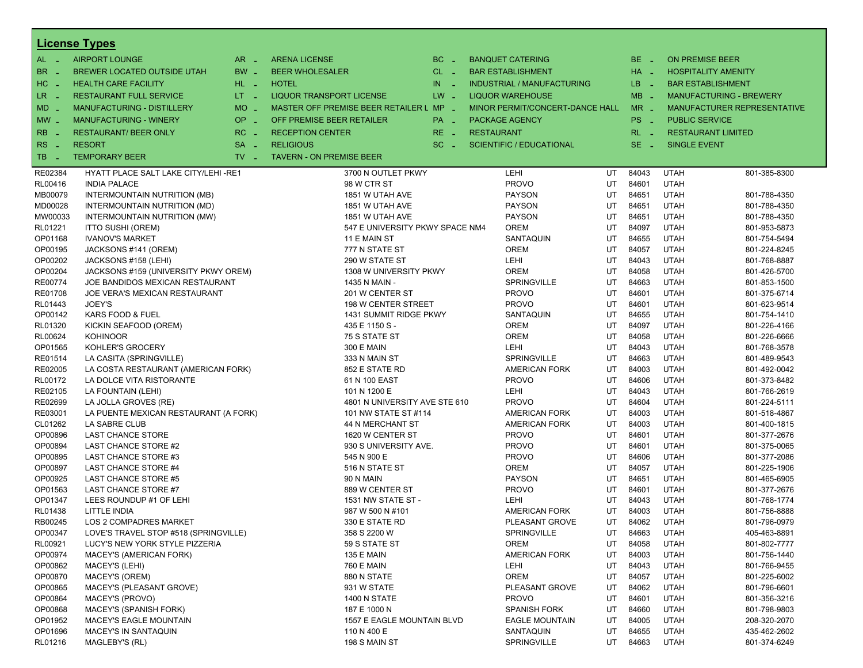|                       | <b>License Types</b>                  |                     |                                         |              |                                 |    |          |                        |                                |
|-----------------------|---------------------------------------|---------------------|-----------------------------------------|--------------|---------------------------------|----|----------|------------------------|--------------------------------|
| $AL -$                | <b>AIRPORT LOUNGE</b>                 | $AR -$              | <b>ARENA LICENSE</b>                    | BC<br>$\sim$ | <b>BANQUET CATERING</b>         |    | BE _     | <b>ON PREMISE BEER</b> |                                |
| BR<br>- 4             | <b>BREWER LOCATED OUTSIDE UTAH</b>    | BW _                | <b>BEER WHOLESALER</b>                  | $CL$ $-$     | <b>BAR ESTABLISHMENT</b>        |    | $HA$ $=$ |                        | <b>HOSPITALITY AMENITY</b>     |
| H <sub>C</sub><br>- 4 | <b>HEALTH CARE FACILITY</b>           | HL L                | <b>HOTEL</b>                            | IN<br>- 2    | INDUSTRIAL / MANUFACTURING      |    | LB __    |                        | <b>BAR ESTABLISHMENT</b>       |
| LR.<br>- 4            | <b>RESTAURANT FULL SERVICE</b>        | $LT = 1$            | <b>LIQUOR TRANSPORT LICENSE</b>         | $LW -$       | <b>LIQUOR WAREHOUSE</b>         |    | $MB -$   |                        | <b>MANUFACTURING - BREWERY</b> |
| $MD -$                | <b>MANUFACTURING - DISTILLERY</b>     | <b>MO</b><br>$\sim$ | MASTER OFF PREMISE BEER RETAILER L MP - |              | MINOR PERMIT/CONCERT-DANCE HALL |    | $MR -$   |                        | MANUFACTURER REPRESENTATIVE    |
|                       | <b>MANUFACTURING - WINERY</b>         | <b>OP</b>           | OFF PREMISE BEER RETAILER               |              |                                 |    | PS _     | <b>PUBLIC SERVICE</b>  |                                |
| $MW$ $-$              |                                       | п.                  |                                         | PA _         | <b>PACKAGE AGENCY</b>           |    |          |                        |                                |
| <b>RB</b>             | <b>RESTAURANT/ BEER ONLY</b>          | RC<br>$\sim$        | <b>RECEPTION CENTER</b>                 | $RE -$       | <b>RESTAURANT</b>               |    | $RL - 1$ |                        | <b>RESTAURANT LIMITED</b>      |
| RS                    | <b>RESORT</b>                         | <b>SA</b><br>п.     | <b>RELIGIOUS</b>                        | $SC =$       | <b>SCIENTIFIC / EDUCATIONAL</b> |    | $SE -$   | <b>SINGLE EVENT</b>    |                                |
| TB<br>n a             | <b>TEMPORARY BEER</b>                 | TV.<br>- 2          | <b>TAVERN - ON PREMISE BEER</b>         |              |                                 |    |          |                        |                                |
| RE02384               | HYATT PLACE SALT LAKE CITY/LEHI -RE1  |                     | 3700 N OUTLET PKWY                      |              | LEHI                            | UT | 84043    | <b>UTAH</b>            | 801-385-8300                   |
| RL00416               | <b>INDIA PALACE</b>                   |                     | 98 W CTR ST                             |              | <b>PROVO</b>                    | UT | 84601    | <b>UTAH</b>            |                                |
| MB00079               | INTERMOUNTAIN NUTRITION (MB)          |                     | 1851 W UTAH AVE                         |              | <b>PAYSON</b>                   | UT | 84651    | <b>UTAH</b>            | 801-788-4350                   |
| MD00028               | INTERMOUNTAIN NUTRITION (MD)          |                     | 1851 W UTAH AVE                         |              | <b>PAYSON</b>                   | UT | 84651    | <b>UTAH</b>            | 801-788-4350                   |
| MW00033               | INTERMOUNTAIN NUTRITION (MW)          |                     | 1851 W UTAH AVE                         |              | <b>PAYSON</b>                   | UT | 84651    | <b>UTAH</b>            | 801-788-4350                   |
| RL01221               | <b>ITTO SUSHI (OREM)</b>              |                     | 547 E UNIVERSITY PKWY SPACE NM4         |              | <b>OREM</b>                     | UT | 84097    | <b>UTAH</b>            | 801-953-5873                   |
| OP01168               | <b>IVANOV'S MARKET</b>                |                     | 11 E MAIN ST                            |              | SANTAQUIN                       | UT | 84655    | <b>UTAH</b>            | 801-754-5494                   |
| OP00195               | JACKSONS #141 (OREM)                  |                     | 777 N STATE ST                          |              | <b>OREM</b>                     | UT | 84057    | <b>UTAH</b>            | 801-224-8245                   |
| OP00202               | JACKSONS #158 (LEHI)                  |                     | 290 W STATE ST                          |              | LEHI                            | UT | 84043    | <b>UTAH</b>            | 801-768-8887                   |
| OP00204               | JACKSONS #159 (UNIVERSITY PKWY OREM)  |                     | 1308 W UNIVERSITY PKWY                  |              | <b>OREM</b>                     | UT | 84058    | <b>UTAH</b>            | 801-426-5700                   |
| RE00774               | JOE BANDIDOS MEXICAN RESTAURANT       |                     | 1435 N MAIN -                           |              | <b>SPRINGVILLE</b>              | UT | 84663    | <b>UTAH</b>            | 801-853-1500                   |
| RE01708               | JOE VERA'S MEXICAN RESTAURANT         |                     | 201 W CENTER ST                         |              | <b>PROVO</b>                    | UT | 84601    | <b>UTAH</b>            | 801-375-6714                   |
| RL01443               | <b>JOEY'S</b>                         |                     | 198 W CENTER STREET                     |              | <b>PROVO</b>                    | UT | 84601    | <b>UTAH</b>            | 801-623-9514                   |
| OP00142               | KARS FOOD & FUEL                      |                     | <b>1431 SUMMIT RIDGE PKWY</b>           |              | SANTAQUIN                       | UT | 84655    | <b>UTAH</b>            | 801-754-1410                   |
| RL01320               | KICKIN SEAFOOD (OREM)                 |                     | 435 E 1150 S -                          |              | <b>OREM</b>                     | UT | 84097    | <b>UTAH</b>            | 801-226-4166                   |
| RL00624               | <b>KOHINOOR</b>                       |                     | <b>75 S STATE ST</b>                    |              | <b>OREM</b>                     | UT | 84058    | <b>UTAH</b>            | 801-226-6666                   |
| OP01565               | KOHLER'S GROCERY                      |                     | 300 E MAIN                              |              | LEHI                            | UT | 84043    | <b>UTAH</b>            | 801-768-3578                   |
| RE01514               | LA CASITA (SPRINGVILLE)               |                     | 333 N MAIN ST                           |              | SPRINGVILLE                     | UT | 84663    | <b>UTAH</b>            | 801-489-9543                   |
| RE02005               | LA COSTA RESTAURANT (AMERICAN FORK)   |                     | 852 E STATE RD                          |              | <b>AMERICAN FORK</b>            | UT | 84003    | <b>UTAH</b>            | 801-492-0042                   |
| RL00172               | LA DOLCE VITA RISTORANTE              |                     | 61 N 100 EAST                           |              | <b>PROVO</b>                    | UT | 84606    | <b>UTAH</b>            | 801-373-8482                   |
| RE02105               | LA FOUNTAIN (LEHI)                    |                     | 101 N 1200 E                            |              | <b>LEHI</b>                     | UT | 84043    | <b>UTAH</b>            | 801-766-2619                   |
| RE02699               | LA JOLLA GROVES (RE)                  |                     | 4801 N UNIVERSITY AVE STE 610           |              | <b>PROVO</b>                    | UT | 84604    | <b>UTAH</b>            | 801-224-5111                   |
| RE03001               | LA PUENTE MEXICAN RESTAURANT (A FORK) |                     | 101 NW STATE ST #114                    |              | <b>AMERICAN FORK</b>            | UT | 84003    | <b>UTAH</b>            | 801-518-4867                   |
| CL01262               | LA SABRE CLUB                         |                     | 44 N MERCHANT ST                        |              | <b>AMERICAN FORK</b>            | UT | 84003    | <b>UTAH</b>            | 801-400-1815                   |
| OP00896               | <b>LAST CHANCE STORE</b>              |                     | 1620 W CENTER ST                        |              | <b>PROVO</b>                    | UT | 84601    | <b>UTAH</b>            | 801-377-2676                   |
| OP00894               | LAST CHANCE STORE #2                  |                     | 930 S UNIVERSITY AVE.                   |              | <b>PROVO</b>                    | UT | 84601    | <b>UTAH</b>            | 801-375-0065                   |
| OP00895               | LAST CHANCE STORE #3                  |                     | 545 N 900 E                             |              | <b>PROVO</b>                    | UT | 84606    | <b>UTAH</b>            | 801-377-2086                   |
| OP00897               | <b>LAST CHANCE STORE #4</b>           |                     | 516 N STATE ST                          |              | <b>OREM</b>                     | UT | 84057    | <b>UTAH</b>            | 801-225-1906                   |
| OP00925               | LAST CHANCE STORE #5                  |                     | 90 N MAIN                               |              | <b>PAYSON</b>                   | UT | 84651    | <b>UTAH</b>            | 801-465-6905                   |
| OP01563               | <b>LAST CHANCE STORE #7</b>           |                     | 889 W CENTER ST                         |              | <b>PROVO</b>                    | UT | 84601    | <b>UTAH</b>            | 801-377-2676                   |
| OP01347               | LEES ROUNDUP #1 OF LEHI               |                     | 1531 NW STATE ST -                      |              | LEHI                            | UT | 84043    | <b>UTAH</b>            | 801-768-1774                   |
| RL01438               | LITTLE INDIA                          |                     | 987 W 500 N #101                        |              | <b>AMERICAN FORK</b>            | UT | 84003    | <b>UTAH</b>            | 801-756-8888                   |
| RB00245               | <b>LOS 2 COMPADRES MARKET</b>         |                     | 330 E STATE RD                          |              | PLEASANT GROVE                  | UT | 84062    | <b>UTAH</b>            | 801-796-0979                   |
| OP00347               | LOVE'S TRAVEL STOP #518 (SPRINGVILLE) |                     | 358 S 2200 W                            |              | <b>SPRINGVILLE</b>              | UT | 84663    | <b>UTAH</b>            | 405-463-8891                   |
| RL00921               | LUCY'S NEW YORK STYLE PIZZERIA        |                     | 59 S STATE ST                           |              | <b>OREM</b>                     | UT | 84058    | <b>UTAH</b>            | 801-802-7777                   |
| OP00974               | <b>MACEY'S (AMERICAN FORK)</b>        |                     | <b>135 E MAIN</b>                       |              | <b>AMERICAN FORK</b>            | UT | 84003    | <b>UTAH</b>            | 801-756-1440                   |
| OP00862               | MACEY'S (LEHI)                        |                     | 760 E MAIN                              |              | LEHI                            | UT | 84043    | <b>UTAH</b>            | 801-766-9455                   |
| OP00870               | MACEY'S (OREM)                        |                     | 880 N STATE                             |              | <b>OREM</b>                     | UT | 84057    | <b>UTAH</b>            | 801-225-6002                   |
| OP00865               | MACEY'S (PLEASANT GROVE)              |                     | 931 W STATE                             |              | PLEASANT GROVE                  | UT | 84062    | <b>UTAH</b>            | 801-796-6601                   |
| OP00864               | MACEY'S (PROVO)                       |                     | 1400 N STATE                            |              | <b>PROVO</b>                    | UT | 84601    | <b>UTAH</b>            | 801-356-3216                   |
| OP00868               | MACEY'S (SPANISH FORK)                |                     | 187 E 1000 N                            |              | <b>SPANISH FORK</b>             | UT | 84660    | <b>UTAH</b>            | 801-798-9803                   |
| OP01952               | <b>MACEY'S EAGLE MOUNTAIN</b>         |                     | 1557 E EAGLE MOUNTAIN BLVD              |              | <b>EAGLE MOUNTAIN</b>           | UT | 84005    | <b>UTAH</b>            | 208-320-2070                   |
| OP01696               | <b>MACEY'S IN SANTAQUIN</b>           |                     | 110 N 400 E                             |              | SANTAQUIN                       | UT | 84655    | <b>UTAH</b>            | 435-462-2602                   |
| RL01216               | MAGLEBY'S (RL)                        |                     | 198 S MAIN ST                           |              | SPRINGVILLE                     | UT | 84663    | <b>UTAH</b>            | 801-374-6249                   |
|                       |                                       |                     |                                         |              |                                 |    |          |                        |                                |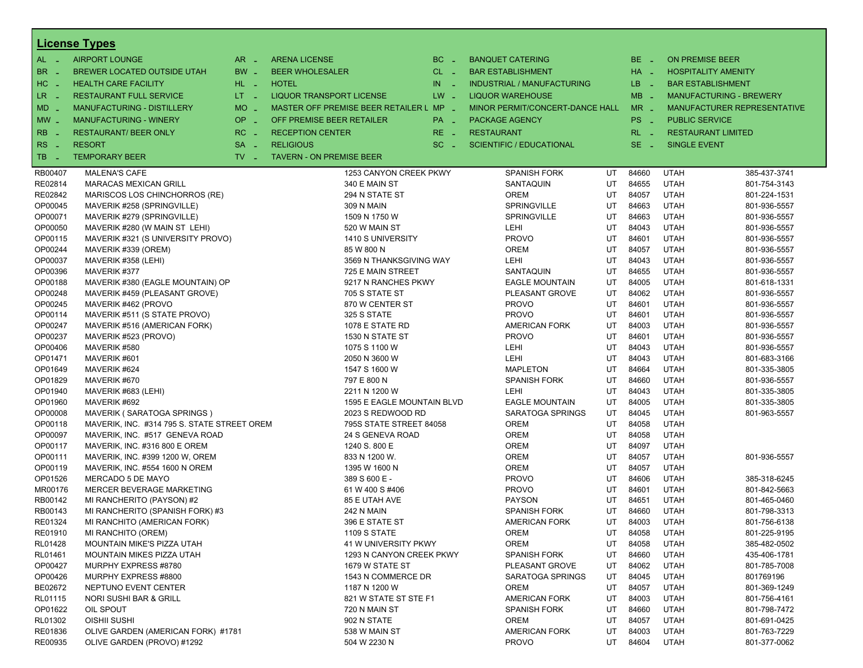|                       | <b>License Types</b>                        |                               |                                         |        |                                   |    |          |                          |                                |
|-----------------------|---------------------------------------------|-------------------------------|-----------------------------------------|--------|-----------------------------------|----|----------|--------------------------|--------------------------------|
| $AL -$                | <b>AIRPORT LOUNGE</b>                       | $AR -$                        | <b>ARENA LICENSE</b>                    | $BC -$ | <b>BANQUET CATERING</b>           |    | BE _     | <b>ON PREMISE BEER</b>   |                                |
| BR<br>- 4             | <b>BREWER LOCATED OUTSIDE UTAH</b>          | BW _                          | <b>BEER WHOLESALER</b>                  | CL _   | <b>BAR ESTABLISHMENT</b>          |    | HA _     |                          | <b>HOSPITALITY AMENITY</b>     |
| H <sub>C</sub><br>- 4 | <b>HEALTH CARE FACILITY</b>                 | HL L                          | <b>HOTEL</b>                            | $IN =$ | <b>INDUSTRIAL / MANUFACTURING</b> |    | LB __    | <b>BAR ESTABLISHMENT</b> |                                |
| LR.<br>$\sim$         | <b>RESTAURANT FULL SERVICE</b>              | $LT - 1$                      | LIQUOR TRANSPORT LICENSE                | $LW -$ | <b>LIQUOR WAREHOUSE</b>           |    | $MB -$   |                          | <b>MANUFACTURING - BREWERY</b> |
| $MD -$                | <b>MANUFACTURING - DISTILLERY</b>           | <b>MO</b><br>$\sim$           | MASTER OFF PREMISE BEER RETAILER L MP _ |        | MINOR PERMIT/CONCERT-DANCE HALL   |    | $MR -$   |                          | MANUFACTURER REPRESENTATIVE    |
|                       | <b>MANUFACTURING - WINERY</b>               | <b>OP</b>                     | OFF PREMISE BEER RETAILER               |        |                                   |    | PS _     | <b>PUBLIC SERVICE</b>    |                                |
| $MW-$                 |                                             | п.                            |                                         | PA _   | <b>PACKAGE AGENCY</b>             |    |          |                          |                                |
| <b>RB</b>             | <b>RESTAURANT/ BEER ONLY</b>                | RC<br>i a                     | <b>RECEPTION CENTER</b>                 | RE _   | <b>RESTAURANT</b>                 |    | $RL - 1$ |                          | <b>RESTAURANT LIMITED</b>      |
| RS<br>$\sim$          | <b>RESORT</b>                               | <b>SA</b><br>п.               | <b>RELIGIOUS</b>                        | $SC =$ | <b>SCIENTIFIC / EDUCATIONAL</b>   |    | $SE -$   | <b>SINGLE EVENT</b>      |                                |
| TB.<br>- 4            | <b>TEMPORARY BEER</b>                       | $TV$ $\overline{\phantom{0}}$ | <b>TAVERN - ON PREMISE BEER</b>         |        |                                   |    |          |                          |                                |
| RB00407               | <b>MALENA'S CAFE</b>                        |                               | 1253 CANYON CREEK PKWY                  |        | <b>SPANISH FORK</b>               | UT | 84660    | <b>UTAH</b>              | 385-437-3741                   |
| RE02814               | <b>MARACAS MEXICAN GRILL</b>                |                               | 340 E MAIN ST                           |        | SANTAQUIN                         | UT | 84655    | <b>UTAH</b>              | 801-754-3143                   |
| RE02842               | MARISCOS LOS CHINCHORROS (RE)               |                               | 294 N STATE ST                          |        | <b>OREM</b>                       | UT | 84057    | <b>UTAH</b>              | 801-224-1531                   |
| OP00045               | MAVERIK #258 (SPRINGVILLE)                  |                               | 309 N MAIN                              |        | SPRINGVILLE                       | UT | 84663    | <b>UTAH</b>              | 801-936-5557                   |
| OP00071               | MAVERIK #279 (SPRINGVILLE)                  |                               | 1509 N 1750 W                           |        | SPRINGVILLE                       | UT | 84663    | <b>UTAH</b>              | 801-936-5557                   |
| OP00050               | MAVERIK #280 (W MAIN ST LEHI)               |                               | 520 W MAIN ST                           |        | LEHI                              | UT | 84043    | <b>UTAH</b>              | 801-936-5557                   |
| OP00115               | MAVERIK #321 (S UNIVERSITY PROVO)           |                               | 1410 S UNIVERSITY                       |        | <b>PROVO</b>                      | UT | 84601    | <b>UTAH</b>              | 801-936-5557                   |
| OP00244               | MAVERIK #339 (OREM)                         |                               | 85 W 800 N                              |        | <b>OREM</b>                       | UT | 84057    | <b>UTAH</b>              | 801-936-5557                   |
| OP00037               | MAVERIK #358 (LEHI)                         |                               | 3569 N THANKSGIVING WAY                 |        | <b>LEHI</b>                       | UT | 84043    | <b>UTAH</b>              | 801-936-5557                   |
| OP00396               | MAVERIK #377                                |                               | 725 E MAIN STREET                       |        | SANTAQUIN                         | UT | 84655    | <b>UTAH</b>              | 801-936-5557                   |
| OP00188               | MAVERIK #380 (EAGLE MOUNTAIN) OP            |                               | 9217 N RANCHES PKWY                     |        | <b>EAGLE MOUNTAIN</b>             | UT | 84005    | <b>UTAH</b>              | 801-618-1331                   |
| OP00248               | MAVERIK #459 (PLEASANT GROVE)               |                               | 705 S STATE ST                          |        | PLEASANT GROVE                    | UT | 84062    | <b>UTAH</b>              | 801-936-5557                   |
| OP00245               | MAVERIK #462 (PROVO                         |                               | 870 W CENTER ST                         |        | <b>PROVO</b>                      | UT | 84601    | <b>UTAH</b>              | 801-936-5557                   |
| OP00114               | MAVERIK #511 (S STATE PROVO)                |                               | 325 S STATE                             |        | <b>PROVO</b>                      | UT | 84601    | <b>UTAH</b>              | 801-936-5557                   |
| OP00247               | MAVERIK #516 (AMERICAN FORK)                |                               | 1078 E STATE RD                         |        | <b>AMERICAN FORK</b>              | UT | 84003    | <b>UTAH</b>              | 801-936-5557                   |
| OP00237               | MAVERIK #523 (PROVO)                        |                               | 1530 N STATE ST                         |        | <b>PROVO</b>                      | UT | 84601    | <b>UTAH</b>              | 801-936-5557                   |
| OP00406               | MAVERIK #580                                |                               | 1075 S 1100 W                           |        | LEHI                              | UT | 84043    | <b>UTAH</b>              | 801-936-5557                   |
| OP01471               | MAVERIK #601                                |                               | 2050 N 3600 W                           |        | <b>LEHI</b>                       | UT | 84043    | <b>UTAH</b>              | 801-683-3166                   |
| OP01649               | MAVERIK #624                                |                               | 1547 S 1600 W                           |        | <b>MAPLETON</b>                   | UT | 84664    | <b>UTAH</b>              | 801-335-3805                   |
| OP01829               | MAVERIK #670                                |                               | 797 E 800 N                             |        | <b>SPANISH FORK</b>               | UT | 84660    | <b>UTAH</b>              | 801-936-5557                   |
| OP01940               | MAVERIK #683 (LEHI)                         |                               | 2211 N 1200 W                           |        | <b>LEHI</b>                       | UT | 84043    | <b>UTAH</b>              | 801-335-3805                   |
| OP01960               | MAVERIK #692                                |                               | 1595 E EAGLE MOUNTAIN BLVD              |        | <b>EAGLE MOUNTAIN</b>             | UT | 84005    | <b>UTAH</b>              | 801-335-3805                   |
| OP00008               | MAVERIK (SARATOGA SPRINGS)                  |                               | 2023 S REDWOOD RD                       |        | SARATOGA SPRINGS                  | UT | 84045    | <b>UTAH</b>              | 801-963-5557                   |
| OP00118               | MAVERIK, INC. #314 795 S. STATE STREET OREM |                               | 795S STATE STREET 84058                 |        | <b>OREM</b>                       | UT | 84058    | <b>UTAH</b>              |                                |
| OP00097               | MAVERIK, INC. #517 GENEVA ROAD              |                               | 24 S GENEVA ROAD                        |        | <b>OREM</b>                       | UT | 84058    | <b>UTAH</b>              |                                |
| OP00117               | MAVERIK, INC. #316 800 E OREM               |                               | 1240 S. 800 E                           |        | <b>OREM</b>                       | UT | 84097    | <b>UTAH</b>              |                                |
| OP00111               | MAVERIK, INC. #399 1200 W, OREM             |                               | 833 N 1200 W.                           |        | <b>OREM</b>                       | UT | 84057    | <b>UTAH</b>              | 801-936-5557                   |
| OP00119               | MAVERIK, INC. #554 1600 N OREM              |                               | 1395 W 1600 N                           |        | <b>OREM</b>                       | UT | 84057    | <b>UTAH</b>              |                                |
| OP01526               | MERCADO 5 DE MAYO                           |                               | 389 S 600 E -                           |        | <b>PROVO</b>                      | UT | 84606    | <b>UTAH</b>              | 385-318-6245                   |
| MR00176               | MERCER BEVERAGE MARKETING                   |                               | 61 W 400 S #406                         |        | <b>PROVO</b>                      | UT | 84601    | <b>UTAH</b>              | 801-842-5663                   |
| RB00142               | MI RANCHERITO (PAYSON) #2                   |                               | 85 E UTAH AVE                           |        | <b>PAYSON</b>                     | UT | 84651    | <b>UTAH</b>              | 801-465-0460                   |
| RB00143               | MI RANCHERITO (SPANISH FORK) #3             |                               | <b>242 N MAIN</b>                       |        | <b>SPANISH FORK</b>               | UT | 84660    | <b>UTAH</b>              | 801-798-3313                   |
| RE01324               | MI RANCHITO (AMERICAN FORK)                 |                               | 396 E STATE ST                          |        | <b>AMERICAN FORK</b>              | UT | 84003    | <b>UTAH</b>              | 801-756-6138                   |
| RE01910               | MI RANCHITO (OREM)                          |                               | <b>1109 S STATE</b>                     |        | <b>OREM</b>                       | UT | 84058    | <b>UTAH</b>              | 801-225-9195                   |
| RL01428               | MOUNTAIN MIKE'S PIZZA UTAH                  |                               | 41 W UNIVERSITY PKWY                    |        | <b>OREM</b>                       | UT | 84058    | <b>UTAH</b>              | 385-482-0502                   |
| RL01461               | MOUNTAIN MIKES PIZZA UTAH                   |                               | 1293 N CANYON CREEK PKWY                |        | <b>SPANISH FORK</b>               | UT | 84660    | <b>UTAH</b>              | 435-406-1781                   |
| OP00427               | MURPHY EXPRESS #8780                        |                               | 1679 W STATE ST                         |        | PLEASANT GROVE                    | UT | 84062    | <b>UTAH</b>              | 801-785-7008                   |
| OP00426               | MURPHY EXPRESS #8800                        |                               | 1543 N COMMERCE DR                      |        | SARATOGA SPRINGS                  | UT | 84045    | <b>UTAH</b>              | 801769196                      |
| BE02672               | NEPTUNO EVENT CENTER                        |                               | 1187 N 1200 W                           |        | <b>OREM</b>                       | UT | 84057    | <b>UTAH</b>              | 801-369-1249                   |
| RL01115               | <b>NORI SUSHI BAR &amp; GRILL</b>           |                               | 821 W STATE ST STE F1                   |        | <b>AMERICAN FORK</b>              | UT | 84003    | <b>UTAH</b>              | 801-756-4161                   |
| OP01622               | OIL SPOUT                                   |                               | 720 N MAIN ST                           |        | <b>SPANISH FORK</b>               | UT | 84660    | <b>UTAH</b>              | 801-798-7472                   |
| RL01302               | OISHII SUSHI                                |                               | 902 N STATE                             |        | <b>OREM</b>                       | UT | 84057    | <b>UTAH</b>              | 801-691-0425                   |
| RE01836               | OLIVE GARDEN (AMERICAN FORK) #1781          |                               | 538 W MAIN ST                           |        | AMERICAN FORK                     | UT | 84003    | <b>UTAH</b>              | 801-763-7229                   |
| RE00935               | OLIVE GARDEN (PROVO) #1292                  |                               | 504 W 2230 N                            |        | <b>PROVO</b>                      | UT | 84604    | <b>UTAH</b>              | 801-377-0062                   |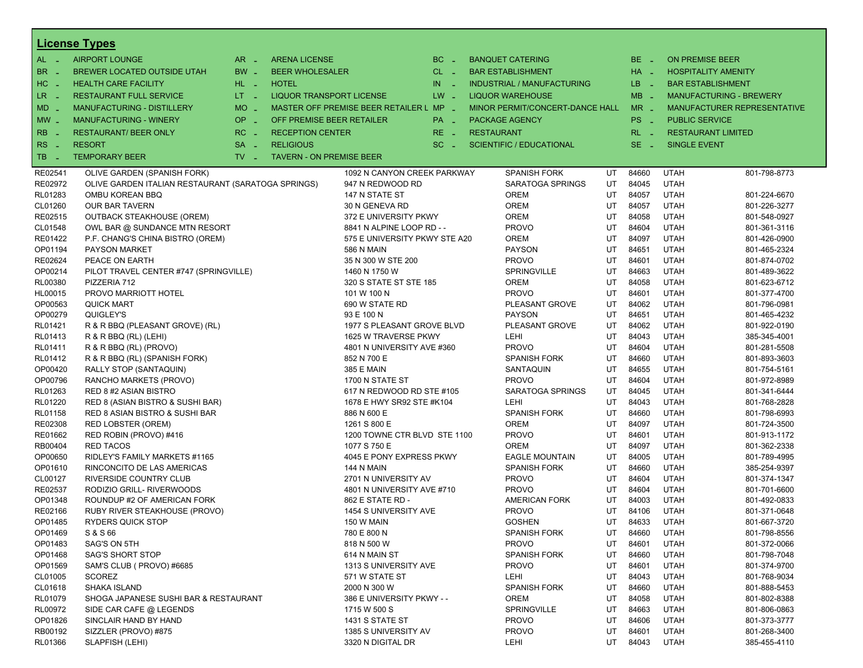|                       | <b>License Types</b>                               |                               |                                         |                      |                                 |                                 |    |          |                            |                                |
|-----------------------|----------------------------------------------------|-------------------------------|-----------------------------------------|----------------------|---------------------------------|---------------------------------|----|----------|----------------------------|--------------------------------|
| AL -                  | <b>AIRPORT LOUNGE</b>                              | $AR -$                        | <b>ARENA LICENSE</b>                    | $BC -$               | <b>BANQUET CATERING</b>         |                                 |    | $BE -$   | <b>ON PREMISE BEER</b>     |                                |
| BR.<br><b>College</b> | BREWER LOCATED OUTSIDE UTAH                        | BW _                          | <b>BEER WHOLESALER</b>                  | $CL$ $-$             | <b>BAR ESTABLISHMENT</b>        |                                 |    | $HA$ $-$ | <b>HOSPITALITY AMENITY</b> |                                |
| HC.<br><b>College</b> | <b>HEALTH CARE FACILITY</b>                        | HL L                          | <b>HOTEL</b>                            | IN<br><b>College</b> |                                 | INDUSTRIAL / MANUFACTURING      |    | LB _     | <b>BAR ESTABLISHMENT</b>   |                                |
| LR _                  | <b>RESTAURANT FULL SERVICE</b>                     | $LT - 1$                      | <b>LIQUOR TRANSPORT LICENSE</b>         | $LW -$               | <b>LIQUOR WAREHOUSE</b>         |                                 |    | $MB -$   |                            | <b>MANUFACTURING - BREWERY</b> |
| $MD -$                | <b>MANUFACTURING - DISTILLERY</b>                  | $MO$ $\overline{\phantom{0}}$ | MASTER OFF PREMISE BEER RETAILER L MP - |                      |                                 | MINOR PERMIT/CONCERT-DANCE HALL |    | $MR -$   |                            | MANUFACTURER REPRESENTATIVE    |
| $MW_{-}$              | <b>MANUFACTURING - WINERY</b>                      | OP<br>п.                      | OFF PREMISE BEER RETAILER               | PA _                 | <b>PACKAGE AGENCY</b>           |                                 |    | PS _     | <b>PUBLIC SERVICE</b>      |                                |
|                       |                                                    |                               |                                         |                      |                                 |                                 |    | $RL - 1$ |                            |                                |
| RB                    | <b>RESTAURANT/ BEER ONLY</b>                       | RC<br>п.                      | <b>RECEPTION CENTER</b>                 | $RE -$               | <b>RESTAURANT</b>               |                                 |    |          | <b>RESTAURANT LIMITED</b>  |                                |
| RS.<br>n a            | <b>RESORT</b>                                      | <b>SA</b><br>$\sim$           | <b>RELIGIOUS</b>                        | $SC =$               | <b>SCIENTIFIC / EDUCATIONAL</b> |                                 |    | $SE$ $-$ | <b>SINGLE EVENT</b>        |                                |
| TB.<br>- 4            | <b>TEMPORARY BEER</b>                              | $TV -$                        | <b>TAVERN - ON PREMISE BEER</b>         |                      |                                 |                                 |    |          |                            |                                |
| RE02541               | OLIVE GARDEN (SPANISH FORK)                        |                               | 1092 N CANYON CREEK PARKWAY             |                      |                                 | <b>SPANISH FORK</b>             | UT | 84660    | <b>UTAH</b>                | 801-798-8773                   |
| RE02972               | OLIVE GARDEN ITALIAN RESTAURANT (SARATOGA SPRINGS) |                               | 947 N REDWOOD RD                        |                      |                                 | SARATOGA SPRINGS                | UT | 84045    | <b>UTAH</b>                |                                |
| RL01283               | OMBU KOREAN BBQ                                    |                               | 147 N STATE ST                          |                      | OREM                            |                                 | UT | 84057    | <b>UTAH</b>                | 801-224-6670                   |
| CL01260               | <b>OUR BAR TAVERN</b>                              |                               | 30 N GENEVA RD                          |                      | OREM                            |                                 | UT | 84057    | <b>UTAH</b>                | 801-226-3277                   |
| RE02515               | <b>OUTBACK STEAKHOUSE (OREM)</b>                   |                               | 372 E UNIVERSITY PKWY                   |                      | OREM                            |                                 | UT | 84058    | <b>UTAH</b>                | 801-548-0927                   |
| CL01548               | OWL BAR @ SUNDANCE MTN RESORT                      |                               | 8841 N ALPINE LOOP RD - -               |                      | <b>PROVO</b>                    |                                 | UT | 84604    | <b>UTAH</b>                | 801-361-3116                   |
| RE01422               | P.F. CHANG'S CHINA BISTRO (OREM)                   |                               | 575 E UNIVERSITY PKWY STE A20           |                      | <b>OREM</b>                     |                                 | UT | 84097    | <b>UTAH</b>                | 801-426-0900                   |
| OP01194               | <b>PAYSON MARKET</b>                               |                               | 586 N MAIN                              |                      | <b>PAYSON</b>                   |                                 | UT | 84651    | <b>UTAH</b>                | 801-465-2324                   |
| RE02624               | PEACE ON EARTH                                     |                               | 35 N 300 W STE 200                      |                      | <b>PROVO</b>                    |                                 | UT | 84601    | <b>UTAH</b>                | 801-874-0702                   |
| OP00214               | PILOT TRAVEL CENTER #747 (SPRINGVILLE)             |                               | 1460 N 1750 W                           |                      |                                 | SPRINGVILLE                     | UT | 84663    | <b>UTAH</b>                | 801-489-3622                   |
| RL00380               | PIZZERIA 712                                       |                               | 320 S STATE ST STE 185                  |                      | OREM                            |                                 | UT | 84058    | <b>UTAH</b>                | 801-623-6712                   |
| HL00015               | PROVO MARRIOTT HOTEL                               |                               | 101 W 100 N                             |                      | <b>PROVO</b>                    |                                 | UT | 84601    | <b>UTAH</b>                | 801-377-4700                   |
| OP00563               | <b>QUICK MART</b>                                  |                               | 690 W STATE RD                          |                      |                                 | PLEASANT GROVE                  | UT | 84062    | <b>UTAH</b>                | 801-796-0981                   |
| OP00279               | QUIGLEY'S                                          |                               | 93 E 100 N                              |                      | <b>PAYSON</b>                   |                                 | UT | 84651    | <b>UTAH</b>                | 801-465-4232                   |
| RL01421               | R & R BBQ (PLEASANT GROVE) (RL)                    |                               | 1977 S PLEASANT GROVE BLVD              |                      |                                 | PLEASANT GROVE                  | UT | 84062    | <b>UTAH</b>                | 801-922-0190                   |
| RL01413               | R & R B B Q (RL) (LEHI)                            |                               | 1625 W TRAVERSE PKWY                    |                      | LEHI                            |                                 | UT | 84043    | <b>UTAH</b>                | 385-345-4001                   |
| RL01411               | R & R BBQ (RL) (PROVO)                             |                               | 4801 N UNIVERSITY AVE #360              |                      | <b>PROVO</b>                    |                                 | UT | 84604    | <b>UTAH</b>                | 801-281-5508                   |
| RL01412               | R & R BBQ (RL) (SPANISH FORK)                      |                               | 852 N 700 E                             |                      |                                 | <b>SPANISH FORK</b>             | UT | 84660    | <b>UTAH</b>                | 801-893-3603                   |
| OP00420               | RALLY STOP (SANTAQUIN)                             |                               | 385 E MAIN                              |                      |                                 | SANTAQUIN                       | UT | 84655    | <b>UTAH</b>                | 801-754-5161                   |
| OP00796               | RANCHO MARKETS (PROVO)                             |                               | 1700 N STATE ST                         |                      | <b>PROVO</b>                    |                                 | UT | 84604    | <b>UTAH</b>                | 801-972-8989                   |
| RL01263               | RED 8 #2 ASIAN BISTRO                              |                               | 617 N REDWOOD RD STE #105               |                      |                                 | SARATOGA SPRINGS                | UT | 84045    | <b>UTAH</b>                | 801-341-6444                   |
| RL01220               | RED 8 (ASIAN BISTRO & SUSHI BAR)                   |                               | 1678 E HWY SR92 STE #K104               |                      | LEHI                            |                                 | UT | 84043    | <b>UTAH</b>                | 801-768-2828                   |
| RL01158               | RED 8 ASIAN BISTRO & SUSHI BAR                     |                               | 886 N 600 E                             |                      |                                 | <b>SPANISH FORK</b>             | UT | 84660    | <b>UTAH</b>                | 801-798-6993                   |
| RE02308               | <b>RED LOBSTER (OREM)</b>                          |                               | 1261 S 800 E                            |                      | <b>OREM</b>                     |                                 | UT | 84097    | <b>UTAH</b>                | 801-724-3500                   |
| RE01662               | RED ROBIN (PROVO) #416                             |                               | 1200 TOWNE CTR BLVD STE 1100            |                      | <b>PROVO</b>                    |                                 | UT | 84601    | <b>UTAH</b>                | 801-913-1172                   |
| RB00404               | <b>RED TACOS</b>                                   |                               | 1077 S 750 E                            |                      | <b>OREM</b>                     |                                 | UT | 84097    | <b>UTAH</b>                | 801-362-2338                   |
| OP00650               | RIDLEY'S FAMILY MARKETS #1165                      |                               | 4045 E PONY EXPRESS PKWY                |                      |                                 | <b>EAGLE MOUNTAIN</b>           | UT | 84005    | <b>UTAH</b>                | 801-789-4995                   |
| OP01610               | RINCONCITO DE LAS AMERICAS                         |                               | 144 N MAIN                              |                      |                                 | <b>SPANISH FORK</b>             | UT | 84660    | <b>UTAH</b>                | 385-254-9397                   |
| CL00127               | RIVERSIDE COUNTRY CLUB                             |                               | 2701 N UNIVERSITY AV                    |                      | <b>PROVO</b>                    |                                 | UT | 84604    | <b>UTAH</b>                | 801-374-1347                   |
| RE02537               | RODIZIO GRILL- RIVERWOODS                          |                               | 4801 N UNIVERSITY AVE #710              |                      | <b>PROVO</b>                    |                                 | UT | 84604    | <b>UTAH</b>                | 801-701-6600                   |
| OP01348               | ROUNDUP #2 OF AMERICAN FORK                        |                               | 862 E STATE RD -                        |                      |                                 | <b>AMERICAN FORK</b>            | UT | 84003    | <b>UTAH</b>                | 801-492-0833                   |
| RE02166               | RUBY RIVER STEAKHOUSE (PROVO)                      |                               | 1454 S UNIVERSITY AVE                   |                      | <b>PROVO</b>                    |                                 | UT | 84106    | <b>UTAH</b>                | 801-371-0648                   |
| OP01485               | <b>RYDERS QUICK STOP</b>                           |                               | 150 W MAIN                              |                      | <b>GOSHEN</b>                   |                                 | UT | 84633    | <b>UTAH</b>                | 801-667-3720                   |
| OP01469               | S & S 66                                           |                               | 780 E 800 N                             |                      |                                 | SPANISH FORK                    | UT | 84660    | UTAH                       | 801-798-8556                   |
| OP01483               | SAG'S ON 5TH                                       |                               | 818 N 500 W                             |                      | <b>PROVO</b>                    |                                 | UT | 84601    | <b>UTAH</b>                | 801-372-0066                   |
| OP01468               | <b>SAG'S SHORT STOP</b>                            |                               | 614 N MAIN ST                           |                      |                                 | <b>SPANISH FORK</b>             | UT | 84660    | <b>UTAH</b>                | 801-798-7048                   |
| OP01569               | SAM'S CLUB ( PROVO) #6685                          |                               | 1313 S UNIVERSITY AVE                   |                      | <b>PROVO</b>                    |                                 | UT | 84601    | <b>UTAH</b>                | 801-374-9700                   |
| CL01005               | <b>SCOREZ</b>                                      |                               | 571 W STATE ST                          |                      | LEHI                            |                                 | UT | 84043    | <b>UTAH</b>                | 801-768-9034                   |
| CL01618               | SHAKA ISLAND                                       |                               | 2000 N 300 W                            |                      |                                 | <b>SPANISH FORK</b>             | UT | 84660    | <b>UTAH</b>                | 801-888-5453                   |
| RL01079               | SHOGA JAPANESE SUSHI BAR & RESTAURANT              |                               | 386 E UNIVERSITY PKWY - -               |                      | OREM                            |                                 | UT | 84058    | <b>UTAH</b>                | 801-802-8388                   |
| RL00972               | SIDE CAR CAFE @ LEGENDS                            |                               | 1715 W 500 S                            |                      |                                 | SPRINGVILLE                     | UT | 84663    | <b>UTAH</b>                | 801-806-0863                   |
| OP01826               | SINCLAIR HAND BY HAND                              |                               | 1431 S STATE ST                         |                      | <b>PROVO</b>                    |                                 | UT | 84606    | <b>UTAH</b>                | 801-373-3777                   |
| RB00192               | SIZZLER (PROVO) #875                               |                               | 1385 S UNIVERSITY AV                    |                      | <b>PROVO</b>                    |                                 | UT | 84601    | <b>UTAH</b>                | 801-268-3400                   |
| RL01366               | SLAPFISH (LEHI)                                    |                               | 3320 N DIGITAL DR                       |                      | LEHI                            |                                 | UT | 84043    | UTAH                       | 385-455-4110                   |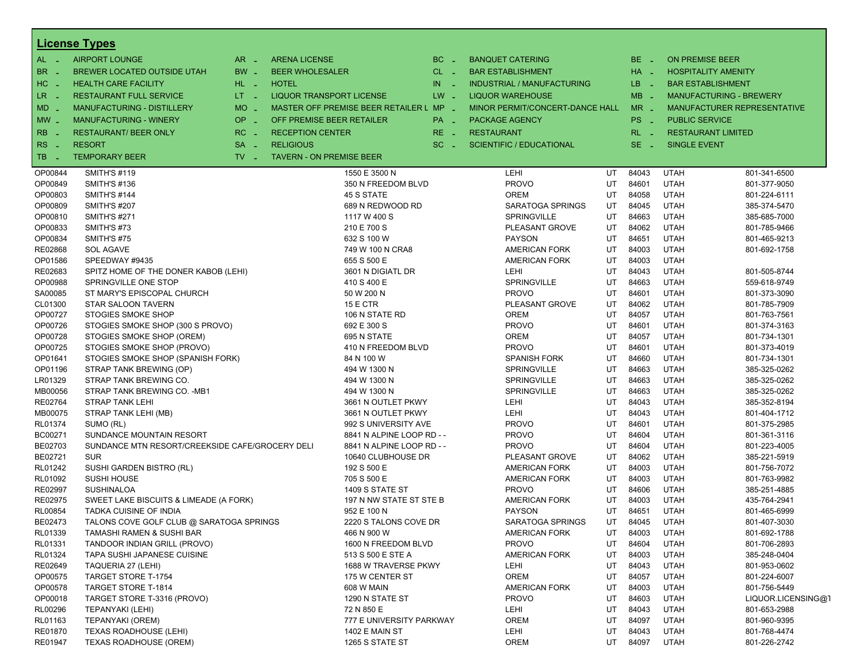|                       | <b>License Types</b>                            |                               |                                         |                                  |                                   |     |          |                                |                              |
|-----------------------|-------------------------------------------------|-------------------------------|-----------------------------------------|----------------------------------|-----------------------------------|-----|----------|--------------------------------|------------------------------|
| $AL -$                | <b>AIRPORT LOUNGE</b>                           | $AR -$                        | <b>ARENA LICENSE</b>                    | $BC -$                           | <b>BANQUET CATERING</b>           |     | $BE =$   | <b>ON PREMISE BEER</b>         |                              |
| BR.<br>$\sim$         | BREWER LOCATED OUTSIDE UTAH                     | BW _                          | <b>BEER WHOLESALER</b>                  | $CL$ $-$                         | <b>BAR ESTABLISHMENT</b>          |     | $HA$ $=$ | <b>HOSPITALITY AMENITY</b>     |                              |
| HC<br>$\sim$          | <b>HEALTH CARE FACILITY</b>                     | HL L                          | <b>HOTEL</b>                            | IN<br>$\mathcal{L}_{\mathbf{m}}$ | <b>INDUSTRIAL / MANUFACTURING</b> |     | LB __    | <b>BAR ESTABLISHMENT</b>       |                              |
| $LR -$                | <b>RESTAURANT FULL SERVICE</b>                  | $LT = 1$                      | <b>LIQUOR TRANSPORT LICENSE</b>         | $LW -$                           | <b>LIQUOR WAREHOUSE</b>           |     | $MB -$   | <b>MANUFACTURING - BREWERY</b> |                              |
| MD                    | <b>MANUFACTURING - DISTILLERY</b>               | $MO$ $\overline{\phantom{0}}$ | MASTER OFF PREMISE BEER RETAILER L MP _ |                                  | MINOR PERMIT/CONCERT-DANCE HALL   |     | $MR -$   |                                | MANUFACTURER REPRESENTATIVE  |
|                       |                                                 |                               |                                         |                                  |                                   |     |          |                                |                              |
| $MW$ $-$              | <b>MANUFACTURING - WINERY</b>                   | $OP =$                        | OFF PREMISE BEER RETAILER               | PA _                             | <b>PACKAGE AGENCY</b>             |     | $PS -$   | <b>PUBLIC SERVICE</b>          |                              |
| R <sub>B</sub>        | <b>RESTAURANT/ BEER ONLY</b>                    | $RC -$                        | <b>RECEPTION CENTER</b>                 | $RE -$                           | <b>RESTAURANT</b>                 |     | $RL - 1$ | <b>RESTAURANT LIMITED</b>      |                              |
| <b>RS</b><br>$\sim$   | <b>RESORT</b>                                   | $SA -$                        | <b>RELIGIOUS</b>                        | $SC =$                           | <b>SCIENTIFIC / EDUCATIONAL</b>   |     | $SE =$   | <b>SINGLE EVENT</b>            |                              |
| TB.<br><b>College</b> | <b>TEMPORARY BEER</b>                           | $TV$ $=$                      | <b>TAVERN - ON PREMISE BEER</b>         |                                  |                                   |     |          |                                |                              |
| OP00844               | <b>SMITH'S #119</b>                             |                               | 1550 E 3500 N                           |                                  | LEHI                              | UT. | 84043    | <b>UTAH</b>                    | 801-341-6500                 |
| OP00849               | <b>SMITH'S #136</b>                             |                               |                                         | 350 N FREEDOM BLVD               | <b>PROVO</b>                      | UT  | 84601    | <b>UTAH</b>                    | 801-377-9050                 |
| OP00803               | <b>SMITH'S #144</b>                             |                               | 45 S STATE                              |                                  | <b>OREM</b>                       | UT  | 84058    | <b>UTAH</b>                    | 801-224-6111                 |
| OP00809               | <b>SMITH'S #207</b>                             |                               |                                         | 689 N REDWOOD RD                 | SARATOGA SPRINGS                  | UT. | 84045    | <b>UTAH</b>                    | 385-374-5470                 |
| OP00810               | <b>SMITH'S #271</b>                             |                               | 1117 W 400 S                            |                                  | <b>SPRINGVILLE</b>                | UT  | 84663    | <b>UTAH</b>                    | 385-685-7000                 |
| OP00833               | SMITH'S #73                                     |                               | 210 E 700 S                             |                                  | PLEASANT GROVE                    | UT  | 84062    | <b>UTAH</b>                    | 801-785-9466                 |
| OP00834               | <b>SMITH'S #75</b>                              |                               | 632 S 100 W                             |                                  | <b>PAYSON</b>                     | UT  | 84651    | <b>UTAH</b>                    | 801-465-9213                 |
| RE02868               | <b>SOL AGAVE</b>                                |                               |                                         | 749 W 100 N CRA8                 | <b>AMERICAN FORK</b>              | UT  | 84003    | <b>UTAH</b>                    | 801-692-1758                 |
| OP01586               | SPEEDWAY #9435                                  |                               | 655 S 500 E                             |                                  | <b>AMERICAN FORK</b>              | UT  | 84003    | <b>UTAH</b>                    |                              |
| RE02683               | SPITZ HOME OF THE DONER KABOB (LEHI)            |                               |                                         | 3601 N DIGIATL DR                | LEHI                              | UT  | 84043    | <b>UTAH</b>                    | 801-505-8744                 |
| OP00988               | SPRINGVILLE ONE STOP                            |                               | 410 S 400 E                             |                                  | SPRINGVILLE                       | UT  | 84663    | <b>UTAH</b>                    | 559-618-9749                 |
| SA00085               | ST MARY'S EPISCOPAL CHURCH                      |                               | 50 W 200 N                              |                                  | <b>PROVO</b>                      | UT  | 84601    | <b>UTAH</b>                    | 801-373-3090                 |
| CL01300               | STAR SALOON TAVERN                              |                               | 15 E CTR                                |                                  | PLEASANT GROVE                    | UT  | 84062    | <b>UTAH</b>                    | 801-785-7909                 |
| OP00727               | <b>STOGIES SMOKE SHOP</b>                       |                               | 106 N STATE RD                          |                                  | <b>OREM</b>                       | UT  | 84057    | <b>UTAH</b>                    | 801-763-7561                 |
| OP00726               | STOGIES SMOKE SHOP (300 S PROVO)                |                               | 692 E 300 S                             |                                  | <b>PROVO</b>                      | UT  | 84601    | <b>UTAH</b>                    | 801-374-3163                 |
| OP00728               | STOGIES SMOKE SHOP (OREM)                       |                               | 695 N STATE                             |                                  | <b>OREM</b>                       | UT  | 84057    | <b>UTAH</b>                    | 801-734-1301                 |
| OP00725               | STOGIES SMOKE SHOP (PROVO)                      |                               |                                         | 410 N FREEDOM BLVD               | <b>PROVO</b>                      | UT  | 84601    | <b>UTAH</b>                    | 801-373-4019                 |
| OP01641               | STOGIES SMOKE SHOP (SPANISH FORK)               |                               | 84 N 100 W                              |                                  | <b>SPANISH FORK</b>               | UT  | 84660    | <b>UTAH</b>                    | 801-734-1301                 |
| OP01196               | STRAP TANK BREWING (OP)                         |                               | 494 W 1300 N                            |                                  | SPRINGVILLE                       | UT  | 84663    | <b>UTAH</b>                    | 385-325-0262                 |
| LR01329               | STRAP TANK BREWING CO.                          |                               | 494 W 1300 N                            |                                  | SPRINGVILLE                       | UT  | 84663    | <b>UTAH</b>                    | 385-325-0262                 |
| MB00056               | STRAP TANK BREWING CO. - MB1                    |                               | 494 W 1300 N                            |                                  | <b>SPRINGVILLE</b>                | UT  | 84663    | <b>UTAH</b>                    | 385-325-0262                 |
| RE02764               | <b>STRAP TANK LEHI</b>                          |                               |                                         | 3661 N OUTLET PKWY               | LEHI                              | UT  | 84043    | <b>UTAH</b>                    | 385-352-8194                 |
| MB00075               | STRAP TANK LEHI (MB)                            |                               |                                         | 3661 N OUTLET PKWY               | LEHI                              | UT  | 84043    | <b>UTAH</b>                    | 801-404-1712                 |
| RL01374               | SUMO (RL)                                       |                               |                                         | 992 S UNIVERSITY AVE             | <b>PROVO</b>                      | UT  | 84601    | <b>UTAH</b>                    | 801-375-2985                 |
|                       | SUNDANCE MOUNTAIN RESORT                        |                               |                                         | 8841 N ALPINE LOOP RD - -        | <b>PROVO</b>                      | UT  | 84604    | <b>UTAH</b>                    |                              |
| BC00271<br>BE02703    | SUNDANCE MTN RESORT/CREEKSIDE CAFE/GROCERY DELI |                               |                                         | 8841 N ALPINE LOOP RD - -        | <b>PROVO</b>                      | UT  | 84604    | <b>UTAH</b>                    | 801-361-3116<br>801-223-4005 |
|                       | <b>SUR</b>                                      |                               |                                         | 10640 CLUBHOUSE DR               | PLEASANT GROVE                    | UT  | 84062    | <b>UTAH</b>                    |                              |
| BE02721               |                                                 |                               |                                         |                                  |                                   | UT  |          |                                | 385-221-5919                 |
| RL01242               | SUSHI GARDEN BISTRO (RL)                        |                               | 192 S 500 E                             |                                  | <b>AMERICAN FORK</b>              |     | 84003    | <b>UTAH</b>                    | 801-756-7072                 |
| RL01092               | SUSHI HOUSE                                     |                               | 705 S 500 E                             |                                  | <b>AMERICAN FORK</b>              | UT  | 84003    | <b>UTAH</b>                    | 801-763-9982                 |
| RE02997               | <b>SUSHINALOA</b>                               |                               | 1409 S STATE ST                         |                                  | <b>PROVO</b>                      | UT  | 84606    | <b>UTAH</b>                    | 385-251-4885                 |
| RE02975               | SWEET LAKE BISCUITS & LIMEADE (A FORK)          |                               |                                         | 197 N NW STATE ST STE B          | <b>AMERICAN FORK</b>              | UT  | 84003    | <b>UTAH</b>                    | 435-764-2941                 |
| RL00854               | TADKA CUISINE OF INDIA                          |                               | 952 E 100 N                             |                                  | <b>PAYSON</b>                     | UT  | 84651    | <b>UTAH</b>                    | 801-465-6999                 |
| BE02473               | TALONS COVE GOLF CLUB @ SARATOGA SPRINGS        |                               |                                         | 2220 S TALONS COVE DR            | SARATOGA SPRINGS                  | UT. | 84045    | <b>UTAH</b>                    | 801-407-3030                 |
| RL01339               | TAMASHI RAMEN & SUSHI BAR                       |                               | 466 N 900 W                             |                                  | <b>AMERICAN FORK</b>              | UT  | 84003    | UTAH                           | 801-692-1788                 |
| RL01331               | TANDOOR INDIAN GRILL (PROVO)                    |                               |                                         | 1600 N FREEDOM BLVD              | <b>PROVO</b>                      | UT  | 84604    | <b>UTAH</b>                    | 801-706-2893                 |
| RL01324               | TAPA SUSHI JAPANESE CUISINE                     |                               |                                         | 513 S 500 E STE A                | <b>AMERICAN FORK</b>              | UT  | 84003    | <b>UTAH</b>                    | 385-248-0404                 |
| RE02649               | TAQUERIA 27 (LEHI)                              |                               |                                         | 1688 W TRAVERSE PKWY             | LEHI                              | UT  | 84043    | <b>UTAH</b>                    | 801-953-0602                 |
| OP00575               | TARGET STORE T-1754                             |                               |                                         | 175 W CENTER ST                  | <b>OREM</b>                       | UT  | 84057    | <b>UTAH</b>                    | 801-224-6007                 |
| OP00578               | TARGET STORE T-1814                             |                               | <b>608 W MAIN</b>                       |                                  | <b>AMERICAN FORK</b>              | UT  | 84003    | <b>UTAH</b>                    | 801-756-5449                 |
| OP00018               | TARGET STORE T-3316 (PROVO)                     |                               |                                         | 1290 N STATE ST                  | <b>PROVO</b>                      | UT  | 84603    | <b>UTAH</b>                    | LIQUOR.LICENSING@1           |
| RL00296               | TEPANYAKI (LEHI)                                |                               | 72 N 850 E                              |                                  | LEHI                              | UT  | 84043    | <b>UTAH</b>                    | 801-653-2988                 |
| RL01163               | TEPANYAKI (OREM)                                |                               |                                         | 777 E UNIVERSITY PARKWAY         | <b>OREM</b>                       | UT  | 84097    | <b>UTAH</b>                    | 801-960-9395                 |
| <b>RE01870</b>        | <b>TEXAS ROADHOUSE (LEHI)</b>                   |                               | <b>1402 E MAIN ST</b>                   |                                  | LEHI                              | UT  | 84043    | <b>UTAH</b>                    | 801-768-4474                 |
| RE01947               | TEXAS ROADHOUSE (OREM)                          |                               | 1265 S STATE ST                         |                                  | <b>OREM</b>                       | UT  | 84097    | <b>UTAH</b>                    | 801-226-2742                 |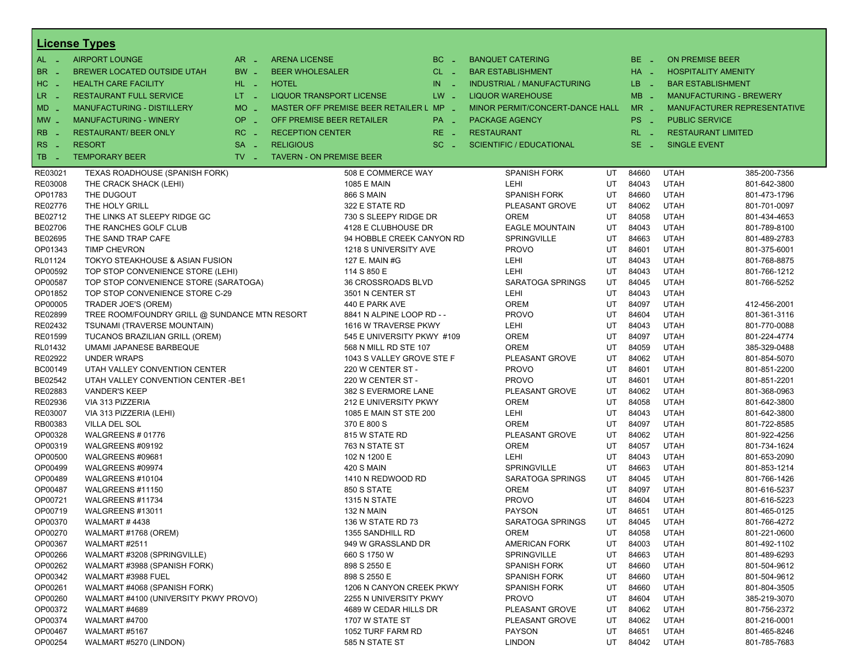|                       | <b>License Types</b>                          |                               |                                 |                                         |           |                                   |    |          |                        |                                |
|-----------------------|-----------------------------------------------|-------------------------------|---------------------------------|-----------------------------------------|-----------|-----------------------------------|----|----------|------------------------|--------------------------------|
| $AL -$                | <b>AIRPORT LOUNGE</b>                         | $AR -$                        | <b>ARENA LICENSE</b>            |                                         | $BC =$    | <b>BANQUET CATERING</b>           |    | BE _     | <b>ON PREMISE BEER</b> |                                |
| BR<br>- 4             | <b>BREWER LOCATED OUTSIDE UTAH</b>            | BW _                          | <b>BEER WHOLESALER</b>          |                                         | $CL$ $-$  | <b>BAR ESTABLISHMENT</b>          |    | HA _     |                        | <b>HOSPITALITY AMENITY</b>     |
| H <sub>C</sub><br>- 4 | <b>HEALTH CARE FACILITY</b>                   | HL L                          | <b>HOTEL</b>                    |                                         | IN<br>- 2 | <b>INDUSTRIAL / MANUFACTURING</b> |    | LB __    |                        | <b>BAR ESTABLISHMENT</b>       |
| LR.<br>- 4            | <b>RESTAURANT FULL SERVICE</b>                | $LT - 1$                      | <b>LIQUOR TRANSPORT LICENSE</b> |                                         | $LW -$    | <b>LIQUOR WAREHOUSE</b>           |    | $MB -$   |                        | <b>MANUFACTURING - BREWERY</b> |
| $MD -$                | MANUFACTURING - DISTILLERY                    | <b>MO</b><br>i a              |                                 | MASTER OFF PREMISE BEER RETAILER L MP _ |           | MINOR PERMIT/CONCERT-DANCE HALL   |    | $MR -$   |                        | MANUFACTURER REPRESENTATIVE    |
|                       | <b>MANUFACTURING - WINERY</b>                 | <b>OP</b>                     | OFF PREMISE BEER RETAILER       |                                         |           |                                   |    | PS _     | <b>PUBLIC SERVICE</b>  |                                |
| $MW-$                 |                                               | п.                            |                                 |                                         | PA _      | <b>PACKAGE AGENCY</b>             |    |          |                        |                                |
| <b>RB</b>             | <b>RESTAURANT/ BEER ONLY</b>                  | RC<br>i a                     | <b>RECEPTION CENTER</b>         |                                         | $RE -$    | <b>RESTAURANT</b>                 |    | $RL - 1$ |                        | <b>RESTAURANT LIMITED</b>      |
| RS<br>- 4             | <b>RESORT</b>                                 | <b>SA</b><br>п.               | <b>RELIGIOUS</b>                |                                         | $SC =$    | <b>SCIENTIFIC / EDUCATIONAL</b>   |    | $SE$ $-$ | <b>SINGLE EVENT</b>    |                                |
| TB<br>- 4             | <b>TEMPORARY BEER</b>                         | $TV$ $\overline{\phantom{0}}$ | <b>TAVERN - ON PREMISE BEER</b> |                                         |           |                                   |    |          |                        |                                |
| RE03021               | TEXAS ROADHOUSE (SPANISH FORK)                |                               |                                 | 508 E COMMERCE WAY                      |           | <b>SPANISH FORK</b>               | UT | 84660    | <b>UTAH</b>            | 385-200-7356                   |
| RE03008               | THE CRACK SHACK (LEHI)                        |                               |                                 | 1085 E MAIN                             |           | LEHI                              | UT | 84043    | <b>UTAH</b>            | 801-642-3800                   |
| OP01783               | THE DUGOUT                                    |                               |                                 | <b>866 S MAIN</b>                       |           | <b>SPANISH FORK</b>               | UT | 84660    | <b>UTAH</b>            | 801-473-1796                   |
| RE02776               | THE HOLY GRILL                                |                               |                                 | 322 E STATE RD                          |           | PLEASANT GROVE                    | UT | 84062    | <b>UTAH</b>            | 801-701-0097                   |
| BE02712               | THE LINKS AT SLEEPY RIDGE GC                  |                               |                                 | 730 S SLEEPY RIDGE DR                   |           | <b>OREM</b>                       | UT | 84058    | <b>UTAH</b>            | 801-434-4653                   |
| BE02706               | THE RANCHES GOLF CLUB                         |                               |                                 | 4128 E CLUBHOUSE DR                     |           | <b>EAGLE MOUNTAIN</b>             | UT | 84043    | <b>UTAH</b>            | 801-789-8100                   |
| BE02695               | THE SAND TRAP CAFE                            |                               |                                 | 94 HOBBLE CREEK CANYON RD               |           | SPRINGVILLE                       | UT | 84663    | <b>UTAH</b>            | 801-489-2783                   |
| OP01343               | <b>TIMP CHEVRON</b>                           |                               |                                 | 1218 S UNIVERSITY AVE                   |           | <b>PROVO</b>                      | UT | 84601    | <b>UTAH</b>            | 801-375-6001                   |
| RL01124               | TOKYO STEAKHOUSE & ASIAN FUSION               |                               |                                 | 127 E. MAIN #G                          |           | LEHI                              | UT | 84043    | <b>UTAH</b>            | 801-768-8875                   |
| OP00592               | TOP STOP CONVENIENCE STORE (LEHI)             |                               |                                 | 114 S 850 E                             |           | LEHI                              | UT | 84043    | <b>UTAH</b>            | 801-766-1212                   |
| OP00587               | TOP STOP CONVENIENCE STORE (SARATOGA)         |                               |                                 | 36 CROSSROADS BLVD                      |           | SARATOGA SPRINGS                  | UT | 84045    | <b>UTAH</b>            | 801-766-5252                   |
| OP01852               | TOP STOP CONVENIENCE STORE C-29               |                               |                                 | 3501 N CENTER ST                        |           | LEHI                              | UT | 84043    | <b>UTAH</b>            |                                |
| OP00005               | TRADER JOE'S (OREM)                           |                               |                                 | 440 E PARK AVE                          |           | <b>OREM</b>                       | UT | 84097    | <b>UTAH</b>            | 412-456-2001                   |
| RE02899               | TREE ROOM/FOUNDRY GRILL @ SUNDANCE MTN RESORT |                               |                                 | 8841 N ALPINE LOOP RD - -               |           | <b>PROVO</b>                      | UT | 84604    | <b>UTAH</b>            | 801-361-3116                   |
| RE02432               | TSUNAMI (TRAVERSE MOUNTAIN)                   |                               |                                 | 1616 W TRAVERSE PKWY                    |           | LEHI                              | UT | 84043    | <b>UTAH</b>            | 801-770-0088                   |
| RE01599               | TUCANOS BRAZILIAN GRILL (OREM)                |                               |                                 | 545 E UNIVERSITY PKWY #109              |           | <b>OREM</b>                       | UT | 84097    | <b>UTAH</b>            | 801-224-4774                   |
| RL01432               | <b>UMAMI JAPANESE BARBEQUE</b>                |                               |                                 | 568 N MILL RD STE 107                   |           | <b>OREM</b>                       | UT | 84059    | <b>UTAH</b>            | 385-329-0488                   |
| RE02922               | <b>UNDER WRAPS</b>                            |                               |                                 | 1043 S VALLEY GROVE STE F               |           | PLEASANT GROVE                    | UT | 84062    | <b>UTAH</b>            | 801-854-5070                   |
| BC00149               | UTAH VALLEY CONVENTION CENTER                 |                               |                                 | 220 W CENTER ST -                       |           | <b>PROVO</b>                      | UT | 84601    | <b>UTAH</b>            | 801-851-2200                   |
| BE02542               | UTAH VALLEY CONVENTION CENTER - BE1           |                               |                                 | 220 W CENTER ST -                       |           | <b>PROVO</b>                      | UT | 84601    | <b>UTAH</b>            | 801-851-2201                   |
| RE02883               | <b>VANDER'S KEEP</b>                          |                               |                                 | 382 S EVERMORE LANE                     |           | PLEASANT GROVE                    | UT | 84062    | <b>UTAH</b>            | 801-368-0963                   |
| RE02936               | VIA 313 PIZZERIA                              |                               |                                 | 212 E UNIVERSITY PKWY                   |           | <b>OREM</b>                       | UT | 84058    | <b>UTAH</b>            | 801-642-3800                   |
| RE03007               | VIA 313 PIZZERIA (LEHI)                       |                               |                                 | 1085 E MAIN ST STE 200                  |           | LEHI                              | UT | 84043    | <b>UTAH</b>            | 801-642-3800                   |
| RB00383               | <b>VILLA DEL SOL</b>                          |                               |                                 | 370 E 800 S                             |           | <b>OREM</b>                       | UT | 84097    | <b>UTAH</b>            | 801-722-8585                   |
| OP00328               | WALGREENS #01776                              |                               |                                 | 815 W STATE RD                          |           | PLEASANT GROVE                    | UT | 84062    | <b>UTAH</b>            | 801-922-4256                   |
| OP00319               | WALGREENS #09192                              |                               |                                 | 763 N STATE ST                          |           | <b>OREM</b>                       | UT | 84057    | <b>UTAH</b>            | 801-734-1624                   |
| OP00500               | WALGREENS #09681                              |                               |                                 | 102 N 1200 E                            |           | LEHI                              | UT | 84043    | <b>UTAH</b>            | 801-653-2090                   |
| OP00499               | WALGREENS #09974                              |                               |                                 | 420 S MAIN                              |           | SPRINGVILLE                       | UT | 84663    | <b>UTAH</b>            | 801-853-1214                   |
| OP00489               | WALGREENS #10104                              |                               |                                 | 1410 N REDWOOD RD                       |           | SARATOGA SPRINGS                  | UT | 84045    | <b>UTAH</b>            | 801-766-1426                   |
| OP00487               | WALGREENS #11150                              |                               |                                 | 850 S STATE                             |           | <b>OREM</b>                       | UT | 84097    | <b>UTAH</b>            | 801-616-5237                   |
| OP00721               | WALGREENS #11734                              |                               |                                 | 1315 N STATE                            |           | <b>PROVO</b>                      | UT | 84604    | <b>UTAH</b>            | 801-616-5223                   |
| OP00719               | WALGREENS #13011                              |                               |                                 | 132 N MAIN                              |           | <b>PAYSON</b>                     | UT | 84651    | <b>UTAH</b>            | 801-465-0125                   |
| OP00370               | <b>WALMART #4438</b>                          |                               |                                 | 136 W STATE RD 73                       |           | SARATOGA SPRINGS                  | UT | 84045    | <b>UTAH</b>            | 801-766-4272                   |
| OP00270               | WALMART #1768 (OREM)                          |                               |                                 | 1355 SANDHILL RD                        |           | <b>OREM</b>                       | UT | 84058    | <b>UTAH</b>            | 801-221-0600                   |
| OP00367               | WALMART #2511                                 |                               |                                 | 949 W GRASSLAND DR                      |           | AMERICAN FORK                     | UT | 84003    | <b>UTAH</b>            | 801-492-1102                   |
| OP00266               | WALMART #3208 (SPRINGVILLE)                   |                               |                                 | 660 S 1750 W                            |           | SPRINGVILLE                       | UT | 84663    | <b>UTAH</b>            | 801-489-6293                   |
| OP00262               | WALMART #3988 (SPANISH FORK)                  |                               |                                 | 898 S 2550 E                            |           | <b>SPANISH FORK</b>               | UT | 84660    | <b>UTAH</b>            | 801-504-9612                   |
| OP00342               | WALMART #3988 FUEL                            |                               |                                 | 898 S 2550 E                            |           | <b>SPANISH FORK</b>               | UT | 84660    | <b>UTAH</b>            | 801-504-9612                   |
| OP00261               | WALMART #4068 (SPANISH FORK)                  |                               |                                 | 1206 N CANYON CREEK PKWY                |           | <b>SPANISH FORK</b>               | UT | 84660    | <b>UTAH</b>            | 801-804-3505                   |
| OP00260               | WALMART #4100 (UNIVERSITY PKWY PROVO)         |                               |                                 | 2255 N UNIVERSITY PKWY                  |           | <b>PROVO</b>                      | UT | 84604    | <b>UTAH</b>            | 385-219-3070                   |
| OP00372               | WALMART #4689                                 |                               |                                 | 4689 W CEDAR HILLS DR                   |           | PLEASANT GROVE                    | UT | 84062    | <b>UTAH</b>            | 801-756-2372                   |
| OP00374               | WALMART #4700                                 |                               |                                 | 1707 W STATE ST                         |           | PLEASANT GROVE                    | UT | 84062    | <b>UTAH</b>            | 801-216-0001                   |
| OP00467               | WALMART #5167                                 |                               |                                 | 1052 TURF FARM RD                       |           | <b>PAYSON</b>                     | UT | 84651    | <b>UTAH</b>            | 801-465-8246                   |
| OP00254               | WALMART #5270 (LINDON)                        |                               |                                 | 585 N STATE ST                          |           | <b>LINDON</b>                     | UT | 84042    | <b>UTAH</b>            | 801-785-7683                   |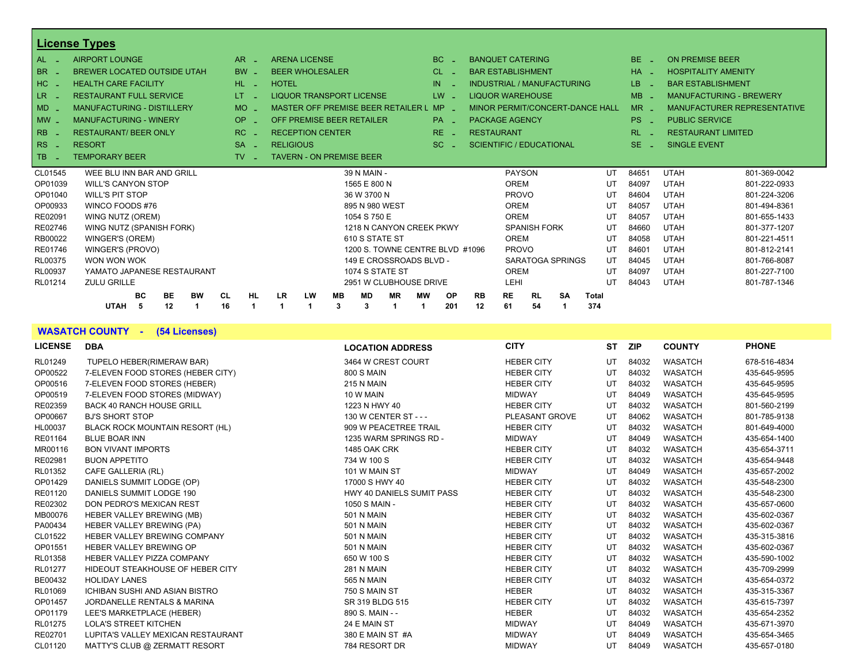|                | <b>License Types</b>               |           |           |           |                  |                         |           |                                    |           |                                 |                 |                   |                       |                                 |    |              |    |           |             |                                |                             |  |
|----------------|------------------------------------|-----------|-----------|-----------|------------------|-------------------------|-----------|------------------------------------|-----------|---------------------------------|-----------------|-------------------|-----------------------|---------------------------------|----|--------------|----|-----------|-------------|--------------------------------|-----------------------------|--|
| AL.            | <b>AIRPORT LOUNGE</b>              |           | AR.       |           |                  | <b>ARENA LICENSE</b>    |           |                                    |           | BC.                             |                 |                   |                       | <b>BANQUET CATERING</b>         |    |              |    | BE.       |             | <b>ON PREMISE BEER</b>         |                             |  |
| <b>BR</b>      | <b>BREWER LOCATED OUTSIDE UTAH</b> |           | <b>BW</b> |           |                  | <b>BEER WHOLESALER</b>  |           |                                    |           | CL.                             |                 |                   |                       | <b>BAR ESTABLISHMENT</b>        |    |              |    | $HA -$    |             | <b>HOSPITALITY AMENITY</b>     |                             |  |
| HC             | <b>HEALTH CARE FACILITY</b>        |           | HL-       |           | <b>HOTEL</b>     |                         |           |                                    |           | IN                              |                 |                   |                       | INDUSTRIAL / MANUFACTURING      |    |              |    | LB.       |             | <b>BAR ESTABLISHMENT</b>       |                             |  |
| LR.            | <b>RESTAURANT FULL SERVICE</b>     |           | LT.       |           |                  |                         |           | <b>LIQUOR TRANSPORT LICENSE</b>    |           | LW                              |                 |                   |                       | <b>LIQUOR WAREHOUSE</b>         |    |              |    | <b>MB</b> |             | <b>MANUFACTURING - BREWERY</b> |                             |  |
| $MD -$         | <b>MANUFACTURING - DISTILLERY</b>  |           | MO.       |           |                  |                         |           | MASTER OFF PREMISE BEER RETAILER L |           | <b>MP</b>                       |                 |                   |                       | MINOR PERMIT/CONCERT-DANCE HALL |    |              |    | $MR -$    |             |                                | MANUFACTURER REPRESENTATIVE |  |
| $MW -$         | <b>MANUFACTURING - WINERY</b>      |           | OP.       |           |                  |                         |           | OFF PREMISE BEER RETAILER          |           |                                 | PA <sub>-</sub> |                   | <b>PACKAGE AGENCY</b> |                                 |    |              |    | PS.       |             | <b>PUBLIC SERVICE</b>          |                             |  |
| <b>RB</b>      | <b>RESTAURANT/ BEER ONLY</b>       |           | RC.       |           |                  | <b>RECEPTION CENTER</b> |           |                                    |           |                                 | $RE -$          | <b>RESTAURANT</b> |                       |                                 |    |              |    | RL -      |             | <b>RESTAURANT LIMITED</b>      |                             |  |
| <b>RS</b>      | <b>RESORT</b>                      |           | <b>SA</b> |           | <b>RELIGIOUS</b> |                         |           |                                    |           | SC.                             |                 |                   |                       | <b>SCIENTIFIC / EDUCATIONAL</b> |    |              |    | $SE$ $-$  |             | <b>SINGLE EVENT</b>            |                             |  |
| <b>TB</b>      | <b>TEMPORARY BEER</b>              |           | TV.       |           |                  |                         |           | <b>TAVERN - ON PREMISE BEER</b>    |           |                                 |                 |                   |                       |                                 |    |              |    |           |             |                                |                             |  |
| CL01545        | WEE BLU INN BAR AND GRILL          |           |           |           |                  |                         |           | 39 N MAIN -                        |           |                                 |                 |                   |                       | <b>PAYSON</b>                   |    |              | UT | 84651     | <b>UTAH</b> |                                | 801-369-0042                |  |
| OP01039        | <b>WILL'S CANYON STOP</b>          |           |           |           |                  |                         |           | 1565 E 800 N                       |           |                                 |                 |                   | OREM                  |                                 |    |              | UT | 84097     | <b>UTAH</b> |                                | 801-222-0933                |  |
| OP01040        | <b>WILL'S PIT STOP</b>             |           |           |           |                  |                         |           | 36 W 3700 N                        |           |                                 |                 |                   | <b>PROVO</b>          |                                 |    |              | UT | 84604     | <b>UTAH</b> |                                | 801-224-3206                |  |
| OP00933        | WINCO FOODS #76                    |           |           |           |                  |                         |           | 895 N 980 WEST                     |           |                                 |                 |                   | <b>OREM</b>           |                                 |    |              | UT | 84057     | <b>UTAH</b> |                                | 801-494-8361                |  |
| RE02091        | WING NUTZ (OREM)                   |           |           |           |                  |                         |           | 1054 S 750 E                       |           |                                 |                 |                   | OREM                  |                                 |    |              | UT | 84057     | <b>UTAH</b> |                                | 801-655-1433                |  |
| RE02746        | WING NUTZ (SPANISH FORK)           |           |           |           |                  |                         |           |                                    |           | 1218 N CANYON CREEK PKWY        |                 |                   |                       | <b>SPANISH FORK</b>             |    |              | UT | 84660     | <b>UTAH</b> |                                | 801-377-1207                |  |
| RB00022        | WINGER'S (OREM)                    |           |           |           |                  |                         |           | 610 S STATE ST                     |           |                                 |                 |                   | OREM                  |                                 |    |              | UT | 84058     | <b>UTAH</b> |                                | 801-221-4511                |  |
| RE01746        | WINGER'S (PROVO)                   |           |           |           |                  |                         |           |                                    |           | 1200 S. TOWNE CENTRE BLVD #1096 |                 |                   | <b>PROVO</b>          |                                 |    |              | UT | 84601     | <b>UTAH</b> |                                | 801-812-2141                |  |
| <b>RL00375</b> | WON WON WOK                        |           |           |           |                  |                         |           |                                    |           | 149 E CROSSROADS BLVD -         |                 |                   |                       | SARATOGA SPRINGS                |    |              | UT | 84045     | <b>UTAH</b> |                                | 801-766-8087                |  |
| RL00937        | YAMATO JAPANESE RESTAURANT         |           |           |           |                  |                         |           | 1074 S STATE ST                    |           |                                 |                 |                   | <b>OREM</b>           |                                 |    |              | UT | 84097     | <b>UTAH</b> |                                | 801-227-7100                |  |
| RL01214        | <b>ZULU GRILLE</b>                 |           |           |           |                  |                         |           |                                    |           | 2951 W CLUBHOUSE DRIVE          |                 |                   | LEHI                  |                                 |    |              | UT | 84043     | <b>UTAH</b> |                                | 801-787-1346                |  |
|                | BC.<br><b>BE</b>                   | <b>BW</b> | CL.       | <b>HL</b> | <b>LR</b>        | <b>LW</b>               | <b>MB</b> | <b>MD</b>                          | <b>MR</b> | МW                              | <b>OP</b>       | <b>RB</b>         | <b>RE</b>             | <b>RL</b>                       | SA | <b>Total</b> |    |           |             |                                |                             |  |
|                | <b>UTAH</b><br>12<br>-5            | 1         | 16        |           |                  |                         | 3         | 3                                  | 1         |                                 | 201             | 12                | 61                    | 54                              |    | 374          |    |           |             |                                |                             |  |

**WASATCH COUNTY - (54 Licenses)**

| <b>LICENSE</b> | <b>DBA</b>                            | <b>LOCATION ADDRESS</b>   | <b>CITY</b>       | ST | ZIP   | <b>COUNTY</b>  | <b>PHONE</b> |
|----------------|---------------------------------------|---------------------------|-------------------|----|-------|----------------|--------------|
| RL01249        | TUPELO HEBER(RIMERAW BAR)             | 3464 W CREST COURT        | <b>HEBER CITY</b> | UT | 84032 | <b>WASATCH</b> | 678-516-4834 |
| OP00522        | 7-ELEVEN FOOD STORES (HEBER CITY)     | <b>800 S MAIN</b>         | <b>HEBER CITY</b> | UT | 84032 | <b>WASATCH</b> | 435-645-9595 |
| OP00516        | 7-ELEVEN FOOD STORES (HEBER)          | 215 N MAIN                | <b>HEBER CITY</b> | UT | 84032 | <b>WASATCH</b> | 435-645-9595 |
| OP00519        | 7-ELEVEN FOOD STORES (MIDWAY)         | 10 W MAIN                 | <b>MIDWAY</b>     | UT | 84049 | <b>WASATCH</b> | 435-645-9595 |
| RE02359        | <b>BACK 40 RANCH HOUSE GRILL</b>      | 1223 N HWY 40             | <b>HEBER CITY</b> | UT | 84032 | <b>WASATCH</b> | 801-560-2199 |
| OP00667        | <b>BJ'S SHORT STOP</b>                | 130 W CENTER ST - - -     | PLEASANT GROVE    | UT | 84062 | <b>WASATCH</b> | 801-785-9138 |
| HL00037        | BLACK ROCK MOUNTAIN RESORT (HL)       | 909 W PEACETREE TRAIL     | <b>HEBER CITY</b> | UT | 84032 | <b>WASATCH</b> | 801-649-4000 |
| RE01164        | <b>BLUE BOAR INN</b>                  | 1235 WARM SPRINGS RD -    | <b>MIDWAY</b>     | UT | 84049 | <b>WASATCH</b> | 435-654-1400 |
| MR00116        | <b>BON VIVANT IMPORTS</b>             | <b>1485 OAK CRK</b>       | <b>HEBER CITY</b> | UT | 84032 | <b>WASATCH</b> | 435-654-3711 |
| RE02981        | <b>BUON APPETITO</b>                  | 734 W 100 S               | <b>HEBER CITY</b> | UT | 84032 | <b>WASATCH</b> | 435-654-9448 |
| RL01352        | CAFE GALLERIA (RL)                    | 101 W MAIN ST             | <b>MIDWAY</b>     | UT | 84049 | <b>WASATCH</b> | 435-657-2002 |
| OP01429        | DANIELS SUMMIT LODGE (OP)             | 17000 S HWY 40            | <b>HEBER CITY</b> | UT | 84032 | <b>WASATCH</b> | 435-548-2300 |
| RE01120        | DANIELS SUMMIT LODGE 190              | HWY 40 DANIELS SUMIT PASS | <b>HEBER CITY</b> | UT | 84032 | <b>WASATCH</b> | 435-548-2300 |
| RE02302        | DON PEDRO'S MEXICAN REST              | 1050 S MAIN -             | <b>HEBER CITY</b> | UT | 84032 | <b>WASATCH</b> | 435-657-0600 |
| MB00076        | <b>HEBER VALLEY BREWING (MB)</b>      | 501 N MAIN                | <b>HEBER CITY</b> | UT | 84032 | <b>WASATCH</b> | 435-602-0367 |
| PA00434        | <b>HEBER VALLEY BREWING (PA)</b>      | 501 N MAIN                | <b>HEBER CITY</b> | UT | 84032 | <b>WASATCH</b> | 435-602-0367 |
| CL01522        | <b>HEBER VALLEY BREWING COMPANY</b>   | 501 N MAIN                | <b>HEBER CITY</b> | UT | 84032 | <b>WASATCH</b> | 435-315-3816 |
| OP01551        | <b>HEBER VALLEY BREWING OP</b>        | <b>501 N MAIN</b>         | <b>HEBER CITY</b> | UT | 84032 | <b>WASATCH</b> | 435-602-0367 |
| RL01358        | <b>HEBER VALLEY PIZZA COMPANY</b>     | 650 W 100 S               | <b>HEBER CITY</b> | UT | 84032 | <b>WASATCH</b> | 435-590-1002 |
| RL01277        | HIDEOUT STEAKHOUSE OF HEBER CITY      | <b>281 N MAIN</b>         | <b>HEBER CITY</b> | UT | 84032 | <b>WASATCH</b> | 435-709-2999 |
| BE00432        | <b>HOLIDAY LANES</b>                  | 565 N MAIN                | <b>HEBER CITY</b> | UT | 84032 | <b>WASATCH</b> | 435-654-0372 |
| RL01069        | <b>ICHIBAN SUSHI AND ASIAN BISTRO</b> | 750 S MAIN ST             | <b>HEBER</b>      | UT | 84032 | <b>WASATCH</b> | 435-315-3367 |
| OP01457        | JORDANELLE RENTALS & MARINA           | SR 319 BLDG 515           | <b>HEBER CITY</b> | UT | 84032 | <b>WASATCH</b> | 435-615-7397 |
| OP01179        | LEE'S MARKETPLACE (HEBER)             | 890 S. MAIN - -           | <b>HEBER</b>      | UT | 84032 | <b>WASATCH</b> | 435-654-2352 |
| RL01275        | <b>LOLA'S STREET KITCHEN</b>          | 24 E MAIN ST              | <b>MIDWAY</b>     | UT | 84049 | <b>WASATCH</b> | 435-671-3970 |
| RE02701        | LUPITA'S VALLEY MEXICAN RESTAURANT    | 380 E MAIN ST #A          | <b>MIDWAY</b>     | UT | 84049 | <b>WASATCH</b> | 435-654-3465 |
| CL01120        | MATTY'S CLUB @ ZERMATT RESORT         | 784 RESORT DR             | <b>MIDWAY</b>     | UT | 84049 | <b>WASATCH</b> | 435-657-0180 |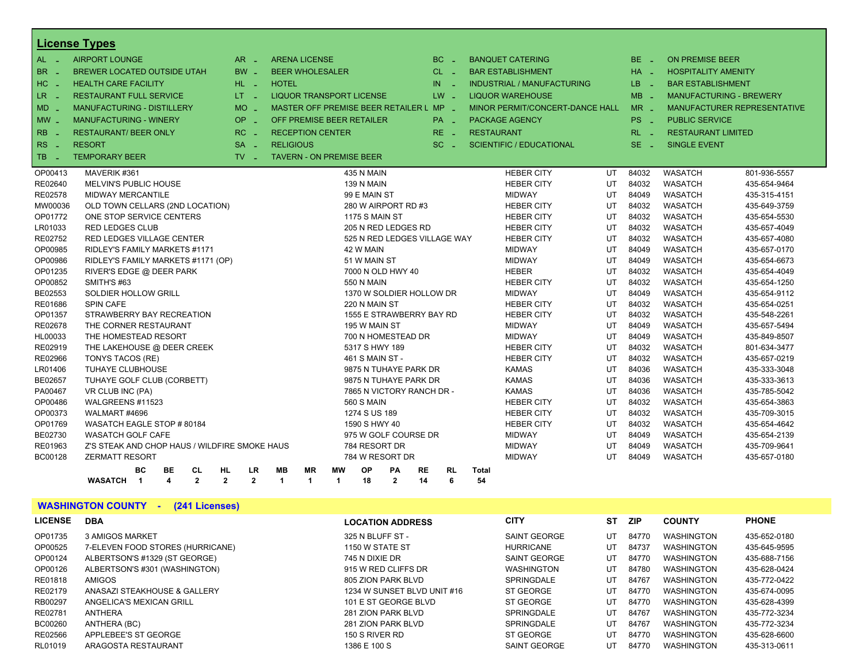|                       | <b>License Types</b>                           |                               |                                         |                      |                       |                              |           |           |                   |                                 |    |          |                            |                                |
|-----------------------|------------------------------------------------|-------------------------------|-----------------------------------------|----------------------|-----------------------|------------------------------|-----------|-----------|-------------------|---------------------------------|----|----------|----------------------------|--------------------------------|
| AL -                  | <b>AIRPORT LOUNGE</b>                          | $AR -$                        | <b>ARENA LICENSE</b>                    |                      |                       |                              |           | $BC -$    |                   | <b>BANQUET CATERING</b>         |    | BE _     | <b>ON PREMISE BEER</b>     |                                |
| BR.                   | <b>BREWER LOCATED OUTSIDE UTAH</b>             | $BW -$                        | <b>BEER WHOLESALER</b>                  |                      |                       |                              |           | $CL -$    |                   | <b>BAR ESTABLISHMENT</b>        |    | $HA -$   | <b>HOSPITALITY AMENITY</b> |                                |
| HC.                   | <b>HEALTH CARE FACILITY</b>                    | HL L                          | <b>HOTEL</b>                            |                      |                       |                              | IN        |           |                   | INDUSTRIAL / MANUFACTURING      |    | LB.      | <b>BAR ESTABLISHMENT</b>   |                                |
| LR.                   | <b>RESTAURANT FULL SERVICE</b>                 | $LT = 1$                      | <b>LIQUOR TRANSPORT LICENSE</b>         |                      |                       |                              | LW -      |           |                   | <b>LIQUOR WAREHOUSE</b>         |    | MB.      |                            | <b>MANUFACTURING - BREWERY</b> |
| MD -                  | <b>MANUFACTURING - DISTILLERY</b>              | $MO$ $\overline{\phantom{0}}$ | MASTER OFF PREMISE BEER RETAILER L MP - |                      |                       |                              |           |           |                   | MINOR PERMIT/CONCERT-DANCE HALL |    | $MR -$   |                            | MANUFACTURER REPRESENTATIVE    |
|                       | <b>MANUFACTURING - WINERY</b>                  | $OP \sim$                     | OFF PREMISE BEER RETAILER               |                      |                       |                              |           | PA _      |                   |                                 |    | PS _     | <b>PUBLIC SERVICE</b>      |                                |
| $MW_{-}$              |                                                |                               |                                         |                      |                       |                              |           |           |                   | <b>PACKAGE AGENCY</b>           |    |          |                            |                                |
| R <sub>B</sub><br>- 4 | <b>RESTAURANT/ BEER ONLY</b>                   | $RC -$                        | <b>RECEPTION CENTER</b>                 |                      |                       |                              | $RE -$    |           | <b>RESTAURANT</b> |                                 |    | $RL - 1$ | <b>RESTAURANT LIMITED</b>  |                                |
| <b>RS</b><br>$\sim$   | <b>RESORT</b>                                  | $SA -$                        | <b>RELIGIOUS</b>                        |                      |                       |                              |           | $SC =$    |                   | SCIENTIFIC / EDUCATIONAL        |    | $SE -$   | <b>SINGLE EVENT</b>        |                                |
| TB<br>- 4             | <b>TEMPORARY BEER</b>                          | $TV$ $\overline{\phantom{0}}$ | <b>TAVERN - ON PREMISE BEER</b>         |                      |                       |                              |           |           |                   |                                 |    |          |                            |                                |
| OP00413               | MAVERIK #361                                   |                               |                                         |                      | 435 N MAIN            |                              |           |           |                   | <b>HEBER CITY</b>               | UT | 84032    | <b>WASATCH</b>             | 801-936-5557                   |
| RE02640               | <b>MELVIN'S PUBLIC HOUSE</b>                   |                               |                                         |                      | 139 N MAIN            |                              |           |           |                   | <b>HEBER CITY</b>               | UT | 84032    | <b>WASATCH</b>             | 435-654-9464                   |
| RE02578               | <b>MIDWAY MERCANTILE</b>                       |                               |                                         |                      | 99 E MAIN ST          |                              |           |           |                   | <b>MIDWAY</b>                   | UT | 84049    | <b>WASATCH</b>             | 435-315-4151                   |
| MW00036               | OLD TOWN CELLARS (2ND LOCATION)                |                               |                                         |                      |                       | 280 W AIRPORT RD #3          |           |           |                   | <b>HEBER CITY</b>               | UT | 84032    | <b>WASATCH</b>             | 435-649-3759                   |
| OP01772               | ONE STOP SERVICE CENTERS                       |                               |                                         |                      | <b>1175 S MAIN ST</b> |                              |           |           |                   | <b>HEBER CITY</b>               | UT | 84032    | <b>WASATCH</b>             | 435-654-5530                   |
| LR01033               | <b>RED LEDGES CLUB</b>                         |                               |                                         |                      |                       | 205 N RED LEDGES RD          |           |           |                   | <b>HEBER CITY</b>               | UT | 84032    | <b>WASATCH</b>             | 435-657-4049                   |
| RE02752               | RED LEDGES VILLAGE CENTER                      |                               |                                         |                      |                       | 525 N RED LEDGES VILLAGE WAY |           |           |                   | <b>HEBER CITY</b>               | UT | 84032    | <b>WASATCH</b>             | 435-657-4080                   |
| OP00985               | RIDLEY'S FAMILY MARKETS #1171                  |                               |                                         |                      | 42 W MAIN             |                              |           |           |                   | <b>MIDWAY</b>                   | UT | 84049    | <b>WASATCH</b>             | 435-657-0170                   |
| OP00986               | RIDLEY'S FAMILY MARKETS #1171 (OP)             |                               |                                         |                      | 51 W MAIN ST          |                              |           |           |                   | <b>MIDWAY</b>                   | UT | 84049    | <b>WASATCH</b>             | 435-654-6673                   |
| OP01235               | RIVER'S EDGE @ DEER PARK                       |                               |                                         |                      |                       | 7000 N OLD HWY 40            |           |           |                   | <b>HEBER</b>                    | UT | 84032    | <b>WASATCH</b>             | 435-654-4049                   |
| OP00852               | SMITH'S #63                                    |                               |                                         |                      | 550 N MAIN            |                              |           |           |                   | <b>HEBER CITY</b>               | UT | 84032    | <b>WASATCH</b>             | 435-654-1250                   |
| BE02553               | <b>SOLDIER HOLLOW GRILL</b>                    |                               |                                         |                      |                       | 1370 W SOLDIER HOLLOW DR     |           |           |                   | <b>MIDWAY</b>                   | UT | 84049    | <b>WASATCH</b>             | 435-654-9112                   |
| RE01686               | <b>SPIN CAFE</b>                               |                               |                                         |                      | 220 N MAIN ST         |                              |           |           |                   | <b>HEBER CITY</b>               | UT | 84032    | <b>WASATCH</b>             | 435-654-0251                   |
| OP01357               | STRAWBERRY BAY RECREATION                      |                               |                                         |                      |                       | 1555 E STRAWBERRY BAY RD     |           |           |                   | <b>HEBER CITY</b>               | UT | 84032    | <b>WASATCH</b>             | 435-548-2261                   |
| RE02678               | THE CORNER RESTAURANT                          |                               |                                         |                      | 195 W MAIN ST         |                              |           |           |                   | <b>MIDWAY</b>                   | UT | 84049    | <b>WASATCH</b>             | 435-657-5494                   |
| HL00033               | THE HOMESTEAD RESORT                           |                               |                                         |                      |                       | 700 N HOMESTEAD DR           |           |           |                   | <b>MIDWAY</b>                   | UT | 84049    | <b>WASATCH</b>             | 435-849-8507                   |
| RE02919               | THE LAKEHOUSE @ DEER CREEK                     |                               |                                         |                      | 5317 S HWY 189        |                              |           |           |                   | <b>HEBER CITY</b>               | UT | 84032    | <b>WASATCH</b>             | 801-634-3477                   |
| RE02966               | TONYS TACOS (RE)                               |                               |                                         |                      | 461 S MAIN ST -       |                              |           |           |                   | <b>HEBER CITY</b>               | UT | 84032    | <b>WASATCH</b>             | 435-657-0219                   |
| LR01406               | TUHAYE CLUBHOUSE                               |                               |                                         |                      |                       | 9875 N TUHAYE PARK DR        |           |           |                   | <b>KAMAS</b>                    | UT | 84036    | <b>WASATCH</b>             | 435-333-3048                   |
| BE02657               | TUHAYE GOLF CLUB (CORBETT)                     |                               |                                         |                      |                       | 9875 N TUHAYE PARK DR        |           |           |                   | <b>KAMAS</b>                    | UT | 84036    | <b>WASATCH</b>             | 435-333-3613                   |
| PA00467               | VR CLUB INC (PA)                               |                               |                                         |                      |                       | 7865 N VICTORY RANCH DR -    |           |           |                   | <b>KAMAS</b>                    | UT | 84036    | <b>WASATCH</b>             | 435-785-5042                   |
| OP00486               | WALGREENS #11523                               |                               |                                         |                      | <b>560 S MAIN</b>     |                              |           |           |                   | <b>HEBER CITY</b>               | UT | 84032    | <b>WASATCH</b>             | 435-654-3863                   |
| OP00373               | WALMART #4696                                  |                               |                                         |                      | 1274 S US 189         |                              |           |           |                   | <b>HEBER CITY</b>               | UT | 84032    | <b>WASATCH</b>             | 435-709-3015                   |
| OP01769               | WASATCH EAGLE STOP #80184                      |                               |                                         |                      | 1590 S HWY 40         |                              |           |           |                   | <b>HEBER CITY</b>               | UT | 84032    | <b>WASATCH</b>             | 435-654-4642                   |
| BE02730               | <b>WASATCH GOLF CAFE</b>                       |                               |                                         |                      |                       | 975 W GOLF COURSE DR         |           |           |                   | <b>MIDWAY</b>                   | UT | 84049    | <b>WASATCH</b>             | 435-654-2139                   |
| RE01963               | Z'S STEAK AND CHOP HAUS / WILDFIRE SMOKE HAUS  |                               |                                         |                      | 784 RESORT DR         |                              |           |           |                   | <b>MIDWAY</b>                   | UT | 84049    | <b>WASATCH</b>             | 435-709-9641                   |
| BC00128               | <b>ZERMATT RESORT</b>                          |                               |                                         |                      | 784 W RESORT DR       |                              |           |           |                   | <b>MIDWAY</b>                   | UT | 84049    | <b>WASATCH</b>             | 435-657-0180                   |
|                       | BC<br>BE<br>CL<br>HL                           | LR.                           | <b>MB</b><br><b>MR</b>                  | <b>MW</b>            | <b>OP</b>             | PA                           | <b>RE</b> | <b>RL</b> | Total             |                                 |    |          |                            |                                |
|                       | $\mathbf{2}$<br>WASATCH 1<br>4<br>$\mathbf{2}$ | $\mathbf{2}$                  | $\mathbf{1}$<br>$\mathbf{1}$            | $\blacktriangleleft$ | 18                    | $\overline{2}$               | 14        | 6         | 54                |                                 |    |          |                            |                                |

## **WASHINGTON COUNTY - (241 Licenses)**

| <b>LICENSE</b> | <b>DBA</b>                       | <b>LOCATION ADDRESS</b>     | <b>CITY</b>         | SТ | <b>ZIP</b> | <b>COUNTY</b>     | <b>PHONE</b> |
|----------------|----------------------------------|-----------------------------|---------------------|----|------------|-------------------|--------------|
| OP01735        | 3 AMIGOS MARKET                  | 325 N BLUFF ST -            | SAINT GEORGE        | UT | 84770      | <b>WASHINGTON</b> | 435-652-0180 |
| OP00525        | 7-ELEVEN FOOD STORES (HURRICANE) | 1150 W STATE ST             | <b>HURRICANE</b>    | UT | 84737      | <b>WASHINGTON</b> | 435-645-9595 |
| OP00124        | ALBERTSON'S #1329 (ST GEORGE)    | 745 N DIXIE DR              | SAINT GEORGE        | UT | 84770      | <b>WASHINGTON</b> | 435-688-7156 |
| OP00126        | ALBERTSON'S #301 (WASHINGTON)    | 915 W RED CLIFFS DR         | <b>WASHINGTON</b>   | UT | 84780      | <b>WASHINGTON</b> | 435-628-0424 |
| RE01818        | AMIGOS                           | 805 ZION PARK BLVD          | <b>SPRINGDALE</b>   | UT | 84767      | <b>WASHINGTON</b> | 435-772-0422 |
| RE02179        | ANASAZI STEAKHOUSE & GALLERY     | 1234 W SUNSET BLVD UNIT #16 | ST GEORGE           | UT | 84770      | <b>WASHINGTON</b> | 435-674-0095 |
| RB00297        | ANGELICA'S MEXICAN GRILL         | 101 E ST GEORGE BLVD        | ST GEORGE           | UT | 84770      | <b>WASHINGTON</b> | 435-628-4399 |
| RE02781        | <b>ANTHERA</b>                   | 281 ZION PARK BLVD          | <b>SPRINGDALE</b>   | UT | 84767      | <b>WASHINGTON</b> | 435-772-3234 |
| BC00260        | ANTHERA (BC)                     | 281 ZION PARK BLVD          | <b>SPRINGDALE</b>   | UT | 84767      | <b>WASHINGTON</b> | 435-772-3234 |
| RE02566        | APPLEBEE'S ST GEORGE             | 150 S RIVER RD              | ST GEORGE           | UT | 84770      | <b>WASHINGTON</b> | 435-628-6600 |
| RL01019        | ARAGOSTA RESTAURANT              | 1386 E 100 S                | <b>SAINT GEORGE</b> | UT | 84770      | WASHINGTON        | 435-313-0611 |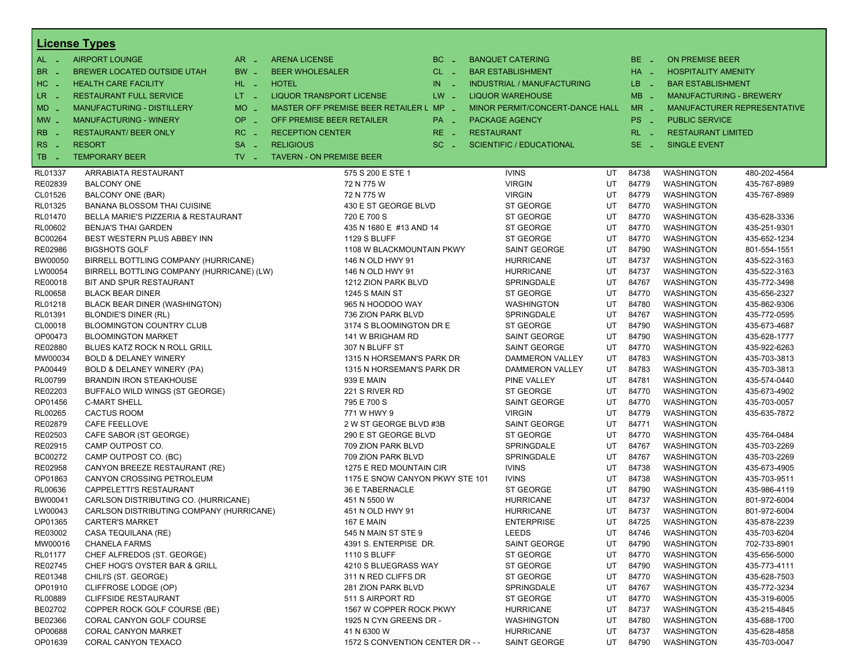|                  | <b>License Types</b>                      |                               |                                         |               |                                 |    |             |                                |                             |
|------------------|-------------------------------------------|-------------------------------|-----------------------------------------|---------------|---------------------------------|----|-------------|--------------------------------|-----------------------------|
| AL -             | <b>AIRPORT LOUNGE</b>                     | $AR -$                        | <b>ARENA LICENSE</b>                    | BC.<br>$\sim$ | <b>BANQUET CATERING</b>         |    | BE _        | <b>ON PREMISE BEER</b>         |                             |
| <b>BR</b><br>- 4 | BREWER LOCATED OUTSIDE UTAH               | BW _                          | <b>BEER WHOLESALER</b>                  | $CL$ $-$      | <b>BAR ESTABLISHMENT</b>        |    | $HA$ $-$    | <b>HOSPITALITY AMENITY</b>     |                             |
| $HC -$           | <b>HEALTH CARE FACILITY</b>               | HL L                          | <b>HOTEL</b>                            | IN.<br>×.     | INDUSTRIAL / MANUFACTURING      |    | LB.<br>- 11 | <b>BAR ESTABLISHMENT</b>       |                             |
| LR -             | <b>RESTAURANT FULL SERVICE</b>            | LT <sub>1</sub>               | <b>LIQUOR TRANSPORT LICENSE</b>         | $LW -$        | <b>LIQUOR WAREHOUSE</b>         |    | $MB -$      | <b>MANUFACTURING - BREWERY</b> |                             |
| MD -             | MANUFACTURING - DISTILLERY                | MO _                          | MASTER OFF PREMISE BEER RETAILER L MP _ |               | MINOR PERMIT/CONCERT-DANCE HALL |    | $MR -$      |                                | MANUFACTURER REPRESENTATIVE |
|                  |                                           | OP                            | OFF PREMISE BEER RETAILER               |               |                                 |    | PS _        | <b>PUBLIC SERVICE</b>          |                             |
| $MW$ $-$         | <b>MANUFACTURING - WINERY</b>             | nia.                          |                                         | PA _          | <b>PACKAGE AGENCY</b>           |    |             |                                |                             |
| <b>RB</b>        | <b>RESTAURANT/ BEER ONLY</b>              | RC                            | <b>RECEPTION CENTER</b>                 | RE.<br>- 4    | <b>RESTAURANT</b>               |    | $RL - 1$    | <b>RESTAURANT LIMITED</b>      |                             |
| RS<br>- 4        | <b>RESORT</b>                             | <b>SA</b><br>$\sim$           | <b>RELIGIOUS</b>                        | SC.<br>- 2    | <b>SCIENTIFIC / EDUCATIONAL</b> |    | $SE -$      | <b>SINGLE EVENT</b>            |                             |
| TB<br>- 4        | <b>TEMPORARY BEER</b>                     | $TV$ $\overline{\phantom{0}}$ | <b>TAVERN - ON PREMISE BEER</b>         |               |                                 |    |             |                                |                             |
| RL01337          | ARRABIATA RESTAURANT                      |                               | 575 S 200 E STE 1                       |               | <b>IVINS</b>                    | UT | 84738       | <b>WASHINGTON</b>              | 480-202-4564                |
| RE02839          | <b>BALCONY ONE</b>                        |                               | 72 N 775 W                              |               | <b>VIRGIN</b>                   | UT | 84779       | <b>WASHINGTON</b>              | 435-767-8989                |
| CL01526          | BALCONY ONE (BAR)                         |                               | 72 N 775 W                              |               | <b>VIRGIN</b>                   | UT | 84779       | <b>WASHINGTON</b>              | 435-767-8989                |
| RL01325          | BANANA BLOSSOM THAI CUISINE               |                               | 430 E ST GEORGE BLVD                    |               | ST GEORGE                       | UT | 84770       | <b>WASHINGTON</b>              |                             |
| RL01470          | BELLA MARIE'S PIZZERIA & RESTAURANT       |                               | 720 E 700 S                             |               | ST GEORGE                       | UT | 84770       | WASHINGTON                     | 435-628-3336                |
| RL00602          | <b>BENJA'S THAI GARDEN</b>                |                               | 435 N 1680 E #13 AND 14                 |               | ST GEORGE                       | UT | 84770       | <b>WASHINGTON</b>              | 435-251-9301                |
| BC00264          | BEST WESTERN PLUS ABBEY INN               |                               | <b>1129 S BLUFF</b>                     |               | ST GEORGE                       | UT | 84770       | <b>WASHINGTON</b>              | 435-652-1234                |
| RE02986          | <b>BIGSHOTS GOLF</b>                      |                               | 1108 W BLACKMOUNTAIN PKWY               |               | SAINT GEORGE                    | UT | 84790       | WASHINGTON                     | 801-554-1551                |
| BW00050          | BIRRELL BOTTLING COMPANY (HURRICANE)      |                               | 146 N OLD HWY 91                        |               | <b>HURRICANE</b>                | UT | 84737       | <b>WASHINGTON</b>              | 435-522-3163                |
| LW00054          | BIRRELL BOTTLING COMPANY (HURRICANE) (LW) |                               | 146 N OLD HWY 91                        |               | <b>HURRICANE</b>                | UT | 84737       | <b>WASHINGTON</b>              | 435-522-3163                |
| RE00018          | BIT AND SPUR RESTAURANT                   |                               | 1212 ZION PARK BLVD                     |               | SPRINGDALE                      | UT | 84767       | WASHINGTON                     | 435-772-3498                |
| RL00658          | <b>BLACK BEAR DINER</b>                   |                               | 1245 S MAIN ST                          |               | <b>ST GEORGE</b>                | UT | 84770       | <b>WASHINGTON</b>              | 435-656-2327                |
| RL01218          | BLACK BEAR DINER (WASHINGTON)             |                               | 965 N HOODOO WAY                        |               | WASHINGTON                      | UT | 84780       | <b>WASHINGTON</b>              | 435-862-9306                |
| RL01391          | <b>BLONDIE'S DINER (RL)</b>               |                               | 736 ZION PARK BLVD                      |               | SPRINGDALE                      | UT | 84767       | WASHINGTON                     | 435-772-0595                |
| CL00018          | <b>BLOOMINGTON COUNTRY CLUB</b>           |                               | 3174 S BLOOMINGTON DR E                 |               | ST GEORGE                       | UT | 84790       | <b>WASHINGTON</b>              | 435-673-4687                |
| OP00473          | <b>BLOOMINGTON MARKET</b>                 |                               | 141 W BRIGHAM RD                        |               | SAINT GEORGE                    | UT | 84790       | <b>WASHINGTON</b>              | 435-628-1777                |
| RE02880          | BLUES KATZ ROCK N ROLL GRILL              |                               | 307 N BLUFF ST                          |               | SAINT GEORGE                    | UT | 84770       | <b>WASHINGTON</b>              | 435-922-6263                |
| MW00034          | <b>BOLD &amp; DELANEY WINERY</b>          |                               | 1315 N HORSEMAN'S PARK DR               |               | DAMMERON VALLEY                 | UT | 84783       | <b>WASHINGTON</b>              | 435-703-3813                |
| PA00449          | BOLD & DELANEY WINERY (PA)                |                               | 1315 N HORSEMAN'S PARK DR               |               | DAMMERON VALLEY                 | UT | 84783       | <b>WASHINGTON</b>              | 435-703-3813                |
| RL00799          | <b>BRANDIN IRON STEAKHOUSE</b>            |                               | 939 E MAIN                              |               | PINE VALLEY                     | UT | 84781       | WASHINGTON                     | 435-574-0440                |
| RE02203          | BUFFALO WILD WINGS (ST GEORGE)            |                               | 221 S RIVER RD                          |               | ST GEORGE                       | UT | 84770       | <b>WASHINGTON</b>              | 435-673-4902                |
| OP01456          | <b>C-MART SHELL</b>                       |                               | 795 E 700 S                             |               | SAINT GEORGE                    | UT | 84770       | <b>WASHINGTON</b>              | 435-703-0057                |
| RL00265          | <b>CACTUS ROOM</b>                        |                               | 771 W HWY 9                             |               | <b>VIRGIN</b>                   | UT | 84779       | WASHINGTON                     | 435-635-7872                |
| RE02879          | CAFE FEELLOVE                             |                               | 2 W ST GEORGE BLVD #3B                  |               | SAINT GEORGE                    | UT | 84771       | <b>WASHINGTON</b>              |                             |
| RE02503          | CAFE SABOR (ST GEORGE)                    |                               | 290 E ST GEORGE BLVD                    |               | ST GEORGE                       | UT | 84770       | <b>WASHINGTON</b>              | 435-764-0484                |
| RE02915          | CAMP OUTPOST CO.                          |                               | 709 ZION PARK BLVD                      |               | SPRINGDALE                      | UT | 84767       | WASHINGTON                     | 435-703-2269                |
| BC00272          | CAMP OUTPOST CO. (BC)                     |                               | 709 ZION PARK BLVD                      |               | SPRINGDALE                      | UT | 84767       | <b>WASHINGTON</b>              | 435-703-2269                |
| RE02958          | CANYON BREEZE RESTAURANT (RE)             |                               | 1275 E RED MOUNTAIN CIR                 |               | <b>IVINS</b>                    | UT | 84738       | <b>WASHINGTON</b>              | 435-673-4905                |
| OP01863          | CANYON CROSSING PETROLEUM                 |                               | 1175 E SNOW CANYON PKWY STE 101         |               | <b>IVINS</b>                    | UT | 84738       | WASHINGTON                     | 435-703-9511                |
| RL00636          | CAPPELETTI'S RESTAURANT                   |                               | <b>36 E TABERNACLE</b>                  |               | ST GEORGE                       | UT | 84790       | <b>WASHINGTON</b>              | 435-986-4119                |
| BW00041          | CARLSON DISTRIBUTING CO. (HURRICANE)      |                               | 451 N 5500 W                            |               | <b>HURRICANE</b>                | UT | 84737       | <b>WASHINGTON</b>              | 801-972-6004                |
| LW00043          | CARLSON DISTRIBUTING COMPANY (HURRICANE)  |                               | 451 N OLD HWY 91                        |               | <b>HURRICANE</b>                | UT | 84737       | WASHINGTON                     | 801-972-6004                |
| OP01365          | <b>CARTER'S MARKET</b>                    |                               | <b>167 E MAIN</b>                       |               | <b>ENTERPRISE</b>               | UT | 84725       | <b>WASHINGTON</b>              | 435-878-2239                |
| RE03002          | CASA TEQUILANA (RE)                       |                               | 545 N MAIN ST STE 9                     |               | LEEDS                           | UT | 84746       | <b>WASHINGTON</b>              | 435-703-6204                |
| MW00016          | <b>CHANELA FARMS</b>                      |                               | 4391 S. ENTERPISE DR.                   |               | SAINT GEORGE                    | UT | 84790       | <b>WASHINGTON</b>              | 702-733-8901                |
| RL01177          | CHEF ALFREDOS (ST. GEORGE)                |                               | 1110 S BLUFF                            |               | ST GEORGE                       | UT | 84770       | <b>WASHINGTON</b>              | 435-656-5000                |
| RE02745          | CHEF HOG'S OYSTER BAR & GRILL             |                               | 4210 S BLUEGRASS WAY                    |               | ST GEORGE                       | UT | 84790       | <b>WASHINGTON</b>              | 435-773-4111                |
| RE01348          | CHILI'S (ST. GEORGE)                      |                               | 311 N RED CLIFFS DR                     |               | ST GEORGE                       | UT | 84770       | <b>WASHINGTON</b>              | 435-628-7503                |
| OP01910          | CLIFFROSE LODGE (OP)                      |                               | 281 ZION PARK BLVD                      |               | SPRINGDALE                      | UT | 84767       | <b>WASHINGTON</b>              | 435-772-3234                |
| RL00889          | <b>CLIFFSIDE RESTAURANT</b>               |                               | 511 S AIRPORT RD                        |               | ST GEORGE                       | UT | 84770       | <b>WASHINGTON</b>              | 435-319-6005                |
| BE02702          | COPPER ROCK GOLF COURSE (BE)              |                               | 1567 W COPPER ROCK PKWY                 |               | <b>HURRICANE</b>                | UT | 84737       | <b>WASHINGTON</b>              | 435-215-4845                |
| BE02366          | <b>CORAL CANYON GOLF COURSE</b>           |                               | 1925 N CYN GREENS DR -                  |               | WASHINGTON                      | UT | 84780       | <b>WASHINGTON</b>              | 435-688-1700                |
| OP00688          | <b>CORAL CANYON MARKET</b>                |                               | 41 N 6300 W                             |               | <b>HURRICANE</b>                | UT | 84737       | <b>WASHINGTON</b>              | 435-628-4858                |
| OP01639          | CORAL CANYON TEXACO                       |                               | 1572 S CONVENTION CENTER DR - -         |               | SAINT GEORGE                    | UT | 84790       | WASHINGTON                     | 435-703-0047                |
|                  |                                           |                               |                                         |               |                                 |    |             |                                |                             |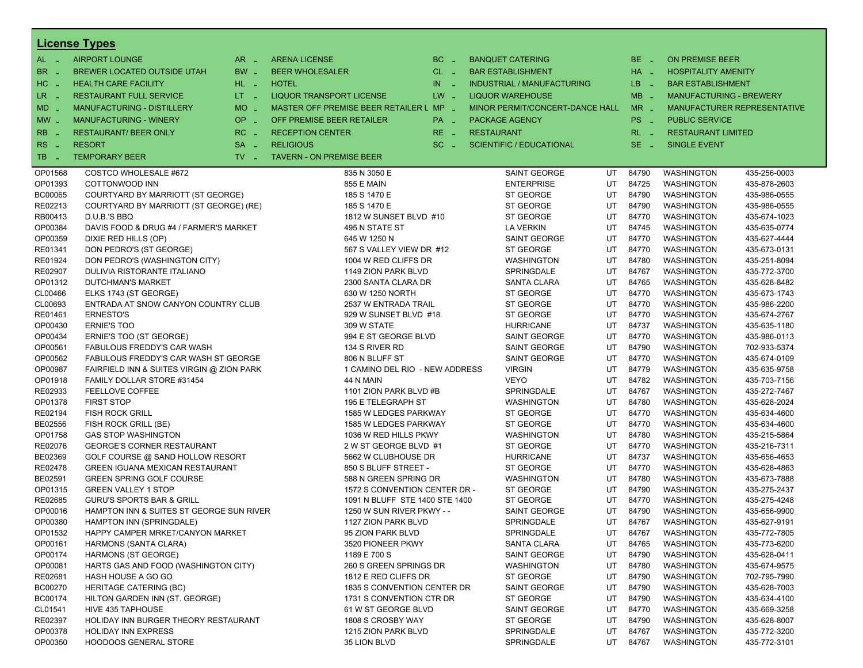|                      | <b>License Types</b>                      |                     |                                         |          |                                 |    |          |                                |                             |
|----------------------|-------------------------------------------|---------------------|-----------------------------------------|----------|---------------------------------|----|----------|--------------------------------|-----------------------------|
| $AL -$               | <b>AIRPORT LOUNGE</b>                     | $AR -$              | <b>ARENA LICENSE</b>                    | $BC =$   | <b>BANQUET CATERING</b>         |    | BE _     | <b>ON PREMISE BEER</b>         |                             |
| BR _                 | BREWER LOCATED OUTSIDE UTAH               | BW _                | <b>BEER WHOLESALER</b>                  | $CL$ $-$ | <b>BAR ESTABLISHMENT</b>        |    | $HA$ $=$ | <b>HOSPITALITY AMENITY</b>     |                             |
| $HC -$               | <b>HEALTH CARE FACILITY</b>               | $HL$ $-$            | <b>HOTEL</b>                            | $IN = 1$ | INDUSTRIAL / MANUFACTURING      |    | LB __    | <b>BAR ESTABLISHMENT</b>       |                             |
| LR -                 | <b>RESTAURANT FULL SERVICE</b>            | $LT = 1$            | <b>LIQUOR TRANSPORT LICENSE</b>         | $LW -$   | <b>LIQUOR WAREHOUSE</b>         |    | $MB -$   | <b>MANUFACTURING - BREWERY</b> |                             |
|                      | <b>MANUFACTURING - DISTILLERY</b>         | MO _                | MASTER OFF PREMISE BEER RETAILER L MP _ |          |                                 |    | $MR -$   |                                |                             |
| $MD -$               |                                           |                     |                                         |          | MINOR PERMIT/CONCERT-DANCE HALL |    |          |                                | MANUFACTURER REPRESENTATIVE |
| $MW_{-}$             | <b>MANUFACTURING - WINERY</b>             | <b>OP</b><br>п.     | OFF PREMISE BEER RETAILER               | PA _     | <b>PACKAGE AGENCY</b>           |    | PS _     | <b>PUBLIC SERVICE</b>          |                             |
| <b>RB</b>            | <b>RESTAURANT/ BEER ONLY</b>              | $RC -$              | <b>RECEPTION CENTER</b>                 | $RE -$   | <b>RESTAURANT</b>               |    | $RL - 1$ | <b>RESTAURANT LIMITED</b>      |                             |
| RS.<br>$\sim$ $\sim$ | <b>RESORT</b>                             | <b>SA</b><br>$\sim$ | <b>RELIGIOUS</b>                        | $SC =$   | <b>SCIENTIFIC / EDUCATIONAL</b> |    | $SE -$   | <b>SINGLE EVENT</b>            |                             |
| TB.<br>- 2           | <b>TEMPORARY BEER</b>                     | $TV -$              | <b>TAVERN - ON PREMISE BEER</b>         |          |                                 |    |          |                                |                             |
| OP01568              | COSTCO WHOLESALE #672                     |                     | 835 N 3050 E                            |          | <b>SAINT GEORGE</b>             | UT | 84790    | <b>WASHINGTON</b>              | 435-256-0003                |
| OP01393              | COTTONWOOD INN                            |                     | 855 E MAIN                              |          | <b>ENTERPRISE</b>               | UT | 84725    | <b>WASHINGTON</b>              | 435-878-2603                |
| BC00065              | COURTYARD BY MARRIOTT (ST GEORGE)         |                     | 185 S 1470 E                            |          | ST GEORGE                       | UT | 84790    | <b>WASHINGTON</b>              | 435-986-0555                |
| RE02213              | COURTYARD BY MARRIOTT (ST GEORGE) (RE)    |                     | 185 S 1470 E                            |          | ST GEORGE                       | UT | 84790    | <b>WASHINGTON</b>              | 435-986-0555                |
| RB00413              | D.U.B.'S BBQ                              |                     | 1812 W SUNSET BLVD #10                  |          | ST GEORGE                       | UT | 84770    | <b>WASHINGTON</b>              | 435-674-1023                |
| OP00384              | DAVIS FOOD & DRUG #4 / FARMER'S MARKET    |                     | 495 N STATE ST                          |          | <b>LA VERKIN</b>                | UT | 84745    | <b>WASHINGTON</b>              | 435-635-0774                |
| OP00359              | DIXIE RED HILLS (OP)                      |                     | 645 W 1250 N                            |          | <b>SAINT GEORGE</b>             | UT | 84770    | <b>WASHINGTON</b>              | 435-627-4444                |
| RE01341              | DON PEDRO'S (ST GEORGE)                   |                     | 567 S VALLEY VIEW DR #12                |          | ST GEORGE                       | UT | 84770    | <b>WASHINGTON</b>              | 435-673-0131                |
| RE01924              | DON PEDRO'S (WASHINGTON CITY)             |                     | 1004 W RED CLIFFS DR                    |          | <b>WASHINGTON</b>               | UT | 84780    | <b>WASHINGTON</b>              | 435-251-8094                |
| RE02907              | DULIVIA RISTORANTE ITALIANO               |                     | 1149 ZION PARK BLVD                     |          | SPRINGDALE                      | UT | 84767    | <b>WASHINGTON</b>              | 435-772-3700                |
| OP01312              | <b>DUTCHMAN'S MARKET</b>                  |                     | 2300 SANTA CLARA DR                     |          | SANTA CLARA                     | UT | 84765    | <b>WASHINGTON</b>              | 435-628-8482                |
| CL00466              | ELKS 1743 (ST GEORGE)                     |                     | 630 W 1250 NORTH                        |          | ST GEORGE                       | UT | 84770    | <b>WASHINGTON</b>              | 435-673-1743                |
| CL00693              | ENTRADA AT SNOW CANYON COUNTRY CLUB       |                     | 2537 W ENTRADA TRAIL                    |          | ST GEORGE                       | UT | 84770    | <b>WASHINGTON</b>              | 435-986-2200                |
| RE01461              | <b>ERNESTO'S</b>                          |                     | 929 W SUNSET BLVD #18                   |          | ST GEORGE                       | UT | 84770    | <b>WASHINGTON</b>              | 435-674-2767                |
| OP00430              | <b>ERNIE'S TOO</b>                        |                     | 309 W STATE                             |          | <b>HURRICANE</b>                | UT | 84737    | <b>WASHINGTON</b>              | 435-635-1180                |
| OP00434              | ERNIE'S TOO (ST GEORGE)                   |                     | 994 E ST GEORGE BLVD                    |          | <b>SAINT GEORGE</b>             | UT | 84770    | <b>WASHINGTON</b>              | 435-986-0113                |
| OP00561              | FABULOUS FREDDY'S CAR WASH                |                     | 134 S RIVER RD                          |          | <b>SAINT GEORGE</b>             | UT | 84790    | <b>WASHINGTON</b>              | 702-933-5374                |
| OP00562              | FABULOUS FREDDY'S CAR WASH ST GEORGE      |                     | 806 N BLUFF ST                          |          | <b>SAINT GEORGE</b>             | UT | 84770    | <b>WASHINGTON</b>              | 435-674-0109                |
| OP00987              | FAIRFIELD INN & SUITES VIRGIN @ ZION PARK |                     | 1 CAMINO DEL RIO - NEW ADDRESS          |          | <b>VIRGIN</b>                   | UT | 84779    | <b>WASHINGTON</b>              | 435-635-9758                |
| OP01918              | FAMILY DOLLAR STORE #31454                |                     | 44 N MAIN                               |          | VEYO                            | UT | 84782    | <b>WASHINGTON</b>              | 435-703-7156                |
| RE02933              | FEELLOVE COFFEE                           |                     | 1101 ZION PARK BLVD #B                  |          | SPRINGDALE                      | UT | 84767    | <b>WASHINGTON</b>              | 435-272-7467                |
| OP01378              | <b>FIRST STOP</b>                         |                     | 195 E TELEGRAPH ST                      |          | <b>WASHINGTON</b>               | UT | 84780    | <b>WASHINGTON</b>              | 435-628-2024                |
| RE02194              | <b>FISH ROCK GRILL</b>                    |                     | 1585 W LEDGES PARKWAY                   |          | ST GEORGE                       | UT | 84770    | <b>WASHINGTON</b>              | 435-634-4600                |
| BE02556              | FISH ROCK GRILL (BE)                      |                     | 1585 W LEDGES PARKWAY                   |          | ST GEORGE                       | UT | 84770    | <b>WASHINGTON</b>              | 435-634-4600                |
| OP01758              | <b>GAS STOP WASHINGTON</b>                |                     | 1036 W RED HILLS PKWY                   |          | <b>WASHINGTON</b>               | UT | 84780    | <b>WASHINGTON</b>              | 435-215-5864                |
| RE02076              | <b>GEORGE'S CORNER RESTAURANT</b>         |                     | 2 W ST GEORGE BLVD #1                   |          | ST GEORGE                       | UT | 84770    | <b>WASHINGTON</b>              | 435-216-7311                |
| BE02369              | GOLF COURSE @ SAND HOLLOW RESORT          |                     | 5662 W CLUBHOUSE DR                     |          | <b>HURRICANE</b>                | UT | 84737    | <b>WASHINGTON</b>              | 435-656-4653                |
| RE02478              | <b>GREEN IGUANA MEXICAN RESTAURANT</b>    |                     | 850 S BLUFF STREET -                    |          | ST GEORGE                       | UT | 84770    | <b>WASHINGTON</b>              | 435-628-4863                |
| BE02591              | <b>GREEN SPRING GOLF COURSE</b>           |                     | 588 N GREEN SPRING DR                   |          | <b>WASHINGTON</b>               | UT | 84780    | <b>WASHINGTON</b>              | 435-673-7888                |
| OP01315              | <b>GREEN VALLEY 1 STOP</b>                |                     | 1572 S CONVENTION CENTER DR -           |          | ST GEORGE                       | UT | 84790    | <b>WASHINGTON</b>              | 435-275-2437                |
| RE02685              | <b>GURU'S SPORTS BAR &amp; GRILL</b>      |                     | 1091 N BLUFF STE 1400 STE 1400          |          | ST GEORGE                       | UT | 84770    | <b>WASHINGTON</b>              | 435-275-4248                |
| OP00016              | HAMPTON INN & SUITES ST GEORGE SUN RIVER  |                     | 1250 W SUN RIVER PKWY - -               |          | SAINT GEORGE                    | UT | 84790    | WASHINGTON                     | 435-656-9900                |
| OP00380              | HAMPTON INN (SPRINGDALE)                  |                     | 1127 ZION PARK BLVD                     |          | SPRINGDALE                      | UT | 84767    | <b>WASHINGTON</b>              | 435-627-9191                |
| OP01532              | HAPPY CAMPER MRKET/CANYON MARKET          |                     | 95 ZION PARK BLVD                       |          | SPRINGDALE                      | UT | 84767    | <b>WASHINGTON</b>              | 435-772-7805                |
| OP00161              | HARMONS (SANTA CLARA)                     |                     | 3520 PIONEER PKWY                       |          | <b>SANTA CLARA</b>              | UT | 84765    | <b>WASHINGTON</b>              | 435-773-6200                |
| OP00174              | HARMONS (ST GEORGE)                       |                     | 1189 E 700 S                            |          | <b>SAINT GEORGE</b>             | UT | 84790    | <b>WASHINGTON</b>              | 435-628-0411                |
| OP00081              | HARTS GAS AND FOOD (WASHINGTON CITY)      |                     | 260 S GREEN SPRINGS DR                  |          | WASHINGTON                      | UT | 84780    | WASHINGTON                     | 435-674-9575                |
| RE02681              | HASH HOUSE A GO GO                        |                     | 1812 E RED CLIFFS DR                    |          | ST GEORGE                       | UT | 84790    | <b>WASHINGTON</b>              | 702-795-7990                |
| BC00270              | <b>HERITAGE CATERING (BC)</b>             |                     | 1835 S CONVENTION CENTER DR             |          | SAINT GEORGE                    | UT | 84790    | <b>WASHINGTON</b>              | 435-628-7003                |
| BC00174              | HILTON GARDEN INN (ST. GEORGE)            |                     | 1731 S CONVENTION CTR DR                |          | ST GEORGE                       | UT | 84790    | WASHINGTON                     | 435-634-4100                |
| CL01541              | HIVE 435 TAPHOUSE                         |                     | 61 W ST GEORGE BLVD                     |          | <b>SAINT GEORGE</b>             | UT | 84770    | <b>WASHINGTON</b>              | 435-669-3258                |
| RE02397              | HOLIDAY INN BURGER THEORY RESTAURANT      |                     | 1808 S CROSBY WAY                       |          | ST GEORGE                       | UT | 84790    | <b>WASHINGTON</b>              | 435-628-8007                |
| OP00378              | <b>HOLIDAY INN EXPRESS</b>                |                     | 1215 ZION PARK BLVD                     |          | SPRINGDALE                      | UT | 84767    | WASHINGTON                     | 435-772-3200                |
| OP00350              | HOODOOS GENERAL STORE                     |                     | 35 LION BLVD                            |          | SPRINGDALE                      | UT | 84767    | <b>WASHINGTON</b>              | 435-772-3101                |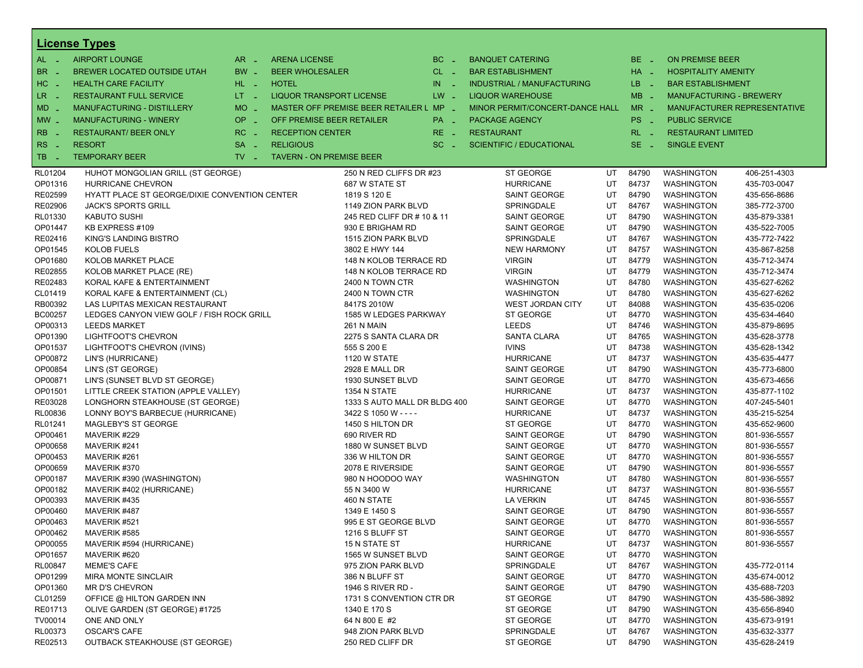|            | <b>License Types</b>                          |                               |                                         |                              |          |                                 |                                   |    |                 |                                |                             |
|------------|-----------------------------------------------|-------------------------------|-----------------------------------------|------------------------------|----------|---------------------------------|-----------------------------------|----|-----------------|--------------------------------|-----------------------------|
| $AL -$     | <b>AIRPORT LOUNGE</b>                         | $AR -$                        | <b>ARENA LICENSE</b>                    |                              | $BC -$   | <b>BANQUET CATERING</b>         |                                   |    | BE _            | <b>ON PREMISE BEER</b>         |                             |
| BR.<br>. — | BREWER LOCATED OUTSIDE UTAH                   | BW _                          | <b>BEER WHOLESALER</b>                  |                              | $CL$ $-$ | <b>BAR ESTABLISHMENT</b>        |                                   |    | $HA$ $-$        | <b>HOSPITALITY AMENITY</b>     |                             |
| HC<br>nia. | <b>HEALTH CARE FACILITY</b>                   | HL L                          | <b>HOTEL</b>                            |                              | $IN = 1$ |                                 | <b>INDUSTRIAL / MANUFACTURING</b> |    | LB __           | <b>BAR ESTABLISHMENT</b>       |                             |
| LR _       | <b>RESTAURANT FULL SERVICE</b>                | $LT - 1$                      | <b>LIQUOR TRANSPORT LICENSE</b>         |                              | $LW -$   | <b>LIQUOR WAREHOUSE</b>         |                                   |    | $MB -$          | <b>MANUFACTURING - BREWERY</b> |                             |
| $MD -$     | MANUFACTURING - DISTILLERY                    | $MO$ $\overline{\phantom{0}}$ | MASTER OFF PREMISE BEER RETAILER L MP _ |                              |          |                                 | MINOR PERMIT/CONCERT-DANCE HALL   |    | $MR -$          |                                | MANUFACTURER REPRESENTATIVE |
| $MW -$     | <b>MANUFACTURING - WINERY</b>                 | <b>OP</b><br>ч.               | OFF PREMISE BEER RETAILER               |                              | PA _     | <b>PACKAGE AGENCY</b>           |                                   |    | PS <sub>-</sub> | <b>PUBLIC SERVICE</b>          |                             |
|            |                                               |                               |                                         |                              |          |                                 |                                   |    |                 |                                |                             |
| <b>RB</b>  | <b>RESTAURANT/ BEER ONLY</b>                  | $RC -$                        | <b>RECEPTION CENTER</b>                 |                              | $RE -$   | <b>RESTAURANT</b>               |                                   |    | $RL - 1$        | <b>RESTAURANT LIMITED</b>      |                             |
| RS.<br>- 4 | <b>RESORT</b>                                 | <b>SA</b><br>п.               | <b>RELIGIOUS</b>                        |                              | $SC =$   | <b>SCIENTIFIC / EDUCATIONAL</b> |                                   |    | $SE =$          | <b>SINGLE EVENT</b>            |                             |
| TB.<br>- 4 | <b>TEMPORARY BEER</b>                         | $TV -$                        | <b>TAVERN - ON PREMISE BEER</b>         |                              |          |                                 |                                   |    |                 |                                |                             |
| RL01204    | HUHOT MONGOLIAN GRILL (ST GEORGE)             |                               |                                         | 250 N RED CLIFFS DR #23      |          |                                 | <b>ST GEORGE</b>                  | UT | 84790           | <b>WASHINGTON</b>              | 406-251-4303                |
| OP01316    | HURRICANE CHEVRON                             |                               |                                         | 687 W STATE ST               |          |                                 | <b>HURRICANE</b>                  | UT | 84737           | <b>WASHINGTON</b>              | 435-703-0047                |
| RE02599    | HYATT PLACE ST GEORGE/DIXIE CONVENTION CENTER |                               |                                         | 1819 S 120 E                 |          |                                 | SAINT GEORGE                      | UT | 84790           | <b>WASHINGTON</b>              | 435-656-8686                |
| RE02906    | <b>JACK'S SPORTS GRILL</b>                    |                               |                                         | 1149 ZION PARK BLVD          |          |                                 | SPRINGDALE                        | UT | 84767           | <b>WASHINGTON</b>              | 385-772-3700                |
| RL01330    | KABUTO SUSHI                                  |                               |                                         | 245 RED CLIFF DR # 10 & 11   |          |                                 | SAINT GEORGE                      | UT | 84790           | <b>WASHINGTON</b>              | 435-879-3381                |
| OP01447    | KB EXPRESS #109                               |                               |                                         | 930 E BRIGHAM RD             |          |                                 | SAINT GEORGE                      | UT | 84790           | <b>WASHINGTON</b>              | 435-522-7005                |
| RE02416    | KING'S LANDING BISTRO                         |                               |                                         | 1515 ZION PARK BLVD          |          |                                 | SPRINGDALE                        | UT | 84767           | <b>WASHINGTON</b>              | 435-772-7422                |
| OP01545    | <b>KOLOB FUELS</b>                            |                               |                                         | 3802 E HWY 144               |          |                                 | <b>NEW HARMONY</b>                | UT | 84757           | <b>WASHINGTON</b>              | 435-867-8258                |
| OP01680    | KOLOB MARKET PLACE                            |                               |                                         | 148 N KOLOB TERRACE RD       |          | <b>VIRGIN</b>                   |                                   | UT | 84779           | <b>WASHINGTON</b>              | 435-712-3474                |
| RE02855    | KOLOB MARKET PLACE (RE)                       |                               |                                         | 148 N KOLOB TERRACE RD       |          | <b>VIRGIN</b>                   |                                   | UT | 84779           | <b>WASHINGTON</b>              | 435-712-3474                |
| RE02483    | KORAL KAFE & ENTERTAINMENT                    |                               |                                         | 2400 N TOWN CTR              |          |                                 | <b>WASHINGTON</b>                 | UT | 84780           | <b>WASHINGTON</b>              | 435-627-6262                |
| CL01419    | KORAL KAFE & ENTERTAINMENT (CL)               |                               |                                         | 2400 N TOWN CTR              |          |                                 | <b>WASHINGTON</b>                 | UT | 84780           | <b>WASHINGTON</b>              | 435-627-6262                |
| RB00392    | LAS LUPITAS MEXICAN RESTAURANT                |                               |                                         | 8417S 2010W                  |          |                                 | <b>WEST JORDAN CITY</b>           | UT | 84088           | <b>WASHINGTON</b>              | 435-635-0206                |
| BC00257    | LEDGES CANYON VIEW GOLF / FISH ROCK GRILL     |                               |                                         | 1585 W LEDGES PARKWAY        |          |                                 | ST GEORGE                         | UT | 84770           | WASHINGTON                     | 435-634-4640                |
| OP00313    | <b>LEEDS MARKET</b>                           |                               |                                         | <b>261 N MAIN</b>            |          | <b>LEEDS</b>                    |                                   | UT | 84746           | <b>WASHINGTON</b>              | 435-879-8695                |
| OP01390    | LIGHTFOOT'S CHEVRON                           |                               |                                         | 2275 S SANTA CLARA DR        |          |                                 | <b>SANTA CLARA</b>                | UT | 84765           | <b>WASHINGTON</b>              | 435-628-3778                |
| OP01537    | LIGHTFOOT'S CHEVRON (IVINS)                   |                               |                                         | 555 S 200 E                  |          | <b>IVINS</b>                    |                                   | UT | 84738           | <b>WASHINGTON</b>              | 435-628-1342                |
| OP00872    | LIN'S (HURRICANE)                             |                               |                                         | 1120 W STATE                 |          |                                 | <b>HURRICANE</b>                  | UT | 84737           | <b>WASHINGTON</b>              | 435-635-4477                |
| OP00854    | LIN'S (ST GEORGE)                             |                               |                                         | <b>2928 E MALL DR</b>        |          |                                 | SAINT GEORGE                      | UT | 84790           | <b>WASHINGTON</b>              | 435-773-6800                |
| OP00871    | LIN'S (SUNSET BLVD ST GEORGE)                 |                               |                                         | 1930 SUNSET BLVD             |          |                                 | SAINT GEORGE                      | UT | 84770           | <b>WASHINGTON</b>              | 435-673-4656                |
| OP01501    | LITTLE CREEK STATION (APPLE VALLEY)           |                               |                                         | 1354 N STATE                 |          |                                 | <b>HURRICANE</b>                  | UT | 84737           | <b>WASHINGTON</b>              | 435-877-1102                |
| RE03028    | LONGHORN STEAKHOUSE (ST GEORGE)               |                               |                                         | 1333 S AUTO MALL DR BLDG 400 |          |                                 | SAINT GEORGE                      | UT | 84770           | <b>WASHINGTON</b>              | 407-245-5401                |
| RL00836    | LONNY BOY'S BARBECUE (HURRICANE)              |                               |                                         | 3422 S 1050 W - - - -        |          |                                 | <b>HURRICANE</b>                  | UT | 84737           | <b>WASHINGTON</b>              | 435-215-5254                |
| RL01241    | MAGLEBY'S ST GEORGE                           |                               |                                         | 1450 S HILTON DR             |          |                                 | ST GEORGE                         | UT | 84770           | <b>WASHINGTON</b>              | 435-652-9600                |
| OP00461    | MAVERIK #229                                  |                               |                                         | 690 RIVER RD                 |          |                                 | SAINT GEORGE                      | UT | 84790           | <b>WASHINGTON</b>              | 801-936-5557                |
| OP00658    | MAVERIK #241                                  |                               |                                         | 1880 W SUNSET BLVD           |          |                                 | SAINT GEORGE                      | UT | 84770           | <b>WASHINGTON</b>              | 801-936-5557                |
| OP00453    | MAVERIK #261                                  |                               |                                         | 336 W HILTON DR              |          |                                 | SAINT GEORGE                      | UT | 84770           | <b>WASHINGTON</b>              | 801-936-5557                |
| OP00659    | MAVERIK #370                                  |                               |                                         | 2078 E RIVERSIDE             |          |                                 | SAINT GEORGE                      | UT | 84790           | <b>WASHINGTON</b>              | 801-936-5557                |
| OP00187    | MAVERIK #390 (WASHINGTON)                     |                               |                                         | 980 N HOODOO WAY             |          |                                 | <b>WASHINGTON</b>                 | UT | 84780           | <b>WASHINGTON</b>              | 801-936-5557                |
| OP00182    | MAVERIK #402 (HURRICANE)                      |                               |                                         | 55 N 3400 W                  |          |                                 | <b>HURRICANE</b>                  | UT | 84737           | <b>WASHINGTON</b>              | 801-936-5557                |
| OP00393    | MAVERIK #435                                  |                               |                                         | 460 N STATE                  |          |                                 | <b>LA VERKIN</b>                  | UT | 84745           | <b>WASHINGTON</b>              | 801-936-5557                |
| OP00460    | MAVERIK #487                                  |                               |                                         | 1349 E 1450 S                |          |                                 | SAINT GEORGE                      | UT | 84790           | WASHINGTON                     | 801-936-5557                |
| OP00463    | MAVERIK #521                                  |                               |                                         | 995 E ST GEORGE BLVD         |          |                                 | SAINT GEORGE                      | UT | 84770           | <b>WASHINGTON</b>              | 801-936-5557                |
| OP00462    | MAVERIK #585                                  |                               |                                         | 1216 S BLUFF ST              |          |                                 | <b>SAINT GEORGE</b>               | UT | 84770           | <b>WASHINGTON</b>              | 801-936-5557                |
| OP00055    | MAVERIK #594 (HURRICANE)                      |                               |                                         | <b>15 N STATE ST</b>         |          |                                 | <b>HURRICANE</b>                  | UT | 84737           | <b>WASHINGTON</b>              | 801-936-5557                |
| OP01657    | MAVERIK #620                                  |                               |                                         | 1565 W SUNSET BLVD           |          |                                 | <b>SAINT GEORGE</b>               | UT | 84770           | WASHINGTON                     |                             |
| RL00847    | <b>MEME'S CAFE</b>                            |                               |                                         | 975 ZION PARK BLVD           |          |                                 | <b>SPRINGDALE</b>                 | UT | 84767           | <b>WASHINGTON</b>              | 435-772-0114                |
| OP01299    | <b>MIRA MONTE SINCLAIR</b>                    |                               |                                         | 386 N BLUFF ST               |          |                                 | SAINT GEORGE                      | UT | 84770           | <b>WASHINGTON</b>              | 435-674-0012                |
| OP01360    | <b>MR D'S CHEVRON</b>                         |                               |                                         | 1946 S RIVER RD -            |          |                                 | <b>SAINT GEORGE</b>               | UT | 84790           | WASHINGTON                     | 435-688-7203                |
| CL01259    | OFFICE @ HILTON GARDEN INN                    |                               |                                         | 1731 S CONVENTION CTR DR     |          |                                 | ST GEORGE                         | UT | 84790           | WASHINGTON                     | 435-586-3892                |
| RE01713    | OLIVE GARDEN (ST GEORGE) #1725                |                               |                                         | 1340 E 170 S                 |          |                                 | ST GEORGE                         | UT | 84790           | <b>WASHINGTON</b>              | 435-656-8940                |
| TV00014    | ONE AND ONLY                                  |                               |                                         | 64 N 800 E #2                |          |                                 | ST GEORGE                         | UT | 84770           | WASHINGTON                     | 435-673-9191                |
| RL00373    | <b>OSCAR'S CAFE</b>                           |                               |                                         | 948 ZION PARK BLVD           |          |                                 | SPRINGDALE                        | UT | 84767           | <b>WASHINGTON</b>              | 435-632-3377                |
| RE02513    | <b>OUTBACK STEAKHOUSE (ST GEORGE)</b>         |                               |                                         | 250 RED CLIFF DR             |          |                                 | ST GEORGE                         | UT | 84790           | <b>WASHINGTON</b>              | 435-628-2419                |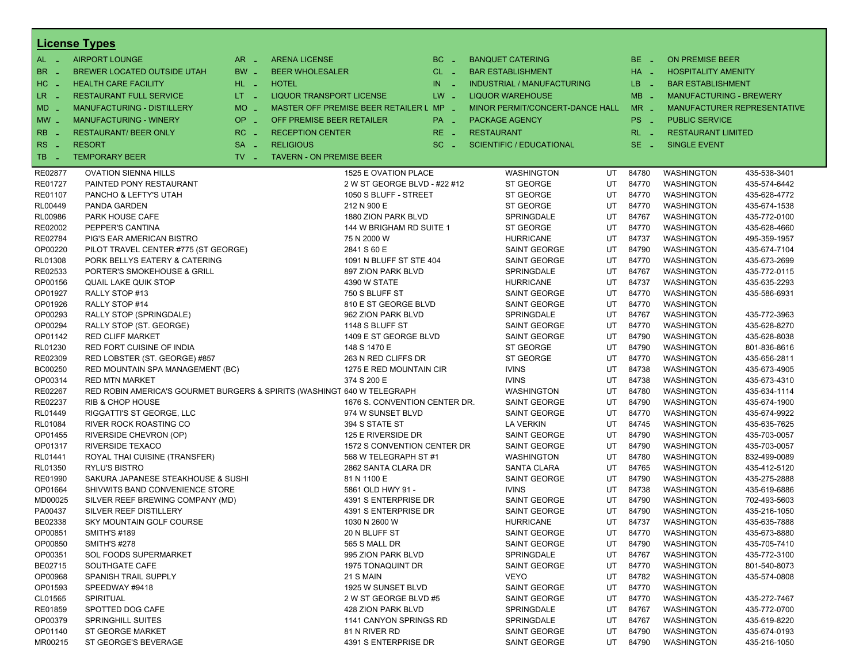|                       | <b>License Types</b>                 |                               |                                                                         |          |                                   |    |          |                                |                             |
|-----------------------|--------------------------------------|-------------------------------|-------------------------------------------------------------------------|----------|-----------------------------------|----|----------|--------------------------------|-----------------------------|
| $AL -$                | <b>AIRPORT LOUNGE</b>                | $AR -$                        | <b>ARENA LICENSE</b>                                                    | $BC =$   | <b>BANQUET CATERING</b>           |    | BE _     | <b>ON PREMISE BEER</b>         |                             |
| BR.<br>- 4            | BREWER LOCATED OUTSIDE UTAH          | BW _                          | <b>BEER WHOLESALER</b>                                                  | $CL$ $-$ | <b>BAR ESTABLISHMENT</b>          |    | HA _     | <b>HOSPITALITY AMENITY</b>     |                             |
| H <sub>C</sub><br>- 4 | <b>HEALTH CARE FACILITY</b>          | HL L                          | <b>HOTEL</b>                                                            | $IN = 1$ | <b>INDUSTRIAL / MANUFACTURING</b> |    | LB __    | <b>BAR ESTABLISHMENT</b>       |                             |
| LR.                   | <b>RESTAURANT FULL SERVICE</b>       | $LT - 1$                      | LIQUOR TRANSPORT LICENSE                                                | $LW -$   | <b>LIQUOR WAREHOUSE</b>           |    | $MB -$   | <b>MANUFACTURING - BREWERY</b> |                             |
| $\sim$                |                                      |                               |                                                                         |          |                                   |    |          |                                |                             |
| $MD -$                | <b>MANUFACTURING - DISTILLERY</b>    | MO _                          | MASTER OFF PREMISE BEER RETAILER L MP _                                 |          | MINOR PERMIT/CONCERT-DANCE HALL   |    | $MR -$   |                                | MANUFACTURER REPRESENTATIVE |
| $MW-$                 | <b>MANUFACTURING - WINERY</b>        | <b>OP</b><br>п.               | OFF PREMISE BEER RETAILER                                               | PA _     | <b>PACKAGE AGENCY</b>             |    | PS _     | <b>PUBLIC SERVICE</b>          |                             |
| <b>RB</b>             | <b>RESTAURANT/ BEER ONLY</b>         | RC<br>$\sim$                  | <b>RECEPTION CENTER</b>                                                 | $RE -$   | <b>RESTAURANT</b>                 |    | $RL - 1$ | <b>RESTAURANT LIMITED</b>      |                             |
| R <sub>S</sub><br>- 4 | <b>RESORT</b>                        | <b>SA</b><br>i a              | <b>RELIGIOUS</b>                                                        | $SC =$   | <b>SCIENTIFIC / EDUCATIONAL</b>   |    | $SE$ $-$ | <b>SINGLE EVENT</b>            |                             |
| TB<br>n a             | <b>TEMPORARY BEER</b>                | $TV$ $\overline{\phantom{0}}$ | <b>TAVERN - ON PREMISE BEER</b>                                         |          |                                   |    |          |                                |                             |
| RE02877               | <b>OVATION SIENNA HILLS</b>          |                               | 1525 E OVATION PLACE                                                    |          | <b>WASHINGTON</b>                 | UT | 84780    | <b>WASHINGTON</b>              | 435-538-3401                |
| RE01727               | PAINTED PONY RESTAURANT              |                               | 2 W ST GEORGE BLVD - #22 #12                                            |          | ST GEORGE                         | UT | 84770    | <b>WASHINGTON</b>              | 435-574-6442                |
| RE01107               | PANCHO & LEFTY'S UTAH                |                               | 1050 S BLUFF - STREET                                                   |          | ST GEORGE                         | UT | 84770    | <b>WASHINGTON</b>              | 435-628-4772                |
| RL00449               | PANDA GARDEN                         |                               | 212 N 900 E                                                             |          | ST GEORGE                         | UT | 84770    | <b>WASHINGTON</b>              | 435-674-1538                |
| RL00986               | PARK HOUSE CAFE                      |                               | 1880 ZION PARK BLVD                                                     |          | SPRINGDALE                        | UT | 84767    | <b>WASHINGTON</b>              | 435-772-0100                |
| RE02002               | PEPPER'S CANTINA                     |                               | 144 W BRIGHAM RD SUITE 1                                                |          | ST GEORGE                         | UT | 84770    | <b>WASHINGTON</b>              | 435-628-4660                |
| RE02784               | PIG'S EAR AMERICAN BISTRO            |                               | 75 N 2000 W                                                             |          | <b>HURRICANE</b>                  | UT | 84737    | <b>WASHINGTON</b>              | 495-359-1957                |
| OP00220               | PILOT TRAVEL CENTER #775 (ST GEORGE) |                               | 2841 S 60 E                                                             |          | SAINT GEORGE                      | UT | 84790    | WASHINGTON                     | 435-674-7104                |
| RL01308               | PORK BELLYS EATERY & CATERING        |                               | 1091 N BLUFF ST STE 404                                                 |          | SAINT GEORGE                      | UT | 84770    | <b>WASHINGTON</b>              | 435-673-2699                |
| RE02533               | PORTER'S SMOKEHOUSE & GRILL          |                               | 897 ZION PARK BLVD                                                      |          | SPRINGDALE                        | UT | 84767    | <b>WASHINGTON</b>              | 435-772-0115                |
| OP00156               | <b>QUAIL LAKE QUIK STOP</b>          |                               | 4390 W STATE                                                            |          | <b>HURRICANE</b>                  | UT | 84737    | <b>WASHINGTON</b>              | 435-635-2293                |
| OP01927               | RALLY STOP #13                       |                               | 750 S BLUFF ST                                                          |          | <b>SAINT GEORGE</b>               | UT | 84770    | <b>WASHINGTON</b>              | 435-586-6931                |
| OP01926               | RALLY STOP #14                       |                               | 810 E ST GEORGE BLVD                                                    |          | SAINT GEORGE                      | UT | 84770    | <b>WASHINGTON</b>              |                             |
| OP00293               | RALLY STOP (SPRINGDALE)              |                               | 962 ZION PARK BLVD                                                      |          | SPRINGDALE                        | UT | 84767    | WASHINGTON                     | 435-772-3963                |
| OP00294               | RALLY STOP (ST. GEORGE)              |                               | 1148 S BLUFF ST                                                         |          | SAINT GEORGE                      | UT | 84770    | <b>WASHINGTON</b>              | 435-628-8270                |
| OP01142               | <b>RED CLIFF MARKET</b>              |                               | 1409 E ST GEORGE BLVD                                                   |          | SAINT GEORGE                      | UT | 84790    | <b>WASHINGTON</b>              | 435-628-8038                |
| RL01230               | RED FORT CUISINE OF INDIA            |                               | 148 S 1470 E                                                            |          | ST GEORGE                         | UT | 84790    | <b>WASHINGTON</b>              | 801-836-8616                |
| RE02309               | RED LOBSTER (ST. GEORGE) #857        |                               | 263 N RED CLIFFS DR                                                     |          | ST GEORGE                         | UT | 84770    | <b>WASHINGTON</b>              | 435-656-2811                |
| BC00250               | RED MOUNTAIN SPA MANAGEMENT (BC)     |                               | 1275 E RED MOUNTAIN CIR                                                 |          | <b>IVINS</b>                      | UT | 84738    | <b>WASHINGTON</b>              | 435-673-4905                |
| OP00314               | <b>RED MTN MARKET</b>                |                               | 374 S 200 E                                                             |          | <b>IVINS</b>                      | UT | 84738    | WASHINGTON                     | 435-673-4310                |
| RE02267               |                                      |                               | RED ROBIN AMERICA'S GOURMET BURGERS & SPIRITS (WASHINGT 640 W TELEGRAPH |          | <b>WASHINGTON</b>                 | UT | 84780    | <b>WASHINGTON</b>              | 435-634-1114                |
| RE02237               | <b>RIB &amp; CHOP HOUSE</b>          |                               | 1676 S. CONVENTION CENTER DR.                                           |          | SAINT GEORGE                      | UT | 84790    | <b>WASHINGTON</b>              | 435-674-1900                |
| RL01449               | RIGGATTI'S ST GEORGE, LLC            |                               | 974 W SUNSET BLVD                                                       |          | <b>SAINT GEORGE</b>               | UT | 84770    | <b>WASHINGTON</b>              | 435-674-9922                |
| RL01084               | RIVER ROCK ROASTING CO               |                               | 394 S STATE ST                                                          |          | <b>LA VERKIN</b>                  | UT | 84745    | <b>WASHINGTON</b>              | 435-635-7625                |
| OP01455               | RIVERSIDE CHEVRON (OP)               |                               | 125 E RIVERSIDE DR                                                      |          | SAINT GEORGE                      | UT | 84790    | <b>WASHINGTON</b>              | 435-703-0057                |
| OP01317               | RIVERSIDE TEXACO                     |                               | 1572 S CONVENTION CENTER DR                                             |          | SAINT GEORGE                      | UT | 84790    | WASHINGTON                     | 435-703-0057                |
| RL01441               | ROYAL THAI CUISINE (TRANSFER)        |                               | 568 W TELEGRAPH ST #1                                                   |          | <b>WASHINGTON</b>                 | UT | 84780    | <b>WASHINGTON</b>              | 832-499-0089                |
| RL01350               | <b>RYLU'S BISTRO</b>                 |                               | 2862 SANTA CLARA DR                                                     |          | SANTA CLARA                       | UT | 84765    | <b>WASHINGTON</b>              | 435-412-5120                |
| RE01990               | SAKURA JAPANESE STEAKHOUSE & SUSHI   |                               | 81 N 1100 E                                                             |          | SAINT GEORGE                      | UT | 84790    | WASHINGTON                     | 435-275-2888                |
| OP01664               | SHIVWITS BAND CONVENIENCE STORE      |                               | 5861 OLD HWY 91 -                                                       |          | <b>IVINS</b>                      | UT | 84738    | <b>WASHINGTON</b>              | 435-619-6886                |
| MD00025               | SILVER REEF BREWING COMPANY (MD)     |                               | 4391 S ENTERPRISE DR                                                    |          | SAINT GEORGE                      | UT | 84790    | <b>WASHINGTON</b>              | 702-493-5603                |
| PA00437               | SILVER REEF DISTILLERY               |                               | 4391 S ENTERPRISE DR                                                    |          | SAINT GEORGE                      | UT | 84790    | WASHINGTON                     | 435-216-1050                |
| BE02338               | SKY MOUNTAIN GOLF COURSE             |                               | 1030 N 2600 W                                                           |          | <b>HURRICANE</b>                  | UT | 84737    | WASHINGTON                     | 435-635-7888                |
| OP00851               | <b>SMITH'S #189</b>                  |                               | 20 N BLUFF ST                                                           |          | <b>SAINT GEORGE</b>               | UT | 84770    | WASHINGTON                     | 435-673-8880                |
| OP00850               | <b>SMITH'S #278</b>                  |                               | 565 S MALL DR                                                           |          | SAINT GEORGE                      | UT | 84790    | WASHINGTON                     | 435-705-7410                |
| OP00351               | <b>SOL FOODS SUPERMARKET</b>         |                               | 995 ZION PARK BLVD                                                      |          | SPRINGDALE                        | UT | 84767    | <b>WASHINGTON</b>              | 435-772-3100                |
| BE02715               | SOUTHGATE CAFE                       |                               | 1975 TONAQUINT DR                                                       |          | SAINT GEORGE                      | UT | 84770    | <b>WASHINGTON</b>              | 801-540-8073                |
| OP00968               | SPANISH TRAIL SUPPLY                 |                               | 21 S MAIN                                                               |          | VEYO                              | UT | 84782    | WASHINGTON                     | 435-574-0808                |
| OP01593               | SPEEDWAY #9418                       |                               | 1925 W SUNSET BLVD                                                      |          | SAINT GEORGE                      | UT | 84770    | <b>WASHINGTON</b>              |                             |
| CL01565               | <b>SPIRITUAL</b>                     |                               | 2 W ST GEORGE BLVD #5                                                   |          | <b>SAINT GEORGE</b>               | UT | 84770    | <b>WASHINGTON</b>              | 435-272-7467                |
| RE01859               | SPOTTED DOG CAFE                     |                               | 428 ZION PARK BLVD                                                      |          | SPRINGDALE                        | UT | 84767    | WASHINGTON                     | 435-772-0700                |
| OP00379               | <b>SPRINGHILL SUITES</b>             |                               | 1141 CANYON SPRINGS RD                                                  |          | SPRINGDALE                        | UT | 84767    | <b>WASHINGTON</b>              | 435-619-8220                |
| OP01140               | <b>ST GEORGE MARKET</b>              |                               | 81 N RIVER RD                                                           |          | <b>SAINT GEORGE</b>               | UT | 84790    | WASHINGTON                     | 435-674-0193                |
| MR00215               | ST GEORGE'S BEVERAGE                 |                               | 4391 S ENTERPRISE DR                                                    |          | SAINT GEORGE                      | UT | 84790    | WASHINGTON                     | 435-216-1050                |
|                       |                                      |                               |                                                                         |          |                                   |    |          |                                |                             |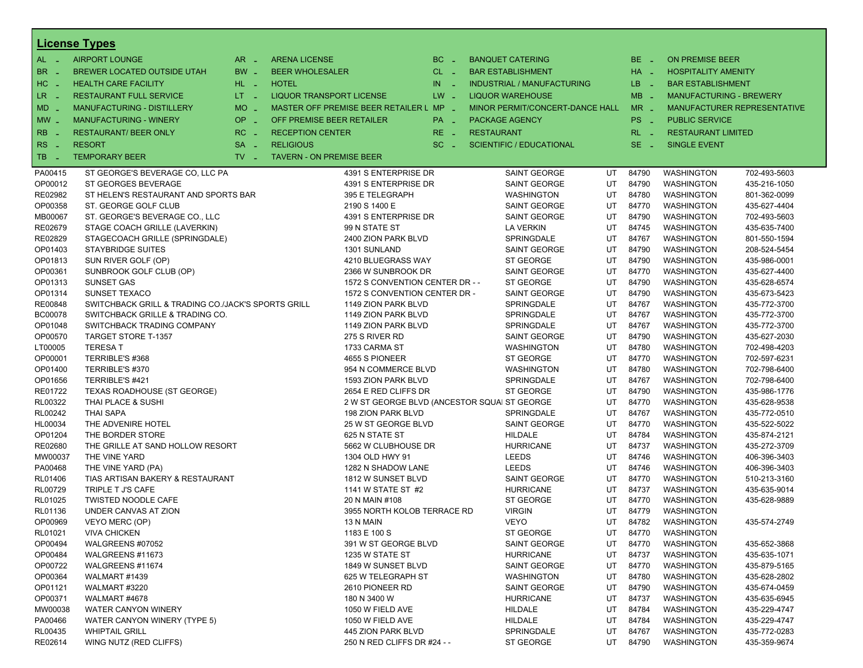|                          | <b>License Types</b>                               |                               |                                              |                  |                   |                                   |    |          |                                |                             |  |
|--------------------------|----------------------------------------------------|-------------------------------|----------------------------------------------|------------------|-------------------|-----------------------------------|----|----------|--------------------------------|-----------------------------|--|
| $AL -$                   | <b>AIRPORT LOUNGE</b>                              | $AR -$                        | <b>ARENA LICENSE</b>                         | $BC -$           |                   | <b>BANQUET CATERING</b>           |    | $BE -$   | <b>ON PREMISE BEER</b>         |                             |  |
| BR.<br>- 4               | BREWER LOCATED OUTSIDE UTAH                        | BW _                          | <b>BEER WHOLESALER</b>                       | $CL$ $-$         |                   | <b>BAR ESTABLISHMENT</b>          |    | $HA$ $-$ | <b>HOSPITALITY AMENITY</b>     |                             |  |
| H <sub>C</sub><br>- 4    | <b>HEALTH CARE FACILITY</b>                        | $HL$ $-$                      | <b>HOTEL</b>                                 | IN<br>$\sim$ $-$ |                   | <b>INDUSTRIAL / MANUFACTURING</b> |    | LB __    | <b>BAR ESTABLISHMENT</b>       |                             |  |
| LR -                     | <b>RESTAURANT FULL SERVICE</b>                     | $LT = 1$                      | <b>LIQUOR TRANSPORT LICENSE</b>              | $LW -$           |                   | <b>LIQUOR WAREHOUSE</b>           |    | $MB -$   | <b>MANUFACTURING - BREWERY</b> |                             |  |
| $MD -$                   | MANUFACTURING - DISTILLERY                         | $MO$ $\overline{\phantom{0}}$ | MASTER OFF PREMISE BEER RETAILER L MP _      |                  |                   | MINOR PERMIT/CONCERT-DANCE HALL   |    | $MR -$   |                                | MANUFACTURER REPRESENTATIVE |  |
|                          | <b>MANUFACTURING - WINERY</b>                      | <b>OP</b>                     | OFF PREMISE BEER RETAILER                    |                  |                   |                                   |    |          |                                |                             |  |
| $MW-$                    |                                                    | п.                            |                                              | PA _             |                   | <b>PACKAGE AGENCY</b>             |    | PS _     | <b>PUBLIC SERVICE</b>          |                             |  |
| <b>RB</b>                | <b>RESTAURANT/ BEER ONLY</b>                       | RC<br>i al                    | <b>RECEPTION CENTER</b>                      | RE _             | <b>RESTAURANT</b> |                                   |    | $RL - 1$ | <b>RESTAURANT LIMITED</b>      |                             |  |
| R <sub>S</sub><br>$\sim$ | <b>RESORT</b>                                      | <b>SA</b><br>$\sim$           | <b>RELIGIOUS</b>                             | $SC =$           |                   | <b>SCIENTIFIC / EDUCATIONAL</b>   |    | $SE$ $-$ | <b>SINGLE EVENT</b>            |                             |  |
| TB.<br>- 4               | <b>TEMPORARY BEER</b>                              | $TV$ $\overline{\phantom{0}}$ | <b>TAVERN - ON PREMISE BEER</b>              |                  |                   |                                   |    |          |                                |                             |  |
| PA00415                  | ST GEORGE'S BEVERAGE CO, LLC PA                    |                               | 4391 S ENTERPRISE DR                         |                  |                   | SAINT GEORGE                      | UT | 84790    | <b>WASHINGTON</b>              | 702-493-5603                |  |
| OP00012                  | ST GEORGES BEVERAGE                                |                               | 4391 S ENTERPRISE DR                         |                  |                   | <b>SAINT GEORGE</b>               | UT | 84790    | WASHINGTON                     | 435-216-1050                |  |
| RE02982                  | ST HELEN'S RESTAURANT AND SPORTS BAR               |                               | 395 E TELEGRAPH                              |                  |                   | <b>WASHINGTON</b>                 | UT | 84780    | <b>WASHINGTON</b>              | 801-362-0099                |  |
| OP00358                  | ST. GEORGE GOLF CLUB                               |                               | 2190 S 1400 E                                |                  |                   | <b>SAINT GEORGE</b>               | UT | 84770    | <b>WASHINGTON</b>              | 435-627-4404                |  |
| MB00067                  | ST. GEORGE'S BEVERAGE CO., LLC                     |                               | 4391 S ENTERPRISE DR                         |                  |                   | <b>SAINT GEORGE</b>               | UT | 84790    | <b>WASHINGTON</b>              | 702-493-5603                |  |
| RE02679                  | STAGE COACH GRILLE (LAVERKIN)                      |                               | 99 N STATE ST                                |                  |                   | <b>LA VERKIN</b>                  | UT | 84745    | <b>WASHINGTON</b>              | 435-635-7400                |  |
| RE02829                  | STAGECOACH GRILLE (SPRINGDALE)                     |                               | 2400 ZION PARK BLVD                          |                  |                   | SPRINGDALE                        | UT | 84767    | <b>WASHINGTON</b>              | 801-550-1594                |  |
| OP01403                  | <b>STAYBRIDGE SUITES</b>                           |                               | 1301 SUNLAND                                 |                  |                   | <b>SAINT GEORGE</b>               | UT | 84790    | WASHINGTON                     | 208-524-5454                |  |
| OP01813                  | SUN RIVER GOLF (OP)                                |                               | 4210 BLUEGRASS WAY                           |                  |                   | ST GEORGE                         | UT | 84790    | <b>WASHINGTON</b>              | 435-986-0001                |  |
| OP00361                  | SUNBROOK GOLF CLUB (OP)                            |                               | 2366 W SUNBROOK DR                           |                  |                   | SAINT GEORGE                      | UT | 84770    | <b>WASHINGTON</b>              | 435-627-4400                |  |
| OP01313                  | SUNSET GAS                                         |                               | 1572 S CONVENTION CENTER DR - -              |                  |                   | ST GEORGE                         | UT | 84790    | WASHINGTON                     | 435-628-6574                |  |
| OP01314                  | SUNSET TEXACO                                      |                               | 1572 S CONVENTION CENTER DR -                |                  |                   | <b>SAINT GEORGE</b>               | UT | 84790    | <b>WASHINGTON</b>              | 435-673-5423                |  |
| RE00848                  | SWITCHBACK GRILL & TRADING CO./JACK'S SPORTS GRILL |                               | 1149 ZION PARK BLVD                          |                  |                   | SPRINGDALE                        | UT | 84767    | <b>WASHINGTON</b>              | 435-772-3700                |  |
| <b>BC00078</b>           | SWITCHBACK GRILLE & TRADING CO.                    |                               | 1149 ZION PARK BLVD                          |                  |                   | SPRINGDALE                        | UT | 84767    | WASHINGTON                     | 435-772-3700                |  |
| OP01048                  | SWITCHBACK TRADING COMPANY                         |                               | 1149 ZION PARK BLVD                          |                  |                   | SPRINGDALE                        | UT | 84767    | <b>WASHINGTON</b>              | 435-772-3700                |  |
| OP00570                  | <b>TARGET STORE T-1357</b>                         |                               | 275 S RIVER RD                               |                  |                   | SAINT GEORGE                      | UT | 84790    | <b>WASHINGTON</b>              | 435-627-2030                |  |
| LT00005                  | <b>TERESAT</b>                                     |                               | 1733 CARMA ST                                |                  |                   | <b>WASHINGTON</b>                 | UT | 84780    | WASHINGTON                     | 702-498-4203                |  |
| OP00001                  | TERRIBLE'S #368                                    |                               | 4655 S PIONEER                               |                  |                   | ST GEORGE                         | UT | 84770    | <b>WASHINGTON</b>              | 702-597-6231                |  |
| OP01400                  | TERRIBLE'S #370                                    |                               | 954 N COMMERCE BLVD                          |                  |                   | <b>WASHINGTON</b>                 | UT | 84780    | <b>WASHINGTON</b>              | 702-798-6400                |  |
| OP01656                  | TERRIBLE'S #421                                    |                               | 1593 ZION PARK BLVD                          |                  |                   | SPRINGDALE                        | UT | 84767    | WASHINGTON                     | 702-798-6400                |  |
| RE01722                  | TEXAS ROADHOUSE (ST GEORGE)                        |                               | 2654 E RED CLIFFS DR                         |                  |                   | ST GEORGE                         | UT | 84790    | <b>WASHINGTON</b>              | 435-986-1776                |  |
| RL00322                  | THAI PLACE & SUSHI                                 |                               | 2 W ST GEORGE BLVD (ANCESTOR SQUAI ST GEORGE |                  |                   |                                   | UT | 84770    | <b>WASHINGTON</b>              | 435-628-9538                |  |
| RL00242                  | <b>THAI SAPA</b>                                   |                               | 198 ZION PARK BLVD                           |                  |                   | SPRINGDALE                        | UT | 84767    | <b>WASHINGTON</b>              | 435-772-0510                |  |
| HL00034                  | THE ADVENIRE HOTEL                                 |                               | 25 W ST GEORGE BLVD                          |                  |                   | <b>SAINT GEORGE</b>               | UT | 84770    | <b>WASHINGTON</b>              | 435-522-5022                |  |
| OP01204                  | THE BORDER STORE                                   |                               | 625 N STATE ST                               |                  |                   | HILDALE                           | UT | 84784    | <b>WASHINGTON</b>              | 435-874-2121                |  |
| RE02680                  | THE GRILLE AT SAND HOLLOW RESORT                   |                               | 5662 W CLUBHOUSE DR                          |                  |                   | <b>HURRICANE</b>                  | UT | 84737    | WASHINGTON                     | 435-272-3709                |  |
| MW00037                  | THE VINE YARD                                      |                               | 1304 OLD HWY 91                              |                  |                   | <b>LEEDS</b>                      | UT | 84746    | <b>WASHINGTON</b>              | 406-396-3403                |  |
| PA00468                  | THE VINE YARD (PA)                                 |                               | 1282 N SHADOW LANE                           |                  |                   | LEEDS                             | UT | 84746    | <b>WASHINGTON</b>              | 406-396-3403                |  |
| RL01406                  | TIAS ARTISAN BAKERY & RESTAURANT                   |                               | 1812 W SUNSET BLVD                           |                  |                   | <b>SAINT GEORGE</b>               | UT | 84770    | WASHINGTON                     | 510-213-3160                |  |
| RL00729                  | TRIPLE T J'S CAFE                                  |                               | 1141 W STATE ST #2                           |                  |                   | <b>HURRICANE</b>                  | UT | 84737    | <b>WASHINGTON</b>              | 435-635-9014                |  |
| RL01025                  | <b>TWISTED NOODLE CAFE</b>                         |                               | 20 N MAIN #108                               |                  |                   | ST GEORGE                         | UT | 84770    | <b>WASHINGTON</b>              | 435-628-9889                |  |
| RL01136                  | UNDER CANVAS AT ZION                               |                               | 3955 NORTH KOLOB TERRACE RD                  |                  |                   | <b>VIRGIN</b>                     | UT | 84779    | WASHINGTON                     |                             |  |
| OP00969                  | VEYO MERC (OP)                                     |                               | 13 N MAIN                                    |                  |                   | <b>VEYO</b>                       | UT | 84782    | <b>WASHINGTON</b>              | 435-574-2749                |  |
| RL01021                  | <b>VIVA CHICKEN</b>                                |                               | 1183 E 100 S                                 |                  |                   | ST GEORGE                         | UT | 84770    | WASHINGTON                     |                             |  |
| OP00494                  | WALGREENS #07052                                   |                               | 391 W ST GEORGE BLVD                         |                  |                   | <b>SAINT GEORGE</b>               | UT | 84770    | <b>WASHINGTON</b>              | 435-652-3868                |  |
| OP00484                  | WALGREENS #11673                                   |                               | 1235 W STATE ST                              |                  |                   | <b>HURRICANE</b>                  | UT | 84737    | <b>WASHINGTON</b>              | 435-635-1071                |  |
| OP00722                  | WALGREENS #11674                                   |                               | 1849 W SUNSET BLVD                           |                  |                   | <b>SAINT GEORGE</b>               | UT | 84770    | WASHINGTON                     | 435-879-5165                |  |
| OP00364                  | WALMART #1439                                      |                               | 625 W TELEGRAPH ST                           |                  |                   | <b>WASHINGTON</b>                 | UT | 84780    | <b>WASHINGTON</b>              | 435-628-2802                |  |
| OP01121                  | WALMART #3220                                      |                               | 2610 PIONEER RD                              |                  |                   | <b>SAINT GEORGE</b>               | UT | 84790    | <b>WASHINGTON</b>              | 435-674-0459                |  |
| OP00371                  | WALMART #4678                                      |                               | 180 N 3400 W                                 |                  |                   | <b>HURRICANE</b>                  | UT | 84737    | WASHINGTON                     | 435-635-6945                |  |
| MW00038                  | WATER CANYON WINERY                                |                               | 1050 W FIELD AVE                             |                  |                   | HILDALE                           | UT | 84784    | <b>WASHINGTON</b>              | 435-229-4747                |  |
| PA00466                  | WATER CANYON WINERY (TYPE 5)                       |                               | 1050 W FIELD AVE                             |                  |                   | HILDALE                           | UT | 84784    | <b>WASHINGTON</b>              | 435-229-4747                |  |
| RL00435                  | <b>WHIPTAIL GRILL</b>                              |                               | 445 ZION PARK BLVD                           |                  |                   | SPRINGDALE                        | UT | 84767    | WASHINGTON                     | 435-772-0283                |  |
| RE02614                  | WING NUTZ (RED CLIFFS)                             |                               | 250 N RED CLIFFS DR #24 - -                  |                  |                   | ST GEORGE                         | UT | 84790    | <b>WASHINGTON</b>              | 435-359-9674                |  |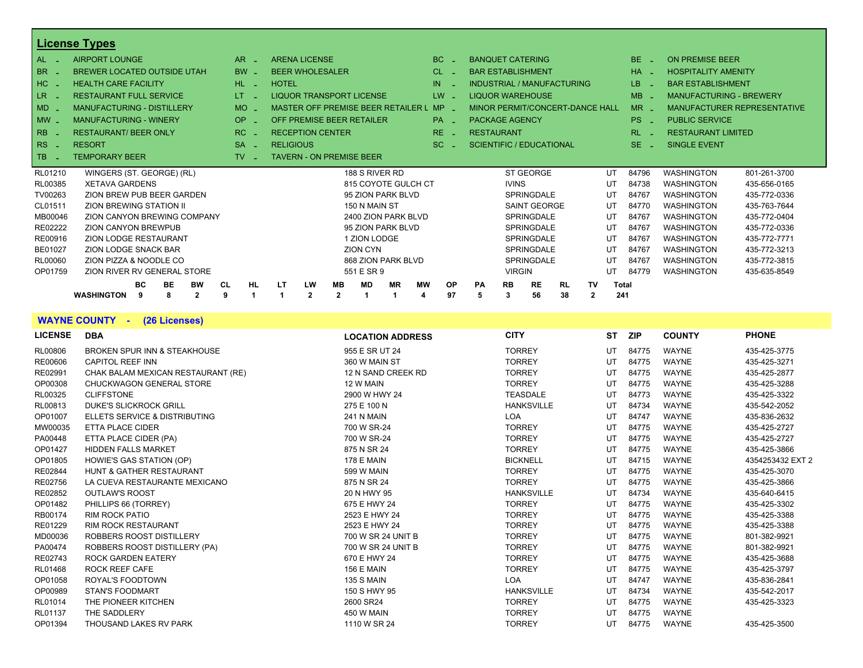|                        | <b>License Types</b>                             |                       |                                    |           |                 |                     |    |                 |                         |               |                                 |           |    |              |           |                            |                                    |
|------------------------|--------------------------------------------------|-----------------------|------------------------------------|-----------|-----------------|---------------------|----|-----------------|-------------------------|---------------|---------------------------------|-----------|----|--------------|-----------|----------------------------|------------------------------------|
| AL.                    | <b>AIRPORT LOUNGE</b>                            | AR.                   | <b>ARENA LICENSE</b>               |           |                 |                     | BC |                 | <b>BANQUET CATERING</b> |               |                                 |           |    |              | BE.       | <b>ON PREMISE BEER</b>     |                                    |
| <b>BR</b>              | <b>BREWER LOCATED OUTSIDE UTAH</b>               | <b>BW</b>             | <b>BEER WHOLESALER</b>             |           |                 |                     | CL |                 |                         |               | <b>BAR ESTABLISHMENT</b>        |           |    |              | <b>HA</b> | <b>HOSPITALITY AMENITY</b> |                                    |
| HC                     | <b>HEALTH CARE FACILITY</b>                      | HL.                   | <b>HOTEL</b>                       |           |                 |                     | IN |                 |                         |               | INDUSTRIAL / MANUFACTURING      |           |    |              | <b>LB</b> | <b>BAR ESTABLISHMENT</b>   |                                    |
| LR.                    | <b>RESTAURANT FULL SERVICE</b>                   | LT.                   | <b>LIQUOR TRANSPORT LICENSE</b>    |           |                 |                     |    | $LW -$          |                         |               | <b>LIQUOR WAREHOUSE</b>         |           |    |              | $MB -$    |                            | <b>MANUFACTURING - BREWERY</b>     |
| $MD -$                 | <b>MANUFACTURING - DISTILLERY</b>                | <b>MO</b>             | MASTER OFF PREMISE BEER RETAILER L |           |                 |                     |    | $MP_$           |                         |               | MINOR PERMIT/CONCERT-DANCE HALL |           |    |              | $MR -$    |                            | <b>MANUFACTURER REPRESENTATIVE</b> |
| $MW_{-}$               | <b>MANUFACTURING - WINERY</b>                    | OP.<br><b>College</b> | OFF PREMISE BEER RETAILER          |           |                 |                     |    | PA <sub>-</sub> | <b>PACKAGE AGENCY</b>   |               |                                 |           |    |              | PS.       | <b>PUBLIC SERVICE</b>      |                                    |
| <b>RB</b>              | <b>RESTAURANT/ BEER ONLY</b>                     | RC                    | <b>RECEPTION CENTER</b>            |           |                 |                     |    | $RE -$          | <b>RESTAURANT</b>       |               |                                 |           |    |              | <b>RL</b> | <b>RESTAURANT LIMITED</b>  |                                    |
| R <sub>S</sub><br>- 11 | <b>RESORT</b>                                    | <b>SA</b>             | <b>RELIGIOUS</b>                   |           |                 |                     |    | $SC =$          |                         |               | <b>SCIENTIFIC / EDUCATIONAL</b> |           |    |              | SE.       | <b>SINGLE EVENT</b>        |                                    |
| TB.                    | <b>TEMPORARY BEER</b>                            | TV                    | <b>TAVERN - ON PREMISE BEER</b>    |           |                 |                     |    |                 |                         |               |                                 |           |    |              |           |                            |                                    |
| RL01210                | WINGERS (ST. GEORGE) (RL)                        |                       |                                    |           | 188 S RIVER RD  |                     |    |                 |                         |               | ST GEORGE                       |           |    | UT           | 84796     | <b>WASHINGTON</b>          | 801-261-3700                       |
| RL00385                | <b>XETAVA GARDENS</b>                            |                       |                                    |           |                 | 815 COYOTE GULCH CT |    |                 |                         | <b>IVINS</b>  |                                 |           |    | UT           | 84738     | <b>WASHINGTON</b>          | 435-656-0165                       |
| TV00263                | ZION BREW PUB BEER GARDEN                        |                       |                                    |           |                 | 95 ZION PARK BLVD   |    |                 |                         |               | <b>SPRINGDALE</b>               |           |    | UT           | 84767     | <b>WASHINGTON</b>          | 435-772-0336                       |
| CL01511                | <b>ZION BREWING STATION II</b>                   |                       |                                    |           | 150 N MAIN ST   |                     |    |                 |                         |               | <b>SAINT GEORGE</b>             |           |    | UT           | 84770     | <b>WASHINGTON</b>          | 435-763-7644                       |
| MB00046                | ZION CANYON BREWING COMPANY                      |                       |                                    |           |                 | 2400 ZION PARK BLVD |    |                 |                         |               | <b>SPRINGDALE</b>               |           |    | UT           | 84767     | <b>WASHINGTON</b>          | 435-772-0404                       |
| RE02222                | <b>ZION CANYON BREWPUB</b>                       |                       |                                    |           |                 | 95 ZION PARK BLVD   |    |                 |                         |               | <b>SPRINGDALE</b>               |           |    | UT           | 84767     | <b>WASHINGTON</b>          | 435-772-0336                       |
| RE00916                | ZION LODGE RESTAURANT                            |                       |                                    |           | 1 ZION LODGE    |                     |    |                 |                         |               | <b>SPRINGDALE</b>               |           |    | UT           | 84767     | <b>WASHINGTON</b>          | 435-772-7771                       |
| BE01027                | ZION LODGE SNACK BAR                             |                       |                                    |           | <b>ZION CYN</b> |                     |    |                 |                         |               | SPRINGDALE                      |           |    | UT           | 84767     | <b>WASHINGTON</b>          | 435-772-3213                       |
| <b>RL00060</b>         | ZION PIZZA & NOODLE CO                           |                       |                                    |           |                 | 868 ZION PARK BLVD  |    |                 |                         |               | <b>SPRINGDALE</b>               |           |    | UT           | 84767     | <b>WASHINGTON</b>          | 435-772-3815                       |
| OP01759                | ZION RIVER RV GENERAL STORE                      |                       |                                    |           | 551 E SR 9      |                     |    |                 |                         | <b>VIRGIN</b> |                                 |           |    | UT           | 84779     | <b>WASHINGTON</b>          | 435-635-8549                       |
|                        | BC<br>BE<br><b>BW</b><br><b>CL</b>               | <b>HL</b>             | LT.<br>LW                          | <b>MB</b> | <b>MD</b>       | <b>MR</b>           | МW | <b>OP</b>       | PA                      | <b>RB</b>     | <b>RE</b>                       | <b>RL</b> | TV | <b>Total</b> |           |                            |                                    |
|                        | $\mathbf{2}$<br><b>WASHINGTON</b><br>9<br>8<br>9 |                       | $\overline{2}$                     | 2         |                 |                     |    | 97              | 5                       |               | 56                              | 38        | 2  | 241          |           |                            |                                    |

**WAYNE COUNTY - (26 Licenses)**

| <b>LICENSE</b> | <b>DBA</b>                              | <b>LOCATION ADDRESS</b> | <b>CITY</b>       | ST. | <b>ZIP</b> | <b>COUNTY</b> | <b>PHONE</b>     |
|----------------|-----------------------------------------|-------------------------|-------------------|-----|------------|---------------|------------------|
| <b>RL00806</b> | <b>BROKEN SPUR INN &amp; STEAKHOUSE</b> | 955 E SR UT 24          | <b>TORREY</b>     | UT  | 84775      | <b>WAYNE</b>  | 435-425-3775     |
| RE00606        | <b>CAPITOL REEF INN</b>                 | 360 W MAIN ST           | <b>TORREY</b>     | UT  | 84775      | <b>WAYNE</b>  | 435-425-3271     |
| RE02991        | CHAK BALAM MEXICAN RESTAURANT (RE)      | 12 N SAND CREEK RD      | <b>TORREY</b>     | UT  | 84775      | <b>WAYNE</b>  | 435-425-2877     |
| OP00308        | CHUCKWAGON GENERAL STORE                | 12 W MAIN               | <b>TORREY</b>     | UT  | 84775      | <b>WAYNE</b>  | 435-425-3288     |
| RL00325        | <b>CLIFFSTONE</b>                       | 2900 W HWY 24           | <b>TEASDALE</b>   | UT  | 84773      | <b>WAYNE</b>  | 435-425-3322     |
| RL00813        | <b>DUKE'S SLICKROCK GRILL</b>           | 275 E 100 N             | <b>HANKSVILLE</b> | UT  | 84734      | <b>WAYNE</b>  | 435-542-2052     |
| OP01007        | ELLETS SERVICE & DISTRIBUTING           | <b>241 N MAIN</b>       | <b>LOA</b>        | UT  | 84747      | <b>WAYNE</b>  | 435-836-2632     |
| MW00035        | ETTA PLACE CIDER                        | 700 W SR-24             | <b>TORREY</b>     | UT  | 84775      | <b>WAYNE</b>  | 435-425-2727     |
| PA00448        | ETTA PLACE CIDER (PA)                   | 700 W SR-24             | <b>TORREY</b>     | UT  | 84775      | <b>WAYNE</b>  | 435-425-2727     |
| OP01427        | <b>HIDDEN FALLS MARKET</b>              | 875 N SR 24             | <b>TORREY</b>     | UT  | 84775      | <b>WAYNE</b>  | 435-425-3866     |
| OP01805        | HOWIE'S GAS STATION (OP)                | <b>178 E MAIN</b>       | <b>BICKNELL</b>   | UT  | 84715      | <b>WAYNE</b>  | 4354253432 EXT 2 |
| RE02844        | HUNT & GATHER RESTAURANT                | 599 W MAIN              | <b>TORREY</b>     | UT  | 84775      | <b>WAYNE</b>  | 435-425-3070     |
| RE02756        | LA CUEVA RESTAURANTE MEXICANO           | 875 N SR 24             | <b>TORREY</b>     | UT  | 84775      | <b>WAYNE</b>  | 435-425-3866     |
| RE02852        | <b>OUTLAW'S ROOST</b>                   | 20 N HWY 95             | <b>HANKSVILLE</b> | UT  | 84734      | <b>WAYNE</b>  | 435-640-6415     |
| OP01482        | PHILLIPS 66 (TORREY)                    | 675 E HWY 24            | <b>TORREY</b>     | UT  | 84775      | <b>WAYNE</b>  | 435-425-3302     |
| RB00174        | <b>RIM ROCK PATIO</b>                   | 2523 E HWY 24           | <b>TORREY</b>     | UT  | 84775      | <b>WAYNE</b>  | 435-425-3388     |
| RE01229        | <b>RIM ROCK RESTAURANT</b>              | 2523 E HWY 24           | <b>TORREY</b>     | UT  | 84775      | <b>WAYNE</b>  | 435-425-3388     |
| MD00036        | ROBBERS ROOST DISTILLERY                | 700 W SR 24 UNIT B      | <b>TORREY</b>     | UT  | 84775      | <b>WAYNE</b>  | 801-382-9921     |
| PA00474        | ROBBERS ROOST DISTILLERY (PA)           | 700 W SR 24 UNIT B      | <b>TORREY</b>     | UT  | 84775      | <b>WAYNE</b>  | 801-382-9921     |
| RE02743        | ROCK GARDEN EATERY                      | 670 E HWY 24            | <b>TORREY</b>     | UT  | 84775      | <b>WAYNE</b>  | 435-425-3688     |
| RL01468        | <b>ROCK REEF CAFE</b>                   | <b>156 E MAIN</b>       | <b>TORREY</b>     | UT  | 84775      | <b>WAYNE</b>  | 435-425-3797     |
| OP01058        | ROYAL'S FOODTOWN                        | <b>135 S MAIN</b>       | <b>LOA</b>        | UT  | 84747      | <b>WAYNE</b>  | 435-836-2841     |
| OP00989        | <b>STAN'S FOODMART</b>                  | 150 S HWY 95            | <b>HANKSVILLE</b> | UT  | 84734      | <b>WAYNE</b>  | 435-542-2017     |
| RL01014        | THE PIONEER KITCHEN                     | 2600 SR24               | <b>TORREY</b>     | UT  | 84775      | <b>WAYNE</b>  | 435-425-3323     |
| RL01137        | THE SADDLERY                            | 450 W MAIN              | <b>TORREY</b>     | UT  | 84775      | <b>WAYNE</b>  |                  |
| OP01394        | THOUSAND LAKES RV PARK                  | 1110 W SR 24            | <b>TORREY</b>     | UT  | 84775      | WAYNE         | 435-425-3500     |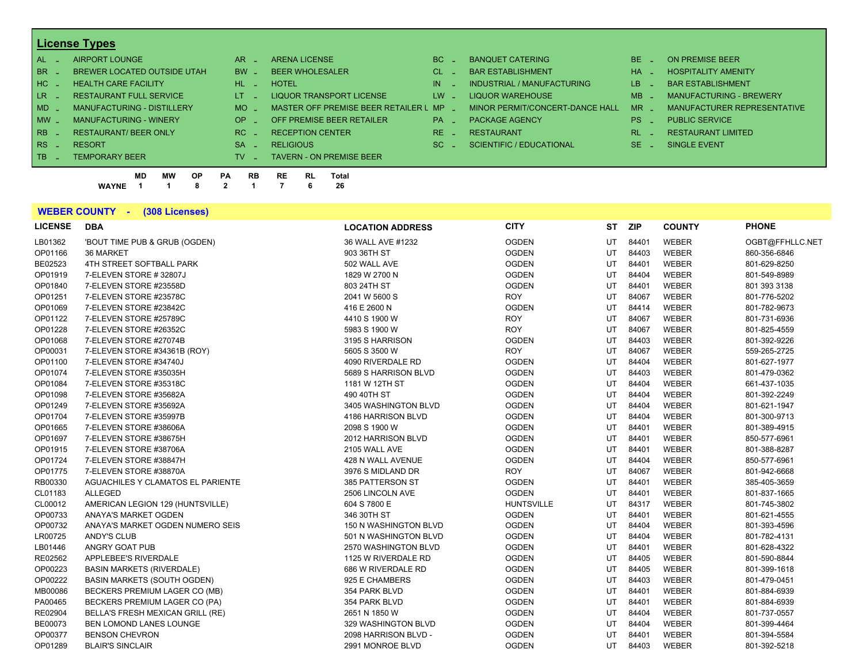## **License Types**

| $AL -$          | AIRPORT LOUNGE                    | AR.       | <b>ARENA LICENSE</b>                  | BC.                 | <b>BANQUET CATERING</b>         | $BE -$   | ON PREMISE BEER                |
|-----------------|-----------------------------------|-----------|---------------------------------------|---------------------|---------------------------------|----------|--------------------------------|
| BR _            | BREWER LOCATED OUTSIDE UTAH       | <b>BW</b> | <b>BEER WHOLESALER</b>                | $CL$ $-$            | <b>BAR ESTABLISHMENT</b>        | $HA$ $=$ | <b>HOSPITALITY AMENITY</b>     |
| $HC -$          | <b>HEALTH CARE FACILITY</b>       | HL.       | <b>HOTEL</b>                          | IN                  | INDUSTRIAL / MANUFACTURING      | LB _     | <b>BAR ESTABLISHMENT</b>       |
| $LR -$          | <b>RESTAURANT FULL SERVICE</b>    | LT.       | LIQUOR TRANSPORT LICENSE              | $LW -$              | LIQUOR WAREHOUSE                | $MB -$   | <b>MANUFACTURING - BREWERY</b> |
| $MD -$          | <b>MANUFACTURING - DISTILLERY</b> | MO.       | MASTER OFF PREMISE BEER RETAILER L MP |                     | MINOR PERMIT/CONCERT-DANCE HALL | $MR -$   | MANUFACTURER REPRESENTATIVE    |
| $MW_{-}$        | <b>MANUFACTURING - WINERY</b>     | OP.       | OFF PREMISE BEER RETAILER             | $PA -$              | <b>PACKAGE AGENCY</b>           | $PS_$    | <b>PUBLIC SERVICE</b>          |
| $RB -$          | <b>RESTAURANT/ BEER ONLY</b>      | RC        | <b>RECEPTION CENTER</b>               | $RE$ $\overline{z}$ | <b>RESTAURANT</b>               | $RL - 1$ | <b>RESTAURANT LIMITED</b>      |
| $RS -$          | <b>RESORT</b>                     | <b>SA</b> | <b>RELIGIOUS</b>                      | SC.                 | <b>SCIENTIFIC / EDUCATIONAL</b> | $SE =$   | SINGLE EVENT                   |
| TB <sub>1</sub> | <b>TEMPORARY BEER</b>             | TV.       | <b>TAVERN - ON PREMISE BEER</b>       |                     |                                 |          |                                |
|                 | --- ----                          |           |                                       |                     |                                 |          |                                |

**MD MW OP PA RB RE RL Total WAYNE 1 1 8 2 1 7 6 26**

**WEBER COUNTY - (308 Licenses)**

| <b>LICENSE</b> | <b>DBA</b>                         | <b>LOCATION ADDRESS</b>      | <b>CITY</b>       | ST | <b>ZIP</b> | <b>COUNTY</b> | <b>PHONE</b>    |
|----------------|------------------------------------|------------------------------|-------------------|----|------------|---------------|-----------------|
| LB01362        | 'BOUT TIME PUB & GRUB (OGDEN)      | 36 WALL AVE #1232            | <b>OGDEN</b>      | UT | 84401      | <b>WEBER</b>  | OGBT@FFHLLC.NET |
| OP01166        | 36 MARKET                          | 903 36TH ST                  | <b>OGDEN</b>      | UT | 84403      | <b>WEBER</b>  | 860-356-6846    |
| BE02523        | 4TH STREET SOFTBALL PARK           | 502 WALL AVE                 | <b>OGDEN</b>      | UT | 84401      | <b>WEBER</b>  | 801-629-8250    |
| OP01919        | 7-ELEVEN STORE #32807J             | 1829 W 2700 N                | <b>OGDEN</b>      | UT | 84404      | WEBER         | 801-549-8989    |
| OP01840        | 7-ELEVEN STORE #23558D             | 803 24TH ST                  | <b>OGDEN</b>      | UT | 84401      | <b>WEBER</b>  | 801 393 3138    |
| OP01251        | 7-ELEVEN STORE #23578C             | 2041 W 5600 S                | <b>ROY</b>        | UT | 84067      | <b>WEBER</b>  | 801-776-5202    |
| OP01069        | 7-ELEVEN STORE #23842C             | 416 E 2600 N                 | <b>OGDEN</b>      | UT | 84414      | <b>WEBER</b>  | 801-782-9673    |
| OP01122        | 7-ELEVEN STORE #25789C             | 4410 S 1900 W                | <b>ROY</b>        | UT | 84067      | <b>WEBER</b>  | 801-731-6936    |
| OP01228        | 7-ELEVEN STORE #26352C             | 5983 S 1900 W                | <b>ROY</b>        | UT | 84067      | <b>WEBER</b>  | 801-825-4559    |
| OP01068        | 7-ELEVEN STORE #27074B             | 3195 S HARRISON              | <b>OGDEN</b>      | UT | 84403      | <b>WEBER</b>  | 801-392-9226    |
| OP00031        | 7-ELEVEN STORE #34361B (ROY)       | 5605 S 3500 W                | <b>ROY</b>        | UT | 84067      | <b>WEBER</b>  | 559-265-2725    |
| OP01100        | 7-ELEVEN STORE #34740J             | 4090 RIVERDALE RD            | <b>OGDEN</b>      | UT | 84404      | <b>WEBER</b>  | 801-627-1977    |
| OP01074        | 7-ELEVEN STORE #35035H             | 5689 S HARRISON BLVD         | <b>OGDEN</b>      | UT | 84403      | <b>WEBER</b>  | 801-479-0362    |
| OP01084        | 7-ELEVEN STORE #35318C             | 1181 W 12TH ST               | <b>OGDEN</b>      | UT | 84404      | <b>WEBER</b>  | 661-437-1035    |
| OP01098        | 7-ELEVEN STORE #35682A             | 490 40TH ST                  | <b>OGDEN</b>      | UT | 84404      | <b>WEBER</b>  | 801-392-2249    |
| OP01249        | 7-ELEVEN STORE #35692A             | 3405 WASHINGTON BLVD         | <b>OGDEN</b>      | UT | 84404      | <b>WEBER</b>  | 801-621-1947    |
| OP01704        | 7-ELEVEN STORE #35997B             | 4186 HARRISON BLVD           | <b>OGDEN</b>      | UT | 84404      | <b>WEBER</b>  | 801-300-9713    |
| OP01665        | 7-ELEVEN STORE #38606A             | 2098 S 1900 W                | <b>OGDEN</b>      | UT | 84401      | <b>WEBER</b>  | 801-389-4915    |
| OP01697        | 7-ELEVEN STORE #38675H             | 2012 HARRISON BLVD           | <b>OGDEN</b>      | UT | 84401      | <b>WEBER</b>  | 850-577-6961    |
| OP01915        | 7-ELEVEN STORE #38706A             | 2105 WALL AVE                | <b>OGDEN</b>      | UT | 84401      | <b>WEBER</b>  | 801-388-8287    |
| OP01724        | 7-ELEVEN STORE #38847H             | 428 N WALL AVENUE            | <b>OGDEN</b>      | UT | 84404      | <b>WEBER</b>  | 850-577-6961    |
| OP01775        | 7-ELEVEN STORE #38870A             | 3976 S MIDLAND DR            | <b>ROY</b>        | UT | 84067      | <b>WEBER</b>  | 801-942-6668    |
| RB00330        | AGUACHILES Y CLAMATOS EL PARIENTE  | 385 PATTERSON ST             | <b>OGDEN</b>      | UT | 84401      | <b>WEBER</b>  | 385-405-3659    |
| CL01183        | <b>ALLEGED</b>                     | 2506 LINCOLN AVE             | <b>OGDEN</b>      | UT | 84401      | <b>WEBER</b>  | 801-837-1665    |
| CL00012        | AMERICAN LEGION 129 (HUNTSVILLE)   | 604 S 7800 E                 | <b>HUNTSVILLE</b> | UT | 84317      | <b>WEBER</b>  | 801-745-3802    |
| OP00733        | ANAYA'S MARKET OGDEN               | 346 30TH ST                  | <b>OGDEN</b>      | UT | 84401      | <b>WEBER</b>  | 801-621-4555    |
| OP00732        | ANAYA'S MARKET OGDEN NUMERO SEIS   | <b>150 N WASHINGTON BLVD</b> | <b>OGDEN</b>      | UT | 84404      | <b>WEBER</b>  | 801-393-4596    |
| LR00725        | ANDY'S CLUB                        | 501 N WASHINGTON BLVD        | <b>OGDEN</b>      | UT | 84404      | WEBER         | 801-782-4131    |
| LB01446        | ANGRY GOAT PUB                     | 2570 WASHINGTON BLVD         | <b>OGDEN</b>      | UT | 84401      | <b>WEBER</b>  | 801-628-4322    |
| RE02562        | APPLEBEE'S RIVERDALE               | 1125 W RIVERDALE RD          | <b>OGDEN</b>      | UT | 84405      | <b>WEBER</b>  | 801-590-8844    |
| OP00223        | <b>BASIN MARKETS (RIVERDALE)</b>   | 686 W RIVERDALE RD           | <b>OGDEN</b>      | UT | 84405      | WEBER         | 801-399-1618    |
| OP00222        | <b>BASIN MARKETS (SOUTH OGDEN)</b> | 925 E CHAMBERS               | <b>OGDEN</b>      | UT | 84403      | <b>WEBER</b>  | 801-479-0451    |
| MB00086        | BECKERS PREMIUM LAGER CO (MB)      | 354 PARK BLVD                | <b>OGDEN</b>      | UT | 84401      | <b>WEBER</b>  | 801-884-6939    |
| PA00465        | BECKERS PREMIUM LAGER CO (PA)      | 354 PARK BLVD                | <b>OGDEN</b>      | UT | 84401      | <b>WEBER</b>  | 801-884-6939    |
| RE02904        | BELLA'S FRESH MEXICAN GRILL (RE)   | 2651 N 1850 W                | <b>OGDEN</b>      | UT | 84404      | <b>WEBER</b>  | 801-737-0557    |
| BE00073        | BEN LOMOND LANES LOUNGE            | 329 WASHINGTON BLVD          | <b>OGDEN</b>      | UT | 84404      | <b>WEBER</b>  | 801-399-4464    |
| OP00377        | <b>BENSON CHEVRON</b>              | 2098 HARRISON BLVD -         | <b>OGDEN</b>      | UT | 84401      | <b>WEBER</b>  | 801-394-5584    |
| OP01289        | <b>BLAIR'S SINCLAIR</b>            | 2991 MONROE BLVD             | <b>OGDEN</b>      | UT | 84403      | <b>WEBER</b>  | 801-392-5218    |
|                |                                    |                              |                   |    |            |               |                 |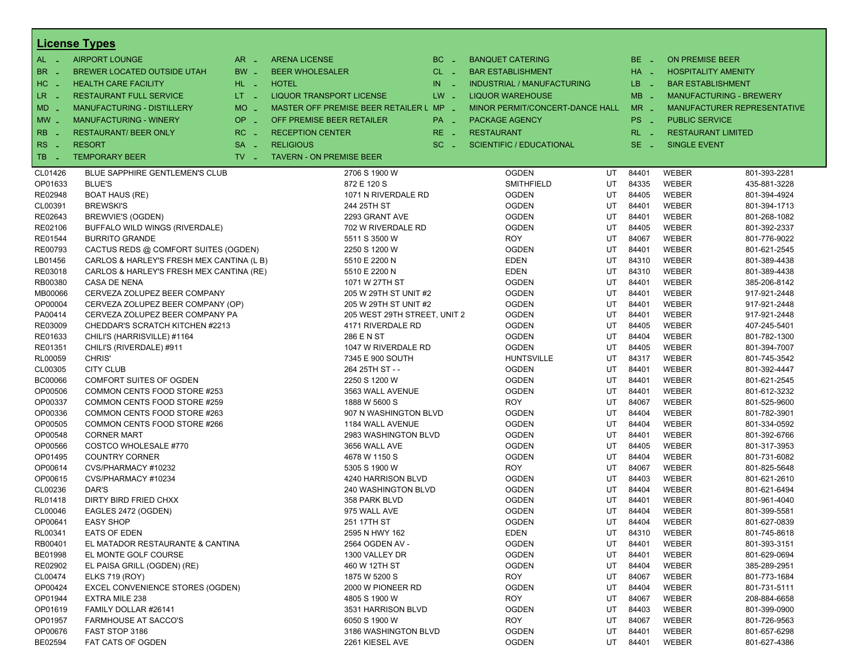|                            | <b>License Types</b>                      |                               |                                         |               |                                   |    |            |                           |                                    |
|----------------------------|-------------------------------------------|-------------------------------|-----------------------------------------|---------------|-----------------------------------|----|------------|---------------------------|------------------------------------|
| $AL -$                     | <b>AIRPORT LOUNGE</b>                     | $AR -$                        | <b>ARENA LICENSE</b>                    | BC.<br>$\sim$ | <b>BANQUET CATERING</b>           |    | $BE -$     | <b>ON PREMISE BEER</b>    |                                    |
| BR.<br>- 4                 | BREWER LOCATED OUTSIDE UTAH               | BW _                          | <b>BEER WHOLESALER</b>                  | $CL$ $-$      | <b>BAR ESTABLISHMENT</b>          |    | $HA$ $-$   |                           | <b>HOSPITALITY AMENITY</b>         |
| HC<br>. —                  | <b>HEALTH CARE FACILITY</b>               | HL L                          | <b>HOTEL</b>                            | IN<br>- 20    | <b>INDUSTRIAL / MANUFACTURING</b> |    | LB.<br>- 1 | <b>BAR ESTABLISHMENT</b>  |                                    |
| $LR -$                     | <b>RESTAURANT FULL SERVICE</b>            | $LT = 1$                      | <b>LIQUOR TRANSPORT LICENSE</b>         | $LW -$        | <b>LIQUOR WAREHOUSE</b>           |    | $MB -$     |                           | <b>MANUFACTURING - BREWERY</b>     |
| $MD -$                     | <b>MANUFACTURING - DISTILLERY</b>         | <b>MO</b><br>$\sim$           | MASTER OFF PREMISE BEER RETAILER L MP _ |               | MINOR PERMIT/CONCERT-DANCE HALL   |    | $MR -$     |                           | <b>MANUFACTURER REPRESENTATIVE</b> |
|                            |                                           | <b>OP</b>                     | OFF PREMISE BEER RETAILER               |               |                                   |    | PS _       | <b>PUBLIC SERVICE</b>     |                                    |
| $MW -$                     | <b>MANUFACTURING - WINERY</b>             | п.                            |                                         | PA _          | <b>PACKAGE AGENCY</b>             |    |            |                           |                                    |
| R <sub>B</sub>             | <b>RESTAURANT/ BEER ONLY</b>              | RC<br><b>Simple</b>           | <b>RECEPTION CENTER</b>                 | $RE -$        | <b>RESTAURANT</b>                 |    | $RL - 1$   | <b>RESTAURANT LIMITED</b> |                                    |
| <b>RS</b><br>$\sim$ $\sim$ | <b>RESORT</b>                             | <b>SA</b><br>i a              | <b>RELIGIOUS</b>                        | $SC =$        | <b>SCIENTIFIC / EDUCATIONAL</b>   |    | $SE -$     | <b>SINGLE EVENT</b>       |                                    |
| TB.<br>. —                 | <b>TEMPORARY BEER</b>                     | $TV$ $\overline{\phantom{0}}$ | <b>TAVERN - ON PREMISE BEER</b>         |               |                                   |    |            |                           |                                    |
| CL01426                    | BLUE SAPPHIRE GENTLEMEN'S CLUB            |                               | 2706 S 1900 W                           |               | <b>OGDEN</b>                      | UT | 84401      | <b>WEBER</b>              | 801-393-2281                       |
| OP01633                    | <b>BLUE'S</b>                             |                               | 872 E 120 S                             |               | <b>SMITHFIELD</b>                 | UT | 84335      | WEBER                     | 435-881-3228                       |
| RE02948                    | <b>BOAT HAUS (RE)</b>                     |                               | 1071 N RIVERDALE RD                     |               | <b>OGDEN</b>                      | UT | 84405      | <b>WEBER</b>              | 801-394-4924                       |
| CL00391                    | <b>BREWSKI'S</b>                          |                               | 244 25TH ST                             |               | <b>OGDEN</b>                      | UT | 84401      | <b>WEBER</b>              | 801-394-1713                       |
| RE02643                    | BREWVIE'S (OGDEN)                         |                               | 2293 GRANT AVE                          |               | <b>OGDEN</b>                      | UT | 84401      | WEBER                     | 801-268-1082                       |
| RE02106                    | BUFFALO WILD WINGS (RIVERDALE)            |                               | 702 W RIVERDALE RD                      |               | <b>OGDEN</b>                      | UT | 84405      | <b>WEBER</b>              | 801-392-2337                       |
| RE01544                    | <b>BURRITO GRANDE</b>                     |                               | 5511 S 3500 W                           |               | ROY                               | UT | 84067      | WEBER                     | 801-776-9022                       |
| RE00793                    | CACTUS REDS @ COMFORT SUITES (OGDEN)      |                               | 2250 S 1200 W                           |               | <b>OGDEN</b>                      | UT | 84401      | WEBER                     | 801-621-2545                       |
| LB01456                    | CARLOS & HARLEY'S FRESH MEX CANTINA (L B) |                               | 5510 E 2200 N                           |               | EDEN                              | UT | 84310      | <b>WEBER</b>              | 801-389-4438                       |
| RE03018                    | CARLOS & HARLEY'S FRESH MEX CANTINA (RE)  |                               | 5510 E 2200 N                           |               | EDEN                              | UT | 84310      | <b>WEBER</b>              | 801-389-4438                       |
| RB00380                    | CASA DE NENA                              |                               | 1071 W 27TH ST                          |               | OGDEN                             | UT | 84401      | WEBER                     | 385-206-8142                       |
| MB00066                    | CERVEZA ZOLUPEZ BEER COMPANY              |                               | 205 W 29TH ST UNIT #2                   |               | <b>OGDEN</b>                      | UT | 84401      | WEBER                     | 917-921-2448                       |
| OP00004                    | CERVEZA ZOLUPEZ BEER COMPANY (OP)         |                               | 205 W 29TH ST UNIT #2                   |               | <b>OGDEN</b>                      | UT | 84401      | <b>WEBER</b>              | 917-921-2448                       |
| PA00414                    | CERVEZA ZOLUPEZ BEER COMPANY PA           |                               | 205 WEST 29TH STREET, UNIT 2            |               | <b>OGDEN</b>                      | UT | 84401      | WEBER                     | 917-921-2448                       |
| RE03009                    | CHEDDAR'S SCRATCH KITCHEN #2213           |                               | 4171 RIVERDALE RD                       |               | <b>OGDEN</b>                      | UT | 84405      | <b>WEBER</b>              | 407-245-5401                       |
| RE01633                    | CHILI'S (HARRISVILLE) #1164               |                               | 286 E N ST                              |               | <b>OGDEN</b>                      | UT | 84404      | <b>WEBER</b>              | 801-782-1300                       |
| RE01351                    | CHILI'S (RIVERDALE) #911                  |                               | 1047 W RIVERDALE RD                     |               | <b>OGDEN</b>                      | UT | 84405      | WEBER                     | 801-394-7007                       |
| RL00059                    | CHRIS'                                    |                               | 7345 E 900 SOUTH                        |               | <b>HUNTSVILLE</b>                 | UT | 84317      | WEBER                     | 801-745-3542                       |
| CL00305                    | <b>CITY CLUB</b>                          |                               | 264 25TH ST - -                         |               | <b>OGDEN</b>                      | UT | 84401      | WEBER                     | 801-392-4447                       |
| BC00066                    | <b>COMFORT SUITES OF OGDEN</b>            |                               | 2250 S 1200 W                           |               | <b>OGDEN</b>                      | UT | 84401      | WEBER                     | 801-621-2545                       |
| OP00506                    | COMMON CENTS FOOD STORE #253              |                               | 3563 WALL AVENUE                        |               | <b>OGDEN</b>                      | UT | 84401      | <b>WEBER</b>              | 801-612-3232                       |
| OP00337                    | COMMON CENTS FOOD STORE #259              |                               | 1888 W 5600 S                           |               | ROY                               | UT | 84067      | WEBER                     | 801-525-9600                       |
| OP00336                    | COMMON CENTS FOOD STORE #263              |                               | 907 N WASHINGTON BLVD                   |               | OGDEN                             | UT | 84404      | WEBER                     | 801-782-3901                       |
| OP00505                    | COMMON CENTS FOOD STORE #266              |                               | 1184 WALL AVENUE                        |               | <b>OGDEN</b>                      | UT | 84404      | <b>WEBER</b>              | 801-334-0592                       |
| OP00548                    | <b>CORNER MART</b>                        |                               | 2983 WASHINGTON BLVD                    |               | <b>OGDEN</b>                      | UT | 84401      | WEBER                     | 801-392-6766                       |
| OP00566                    | COSTCO WHOLESALE #770                     |                               | 3656 WALL AVE                           |               | <b>OGDEN</b>                      | UT | 84405      | WEBER                     | 801-317-3953                       |
| OP01495                    | <b>COUNTRY CORNER</b>                     |                               | 4678 W 1150 S                           |               | <b>OGDEN</b>                      | UT | 84404      | <b>WEBER</b>              | 801-731-6082                       |
| OP00614                    | CVS/PHARMACY #10232                       |                               | 5305 S 1900 W                           |               | ROY                               | UT | 84067      | <b>WEBER</b>              | 801-825-5648                       |
| OP00615                    | CVS/PHARMACY #10234                       |                               | 4240 HARRISON BLVD                      |               | <b>OGDEN</b>                      | UT | 84403      | WEBER                     | 801-621-2610                       |
| CL00236                    | DAR'S                                     |                               | 240 WASHINGTON BLVD                     |               | <b>OGDEN</b>                      | UT | 84404      | WEBER                     | 801-621-6494                       |
| RL01418                    | DIRTY BIRD FRIED CHXX                     |                               | 358 PARK BLVD                           |               | <b>OGDEN</b>                      | UT | 84401      | WEBER                     | 801-961-4040                       |
| CL00046                    | EAGLES 2472 (OGDEN)                       |                               | 975 WALL AVE                            |               | <b>OGDEN</b>                      | UT | 84404      | WEBER                     | 801-399-5581                       |
| OP00641                    | <b>EASY SHOP</b>                          |                               | 251 17TH ST                             |               | <b>OGDEN</b>                      | UT | 84404      | WEBER                     | 801-627-0839                       |
| RL00341                    | EATS OF EDEN                              |                               | 2595 N HWY 162                          |               | EDEN                              | UT | 84310      | WEBER                     | 801-745-8618                       |
| RB00401                    | EL MATADOR RESTAURANTE & CANTINA          |                               | 2564 OGDEN AV -                         |               | <b>OGDEN</b>                      | UT | 84401      | WEBER                     | 801-393-3151                       |
| BE01998                    | EL MONTE GOLF COURSE                      |                               | 1300 VALLEY DR                          |               | <b>OGDEN</b>                      | UT | 84401      | WEBER                     | 801-629-0694                       |
| RE02902                    | EL PAISA GRILL (OGDEN) (RE)               |                               | 460 W 12TH ST                           |               | <b>OGDEN</b>                      | UT | 84404      | WEBER                     | 385-289-2951                       |
| CL00474                    | <b>ELKS 719 (ROY)</b>                     |                               | 1875 W 5200 S                           |               | <b>ROY</b>                        | UT | 84067      | WEBER                     | 801-773-1684                       |
| OP00424                    | <b>EXCEL CONVENIENCE STORES (OGDEN)</b>   |                               | 2000 W PIONEER RD                       |               | <b>OGDEN</b>                      | UT | 84404      | WEBER                     | 801-731-5111                       |
| OP01944                    | <b>EXTRA MILE 238</b>                     |                               | 4805 S 1900 W                           |               | <b>ROY</b>                        | UT | 84067      | WEBER                     | 208-884-6658                       |
| OP01619                    | FAMILY DOLLAR #26141                      |                               | 3531 HARRISON BLVD                      |               | <b>OGDEN</b>                      | UT | 84403      | WEBER                     | 801-399-0900                       |
| OP01957                    | <b>FARMHOUSE AT SACCO'S</b>               |                               | 6050 S 1900 W                           |               | ROY                               | UT | 84067      | WEBER                     | 801-726-9563                       |
| OP00676                    | FAST STOP 3186                            |                               | 3186 WASHINGTON BLVD                    |               | <b>OGDEN</b>                      | UT | 84401      | WEBER                     | 801-657-6298                       |
| BE02594                    | FAT CATS OF OGDEN                         |                               | 2261 KIESEL AVE                         |               | <b>OGDEN</b>                      | UT | 84401      | WEBER                     | 801-627-4386                       |
|                            |                                           |                               |                                         |               |                                   |    |            |                           |                                    |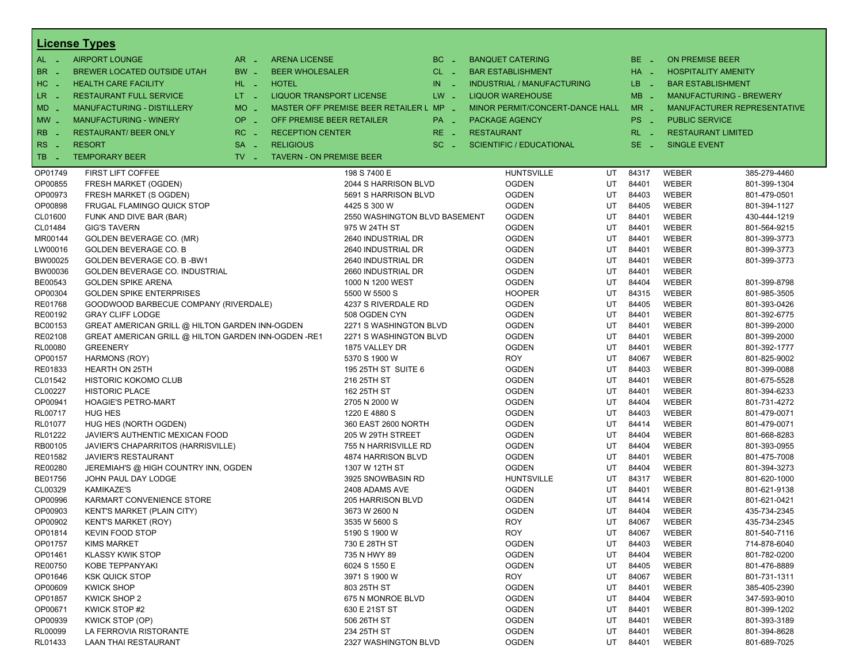|                | <b>License Types</b>                                |                               |                                 |                                         |              |                   |                                 |    |          |                          |                                |
|----------------|-----------------------------------------------------|-------------------------------|---------------------------------|-----------------------------------------|--------------|-------------------|---------------------------------|----|----------|--------------------------|--------------------------------|
| $AL -$         | <b>AIRPORT LOUNGE</b>                               | $AR -$                        | <b>ARENA LICENSE</b>            |                                         | BC<br>$\sim$ |                   | <b>BANQUET CATERING</b>         |    | BE _     | <b>ON PREMISE BEER</b>   |                                |
| BR<br>- 4      | BREWER LOCATED OUTSIDE UTAH                         | BW _                          | <b>BEER WHOLESALER</b>          |                                         | $CL$ $-$     |                   | <b>BAR ESTABLISHMENT</b>        |    | $HA$ $=$ |                          | <b>HOSPITALITY AMENITY</b>     |
| HC _           | <b>HEALTH CARE FACILITY</b>                         | HL L                          | <b>HOTEL</b>                    |                                         | IN.<br>- 2   |                   | INDUSTRIAL / MANUFACTURING      |    | LB _     | <b>BAR ESTABLISHMENT</b> |                                |
| $LR -$         | <b>RESTAURANT FULL SERVICE</b>                      | $LT = 1$                      | LIQUOR TRANSPORT LICENSE        |                                         | $LW -$       |                   | <b>LIQUOR WAREHOUSE</b>         |    | $MB -$   |                          | <b>MANUFACTURING - BREWERY</b> |
|                |                                                     | <b>MO</b>                     |                                 | MASTER OFF PREMISE BEER RETAILER L MP _ |              |                   | MINOR PERMIT/CONCERT-DANCE HALL |    | $MR -$   |                          |                                |
| MD _           | MANUFACTURING - DISTILLERY                          | $\sim$                        |                                 |                                         |              |                   |                                 |    |          |                          | MANUFACTURER REPRESENTATIVE    |
| $MW$ $-$       | <b>MANUFACTURING - WINERY</b>                       | <b>OP</b><br>п.               | OFF PREMISE BEER RETAILER       |                                         | PA _         |                   | <b>PACKAGE AGENCY</b>           |    | PS _     | <b>PUBLIC SERVICE</b>    |                                |
| <b>RB</b>      | <b>RESTAURANT/ BEER ONLY</b>                        | RC                            | <b>RECEPTION CENTER</b>         |                                         | RE _         | <b>RESTAURANT</b> |                                 |    | $RL - 1$ |                          | <b>RESTAURANT LIMITED</b>      |
| RS<br>- 4      | <b>RESORT</b>                                       | <b>SA</b><br>$\sim$           | <b>RELIGIOUS</b>                |                                         | $SC =$       |                   | <b>SCIENTIFIC / EDUCATIONAL</b> |    | $SE$ $-$ | <b>SINGLE EVENT</b>      |                                |
| TB.<br>- 4     | <b>TEMPORARY BEER</b>                               | $TV$ $\overline{\phantom{0}}$ | <b>TAVERN - ON PREMISE BEER</b> |                                         |              |                   |                                 |    |          |                          |                                |
| OP01749        | FIRST LIFT COFFEE                                   |                               |                                 | 198 S 7400 E                            |              |                   | <b>HUNTSVILLE</b>               | UT | 84317    | WEBER                    | 385-279-4460                   |
| OP00855        | FRESH MARKET (OGDEN)                                |                               |                                 | 2044 S HARRISON BLVD                    |              |                   | <b>OGDEN</b>                    | UT | 84401    | WEBER                    | 801-399-1304                   |
| OP00973        | FRESH MARKET (S OGDEN)                              |                               |                                 | 5691 S HARRISON BLVD                    |              |                   | <b>OGDEN</b>                    | UT | 84403    | WEBER                    | 801-479-0501                   |
| OP00898        | FRUGAL FLAMINGO QUICK STOP                          |                               |                                 | 4425 S 300 W                            |              |                   | <b>OGDEN</b>                    | UT | 84405    | WEBER                    | 801-394-1127                   |
| CL01600        | FUNK AND DIVE BAR (BAR)                             |                               |                                 | 2550 WASHINGTON BLVD BASEMENT           |              |                   | <b>OGDEN</b>                    | UT | 84401    | WEBER                    | 430-444-1219                   |
| CL01484        | <b>GIG'S TAVERN</b>                                 |                               |                                 | 975 W 24TH ST                           |              |                   | <b>OGDEN</b>                    | UT | 84401    | WEBER                    | 801-564-9215                   |
| MR00144        | GOLDEN BEVERAGE CO. (MR)                            |                               |                                 | 2640 INDUSTRIAL DR                      |              |                   | <b>OGDEN</b>                    | UT | 84401    | WEBER                    | 801-399-3773                   |
| LW00016        | <b>GOLDEN BEVERAGE CO. B</b>                        |                               |                                 | 2640 INDUSTRIAL DR                      |              |                   | <b>OGDEN</b>                    | UT | 84401    | WEBER                    | 801-399-3773                   |
| BW00025        | GOLDEN BEVERAGE CO. B-BW1                           |                               |                                 | 2640 INDUSTRIAL DR                      |              |                   | <b>OGDEN</b>                    | UT | 84401    | WEBER                    | 801-399-3773                   |
| BW00036        | GOLDEN BEVERAGE CO. INDUSTRIAL                      |                               |                                 | 2660 INDUSTRIAL DR                      |              |                   | <b>OGDEN</b>                    | UT | 84401    | WEBER                    |                                |
| BE00543        | <b>GOLDEN SPIKE ARENA</b>                           |                               |                                 | 1000 N 1200 WEST                        |              |                   | <b>OGDEN</b>                    | UT | 84404    | WEBER                    | 801-399-8798                   |
| OP00304        | <b>GOLDEN SPIKE ENTERPRISES</b>                     |                               |                                 | 5500 W 5500 S                           |              |                   | <b>HOOPER</b>                   | UT | 84315    | WEBER                    | 801-985-3505                   |
| RE01768        | GOODWOOD BARBECUE COMPANY (RIVERDALE)               |                               |                                 | 4237 S RIVERDALE RD                     |              |                   | <b>OGDEN</b>                    | UT | 84405    | WEBER                    | 801-393-0426                   |
| RE00192        | <b>GRAY CLIFF LODGE</b>                             |                               |                                 | 508 OGDEN CYN                           |              |                   | <b>OGDEN</b>                    | UT | 84401    | WEBER                    | 801-392-6775                   |
| BC00153        | GREAT AMERICAN GRILL @ HILTON GARDEN INN-OGDEN      |                               |                                 | 2271 S WASHINGTON BLVD                  |              |                   | <b>OGDEN</b>                    | UT | 84401    | WEBER                    | 801-399-2000                   |
| RE02108        | GREAT AMERICAN GRILL @ HILTON GARDEN INN-OGDEN -RE1 |                               |                                 | 2271 S WASHINGTON BLVD                  |              |                   | <b>OGDEN</b>                    | UT | 84401    | WEBER                    | 801-399-2000                   |
| RL00080        | <b>GREENERY</b>                                     |                               |                                 | 1875 VALLEY DR                          |              |                   | <b>OGDEN</b>                    | UT | 84401    | WEBER                    | 801-392-1777                   |
| OP00157        | <b>HARMONS (ROY)</b>                                |                               |                                 | 5370 S 1900 W                           |              |                   | <b>ROY</b>                      | UT | 84067    | WEBER                    | 801-825-9002                   |
| RE01833        | <b>HEARTH ON 25TH</b>                               |                               |                                 | 195 25TH ST SUITE 6                     |              |                   | <b>OGDEN</b>                    | UT | 84403    | WEBER                    | 801-399-0088                   |
| CL01542        | HISTORIC KOKOMO CLUB                                |                               |                                 | 216 25TH ST                             |              |                   | <b>OGDEN</b>                    | UT | 84401    | WEBER                    | 801-675-5528                   |
| CL00227        | <b>HISTORIC PLACE</b>                               |                               |                                 | 162 25TH ST                             |              |                   | <b>OGDEN</b>                    | UT | 84401    | WEBER                    | 801-394-6233                   |
| OP00941        | <b>HOAGIE'S PETRO-MART</b>                          |                               |                                 | 2705 N 2000 W                           |              |                   | <b>OGDEN</b>                    | UT | 84404    | WEBER                    | 801-731-4272                   |
| RL00717        | <b>HUG HES</b>                                      |                               |                                 | 1220 E 4880 S                           |              |                   | <b>OGDEN</b>                    | UT | 84403    | WEBER                    | 801-479-0071                   |
| RL01077        | HUG HES (NORTH OGDEN)                               |                               |                                 | 360 EAST 2600 NORTH                     |              |                   | <b>OGDEN</b>                    | UT | 84414    | WEBER                    | 801-479-0071                   |
| RL01222        | JAVIER'S AUTHENTIC MEXICAN FOOD                     |                               |                                 | 205 W 29TH STREET                       |              |                   | <b>OGDEN</b>                    | UT | 84404    | WEBER                    | 801-668-8283                   |
| RB00105        | JAVIER'S CHAPARRITOS (HARRISVILLE)                  |                               |                                 | 755 N HARRISVILLE RD                    |              |                   | <b>OGDEN</b>                    | UT | 84404    | WEBER                    | 801-393-0955                   |
| RE01582        | <b>JAVIER'S RESTAURANT</b>                          |                               |                                 | 4874 HARRISON BLVD                      |              |                   | <b>OGDEN</b>                    | UT | 84401    | WEBER                    | 801-475-7008                   |
| RE00280        | JEREMIAH'S @ HIGH COUNTRY INN, OGDEN                |                               |                                 | 1307 W 12TH ST                          |              |                   | <b>OGDEN</b>                    | UT | 84404    | WEBER                    | 801-394-3273                   |
| BE01756        | JOHN PAUL DAY LODGE                                 |                               |                                 | 3925 SNOWBASIN RD                       |              |                   | <b>HUNTSVILLE</b>               | UT | 84317    | WEBER                    | 801-620-1000                   |
| CL00329        | <b>KAMIKAZE'S</b>                                   |                               |                                 | 2408 ADAMS AVE                          |              |                   | <b>OGDEN</b>                    | UT | 84401    | WEBER                    | 801-621-9138                   |
| OP00996        | KARMART CONVENIENCE STORE                           |                               |                                 | 205 HARRISON BLVD                       |              |                   | <b>OGDEN</b>                    | UT | 84414    | WEBER                    | 801-621-0421                   |
| OP00903        | KENT'S MARKET (PLAIN CITY)                          |                               |                                 | 3673 W 2600 N                           |              |                   | <b>OGDEN</b>                    | UT | 84404    | WEBER                    | 435-734-2345                   |
| OP00902        | <b>KENT'S MARKET (ROY)</b>                          |                               |                                 | 3535 W 5600 S                           |              |                   | <b>ROY</b>                      | UT | 84067    | <b>WEBER</b>             | 435-734-2345                   |
| OP01814        | <b>KEVIN FOOD STOP</b>                              |                               |                                 | 5190 S 1900 W                           |              |                   | ROY                             | UT | 84067    | WEBER                    | 801-540-7116                   |
| OP01757        | <b>KIMS MARKET</b>                                  |                               |                                 | 730 E 28TH ST                           |              |                   | <b>OGDEN</b>                    | UT | 84403    | WEBER                    | 714-878-6040                   |
| OP01461        | <b>KLASSY KWIK STOP</b>                             |                               |                                 | 735 N HWY 89                            |              |                   | <b>OGDEN</b>                    | UT | 84404    | WEBER                    | 801-782-0200                   |
| <b>RE00750</b> | KOBE TEPPANYAKI                                     |                               |                                 | 6024 S 1550 E                           |              |                   | <b>OGDEN</b>                    | UT | 84405    | WEBER                    | 801-476-8889                   |
| OP01646        | <b>KSK QUICK STOP</b>                               |                               |                                 | 3971 S 1900 W                           |              |                   | <b>ROY</b>                      | UT | 84067    | WEBER                    | 801-731-1311                   |
| OP00609        | <b>KWICK SHOP</b>                                   |                               |                                 | 803 25TH ST                             |              |                   | <b>OGDEN</b>                    | UT | 84401    | WEBER                    | 385-405-2390                   |
| OP01857        | <b>KWICK SHOP 2</b>                                 |                               |                                 | 675 N MONROE BLVD                       |              |                   | <b>OGDEN</b>                    | UT | 84404    | WEBER                    | 347-593-9010                   |
| OP00671        | KWICK STOP #2                                       |                               |                                 | 630 E 21ST ST                           |              |                   | <b>OGDEN</b>                    | UT | 84401    | WEBER                    | 801-399-1202                   |
| OP00939        | KWICK STOP (OP)                                     |                               |                                 | 506 26TH ST                             |              |                   | <b>OGDEN</b>                    | UT | 84401    | WEBER                    | 801-393-3189                   |
| RL00099        | LA FERROVIA RISTORANTE                              |                               |                                 | 234 25TH ST                             |              |                   | <b>OGDEN</b>                    | UT | 84401    | WEBER                    | 801-394-8628                   |
| RL01433        | <b>LAAN THAI RESTAURANT</b>                         |                               |                                 | 2327 WASHINGTON BLVD                    |              |                   | <b>OGDEN</b>                    | UT | 84401    | WEBER                    | 801-689-7025                   |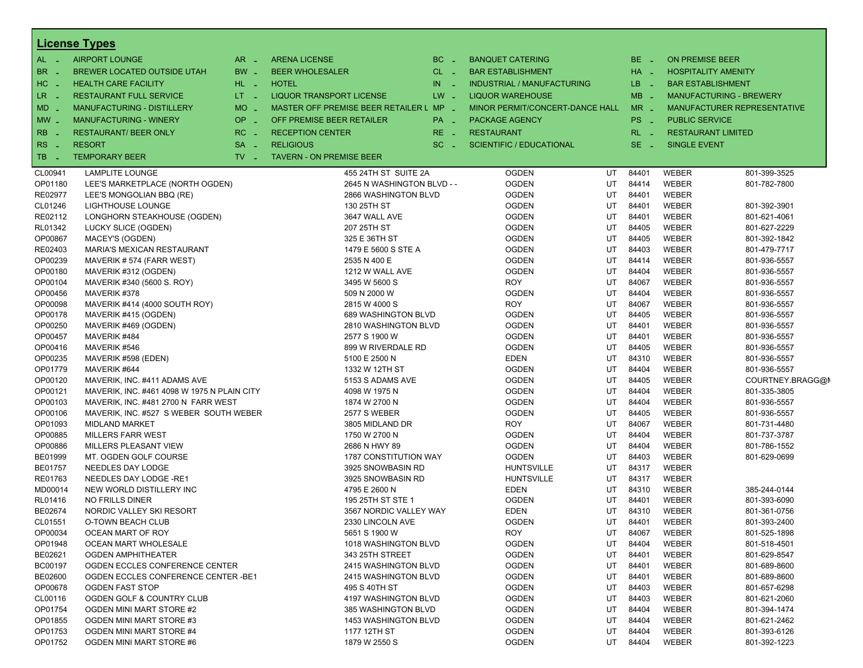|                | <b>License Types</b>                        |                               |                                         |                      |                                   |    |          |                                |                             |
|----------------|---------------------------------------------|-------------------------------|-----------------------------------------|----------------------|-----------------------------------|----|----------|--------------------------------|-----------------------------|
| $AL -$         | <b>AIRPORT LOUNGE</b>                       | $AR -$                        | <b>ARENA LICENSE</b>                    | BC<br><b>Card</b>    | <b>BANQUET CATERING</b>           |    | BE _     | <b>ON PREMISE BEER</b>         |                             |
| BR             | BREWER LOCATED OUTSIDE UTAH                 | BW _                          | <b>BEER WHOLESALER</b>                  | $CL$ $-$             | <b>BAR ESTABLISHMENT</b>          |    | $HA$ $=$ | <b>HOSPITALITY AMENITY</b>     |                             |
| $H$ C<br>- 4   | <b>HEALTH CARE FACILITY</b>                 | HL L                          | <b>HOTEL</b>                            | IN<br><b>College</b> | <b>INDUSTRIAL / MANUFACTURING</b> |    | LB __    | <b>BAR ESTABLISHMENT</b>       |                             |
| LR             | <b>RESTAURANT FULL SERVICE</b>              | $LT - 1$                      | <b>LIQUOR TRANSPORT LICENSE</b>         | $LW -$               | <b>LIQUOR WAREHOUSE</b>           |    | $MB -$   | <b>MANUFACTURING - BREWERY</b> |                             |
|                |                                             |                               |                                         |                      |                                   |    |          |                                |                             |
| MD             | MANUFACTURING - DISTILLERY                  | $MO$ $\overline{\phantom{0}}$ | MASTER OFF PREMISE BEER RETAILER L MP _ |                      | MINOR PERMIT/CONCERT-DANCE HALL   |    | $MR -$   |                                | MANUFACTURER REPRESENTATIVE |
| $MW$ $-$       | <b>MANUFACTURING - WINERY</b>               | OP _                          | OFF PREMISE BEER RETAILER               | PA _                 | <b>PACKAGE AGENCY</b>             |    | PS _     | <b>PUBLIC SERVICE</b>          |                             |
| RB             | <b>RESTAURANT/ BEER ONLY</b>                | $RC -$                        | <b>RECEPTION CENTER</b>                 | RE.<br>- 4           | <b>RESTAURANT</b>                 |    | $RL - 1$ | <b>RESTAURANT LIMITED</b>      |                             |
| RS<br>- 4      | <b>RESORT</b>                               | <b>SA</b><br>$\sim$           | <b>RELIGIOUS</b>                        | $SC =$               | <b>SCIENTIFIC / EDUCATIONAL</b>   |    | $SE$ $-$ | <b>SINGLE EVENT</b>            |                             |
| TB             | <b>TEMPORARY BEER</b>                       | $TV$ $\overline{\phantom{0}}$ | <b>TAVERN - ON PREMISE BEER</b>         |                      |                                   |    |          |                                |                             |
| CL00941        | <b>LAMPLITE LOUNGE</b>                      |                               | 455 24TH ST SUITE 2A                    |                      | <b>OGDEN</b>                      | UT | 84401    | WEBER                          | 801-399-3525                |
| OP01180        | LEE'S MARKETPLACE (NORTH OGDEN)             |                               | 2645 N WASHINGTON BLVD - -              |                      | <b>OGDEN</b>                      | UT | 84414    | <b>WEBER</b>                   | 801-782-7800                |
| RE02977        | LEE'S MONGOLIAN BBQ (RE)                    |                               | 2866 WASHINGTON BLVD                    |                      | <b>OGDEN</b>                      | UT | 84401    | <b>WEBER</b>                   |                             |
| CL01246        | LIGHTHOUSE LOUNGE                           |                               | 130 25TH ST                             |                      | <b>OGDEN</b>                      | UT | 84401    | WEBER                          | 801-392-3901                |
| RE02112        | LONGHORN STEAKHOUSE (OGDEN)                 |                               | 3647 WALL AVE                           |                      | <b>OGDEN</b>                      | UT | 84401    | <b>WEBER</b>                   | 801-621-4061                |
|                |                                             |                               | 207 25TH ST                             |                      | <b>OGDEN</b>                      | UT | 84405    | <b>WEBER</b>                   | 801-627-2229                |
| RL01342        | LUCKY SLICE (OGDEN)                         |                               |                                         |                      |                                   |    |          |                                |                             |
| OP00867        | MACEY'S (OGDEN)                             |                               | 325 E 36TH ST                           |                      | <b>OGDEN</b>                      | UT | 84405    | WEBER                          | 801-392-1842                |
| RE02403        | MARIA'S MEXICAN RESTAURANT                  |                               | 1479 E 5600 S STE A                     |                      | <b>OGDEN</b>                      | UT | 84403    | <b>WEBER</b>                   | 801-479-7717                |
| OP00239        | MAVERIK #574 (FARR WEST)                    |                               | 2535 N 400 E                            |                      | <b>OGDEN</b>                      | UT | 84414    | <b>WEBER</b>                   | 801-936-5557                |
| OP00180        | MAVERIK #312 (OGDEN)                        |                               | 1212 W WALL AVE                         |                      | <b>OGDEN</b>                      | UT | 84404    | WEBER                          | 801-936-5557                |
| OP00104        | MAVERIK #340 (5600 S. ROY)                  |                               | 3495 W 5600 S                           |                      | <b>ROY</b>                        | UT | 84067    | <b>WEBER</b>                   | 801-936-5557                |
| OP00456        | MAVERIK #378                                |                               | 509 N 2000 W                            |                      | <b>OGDEN</b>                      | UT | 84404    | <b>WEBER</b>                   | 801-936-5557                |
| OP00098        | MAVERIK #414 (4000 SOUTH ROY)               |                               | 2815 W 4000 S                           |                      | <b>ROY</b>                        | UT | 84067    | WEBER                          | 801-936-5557                |
| OP00178        | MAVERIK #415 (OGDEN)                        |                               | 689 WASHINGTON BLVD                     |                      | <b>OGDEN</b>                      | UT | 84405    | <b>WEBER</b>                   | 801-936-5557                |
| OP00250        | MAVERIK #469 (OGDEN)                        |                               | 2810 WASHINGTON BLVD                    |                      | <b>OGDEN</b>                      | UT | 84401    | <b>WEBER</b>                   | 801-936-5557                |
| OP00457        | MAVERIK #484                                |                               | 2577 S 1900 W                           |                      | <b>OGDEN</b>                      | UT | 84401    | WEBER                          | 801-936-5557                |
| OP00416        | MAVERIK #546                                |                               | 899 W RIVERDALE RD                      |                      | <b>OGDEN</b>                      | UT | 84405    | <b>WEBER</b>                   | 801-936-5557                |
| OP00235        | MAVERIK #598 (EDEN)                         |                               | 5100 E 2500 N                           |                      | <b>EDEN</b>                       | UT | 84310    | <b>WEBER</b>                   | 801-936-5557                |
| OP01779        | MAVERIK #644                                |                               | 1332 W 12TH ST                          |                      | <b>OGDEN</b>                      | UT | 84404    | WEBER                          | 801-936-5557                |
| OP00120        | MAVERIK, INC. #411 ADAMS AVE                |                               | 5153 S ADAMS AVE                        |                      | <b>OGDEN</b>                      | UT | 84405    | <b>WEBER</b>                   | COURTNEY.BRAGG@I            |
| OP00121        | MAVERIK, INC. #461 4098 W 1975 N PLAIN CITY |                               | 4098 W 1975 N                           |                      | <b>OGDEN</b>                      | UT | 84404    | <b>WEBER</b>                   | 801-335-3805                |
| OP00103        | MAVERIK, INC. #481 2700 N FARR WEST         |                               | 1874 W 2700 N                           |                      | <b>OGDEN</b>                      | UT | 84404    | WEBER                          | 801-936-5557                |
| OP00106        | MAVERIK, INC. #527 S WEBER SOUTH WEBER      |                               | <b>2577 S WEBER</b>                     |                      | <b>OGDEN</b>                      | UT | 84405    | <b>WEBER</b>                   | 801-936-5557                |
| OP01093        | <b>MIDLAND MARKET</b>                       |                               | 3805 MIDLAND DR                         |                      | <b>ROY</b>                        | UT | 84067    | <b>WEBER</b>                   | 801-731-4480                |
| OP00885        | <b>MILLERS FARR WEST</b>                    |                               | 1750 W 2700 N                           |                      | <b>OGDEN</b>                      | UT | 84404    | WEBER                          | 801-737-3787                |
| OP00886        | MILLERS PLEASANT VIEW                       |                               | 2686 N HWY 89                           |                      | <b>OGDEN</b>                      | UT | 84404    | <b>WEBER</b>                   | 801-786-1552                |
| BE01999        | MT. OGDEN GOLF COURSE                       |                               | <b>1787 CONSTITUTION WAY</b>            |                      | <b>OGDEN</b>                      | UT | 84403    | <b>WEBER</b>                   | 801-629-0699                |
| <b>BE01757</b> | NEEDLES DAY LODGE                           |                               | 3925 SNOWBASIN RD                       |                      | <b>HUNTSVILLE</b>                 | UT | 84317    | WEBER                          |                             |
| RE01763        | NEEDLES DAY LODGE -RE1                      |                               | 3925 SNOWBASIN RD                       |                      | <b>HUNTSVILLE</b>                 | UT | 84317    | <b>WEBER</b>                   |                             |
| MD00014        | NEW WORLD DISTILLERY INC                    |                               | 4795 E 2600 N                           |                      | <b>EDEN</b>                       | UT | 84310    | WEBER                          | 385-244-0144                |
| RL01416        | NO FRILLS DINER                             |                               | 195 25TH ST STE 1                       |                      | <b>OGDEN</b>                      | UT | 84401    | WEBER                          | 801-393-6090                |
| BE02674        | NORDIC VALLEY SKI RESORT                    |                               | 3567 NORDIC VALLEY WAY                  |                      | <b>EDEN</b>                       | UT | 84310    | <b>WEBER</b>                   | 801-361-0756                |
| CL01551        | O-TOWN BEACH CLUB                           |                               | 2330 LINCOLN AVE                        |                      | <b>OGDEN</b>                      | UT | 84401    | <b>WEBER</b>                   | 801-393-2400                |
| OP00034        | OCEAN MART OF ROY                           |                               | 5651 S 1900 W                           |                      | <b>ROY</b>                        | UT | 84067    | WEBER                          | 801-525-1898                |
| OP01948        | OCEAN MART WHOLESALE                        |                               | 1018 WASHINGTON BLVD                    |                      | <b>OGDEN</b>                      | UT | 84404    | WEBER                          | 801-518-4501                |
| BE02621        | OGDEN AMPHITHEATER                          |                               | 343 25TH STREET                         |                      | <b>OGDEN</b>                      | UT | 84401    | WEBER                          | 801-629-8547                |
| <b>BC00197</b> | OGDEN ECCLES CONFERENCE CENTER              |                               | 2415 WASHINGTON BLVD                    |                      | <b>OGDEN</b>                      | UT | 84401    | WEBER                          | 801-689-8600                |
| BE02600        | OGDEN ECCLES CONFERENCE CENTER - BE1        |                               | 2415 WASHINGTON BLVD                    |                      | <b>OGDEN</b>                      | UT | 84401    | WEBER                          | 801-689-8600                |
| OP00678        | <b>OGDEN FAST STOP</b>                      |                               | 495 S 40TH ST                           |                      | <b>OGDEN</b>                      | UT | 84403    | WEBER                          | 801-657-6298                |
| CL00116        | OGDEN GOLF & COUNTRY CLUB                   |                               | 4197 WASHINGTON BLVD                    |                      |                                   | UT | 84403    | WEBER                          | 801-621-2060                |
|                |                                             |                               |                                         |                      | <b>OGDEN</b>                      |    |          |                                |                             |
| OP01754        | OGDEN MINI MART STORE #2                    |                               | 385 WASHINGTON BLVD                     |                      | <b>OGDEN</b>                      | UT | 84404    | WEBER                          | 801-394-1474                |
| OP01855        | OGDEN MINI MART STORE #3                    |                               | 1453 WASHINGTON BLVD                    |                      | <b>OGDEN</b>                      | UT | 84404    | WEBER                          | 801-621-2462                |
| OP01753        | OGDEN MINI MART STORE #4                    |                               | 1177 12TH ST                            |                      | <b>OGDEN</b>                      | UT | 84404    | WEBER                          | 801-393-6126                |
| OP01752        | OGDEN MINI MART STORE #6                    |                               | 1879 W 2550 S                           |                      | <b>OGDEN</b>                      | UT | 84404    | WEBER                          | 801-392-1223                |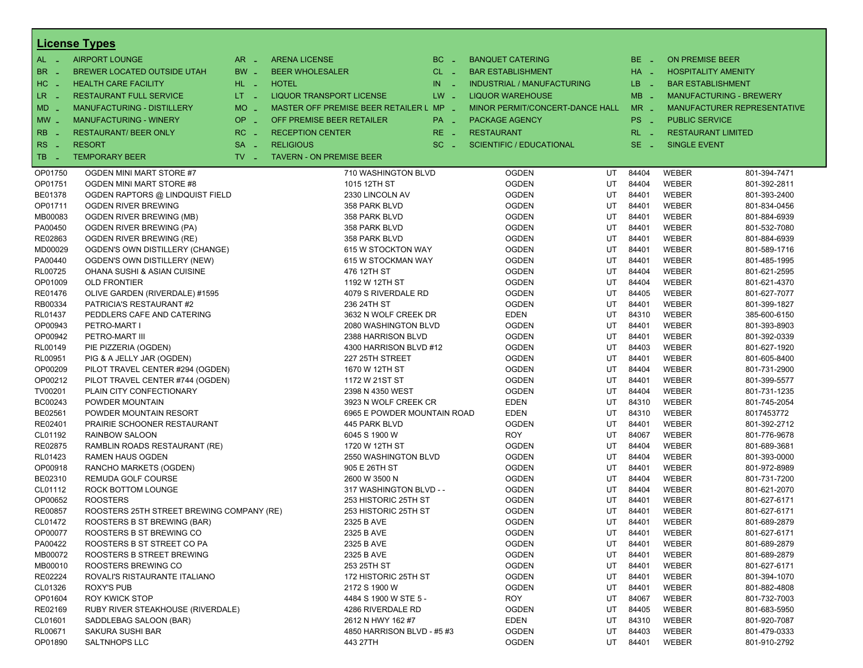|                          | <b>License Types</b>                      |                               |                                         |          |                                   |    |          |                        |                                |
|--------------------------|-------------------------------------------|-------------------------------|-----------------------------------------|----------|-----------------------------------|----|----------|------------------------|--------------------------------|
| $AL -$                   | <b>AIRPORT LOUNGE</b>                     | $AR -$                        | <b>ARENA LICENSE</b>                    | $BC =$   | <b>BANQUET CATERING</b>           |    | BE _     | <b>ON PREMISE BEER</b> |                                |
| BR<br>- 4                | BREWER LOCATED OUTSIDE UTAH               | BW _                          | <b>BEER WHOLESALER</b>                  | $CL$ $-$ | <b>BAR ESTABLISHMENT</b>          |    | HA _     |                        | <b>HOSPITALITY AMENITY</b>     |
| H <sub>C</sub><br>- 4    | <b>HEALTH CARE FACILITY</b>               | HL L                          | <b>HOTEL</b>                            | $IN$ $-$ | <b>INDUSTRIAL / MANUFACTURING</b> |    | LB __    |                        | <b>BAR ESTABLISHMENT</b>       |
| LR -                     | <b>RESTAURANT FULL SERVICE</b>            | $LT - 1$                      | LIQUOR TRANSPORT LICENSE                | $LW -$   | <b>LIQUOR WAREHOUSE</b>           |    | $MB -$   |                        | <b>MANUFACTURING - BREWERY</b> |
| $MD -$                   | <b>MANUFACTURING - DISTILLERY</b>         | <b>MO</b><br>i a              | MASTER OFF PREMISE BEER RETAILER L MP - |          | MINOR PERMIT/CONCERT-DANCE HALL   |    | $MR -$   |                        | MANUFACTURER REPRESENTATIVE    |
|                          | <b>MANUFACTURING - WINERY</b>             | <b>OP</b>                     | OFF PREMISE BEER RETAILER               |          |                                   |    | PS _     | <b>PUBLIC SERVICE</b>  |                                |
| $MW-$                    |                                           | i al                          |                                         | PA _     | <b>PACKAGE AGENCY</b>             |    |          |                        |                                |
| <b>RB</b>                | <b>RESTAURANT/ BEER ONLY</b>              | RC<br>i a                     | <b>RECEPTION CENTER</b>                 | $RE -$   | <b>RESTAURANT</b>                 |    | $RL - 1$ |                        | <b>RESTAURANT LIMITED</b>      |
| R <sub>S</sub><br>$\sim$ | <b>RESORT</b>                             | <b>SA</b><br>i a              | <b>RELIGIOUS</b>                        | $SC =$   | <b>SCIENTIFIC / EDUCATIONAL</b>   |    | $SE$ $-$ | <b>SINGLE EVENT</b>    |                                |
| TB.<br>- 4               | <b>TEMPORARY BEER</b>                     | $TV$ $\overline{\phantom{0}}$ | <b>TAVERN - ON PREMISE BEER</b>         |          |                                   |    |          |                        |                                |
| OP01750                  | OGDEN MINI MART STORE #7                  |                               | 710 WASHINGTON BLVD                     |          | <b>OGDEN</b>                      | UT | 84404    | <b>WEBER</b>           | 801-394-7471                   |
| OP01751                  | OGDEN MINI MART STORE #8                  |                               | 1015 12TH ST                            |          | <b>OGDEN</b>                      | UT | 84404    | <b>WEBER</b>           | 801-392-2811                   |
| BE01378                  | OGDEN RAPTORS @ LINDQUIST FIELD           |                               | 2330 LINCOLN AV                         |          | <b>OGDEN</b>                      | UT | 84401    | <b>WEBER</b>           | 801-393-2400                   |
| OP01711                  | OGDEN RIVER BREWING                       |                               | 358 PARK BLVD                           |          | <b>OGDEN</b>                      | UT | 84401    | <b>WEBER</b>           | 801-834-0456                   |
| MB00083                  | OGDEN RIVER BREWING (MB)                  |                               | 358 PARK BLVD                           |          | <b>OGDEN</b>                      | UT | 84401    | <b>WEBER</b>           | 801-884-6939                   |
| PA00450                  | OGDEN RIVER BREWING (PA)                  |                               | 358 PARK BLVD                           |          | <b>OGDEN</b>                      | UT | 84401    | <b>WEBER</b>           | 801-532-7080                   |
| RE02863                  | OGDEN RIVER BREWING (RE)                  |                               | 358 PARK BLVD                           |          | <b>OGDEN</b>                      | UT | 84401    | <b>WEBER</b>           | 801-884-6939                   |
| MD00029                  | OGDEN'S OWN DISTILLERY (CHANGE)           |                               | 615 W STOCKTON WAY                      |          | <b>OGDEN</b>                      | UT | 84401    | WEBER                  | 801-589-1716                   |
| PA00440                  | OGDEN'S OWN DISTILLERY (NEW)              |                               | 615 W STOCKMAN WAY                      |          | <b>OGDEN</b>                      | UT | 84401    | <b>WEBER</b>           | 801-485-1995                   |
| <b>RL00725</b>           | OHANA SUSHI & ASIAN CUISINE               |                               | 476 12TH ST                             |          | <b>OGDEN</b>                      | UT | 84404    | <b>WEBER</b>           | 801-621-2595                   |
| OP01009                  | <b>OLD FRONTIER</b>                       |                               | 1192 W 12TH ST                          |          | <b>OGDEN</b>                      | UT | 84404    | WEBER                  | 801-621-4370                   |
| RE01476                  | OLIVE GARDEN (RIVERDALE) #1595            |                               | 4079 S RIVERDALE RD                     |          | <b>OGDEN</b>                      | UT | 84405    | <b>WEBER</b>           | 801-627-7077                   |
| RB00334                  | PATRICIA'S RESTAURANT #2                  |                               | 236 24TH ST                             |          | <b>OGDEN</b>                      | UT | 84401    | <b>WEBER</b>           | 801-399-1827                   |
| RL01437                  | PEDDLERS CAFE AND CATERING                |                               | 3632 N WOLF CREEK DR                    |          | <b>EDEN</b>                       | UT | 84310    | <b>WEBER</b>           | 385-600-6150                   |
| OP00943                  | PETRO-MART I                              |                               | 2080 WASHINGTON BLVD                    |          | <b>OGDEN</b>                      | UT | 84401    | <b>WEBER</b>           | 801-393-8903                   |
| OP00942                  | PETRO-MART III                            |                               | 2388 HARRISON BLVD                      |          | <b>OGDEN</b>                      | UT | 84401    | <b>WEBER</b>           | 801-392-0339                   |
| RL00149                  | PIE PIZZERIA (OGDEN)                      |                               | 4300 HARRISON BLVD #12                  |          | <b>OGDEN</b>                      | UT | 84403    | WEBER                  | 801-627-1920                   |
| RL00951                  | PIG & A JELLY JAR (OGDEN)                 |                               | 227 25TH STREET                         |          | <b>OGDEN</b>                      | UT | 84401    | <b>WEBER</b>           | 801-605-8400                   |
| OP00209                  | PILOT TRAVEL CENTER #294 (OGDEN)          |                               | 1670 W 12TH ST                          |          | <b>OGDEN</b>                      | UT | 84404    | <b>WEBER</b>           | 801-731-2900                   |
| OP00212                  | PILOT TRAVEL CENTER #744 (OGDEN)          |                               | 1172 W 21ST ST                          |          | <b>OGDEN</b>                      | UT | 84401    | WEBER                  | 801-399-5577                   |
| TV00201                  | PLAIN CITY CONFECTIONARY                  |                               | 2398 N 4350 WEST                        |          | <b>OGDEN</b>                      | UT | 84404    | <b>WEBER</b>           | 801-731-1235                   |
| BC00243                  | POWDER MOUNTAIN                           |                               | 3923 N WOLF CREEK CR                    |          | <b>EDEN</b>                       | UT | 84310    | <b>WEBER</b>           | 801-745-2054                   |
| BE02561                  | POWDER MOUNTAIN RESORT                    |                               | 6965 E POWDER MOUNTAIN ROAD             |          | <b>EDEN</b>                       | UT | 84310    | WEBER                  | 8017453772                     |
| RE02401                  | <b>PRAIRIE SCHOONER RESTAURANT</b>        |                               | 445 PARK BLVD                           |          | <b>OGDEN</b>                      | UT | 84401    | <b>WEBER</b>           | 801-392-2712                   |
| CL01192                  | <b>RAINBOW SALOON</b>                     |                               | 6045 S 1900 W                           |          | <b>ROY</b>                        | UT | 84067    | <b>WEBER</b>           | 801-776-9678                   |
| RE02875                  | RAMBLIN ROADS RESTAURANT (RE)             |                               | 1720 W 12TH ST                          |          | <b>OGDEN</b>                      | UT | 84404    | WEBER                  | 801-689-3681                   |
| RL01423                  | <b>RAMEN HAUS OGDEN</b>                   |                               | 2550 WASHINGTON BLVD                    |          | <b>OGDEN</b>                      | UT | 84404    | <b>WEBER</b>           | 801-393-0000                   |
| OP00918                  | RANCHO MARKETS (OGDEN)                    |                               | 905 E 26TH ST                           |          | <b>OGDEN</b>                      | UT | 84401    | <b>WEBER</b>           | 801-972-8989                   |
| BE02310                  | REMUDA GOLF COURSE                        |                               | 2600 W 3500 N                           |          | <b>OGDEN</b>                      | UT | 84404    | WEBER                  | 801-731-7200                   |
| CL01112                  | ROCK BOTTOM LOUNGE                        |                               | 317 WASHINGTON BLVD - -                 |          | <b>OGDEN</b>                      | UT | 84404    | <b>WEBER</b>           | 801-621-2070                   |
| OP00652                  | <b>ROOSTERS</b>                           |                               | 253 HISTORIC 25TH ST                    |          | <b>OGDEN</b>                      | UT | 84401    | <b>WEBER</b>           | 801-627-6171                   |
| RE00857                  | ROOSTERS 25TH STREET BREWING COMPANY (RE) |                               | 253 HISTORIC 25TH ST                    |          | <b>OGDEN</b>                      | UT | 84401    | WEBER                  | 801-627-6171                   |
| CL01472                  | ROOSTERS B ST BREWING (BAR)               |                               | 2325 B AVE                              |          | <b>OGDEN</b>                      | UT | 84401    | WEBER                  | 801-689-2879                   |
| OP00077                  | ROOSTERS B ST BREWING CO                  |                               | 2325 B AVE                              |          | <b>OGDEN</b>                      | UT | 84401    | WEBER                  | 801-627-6171                   |
| PA00422                  | ROOSTERS B ST STREET CO PA                |                               | 2325 B AVE                              |          | <b>OGDEN</b>                      | UT | 84401    | WEBER                  | 801-689-2879                   |
| MB00072                  | ROOSTERS B STREET BREWING                 |                               | 2325 B AVE                              |          | <b>OGDEN</b>                      | UT | 84401    | <b>WEBER</b>           | 801-689-2879                   |
| MB00010                  | ROOSTERS BREWING CO                       |                               | 253 25TH ST                             |          | <b>OGDEN</b>                      | UT | 84401    | <b>WEBER</b>           | 801-627-6171                   |
| RE02224                  | ROVALI'S RISTAURANTE ITALIANO             |                               | 172 HISTORIC 25TH ST                    |          | <b>OGDEN</b>                      | UT | 84401    | WEBER                  | 801-394-1070                   |
| CL01326                  | <b>ROXY'S PUB</b>                         |                               | 2172 S 1900 W                           |          | <b>OGDEN</b>                      | UT | 84401    | WEBER                  | 801-882-4808                   |
| OP01604                  | <b>ROY KWICK STOP</b>                     |                               | 4484 S 1900 W STE 5 -                   |          | <b>ROY</b>                        | UT | 84067    | <b>WEBER</b>           | 801-732-7003                   |
| RE02169                  | RUBY RIVER STEAKHOUSE (RIVERDALE)         |                               | 4286 RIVERDALE RD                       |          | <b>OGDEN</b>                      | UT | 84405    | <b>WEBER</b>           | 801-683-5950                   |
| CL01601                  | SADDLEBAG SALOON (BAR)                    |                               | 2612 N HWY 162 #7                       |          | <b>EDEN</b>                       | UT | 84310    | <b>WEBER</b>           | 801-920-7087                   |
| RL00671                  | SAKURA SUSHI BAR                          |                               | 4850 HARRISON BLVD - #5 #3              |          | <b>OGDEN</b>                      | UT | 84403    | WEBER                  | 801-479-0333                   |
| OP01890                  | <b>SALTNHOPS LLC</b>                      |                               | 443 27TH                                |          | <b>OGDEN</b>                      | UT | 84401    | <b>WEBER</b>           | 801-910-2792                   |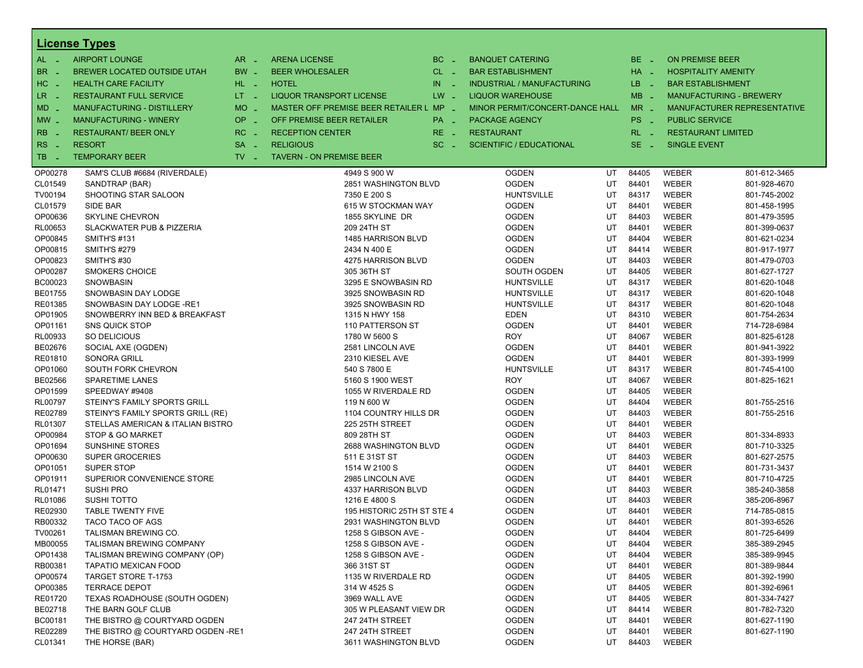|                | <b>License Types</b>                 |                               |                                         |                      |                                   |          |                      |                          |                                |
|----------------|--------------------------------------|-------------------------------|-----------------------------------------|----------------------|-----------------------------------|----------|----------------------|--------------------------|--------------------------------|
| $AL -$         | <b>AIRPORT LOUNGE</b>                | $AR -$                        | <b>ARENA LICENSE</b>                    | BC.<br>$\sim$        | <b>BANQUET CATERING</b>           |          | BE.<br><b>COL</b>    | <b>ON PREMISE BEER</b>   |                                |
| BR             | <b>BREWER LOCATED OUTSIDE UTAH</b>   | $BW -$                        | <b>BEER WHOLESALER</b>                  | $CL$ $-$             | <b>BAR ESTABLISHMENT</b>          |          | $HA$ $-$             |                          | <b>HOSPITALITY AMENITY</b>     |
| HC<br>- 4      | <b>HEALTH CARE FACILITY</b>          | HL L                          | <b>HOTEL</b>                            | IN.<br>$\sim$ $\sim$ | <b>INDUSTRIAL / MANUFACTURING</b> |          | LB.<br>- 11          | <b>BAR ESTABLISHMENT</b> |                                |
| LR.            | <b>RESTAURANT FULL SERVICE</b>       | $LT - 1$                      | <b>LIQUOR TRANSPORT LICENSE</b>         | $LW -$               | <b>LIQUOR WAREHOUSE</b>           |          | $MB -$               |                          | <b>MANUFACTURING - BREWERY</b> |
| - 4            | <b>MANUFACTURING - DISTILLERY</b>    | <b>MO</b>                     | MASTER OFF PREMISE BEER RETAILER L MP _ |                      | MINOR PERMIT/CONCERT-DANCE HALL   |          | $MR -$               |                          |                                |
| MD -           |                                      | $\sim$                        |                                         |                      |                                   |          |                      |                          | MANUFACTURER REPRESENTATIVE    |
| $MW$ $-$       | <b>MANUFACTURING - WINERY</b>        | <b>OP</b><br>$\sim$           | OFF PREMISE BEER RETAILER               | PA _                 | <b>PACKAGE AGENCY</b>             |          | PS<br><b>College</b> | <b>PUBLIC SERVICE</b>    |                                |
| <b>RB</b>      | <b>RESTAURANT/ BEER ONLY</b>         | RC                            | <b>RECEPTION CENTER</b>                 | RE.                  | <b>RESTAURANT</b>                 |          | RL.                  |                          | <b>RESTAURANT LIMITED</b>      |
| R <sub>S</sub> | <b>RESORT</b>                        | <b>SA</b><br>$\sim$           | <b>RELIGIOUS</b>                        | SC.                  | <b>SCIENTIFIC / EDUCATIONAL</b>   |          | SE.<br><b>COL</b>    | <b>SINGLE EVENT</b>      |                                |
| TB             | <b>TEMPORARY BEER</b>                | $TV$ $\overline{\phantom{0}}$ | <b>TAVERN - ON PREMISE BEER</b>         |                      |                                   |          |                      |                          |                                |
| OP00278        | SAM'S CLUB #6684 (RIVERDALE)         |                               | 4949 S 900 W                            |                      | <b>OGDEN</b>                      | UT       | 84405                | <b>WEBER</b>             | 801-612-3465                   |
| CL01549        | SANDTRAP (BAR)                       |                               | 2851 WASHINGTON BLVD                    |                      | <b>OGDEN</b>                      | UT       | 84401                | <b>WEBER</b>             | 801-928-4670                   |
| TV00194        | SHOOTING STAR SALOON                 |                               | 7350 E 200 S                            |                      | <b>HUNTSVILLE</b>                 | UT       | 84317                | <b>WEBER</b>             | 801-745-2002                   |
| CL01579        | SIDE BAR                             |                               | 615 W STOCKMAN WAY                      |                      | <b>OGDEN</b>                      | UT       | 84401                | <b>WEBER</b>             | 801-458-1995                   |
| OP00636        | <b>SKYLINE CHEVRON</b>               |                               | 1855 SKYLINE DR                         |                      | <b>OGDEN</b>                      | UT       | 84403                | <b>WEBER</b>             | 801-479-3595                   |
| RL00653        | <b>SLACKWATER PUB &amp; PIZZERIA</b> |                               | 209 24TH ST                             |                      | <b>OGDEN</b>                      | UT       | 84401                | <b>WEBER</b>             | 801-399-0637                   |
| OP00845        | <b>SMITH'S #131</b>                  |                               | 1485 HARRISON BLVD                      |                      | <b>OGDEN</b>                      | UT       | 84404                | WEBER                    | 801-621-0234                   |
| OP00815        | <b>SMITH'S #279</b>                  |                               | 2434 N 400 E                            |                      | OGDEN                             | UT       | 84414                | WEBER                    | 801-917-1977                   |
| OP00823        | SMITH'S #30                          |                               | 4275 HARRISON BLVD                      |                      | <b>OGDEN</b>                      | UT       | 84403                | <b>WEBER</b>             | 801-479-0703                   |
| OP00287        | <b>SMOKERS CHOICE</b>                |                               | 305 36TH ST                             |                      | SOUTH OGDEN                       | UT       | 84405                | <b>WEBER</b>             | 801-627-1727                   |
| BC00023        | SNOWBASIN                            |                               | 3295 E SNOWBASIN RD                     |                      | HUNTSVILLE                        | UT       | 84317                | <b>WEBER</b>             | 801-620-1048                   |
| BE01755        | SNOWBASIN DAY LODGE                  |                               | 3925 SNOWBASIN RD                       |                      | <b>HUNTSVILLE</b>                 | UT       | 84317                | <b>WEBER</b>             | 801-620-1048                   |
| RE01385        | SNOWBASIN DAY LODGE -RE1             |                               | 3925 SNOWBASIN RD                       |                      | <b>HUNTSVILLE</b>                 | UT       | 84317                | <b>WEBER</b>             | 801-620-1048                   |
| OP01905        | SNOWBERRY INN BED & BREAKFAST        |                               | 1315 N HWY 158                          |                      | EDEN                              | UT       | 84310                | WEBER                    | 801-754-2634                   |
| OP01161        | <b>SNS QUICK STOP</b>                |                               | 110 PATTERSON ST                        |                      | <b>OGDEN</b>                      | UT       | 84401                | <b>WEBER</b>             | 714-728-6984                   |
| RL00933        | SO DELICIOUS                         |                               | 1780 W 5600 S                           |                      | <b>ROY</b>                        | UT       | 84067                | <b>WEBER</b>             | 801-825-6128                   |
| BE02676        | SOCIAL AXE (OGDEN)                   |                               | 2581 LINCOLN AVE                        |                      | <b>OGDEN</b>                      | UT       | 84401                | <b>WEBER</b>             | 801-941-3922                   |
| RE01810        | <b>SONORA GRILL</b>                  |                               | 2310 KIESEL AVE                         |                      | <b>OGDEN</b>                      | UT       | 84401                | <b>WEBER</b>             | 801-393-1999                   |
| OP01060        | SOUTH FORK CHEVRON                   |                               | 540 S 7800 E                            |                      | <b>HUNTSVILLE</b>                 | UT       | 84317                | WEBER                    | 801-745-4100                   |
| BE02566        | <b>SPARETIME LANES</b>               |                               | 5160 S 1900 WEST                        |                      | <b>ROY</b>                        | UT       | 84067                | <b>WEBER</b>             | 801-825-1621                   |
| OP01599        | SPEEDWAY #9408                       |                               | 1055 W RIVERDALE RD                     |                      | <b>OGDEN</b>                      | UT       | 84405                | <b>WEBER</b>             |                                |
| <b>RL00797</b> | STEINY'S FAMILY SPORTS GRILL         |                               | 119 N 600 W                             |                      | <b>OGDEN</b>                      | UT       | 84404                | <b>WEBER</b>             | 801-755-2516                   |
| RE02789        | STEINY'S FAMILY SPORTS GRILL (RE)    |                               | 1104 COUNTRY HILLS DR                   |                      | <b>OGDEN</b>                      | UT       | 84403                | WEBER                    | 801-755-2516                   |
| RL01307        | STELLAS AMERICAN & ITALIAN BISTRO    |                               | 225 25TH STREET                         |                      | <b>OGDEN</b>                      | UT       | 84401                | <b>WEBER</b>             |                                |
| OP00984        | STOP & GO MARKET                     |                               | 809 28TH ST                             |                      | <b>OGDEN</b>                      | UT       | 84403                | WEBER                    | 801-334-8933                   |
| OP01694        | <b>SUNSHINE STORES</b>               |                               | 2688 WASHINGTON BLVD                    |                      | <b>OGDEN</b>                      | UT       | 84401                | WEBER                    | 801-710-3325                   |
| OP00630        | <b>SUPER GROCERIES</b>               |                               | 511 E 31ST ST                           |                      | <b>OGDEN</b>                      | UT       | 84403                | <b>WEBER</b>             | 801-627-2575                   |
| OP01051        | SUPER STOP                           |                               | 1514 W 2100 S                           |                      | <b>OGDEN</b>                      | UT       | 84401                | <b>WEBER</b>             | 801-731-3437                   |
| OP01911        | SUPERIOR CONVENIENCE STORE           |                               | 2985 LINCOLN AVE                        |                      | <b>OGDEN</b>                      | UT       | 84401                | <b>WEBER</b>             | 801-710-4725                   |
| RL01471        | <b>SUSHI PRO</b>                     |                               | 4337 HARRISON BLVD                      |                      | <b>OGDEN</b>                      | UT       | 84403                | <b>WEBER</b>             | 385-240-3858                   |
| RL01086        | SUSHI TOTTO                          |                               | 1216 E 4800 S                           |                      | <b>OGDEN</b>                      | UT       | 84403                | WEBER                    | 385-206-8967                   |
| RE02930        | <b>TABLE TWENTY FIVE</b>             |                               | 195 HISTORIC 25TH ST STE 4              |                      | <b>OGDEN</b>                      | UT       | 84401                | <b>WEBER</b>             | 714-785-0815                   |
| RB00332        | TACO TACO OF AGS                     |                               | 2931 WASHINGTON BLVD                    |                      | <b>OGDEN</b>                      | UT       | 84401                | WEBER                    | 801-393-6526                   |
| TV00261        | TALISMAN BREWING CO.                 |                               | 1258 S GIBSON AVE -                     |                      | OGDEN                             | UT       | 84404                | WEBER                    | 801-725-6499                   |
| MB00055        | TALISMAN BREWING COMPANY             |                               | 1258 S GIBSON AVE -                     |                      | OGDEN                             | UT       | 84404                | WEBER                    | 385-389-2945                   |
| OP01438        | TALISMAN BREWING COMPANY (OP)        |                               | 1258 S GIBSON AVE -                     |                      | OGDEN                             | UT       | 84404                | WEBER                    | 385-389-9945                   |
| RB00381        | <b>TAPATIO MEXICAN FOOD</b>          |                               | 366 31ST ST                             |                      | OGDEN                             | UT       | 84401                | WEBER                    | 801-389-9844                   |
| OP00574        | TARGET STORE T-1753                  |                               | 1135 W RIVERDALE RD                     |                      | OGDEN                             | UT       | 84405                | WEBER                    | 801-392-1990                   |
| OP00385        | <b>TERRACE DEPOT</b>                 |                               | 314 W 4525 S                            |                      | OGDEN                             | UT       | 84405                | WEBER                    | 801-392-6961                   |
| RE01720        | TEXAS ROADHOUSE (SOUTH OGDEN)        |                               | 3969 WALL AVE                           |                      | OGDEN                             | UT       | 84405                | WEBER                    | 801-334-7427                   |
| BE02718        | THE BARN GOLF CLUB                   |                               | 305 W PLEASANT VIEW DR                  |                      | OGDEN                             | UT       | 84414                | WEBER                    | 801-782-7320                   |
| BC00181        | THE BISTRO @ COURTYARD OGDEN         |                               | 247 24TH STREET                         |                      | OGDEN                             | UT       | 84401                | WEBER                    | 801-627-1190                   |
| RE02289        | THE BISTRO @ COURTYARD OGDEN-RE1     |                               | 247 24TH STREET                         |                      | OGDEN                             | UT<br>UT | 84401                | WEBER<br>WEBER           | 801-627-1190                   |
| CL01341        | THE HORSE (BAR)                      |                               | 3611 WASHINGTON BLVD                    |                      | OGDEN                             |          | 84403                |                          |                                |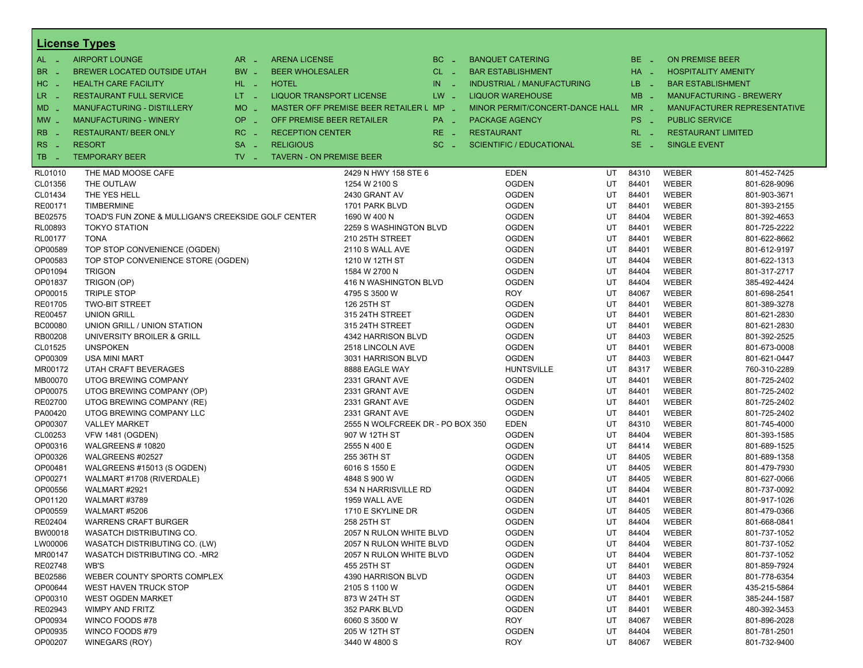|                       | <b>License Types</b>                               |                               |                                 |                                         |          |                                   |    |            |                        |                                |
|-----------------------|----------------------------------------------------|-------------------------------|---------------------------------|-----------------------------------------|----------|-----------------------------------|----|------------|------------------------|--------------------------------|
| AL -                  | <b>AIRPORT LOUNGE</b>                              | $AR -$                        | <b>ARENA LICENSE</b>            |                                         | $BC -$   | <b>BANQUET CATERING</b>           |    | $BE -$     | <b>ON PREMISE BEER</b> |                                |
| BR.<br><b>College</b> | BREWER LOCATED OUTSIDE UTAH                        | BW _                          | <b>BEER WHOLESALER</b>          |                                         | $CL$ $-$ | <b>BAR ESTABLISHMENT</b>          |    | $HA$ $-$   |                        | <b>HOSPITALITY AMENITY</b>     |
| HC.<br><b>College</b> | <b>HEALTH CARE FACILITY</b>                        | HL L                          | <b>HOTEL</b>                    |                                         | IN<br>Æy | <b>INDUSTRIAL / MANUFACTURING</b> |    | LB _       |                        | <b>BAR ESTABLISHMENT</b>       |
| LR _                  | <b>RESTAURANT FULL SERVICE</b>                     | $LT - 1$                      | <b>LIQUOR TRANSPORT LICENSE</b> |                                         | $LW -$   | <b>LIQUOR WAREHOUSE</b>           |    | $MB -$     |                        | <b>MANUFACTURING - BREWERY</b> |
| $MD -$                | <b>MANUFACTURING - DISTILLERY</b>                  | $MO$ $\overline{\phantom{0}}$ |                                 | MASTER OFF PREMISE BEER RETAILER L MP _ |          | MINOR PERMIT/CONCERT-DANCE HALL   |    | $MR -$     |                        | MANUFACTURER REPRESENTATIVE    |
| $MW_{-}$              | <b>MANUFACTURING - WINERY</b>                      | OP                            | OFF PREMISE BEER RETAILER       |                                         | PA _     | <b>PACKAGE AGENCY</b>             |    | PS _       | <b>PUBLIC SERVICE</b>  |                                |
|                       |                                                    | п.                            |                                 |                                         |          |                                   |    |            |                        |                                |
| RB                    | <b>RESTAURANT/ BEER ONLY</b>                       | RC<br>п.                      | <b>RECEPTION CENTER</b>         |                                         | $RE -$   | <b>RESTAURANT</b>                 |    | $RL - 1$   |                        | <b>RESTAURANT LIMITED</b>      |
| RS.<br>n a            | <b>RESORT</b>                                      | <b>SA</b><br>$\sim$           | <b>RELIGIOUS</b>                |                                         | $SC =$   | <b>SCIENTIFIC / EDUCATIONAL</b>   |    | SE.<br>- 4 | <b>SINGLE EVENT</b>    |                                |
| TB.<br>- 4            | <b>TEMPORARY BEER</b>                              | $TV -$                        | <b>TAVERN - ON PREMISE BEER</b> |                                         |          |                                   |    |            |                        |                                |
| RL01010               | THE MAD MOOSE CAFE                                 |                               |                                 | 2429 N HWY 158 STE 6                    |          | <b>EDEN</b>                       | UT | 84310      | WEBER                  | 801-452-7425                   |
| CL01356               | THE OUTLAW                                         |                               |                                 | 1254 W 2100 S                           |          | <b>OGDEN</b>                      | UT | 84401      | <b>WEBER</b>           | 801-628-9096                   |
| CL01434               | THE YES HELL                                       |                               |                                 | 2430 GRANT AV                           |          | <b>OGDEN</b>                      | UT | 84401      | <b>WEBER</b>           | 801-903-3671                   |
| RE00171               | <b>TIMBERMINE</b>                                  |                               |                                 | 1701 PARK BLVD                          |          | <b>OGDEN</b>                      | UT | 84401      | WEBER                  | 801-393-2155                   |
| BE02575               | TOAD'S FUN ZONE & MULLIGAN'S CREEKSIDE GOLF CENTER |                               |                                 | 1690 W 400 N                            |          | <b>OGDEN</b>                      | UT | 84404      | WEBER                  | 801-392-4653                   |
| RL00893               | <b>TOKYO STATION</b>                               |                               |                                 | 2259 S WASHINGTON BLVD                  |          | <b>OGDEN</b>                      | UT | 84401      | <b>WEBER</b>           | 801-725-2222                   |
| RL00177               | <b>TONA</b>                                        |                               |                                 | 210 25TH STREET                         |          | <b>OGDEN</b>                      | UT | 84401      | WEBER                  | 801-622-8662                   |
| OP00589               | TOP STOP CONVENIENCE (OGDEN)                       |                               |                                 | 2110 S WALL AVE                         |          | <b>OGDEN</b>                      | UT | 84401      | WEBER                  | 801-612-9197                   |
| OP00583               | TOP STOP CONVENIENCE STORE (OGDEN)                 |                               |                                 | 1210 W 12TH ST                          |          | <b>OGDEN</b>                      | UT | 84404      | <b>WEBER</b>           | 801-622-1313                   |
| OP01094               | <b>TRIGON</b>                                      |                               |                                 | 1584 W 2700 N                           |          | <b>OGDEN</b>                      | UT | 84404      | WEBER                  | 801-317-2717                   |
| OP01837               | TRIGON (OP)                                        |                               |                                 | 416 N WASHINGTON BLVD                   |          | <b>OGDEN</b>                      | UT | 84404      | WEBER                  | 385-492-4424                   |
| OP00015               | <b>TRIPLE STOP</b>                                 |                               |                                 | 4795 S 3500 W                           |          | <b>ROY</b>                        | UT | 84067      | WEBER                  | 801-698-2541                   |
| RE01705               | <b>TWO-BIT STREET</b>                              |                               |                                 | 126 25TH ST                             |          | <b>OGDEN</b>                      | UT | 84401      | WEBER                  | 801-389-3278                   |
| RE00457               | <b>UNION GRILL</b>                                 |                               |                                 | 315 24TH STREET                         |          | <b>OGDEN</b>                      | UT | 84401      | WEBER                  | 801-621-2830                   |
| <b>BC00080</b>        | UNION GRILL / UNION STATION                        |                               |                                 | 315 24TH STREET                         |          | <b>OGDEN</b>                      | UT | 84401      | <b>WEBER</b>           | 801-621-2830                   |
| RB00208               | UNIVERSITY BROILER & GRILL                         |                               |                                 | 4342 HARRISON BLVD                      |          | <b>OGDEN</b>                      | UT | 84403      | WEBER                  | 801-392-2525                   |
| CL01525               | <b>UNSPOKEN</b>                                    |                               |                                 | 2518 LINCOLN AVE                        |          | <b>OGDEN</b>                      | UT | 84401      | WEBER                  | 801-673-0008                   |
| OP00309               | USA MINI MART                                      |                               |                                 | 3031 HARRISON BLVD                      |          | <b>OGDEN</b>                      | UT | 84403      | <b>WEBER</b>           | 801-621-0447                   |
| MR00172               | UTAH CRAFT BEVERAGES                               |                               |                                 | 8888 EAGLE WAY                          |          | <b>HUNTSVILLE</b>                 | UT | 84317      | WEBER                  | 760-310-2289                   |
| MB00070               | UTOG BREWING COMPANY                               |                               |                                 | 2331 GRANT AVE                          |          | <b>OGDEN</b>                      | UT | 84401      | WEBER                  | 801-725-2402                   |
| OP00075               | UTOG BREWING COMPANY (OP)                          |                               |                                 | 2331 GRANT AVE                          |          | <b>OGDEN</b>                      | UT | 84401      | WEBER                  | 801-725-2402                   |
| RE02700               | UTOG BREWING COMPANY (RE)                          |                               |                                 | 2331 GRANT AVE                          |          | <b>OGDEN</b>                      | UT | 84401      | WEBER                  | 801-725-2402                   |
| PA00420               | UTOG BREWING COMPANY LLC                           |                               |                                 | 2331 GRANT AVE                          |          | <b>OGDEN</b>                      | UT | 84401      | WEBER                  | 801-725-2402                   |
| OP00307               | <b>VALLEY MARKET</b>                               |                               |                                 | 2555 N WOLFCREEK DR - PO BOX 350        |          | <b>EDEN</b>                       | UT | 84310      | <b>WEBER</b>           | 801-745-4000                   |
| CL00253               | <b>VFW 1481 (OGDEN)</b>                            |                               |                                 | 907 W 12TH ST                           |          | <b>OGDEN</b>                      | UT | 84404      | WEBER                  | 801-393-1585                   |
| OP00316               | WALGREENS #10820                                   |                               |                                 | 2555 N 400 E                            |          | <b>OGDEN</b>                      | UT | 84414      | WEBER                  | 801-689-1525                   |
| OP00326               | WALGREENS #02527                                   |                               |                                 | 255 36TH ST                             |          | <b>OGDEN</b>                      | UT | 84405      | WEBER                  | 801-689-1358                   |
| OP00481               | WALGREENS #15013 (S OGDEN)                         |                               |                                 | 6016 S 1550 E                           |          | <b>OGDEN</b>                      | UT | 84405      | WEBER                  | 801-479-7930                   |
| OP00271               | WALMART #1708 (RIVERDALE)                          |                               |                                 | 4848 S 900 W                            |          | <b>OGDEN</b>                      | UT | 84405      | WEBER                  | 801-627-0066                   |
| OP00556               | WALMART #2921                                      |                               |                                 | 534 N HARRISVILLE RD                    |          | <b>OGDEN</b>                      | UT | 84404      | <b>WEBER</b>           | 801-737-0092                   |
| OP01120               | WALMART #3789                                      |                               |                                 | 1959 WALL AVE                           |          | <b>OGDEN</b>                      | UT | 84401      | WEBER                  | 801-917-1026                   |
| OP00559               | WALMART #5206                                      |                               |                                 | 1710 E SKYLINE DR                       |          | <b>OGDEN</b>                      | UT | 84405      | WEBER                  | 801-479-0366                   |
| RE02404               | <b>WARRENS CRAFT BURGER</b>                        |                               |                                 | 258 25TH ST                             |          | <b>OGDEN</b>                      | UT | 84404      | <b>WEBER</b>           | 801-668-0841                   |
| BW00018               | WASATCH DISTRIBUTING CO.                           |                               |                                 | 2057 N RULON WHITE BLVD                 |          | <b>OGDEN</b>                      | UT | 84404      | WEBER                  | 801-737-1052                   |
| LW00006               | WASATCH DISTRIBUTING CO. (LW)                      |                               |                                 | 2057 N RULON WHITE BLVD                 |          | <b>OGDEN</b>                      | UT | 84404      | WEBER                  | 801-737-1052                   |
| MR00147               | WASATCH DISTRIBUTING CO. - MR2                     |                               |                                 | 2057 N RULON WHITE BLVD                 |          | <b>OGDEN</b>                      | UT | 84404      | WEBER                  | 801-737-1052                   |
| RE02748               | WB'S                                               |                               |                                 | 455 25TH ST                             |          | <b>OGDEN</b>                      | UT | 84401      | WEBER                  | 801-859-7924                   |
| BE02586               | WEBER COUNTY SPORTS COMPLEX                        |                               |                                 | 4390 HARRISON BLVD                      |          | <b>OGDEN</b>                      | UT | 84403      | WEBER                  | 801-778-6354                   |
| OP00644               | <b>WEST HAVEN TRUCK STOP</b>                       |                               |                                 | 2105 S 1100 W                           |          | <b>OGDEN</b>                      | UT | 84401      | WEBER                  | 435-215-5864                   |
| OP00310               | <b>WEST OGDEN MARKET</b>                           |                               |                                 | 873 W 24TH ST                           |          | <b>OGDEN</b>                      | UT | 84401      | WEBER                  | 385-244-1587                   |
| RE02943               | <b>WIMPY AND FRITZ</b>                             |                               |                                 | 352 PARK BLVD                           |          | <b>OGDEN</b>                      | UT | 84401      | WEBER                  | 480-392-3453                   |
| OP00934               | WINCO FOODS #78                                    |                               |                                 | 6060 S 3500 W                           |          | <b>ROY</b>                        | UT | 84067      | WEBER                  | 801-896-2028                   |
| OP00935               | WINCO FOODS #79                                    |                               |                                 | 205 W 12TH ST                           |          | <b>OGDEN</b>                      | UT | 84404      | WEBER                  | 801-781-2501                   |
| OP00207               | WINEGARS (ROY)                                     |                               |                                 | 3440 W 4800 S                           |          | <b>ROY</b>                        | UT | 84067      | WEBER                  | 801-732-9400                   |